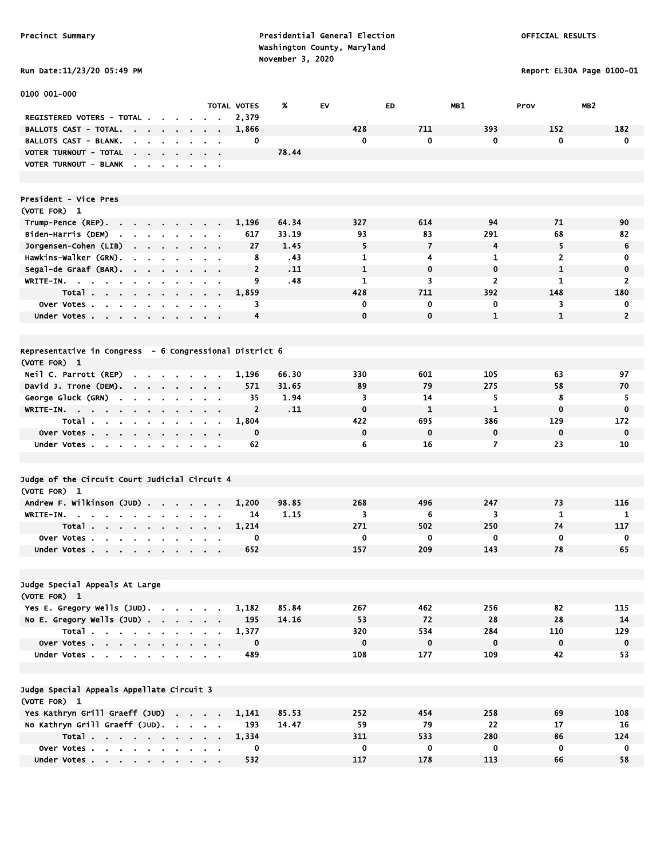# Run Date:11/23/20 05:49 PM Report EL30A Page 0100-01

| 0100 001-000                                                                                             |                                          |                    |       |             |                |                |                         |                |
|----------------------------------------------------------------------------------------------------------|------------------------------------------|--------------------|-------|-------------|----------------|----------------|-------------------------|----------------|
|                                                                                                          |                                          | <b>TOTAL VOTES</b> | %     | <b>EV</b>   | <b>ED</b>      | MB1            | MB <sub>2</sub><br>Prov |                |
| REGISTERED VOTERS - TOTAL .<br>$\mathbf{r}$                                                              |                                          | 2,379              |       |             |                |                |                         |                |
| BALLOTS CAST - TOTAL.<br>.<br>$\sim$                                                                     |                                          | 1,866              |       | 428         | 711            | 393            | 152                     | 182            |
| <b>BALLOTS CAST - BLANK.</b><br>$\mathbf{r}$ , $\mathbf{r}$ , $\mathbf{r}$ , $\mathbf{r}$                |                                          | 0                  |       | 0           | 0              | 0              | $\mathbf 0$             | $\mathbf 0$    |
| VOTER TURNOUT - TOTAL<br>$\mathbf{r} = \mathbf{r} + \mathbf{r} + \mathbf{r} + \mathbf{r}$                |                                          |                    | 78.44 |             |                |                |                         |                |
| VOTER TURNOUT - BLANK<br>$\sim$                                                                          |                                          |                    |       |             |                |                |                         |                |
|                                                                                                          |                                          |                    |       |             |                |                |                         |                |
|                                                                                                          |                                          |                    |       |             |                |                |                         |                |
| President - Vice Pres                                                                                    |                                          |                    |       |             |                |                |                         |                |
| (VOTE FOR) 1                                                                                             |                                          |                    |       |             |                |                |                         |                |
| Trump-Pence (REP).                                                                                       |                                          | 1,196              | 64.34 | 327         | 614            | 94             | 71                      | 90             |
| Biden-Harris (DEM)<br>$\mathbf{r}$<br><b>Contract Contract Contract</b><br>$\sim$                        |                                          | 617                | 33.19 | 93          | 83             | 291            | 68                      | 82             |
| Jorgensen-Cohen (LIB)                                                                                    | $\mathbf{r} = \mathbf{r} + \mathbf{r}$ . | 27                 | 1.45  | 5           | $\overline{7}$ | 4              | 5                       | 6              |
| Hawkins-Walker (GRN).<br>the company of the company                                                      | $\sim$ $\sim$                            | 8                  | .43   | 1           | 4              | 1              | 2                       | 0              |
| Segal-de Graaf (BAR).<br>$\sim$<br>$\bullet$                                                             |                                          | $\overline{2}$     | .11   | 1           | $\mathbf 0$    | $\mathbf 0$    | $\mathbf{1}$            | $\mathbf 0$    |
| WRITE-IN.                                                                                                |                                          | 9                  | .48   | 1           | 3              | $\overline{2}$ | 1                       | $\overline{2}$ |
| Total<br>$\cdot$<br>$\mathbf{r}$<br>$\blacksquare$<br>$\blacksquare$<br>$\mathbf{r}$                     |                                          | 1,859              |       | 428         | 711            | 392            | 148                     | 180            |
| Over Votes.<br>$\sim$ 100 $\mu$<br>$\mathbf{r}$<br>$\sim$                                                |                                          | 3                  |       | 0           | 0              | 0              | 3                       | 0              |
| Under Votes                                                                                              |                                          | 4                  |       | $\mathbf 0$ | $\bf{0}$       | $\mathbf{1}$   | $\mathbf{1}$            | $\overline{2}$ |
|                                                                                                          |                                          |                    |       |             |                |                |                         |                |
|                                                                                                          |                                          |                    |       |             |                |                |                         |                |
| Representative in Congress - 6 Congressional District 6                                                  |                                          |                    |       |             |                |                |                         |                |
| (VOTE FOR) 1                                                                                             |                                          |                    |       |             |                |                |                         |                |
| Neil C. Parrott (REP)<br>the company of the company of the company of                                    |                                          | 1,196              | 66.30 | 330         | 601            | 105            | 63                      | 97             |
| David J. Trone (DEM).                                                                                    |                                          | 571                | 31.65 | 89          | 79             | 275            | 58                      | 70             |
| George Gluck (GRN)<br>$\mathbf{u} = \mathbf{u} \cdot \mathbf{u}$<br>$\sim$<br>$\sim$<br>$\sim$<br>$\sim$ | $\alpha$ , $\alpha$ , $\alpha$           | 35                 | 1.94  | 3           | 14             | 5              | 8                       | 5              |
| WRITE-IN.<br>$\sim$<br>$\sim$<br>$\alpha$<br>$\bullet$<br>$\alpha$                                       |                                          | $\overline{2}$     | .11   | $\mathbf 0$ | $\mathbf{1}$   | $\mathbf{1}$   | $\mathbf 0$             | $\mathbf 0$    |
| Total<br>$\cdot$<br>$\blacksquare$                                                                       | $\sim$                                   | 1,804              |       | 422         | 695            | 386            | 129                     | 172            |
| Over Votes<br>$\bullet$                                                                                  |                                          | 0                  |       | $\mathbf 0$ | $\mathbf 0$    | 0              | $\mathbf 0$             | $\mathbf 0$    |
| Under Votes                                                                                              |                                          | 62                 |       | 6           | 16             | $\overline{7}$ | 23                      | 10             |
|                                                                                                          |                                          |                    |       |             |                |                |                         |                |
|                                                                                                          |                                          |                    |       |             |                |                |                         |                |
| Judge of the Circuit Court Judicial Circuit 4                                                            |                                          |                    |       |             |                |                |                         |                |
| (VOTE FOR) 1                                                                                             |                                          |                    |       |             |                |                |                         |                |
| Andrew F. Wilkinson (JUD)                                                                                |                                          | 1,200              | 98.85 | 268         | 496            | 247            | 73                      | 116            |
| WRITE-IN.<br>$\sim$                                                                                      | $\alpha = 0.1$                           | 14                 | 1.15  | 3           | 6              | 3              | 1                       | 1              |
| Total                                                                                                    | $\alpha$ , and $\alpha$ , and $\alpha$   | 1,214              |       | 271         | 502            | 250            | 74                      | 117            |
| Over Votes                                                                                               |                                          | 0                  |       | 0           | 0              | 0              | $\mathbf 0$             | 0              |
| Under Votes                                                                                              |                                          | 652                |       | 157         | 209            | 143            | 78                      | 65             |
|                                                                                                          |                                          |                    |       |             |                |                |                         |                |
|                                                                                                          |                                          |                    |       |             |                |                |                         |                |
| Judge Special Appeals At Large                                                                           |                                          |                    |       |             |                |                |                         |                |
| (VOTE FOR) 1                                                                                             |                                          |                    |       |             |                |                |                         |                |
| Yes E. Gregory Wells (JUD).                                                                              |                                          | 1,182              | 85.84 | 267         | 462            | 256            | 82                      | 115            |
| No E. Gregory Wells $(JUD)$ .                                                                            |                                          | 195                | 14.16 | 53          | 72             | 28             | 28                      | 14             |
| Total                                                                                                    |                                          | 1,377              |       | 320         | 534            | 284            | 110                     | 129            |
| Over Votes                                                                                               |                                          | 0                  |       | $\mathbf 0$ | 0              | $\mathbf 0$    | $\mathbf 0$             | $\mathbf 0$    |
| Under Votes                                                                                              |                                          | 489                |       | 108         | 177            | 109            | 42                      | 53             |
|                                                                                                          |                                          |                    |       |             |                |                |                         |                |
|                                                                                                          |                                          |                    |       |             |                |                |                         |                |
| Judge Special Appeals Appellate Circuit 3                                                                |                                          |                    |       |             |                |                |                         |                |
| (VOTE FOR) 1                                                                                             |                                          |                    |       |             |                |                |                         |                |
| Yes Kathryn Grill Graeff (JUD)                                                                           |                                          | 1,141              | 85.53 | 252         | 454            | 258            | 69                      | 108            |
| No Kathryn Grill Graeff (JUD).                                                                           |                                          | 193                | 14.47 | 59          | 79             | 22             | 17                      | 16             |
| Total                                                                                                    |                                          | 1,334              |       | 311         | 533            | 280            | 86                      | 124            |
| Over Votes                                                                                               |                                          | 0                  |       | $\mathbf 0$ | $\bf{0}$       | $\mathbf 0$    | $\mathbf 0$             | $\mathbf 0$    |
| Under Votes                                                                                              |                                          | 532                |       | 117         | 178            | 113            | 66                      | 58             |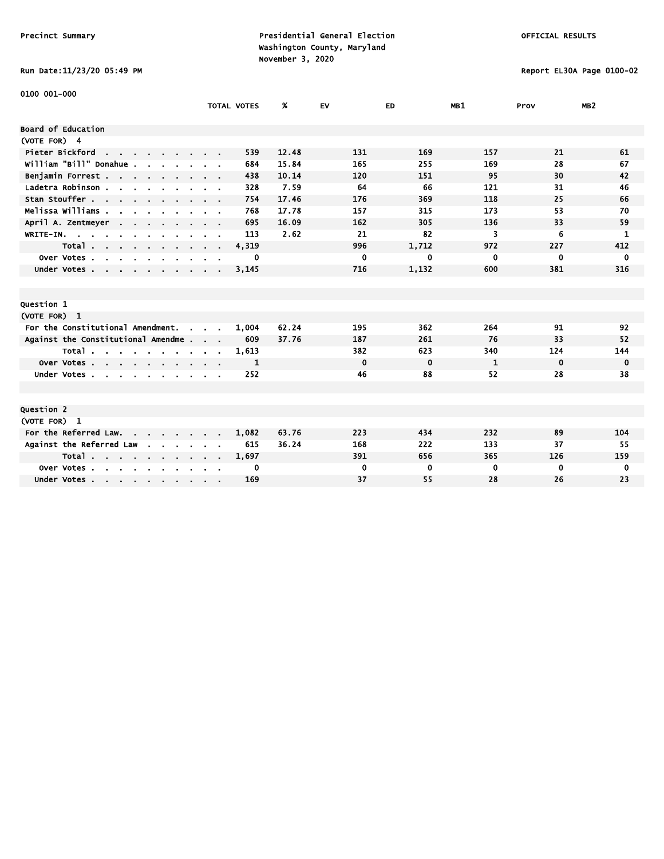# Run Date:11/23/20 05:49 PM Report EL30A Page 0100-02

| 0100 001-000                                                             |                             |                    |       |             |             |              |             |                 |
|--------------------------------------------------------------------------|-----------------------------|--------------------|-------|-------------|-------------|--------------|-------------|-----------------|
|                                                                          |                             | <b>TOTAL VOTES</b> | %     | <b>EV</b>   | ED          | MB1          | Prov        | MB <sub>2</sub> |
| <b>Board of Education</b>                                                |                             |                    |       |             |             |              |             |                 |
| (VOTE FOR) 4                                                             |                             |                    |       |             |             |              |             |                 |
| Pieter Bickford<br>and the state of the state of the                     |                             | 539                | 12.48 | 131         | 169         | 157          | 21          | 61              |
| william "Bill" Donahue .                                                 |                             | 684                | 15.84 | 165         | 255         | 169          | 28          | 67              |
| Benjamin Forrest                                                         |                             | 438                | 10.14 | 120         | 151         | 95           | 30          | 42              |
| Ladetra Robinson.<br>the company of the company of                       | $\sim$ $\sim$               | 328                | 7.59  | 64          | 66          | 121          | 31          | 46              |
| Stan Stouffer                                                            |                             | 754                | 17.46 | 176         | 369         | 118          | 25          | 66              |
| Melissa Williams .<br>$\sim$                                             |                             | 768                | 17.78 | 157         | 315         | 173          | 53          | 70              |
| April A. Zentmeyer<br><b>Contract Contract</b>                           |                             | 695                | 16.09 | 162         | 305         | 136          | 33          | 59              |
| WRITE-IN.                                                                |                             | 113                | 2.62  | 21          | 82          | 3            | 6           | 1               |
| Total                                                                    | $\sim$ $\sim$ $\sim$ $\sim$ | 4,319              |       | 996         | 1,712       | 972          | 227         | 412             |
| Over Votes<br>$\mathbf{r}$<br>$\sim$                                     |                             | 0                  |       | $\mathbf 0$ | 0           | 0            | 0           | $\mathbf{0}$    |
| Under Votes                                                              |                             | 3,145              |       | 716         | 1,132       | 600          | 381         | 316             |
|                                                                          |                             |                    |       |             |             |              |             |                 |
|                                                                          |                             |                    |       |             |             |              |             |                 |
| Question 1                                                               |                             |                    |       |             |             |              |             |                 |
| (VOTE FOR) 1                                                             |                             |                    |       |             |             |              |             |                 |
| For the Constitutional Amendment.<br>$\sim$                              |                             | 1,004              | 62.24 | 195         | 362         | 264          | 91          | 92              |
| Against the Constitutional Amendme                                       |                             | 609                | 37.76 | 187         | 261         | 76           | 33          | 52              |
| Total                                                                    |                             | 1,613              |       | 382         | 623         | 340          | 124         | 144             |
| Over Votes                                                               |                             | 1                  |       | $\mathbf 0$ | $\mathbf 0$ | $\mathbf{1}$ | $\mathbf 0$ | $\mathbf 0$     |
| Under Votes                                                              |                             | 252                |       | 46          | 88          | 52           | 28          | 38              |
|                                                                          |                             |                    |       |             |             |              |             |                 |
|                                                                          |                             |                    |       |             |             |              |             |                 |
| Question 2                                                               |                             |                    |       |             |             |              |             |                 |
| (VOTE FOR) 1                                                             |                             |                    |       |             |             |              |             |                 |
| For the Referred Law.                                                    |                             | 1,082              | 63.76 | 223         | 434         | 232          | 89          | 104             |
| Against the Referred Law                                                 |                             | 615                | 36.24 | 168         | 222         | 133          | 37          | 55              |
| Total                                                                    |                             | 1,697              |       | 391         | 656         | 365          | 126         | 159             |
| Over Votes.<br>$\sim$ $\sim$<br>$\sim$<br>$\mathbf{r}$<br>$\blacksquare$ |                             | 0                  |       | 0           | 0           | $\bf{0}$     | 0           | 0               |
| Under Votes                                                              |                             | 169                |       | 37          | 55          | 28           | 26          | 23              |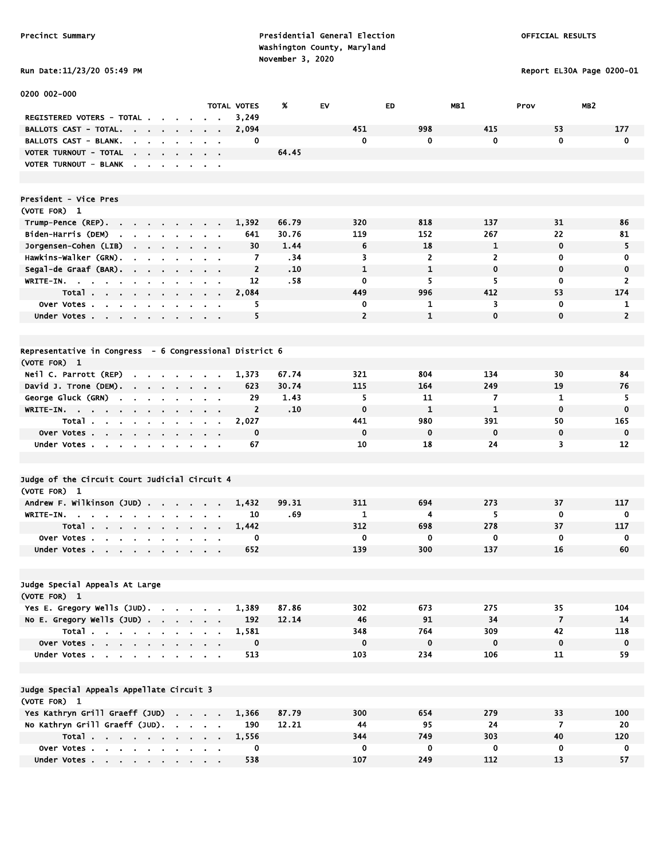Run Date:11/23/20 05:49 PM Report EL30A Page 0200-01

| 0200 002-000                                                                                  |                                                                          |                |       |                |              |                |                |                         |
|-----------------------------------------------------------------------------------------------|--------------------------------------------------------------------------|----------------|-------|----------------|--------------|----------------|----------------|-------------------------|
|                                                                                               |                                                                          | TOTAL VOTES    | X     | EV             | ED           | MB1            | Prov           | MB <sub>2</sub>         |
| REGISTERED VOTERS - TOTAL .<br>$\sim$                                                         |                                                                          | 3,249          |       |                |              |                |                |                         |
| <b>BALLOTS CAST - TOTAL.</b>                                                                  |                                                                          | 2,094          |       | 451            | 998          | 415            | 53             | 177                     |
| <b>BALLOTS CAST - BLANK.</b>                                                                  |                                                                          | 0              |       | $\mathbf 0$    | 0            | 0              | $\mathbf 0$    | $\mathbf 0$             |
| VOTER TURNOUT - TOTAL<br>the contract of the contract of the                                  | $\alpha = 0.01$                                                          |                | 64.45 |                |              |                |                |                         |
| VOTER TURNOUT - BLANK                                                                         |                                                                          |                |       |                |              |                |                |                         |
|                                                                                               |                                                                          |                |       |                |              |                |                |                         |
|                                                                                               |                                                                          |                |       |                |              |                |                |                         |
| President - Vice Pres                                                                         |                                                                          |                |       |                |              |                |                |                         |
| (VOTE FOR) 1                                                                                  |                                                                          |                |       |                |              |                |                |                         |
| Trump-Pence (REP).<br><b>Service</b>                                                          |                                                                          | 1,392          | 66.79 | 320            | 818          | 137            | 31             | 86                      |
| Biden-Harris (DEM)<br>$\mathbf{r}$                                                            |                                                                          | 641            | 30.76 | 119            | 152          | 267            | 22             | 81                      |
| Jorgensen-Cohen (LIB)                                                                         |                                                                          | 30             | 1.44  | 6              | 18           | 1              | $\mathbf 0$    | 5                       |
| Hawkins-Walker (GRN).                                                                         |                                                                          | 7              | .34   | 3              | $\mathbf{2}$ | $\overline{2}$ | 0              | 0                       |
| Segal-de Graaf (BAR).<br>$\mathbf{a}$ , and $\mathbf{a}$ , and $\mathbf{a}$<br>$\bullet$      | $\alpha$ , $\beta$ , $\alpha$                                            | $\overline{2}$ | .10   | $\mathbf{1}$   | $\mathbf{1}$ | $\mathbf 0$    | 0              | $\mathbf 0$             |
| $WRITE-IN.$<br>$\sim$<br>$\sim$                                                               | $\alpha$ , $\beta$ , $\alpha$                                            | 12             | .58   | 0              | 5            | 5              | 0              | $\overline{2}$          |
| Total<br>$\sim$<br>$\blacksquare$                                                             |                                                                          | 2,084          |       | 449            | 996          | 412            | 53             | 174                     |
| Over Votes<br>$\blacksquare$                                                                  |                                                                          | 5              |       | 0              | 1            | 3              | $\mathbf 0$    | 1                       |
| Under Votes<br>$\mathbf{a} = \mathbf{a} + \mathbf{a}$<br>$\mathbf{r}$                         |                                                                          | 5              |       | $\overline{2}$ | $\mathbf{1}$ | $\mathbf 0$    | 0              | $\overline{2}$          |
|                                                                                               |                                                                          |                |       |                |              |                |                |                         |
|                                                                                               |                                                                          |                |       |                |              |                |                |                         |
| Representative in Congress - 6 Congressional District 6                                       |                                                                          |                |       |                |              |                |                |                         |
| (VOTE FOR) 1                                                                                  |                                                                          |                |       |                |              |                |                |                         |
| Neil C. Parrott (REP)<br>$\sim$ $\sim$                                                        |                                                                          | 1,373          | 67.74 | 321            | 804          | 134            | 30             | 84                      |
| David J. Trone (DEM).                                                                         |                                                                          | 623            | 30.74 | 115            | 164          | 249            | 19             | 76                      |
| George Gluck (GRN)<br>$\mathbf{r}$<br>$\sim$<br>$\mathbf{r}$<br>$\sim$ 100 $\pm$<br>$\bullet$ |                                                                          | 29             | 1.43  | 5              | 11           | 7              | 1              | 5                       |
| $W$ RITE-IN.                                                                                  |                                                                          | $\overline{2}$ | .10   | $\mathbf 0$    | $\mathbf{1}$ | 1              | $\mathbf 0$    | $\mathbf 0$             |
| Total<br>$\sim$<br>$\blacksquare$                                                             | $\sim$ 100 $\pm$                                                         | 2,027          |       | 441            | 980          | 391            | 50             | 165                     |
| Over Votes<br>$\mathbf{r} = \mathbf{r}$                                                       |                                                                          | $\mathbf 0$    |       | $\mathbf 0$    | $\mathbf 0$  | $\mathbf 0$    | $\mathbf 0$    | $\mathbf 0$             |
| Under Votes<br>$\sim$                                                                         | $\mathbf{r} = \mathbf{r} + \mathbf{r}$ , where $\mathbf{r} = \mathbf{r}$ | 67             |       | 10             | 18           | 24             | 3              | 12                      |
|                                                                                               |                                                                          |                |       |                |              |                |                |                         |
|                                                                                               |                                                                          |                |       |                |              |                |                |                         |
| Judge of the Circuit Court Judicial Circuit 4                                                 |                                                                          |                |       |                |              |                |                |                         |
| (VOTE FOR) 1                                                                                  |                                                                          |                |       |                |              |                |                |                         |
| Andrew F. Wilkinson (JUD)                                                                     |                                                                          | 1,432          | 99.31 | 311            | 694          | 273            | 37             | 117                     |
| WRITE-IN.<br>and the state of the state of<br>$\sim$ $\sim$<br>$\sim$<br>$\sim$               |                                                                          | 10             | .69   | 1              | 4            | 5              | 0              | 0                       |
| Total.<br>the company of the company of the company                                           |                                                                          | 1,442          |       | 312            | 698          | 278            | 37             | 117                     |
| Over Votes<br>$\bullet$<br>۰.<br>$\bullet$                                                    |                                                                          | 0              |       | $\mathbf 0$    | 0            | 0              | $\mathbf 0$    | 0                       |
| Under Votes                                                                                   |                                                                          | 652            |       | 139            | 300          | 137            | 16             | 60                      |
|                                                                                               |                                                                          |                |       |                |              |                |                |                         |
|                                                                                               |                                                                          |                |       |                |              |                |                |                         |
| Judge Special Appeals At Large                                                                |                                                                          |                |       |                |              |                |                |                         |
| (VOTE FOR) 1                                                                                  |                                                                          |                |       |                |              |                |                |                         |
| Yes E. Gregory Wells (JUD).                                                                   |                                                                          | 1,389          | 87.86 | 302            | 673          | 275            | 35             | 104                     |
| No E. Gregory Wells (JUD)                                                                     |                                                                          | 192            | 12.14 | 46             | 91           | 34             | $\overline{7}$ | 14                      |
| Total                                                                                         |                                                                          | 1,581          |       | 348            | 764          | 309            | 42             | 118                     |
| Over Votes                                                                                    |                                                                          | $\mathbf 0$    |       | $\mathbf 0$    | $\mathbf 0$  | $\mathbf 0$    | $\mathbf 0$    | $\bf{0}$                |
| Under Votes                                                                                   |                                                                          | 513            |       | 103            | 234          | 106            | 11             | 59                      |
|                                                                                               |                                                                          |                |       |                |              |                |                |                         |
|                                                                                               |                                                                          |                |       |                |              |                |                |                         |
| Judge Special Appeals Appellate Circuit 3                                                     |                                                                          |                |       |                |              |                |                |                         |
| (VOTE FOR) 1                                                                                  |                                                                          |                |       |                |              |                |                |                         |
| Yes Kathryn Grill Graeff (JUD)                                                                |                                                                          | 1,366          | 87.79 | 300            | 654          | 279            | 33             | 100                     |
| No Kathryn Grill Graeff (JUD).                                                                |                                                                          | 190            | 12.21 | 44             | 95           | 24             | $\overline{7}$ | 20                      |
| Total                                                                                         |                                                                          | 1,556          |       | 344            | 749          | 303            | 40             | 120                     |
| Over Votes                                                                                    |                                                                          | 0              |       | $\mathbf 0$    | $\mathbf 0$  | $\mathbf 0$    | $\mathbf 0$    | $\overline{\mathbf{0}}$ |
| Under Votes                                                                                   |                                                                          | 538            |       | 107            | 249          | 112            | 13             | 57                      |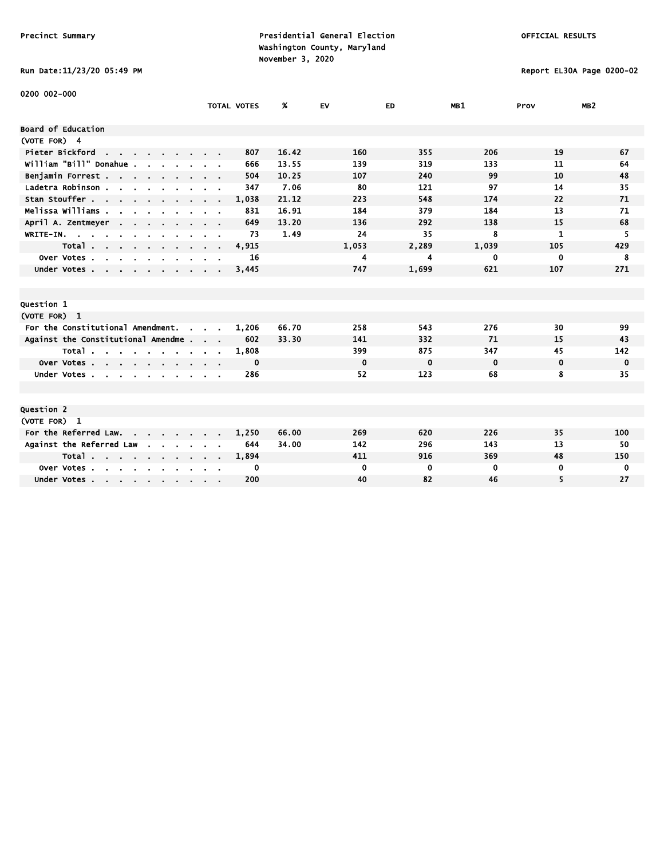# Run Date:11/23/20 05:49 PM Report EL30A Page 0200-02

| 0200 002-000                                                    |                |                    |       |             |             |             |              |                 |
|-----------------------------------------------------------------|----------------|--------------------|-------|-------------|-------------|-------------|--------------|-----------------|
|                                                                 |                | <b>TOTAL VOTES</b> | %     | EV          | ED.         | MB1         | Prov         | MB <sub>2</sub> |
| <b>Board of Education</b>                                       |                |                    |       |             |             |             |              |                 |
| (VOTE FOR) 4                                                    |                |                    |       |             |             |             |              |                 |
| Pieter Bickford<br>the contract of the contract of              |                | 807                | 16.42 | 160         | 355         | 206         | 19           | 67              |
| william "Bill" Donahue .                                        |                | 666                | 13.55 | 139         | 319         | 133         | 11           | 64              |
| Benjamin Forrest                                                |                | 504                | 10.25 | 107         | 240         | 99          | 10           | 48              |
| Ladetra Robinson.<br>and a strain and a strain                  |                | 347                | 7.06  | 80          | 121         | 97          | 14           | 35              |
| Stan Stouffer                                                   |                | 1,038              | 21.12 | 223         | 548         | 174         | 22           | 71              |
| Melissa Williams .                                              |                | 831                | 16.91 | 184         | 379         | 184         | 13           | 71              |
| April A. Zentmeyer<br>$\sim$ $\sim$                             |                | 649                | 13.20 | 136         | 292         | 138         | 15           | 68              |
| WRITE-IN.                                                       |                | 73                 | 1.49  | 24          | 35          | 8           | $\mathbf{1}$ | 5               |
| Total<br>$\sim$                                                 | $\alpha = 0.1$ | 4,915              |       | 1,053       | 2,289       | 1,039       | 105          | 429             |
| Over Votes.<br>$\sim$<br>$\mathbf{r}$                           |                | 16                 |       | 4           | 4           | 0           | 0            | 8               |
| Under Votes                                                     |                | 3,445              |       | 747         | 1,699       | 621         | 107          | 271             |
|                                                                 |                |                    |       |             |             |             |              |                 |
|                                                                 |                |                    |       |             |             |             |              |                 |
| Question 1                                                      |                |                    |       |             |             |             |              |                 |
| (VOTE FOR) 1                                                    |                |                    |       |             |             |             |              |                 |
| For the Constitutional Amendment.<br>$\sim$                     |                | 1,206              | 66.70 | 258         | 543         | 276         | 30           | 99              |
| Against the Constitutional Amendme                              |                | 602                | 33.30 | 141         | 332         | 71          | 15           | 43              |
| Total                                                           |                | 1,808              |       | 399         | 875         | 347         | 45           | 142             |
| Over Votes                                                      |                | 0                  |       | $\mathbf 0$ | $\mathbf 0$ | $\mathbf 0$ | $\mathbf 0$  | $\mathbf 0$     |
| Under Votes                                                     |                | 286                |       | 52          | 123         | 68          | 8            | 35              |
|                                                                 |                |                    |       |             |             |             |              |                 |
|                                                                 |                |                    |       |             |             |             |              |                 |
| Question 2                                                      |                |                    |       |             |             |             |              |                 |
| (VOTE FOR) 1                                                    |                |                    |       |             |             |             |              |                 |
| For the Referred Law.<br>and the state of the state of the      |                | 1,250              | 66.00 | 269         | 620         | 226         | 35           | 100             |
| Against the Referred Law                                        |                | 644                | 34.00 | 142         | 296         | 143         | 13           | 50              |
| Total                                                           |                | 1,894              |       | 411         | 916         | 369         | 48           | 150             |
| Over Votes.<br>$\sim$<br>$\sim$<br>$\mathbf{r}$<br>$\mathbf{r}$ |                | 0                  |       | $\mathbf 0$ | 0           | 0           | 0            | 0               |
| Under Votes                                                     |                | 200                |       | 40          | 82          | 46          | 5            | 27              |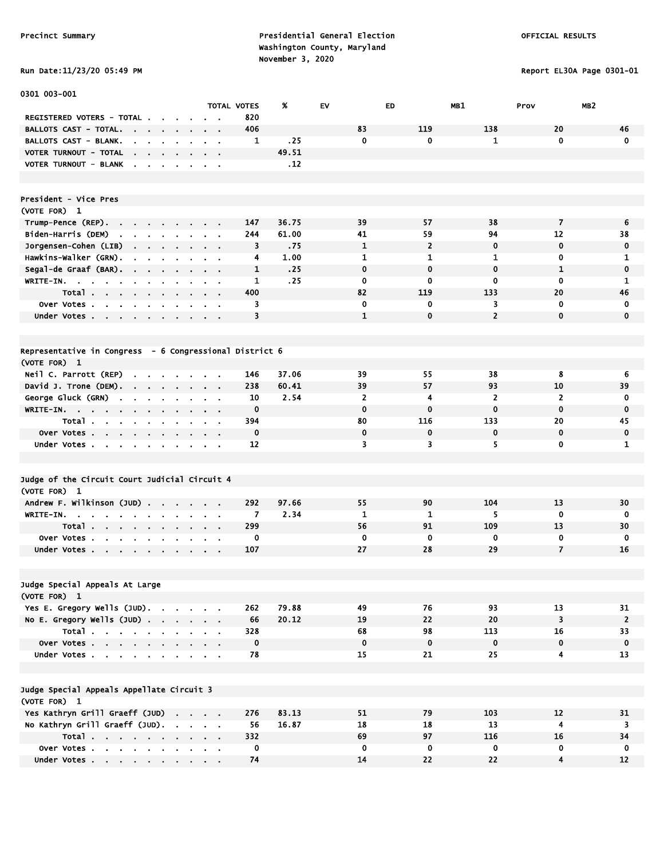Run Date:11/23/20 05:49 PM Report EL30A Page 0301-01

| 0301 003-001                                                                                                             |                                                      |              |               |                      |                |                      |                          |                 |
|--------------------------------------------------------------------------------------------------------------------------|------------------------------------------------------|--------------|---------------|----------------------|----------------|----------------------|--------------------------|-----------------|
| REGISTERED VOTERS - TOTAL .                                                                                              | <b>TOTAL VOTES</b>                                   | 820          | X             | EV                   | ED             | MB1                  | Prov                     | MB <sub>2</sub> |
| <b>BALLOTS CAST - TOTAL.</b><br>$\sim$ 100 $\sim$<br>$\mathbf{r} = \mathbf{r} + \mathbf{r}$ . The $\mathbf{r}$<br>$\sim$ |                                                      | 406          |               | 83                   | 119            | 138                  | 20                       | 46              |
| <b>BALLOTS CAST - BLANK.</b>                                                                                             |                                                      | 1            | .25           | $\mathbf 0$          | 0              | $\mathbf{1}$         | 0                        | $\mathbf 0$     |
| VOTER TURNOUT - TOTAL<br>$\cdot$<br>$\mathbf{r} = \mathbf{r} + \mathbf{r}$ .<br>$\sim$<br>$\sim$                         |                                                      |              | 49.51         |                      |                |                      |                          |                 |
| VOTER TURNOUT - BLANK<br>$\sim$<br>$\sim$<br>$\sim$<br>$\blacksquare$                                                    | $\sim$ $\sim$                                        |              | .12           |                      |                |                      |                          |                 |
|                                                                                                                          |                                                      |              |               |                      |                |                      |                          |                 |
| President - Vice Pres                                                                                                    |                                                      |              |               |                      |                |                      |                          |                 |
| (VOTE FOR) 1                                                                                                             |                                                      |              |               |                      |                |                      |                          |                 |
| Trump-Pence (REP)<br>$\sim 100$                                                                                          | $\sim$ 10 $\pm$                                      | 147          | 36.75         | 39                   | 57             | 38                   | $\overline{\phantom{a}}$ | 6               |
| Biden-Harris (DEM)<br>the company of the company of the                                                                  | $\alpha = 0.1$                                       | 244          | 61.00         | 41                   | 59             | 94                   | 12                       | 38              |
| Jorgensen-Cohen (LIB)<br>$\mathcal{A}=\mathcal{A}=\mathcal{A}=\mathcal{A}$ .<br>$\sim 100$                               |                                                      | 3            | .75           | $\mathbf{1}$         | $\overline{2}$ | $\mathbf 0$          | $\mathbf 0$              | 0               |
| Hawkins-Walker (GRN).<br>$\sim$<br>$\sim$                                                                                |                                                      | 4            | 1.00          | $\mathbf{1}$         | 1              | 1                    | 0                        | 1               |
| Segal-de Graaf (BAR).<br>$\sim$<br>$\sim$<br>$\blacksquare$<br>$\mathbf{r}$<br>$\sim$                                    | $\mathbf{r} = \mathbf{r}$                            | $\mathbf{1}$ | .25           | $\mathbf 0$          | $\mathbf 0$    | $\mathbf 0$          | $\mathbf{1}$             | $\mathbf 0$     |
| WRITE-IN. .<br>$\mathbf{a}$ and $\mathbf{b}$<br>$\blacksquare$<br>$\mathbf{r}$<br>$\bullet$                              | $\alpha = 0.1$                                       | 1            | .25           | $\mathbf 0$          | 0              | 0                    | $\mathbf 0$              | 1               |
| Total<br>$\sim 10^{-11}$                                                                                                 | $\sim$ $\sim$                                        | 400          |               | 82                   | 119            | 133                  | 20                       | 46              |
| Over Votes.<br>$\sim$<br>$\mathbf{r}$<br>$\mathbf{r}$                                                                    |                                                      | 3            |               | $\mathbf 0$          | 0              | 3                    | $\mathbf 0$              | $\mathbf 0$     |
| Under Votes                                                                                                              |                                                      | 3            |               | $\mathbf{1}$         | $\mathbf 0$    | $\overline{2}$       | $\mathbf 0$              | $\mathbf 0$     |
|                                                                                                                          |                                                      |              |               |                      |                |                      |                          |                 |
| Representative in Congress - 6 Congressional District 6                                                                  |                                                      |              |               |                      |                |                      |                          |                 |
| (VOTE FOR) 1                                                                                                             |                                                      |              |               |                      |                |                      |                          |                 |
| Neil C. Parrott (REP)<br>$\sim$<br><b>Contract Contract Contract</b>                                                     |                                                      | 146          | 37.06         | 39                   | 55             | 38                   | 8                        | 6               |
| David J. Trone (DEM).<br>$\sim$<br>$\sim$ $\sim$<br>$\mathbf{r}$<br>$\mathbf{r}$<br>George Gluck (GRN)                   | $\sim$ $\sim$                                        | 238<br>10    | 60.41<br>2.54 | 39<br>$\overline{2}$ | 57<br>4        | 93<br>$\overline{2}$ | 10<br>$\overline{2}$     | 39<br>0         |
| $\sim$<br>$\sim$<br>WRITE-IN.                                                                                            | $\mathbf{r} = \mathbf{r}$                            | $\mathbf 0$  |               | $\mathbf 0$          | $\mathbf 0$    | $\mathbf 0$          | $\mathbf 0$              | $\mathbf 0$     |
| $\sim$<br>$\sim 100$<br>Total.                                                                                           | $\alpha = 0.01$                                      | 394          |               | 80                   | 116            | 133                  | 20                       | 45              |
| Over Votes<br>$\sim$                                                                                                     |                                                      | $\mathbf 0$  |               | $\mathbf 0$          | 0              | 0                    | $\mathbf 0$              | $\bf{0}$        |
| Under Votes<br>$\sim 10^{-1}$<br>$\mathbf{r}$<br>$\mathbf{r}$<br>$\bullet$                                               | $\alpha = 0.1$                                       | 12           |               | 3                    | 3              | 5                    | $\mathbf 0$              | 1               |
|                                                                                                                          |                                                      |              |               |                      |                |                      |                          |                 |
| Judge of the Circuit Court Judicial Circuit 4                                                                            |                                                      |              |               |                      |                |                      |                          |                 |
| (VOTE FOR) 1                                                                                                             |                                                      |              |               |                      |                |                      |                          |                 |
| Andrew F. Wilkinson (JUD)                                                                                                | $\alpha$ , $\alpha$ , $\alpha$ , $\alpha$ , $\alpha$ | 292          | 97.66         | 55                   | 90             | 104                  | 13                       | 30              |
| WRITE-IN.<br>$\blacksquare$                                                                                              | $\sim$ $\sim$                                        | 7            | 2.34          | $\mathbf{1}$         | 1              | 5                    | $\mathbf 0$              | 0               |
| Total<br>$\bullet$                                                                                                       |                                                      | 299          |               | 56                   | 91             | 109                  | 13                       | 30              |
| Over Votes.                                                                                                              |                                                      | 0            |               | $\mathbf 0$          | 0              | $\mathbf 0$          | $\mathbf 0$              | $\mathbf 0$     |
| Under Votes                                                                                                              |                                                      | 107          |               | 27                   | 28             | 29                   | $\overline{7}$           | 16              |
|                                                                                                                          |                                                      |              |               |                      |                |                      |                          |                 |
| Judge Special Appeals At Large                                                                                           |                                                      |              |               |                      |                |                      |                          |                 |
| (VOTE FOR) 1                                                                                                             |                                                      |              |               |                      |                |                      |                          |                 |
| Yes E. Gregory Wells (JUD).                                                                                              |                                                      | 262          | 79.88         | 49                   | 76             | 93                   | 13                       | 31              |
| No E. Gregory Wells $(JUD)$ .                                                                                            |                                                      | 66           | 20.12         | 19                   | 22             | 20                   | 3                        | $\overline{2}$  |
| Total                                                                                                                    |                                                      | 328          |               | 68                   | 98             | 113                  | 16                       | 33              |
| Over Votes                                                                                                               |                                                      | $\mathbf 0$  |               | $\mathbf 0$          | $\pmb{0}$      | $\mathbf 0$          | $\mathbf 0$              | $\mathbf 0$     |
| Under Votes                                                                                                              | $\mathbf{a}$ , and $\mathbf{a}$ , and $\mathbf{a}$   | 78           |               | 15                   | 21             | 25                   | 4                        | 13              |
|                                                                                                                          |                                                      |              |               |                      |                |                      |                          |                 |
| Judge Special Appeals Appellate Circuit 3<br>(VOTE FOR) 1                                                                |                                                      |              |               |                      |                |                      |                          |                 |
| Yes Kathryn Grill Graeff (JUD)                                                                                           |                                                      | 276          | 83.13         | 51                   | 79             | 103                  | 12                       | 31              |
| No Kathryn Grill Graeff (JUD).                                                                                           |                                                      | 56           | 16.87         | 18                   | 18             | 13                   | $\overline{\mathbf{4}}$  | 3               |
| Total                                                                                                                    |                                                      | 332          |               | 69                   | 97             | 116                  | 16                       | 34              |
| Over Votes                                                                                                               |                                                      | 0            |               | 0                    | 0              | 0                    | 0                        | 0               |
| Under Votes                                                                                                              |                                                      | 74           |               | 14                   | 22             | 22                   | 4                        | 12              |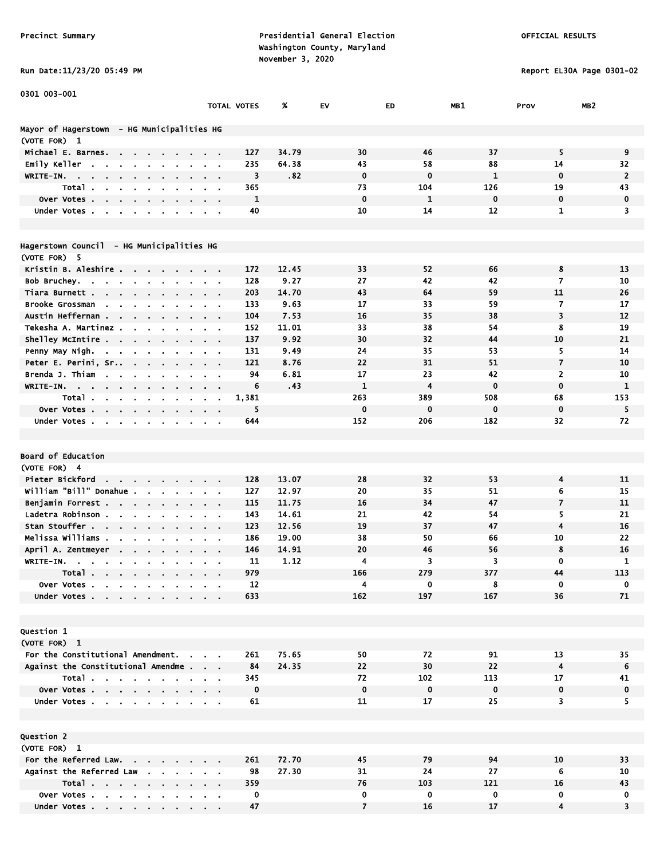Run Date:11/23/20 05:49 PM Report EL30A Page 0301-02

| Run Date:11/23/20 05:49 PM |  |  |
|----------------------------|--|--|
|----------------------------|--|--|

Under Votes . . . . . . . . . .

| 0301 003-001                                                                          |                               |             |               |                |              |              |                         |                         |
|---------------------------------------------------------------------------------------|-------------------------------|-------------|---------------|----------------|--------------|--------------|-------------------------|-------------------------|
|                                                                                       |                               | TOTAL VOTES | %             | EV             | ED           | MB1          | Prov                    | MB <sub>2</sub>         |
| Mayor of Hagerstown  – HG Municipalities HG                                           |                               |             |               |                |              |              |                         |                         |
| (VOTE FOR) 1                                                                          |                               |             |               |                |              |              |                         |                         |
| Michael E. Barnes.<br>$\mathbf{r} = \mathbf{r} + \mathbf{r}$ .                        |                               | 127         | 34.79         | 30             | 46           | 37           | 5                       | 9                       |
| Emily Keller<br>$\sim$                                                                |                               | 235         | 64.38         | 43             | 58           | 88           | 14                      | 32                      |
| WRITE-IN.                                                                             |                               | 3           | .82           | $\mathbf 0$    | $\bf{0}$     | $\mathbf{1}$ | $\mathbf 0$             | $\overline{2}$          |
| Total.                                                                                |                               | 365         |               | 73             | 104          | 126          | 19                      | 43                      |
| Over Votes.<br>$\mathbf{r}$                                                           |                               | 1           |               | $\mathbf 0$    | $\mathbf{1}$ | $\mathbf 0$  | $\mathbf 0$             | 0                       |
| Under Votes.                                                                          |                               | 40          |               | 10             | 14           | 12           | $\mathbf{1}$            | 3                       |
|                                                                                       |                               |             |               |                |              |              |                         |                         |
| Hagerstown Council - HG Municipalities HG                                             |                               |             |               |                |              |              |                         |                         |
| (VOTE FOR) 5                                                                          |                               |             |               |                |              |              |                         |                         |
| Kristin B. Aleshire<br>$\sim$                                                         |                               | 172         | 12.45         | 33<br>27       | 52           | 66           | 8                       | 13                      |
| Bob Bruchey.                                                                          | $\alpha = 0.1$                | 128<br>203  | 9.27<br>14.70 | 43             | 42<br>64     | 42<br>59     | 7<br>11                 | 10<br>26                |
| Tiara Burnett.<br>Brooke Grossman<br>$\sim$                                           |                               | 133         | 9.63          | 17             | 33           | 59           | $\overline{7}$          | 17                      |
| $\mathbf{r}$<br>Austin Heffernan .<br>$\mathbf{r}$ .                                  |                               | 104         | 7.53          | 16             | 35           | 38           | 3                       | 12                      |
| $\sim$<br>$\mathbf{r}$<br>Tekesha A. Martinez.                                        |                               | 152         | 11.01         | 33             | 38           | 54           | 8                       | 19                      |
| Shelley McIntire                                                                      |                               | 137         | 9.92          | 30             | 32           | 44           | 10                      | 21                      |
| Penny May Nigh.<br>$\mathbf{a}$ .<br>$\blacksquare$                                   |                               | 131         | 9.49          | 24             | 35           | 53           | 5                       | 14                      |
| Peter E. Perini, Sr<br>$\sim$<br>$\mathbf{r}$                                         |                               | 121         | 8.76          | 22             | 31           | 51           | $\overline{\mathbf{z}}$ | 10                      |
| Brenda J. Thiam<br>$\mathbf{r}$                                                       |                               | 94          | 6.81          | 17             | 23           | 42           | $\overline{2}$          | 10                      |
| <b>WRITE-IN.</b><br>$\sim$ $\sim$<br>$\blacksquare$                                   | $\cdot$ .                     | 6           | .43           | $\mathbf{1}$   | 4            | $\mathbf 0$  | $\mathbf 0$             | $\mathbf{1}$            |
| Total .<br>$\mathbf{a}$ , $\mathbf{b}$<br>$\sim 10^{-10}$ m $^{-1}$<br>$\blacksquare$ | $\alpha = 0.01$               | 1,381       |               | 263            | 389          | 508          | 68                      | 153                     |
| <b>Over Votes.</b>                                                                    |                               | 5           |               | $\mathbf 0$    | $\mathbf 0$  | $\mathbf 0$  | $\bf{0}$                | 5                       |
| Under Votes                                                                           |                               | 644         |               | 152            | 206          | 182          | 32                      | 72                      |
|                                                                                       |                               |             |               |                |              |              |                         |                         |
|                                                                                       |                               |             |               |                |              |              |                         |                         |
| Board of Education                                                                    |                               |             |               |                |              |              |                         |                         |
| (VOTE FOR) 4                                                                          |                               |             |               |                |              |              |                         |                         |
| Pieter Bickford<br>$\sim$                                                             |                               | 128         | 13.07         | 28             | 32           | 53           | 4                       | 11                      |
| william "Bill" Donahue .<br>$\mathbf{r}$<br>$\blacksquare$                            |                               | 127         | 12.97         | 20             | 35           | 51           | 6                       | 15                      |
| Benjamin Forrest<br>$\mathbf{r}$                                                      | $\alpha$ , $\beta$ , $\alpha$ | 115         | 11.75         | 16             | 34           | 47           | $\overline{7}$          | 11                      |
| Ladetra Robinson.<br>$\sim$<br>$\sim$<br>$\mathbf{r}$                                 | $\alpha = 0.1$                | 143         | 14.61         | 21             | 42           | 54           | 5                       | 21                      |
| Stan Stouffer                                                                         |                               | 123         | 12.56         | 19             | 37           | 47           | $\overline{4}$          | 16                      |
| Melissa Williams .                                                                    |                               | 186         | 19.00         | 38             | 50           | 66           | 10                      | 22                      |
| April A. Zentmeyer                                                                    |                               | 146         | 14.91         | 20             | 46           | 56           | 8                       | 16                      |
| WRITE-IN.                                                                             |                               | 11          | 1.12          | 4              | 3            | 3            | 0                       | $\mathbf{1}$            |
| Total<br>$\bullet$                                                                    |                               | 979         |               | 166            | 279          | 377          | 44                      | 113                     |
| Over Votes                                                                            |                               | 12          |               | 4              | 0            | 8            | 0                       | 0                       |
| Under Votes                                                                           |                               | 633         |               | 162            | 197          | 167          | 36                      | 71                      |
|                                                                                       |                               |             |               |                |              |              |                         |                         |
|                                                                                       |                               |             |               |                |              |              |                         |                         |
| <b>Question 1</b>                                                                     |                               |             |               |                |              |              |                         |                         |
| (VOTE FOR) 1                                                                          |                               |             |               |                |              |              |                         |                         |
| For the Constitutional Amendment.                                                     |                               | 261         | 75.65         | 50             | 72           | 91           | 13                      | 35                      |
| Against the Constitutional Amendme                                                    |                               | 84          | 24.35         | 22             | 30           | 22           | 4                       | 6                       |
| Total                                                                                 |                               | 345         |               | 72             | 102          | 113          | 17                      | 41                      |
| Over Votes                                                                            |                               | $\mathbf 0$ |               | $\mathbf 0$    | $\mathbf 0$  | $\mathbf 0$  | 0                       | $\pmb{0}$               |
| Under Votes                                                                           |                               | 61          |               | 11             | 17           | 25           | $\overline{\mathbf{3}}$ | 5.                      |
|                                                                                       |                               |             |               |                |              |              |                         |                         |
|                                                                                       |                               |             |               |                |              |              |                         |                         |
| Question 2                                                                            |                               |             |               |                |              |              |                         |                         |
| (VOTE FOR) 1                                                                          |                               |             |               |                |              |              |                         |                         |
| For the Referred Law.                                                                 |                               | 261         | 72.70         | 45             | 79           | 94           | 10                      | 33                      |
| Against the Referred Law                                                              |                               | 98          | 27.30         | 31             | 24           | 27           | 6                       | 10                      |
| Total                                                                                 |                               | 359         |               | 76             | 103          | 121          | 16                      | 43                      |
| Over Votes                                                                            |                               | 0           |               | 0              | 0            | 0            | 0                       | 0                       |
| Under Votes                                                                           |                               | 47          |               | $\overline{7}$ | 16           | 17           | 4                       | $\overline{\mathbf{3}}$ |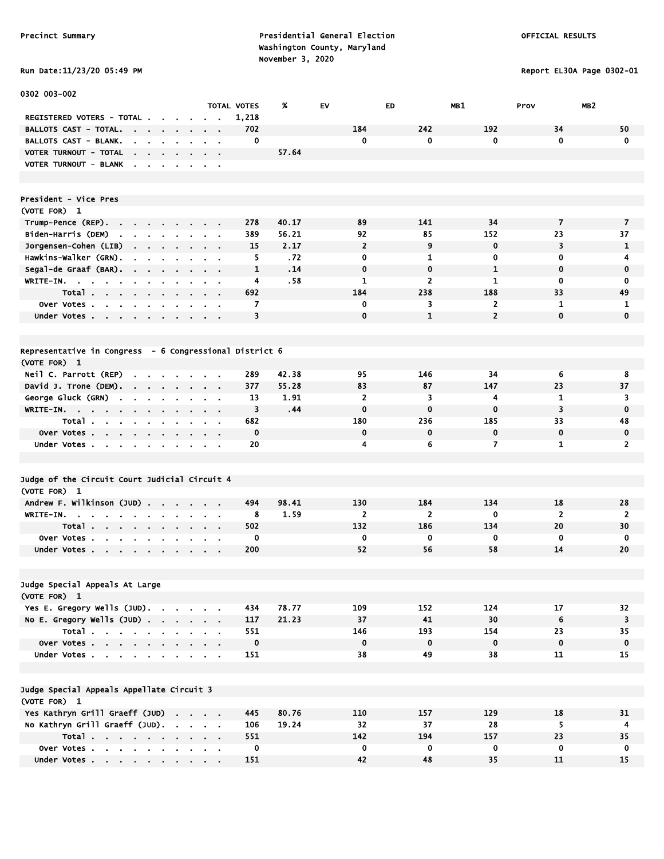Run Date:11/23/20 05:49 PM Report EL30A Page 0302-01

| 0302 003-002                                                                    |                                          |                    |       |                 |                |                 |                |                         |
|---------------------------------------------------------------------------------|------------------------------------------|--------------------|-------|-----------------|----------------|-----------------|----------------|-------------------------|
|                                                                                 |                                          | <b>TOTAL VOTES</b> | ж     | EV              | ED             | MB1             | Prov           | MB <sub>2</sub>         |
| REGISTERED VOTERS - TOTAL.                                                      |                                          | 1,218              |       |                 |                |                 |                |                         |
| BALLOTS CAST - TOTAL.<br><b>Contract</b><br>$\sim$                              |                                          | 702                |       | 184             | 242            | 192             | 34             | 50                      |
| BALLOTS CAST - BLANK.                                                           |                                          | 0                  |       | $\mathbf 0$     | 0              | 0               | $\mathbf 0$    | $\mathbf 0$             |
| VOTER TURNOUT - TOTAL<br>the company of the company                             | $\bullet$                                |                    | 57.64 |                 |                |                 |                |                         |
| VOTER TURNOUT - BLANK                                                           |                                          |                    |       |                 |                |                 |                |                         |
|                                                                                 |                                          |                    |       |                 |                |                 |                |                         |
|                                                                                 |                                          |                    |       |                 |                |                 |                |                         |
| President - Vice Pres                                                           |                                          |                    |       |                 |                |                 |                |                         |
| (VOTE FOR) 1                                                                    |                                          |                    |       |                 |                |                 |                |                         |
| Trump-Pence (REP).                                                              |                                          | 278                | 40.17 | 89              | 141            | 34              | $\overline{7}$ | 7                       |
| Biden-Harris (DEM)<br>$\sim$<br>$\sim$<br>$\sim 10^{-10}$<br>$\mathbf{r}$       |                                          | 389                | 56.21 | 92              | 85             | 152             | 23             | 37                      |
| Jorgensen-Cohen (LIB)<br>$\sim$<br>$\sim$<br>$\sim$<br>$\sim$<br>$\blacksquare$ | $\alpha = 0.1$                           | 15                 | 2.17  | $\overline{2}$  | 9              | $\mathbf 0$     | 3              | $\mathbf{1}$            |
| Hawkins-Walker (GRN).                                                           |                                          | 5                  | .72   | $\mathbf 0$     | 1              | $\mathbf 0$     | 0              | 4                       |
| Segal-de Graaf (BAR).<br>the company of the company                             | $\mathbf{r} = \mathbf{r} + \mathbf{r}$ . | 1                  | .14   | $\mathbf 0$     | 0              | $\mathbf{1}$    | $\mathbf 0$    | 0                       |
| $WRITE-IN.$<br><b>A</b><br>$\mathbf{r}$                                         |                                          | 4                  | .58   | 1               | $\overline{2}$ | 1               | 0              | 0                       |
| Total                                                                           | $\sim$ $\sim$                            | 692                |       | 184             | 238            | 188             | 33             | 49                      |
| Over Votes<br>$\blacksquare$                                                    |                                          | 7                  |       | 0               | 3              | 2               | 1              | 1                       |
| $\sim$<br>Under Votes                                                           | $\sim$ $\sim$                            | 3                  |       | $\mathbf 0$     | $\mathbf{1}$   | $\overline{2}$  | $\mathbf 0$    | $\mathbf 0$             |
| $\sim$                                                                          | $\mathbf{a}=\mathbf{a}$                  |                    |       |                 |                |                 |                |                         |
|                                                                                 |                                          |                    |       |                 |                |                 |                |                         |
| Representative in Congress - 6 Congressional District 6                         |                                          |                    |       |                 |                |                 |                |                         |
|                                                                                 |                                          |                    |       |                 |                |                 |                |                         |
| (VOTE FOR) 1                                                                    |                                          |                    |       |                 |                |                 |                |                         |
| Neil C. Parrott (REP)<br>$\mathbf{r}$ , $\mathbf{r}$ , $\mathbf{r}$             |                                          | 289                | 42.38 | 95              | 146            | 34              | 6              | 8                       |
| David J. Trone (DEM).                                                           |                                          | 377                | 55.28 | 83              | 87             | 147             | 23             | 37                      |
| George Gluck (GRN)<br>$\sim$<br>$\sim$<br>$\sim$<br>$\sim$                      | $\sim$ 100 $\pm$                         | 13                 | 1.91  | $\overline{2}$  | 3              | 4               | 1              | 3                       |
| WRITE-IN.<br>$\sim$ 100 $\sim$ 100 $\sim$                                       |                                          | 3                  | .44   | $\mathbf 0$     | $\bf{0}$       | $\bf{0}$        | 3              | $\mathbf 0$             |
| Total<br>$\sim$                                                                 | $\sim$ 100 $\mu$                         | 682                |       | 180             | 236            | 185             | 33             | 48                      |
| Over Votes                                                                      | $\sim$ 100 $\sim$ 100 $\sim$             | $\mathbf 0$        |       | 0               | 0              | $\mathbf 0$     | $\mathbf 0$    | $\mathbf 0$             |
| Under Votes                                                                     |                                          | 20                 |       | 4               | 6              | 7               | 1              | $\overline{2}$          |
|                                                                                 |                                          |                    |       |                 |                |                 |                |                         |
|                                                                                 |                                          |                    |       |                 |                |                 |                |                         |
| Judge of the Circuit Court Judicial Circuit 4                                   |                                          |                    |       |                 |                |                 |                |                         |
| (VOTE FOR) 1                                                                    |                                          |                    |       |                 |                |                 |                |                         |
| Andrew F. Wilkinson (JUD)                                                       |                                          | 494                | 98.41 | 130             | 184            | 134             | 18             | 28                      |
| WRITE-IN.<br>the contract of the con-<br>$\sim$                                 |                                          | 8                  | 1.59  | $\overline{2}$  | $\overline{2}$ | $\mathbf 0$     | $\overline{2}$ | $\overline{2}$          |
| Total<br>$\sim$ 10 $\pm$                                                        | $\sim$ $\sim$                            | 502                |       | 132             | 186            | 134             | 20             | 30                      |
| Over Votes.<br><b>Contract Contract Contract</b><br>$\sim$<br>$\sim$            |                                          | 0                  |       | $\mathbf 0$     | 0              | 0               | 0              | 0                       |
| Under Votes                                                                     |                                          | 200                |       | 52              | 56             | 58              | 14             | 20                      |
|                                                                                 |                                          |                    |       |                 |                |                 |                |                         |
|                                                                                 |                                          |                    |       |                 |                |                 |                |                         |
| Judge Special Appeals At Large                                                  |                                          |                    |       |                 |                |                 |                |                         |
| (VOTE FOR) 1                                                                    |                                          |                    |       |                 |                |                 |                |                         |
| Yes E. Gregory Wells (JUD).                                                     |                                          | 434                | 78.77 | 109             | 152            | 124             | 17             | 32                      |
| No E. Gregory Wells $(JUD)$ .                                                   |                                          | 117                | 21.23 | 37              | 41             | 30 <sub>o</sub> | 6              | $\overline{\mathbf{3}}$ |
| Total                                                                           |                                          | 551                |       | 146             | 193            | 154             | 23             | 35                      |
| Over Votes                                                                      |                                          | $\mathbf 0$        |       | $\mathbf 0$     | $\mathbf 0$    | $\mathbf 0$     | $\mathbf 0$    | $\mathbf 0$             |
| Under Votes                                                                     |                                          | 151                |       | 38              | 49             | 38              | 11             | 15                      |
|                                                                                 |                                          |                    |       |                 |                |                 |                |                         |
|                                                                                 |                                          |                    |       |                 |                |                 |                |                         |
| Judge Special Appeals Appellate Circuit 3                                       |                                          |                    |       |                 |                |                 |                |                         |
| (VOTE FOR) 1                                                                    |                                          |                    |       |                 |                |                 |                |                         |
| Yes Kathryn Grill Graeff (JUD)                                                  |                                          | 445                | 80.76 | 110             | 157            | 129             | 18             | 31                      |
| No Kathryn Grill Graeff (JUD).                                                  |                                          | 106                | 19.24 | 32 <sub>2</sub> | 37             | 28              | 5              | 4                       |
| Total                                                                           |                                          | 551                |       | 142             | 194            | 157             | 23             | 35                      |
| Over Votes                                                                      |                                          | $\mathbf 0$        |       | $\mathbf{0}$    | $\mathbf 0$    | $\mathbf 0$     | 0              | $\mathbf 0$             |
| Under Votes                                                                     |                                          | 151                |       | 42              | 48             | 35              | 11             | 15                      |
|                                                                                 |                                          |                    |       |                 |                |                 |                |                         |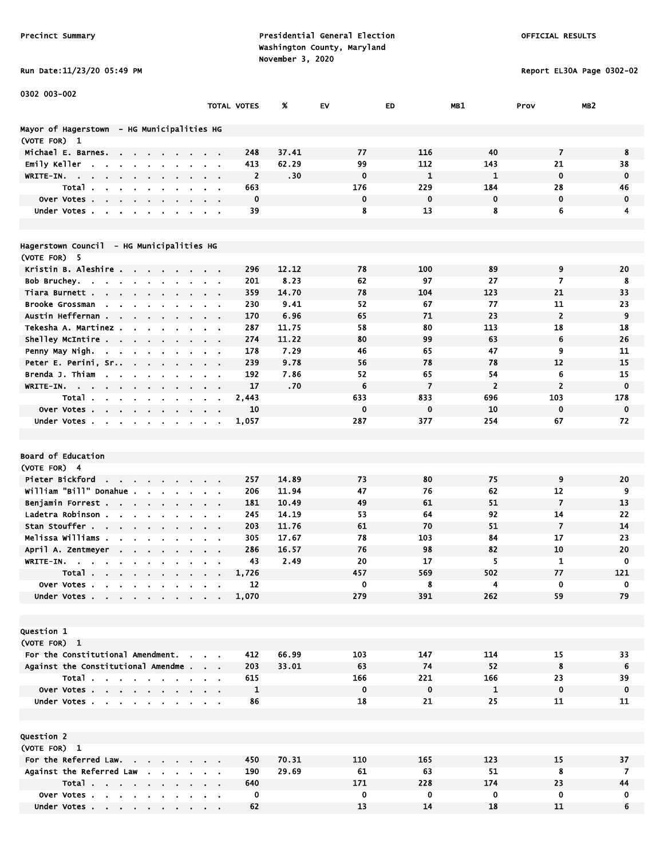Run Date:11/23/20 05:49 PM Report EL30A Page 0302-02

| 0302 003-002                                                                                               |                  |                    |       |             |                |                |                         |                 |
|------------------------------------------------------------------------------------------------------------|------------------|--------------------|-------|-------------|----------------|----------------|-------------------------|-----------------|
|                                                                                                            |                  | <b>TOTAL VOTES</b> | x     | EV          | ED             | MB1            | Prov                    | MB <sub>2</sub> |
|                                                                                                            |                  |                    |       |             |                |                |                         |                 |
| Mayor of Hagerstown  – HG Municipalities HG<br>(VOTE FOR) 1                                                |                  |                    |       |             |                |                |                         |                 |
| Michael E. Barnes.<br>$\mathbf{r} = \mathbf{r} + \mathbf{r}$ .                                             |                  | 248                | 37.41 | 77          | 116            | 40             | $\overline{\mathbf{z}}$ | 8               |
| Emily Keller<br>$\mathbf{r}$                                                                               |                  | 413                | 62.29 | 99          | 112            | 143            | 21                      | 38              |
| WRITE-IN. .                                                                                                |                  | $\overline{2}$     | .30   | $\mathbf 0$ | $\mathbf{1}$   | $\mathbf{1}$   | $\mathbf 0$             | $\mathbf 0$     |
| Total.                                                                                                     |                  | 663                |       | 176         | 229            | 184            | 28                      | 46              |
| Over Votes.<br>$\mathbf{r}$<br>$\blacksquare$<br>$\blacksquare$                                            |                  | $\mathbf 0$        |       | 0           | $\mathbf 0$    | $\mathbf 0$    | $\mathbf 0$             | $\mathbf 0$     |
| Under Votes.<br>$\mathbf{r}$                                                                               |                  | 39                 |       | 8           | 13             | 8              | 6                       | 4               |
|                                                                                                            |                  |                    |       |             |                |                |                         |                 |
|                                                                                                            |                  |                    |       |             |                |                |                         |                 |
| Hagerstown Council - HG Municipalities HG                                                                  |                  |                    |       |             |                |                |                         |                 |
| (VOTE FOR) 5                                                                                               |                  |                    |       |             |                |                |                         |                 |
| Kristin B. Aleshire<br><b>Contract</b><br>$\sim 100$                                                       | $\alpha = 0.1$   | 296                | 12.12 | 78          | 100            | 89             | 9                       | 20              |
| Bob Bruchey.                                                                                               | $\alpha = 0.1$   | 201                | 8.23  | 62          | 97             | 27             | 7                       | 8               |
| Tiara Burnett.<br>$\mathbf{r} = \mathbf{r}$                                                                |                  | 359                | 14.70 | 78          | 104            | 123            | 21                      | 33              |
| Brooke Grossman<br>$\sim$ $\sim$                                                                           |                  | 230                | 9.41  | 52          | 67             | 77             | 11                      | 23              |
| Austin Heffernan .<br>$\sim$<br>$\sim$<br>$\mathbf{r}$                                                     |                  | 170                | 6.96  | 65          | 71             | 23             | $\overline{2}$          | 9               |
| Tekesha A. Martinez .                                                                                      |                  | 287                | 11.75 | 58          | 80             | 113            | 18                      | 18              |
| Shelley McIntire<br>$\bullet$                                                                              | $\sim$ $ \sim$   | 274                | 11.22 | 80          | 99             | 63             | 6                       | 26              |
| Penny May Nigh.<br>$\sim 100$ km s $^{-1}$                                                                 |                  | 178                | 7.29  | 46          | 65             | 47             | 9                       | 11              |
| Peter E. Perini, Sr<br>$\sim$ 10 $\pm$<br>$\mathbf{r}$                                                     |                  | 239                | 9.78  | 56          | 78             | 78             | 12                      | 15              |
| Brenda J. Thiam<br>$\sim$                                                                                  |                  | 192                | 7.86  | 52          | 65             | 54             | 6                       | 15              |
| WRITE-IN.<br>$\bullet$                                                                                     | $\sim$ $\sim$    | 17                 | .70   | 6           | $\overline{7}$ | $\overline{2}$ | $\overline{2}$          | $\mathbf 0$     |
| Total.<br>and a strain and a                                                                               |                  | 2,443              |       | 633         | 833            | 696            | 103                     | 178             |
| <b>Over Votes.</b>                                                                                         |                  | 10                 |       | $\bf{0}$    | 0              | 10             | 0                       | 0               |
| Under Votes                                                                                                |                  | 1,057              |       | 287         | 377            | 254            | 67                      | 72              |
|                                                                                                            |                  |                    |       |             |                |                |                         |                 |
|                                                                                                            |                  |                    |       |             |                |                |                         |                 |
| Board of Education                                                                                         |                  |                    |       |             |                |                |                         |                 |
| (VOTE FOR) 4                                                                                               |                  |                    |       |             |                |                |                         |                 |
| Pieter Bickford<br>$\mathbf{r} = \mathbf{r} + \mathbf{r} + \mathbf{r} + \mathbf{r}$ .<br>$\sim$            |                  | 257                | 14.89 | 73          | 80             | 75             | 9                       | 20              |
| william "Bill" Donahue .<br>$\mathbf{r}$<br>$\bullet$<br>$\blacksquare$                                    |                  | 206                | 11.94 | 47          | 76             | 62             | 12                      | 9               |
| Benjamin Forrest<br>$\mathbf{r}$                                                                           | $\alpha = 0.1$   | 181                | 10.49 | 49          | 61             | 51             | $\overline{7}$          | 13              |
| Ladetra Robinson.<br>$\sim$ $\sim$<br>$\sim$                                                               | $\sim$ 10 $\sim$ | 245                | 14.19 | 53          | 64             | 92             | 14                      | 22              |
| Stan Stouffer                                                                                              |                  | 203                | 11.76 | 61          | 70             | 51             | $\overline{7}$          | 14              |
| Melissa Williams .<br>$\mathbf{r}$                                                                         |                  | 305                | 17.67 | 78          | 103            | 84             | 17                      | 23              |
| April A. Zentmeyer                                                                                         |                  | 286                | 16.57 | 76          | 98             | 82             | 10                      | 20              |
| WRITE-IN.                                                                                                  |                  | 43                 | 2.49  | 20          | 17             | 5              | $\mathbf{1}$            | 0               |
| Total<br>$\sim$                                                                                            |                  | 1,726              |       | 457         | 569            | 502            | 77                      | 121             |
| Over Votes                                                                                                 |                  | 12                 |       | 0           | 8              | 4              | 0                       | 0               |
| Under Votes .<br>$\mathbf{r}$ , $\mathbf{r}$ , $\mathbf{r}$ , $\mathbf{r}$ , $\mathbf{r}$<br>$\sim$ $\sim$ |                  | 1,070              |       | 279         | 391            | 262            | 59                      | 79              |
|                                                                                                            |                  |                    |       |             |                |                |                         |                 |
|                                                                                                            |                  |                    |       |             |                |                |                         |                 |
| <b>Question 1</b>                                                                                          |                  |                    |       |             |                |                |                         |                 |
| (VOTE FOR) 1                                                                                               |                  |                    |       |             |                |                |                         |                 |
| For the Constitutional Amendment.                                                                          |                  | 412                | 66.99 | 103         | 147            | 114            | 15                      | 33              |
| Against the Constitutional Amendme                                                                         |                  | 203                | 33.01 | 63          | 74             | 52             | 8                       | 6               |
| Total                                                                                                      |                  | 615                |       | 166         | 221            | 166            | 23                      | 39              |
| Over Votes                                                                                                 |                  | $\mathbf{1}$       |       | $\mathbf 0$ | $\mathbf 0$    | $\mathbf{1}$   | $\mathbf 0$             | $\mathbf 0$     |
| Under Votes                                                                                                |                  | 86                 |       | 18          | 21             | 25             | 11                      | 11              |
|                                                                                                            |                  |                    |       |             |                |                |                         |                 |
|                                                                                                            |                  |                    |       |             |                |                |                         |                 |
| Question 2                                                                                                 |                  |                    |       |             |                |                |                         |                 |
| (VOTE FOR) 1<br>For the Referred Law.                                                                      |                  | 450                | 70.31 | 110         | 165            | 123            |                         |                 |
| Against the Referred Law                                                                                   |                  | 190                | 29.69 | 61          | 63             | 51             | 15<br>8                 | 37<br>7         |
| Total                                                                                                      |                  | 640                |       | 171         | 228            | 174            | 23                      | 44              |
|                                                                                                            |                  |                    |       |             |                |                |                         |                 |

 Over Votes . . . . . . . . . . 0 0 0 0 0 0 Under Votes . . . . . . . . . . 62 13 14 18 11 6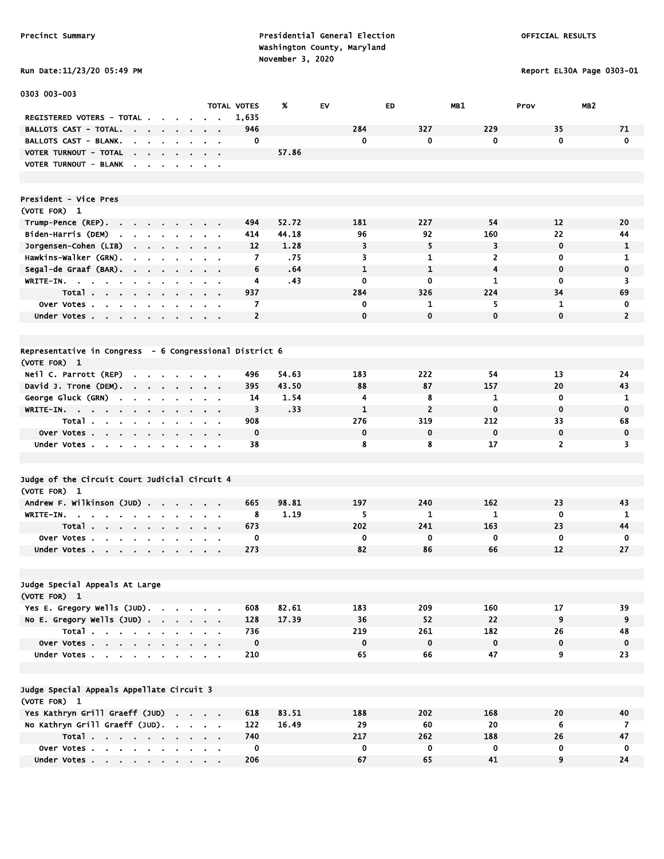# Run Date:11/23/20 05:49 PM Report EL30A Page 0303-01

| 0303 003-003                                                                                                            |                                                             |                                            |                    |       |              |                |                         |                 |                 |
|-------------------------------------------------------------------------------------------------------------------------|-------------------------------------------------------------|--------------------------------------------|--------------------|-------|--------------|----------------|-------------------------|-----------------|-----------------|
|                                                                                                                         |                                                             |                                            | <b>TOTAL VOTES</b> | %     | EV           | ED             | MB1                     | Prov            | MB <sub>2</sub> |
| REGISTERED VOTERS - TOTAL .                                                                                             |                                                             |                                            | 1,635              |       |              |                |                         |                 |                 |
| <b>BALLOTS CAST - TOTAL.</b><br><b>Contract Contract Contract</b><br>$\mathbf{r} = \mathbf{r} + \mathbf{r}$ .<br>$\sim$ |                                                             |                                            | 946                |       | 284          | 327            | 229                     | 35              | 71              |
| BALLOTS CAST - BLANK.<br>$\mathbf{r}$<br><b>Contract Contract</b><br>$\alpha$                                           |                                                             |                                            | 0                  |       | 0            | 0              | 0                       | $\mathbf 0$     | $\mathbf 0$     |
| VOTER TURNOUT - TOTAL<br><b>Contract Contract</b><br>$\sim$                                                             |                                                             | $\sim$                                     |                    | 57.86 |              |                |                         |                 |                 |
| VOTER TURNOUT - BLANK<br>$\sim$<br>$\sim$<br>$\sim$<br>$\mathbf{r}$                                                     | $\blacksquare$                                              | $\sim$ 100 $\pm$                           |                    |       |              |                |                         |                 |                 |
|                                                                                                                         |                                                             |                                            |                    |       |              |                |                         |                 |                 |
|                                                                                                                         |                                                             |                                            |                    |       |              |                |                         |                 |                 |
| President - Vice Pres                                                                                                   |                                                             |                                            |                    |       |              |                |                         |                 |                 |
| (VOTE FOR) 1                                                                                                            |                                                             |                                            |                    |       |              |                |                         |                 |                 |
| Trump-Pence (REP).<br><b>Service</b><br>$\mathbf{a} = \mathbf{a} \cdot \mathbf{a}$                                      |                                                             |                                            | 494                | 52.72 | 181          | 227            | 54                      | 12              | 20              |
| Biden-Harris (DEM)<br>$\sim$<br>$\mathbf{r}$<br>$\mathbf{a} = \mathbf{a} \cdot \mathbf{a}$                              |                                                             |                                            | 414                | 44.18 | 96           | 92             | 160                     | 22              | 44              |
| Jorgensen-Cohen (LIB)<br>the contract of the contract of                                                                |                                                             |                                            | 12                 | 1.28  | 3            | 5              | 3                       | $\mathbf 0$     | 1               |
| Hawkins-Walker (GRN).<br>$\blacksquare$<br>$\sim$<br>$\sim$                                                             |                                                             | $\sim$ $ \sim$                             | 7                  | .75   | 3            | 1              | $\overline{2}$          | 0               | 1               |
| Segal-de Graaf (BAR).<br><b>Contract</b><br>$\sim$                                                                      |                                                             | $\mathbf{r} = \mathbf{r}$                  | 6                  | .64   | $\mathbf{1}$ | $\mathbf{1}$   | $\overline{\mathbf{4}}$ | $\mathbf 0$     | $\mathbf 0$     |
| WRITE-IN.<br>$\mathbf{m}$ .<br>۰.<br>$\bullet$                                                                          | $\mathbf{r}$ .                                              | $\mathbf{u} = \mathbf{u} \cdot \mathbf{u}$ | 4                  | .43   | $\mathbf 0$  | 0              | 1                       | $\mathbf 0$     | 3               |
| Total                                                                                                                   | $\sim$                                                      | $\sim$ $ \sim$                             | 937                |       | 284          | 326            | 224                     | 34              | 69              |
| Over Votes                                                                                                              |                                                             | $\alpha = 0.1$                             | 7                  |       | 0            | 1              | 5                       | 1               | 0               |
| Under Votes                                                                                                             |                                                             |                                            | $\overline{2}$     |       | $\mathbf 0$  | $\mathbf{0}$   | 0                       | $\mathbf 0$     | $\overline{2}$  |
|                                                                                                                         |                                                             |                                            |                    |       |              |                |                         |                 |                 |
|                                                                                                                         |                                                             |                                            |                    |       |              |                |                         |                 |                 |
| Representative in Congress - 6 Congressional District 6                                                                 |                                                             |                                            |                    |       |              |                |                         |                 |                 |
| (VOTE FOR) 1                                                                                                            |                                                             |                                            |                    |       |              |                |                         |                 |                 |
| Neil C. Parrott (REP)<br>$\cdot$<br>$\sim$                                                                              |                                                             |                                            | 496                | 54.63 | 183          | 222            | 54                      | 13              | 24              |
| David J. Trone (DEM).<br>$\sim$<br>$\sim$<br>$\sim$<br>$\mathbf{r}$                                                     |                                                             |                                            | 395                | 43.50 | 88           | 87             | 157                     | 20              | 43              |
| George Gluck (GRN)<br>$\mathbf{r}$<br>$\bullet$<br>$\blacksquare$<br>$\blacksquare$<br>$\bullet$                        | $\sim$                                                      | $\alpha = 0.01$                            | 14                 | 1.54  | 4            | 8              | 1                       | $\mathbf 0$     | 1               |
| WRITE-IN.                                                                                                               | $\mathbf{a}$ , and $\mathbf{a}$ , and $\mathbf{a}$          |                                            | 3                  | .33   | $\mathbf{1}$ | $\overline{2}$ | $\mathbf 0$             | $\mathbf 0$     | $\mathbf 0$     |
| Total                                                                                                                   | $\sim$ 100 $\sim$ 100 $\sim$                                |                                            | 908                |       | 276          | 319            | 212                     | 33              | 68              |
| Over Votes<br>$\sim$ $ \sim$                                                                                            |                                                             |                                            | $\mathbf 0$        |       | $\mathbf 0$  | 0              | $\mathbf 0$             | $\mathbf 0$     | $\mathbf 0$     |
| Under Votes                                                                                                             |                                                             |                                            | 38                 |       | 8            | 8              | 17                      | $\overline{2}$  | 3               |
|                                                                                                                         |                                                             |                                            |                    |       |              |                |                         |                 |                 |
|                                                                                                                         |                                                             |                                            |                    |       |              |                |                         |                 |                 |
| Judge of the Circuit Court Judicial Circuit 4                                                                           |                                                             |                                            |                    |       |              |                |                         |                 |                 |
| (VOTE FOR) 1                                                                                                            |                                                             |                                            |                    |       |              |                |                         |                 |                 |
| Andrew F. Wilkinson (JUD)<br>$\sim$                                                                                     | $\sim$                                                      | $\sim$                                     | 665                | 98.81 | 197          | 240            | 162                     | 23              | 43              |
| WRITE-IN.<br>$\blacksquare$                                                                                             |                                                             | $\sim$ $\sim$                              | 8                  | 1.19  | 5            | 1              | 1                       | $\mathbf 0$     | 1               |
| Total                                                                                                                   | $\mathbf{r} = \mathbf{r} + \mathbf{r}$ , where $\mathbf{r}$ |                                            | 673                |       | 202          | 241            | 163                     | 23              | 44              |
| <b>Over Votes.</b><br>$\mathbf{u} = \mathbf{u} + \mathbf{u} + \mathbf{u} + \mathbf{u}$ .                                |                                                             |                                            | 0                  |       | 0            | $\mathbf 0$    | 0                       | 0               | $\mathbf 0$     |
| Under Votes                                                                                                             |                                                             |                                            | 273                |       | 82           | 86             | 66                      | 12              | 27              |
|                                                                                                                         |                                                             |                                            |                    |       |              |                |                         |                 |                 |
|                                                                                                                         |                                                             |                                            |                    |       |              |                |                         |                 |                 |
| Judge Special Appeals At Large                                                                                          |                                                             |                                            |                    |       |              |                |                         |                 |                 |
| (VOTE FOR) 1                                                                                                            |                                                             |                                            |                    |       |              |                |                         |                 |                 |
| Yes E. Gregory Wells (JUD).                                                                                             |                                                             |                                            | 608                | 82.61 | 183          | 209            | 160                     | 17              | 39              |
| No E. Gregory Wells (JUD)                                                                                               |                                                             |                                            | 128                | 17.39 | 36           | 52             | 22                      | 9               | 9               |
| Total                                                                                                                   |                                                             |                                            | 736                |       | 219          | 261            | 182                     | 26              | 48              |
| Over Votes                                                                                                              |                                                             |                                            | $\mathbf 0$        |       | $\mathbf 0$  | $\mathbf 0$    | $\mathbf 0$             | $\mathbf 0$     | 0               |
| Under Votes                                                                                                             |                                                             |                                            | 210                |       | 65           | 66             | 47                      | 9               | 23              |
|                                                                                                                         |                                                             |                                            |                    |       |              |                |                         |                 |                 |
|                                                                                                                         |                                                             |                                            |                    |       |              |                |                         |                 |                 |
| Judge Special Appeals Appellate Circuit 3                                                                               |                                                             |                                            |                    |       |              |                |                         |                 |                 |
| (VOTE FOR) 1                                                                                                            |                                                             |                                            |                    |       |              |                |                         |                 |                 |
| Yes Kathryn Grill Graeff (JUD)                                                                                          |                                                             |                                            | 618                | 83.51 | 188          | 202            | 168                     | 20              | 40              |
| No Kathryn Grill Graeff (JUD).                                                                                          |                                                             |                                            | 122                | 16.49 | 29           | 60             | 20                      | $6\phantom{.}6$ | $\overline{7}$  |
| Total                                                                                                                   |                                                             |                                            | 740                |       | 217          | 262            | 188                     | 26              | 47              |
| Over Votes                                                                                                              |                                                             |                                            | 0                  |       | $\mathbf 0$  | $\bf{0}$       | 0                       | 0               | 0               |
| Under Votes                                                                                                             |                                                             |                                            | 206                |       | 67           | 65             | 41                      | 9               | 24              |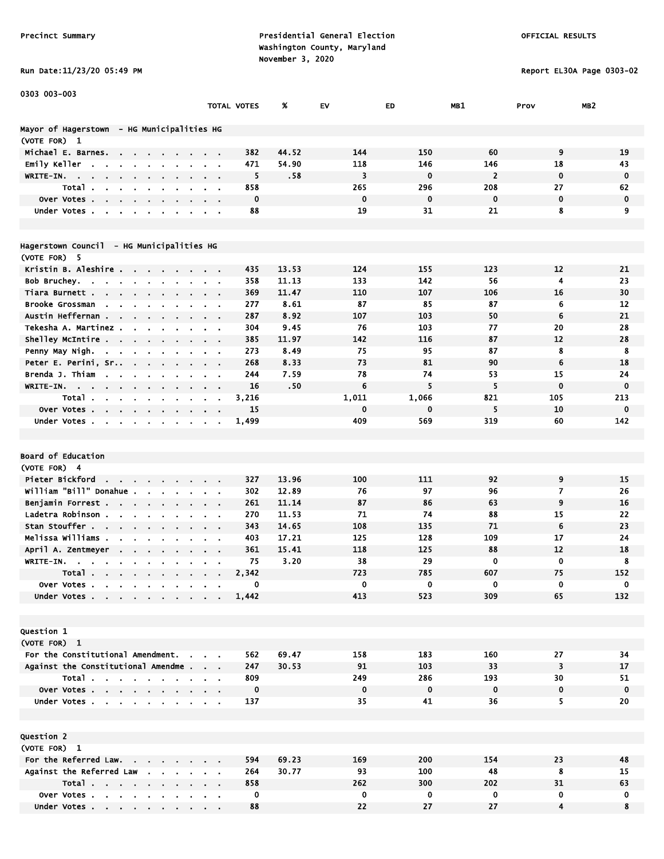### Run Date:11/23/20 05:49 PM Report EL30A Page 0303-02

| . . |  |
|-----|--|
|     |  |
|     |  |
|     |  |

| 0303 003-003                                                                                           |                             |             |                |             |             |                |             |                 |
|--------------------------------------------------------------------------------------------------------|-----------------------------|-------------|----------------|-------------|-------------|----------------|-------------|-----------------|
|                                                                                                        |                             | TOTAL VOTES | %              | EV          | ED          | MB1            | Prov        | MB <sub>2</sub> |
| Mayor of Hagerstown - HG Municipalities HG                                                             |                             |             |                |             |             |                |             |                 |
| (VOTE FOR) 1                                                                                           |                             |             |                |             |             |                |             |                 |
| Michael E. Barnes.<br>the contract of the contract of                                                  |                             | 382         | 44.52          | 144         | 150         | 60             | 9           | 19              |
| Emily Keller<br>$\sim$<br>$\sim$<br>$\blacksquare$                                                     |                             | 471         | 54.90          | 118         | 146         | 146            | 18          | 43              |
| WRITE-IN.<br>$\sim$                                                                                    |                             | 5           | .58            | 3           | $\mathbf 0$ | $\overline{2}$ | $\mathbf 0$ | $\mathbf 0$     |
| Total.<br>$\mathbf{a}^{\prime}$<br>$\mathbf{r}$                                                        |                             | 858         |                | 265         | 296         | 208            | 27          | 62              |
| Over Votes<br>$\sim$                                                                                   |                             | $\mathbf 0$ |                | $\mathbf 0$ | $\mathbf 0$ | $\mathbf 0$    | $\mathbf 0$ | $\mathbf 0$     |
| Under Votes                                                                                            | $\sim$ $\sim$ $\sim$ $\sim$ | 88          |                | 19          | 31          | 21             | 8           | 9               |
|                                                                                                        |                             |             |                |             |             |                |             |                 |
| Hagerstown Council - HG Municipalities HG                                                              |                             |             |                |             |             |                |             |                 |
| (VOTE FOR) 5                                                                                           |                             |             |                |             |             |                |             |                 |
| Kristin B. Aleshire                                                                                    |                             | 435         | 13.53          | 124         | 155         | 123            | 12          | 21              |
| Bob Bruchey.<br>the contract of the contract of                                                        |                             | 358         | 11.13          | 133         | 142         | 56             | 4           | 23              |
| Tiara Burnett .<br>$\sim$ $\sim$ $\sim$                                                                |                             | 369         | 11.47          | 110         | 107         | 106            | 16          | 30              |
| <b>Brooke Grossman</b><br><b>Service</b><br>$\blacksquare$                                             |                             | 277         | 8.61           | 87          | 85          | 87             | 6           | 12              |
| Austin Heffernan<br>$\sim$                                                                             |                             | 287         | 8.92           | 107         | 103         | 50             | 6           | 21              |
| Tekesha A. Martinez<br>$\mathbf{r} = \mathbf{r} \cdot \mathbf{r}$ .                                    |                             | 304         | 9.45           | 76          | 103         | 77             | 20          | 28              |
| Shelley McIntire<br>$\mathbf{r} = \mathbf{r} + \mathbf{r}$ , where $\mathbf{r}$<br>$\sim 100$          |                             | 385         | 11.97          | 142         | 116         | 87             | 12          | 28              |
| Penny May Nigh.                                                                                        |                             | 273         | 8.49           | 75          | 95          | 87             | 8           | 8               |
| Peter E. Perini, Sr<br>$\sim$<br>$\sim$                                                                |                             | 268         | 8.33           | 73          | 81          | 90             | 6           | 18              |
| Brenda J. Thiam<br>$\sim$                                                                              |                             | 244         | 7.59           | 78          | 74          | 53             | 15          | 24              |
| WRITE-IN.<br>$\sim$ 100 $\sim$ 100 $\sim$<br>$\sim$                                                    |                             | 16          | .50            | 6           | 5           | 5              | $\mathbf 0$ | $\mathbf 0$     |
| Total.                                                                                                 |                             | 3,216       |                | 1,011       | 1,066       | 821            | 105         | 213             |
| Over Votes<br>$\mathbf{a} = \mathbf{a} \cdot \mathbf{a}$                                               |                             | 15          |                | 0           | $\mathbf 0$ | 5              | 10          | $\mathbf 0$     |
| Under Votes<br>$\blacksquare$                                                                          |                             | 1,499       |                | 409         | 569         | 319            | 60          | 142             |
|                                                                                                        |                             |             |                |             |             |                |             |                 |
|                                                                                                        |                             |             |                |             |             |                |             |                 |
| Board of Education                                                                                     |                             |             |                |             |             |                |             |                 |
| (VOTE FOR) 4                                                                                           |                             |             |                |             |             |                |             |                 |
| Pieter Bickford<br><b>State State</b>                                                                  |                             | 327         | 13.96          | 100         | 111         | 92             | 9           | 15              |
| william "Bill" Donahue .                                                                               |                             | 302         | 12.89          | 76          | 97          | 96             | 7           | 26              |
| Benjamin Forrest<br>$\mathcal{A}^{\mathcal{A}}$ , and $\mathcal{A}^{\mathcal{A}}$<br>Ladetra Robinson. |                             | 261<br>270  | 11.14<br>11.53 | 87<br>71    | 86<br>74    | 63<br>88       | 9<br>15     | 16<br>22        |
| $\blacksquare$<br>Stan Stouffer                                                                        |                             | 343         |                | 108         | 135         | 71             | 6           | 23              |
| $\sim$<br>Melissa Williams .                                                                           |                             | 403         | 14.65<br>17.21 | 125         | 128         | 109            | 17          | 24              |
| April A. Zentmeyer                                                                                     |                             | 361         | 15.41          | 118         | 125         | 88             | 12          | 18              |
| <b>Contract Contract</b><br>WRITE-IN.                                                                  |                             | 75          | 3.20           | 38          | 29          | $\mathbf 0$    | 0           | 8               |
| the company of the company<br>Total.<br>.                                                              |                             | 2,342       |                | 723         | 785         | 607            | 75          | 152             |
| Over Votes                                                                                             |                             | 0           |                | 0           | 0           | 0              | 0           | 0               |
| Under Votes                                                                                            |                             | 1,442       |                | 413         | 523         | 309            | 65          | 132             |
|                                                                                                        |                             |             |                |             |             |                |             |                 |
|                                                                                                        |                             |             |                |             |             |                |             |                 |
| Question 1                                                                                             |                             |             |                |             |             |                |             |                 |
| (VOTE FOR) 1                                                                                           |                             |             |                |             |             |                |             |                 |
| For the Constitutional Amendment.                                                                      | and the contract of         | 562         | 69.47          | 158         | 183         | 160            | 27          | 34              |
| Against the Constitutional Amendme                                                                     |                             | 247         | 30.53          | 91          | 103         | 33             | 3           | 17              |
| Total                                                                                                  |                             | 809         |                | 249         | 286         | 193            | 30          | 51              |
| Over Votes                                                                                             |                             | $\mathbf 0$ |                | $\mathbf 0$ | $\mathbf 0$ | $\mathbf 0$    | 0           | $\mathbf 0$     |
| Under Votes                                                                                            |                             | 137         |                | 35          | 41          | 36             | 5           | 20              |
|                                                                                                        |                             |             |                |             |             |                |             |                 |
|                                                                                                        |                             |             |                |             |             |                |             |                 |
| Question 2                                                                                             |                             |             |                |             |             |                |             |                 |
| (VOTE FOR) 1                                                                                           |                             |             |                |             |             |                |             |                 |
| For the Referred Law.                                                                                  |                             | 594         | 69.23          | 169         | 200         | 154            | 23          | 48              |
| Against the Referred Law                                                                               |                             | 264         | 30.77          | 93          | 100         | 48             | 8           | 15              |
| Total                                                                                                  |                             | 858         |                | 262         | 300         | 202            | 31          | 63              |
| Over Votes                                                                                             |                             | $\mathbf 0$ |                | $\mathbf 0$ | 0           | 0              | 0           | 0               |
| Under Votes                                                                                            |                             | 88          |                | 22          | 27          | 27             | 4           | 8               |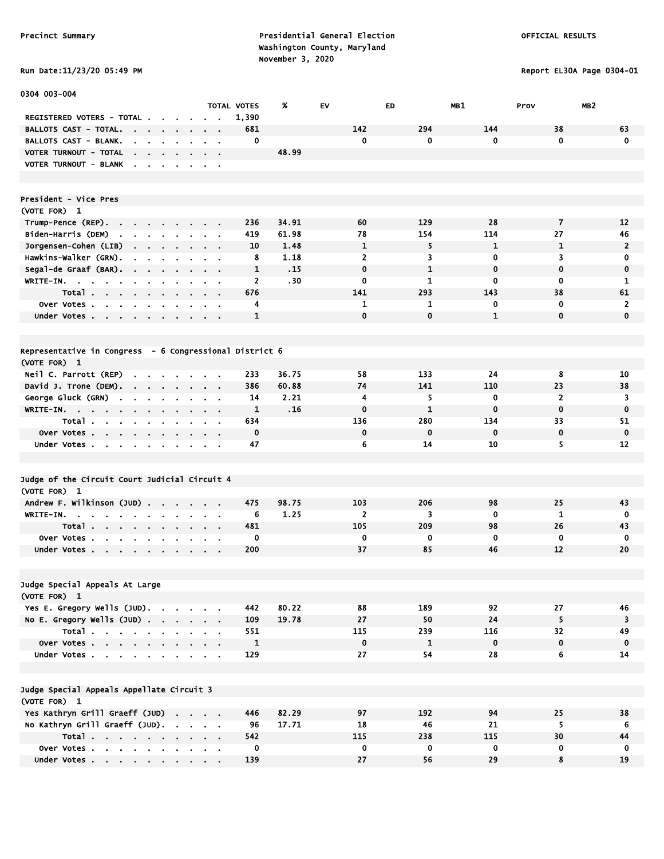Report EL30A Page 0304-01

|  |  |  |  | RUN DATE:11/23/20 05:49 H |  |
|--|--|--|--|---------------------------|--|
|--|--|--|--|---------------------------|--|

| 0304 003-004                                                                                                                                  |                                 |                             |                  |                |              |              |                         |                 |
|-----------------------------------------------------------------------------------------------------------------------------------------------|---------------------------------|-----------------------------|------------------|----------------|--------------|--------------|-------------------------|-----------------|
| REGISTERED VOTERS - TOTAL .                                                                                                                   |                                 | <b>TOTAL VOTES</b><br>1,390 | %                | EV             | ED           | MB1          | MB <sub>2</sub><br>Prov |                 |
| <b>BALLOTS CAST - TOTAL.</b><br>$\sim$ 100 $\mu$                                                                                              |                                 | 681                         |                  | 142            | 294          | 144          | 38                      | 63              |
| <b>Contract Contract</b><br>$\blacksquare$<br>BALLOTS CAST - BLANK.<br>$\mathbf{r}$<br>$\sim$<br>$\mathbf{r}$                                 | $\sim$ $\sim$                   | 0                           |                  | $\mathbf 0$    | 0            | 0            | $\mathbf{0}$            | $\mathbf 0$     |
| VOTER TURNOUT - TOTAL                                                                                                                         |                                 |                             | 48.99            |                |              |              |                         |                 |
| $\sim$<br>$\mathbf{r} = \mathbf{r} + \mathbf{r}$ .<br>$\sim$<br>VOTER TURNOUT - BLANK<br>$\blacksquare$<br>$\sim$<br>$\blacksquare$           |                                 |                             |                  |                |              |              |                         |                 |
|                                                                                                                                               | $\sim$ $\sim$                   |                             |                  |                |              |              |                         |                 |
| President - Vice Pres                                                                                                                         |                                 |                             |                  |                |              |              |                         |                 |
| (VOTE FOR) 1                                                                                                                                  |                                 |                             |                  |                |              |              |                         |                 |
| Trump-Pence (REP).<br>$\sim$                                                                                                                  | $\sim$ $\sim$                   | 236                         | 34.91            | 60             | 129          | 28           | $\overline{\mathbf{z}}$ | 12              |
| Biden-Harris (DEM)<br>the company of the company of                                                                                           | $\mathbf{r} = \mathbf{r}$       | 419                         | 61.98            | 78             | 154          | 114          | 27                      | 46              |
| Jorgensen-Cohen (LIB)<br>the contract of the con-<br>$\sim$                                                                                   |                                 | 10                          | 1.48             | 1              | 5            | 1            | 1                       | $\overline{2}$  |
| Hawkins-Walker (GRN).                                                                                                                         | $\sim$ $\sim$                   | 8                           | 1.18             | $\overline{2}$ | 3            | 0            | 3                       | 0               |
| Segal-de Graaf (BAR).<br>$\sim 10^{-1}$<br>$\sim$<br>$\sim$<br>$\mathbf{r}$<br>$\sim$                                                         | $\mathbf{r} = \mathbf{r}$       | $\mathbf{1}$                | .15              | $\mathbf 0$    | $\mathbf{1}$ | $\mathbf 0$  | $\mathbf 0$             | 0               |
| WRITE-IN.<br>$\mathbf{a} = \mathbf{a} \cdot \mathbf{a}$<br>$\mathbf{r}$<br>$\bullet$<br>$\bullet$                                             |                                 | 2                           | .30 <sub>1</sub> | $\mathbf 0$    | 1            | $\bf{0}$     | $\mathbf 0$             | 1               |
| Total                                                                                                                                         | $\sim$ 100 $\pm$                | 676                         |                  | 141            | 293          | 143          | 38                      | 61              |
| Over Votes                                                                                                                                    |                                 | 4                           |                  | 1              | 1            | 0            | $\mathbf 0$             | $\mathbf{2}$    |
| Under Votes<br>$\sim$                                                                                                                         | $\sim$ $\sim$                   | 1                           |                  | $\mathbf 0$    | $\mathbf{0}$ | $\mathbf{1}$ | $\mathbf{0}$            | $\mathbf{0}$    |
|                                                                                                                                               |                                 |                             |                  |                |              |              |                         |                 |
| Representative in Congress - 6 Congressional District 6                                                                                       |                                 |                             |                  |                |              |              |                         |                 |
| (VOTE FOR) 1<br>Neil C. Parrott (REP)                                                                                                         |                                 | 233                         | 36.75            | 58             | 133          | 24           | 8                       | 10              |
| David J. Trone (DEM).                                                                                                                         |                                 | 386                         | 60.88            | 74             | 141          | 110          | 23                      | 38              |
| $\sim$<br>$\mathbf{r} = \mathbf{r} + \mathbf{r}$<br>$\bullet$<br>$\sim$<br>George Gluck (GRN)<br>$\sim 10^{-11}$<br>$\mathbf{r}$<br>$\bullet$ | $\sim$ $\sim$<br>$\alpha = 0.1$ | 14                          | 2.21             | 4              | 5            | 0            | $\overline{2}$          | 3               |
| WRITE-IN.                                                                                                                                     | $\alpha = 0.01$                 | 1                           | .16              | $\mathbf 0$    | $\mathbf{1}$ | $\mathbf 0$  | $\mathbf 0$             | $\bf{0}$        |
| Total.<br>$\sim$<br>$\sim$<br>$\mathbf{r}$<br>$\mathbf{r} = \mathbf{r}$ .                                                                     |                                 | 634                         |                  | 136            | 280          | 134          | 33                      | 51              |
| Over Votes                                                                                                                                    |                                 | $\mathbf 0$                 |                  | $\mathbf 0$    | $\mathbf 0$  | $\mathbf 0$  | $\mathbf 0$             | $\mathbf 0$     |
| Under Votes<br>$\sim$<br>$\bullet$                                                                                                            | $\alpha = 0.1$                  | 47                          |                  | 6              | 14           | 10           | 5                       | 12              |
|                                                                                                                                               |                                 |                             |                  |                |              |              |                         |                 |
| Judge of the Circuit Court Judicial Circuit 4                                                                                                 |                                 |                             |                  |                |              |              |                         |                 |
| (VOTE FOR) 1                                                                                                                                  |                                 |                             |                  |                |              |              |                         |                 |
| Andrew F. Wilkinson (JUD)<br>$\sim$<br>$\mathbf{r}$                                                                                           | $\mathbf{r} = \mathbf{r}$       | 475                         | 98.75            | 103            | 206          | 98           | 25                      | 43              |
| <b>WRITE-IN.</b><br>$\blacksquare$                                                                                                            | $\sim$ $\sim$                   | 6                           | 1.25             | $\overline{2}$ | 3            | 0            | 1                       | 0               |
| Total<br>$\sim$                                                                                                                               | $\sim$ $\sim$                   | 481                         |                  | 105            | 209          | 98           | 26                      | 43              |
| Over Votes.<br>$\mathbf{r}$<br>$\mathbf{r}$                                                                                                   |                                 | $\mathbf 0$                 |                  | $\mathbf 0$    | 0            | $\mathbf 0$  | $\mathbf 0$             | $\mathbf 0$     |
| Under Votes                                                                                                                                   |                                 | 200                         |                  | 37             | 85           | 46           | 12                      | 20              |
|                                                                                                                                               |                                 |                             |                  |                |              |              |                         |                 |
| Judge Special Appeals At Large                                                                                                                |                                 |                             |                  |                |              |              |                         |                 |
| (VOTE FOR) 1                                                                                                                                  |                                 |                             |                  |                |              |              |                         |                 |
| Yes E. Gregory Wells (JUD).                                                                                                                   |                                 | 442                         | 80.22            | 88             | 189          | 92           | 27                      | 46              |
| No E. Gregory Wells (JUD)                                                                                                                     |                                 | 109                         | 19.78            | 27             | 50           | 24           | 5                       | 3               |
| Total                                                                                                                                         |                                 | 551                         |                  | 115            | 239          | 116          | 32                      | 49              |
| Over Votes                                                                                                                                    |                                 | $\mathbf{1}$                |                  | $\mathbf 0$    | $\mathbf{1}$ | $\bf{0}$     | $\mathbf 0$             | $\mathbf 0$     |
| Under Votes                                                                                                                                   |                                 | 129                         |                  | 27             | 54           | 28           | 6                       | 14              |
| Judge Special Appeals Appellate Circuit 3                                                                                                     |                                 |                             |                  |                |              |              |                         |                 |
| (VOTE FOR) 1                                                                                                                                  |                                 |                             |                  |                |              |              |                         |                 |
| Yes Kathryn Grill Graeff (JUD)                                                                                                                |                                 | 446                         | 82.29            | 97             | 192          | 94           | 25                      | 38              |
| No Kathryn Grill Graeff (JUD).                                                                                                                |                                 | 96                          | 17.71            | 18             | 46           | 21           | 5                       | $6\phantom{.}6$ |
| Total                                                                                                                                         |                                 | 542                         |                  | 115            | 238          | 115<br>0     | 30<br>0                 | 44              |
| Over Votes<br>Under Votes                                                                                                                     |                                 | 0<br>139                    |                  | 0<br>27        | 0<br>56      | 29           | 8                       | 0<br>19         |
|                                                                                                                                               |                                 |                             |                  |                |              |              |                         |                 |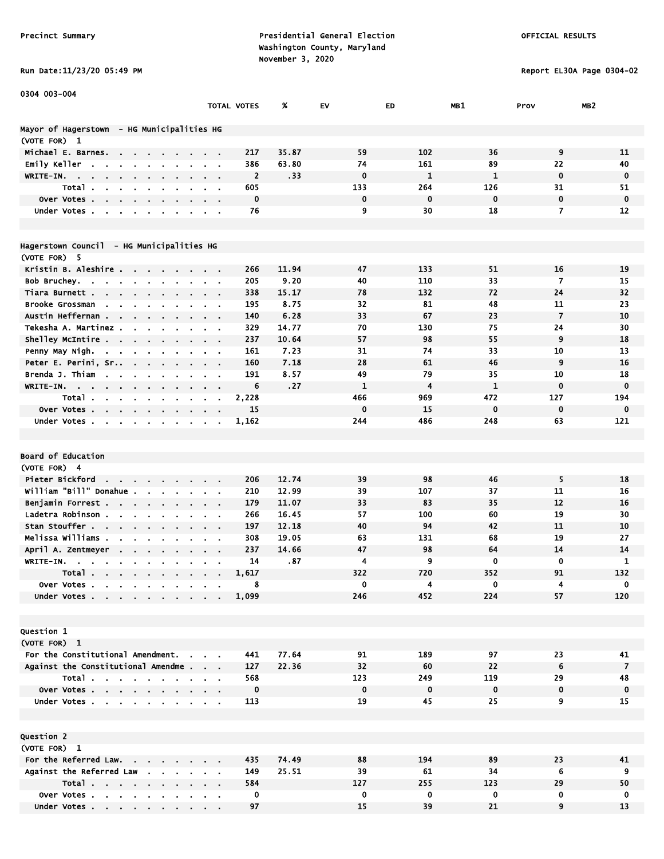#### Run Date:11/23/20 05:49 PM Report EL30A Page 0304-02

0304 003-004

|                                                                                             |                                                    | TOTAL VOTES    | %     | EV           | ED          | MB1          | Prov           | MB <sub>2</sub> |
|---------------------------------------------------------------------------------------------|----------------------------------------------------|----------------|-------|--------------|-------------|--------------|----------------|-----------------|
| Mayor of Hagerstown  – HG Municipalities HG                                                 |                                                    |                |       |              |             |              |                |                 |
| (VOTE FOR) 1                                                                                |                                                    |                |       |              |             |              |                |                 |
| Michael E. Barnes.<br>$\mathbf{r} = \mathbf{r} + \mathbf{r}$<br>$\mathbf{r} = \mathbf{r}$ . |                                                    | 217            | 35.87 | 59           | 102         | 36           | 9              | 11              |
| Emily Keller<br>$\sim$<br>$\blacksquare$                                                    | $\sim$ $\sim$                                      | 386            | 63.80 | 74           | 161         | 89           | 22             | 40              |
| WRITE-IN.                                                                                   |                                                    | $\overline{2}$ | .33   | $\mathbf 0$  | 1           | $\mathbf{1}$ | $\mathbf 0$    | $\mathbf 0$     |
| Total.<br>$\mathbf{u}$ .<br>$\mathbf{r}$<br>$\blacksquare$                                  |                                                    | 605            |       | 133          | 264         | 126          | 31             | 51              |
| Over Votes                                                                                  |                                                    | $\mathbf 0$    |       | $\mathbf 0$  | $\mathbf 0$ | $\mathbf 0$  | $\mathbf 0$    | $\mathbf 0$     |
| Under Votes<br>$\blacksquare$<br>$\blacksquare$<br>$\blacksquare$                           |                                                    | 76             |       | 9            | 30          | 18           | $\overline{7}$ | 12              |
|                                                                                             |                                                    |                |       |              |             |              |                |                 |
| Hagerstown Council  – HG Municipalities HG                                                  |                                                    |                |       |              |             |              |                |                 |
| (VOTE FOR) 5                                                                                |                                                    |                |       |              |             |              |                |                 |
| Kristin B. Aleshire<br>$\sim$                                                               |                                                    | 266            | 11.94 | 47           | 133         | 51           | 16             | 19              |
| Bob Bruchey<br>$\bullet$                                                                    | $\alpha = 0.01$                                    | 205            | 9.20  | 40           | 110         | 33           | 7              | 15              |
| Tiara Burnett<br>$\sim$                                                                     | $\cdots$                                           | 338            | 15.17 | 78           | 132         | 72           | 24             | 32              |
| Brooke Grossman<br>$\sim$<br>$\mathbf{r}$                                                   |                                                    | 195            | 8.75  | 32           | 81          | 48           | 11             | 23              |
| Austin Heffernan<br>$\mathbf{r}$<br>$\overline{\phantom{a}}$                                |                                                    | 140            | 6.28  | 33           | 67          | 23           | $\overline{7}$ | 10              |
| Tekesha A. Martinez.<br>$\mathbf{r}$                                                        |                                                    | 329            | 14.77 | 70           | 130         | 75           | 24             | 30              |
| Shelley McIntire<br>$\sim 100$                                                              | $\sim$ $\sim$ $\sim$ $\sim$                        | 237            | 10.64 | 57           | 98          | 55           | 9              | 18              |
| Penny May Nigh.                                                                             | $\mathbf{a}$ , and $\mathbf{a}$ , and $\mathbf{a}$ | 161            | 7.23  | 31           | 74          | 33           | 10             | 13              |
| Peter E. Perini, Sr<br><b>Contract</b><br>$\sim$ 10 $\pm$                                   |                                                    | 160            | 7.18  | 28           | 61          | 46           | 9              | 16              |
| Brenda J. Thiam<br>$\sim$                                                                   |                                                    | 191            | 8.57  | 49           | 79          | 35           | 10             | 18              |
| $W$ RITE-IN.<br>$\mathbf{r}$<br>$\blacksquare$<br>$\sim$                                    |                                                    | 6              | .27   | $\mathbf{1}$ | 4           | $\mathbf{1}$ | $\mathbf 0$    | $\mathbf 0$     |
| Total<br>$\mathbf{r}$<br>$\blacksquare$                                                     |                                                    | 2,228          |       | 466          | 969         | 472          | 127            | 194             |
| Over Votes                                                                                  |                                                    | 15             |       | $\mathbf 0$  | 15          | $\mathbf 0$  | $\mathbf 0$    | 0               |
| $\sim$<br>$\sim$<br>Under Votes                                                             | $\sim 100$                                         | 1,162          |       | 244          | 486         | 248          | 63             | 121             |
|                                                                                             |                                                    |                |       |              |             |              |                |                 |
|                                                                                             |                                                    |                |       |              |             |              |                |                 |
|                                                                                             |                                                    |                |       |              |             |              |                |                 |
| <b>Board of Education</b>                                                                   |                                                    |                |       |              |             |              |                |                 |
| (VOTE FOR) 4                                                                                |                                                    |                |       |              |             |              |                |                 |
| Pieter Bickford                                                                             |                                                    | 206            | 12.74 | 39           | 98          | 46           | 5              | 18              |
| William "Bill" Donahue<br>$\sim$<br>$\sim$                                                  | $\alpha$ , $\beta$ , $\alpha$                      | 210            | 12.99 | 39           | 107         | 37           | 11             | 16              |
| Benjamin Forrest<br>$\alpha$<br>$\mathbf{r}$                                                | $\mathbf{r} = \mathbf{r}$                          | 179            | 11.07 | 33           | 83          | 35           | 12             | 16              |
| Ladetra Robinson                                                                            | $\sim$ $\sim$                                      | 266            | 16.45 | 57           | 100         | 60           | 19             | 30              |
| Stan Stouffer<br>$\sim 10^{-1}$                                                             |                                                    | 197            | 12.18 | 40           | 94          | 42           | 11             | 10              |
| Melissa Williams .                                                                          |                                                    | 308            | 19.05 | 63           | 131         | 68           | 19             | 27              |
| April A. Zentmeyer<br>$\sim$                                                                |                                                    | 237            | 14.66 | 47           | 98          | 64           | 14             | 14              |
| WRITE-IN.<br>$\mathbf{r}$                                                                   |                                                    | 14             | .87   | 4            | 9           | $\mathbf 0$  | $\mathbf 0$    | 1               |
| Total                                                                                       | $\mathbf{a}$ , and $\mathbf{a}$ , and $\mathbf{a}$ | 1,617          |       | 322          | 720         | 352          | 91             | 132             |
| Over Votes                                                                                  |                                                    | 8              |       | $\mathbf 0$  | 4           | $\mathbf 0$  | 4              | 0               |
| Under Votes                                                                                 |                                                    | 1,099          |       | 246          | 452         | 224          | 57             | 120             |
|                                                                                             |                                                    |                |       |              |             |              |                |                 |
|                                                                                             |                                                    |                |       |              |             |              |                |                 |
| <b>Question 1</b>                                                                           |                                                    |                |       |              |             |              |                |                 |
| (VOTE FOR) 1                                                                                |                                                    |                |       |              |             |              |                |                 |
| For the Constitutional Amendment.                                                           |                                                    | 441            | 77.64 | 91           | 189         | 97           | 23             | 41              |
| Against the Constitutional Amendme                                                          |                                                    | 127            | 22.36 | 32           | 60          | 22           | 6              | $\overline{7}$  |
| Total                                                                                       |                                                    | 568            |       | 123          | 249         | 119          | 29             | 48              |
| Over Votes                                                                                  |                                                    | $\mathbf 0$    |       | $\mathbf 0$  | $\mathbf 0$ | $\mathbf 0$  | $\mathbf 0$    | $\mathbf 0$     |
| Under Votes                                                                                 |                                                    | 113            |       | 19           | 45          | 25           | 9              | 15              |
|                                                                                             |                                                    |                |       |              |             |              |                |                 |
| <b>Question 2</b>                                                                           |                                                    |                |       |              |             |              |                |                 |
| (VOTE FOR) 1                                                                                |                                                    |                |       |              |             |              |                |                 |
| For the Referred Law.                                                                       |                                                    | 435            | 74.49 | 88           | 194         | 89           | 23             | 41              |
| Against the Referred Law                                                                    |                                                    | 149            | 25.51 | 39           | 61          | 34           | 6              | 9               |
| Total                                                                                       |                                                    | 584            |       | 127          | 255         | 123          | 29             | 50              |
| Over Votes                                                                                  |                                                    | $\mathbf 0$    |       | $\mathbf{0}$ | $\mathbf 0$ | $\mathbf 0$  | $\mathbf 0$    | $\mathbf 0$     |
|                                                                                             |                                                    |                |       |              |             |              |                |                 |

Over Votes . . . . . . . . . . 0 0 0 0 0 0

Under Votes . . . . . . . . . 97 15 39 21 9 13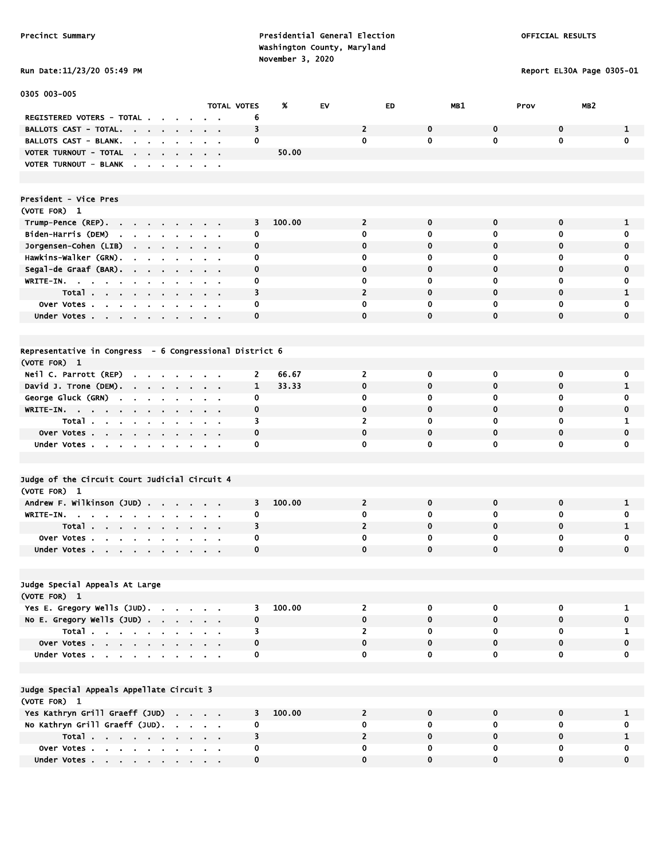#### Run Date:11/23/20 05:49 PM Report EL30A Page 0305-01

| 0305 003-005                                                                                 |                              |                    |        |    |                |              |              |                         |                  |
|----------------------------------------------------------------------------------------------|------------------------------|--------------------|--------|----|----------------|--------------|--------------|-------------------------|------------------|
|                                                                                              |                              | <b>TOTAL VOTES</b> | %      | EV | ED             | MB1          | Prov         | MB <sub>2</sub>         |                  |
| REGISTERED VOTERS - TOTAL.                                                                   |                              | 6                  |        |    |                |              |              |                         |                  |
| <b>BALLOTS CAST - TOTAL.</b><br><b>Contract Contract Contract</b><br>$\sim$ $\sim$           | $\sim$ $\sim$                | 3                  |        |    | $\overline{2}$ | 0            | 0            | $\mathbf 0$             | 1                |
| BALLOTS CAST - BLANK.<br>$\sim$<br><b>Contract Contract Contract</b>                         |                              | 0                  |        |    | $\mathbf 0$    | 0            | 0            | $\mathbf 0$             | $\mathbf 0$      |
| VOTER TURNOUT - TOTAL<br><b>Contract Contract</b>                                            |                              |                    | 50.00  |    |                |              |              |                         |                  |
| <b>VOTER TURNOUT - BLANK</b><br>$\mathbf{r}$                                                 |                              |                    |        |    |                |              |              |                         |                  |
|                                                                                              |                              |                    |        |    |                |              |              |                         |                  |
|                                                                                              |                              |                    |        |    |                |              |              |                         |                  |
| President - Vice Pres                                                                        |                              |                    |        |    |                |              |              |                         |                  |
| (VOTE FOR) 1                                                                                 |                              |                    |        |    |                |              |              |                         |                  |
| Trump-Pence (REP).<br><b>Contract Contract</b><br>$\sim$                                     |                              | 3                  | 100.00 |    | $\overline{2}$ | $\mathbf 0$  | $\mathbf 0$  | 0                       | 1                |
| Biden-Harris (DEM)<br>$\mathbf{r}$<br>$\sim 100$<br>$\mathbf{a}$ , $\mathbf{a}$<br>$\sim 10$ |                              | 0                  |        |    | 0              | $\bf{0}$     | 0            | 0                       | 0                |
| Jorgensen-Cohen (LIB)                                                                        | $\sim$ $\sim$                | 0                  |        |    | 0              | $\mathbf 0$  | $\mathbf 0$  | 0                       | 0                |
| Hawkins-Walker (GRN).<br>$\blacksquare$<br>$\sim$<br>$\sim$ $\sim$                           | $\sim$ $\sim$                | 0                  |        |    | 0              | 0            | 0            | 0                       | 0                |
| Segal-de Graaf (BAR).<br>$\sim$<br>$\sim$                                                    |                              | $\mathbf 0$        |        |    | $\mathbf 0$    | $\mathbf 0$  | $\mathbf 0$  | $\mathbf 0$             | $\mathbf 0$      |
| WRITE-IN.                                                                                    | $\blacksquare$               | 0                  |        |    | 0              | 0            | 0            | 0                       | 0                |
| Total<br>$\sim$                                                                              |                              | 3                  |        |    | $\overline{2}$ | $\mathbf 0$  | $\mathbf 0$  | $\mathbf 0$             | $\mathbf{1}$     |
| Over Votes<br>$\sim$                                                                         |                              | 0                  |        |    | 0              | 0            | 0            | 0                       | 0                |
| Under Votes                                                                                  |                              | 0                  |        |    | $\mathbf 0$    | $\mathbf 0$  | $\mathbf 0$  | $\mathbf 0$             | $\mathbf 0$      |
|                                                                                              |                              |                    |        |    |                |              |              |                         |                  |
|                                                                                              |                              |                    |        |    |                |              |              |                         |                  |
| Representative in Congress - 6 Congressional District 6                                      |                              |                    |        |    |                |              |              |                         |                  |
| (VOTE FOR) 1                                                                                 |                              |                    |        |    |                |              |              |                         |                  |
| Neil C. Parrott (REP)                                                                        |                              | 2                  | 66.67  |    | $\overline{2}$ | 0            | 0            | $\mathbf 0$             | 0                |
| $\sim$<br>David J. Trone (DEM).                                                              |                              | $\mathbf{1}$       | 33.33  |    | $\mathbf 0$    | $\mathbf 0$  | $\mathbf 0$  | 0                       | $\mathbf{1}$     |
| $\sim$ $\sim$<br>$\sim$                                                                      | $\sim$                       | 0                  |        |    | 0              | 0            | 0            | 0                       |                  |
| George Gluck (GRN)<br>$\sim$<br>$\blacksquare$<br>$\bullet$<br>$\blacksquare$                | $\alpha = 0.1$               |                    |        |    | $\mathbf 0$    | $\mathbf{0}$ | $\mathbf{0}$ | $\mathbf 0$             | 0<br>$\mathbf 0$ |
| WRITE-IN.                                                                                    |                              | 0                  |        |    |                |              |              |                         |                  |
| Total<br>$\sim 100$                                                                          | $\sim$ $\sim$                | 3                  |        |    | 2              | 0            | 0            | 0                       | 1                |
| Over Votes<br>$\sim 10^{-11}$                                                                |                              | 0                  |        |    | 0              | 0            | 0            | 0                       | 0                |
| Under Votes                                                                                  |                              | 0                  |        |    | 0              | $\bf{0}$     | $\mathbf 0$  | 0                       | 0                |
|                                                                                              |                              |                    |        |    |                |              |              |                         |                  |
|                                                                                              |                              |                    |        |    |                |              |              |                         |                  |
| Judge of the Circuit Court Judicial Circuit 4                                                |                              |                    |        |    |                |              |              |                         |                  |
| (VOTE FOR) 1                                                                                 |                              |                    |        |    |                |              |              |                         |                  |
| Andrew F. Wilkinson (JUD).                                                                   |                              | 3                  | 100.00 |    | $\overline{2}$ | $\bf{0}$     | $\mathbf 0$  | 0                       | 1                |
| WRITE-IN.<br>$\sim$ $\sim$<br>$\sim$<br>$\sim$<br>$\sim$<br>$\blacksquare$                   | $\sim 100$<br>$\blacksquare$ | 0                  |        |    | $\bf{0}$       | $\mathbf 0$  | 0            | 0                       | 0                |
| Total                                                                                        | $\sim$ 10 $\pm$              | 3                  |        |    | $\overline{2}$ | $\mathbf 0$  | $\mathbf 0$  | $\mathbf 0$             | 1                |
| Over Votes<br>$\mathbf{r}$                                                                   | $\sim$                       | 0                  |        |    | 0              | 0            | 0            | 0                       | 0                |
| Under Votes                                                                                  |                              | 0                  |        |    | 0              | $\bf{0}$     | $\bf{0}$     | $\mathbf 0$             | $\mathbf 0$      |
|                                                                                              |                              |                    |        |    |                |              |              |                         |                  |
|                                                                                              |                              |                    |        |    |                |              |              |                         |                  |
| Judge Special Appeals At Large                                                               |                              |                    |        |    |                |              |              |                         |                  |
| (VOTE FOR) 1                                                                                 |                              |                    |        |    |                |              |              |                         |                  |
| Yes E. Gregory Wells (JUD).                                                                  |                              | 3                  | 100.00 |    | $2^{\circ}$    | $\mathbf 0$  | $\mathbf 0$  | $\overline{\mathbf{0}}$ | $\mathbf{1}$     |
| No E. Gregory Wells (JUD)                                                                    |                              | $\mathbf 0$        |        |    | $\mathbf{0}$   | $\mathbf{0}$ | $\mathbf{0}$ | $\mathbf{0}$            | $\mathbf 0$      |
| Total                                                                                        |                              | 3                  |        |    | $\overline{2}$ | $\mathbf 0$  | 0            | $\mathbf{0}$            | $\mathbf{1}$     |
| Over Votes                                                                                   | $\mathbf{r} = \mathbf{r}$    | 0                  |        |    | $\mathbf 0$    | $\mathbf{0}$ | $\mathbf 0$  | $\mathbf 0$             | 0                |
| Under Votes                                                                                  |                              | 0                  |        |    | $\mathbf 0$    | $\mathbf 0$  | 0            | 0                       | 0                |
|                                                                                              |                              |                    |        |    |                |              |              |                         |                  |
|                                                                                              |                              |                    |        |    |                |              |              |                         |                  |
| Judge Special Appeals Appellate Circuit 3                                                    |                              |                    |        |    |                |              |              |                         |                  |
| (VOTE FOR) 1                                                                                 |                              |                    |        |    |                |              |              |                         |                  |
| Yes Kathryn Grill Graeff (JUD)                                                               |                              | 3                  | 100.00 |    | $\mathbf{2}$   | 0            | 0            | $\mathbf 0$             | 1                |
| No Kathryn Grill Graeff (JUD).                                                               |                              | 0                  |        |    | 0              | 0            | 0            | 0                       | 0                |
| Total                                                                                        |                              | 3                  |        |    | $\mathbf{2}$   | $\mathbf 0$  | $\mathbf 0$  | 0                       | $\mathbf{1}$     |
| Over Votes                                                                                   |                              | 0                  |        |    | $\mathbf 0$    | 0            | $\mathbf 0$  | $\mathbf 0$             | $\overline{0}$   |

Under Votes . . . . . . . . . . 0 0 0 0 0 0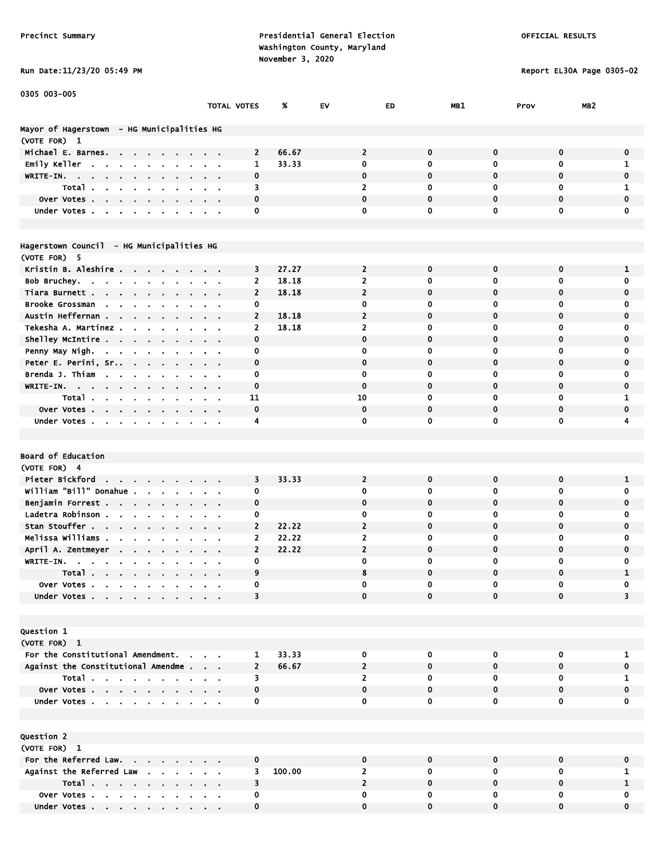#### Run Date:11/23/20 05:49 PM Report EL30A Page 0305-02

Under Votes . . . . . . . . . . 0

| 0305 003-005                                                                                    |                               |                         |        |                         |             |              |                         |                         |
|-------------------------------------------------------------------------------------------------|-------------------------------|-------------------------|--------|-------------------------|-------------|--------------|-------------------------|-------------------------|
|                                                                                                 | TOTAL VOTES                   |                         | %      | EV                      | ED          | MB1          | MB <sub>2</sub><br>Prov |                         |
|                                                                                                 |                               |                         |        |                         |             |              |                         |                         |
| Mayor of Hagerstown - HG Municipalities HG                                                      |                               |                         |        |                         |             |              |                         |                         |
| (VOTE FOR) 1                                                                                    |                               |                         |        |                         |             |              |                         |                         |
| Michael E. Barnes.                                                                              |                               | $\overline{2}$          | 66.67  | $\overline{2}$          | $\bf{0}$    | $\mathbf 0$  | $\mathbf 0$             | 0                       |
| Emily Keller<br>$\sim$<br>$\mathbf{r} = \mathbf{r} + \mathbf{r}$ .<br>$\blacksquare$            |                               | 1                       | 33.33  | 0                       | $\bf{0}$    | $\mathbf 0$  | $\mathbf 0$             | 1                       |
| WRITE-IN.<br>$\sim$<br>$\mathbf{r}$                                                             |                               | 0                       |        | $\mathbf 0$             | $\mathbf 0$ | $\mathbf 0$  | 0                       | 0                       |
| Total .<br>$\mathbf{r}=\mathbf{r}+\mathbf{r}$ .                                                 |                               | 3                       |        | 2                       | 0           | 0            | 0                       | 1                       |
| Over Votes.<br>$\mathbf{u} = \mathbf{u} + \mathbf{u} + \mathbf{u}$ .                            |                               | 0                       |        | 0                       | 0           | $\mathbf 0$  | 0                       | 0                       |
| Under Votes.                                                                                    |                               | 0                       |        | 0                       | $\mathbf 0$ | $\mathbf 0$  | $\mathbf 0$             | 0                       |
|                                                                                                 |                               |                         |        |                         |             |              |                         |                         |
|                                                                                                 |                               |                         |        |                         |             |              |                         |                         |
| Hagerstown Council - HG Municipalities HG                                                       |                               |                         |        |                         |             |              |                         |                         |
| (VOTE FOR) 5                                                                                    |                               |                         |        |                         |             |              |                         |                         |
| Kristin B. Aleshire                                                                             |                               | 3                       | 27.27  | $\overline{2}$          | $\mathbf 0$ | $\mathbf 0$  | 0                       | 1                       |
| Bob Bruchey.<br>$\sim$                                                                          | $\mathbf{r} = \mathbf{r}$     | 2                       | 18.18  | $\overline{2}$          | $\bf{0}$    | 0            | 0                       | 0                       |
| Tiara Burnett<br>$\sim$                                                                         |                               | $\mathbf{2}$            | 18.18  | $\overline{2}$          | $\mathbf 0$ | $\mathbf 0$  | $\mathbf 0$             | $\mathbf 0$             |
| Brooke Grossman<br><b>Contract Contract</b>                                                     |                               | 0                       |        | 0                       | 0           | 0            | 0                       | 0                       |
| Austin Heffernan                                                                                |                               | $\overline{2}$          | 18.18  | $\overline{2}$          | 0           | $\mathbf 0$  | 0                       | 0                       |
| Tekesha A. Martinez .                                                                           |                               | 2                       | 18.18  | $\overline{2}$          | 0           | 0            | 0                       | 0                       |
| Shelley McIntire<br>$\blacksquare$<br>$\mathbf{r} = \mathbf{r}$                                 |                               | $\mathbf 0$             |        | $\mathbf 0$             | $\mathbf 0$ | $\mathbf 0$  | $\mathbf 0$             | $\mathbf 0$             |
| Penny May Nigh.<br>$\mathbf{r} = \mathbf{r} + \mathbf{r}$ .                                     |                               | 0                       |        | $\mathbf 0$             | $\bf{0}$    | $\mathbf 0$  | 0                       | 0                       |
| Peter E. Perini, Sr                                                                             |                               | 0                       |        | $\bf{0}$                | $\mathbf 0$ | $\mathbf 0$  | $\mathbf 0$             | 0                       |
| Brenda J. Thiam<br>$\sim$<br>$\mathbf{r}$                                                       |                               | 0                       |        | 0                       | 0           | 0            | 0                       | 0                       |
| WRITE-IN.<br>$\sim$<br>$\sim$                                                                   |                               | $\mathbf 0$             |        | $\mathbf 0$             | $\mathbf 0$ | $\mathbf 0$  | $\mathbf 0$             | 0                       |
| Total.<br>$\mathbf{a}$ , $\mathbf{a}$<br>$\sim 100$ km s $^{-1}$<br>$\bullet$<br>$\blacksquare$ |                               | 11                      |        | 10                      | $\bf{0}$    | $\mathbf 0$  | 0                       | 1                       |
| Over Votes<br>$\sim 100$                                                                        |                               | $\mathbf 0$             |        | $\mathbf 0$             | $\mathbf 0$ | $\mathbf 0$  | $\mathbf 0$             | 0                       |
| Under Votes                                                                                     |                               | 4                       |        | 0                       | $\mathbf 0$ | $\mathbf 0$  | 0                       | 4                       |
|                                                                                                 |                               |                         |        |                         |             |              |                         |                         |
|                                                                                                 |                               |                         |        |                         |             |              |                         |                         |
| Board of Education                                                                              |                               |                         |        |                         |             |              |                         |                         |
| (VOTE FOR) 4                                                                                    |                               |                         |        |                         |             |              |                         |                         |
| Pieter Bickford<br>the company of the company                                                   |                               | 3                       | 33.33  | $\overline{2}$          | $\mathbf 0$ | $\mathbf 0$  | $\mathbf 0$             | 1                       |
| William "Bill" Donahue .<br>$\mathbf{r}$                                                        |                               | 0                       |        | 0                       | 0           | 0            | 0                       | 0                       |
| Benjamin Forrest<br>$\sim$ $\sim$                                                               |                               | 0                       |        | $\mathbf 0$             | $\mathbf 0$ | $\mathbf 0$  | 0                       | 0                       |
| Ladetra Robinson.<br>$\mathbf{r}$<br>$\blacksquare$                                             |                               | 0                       |        | 0                       | 0           | 0            | 0                       | 0                       |
| Stan Stouffer                                                                                   |                               | $\overline{2}$          | 22.22  | $\overline{2}$          | $\mathbf 0$ | $\mathbf 0$  | 0                       | 0                       |
| Melissa Williams<br>$\mathbf{a} = \mathbf{a} \cdot \mathbf{a}$                                  |                               | $\mathbf{2}$            | 22.22  | $\overline{2}$          | 0           | 0            | 0                       | 0                       |
| April A. Zentmeyer<br>$\sim$ $\sim$                                                             |                               | $\overline{\mathbf{c}}$ | 22.22  | $\overline{\mathbf{c}}$ | 0           | $\mathbf 0$  | 0                       | 0                       |
| WRITE-IN.<br><b>Contract Contract</b><br>$\sim$ 100 $\pm$<br>$\sim$ $\sim$                      |                               | 0                       |        | 0                       | $\mathbf 0$ | 0            | 0                       | 0                       |
| Total                                                                                           |                               | $\mathbf{Q}$            |        | Я                       | $\Omega$    | $\Omega$     | $\Omega$                |                         |
| Over Votes                                                                                      |                               | 0                       |        | 0                       | 0           | 0            | 0                       | 0                       |
| Under Votes                                                                                     |                               | 3                       |        | $\mathbf 0$             | $\bf{0}$    | $\mathbf{0}$ | 0                       | $\overline{\mathbf{3}}$ |
|                                                                                                 |                               |                         |        |                         |             |              |                         |                         |
|                                                                                                 |                               |                         |        |                         |             |              |                         |                         |
| <b>Question 1</b>                                                                               |                               |                         |        |                         |             |              |                         |                         |
| (VOTE FOR) 1                                                                                    |                               |                         |        |                         |             |              |                         |                         |
| For the Constitutional Amendment.                                                               |                               | 1                       | 33.33  | 0                       | 0           | 0            | 0                       | 1                       |
| Against the Constitutional Amendme                                                              |                               | $\overline{2}$          | 66.67  | $\overline{2}$          | $\bf{0}$    | $\mathbf 0$  | $\mathbf{0}$            | 0                       |
| Total                                                                                           |                               | 3                       |        | 2                       | 0           | 0            | 0                       | 1                       |
| Over Votes                                                                                      |                               | 0                       |        | $\mathbf 0$             | $\mathbf 0$ | $\mathbf{0}$ | $\mathbf 0$             | 0                       |
| Under Votes                                                                                     |                               | 0                       |        | 0                       | 0           | 0            | 0                       | 0                       |
|                                                                                                 |                               |                         |        |                         |             |              |                         |                         |
|                                                                                                 |                               |                         |        |                         |             |              |                         |                         |
| <b>Question 2</b>                                                                               |                               |                         |        |                         |             |              |                         |                         |
| (VOTE FOR) 1                                                                                    |                               |                         |        |                         |             |              |                         |                         |
| For the Referred Law.                                                                           |                               | 0                       |        | 0                       | 0           | 0            | 0                       | 0                       |
| Against the Referred Law                                                                        |                               | 3                       | 100.00 | 2                       | 0           | 0            | 0                       | 1                       |
| Total                                                                                           |                               | 3                       |        | $\overline{2}$          | $\mathbf 0$ | $\mathbf 0$  | $\mathbf 0$             | 1                       |
| Over Votes                                                                                      | $\alpha$ , $\beta$ , $\alpha$ | 0                       |        | 0                       | 0           | 0            | 0                       | 0                       |
| Under Votes                                                                                     |                               | 0                       |        | $\bf{0}$                | $\mathbf 0$ | $\mathbf 0$  | $\mathbf 0$             | $\mathbf 0$             |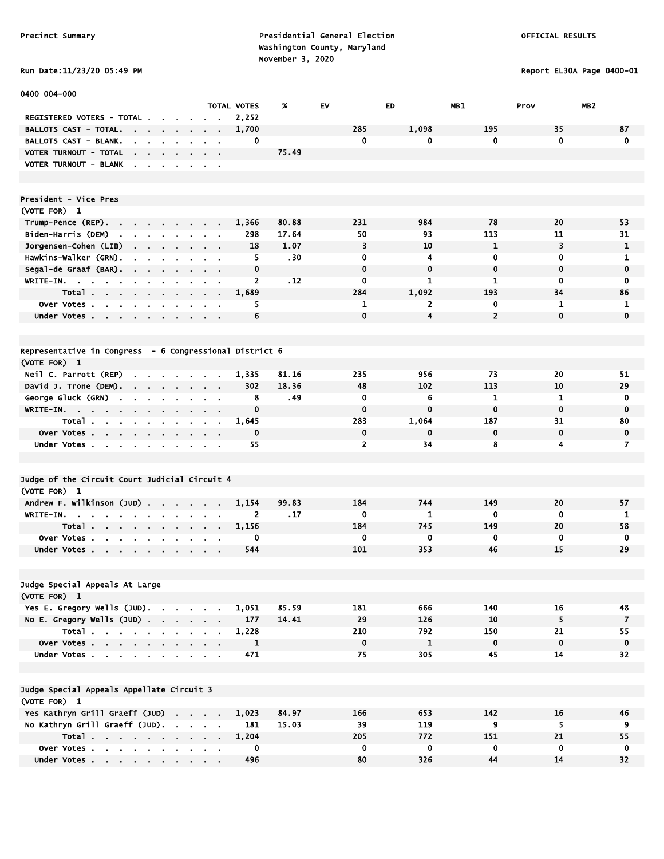Report EL30A Page 0400-01

| Run Date:11/23/20 05:49 PM |  |
|----------------------------|--|

| 0400 004-000                                                                                     |                |                                                    |                      |       |                |                |                |                         |              |
|--------------------------------------------------------------------------------------------------|----------------|----------------------------------------------------|----------------------|-------|----------------|----------------|----------------|-------------------------|--------------|
| REGISTERED VOTERS - TOTAL                                                                        |                |                                                    | TOTAL VOTES<br>2,252 | %     | EV             | ED             | MB1            | MB <sub>2</sub><br>Prov |              |
| <b>BALLOTS CAST - TOTAL.</b><br><b>Contract Contract</b>                                         | $\sim$ $\sim$  | $\sim$ $ \sim$                                     | 1,700                |       | 285            | 1,098          | 195            | 35                      | 87           |
| $\sim$ 100 $\sim$<br>BALLOTS CAST - BLANK.                                                       | $\cdot$        |                                                    | 0                    |       | $\mathbf{0}$   | 0              | 0              | $\mathbf 0$             | $\mathbf 0$  |
| $\mathbf{r}$<br>$\sim$<br>VOTER TURNOUT - TOTAL                                                  |                | $\alpha = 0.1$                                     |                      | 75.49 |                |                |                |                         |              |
| the contract of the contract of<br>VOTER TURNOUT - BLANK                                         |                | $\alpha$ , $\beta$ , $\alpha$                      |                      |       |                |                |                |                         |              |
|                                                                                                  |                |                                                    |                      |       |                |                |                |                         |              |
|                                                                                                  |                |                                                    |                      |       |                |                |                |                         |              |
| President - Vice Pres                                                                            |                |                                                    |                      |       |                |                |                |                         |              |
| (VOTE FOR) 1                                                                                     |                |                                                    |                      |       |                |                |                |                         |              |
| Trump-Pence (REP).<br>the contract of the con-                                                   | $\sim$         |                                                    | 1,366                | 80.88 | 231            | 984            | 78             | 20                      | 53           |
| Biden-Harris (DEM)<br>$\sim$<br>$\mathbf{r}$<br>$\mathbf{r}$<br>$\mathbf{r}$<br>$\mathbf{r}$     |                |                                                    | 298                  | 17.64 | 50             | 93             | 113            | 11                      | 31           |
| Jorgensen-Cohen (LIB)<br>$\sim$<br>$\mathbf{r} = \mathbf{r} + \mathbf{r}$<br>$\sim$              | $\sim$         | $\mathbf{r} = \mathbf{r}$                          | 18                   | 1.07  | 3              | 10             | $\mathbf{1}$   | 3                       | $\mathbf{1}$ |
| Hawkins-Walker (GRN).<br>$\bullet$<br>$\blacksquare$<br>$\blacksquare$<br>$\blacksquare$         |                | $\sim$ $\sim$                                      | 5                    | .30   | $\mathbf 0$    | 4              | 0              | $\mathbf 0$             | 1            |
| Segal-de Graaf (BAR).                                                                            |                | $\sim$ 10 $\sim$                                   | 0                    |       | $\mathbf 0$    | $\mathbf 0$    | 0              | $\mathbf 0$             | $\mathbf 0$  |
| WRITE-IN.                                                                                        |                | $\mathbf{u} = \mathbf{u} \cdot \mathbf{u}$         | 2                    | . 12  | 0              | 1              | 1              | $\mathbf 0$             | 0            |
| Total<br>. .                                                                                     | $\sim$         | $\sim$ $\sim$                                      | 1,689                |       | 284            | 1,092          | 193            | 34                      | 86           |
| Over Votes<br>$\bullet$                                                                          | $\blacksquare$ |                                                    | 5                    |       | 1              | $\mathbf{z}$   | 0              | $\mathbf{1}$            | 1            |
| Under Votes                                                                                      |                |                                                    | 6                    |       | $\Omega$       | $\overline{4}$ | $\overline{2}$ | $\mathbf 0$             | $\mathbf 0$  |
|                                                                                                  |                |                                                    |                      |       |                |                |                |                         |              |
|                                                                                                  |                |                                                    |                      |       |                |                |                |                         |              |
| Representative in Congress - 6 Congressional District 6                                          |                |                                                    |                      |       |                |                |                |                         |              |
| (VOTE FOR) 1                                                                                     |                |                                                    |                      |       |                |                |                |                         |              |
| Neil C. Parrott (REP)<br>and the company of the company                                          |                |                                                    | 1.335                | 81.16 | 235            | 956            | 73             | 20                      | 51           |
| David J. Trone (DEM).                                                                            |                |                                                    | 302                  | 18.36 | 48             | 102            | 113            | 10                      | 29           |
| George Gluck (GRN)<br>$\mathbf{r}$<br>$\mathbf{r}$<br>$\mathbf{r} = \mathbf{r} \cdot \mathbf{r}$ |                |                                                    | 8                    | . 49  | 0              | 6              | 1              | 1                       | 0            |
| WRITE-IN.<br>$\sim$                                                                              |                |                                                    | $\mathbf 0$          |       | $\mathbf 0$    | $\bf{0}$       | 0              | $\mathbf 0$             | $\mathbf 0$  |
| Total<br>$\sim$                                                                                  | $\mathbf{r}$   | $\mathbf{r} = \mathbf{r}$                          | 1,645                |       | 283            | 1,064          | 187            | 31                      | 80           |
| Over Votes<br>$\sim 100$                                                                         | $\sim$         | $\sim$ $\sim$                                      | $\mathbf 0$          |       | $\mathbf 0$    | $\mathbf 0$    | 0              | $\mathbf 0$             | $\mathbf 0$  |
| Under Votes                                                                                      |                | $\mathbf{a}$ , and $\mathbf{a}$ , and $\mathbf{a}$ | 55                   |       | $\overline{2}$ | 34             | 8              | 4                       | 7            |
|                                                                                                  |                |                                                    |                      |       |                |                |                |                         |              |
| Judge of the Circuit Court Judicial Circuit 4                                                    |                |                                                    |                      |       |                |                |                |                         |              |
| (VOTE FOR) 1                                                                                     |                |                                                    |                      |       |                |                |                |                         |              |
| Andrew F. Wilkinson (JUD)                                                                        | $\sim 10$      |                                                    | 1,154                | 99.83 | 184            | 744            | 149            | 20                      | 57           |
| WRITE-IN.<br>$\sim$ $\sim$ $\sim$<br>$\sim$                                                      |                |                                                    | $\overline{2}$       | .17   | 0              | 1              | $\mathbf 0$    | 0                       | 1            |
| Total .<br>the contract of the contract of<br>$\sim$                                             | $\blacksquare$ |                                                    | 1.156                |       | 184            | 745            | 149            | 20                      | 58           |
| Over Votes.<br><b>Service</b><br>$\sim 10^{-1}$<br>$\mathbf{r}$<br>$\mathbf{r}$                  |                |                                                    | 0                    |       | $\mathbf 0$    | 0              | 0              | $\mathbf 0$             | 0            |
| Under Votes                                                                                      |                |                                                    | 544                  |       | 101            | 353            | 46             | 15                      | 29           |
|                                                                                                  |                |                                                    |                      |       |                |                |                |                         |              |
| Judge Special Appeals At Large                                                                   |                |                                                    |                      |       |                |                |                |                         |              |
| (VOTE FOR) 1                                                                                     |                |                                                    |                      |       |                |                |                |                         |              |
| Yes E. Gregory Wells (JUD).                                                                      |                |                                                    | 1,051                | 85.59 | 181            | 666            | 140            | 16                      | 48           |
| No E. Gregory Wells $(JUD)$ .                                                                    |                |                                                    | 177                  | 14.41 | 29             | 126            | 10             | 5                       | 7            |
| Total                                                                                            |                |                                                    | 1,228                |       | 210            | 792            | 150            | 21                      | 55           |
| Over Votes                                                                                       |                |                                                    | $\mathbf{1}$         |       | $\mathbf 0$    | $\mathbf{1}$   | $\mathbf 0$    | $\mathbf 0$             | $\mathbf 0$  |
| Under Votes                                                                                      |                |                                                    | 471                  |       | 75             | 305            | 45             | 14                      | 32           |
|                                                                                                  |                |                                                    |                      |       |                |                |                |                         |              |
|                                                                                                  |                |                                                    |                      |       |                |                |                |                         |              |
| Judge Special Appeals Appellate Circuit 3                                                        |                |                                                    |                      |       |                |                |                |                         |              |
| (VOTE FOR) 1                                                                                     |                |                                                    |                      | 84.97 |                |                |                |                         |              |
| Yes Kathryn Grill Graeff (JUD)                                                                   |                |                                                    | 1,023                |       | 166<br>39      | 653            | 142            | 16<br>5                 | 46           |
| No Kathryn Grill Graeff (JUD).                                                                   |                |                                                    | 181                  | 15.03 | 205            | 119<br>772     | 9<br>151       | 21                      | 9            |
| Total<br>Over Votes                                                                              |                |                                                    | 1,204<br>0           |       | $\mathbf 0$    | 0              | $\mathbf 0$    | $\mathbf 0$             | 55<br>0      |
| Under Votes                                                                                      |                |                                                    | 496                  |       | 80             | 326            | 44             | 14                      | 32           |
|                                                                                                  |                |                                                    |                      |       |                |                |                |                         |              |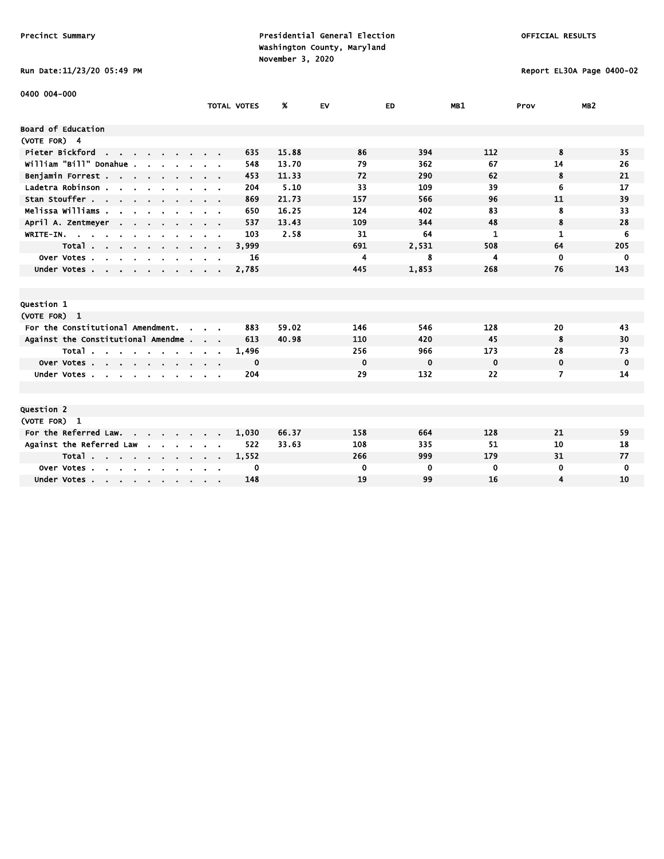# Run Date:11/23/20 05:49 PM Report EL30A Page 0400-02

| 0400 004-000                                                                                                                                                                                                                                           |                                              |                |             |             |             |             |                 |
|--------------------------------------------------------------------------------------------------------------------------------------------------------------------------------------------------------------------------------------------------------|----------------------------------------------|----------------|-------------|-------------|-------------|-------------|-----------------|
|                                                                                                                                                                                                                                                        | <b>TOTAL VOTES</b>                           | %              | EV          | ED          | MB1         | Prov        | MB <sub>2</sub> |
| Board of Education                                                                                                                                                                                                                                     |                                              |                |             |             |             |             |                 |
| (VOTE FOR) 4                                                                                                                                                                                                                                           |                                              |                |             |             |             |             |                 |
| Pieter Bickford<br>the contract of the con-                                                                                                                                                                                                            |                                              | 635<br>15.88   | 86          | 394         | 112         | 8           | 35              |
| william "Bill" Donahue .                                                                                                                                                                                                                               |                                              | 13.70<br>548   | 79          | 362         | 67          | 14          | 26              |
| Benjamin Forrest                                                                                                                                                                                                                                       |                                              | 11.33<br>453   | 72          | 290         | 62          | 8           | 21              |
| Ladetra Robinson.<br>$\mathbf{r}$ . The contract of the contract of the contract of the contract of the contract of the contract of the contract of the contract of the contract of the contract of the contract of the contract of the contract of th |                                              | 5.10<br>204    | 33          | 109         | 39          | 6           | 17              |
| Stan Stouffer                                                                                                                                                                                                                                          |                                              | 21.73<br>869   | 157         | 566         | 96          | 11          | 39              |
| Melissa Williams .                                                                                                                                                                                                                                     |                                              | 16.25<br>650   | 124         | 402         | 83          | 8           | 33              |
| April A. Zentmeyer<br><b>Contract Contract</b>                                                                                                                                                                                                         |                                              | 13.43<br>537   | 109         | 344         | 48          | 8           | 28              |
| WRITE-IN.                                                                                                                                                                                                                                              |                                              | 103<br>2.58    | 31          | 64          | 1           | 1           | 6               |
| Total                                                                                                                                                                                                                                                  | $\mathbf{r} = \mathbf{r} \cdot \mathbf{r}$ . | 3,999          | 691         | 2,531       | 508         | 64          | 205             |
| Over Votes<br>$\mathbf{r}$                                                                                                                                                                                                                             |                                              | 16             | 4           | 8           | 4           | 0           | 0               |
| Under Votes                                                                                                                                                                                                                                            |                                              | 2,785          | 445         | 1,853       | 268         | 76          | 143             |
|                                                                                                                                                                                                                                                        |                                              |                |             |             |             |             |                 |
|                                                                                                                                                                                                                                                        |                                              |                |             |             |             |             |                 |
| Question 1                                                                                                                                                                                                                                             |                                              |                |             |             |             |             |                 |
| (VOTE FOR) 1                                                                                                                                                                                                                                           |                                              |                |             |             |             |             |                 |
| For the Constitutional Amendment.                                                                                                                                                                                                                      |                                              | 59.02<br>883   | 146         | 546         | 128         | 20          | 43              |
| Against the Constitutional Amendme                                                                                                                                                                                                                     |                                              | 40.98<br>613   | 110         | 420         | 45          | 8           | 30              |
| Total                                                                                                                                                                                                                                                  |                                              | 1,496          | 256         | 966         | 173         | 28          | 73              |
| Over Votes                                                                                                                                                                                                                                             |                                              | 0              | $\mathbf 0$ | $\mathbf 0$ | $\mathbf 0$ | $\mathbf 0$ | $\mathbf 0$     |
| Under Votes<br>$\sim$ $\sim$                                                                                                                                                                                                                           |                                              | 204            | 29          | 132         | 22          | 7           | 14              |
|                                                                                                                                                                                                                                                        |                                              |                |             |             |             |             |                 |
|                                                                                                                                                                                                                                                        |                                              |                |             |             |             |             |                 |
| Question 2                                                                                                                                                                                                                                             |                                              |                |             |             |             |             |                 |
| (VOTE FOR) 1                                                                                                                                                                                                                                           |                                              |                |             |             |             |             |                 |
| For the Referred Law. .<br>$\sim$ $\sim$ $\sim$                                                                                                                                                                                                        |                                              | 66.37<br>1,030 | 158         | 664         | 128         | 21          | 59              |
| Against the Referred Law                                                                                                                                                                                                                               |                                              | 33.63<br>522   | 108         | 335         | 51          | 10          | 18              |
| Total<br>$\mathbf{r} = \mathbf{r} \cdot \mathbf{r}$                                                                                                                                                                                                    |                                              | 1,552          | 266         | 999         | 179         | 31          | 77              |
| Over Votes                                                                                                                                                                                                                                             |                                              | $\mathbf 0$    | 0           | 0           | 0           | 0           | 0               |
| Under Votes                                                                                                                                                                                                                                            |                                              | 148            | 19          | 99          | 16          | 4           | 10              |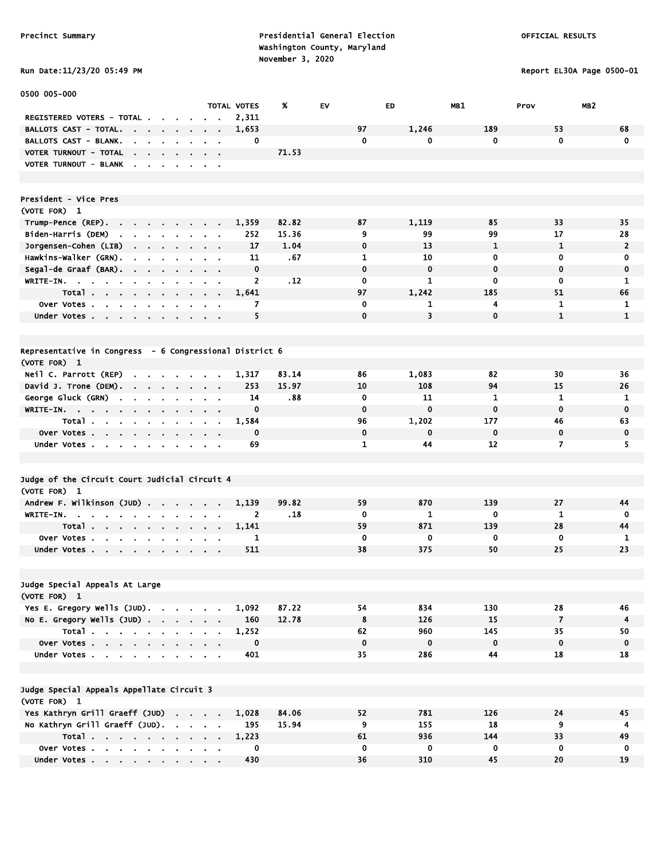# Run Date:11/23/20 05:49 PM Report EL30A Page 0500-01

| 0500 005-000                                                                                         |                             |                |                    |       |             |              |              |                |                 |
|------------------------------------------------------------------------------------------------------|-----------------------------|----------------|--------------------|-------|-------------|--------------|--------------|----------------|-----------------|
|                                                                                                      |                             |                | <b>TOTAL VOTES</b> | X     | <b>EV</b>   | ED           | MB1          | Prov           | MB <sub>2</sub> |
| REGISTERED VOTERS - TOTAL .<br>$\mathbf{r}$<br><b>College</b>                                        |                             |                | 2,311              |       |             |              |              |                |                 |
| <b>BALLOTS CAST - TOTAL.</b><br><b>Contract Contract Contract</b><br>$\sim$                          |                             |                | 1,653              |       | 97          | 1,246        | 189          | 53             | 68              |
| BALLOTS CAST - BLANK.<br><b>All Angeles</b><br>$\bullet$                                             |                             |                | 0                  |       | 0           | 0            | 0            | $\mathbf 0$    | $\mathbf 0$     |
| VOTER TURNOUT - TOTAL<br>$\mathbf{r} = \mathbf{r} + \mathbf{r} + \mathbf{r} + \mathbf{r}$            |                             |                |                    | 71.53 |             |              |              |                |                 |
| VOTER TURNOUT - BLANK                                                                                |                             |                |                    |       |             |              |              |                |                 |
|                                                                                                      |                             |                |                    |       |             |              |              |                |                 |
|                                                                                                      |                             |                |                    |       |             |              |              |                |                 |
| President - Vice Pres                                                                                |                             |                |                    |       |             |              |              |                |                 |
| (VOTE FOR) 1                                                                                         |                             |                |                    |       |             |              |              |                |                 |
| Trump-Pence (REP)                                                                                    |                             |                | 1.359              | 82.82 | 87          | 1,119        | 85           | 33             | 35              |
| Biden-Harris (DEM)<br>the contract of the con-                                                       |                             |                | 252                | 15.36 | 9           | 99           | 99           | 17             | 28              |
| Jorgensen-Cohen (LIB)<br>$\mathbf{r} = \mathbf{r} + \mathbf{r} + \mathbf{r} + \mathbf{r}$ .          | $\sim$ $\sim$ $\sim$ $\sim$ |                | 17                 | 1.04  | $\mathbf 0$ | 13           | $\mathbf{1}$ | $\mathbf{1}$   | $\overline{2}$  |
| Hawkins-Walker (GRN).<br>$\sim$ $\sim$ $\sim$ $\sim$                                                 | $\sim$ $ \sim$              |                | 11                 | .67   | 1           | 10           | $\mathbf 0$  | 0              | 0               |
| Segal-de Graaf (BAR).<br>$\bullet$                                                                   |                             |                | $\mathbf 0$        |       | $\mathbf 0$ | $\mathbf 0$  | $\mathbf 0$  | 0              | 0               |
| WRITE-IN.<br><b>College</b>                                                                          |                             |                | $\overline{2}$     | .12   | 0           | $\mathbf{1}$ | $\mathbf 0$  | 0              | $\mathbf{1}$    |
| Total.<br>$\sim 100$<br>$\sim$<br>$\mathbf{r}$ .<br>$\blacksquare$<br>$\blacksquare$                 |                             |                | 1,641              |       | 97          | 1,242        | 185          | 51             | 66              |
| Over Votes .<br><b>Contract Contract</b><br>$\blacksquare$                                           |                             |                | 7                  |       | $\mathbf 0$ | 1            | 4            | 1              | 1               |
| Under Votes                                                                                          |                             |                | 5                  |       | $\mathbf 0$ | 3            | $\mathbf 0$  | $\mathbf{1}$   | $\mathbf{1}$    |
|                                                                                                      |                             |                |                    |       |             |              |              |                |                 |
|                                                                                                      |                             |                |                    |       |             |              |              |                |                 |
| Representative in Congress - 6 Congressional District 6                                              |                             |                |                    |       |             |              |              |                |                 |
| (VOTE FOR) 1                                                                                         |                             |                |                    |       |             |              |              |                |                 |
| Neil C. Parrott (REP)                                                                                |                             |                | 1,317              | 83.14 | 86          | 1,083        | 82           | 30             | 36              |
| David J. Trone (DEM).                                                                                |                             |                | 253                | 15.97 | 10          | 108          | 94           | 15             | 26              |
| George Gluck (GRN)<br>$\sim 10^{-1}$<br>$\sim$                                                       |                             |                | 14                 | .88   | 0           | 11           | 1            | $\mathbf{1}$   | 1               |
| WRITE-IN.<br>$\sim$<br>$\mathbf{r}$<br>$\mathbf{r}$<br>$\mathbf{r}$                                  |                             |                | $\mathbf 0$        |       | $\mathbf 0$ | $\mathbf 0$  | $\mathbf 0$  | $\mathbf 0$    | $\bf{0}$        |
| Total<br>$\bullet$                                                                                   |                             |                | 1,584              |       | 96          | 1,202        | 177          | 46             | 63              |
| Over Votes                                                                                           |                             |                | $\mathbf 0$        |       | $\mathbf 0$ | 0            | $\mathbf 0$  | 0              | 0               |
| Under Votes<br>$\sim 10^{-1}$                                                                        |                             |                | 69                 |       | 1           | 44           | 12           | $\overline{ }$ | 5               |
|                                                                                                      |                             |                |                    |       |             |              |              |                |                 |
|                                                                                                      |                             |                |                    |       |             |              |              |                |                 |
| Judge of the Circuit Court Judicial Circuit 4                                                        |                             |                |                    |       |             |              |              |                |                 |
| (VOTE FOR) 1                                                                                         |                             |                |                    |       |             |              |              |                |                 |
| Andrew F. Wilkinson (JUD)                                                                            |                             |                | 1,139              | 99.82 | 59          | 870          | 139          | 27             | 44              |
| WRITE-IN.<br>$\sim$ 100 $\sim$                                                                       |                             |                | $\mathbf{2}$       | . 18  | 0           | 1            | 0            | 1              | 0               |
| Total.<br>$\sim 100$<br>$\mathbf{a} = \mathbf{a} + \mathbf{a} + \mathbf{a} + \mathbf{a}$ .<br>$\sim$ | $\mathbf{r}$                | $\blacksquare$ | 1,141              |       | 59          | 871          | 139          | 28             | 44              |
| Over Votes.<br>$\mathbf{r}$ and $\mathbf{r}$                                                         |                             |                | 1                  |       | 0           | 0            | 0            | $\mathbf 0$    | 1               |
| Under Votes                                                                                          |                             |                | 511                |       | 38          | 375          | 50           | 25             | 23              |
|                                                                                                      |                             |                |                    |       |             |              |              |                |                 |
|                                                                                                      |                             |                |                    |       |             |              |              |                |                 |
| Judge Special Appeals At Large                                                                       |                             |                |                    |       |             |              |              |                |                 |
| (VOTE FOR) 1                                                                                         |                             |                |                    |       |             |              |              |                |                 |
| Yes E. Gregory Wells (JUD).                                                                          |                             |                | 1,092              | 87.22 | 54          | 834          | 130          | 28             | 46              |
| No E. Gregory Wells (JUD)                                                                            |                             |                | 160                | 12.78 | 8           | 126          | 15           | $\overline{7}$ | $\overline{4}$  |
| Total                                                                                                |                             |                | 1,252              |       | 62          | 960          | 145          | 35             | 50              |
| Over Votes                                                                                           |                             |                | $\mathbf 0$        |       | $\mathbf 0$ | $\mathbf 0$  | $\bf{0}$     | 0              | $\bf{0}$        |
| Under Votes                                                                                          |                             |                | 401                |       | 35          | 286          | 44           | 18             | 18              |
|                                                                                                      |                             |                |                    |       |             |              |              |                |                 |
|                                                                                                      |                             |                |                    |       |             |              |              |                |                 |
| Judge Special Appeals Appellate Circuit 3                                                            |                             |                |                    |       |             |              |              |                |                 |
| (VOTE FOR) 1                                                                                         |                             |                |                    |       |             |              |              |                |                 |
| Yes Kathryn Grill Graeff (JUD)                                                                       |                             |                | 1,028              | 84.06 | 52          | 781          | 126          | 24             | 45              |
| No Kathryn Grill Graeff (JUD).                                                                       |                             |                | 195                | 15.94 | 9           | 155          | 18           | 9              | 4               |
| Total                                                                                                |                             |                | 1,223              |       | 61          | 936          | 144          | 33             | 49              |
| Over Votes                                                                                           |                             |                | $\mathbf 0$        |       | $\mathbf 0$ | 0            | 0            | 0              | 0               |
| Under Votes                                                                                          |                             |                | 430                |       | 36          | 310          | 45           | 20             | 19              |
|                                                                                                      |                             |                |                    |       |             |              |              |                |                 |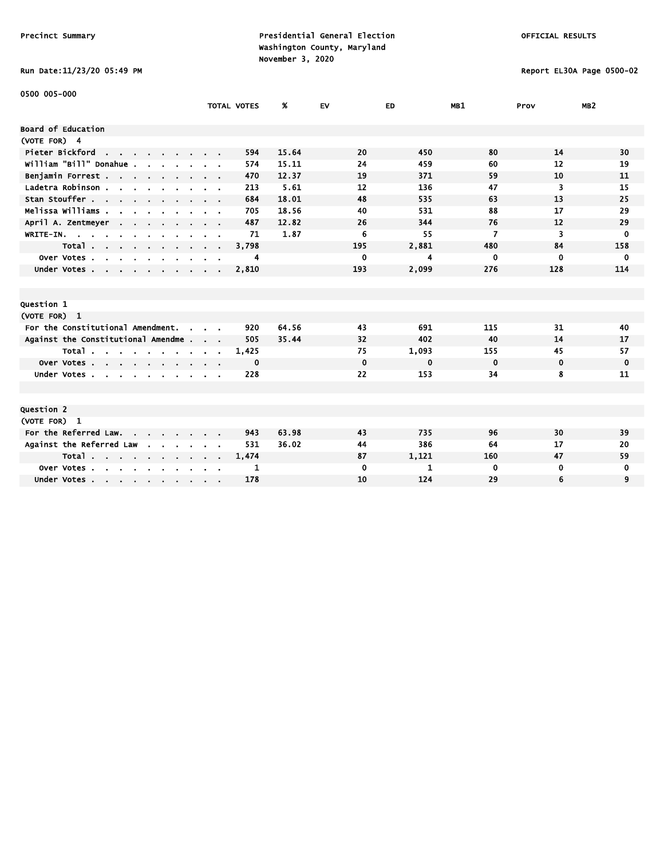# Run Date:11/23/20 05:49 PM Report EL30A Page 0500-02

| 0500 005-000                                                                                          |               |                    |       |             |       |             |             |                 |
|-------------------------------------------------------------------------------------------------------|---------------|--------------------|-------|-------------|-------|-------------|-------------|-----------------|
|                                                                                                       |               | <b>TOTAL VOTES</b> | %     | EV          | ED.   | MB1         | Prov        | MB <sub>2</sub> |
| Board of Education                                                                                    |               |                    |       |             |       |             |             |                 |
| (VOTE FOR) 4                                                                                          |               |                    |       |             |       |             |             |                 |
| Pieter Bickford<br><b>Contract Contract</b>                                                           |               | 594                | 15.64 | 20          | 450   | 80          | 14          | 30              |
| william "Bill" Donahue .                                                                              |               | 574                | 15.11 | 24          | 459   | 60          | 12          | 19              |
| Benjamin Forrest                                                                                      |               | 470                | 12.37 | 19          | 371   | 59          | 10          | 11              |
| Ladetra Robinson.<br>$\mathbf{r}$ and $\mathbf{r}$ and $\mathbf{r}$                                   |               | 213                | 5.61  | 12          | 136   | 47          | 3           | 15              |
| Stan Stouffer                                                                                         |               | 684                | 18.01 | 48          | 535   | 63          | 13          | 25              |
| Melissa Williams .                                                                                    |               | 705                | 18.56 | 40          | 531   | 88          | 17          | 29              |
| April A. Zentmeyer<br>$\sim$ $\sim$                                                                   |               | 487                | 12.82 | 26          | 344   | 76          | 12          | 29              |
| WRITE-IN.                                                                                             |               | 71                 | 1.87  | 6           | 55    | 7           | 3           | $\bf{0}$        |
| Total<br>$\sim$                                                                                       |               | 3,798              |       | 195         | 2,881 | 480         | 84          | 158             |
| Over Votes.<br>$\sim$<br>$\overline{a}$<br>$\mathbf{r}$<br>$\sim$<br>$\blacksquare$<br>$\blacksquare$ |               | 4                  |       | 0           | 4     | 0           | $\mathbf 0$ | 0               |
| Under Votes                                                                                           |               | 2,810              |       | 193         | 2,099 | 276         | 128         | 114             |
|                                                                                                       |               |                    |       |             |       |             |             |                 |
|                                                                                                       |               |                    |       |             |       |             |             |                 |
| Question 1                                                                                            |               |                    |       |             |       |             |             |                 |
| (VOTE FOR) 1                                                                                          |               |                    |       |             |       |             |             |                 |
| For the Constitutional Amendment.<br>$\sim$                                                           |               | 920                | 64.56 | 43          | 691   | 115         | 31          | 40              |
| Against the Constitutional Amendme.                                                                   | $\sim$ $\sim$ | 505                | 35.44 | 32          | 402   | 40          | 14          | 17              |
| Total                                                                                                 |               | 1,425              |       | 75          | 1,093 | 155         | 45          | 57              |
| Over Votes                                                                                            |               | 0                  |       | $\mathbf 0$ | 0     | $\mathbf 0$ | $\mathbf 0$ | 0               |
| Under Votes.<br>$\mathbf{r}$ , $\mathbf{r}$ , $\mathbf{r}$ , $\mathbf{r}$                             |               | 228                |       | 22          | 153   | 34          | 8           | 11              |
|                                                                                                       |               |                    |       |             |       |             |             |                 |
|                                                                                                       |               |                    |       |             |       |             |             |                 |
| Question 2                                                                                            |               |                    |       |             |       |             |             |                 |
| (VOTE FOR) 1                                                                                          |               |                    |       |             |       |             |             |                 |
| For the Referred Law.                                                                                 |               | 943                | 63.98 | 43          | 735   | 96          | 30          | 39              |
| Against the Referred Law                                                                              |               | 531                | 36.02 | 44          | 386   | 64          | 17          | 20              |
| Total $\cdots$ $\cdots$                                                                               |               | 1,474              |       | 87          | 1,121 | 160         | 47          | 59              |
| Over Votes<br>$\sim$<br>$\sim$                                                                        |               | 1                  |       | $\mathbf 0$ | 1     | 0           | 0           | 0               |
| Under Votes                                                                                           |               | 178                |       | 10          | 124   | 29          | 6           | 9               |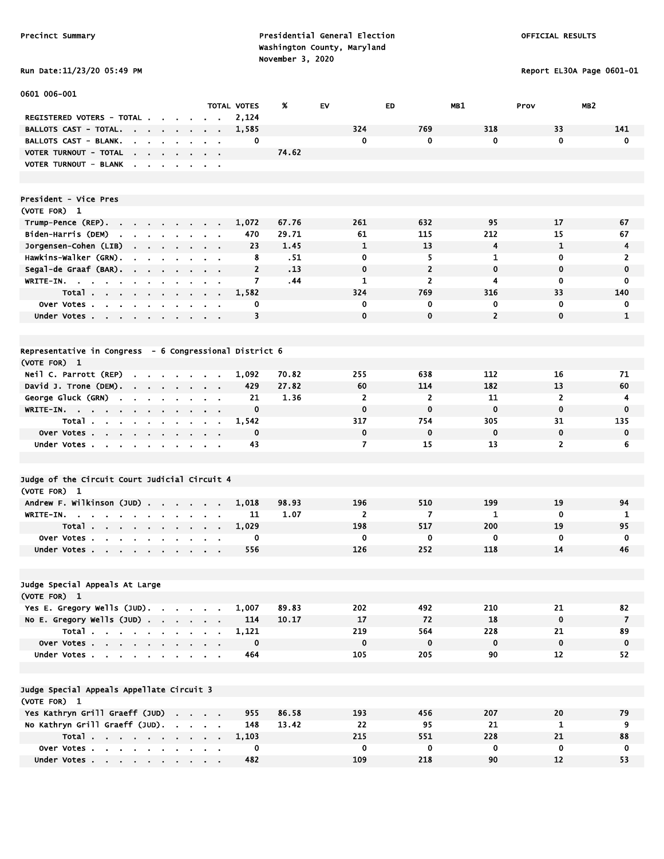Report EL30A Page 0601-01

|  |  | <b>KUN DATE:11/23/20 03:49</b> |
|--|--|--------------------------------|
|  |  |                                |

| 0601 006-001                                                                                           |                                          |                    |       |                |                |                |                   |                 |
|--------------------------------------------------------------------------------------------------------|------------------------------------------|--------------------|-------|----------------|----------------|----------------|-------------------|-----------------|
|                                                                                                        |                                          | <b>TOTAL VOTES</b> | %     | EV             | ED             | MB1            | Prov              | MB <sub>2</sub> |
| <b>REGISTERED VOTERS - TOTAL .</b>                                                                     |                                          | 2,124              |       |                |                |                |                   |                 |
| <b>BALLOTS CAST - TOTAL.</b><br>$\sim 10^{-11}$<br>$\sim$ $\sim$                                       |                                          | 1,585              |       | 324            | 769            | 318            | 33                | 141             |
| BALLOTS CAST - BLANK.<br>$\bullet$<br>$\mathbf{r}$                                                     |                                          | 0                  |       | 0              | 0              | 0              | $\mathbf 0$       | $\mathbf 0$     |
| VOTER TURNOUT - TOTAL<br>$\mathbf{r}$<br>$\mathbf{r} = \mathbf{r}$                                     |                                          |                    | 74.62 |                |                |                |                   |                 |
| VOTER TURNOUT - BLANK<br>$\overline{\phantom{a}}$<br>$\sim$<br>$\sim$<br>$\sim$<br>$\blacksquare$      | $\sim$ 100 $\pm$                         |                    |       |                |                |                |                   |                 |
|                                                                                                        |                                          |                    |       |                |                |                |                   |                 |
|                                                                                                        |                                          |                    |       |                |                |                |                   |                 |
| President - Vice Pres                                                                                  |                                          |                    |       |                |                |                |                   |                 |
| (VOTE FOR) 1                                                                                           |                                          |                    |       |                |                |                |                   |                 |
| Trump-Pence (REP).<br>$\mathbf{r} = \mathbf{r} \cdot \mathbf{r}$ .<br>$\sim$<br>$\sim$<br>$\mathbf{r}$ |                                          | 1,072              | 67.76 | 261            | 632            | 95             | 17                | 67              |
| Biden-Harris (DEM)<br><b>Contract</b><br>$\mathbf{a} = \mathbf{a} + \mathbf{a}$<br>$\bullet$           | $\mathbf{r} = \mathbf{r}$                | 470                | 29.71 | 61             | 115            | 212            | 15                | 67              |
| Jorgensen-Cohen (LIB)                                                                                  | <b>Contract Contract</b>                 | 23                 | 1.45  | 1              | 13             | 4              | 1                 | 4               |
| Hawkins-Walker (GRN).<br>$\sim$<br>$\mathbf{r}$<br>$\blacksquare$                                      |                                          | 8                  | . 51  | 0              | 5              | 1              | 0                 | 2               |
| Segal-de Graaf (BAR).<br>$\sim 10^{-1}$<br>$\blacksquare$                                              | $\alpha = 0.1$                           | $\overline{2}$     | .13   | $\mathbf 0$    | $\overline{2}$ | $\mathbf 0$    | $\mathbf 0$       | 0               |
| WRITE-IN.<br>$\mathbf{u} = \mathbf{u} + \mathbf{u}$<br>$\sim 10^{-1}$<br>$\mathbf{r}$<br>$\bullet$     | $\mathbf{r} = \mathbf{r}$                | 7                  | .44   | 1              | 2              | 4              | 0                 | 0               |
| Total                                                                                                  |                                          | 1,582              |       | 324            | 769            | 316            | 33                | 140             |
| Over Votes                                                                                             | $\sim 100$ km s $^{-1}$                  | 0                  |       | 0              | 0              | 0              | 0                 | 0               |
| Under Votes                                                                                            |                                          | 3                  |       | $\mathbf 0$    | $\mathbf 0$    | $\overline{2}$ | $\mathbf 0$       | $\mathbf{1}$    |
|                                                                                                        |                                          |                    |       |                |                |                |                   |                 |
|                                                                                                        |                                          |                    |       |                |                |                |                   |                 |
| Representative in Congress - 6 Congressional District 6                                                |                                          |                    |       |                |                |                |                   |                 |
| (VOTE FOR) 1                                                                                           |                                          |                    |       |                |                |                |                   |                 |
| Neil C. Parrott (REP)<br>$\mathbf{r}$<br>$\sim$<br>$\sim$                                              |                                          | 1,092              | 70.82 | 255            | 638            | 112            | 16                | 71              |
| David J. Trone (DEM). .<br>$\sim$ $\sim$<br>$\mathbf{r}$                                               | $\sim$                                   | 429                | 27.82 | 60             | 114            | 182            | 13                | 60              |
| George Gluck (GRN)<br>$\blacksquare$<br>$\blacksquare$                                                 | $\alpha = 0.1$                           | 21                 | 1.36  | 2              | 2              | 11             | $\mathbf{z}$      | 4               |
| <b>WRITE-IN.</b><br>$\mathbf{u} = \mathbf{0}$<br>$\sim$ $\sim$<br>$\mathbf{a} = \mathbf{a}$            | $\alpha = 0.01$                          | $\mathbf 0$        |       | $\mathbf 0$    | $\bf{0}$       | $\mathbf 0$    | $\mathbf 0$       | $\mathbf 0$     |
| Total                                                                                                  | <b>Contract Contract Contract</b>        | 1,542              |       | 317            | 754            | 305            | 31                | 135             |
| Over Votes                                                                                             |                                          | $\mathbf 0$        |       | 0              | $\mathbf 0$    | $\mathbf 0$    | $\mathbf 0$       | $\mathbf 0$     |
| Under Votes<br>$\blacksquare$                                                                          | $\sim$ $\sim$                            | 43                 |       | $\overline{ }$ | 15             | 13             | $\overline{2}$    | 6               |
|                                                                                                        |                                          |                    |       |                |                |                |                   |                 |
|                                                                                                        |                                          |                    |       |                |                |                |                   |                 |
| Judge of the Circuit Court Judicial Circuit 4                                                          |                                          |                    |       |                |                |                |                   |                 |
| (VOTE FOR) 1                                                                                           |                                          |                    |       |                |                |                |                   |                 |
| Andrew F. Wilkinson (JUD).<br>$\sim 10^{-11}$<br>$\mathbf{r}$ .<br>$\sim 10$                           | $\alpha = 0.1$                           | 1,018              | 98.93 | 196            | 510            | 199            | 19                | 94              |
| WRITE-IN.<br>$\sim$                                                                                    | $\sim$                                   | 11                 | 1.07  | $\overline{2}$ | $\overline{ }$ | 1              | $\mathbf 0$       | 1               |
| Total<br>$\sim 10^{-11}$                                                                               | $\mathbf{r} = \mathbf{r} + \mathbf{r}$ . | 1,029              |       | 198            | 517            | 200            | 19                | 95              |
| Over Votes.<br>$\mathbf{r}$<br>$\sim$<br>$\sim$                                                        |                                          | 0                  |       | 0              | 0              | $\mathbf 0$    | $\mathbf 0$       | $\mathbf 0$     |
| Under Votes<br>$\blacksquare$                                                                          |                                          | 556                |       | 126            | 252            | 118            | 14                | 46              |
|                                                                                                        |                                          |                    |       |                |                |                |                   |                 |
|                                                                                                        |                                          |                    |       |                |                |                |                   |                 |
| Judge Special Appeals At Large                                                                         |                                          |                    |       |                |                |                |                   |                 |
| (VOTE FOR) 1                                                                                           |                                          |                    |       |                |                |                |                   |                 |
| Yes E. Gregory Wells (JUD).                                                                            |                                          | 1,007              | 89.83 | 202            | 492            | 210            | 21                | 82              |
| No E. Gregory Wells $(JUD)$ .                                                                          |                                          | 114                | 10.17 | 17             | 72             | 18             | $\bf{0}$          | $\overline{7}$  |
| Total                                                                                                  |                                          | 1,121              |       | 219            | 564            | 228            | 21                | 89              |
| Over Votes                                                                                             |                                          | 0                  |       | $\mathbf 0$    | $\mathbf 0$    | $\mathbf 0$    | $\mathbf 0$       | $\mathbf 0$     |
| Under Votes                                                                                            |                                          | 464                |       | 105            | 205            | 90             | $12 \overline{ }$ | 52              |
|                                                                                                        |                                          |                    |       |                |                |                |                   |                 |
|                                                                                                        |                                          |                    |       |                |                |                |                   |                 |
| Judge Special Appeals Appellate Circuit 3                                                              |                                          |                    |       |                |                |                |                   |                 |
| (VOTE FOR) 1                                                                                           |                                          |                    |       |                |                |                |                   |                 |
| Yes Kathryn Grill Graeff (JUD)                                                                         |                                          | 955                | 86.58 | 193            | 456            | 207            | 20                | 79              |
| No Kathryn Grill Graeff (JUD).                                                                         |                                          | 148                | 13.42 | 22             | 95             | 21             | $\mathbf{1}$      | 9               |
| Total $\cdots$ $\cdots$ $\cdots$                                                                       |                                          | 1,103              |       | 215            | 551            | 228            | 21                | 88              |
| Over Votes                                                                                             |                                          | 0                  |       | 0              | 0              | 0              | 0                 | 0               |
| Under Votes                                                                                            |                                          | 482                |       | 109            | 218            | 90             | 12                | 53              |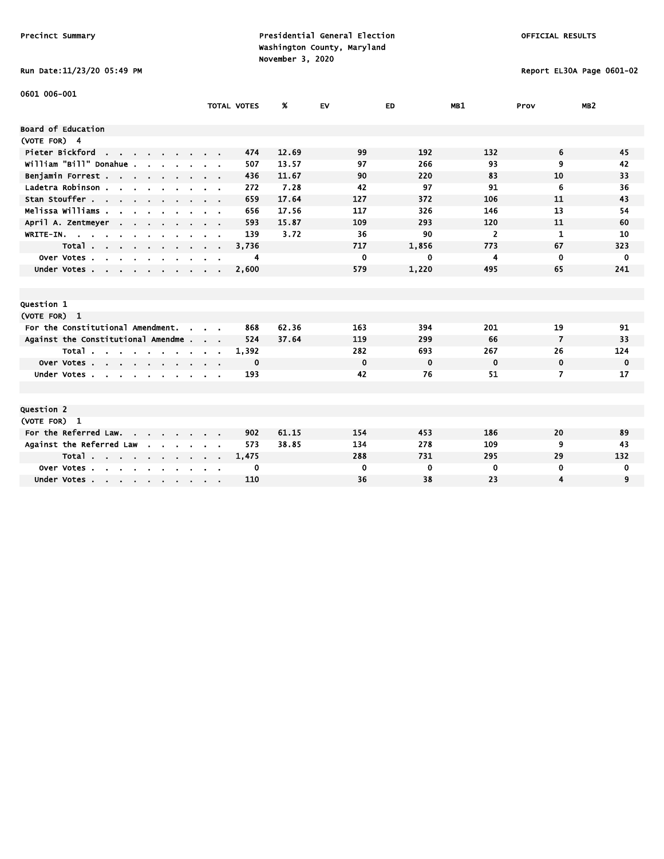# Run Date:11/23/20 05:49 PM Report EL30A Page 0601-02

| 0601 006-001                                                                               |                    |       |             |             |                |                |                 |
|--------------------------------------------------------------------------------------------|--------------------|-------|-------------|-------------|----------------|----------------|-----------------|
|                                                                                            | <b>TOTAL VOTES</b> | %     | <b>EV</b>   | ED.         | MB1            | Prov           | MB <sub>2</sub> |
| Board of Education                                                                         |                    |       |             |             |                |                |                 |
| (VOTE FOR) 4                                                                               |                    |       |             |             |                |                |                 |
| Pieter Bickford<br>the contract of the contract of                                         | 474                | 12.69 | 99          | 192         | 132            | 6              | 45              |
| william "Bill" Donahue .                                                                   | 507                | 13.57 | 97          | 266         | 93             | 9              | 42              |
| Benjamin Forrest                                                                           | 436                | 11.67 | 90          | 220         | 83             | 10             | 33              |
| Ladetra Robinson.<br>and a strain and an                                                   | 272                | 7.28  | 42          | 97          | 91             | 6              | 36              |
| Stan Stouffer                                                                              | 659                | 17.64 | 127         | 372         | 106            | 11             | 43              |
| Melissa Williams .<br>- 1                                                                  | 656                | 17.56 | 117         | 326         | 146            | 13             | 54              |
| April A. Zentmeyer<br>$\sim$ $\sim$                                                        | 593                | 15.87 | 109         | 293         | 120            | 11             | 60              |
| WRITE-IN.                                                                                  | 139                | 3.72  | 36          | 90          | $\overline{2}$ | $\mathbf{1}$   | 10              |
| Total                                                                                      | 3,736              |       | 717         | 1,856       | 773            | 67             | 323             |
| Over Votes .<br>$\sim$<br>$\mathbf{r}$<br>$\sim$<br>$\sim$<br>$\mathbf{r}$<br>$\mathbf{r}$ | 4                  |       | 0           | 0           | 4              | $\mathbf 0$    | $\mathbf 0$     |
| Under Votes                                                                                | 2,600              |       | 579         | 1,220       | 495            | 65             | 241             |
|                                                                                            |                    |       |             |             |                |                |                 |
|                                                                                            |                    |       |             |             |                |                |                 |
| Question 1                                                                                 |                    |       |             |             |                |                |                 |
| (VOTE FOR) 1                                                                               |                    |       |             |             |                |                |                 |
| For the Constitutional Amendment.<br>$\sim$                                                | 868                | 62.36 | 163         | 394         | 201            | 19             | 91              |
| Against the Constitutional Amendme                                                         | 524                | 37.64 | 119         | 299         | 66             | $\overline{7}$ | 33              |
| Total                                                                                      | 1,392              |       | 282         | 693         | 267            | 26             | 124             |
| Over Votes                                                                                 | 0                  |       | $\mathbf 0$ | $\mathbf 0$ | $\mathbf 0$    | $\mathbf 0$    | $\mathbf 0$     |
| Under Votes                                                                                | 193                |       | 42          | 76          | 51             | 7              | 17              |
|                                                                                            |                    |       |             |             |                |                |                 |
|                                                                                            |                    |       |             |             |                |                |                 |
| Question 2                                                                                 |                    |       |             |             |                |                |                 |
| (VOTE FOR) 1                                                                               |                    |       |             |             |                |                |                 |
| For the Referred Law.                                                                      | 902                | 61.15 | 154         | 453         | 186            | 20             | 89              |
| Against the Referred Law<br>$\sim$                                                         | 573                | 38.85 | 134         | 278         | 109            | 9              | 43              |
| Total                                                                                      | 1,475              |       | 288         | 731         | 295            | 29             | 132             |
| Over Votes.<br>$\mathbf{r}$ , $\mathbf{r}$ , $\mathbf{r}$ , $\mathbf{r}$                   | 0                  |       | $\mathbf 0$ | 0           | 0              | $\mathbf 0$    | 0               |
| Under Votes                                                                                | 110                |       | 36          | 38          | 23             | 4              | 9               |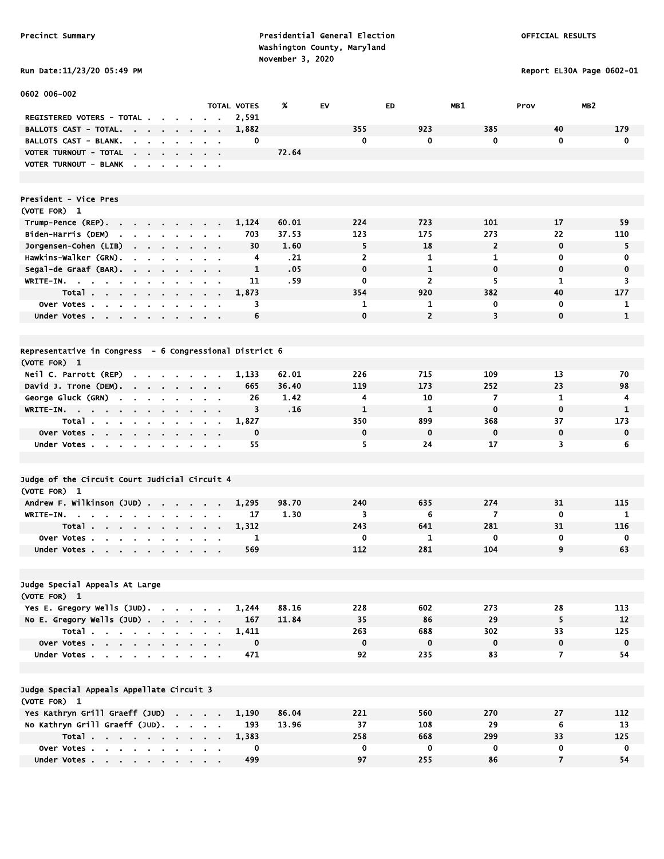Run Date:11/23/20 05:49 PM Report EL30A Page 0602-01

| 0602 006-002                                                                                                             |                                                             |             |       |                |                |                |                |                 |
|--------------------------------------------------------------------------------------------------------------------------|-------------------------------------------------------------|-------------|-------|----------------|----------------|----------------|----------------|-----------------|
|                                                                                                                          |                                                             | TOTAL VOTES | %     | EV             | <b>ED</b>      | MB1            | Prov           | MB <sub>2</sub> |
| REGISTERED VOTERS - TOTAL .                                                                                              |                                                             | 2,591       |       | 355            | 923            | 385            | 40             | 179             |
| BALLOTS CAST - TOTAL.<br>.<br>$\sim$<br>BALLOTS CAST - BLANK.                                                            |                                                             | 1,882       |       | 0              | 0              | 0              | $\mathbf 0$    | $\mathbf 0$     |
| the contract of the contract<br>VOTER TURNOUT - TOTAL                                                                    | $\alpha$ , $\beta$ , $\alpha$                               | 0           | 72.64 |                |                |                |                |                 |
| $\sim$ 10 $\pm$<br>$\mathbf{r} = \mathbf{r} \cdot \mathbf{r}$ .<br>VOTER TURNOUT - BLANK<br>$\sim$<br>$\sim$             |                                                             |             |       |                |                |                |                |                 |
| $\cdot$                                                                                                                  | $\sim$ 100 $\pm$                                            |             |       |                |                |                |                |                 |
| President - Vice Pres                                                                                                    |                                                             |             |       |                |                |                |                |                 |
| (VOTE FOR) 1                                                                                                             |                                                             |             |       |                |                |                |                |                 |
| Trump-Pence (REP).<br>the contract of the contract of<br>$\sim$<br>$\blacksquare$                                        |                                                             | 1,124       | 60.01 | 224            | 723            | 101            | 17             | 59              |
| Biden-Harris (DEM)<br>$\mathbf{r} = \mathbf{r} \cdot \mathbf{r}$<br>$\mathbf{a} = \mathbf{a} \cdot \mathbf{a}$           |                                                             | 703         | 37.53 | 123            | 175            | 273            | 22             | 110             |
| Jorgensen–Cohen (LIB)                                                                                                    | $\mathbf{r} = \mathbf{r} + \mathbf{r}$ , where $\mathbf{r}$ | 30          | 1.60  | 5              | 18             | $\overline{2}$ | $\mathbf 0$    | 5               |
| Hawkins-Walker (GRN).<br>$\mathbf{r}$<br>$\mathbf{r} = \mathbf{r} + \mathbf{r}$ . The $\mathbf{r}$                       | $\sim$ $\sim$                                               | 4           | .21   | $\overline{2}$ | 1              | 1              | 0              | 0               |
| Segal-de Graaf (BAR).<br>$\sim$<br>$\blacksquare$                                                                        | - 1                                                         | 1           | .05   | $\mathbf 0$    | $\mathbf{1}$   | $\mathbf 0$    | $\mathbf 0$    | $\mathbf 0$     |
| $W$ RITE-IN.<br>$\mathbf{r}$                                                                                             | $\alpha$ , $\beta$ , $\alpha$                               | 11          | .59   | 0              | $\overline{2}$ | 5              | 1              | 3               |
| Total<br>$\blacksquare$<br>$\sim$ 100 $\pm$<br>$\sim$<br>$\blacksquare$                                                  | $\sim$                                                      | 1,873       |       | 354            | 920            | 382            | 40             | 177             |
| Over Votes                                                                                                               | $\sim$                                                      | 3           |       | 1              | 1              | 0              | 0              | 1               |
| Under Votes                                                                                                              | <b>Contract Contract</b>                                    | 6           |       | $\mathbf 0$    | $\overline{2}$ | 3              | $\mathbf 0$    | $\mathbf{1}$    |
|                                                                                                                          |                                                             |             |       |                |                |                |                |                 |
| Representative in Congress - 6 Congressional District 6                                                                  |                                                             |             |       |                |                |                |                |                 |
| (VOTE FOR) 1                                                                                                             |                                                             |             |       |                |                |                |                |                 |
| Neil C. Parrott (REP)<br>$\sim$<br>$\mathbf{r} = \mathbf{r} + \mathbf{r}$<br>$\sim$                                      |                                                             | 1,133       | 62.01 | 226            | 715            | 109            | 13             | 70              |
| David J. Trone (DEM). .<br><b>State State</b><br>$\mathbf{r}$                                                            | $\sim$ $\sim$                                               | 665         | 36.40 | 119            | 173            | 252            | 23             | 98              |
| George Gluck (GRN)<br>$\mathbf{r}$<br>$\sim$<br>$\mathbf{r}$<br>$\blacksquare$                                           | $\alpha = 0.1$                                              | 26          | 1.42  | 4              | 10             | $\overline{7}$ | 1              | 4               |
| WRITE-IN.<br>$\mathbf{r}$<br>$\sim$ 10 $\pm$                                                                             |                                                             | 3           | .16   | $\mathbf{1}$   | $\mathbf{1}$   | $\mathbf 0$    | $\mathbf 0$    | 1               |
| Total                                                                                                                    | $\sim 100$ km s $^{-1}$                                     | 1,827       |       | 350            | 899            | 368            | 37             | 173             |
| Over Votes<br>$\blacksquare$                                                                                             |                                                             | 0<br>55     |       | 0<br>5         | 0<br>24        | 0<br>17        | 0<br>3         | $\mathbf 0$     |
| Under Votes                                                                                                              | $\blacksquare$                                              |             |       |                |                |                |                | 6               |
| Judge of the Circuit Court Judicial Circuit 4                                                                            |                                                             |             |       |                |                |                |                |                 |
| (VOTE FOR) 1                                                                                                             |                                                             |             |       |                |                |                |                |                 |
| Andrew F. Wilkinson (JUD)                                                                                                |                                                             | 1,295       | 98.70 | 240            | 635            | 274            | 31             | 115             |
| WRITE-IN.<br>$\sim$<br>$\mathbf{r}$ and $\mathbf{r}$ and $\mathbf{r}$<br>$\sim$ $\sim$<br>$\blacksquare$<br>$\mathbf{r}$ | $\alpha = 0.1$                                              | 17          | 1.30  | 3              | 6              | $\overline{7}$ | $\mathbf 0$    | 1               |
| Total                                                                                                                    |                                                             | 1,312       |       | 243            | 641            | 281            | 31             | 116             |
| Over Votes                                                                                                               |                                                             | 1           |       | 0              | 1              | $\mathbf 0$    | 0              | 0               |
| Under Votes                                                                                                              |                                                             | 569         |       | 112            | 281            | 104            | 9              | 63              |
|                                                                                                                          |                                                             |             |       |                |                |                |                |                 |
| Judge Special Appeals At Large                                                                                           |                                                             |             |       |                |                |                |                |                 |
| (VOTE FOR) 1                                                                                                             |                                                             |             |       |                |                |                |                |                 |
| Yes E. Gregory Wells (JUD).                                                                                              |                                                             | 1,244       | 88.16 | 228            | 602            | 273            | 28             | 113             |
| No E. Gregory Wells $(JUD)$ .                                                                                            |                                                             | 167         | 11.84 | 35             | 86             | 29             | 5              | 12              |
| Total                                                                                                                    |                                                             | 1,411       |       | 263            | 688            | 302            | 33             | 125             |
| Over Votes                                                                                                               |                                                             | $\mathbf 0$ |       | $\mathbf 0$    | $\mathbf 0$    | $\mathbf 0$    | $\mathbf 0$    | $\mathbf 0$     |
| Under Votes                                                                                                              |                                                             | 471         |       | 92             | 235            | 83             | 7              | 54              |
|                                                                                                                          |                                                             |             |       |                |                |                |                |                 |
| Judge Special Appeals Appellate Circuit 3                                                                                |                                                             |             |       |                |                |                |                |                 |
| (VOTE FOR) 1<br>Yes Kathryn Grill Graeff (JUD)                                                                           |                                                             | 1,190       | 86.04 | 221            | 560            | 270            | 27             | 112             |
| No Kathryn Grill Graeff (JUD).                                                                                           |                                                             | 193         | 13.96 | 37             | 108            | 29             | 6              | 13              |
| Total                                                                                                                    |                                                             | 1,383       |       | 258            | 668            | 299            | 33             | 125             |
| Over Votes                                                                                                               |                                                             | 0           |       | $\mathbf 0$    | $\mathbf 0$    | $\mathbf 0$    | $\mathbf 0$    | $\mathbf 0$     |
| Under Votes                                                                                                              |                                                             | 499         |       | 97             | 255            | 86             | $\overline{7}$ | 54              |
|                                                                                                                          |                                                             |             |       |                |                |                |                |                 |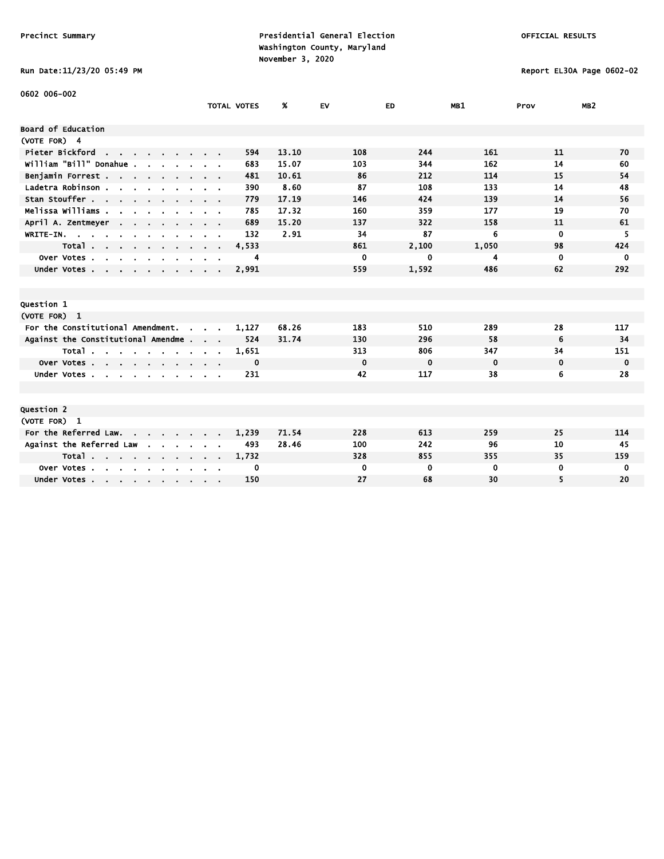# Run Date:11/23/20 05:49 PM Report EL30A Page 0602-02

| 0602 006-002                                                        |                                          |                    |       |           |             |             |             |                 |
|---------------------------------------------------------------------|------------------------------------------|--------------------|-------|-----------|-------------|-------------|-------------|-----------------|
|                                                                     |                                          | <b>TOTAL VOTES</b> | ж     | <b>EV</b> | ED.         | MB1         | Prov        | MB <sub>2</sub> |
| Board of Education                                                  |                                          |                    |       |           |             |             |             |                 |
| (VOTE FOR) 4                                                        |                                          |                    |       |           |             |             |             |                 |
| Pieter Bickford<br><b>Contract</b>                                  |                                          | 594                | 13.10 | 108       | 244         | 161         | 11          | 70              |
| William "Bill" Donahue .                                            |                                          | 683                | 15.07 | 103       | 344         | 162         | 14          | 60              |
| Benjamin Forrest                                                    |                                          | 481                | 10.61 | 86        | 212         | 114         | 15          | 54              |
| Ladetra Robinson.<br>$\mathbf{r}$ and $\mathbf{r}$ and $\mathbf{r}$ |                                          | 390                | 8.60  | 87        | 108         | 133         | 14          | 48              |
| Stan Stouffer                                                       |                                          | 779                | 17.19 | 146       | 424         | 139         | 14          | 56              |
| Melissa Williams .                                                  |                                          | 785                | 17.32 | 160       | 359         | 177         | 19          | 70              |
| April A. Zentmeyer<br><b>Contract</b>                               |                                          | 689                | 15.20 | 137       | 322         | 158         | 11          | 61              |
| WRITE-IN.                                                           |                                          | 132                | 2.91  | 34        | 87          | 6           | $\mathbf 0$ | 5               |
| Total                                                               | $\mathbf{r} = \mathbf{r} + \mathbf{r}$ . | 4,533              |       | 861       | 2,100       | 1,050       | 98          | 424             |
| Over Votes.<br>$\sim$<br>$\sim$ $\sim$ $\sim$ $\sim$                |                                          | 4                  |       | 0         | 0           | 4           | 0           | 0               |
| Under Votes, , , , , , ,                                            |                                          | 2,991              |       | 559       | 1,592       | 486         | 62          | 292             |
|                                                                     |                                          |                    |       |           |             |             |             |                 |
|                                                                     |                                          |                    |       |           |             |             |             |                 |
| Question 1                                                          |                                          |                    |       |           |             |             |             |                 |
| (VOTE FOR) 1                                                        |                                          |                    |       |           |             |             |             |                 |
| For the Constitutional Amendment.<br>$\sim$                         |                                          | 1.127              | 68.26 | 183       | 510         | 289         | 28          | 117             |
| Against the Constitutional Amendme                                  |                                          | 524                | 31.74 | 130       | 296         | 58          | 6           | 34              |
| Total                                                               |                                          | 1,651              |       | 313       | 806         | 347         | 34          | 151             |
| Over Votes                                                          |                                          | 0                  |       | $\bf{0}$  | $\mathbf 0$ | $\mathbf 0$ | 0           | 0               |
| Under Votes                                                         |                                          | 231                |       | 42        | 117         | 38          | 6           | 28              |
|                                                                     |                                          |                    |       |           |             |             |             |                 |
|                                                                     |                                          |                    |       |           |             |             |             |                 |
| Question 2<br>(VOTE FOR) 1                                          |                                          |                    |       |           |             |             |             |                 |
| For the Referred Law.                                               |                                          | 1,239              | 71.54 | 228       | 613         | 259         | 25          | 114             |
| Against the Referred Law                                            |                                          | 493                | 28.46 | 100       | 242         | 96          | 10          | 45              |
| <b>Contract Contract</b><br>Total                                   |                                          | 1,732              |       | 328       | 855         | 355         | 35          | 159             |
| Over Votes                                                          |                                          | 0                  |       | 0         | 0           | 0           | 0           | 0               |
| Under Votes                                                         |                                          | 150                |       | 27        | 68          | 30          | 5           | 20              |
|                                                                     |                                          |                    |       |           |             |             |             |                 |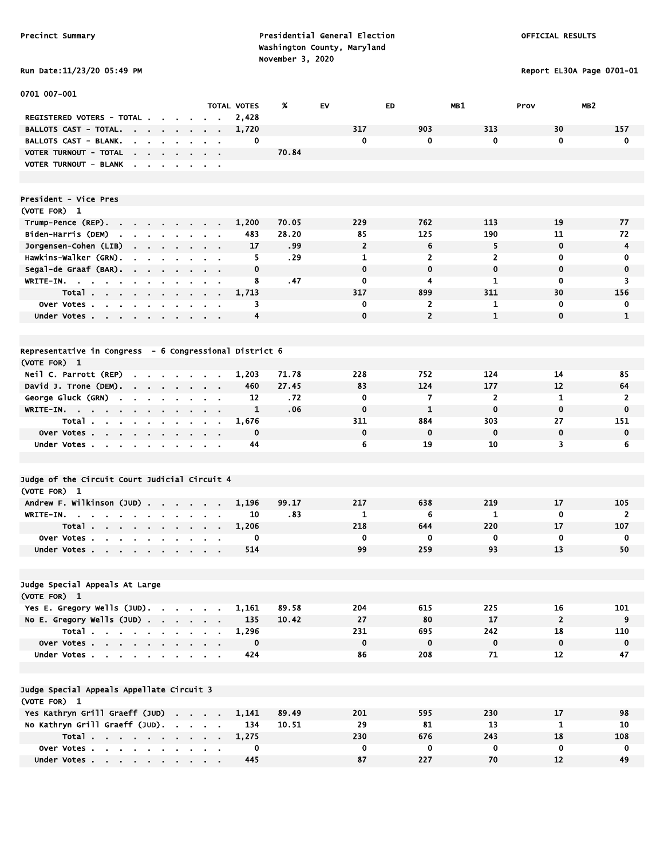Report EL30A Page 0701-01

| <b>KUN DATE:11/23/20 05:49</b> |  |  |
|--------------------------------|--|--|
|--------------------------------|--|--|

| <b>0701 007-001</b>                                                                |                     |                                                    |                    |                  |                |                |                |                         |                |
|------------------------------------------------------------------------------------|---------------------|----------------------------------------------------|--------------------|------------------|----------------|----------------|----------------|-------------------------|----------------|
|                                                                                    |                     |                                                    | <b>TOTAL VOTES</b> | %                | EV             | ED.            | MB1            | MB <sub>2</sub><br>Prov |                |
| REGISTERED VOTERS - TOTAL .<br><b>BALLOTS CAST - TOTAL.</b>                        |                     |                                                    | 2,428              |                  | 317            | 903            | 313            | 30                      | 157            |
| and the state of the state of                                                      | $\sim$<br>$\sim$    |                                                    | 1,720<br>0         |                  | $\mathbf 0$    | 0              | $\mathbf{0}$   | $\mathbf{0}$            | $\mathbf 0$    |
| <b>BALLOTS CAST - BLANK.</b><br>$\sim$                                             | $\sim$              | $\mathbf{r} = \mathbf{r}$                          |                    | 70.84            |                |                |                |                         |                |
| VOTER TURNOUT - TOTAL<br>the company of the company<br>VOTER TURNOUT - BLANK       |                     | $\mathbf{r} = \mathbf{r} + \mathbf{r}$             |                    |                  |                |                |                |                         |                |
|                                                                                    |                     |                                                    |                    |                  |                |                |                |                         |                |
|                                                                                    |                     |                                                    |                    |                  |                |                |                |                         |                |
| President - Vice Pres                                                              |                     |                                                    |                    |                  |                |                |                |                         |                |
| (VOTE FOR) 1                                                                       |                     |                                                    |                    |                  |                |                |                |                         |                |
| Trump-Pence (REP).                                                                 |                     |                                                    | 1,200              | 70.05            | 229            | 762            | 113            | 19                      | 77             |
| Biden-Harris (DEM)<br><b>Contract Contract</b><br>$\mathbf{r} = \mathbf{r}$        | $\sim$              |                                                    | 483                | 28.20            | 85             | 125            | 190            | 11                      | 72             |
| Jorgensen-Cohen (LIB)<br>$\mathbf{r} = \mathbf{r} + \mathbf{r}$ . The $\mathbf{r}$ | $\bullet$<br>$\sim$ | $\mathbf{r} = \mathbf{r}$                          | 17                 | .99              | $\overline{2}$ | 6              | 5              | $\mathbf 0$             | $\overline{4}$ |
| Hawkins-Walker (GRN).<br>$\blacksquare$<br>$\mathbf{r}$<br>$\blacksquare$          | $\blacksquare$      | $\mathbf{r} = \mathbf{r}$                          | 5                  | .29              | $\mathbf{1}$   | 2              | $\overline{2}$ | 0                       | 0              |
| Segal-de Graaf (BAR).                                                              |                     | $\mathbf{r} = \mathbf{r}$                          | $\mathbf 0$        |                  | $\mathbf 0$    | 0              | $\mathbf 0$    | $\mathbf 0$             | $\mathbf 0$    |
| WRITE-IN.                                                                          |                     |                                                    | 8                  | .47              | $\mathbf 0$    | 4              | 1              | 0                       | 3              |
| Total                                                                              |                     | $\sim$ $\sim$                                      | 1,713              |                  | 317            | 899            | 311            | 30                      | 156            |
| Over Votes                                                                         | $\bullet$           |                                                    | 3                  |                  | 0              | $\overline{2}$ | 1              | $\mathbf 0$             | 0              |
| Under Votes                                                                        |                     |                                                    | 4                  |                  | $\mathbf 0$    | $\overline{2}$ | $\mathbf{1}$   | $\mathbf 0$             | $\mathbf{1}$   |
|                                                                                    |                     |                                                    |                    |                  |                |                |                |                         |                |
| Representative in Congress - 6 Congressional District 6                            |                     |                                                    |                    |                  |                |                |                |                         |                |
| (VOTE FOR) 1                                                                       |                     |                                                    |                    |                  |                |                |                |                         |                |
| Neil C. Parrott (REP)<br>$\cdot$ $\cdot$ $\cdot$ $\cdot$                           |                     |                                                    | 1,203              | 71.78            | 228            | 752            | 124            | 14                      | 85             |
| David J. Trone (DEM).                                                              | $\sim$              |                                                    | 460                | 27.45            | 83             | 124            | 177            | 12                      | 64             |
| George Gluck (GRN)<br>$\sim$<br>$\sim$<br>$\mathbf{r}$                             |                     |                                                    | 12                 | .72 <sub>2</sub> | $\mathbf 0$    | 7              | $\overline{2}$ | $\mathbf{1}$            | $\overline{2}$ |
| $WRITE-IN.$                                                                        |                     |                                                    | 1                  | .06              | $\mathbf 0$    | $\mathbf{1}$   | $\mathbf 0$    | $\mathbf 0$             | $\mathbf 0$    |
| Total<br>$\sim$<br>$\mathbf{r}$                                                    | $\blacksquare$      | $\sim$ $\sim$                                      | 1,676              |                  | 311            | 884            | 303            | 27                      | 151            |
| Over Votes                                                                         | $\sim$              | $\sim$ $\sim$                                      | $\mathbf 0$        |                  | $\mathbf 0$    | 0              | $\mathbf 0$    | $\mathbf 0$             | $\mathbf 0$    |
| Under Votes                                                                        |                     |                                                    | 44                 |                  | 6              | 19             | 10             | 3                       | 6              |
|                                                                                    |                     |                                                    |                    |                  |                |                |                |                         |                |
| Judge of the Circuit Court Judicial Circuit 4                                      |                     |                                                    |                    |                  |                |                |                |                         |                |
| (VOTE FOR) 1                                                                       |                     |                                                    |                    |                  |                |                |                |                         |                |
| Andrew F. Wilkinson (JUD)                                                          |                     |                                                    | 1,196              | 99.17            | 217            | 638            | 219            | 17                      | 105            |
| WRITE-IN.                                                                          |                     |                                                    | 10                 | .83              | 1              | 6              | $\mathbf{1}$   | 0                       | $\mathbf{2}$   |
| Total                                                                              | $\sim$<br>$\sim$    |                                                    | 1,206              |                  | 218            | 644            | 220            | 17                      | 107            |
| Over Votes.<br>$\mathbf{a} = \mathbf{a} \cdot \mathbf{a}$ .<br>$\sim$<br>$\bullet$ |                     |                                                    | 0                  |                  | 0              | 0              | 0              | 0                       | 0              |
| Under Votes                                                                        |                     |                                                    | 514                |                  | 99             | 259            | 93             | 13                      | 50             |
|                                                                                    |                     |                                                    |                    |                  |                |                |                |                         |                |
| Judge Special Appeals At Large                                                     |                     |                                                    |                    |                  |                |                |                |                         |                |
| (VOTE FOR) 1                                                                       |                     |                                                    |                    |                  |                |                |                |                         |                |
| Yes E. Gregory Wells (JUD).                                                        |                     |                                                    | 1,161              | 89.58            | 204            | 615            | 225            | 16                      | 101            |
| No E. Gregory Wells (JUD)                                                          |                     |                                                    | 135                | 10.42            | 27             | 80             | 17             | $\overline{2}$          | 9              |
| Total                                                                              |                     |                                                    | 1,296              |                  | 231            | 695            | 242            | 18                      | 110            |
| Over Votes                                                                         |                     | $\sim 100$                                         | $\mathbf 0$        |                  | $\mathbf 0$    | $\mathbf 0$    | $\bf{0}$       | $\pmb{0}$               | $\mathbf 0$    |
| Under Votes                                                                        |                     | $\mathbf{a}$ , and $\mathbf{a}$ , and $\mathbf{a}$ | 424                |                  | 86             | 208            | 71             | 12                      | 47             |
|                                                                                    |                     |                                                    |                    |                  |                |                |                |                         |                |
| Judge Special Appeals Appellate Circuit 3<br>(VOTE FOR) 1                          |                     |                                                    |                    |                  |                |                |                |                         |                |
| Yes Kathryn Grill Graeff (JUD)                                                     |                     |                                                    | 1,141              | 89.49            | 201            | 595            | 230            | 17                      | 98             |
| No Kathryn Grill Graeff (JUD).                                                     |                     |                                                    | 134                | 10.51            | 29             | 81             | 13             | 1                       | 10             |
| Total                                                                              |                     |                                                    | 1,275              |                  | 230            | 676            | 243            | 18                      | 108            |
| Over Votes                                                                         |                     |                                                    | 0                  |                  | $\mathbf 0$    | 0              | $\mathbf 0$    | $\mathbf 0$             | 0              |
| Under Votes                                                                        |                     |                                                    | 445                |                  | 87             | 227            | 70             | 12                      | 49             |
|                                                                                    |                     |                                                    |                    |                  |                |                |                |                         |                |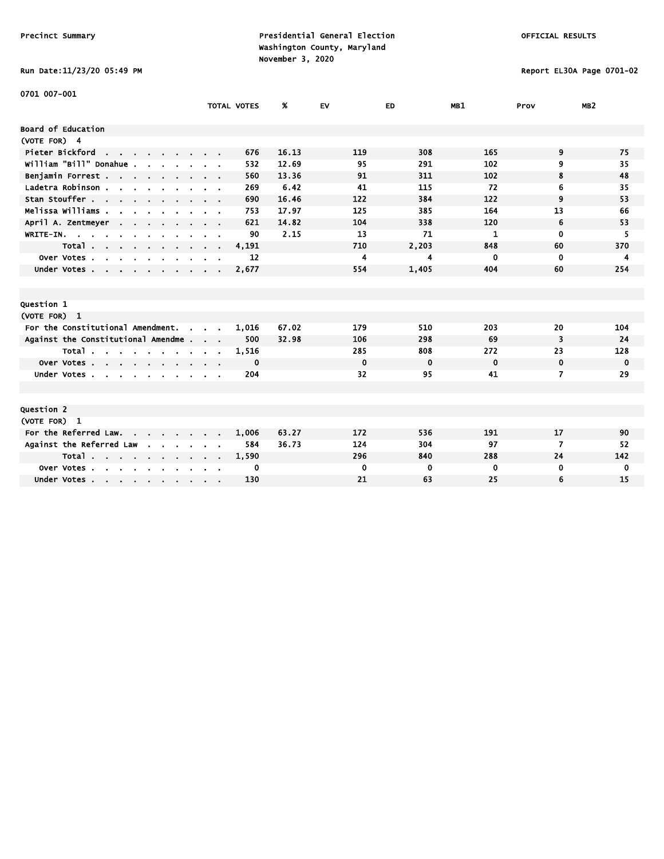Run Date:11/23/20 05:49 PM Report EL30A Page 0701-02

| <b>0701 007-001</b>                                  |                                                           |                    |       |             |             |             |             |                 |
|------------------------------------------------------|-----------------------------------------------------------|--------------------|-------|-------------|-------------|-------------|-------------|-----------------|
|                                                      |                                                           | <b>TOTAL VOTES</b> | %     | <b>EV</b>   | ED          | MB1         | Prov        | MB <sub>2</sub> |
|                                                      |                                                           |                    |       |             |             |             |             |                 |
| Board of Education                                   |                                                           |                    |       |             |             |             |             |                 |
| (VOTE FOR) 4                                         |                                                           |                    |       |             |             |             |             |                 |
| Pieter Bickford<br><b>Contract Contract Contract</b> |                                                           | 676                | 16.13 | 119         | 308         | 165         | 9           | 75              |
| william "Bill" Donahue .                             |                                                           | 532                | 12.69 | 95          | 291         | 102         | 9           | 35              |
| Benjamin Forrest                                     |                                                           | 560                | 13.36 | 91          | 311         | 102         | 8           | 48              |
| Ladetra Robinson                                     |                                                           | 269                | 6.42  | 41          | 115         | 72          | 6           | 35              |
| Stan Stouffer                                        |                                                           | 690                | 16.46 | 122         | 384         | 122         | 9           | 53              |
| Melissa Williams                                     |                                                           | 753                | 17.97 | 125         | 385         | 164         | 13          | 66              |
| April A. Zentmeyer<br>$\sim$ $\sim$                  |                                                           | 621                | 14.82 | 104         | 338         | 120         | 6           | 53              |
| WRITE-IN.                                            |                                                           | 90                 | 2.15  | 13          | 71          | 1           | $\mathbf 0$ | 5               |
| Total<br>$\sim$                                      | $\sim$ $\sim$ $\sim$ $\sim$                               | 4,191              |       | 710         | 2,203       | 848         | 60          | 370             |
| Over Votes<br>$\sim$<br>$\mathbf{r}$<br>$\mathbf{r}$ |                                                           | 12                 |       | 4           | 4           | 0           | $\mathbf 0$ | 4               |
| Under Votes                                          |                                                           | 2,677              |       | 554         | 1,405       | 404         | 60          | 254             |
|                                                      |                                                           |                    |       |             |             |             |             |                 |
|                                                      |                                                           |                    |       |             |             |             |             |                 |
| Question 1                                           |                                                           |                    |       |             |             |             |             |                 |
| (VOTE FOR) 1                                         |                                                           |                    |       |             |             |             |             |                 |
| For the Constitutional Amendment.<br>$\sim$          | $\mathcal{L}^{\text{max}}$ and $\mathcal{L}^{\text{max}}$ | 1,016              | 67.02 | 179         | 510         | 203         | 20          | 104             |
| Against the Constitutional Amendme                   |                                                           | 500                | 32.98 | 106         | 298         | 69          | 3           | 24              |
| Total                                                |                                                           | 1,516              |       | 285         | 808         | 272         | 23          | 128             |
| Over Votes                                           |                                                           | 0                  |       | $\bf{0}$    | $\mathbf 0$ | $\mathbf 0$ | $\mathbf 0$ | 0               |
| Under Votes                                          |                                                           | 204                |       | 32          | 95          | 41          | 7           | 29              |
|                                                      |                                                           |                    |       |             |             |             |             |                 |
|                                                      |                                                           |                    |       |             |             |             |             |                 |
| Question 2                                           |                                                           |                    |       |             |             |             |             |                 |
| (VOTE FOR) 1                                         |                                                           |                    |       |             |             |             |             |                 |
| For the Referred Law.                                |                                                           | 1,006              | 63.27 | 172         | 536         | 191         | 17          | 90              |
| Against the Referred Law<br>$\sim$<br>$\sim 10^{-1}$ |                                                           | 584                | 36.73 | 124         | 304         | 97          | 7           | 52              |
| Total                                                |                                                           | 1,590              |       | 296         | 840         | 288         | 24          | 142             |
| Over Votes<br>$\sim$<br>$\sim$                       |                                                           | 0                  |       | $\mathbf 0$ | $\bf{0}$    | 0           | 0           | 0               |
| Under Votes                                          |                                                           | 130                |       | 21          | 63          | 25          | 6           | 15              |
|                                                      |                                                           |                    |       |             |             |             |             |                 |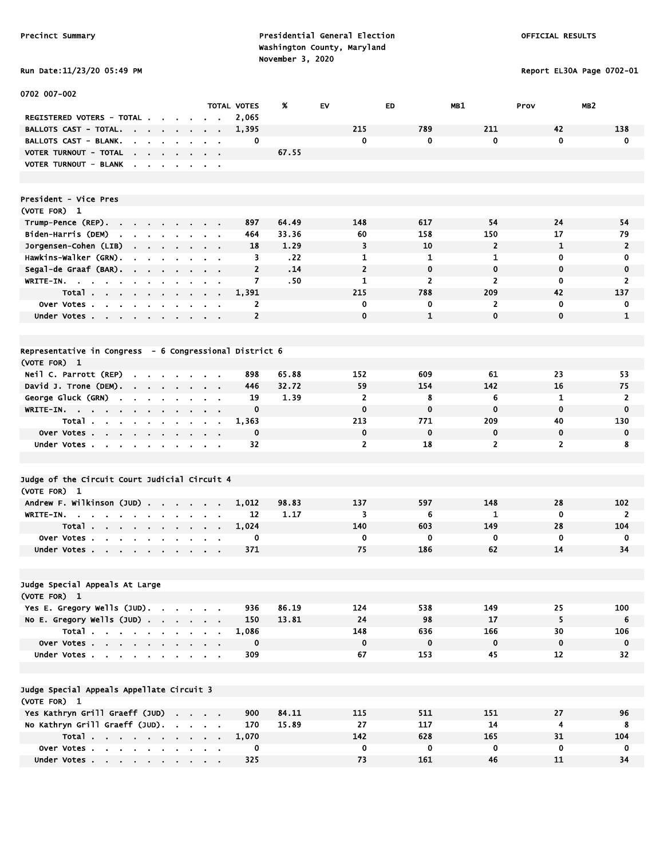# Run Date:11/23/20 05:49 PM Report EL30A Page 0702-01

| 0702 007-002                                                                                        |                                                                                                       |                           |                      |                  |                     |                    |                    |                         |                 |
|-----------------------------------------------------------------------------------------------------|-------------------------------------------------------------------------------------------------------|---------------------------|----------------------|------------------|---------------------|--------------------|--------------------|-------------------------|-----------------|
|                                                                                                     |                                                                                                       |                           | <b>TOTAL VOTES</b>   | %                | EV                  | <b>ED</b>          | MB1                | MB <sub>2</sub><br>Prov |                 |
| REGISTERED VOTERS - TOTAL .<br><b>BALLOTS CAST - TOTAL.</b>                                         |                                                                                                       |                           | 2,065                |                  | 215                 | 789                | 211                | 42                      | 138             |
| the company of the company                                                                          |                                                                                                       |                           | 1,395                |                  |                     | 0                  | 0                  | $\mathbf 0$             |                 |
| BALLOTS CAST - BLANK.<br>the company of the company                                                 |                                                                                                       |                           | 0                    |                  | 0                   |                    |                    |                         | $\mathbf 0$     |
| VOTER TURNOUT - TOTAL<br>the contract of the contract of                                            | $\sim$                                                                                                |                           |                      | 67.55            |                     |                    |                    |                         |                 |
| VOTER TURNOUT - BLANK                                                                               | $\blacksquare$                                                                                        | $\sim$ $\sim$             |                      |                  |                     |                    |                    |                         |                 |
| President - Vice Pres                                                                               |                                                                                                       |                           |                      |                  |                     |                    |                    |                         |                 |
| (VOTE FOR) 1                                                                                        |                                                                                                       |                           |                      |                  |                     |                    |                    |                         |                 |
|                                                                                                     |                                                                                                       |                           | 897                  | 64.49            | 148                 | 617                | 54                 | 24                      | 54              |
| Trump-Pence (REP).<br>the contract of the<br>$\mathbf{r}$                                           |                                                                                                       |                           |                      |                  | 60                  | 158                |                    | 17                      | 79              |
| Biden-Harris (DEM)<br>$\mathbf{r} = \mathbf{r} + \mathbf{r} + \mathbf{r} + \mathbf{r}$<br>$\bullet$ |                                                                                                       |                           | 464                  | 33.36            |                     |                    | 150                |                         |                 |
| Jorgensen-Cohen (LIB)                                                                               |                                                                                                       |                           | 18                   | 1.29             | 3                   | 10                 | $\overline{2}$     | 1                       | $\overline{2}$  |
| Hawkins-Walker (GRN).<br>$\sim$<br>$\sim$<br>$\blacksquare$<br>$\sim$                               |                                                                                                       |                           | 3<br>$\overline{2}$  | .22<br>.14       | 1<br>$\overline{2}$ | 1<br>$\mathbf 0$   | 1<br>$\mathbf{0}$  | 0<br>$\mathbf 0$        | 0               |
| Segal-de Graaf (BAR).<br>$\mathbf{r}$                                                               |                                                                                                       |                           |                      |                  |                     |                    |                    |                         | $\mathbf 0$     |
| WRITE-IN. $\cdots$                                                                                  | $\sim$                                                                                                | $\mathbf{u} = \mathbf{u}$ | 7                    | .50 <sub>1</sub> | 1                   | $\overline{2}$     | $\overline{2}$     | $\mathbf 0$             | 2               |
| Total                                                                                               | $\begin{array}{cccccccccccccc} \bullet & \bullet & \bullet & \bullet & \bullet & \bullet \end{array}$ |                           | 1,391                |                  | 215                 | 788                | 209                | 42                      | 137             |
| Over Votes                                                                                          |                                                                                                       | $\sim$ $\sim$             | 2                    |                  | 0                   | 0                  | $\overline{2}$     | $\mathbf 0$             | 0               |
| Under Votes                                                                                         |                                                                                                       |                           | $\overline{2}$       |                  | $\mathbf 0$         | $\mathbf{1}$       | $\mathbf{0}$       | $\mathbf 0$             | $\mathbf{1}$    |
| Representative in Congress - 6 Congressional District 6                                             |                                                                                                       |                           |                      |                  |                     |                    |                    |                         |                 |
| (VOTE FOR) 1                                                                                        |                                                                                                       |                           |                      |                  |                     |                    |                    |                         |                 |
| Neil C. Parrott (REP)                                                                               |                                                                                                       |                           | 898                  | 65.88            | 152                 | 609                | 61                 | 23                      | 53              |
| $\sim$<br><b>Contract</b><br>David J. Trone (DEM).                                                  |                                                                                                       |                           | 446                  | 32.72            | 59                  | 154                | 142                | 16                      | 75              |
| George Gluck (GRN)                                                                                  | $\sim$                                                                                                |                           | 19                   | 1.39             | $\overline{2}$      | 8                  | 6                  | 1                       | 2               |
| $\mathbf{r}$<br>$\sim$<br>$\sim$<br>$\mathbf{r}$<br>$\bullet$                                       | $\blacksquare$                                                                                        | $\alpha = 0.01$           | $\mathbf 0$          |                  | $\mathbf 0$         | $\mathbf 0$        | $\mathbf 0$        | $\mathbf 0$             | $\bf{0}$        |
| WRITE-IN.                                                                                           | $\mathbf{a}$ , and $\mathbf{a}$ , and $\mathbf{a}$                                                    |                           |                      |                  | 213                 | 771                | 209                | 40                      | 130             |
| Total                                                                                               | <b>Contract Contract Contract</b>                                                                     |                           | 1,363<br>$\mathbf 0$ |                  |                     | $\mathbf 0$        |                    |                         | $\mathbf 0$     |
| Over Votes                                                                                          |                                                                                                       |                           |                      |                  | 0<br>$\overline{2}$ |                    | 0                  | 0                       |                 |
| Under Votes                                                                                         |                                                                                                       |                           | 32                   |                  |                     | 18                 | $\overline{2}$     | $\overline{2}$          | 8               |
| Judge of the Circuit Court Judicial Circuit 4                                                       |                                                                                                       |                           |                      |                  |                     |                    |                    |                         |                 |
|                                                                                                     |                                                                                                       |                           |                      |                  |                     |                    |                    |                         |                 |
| (VOTE FOR) 1<br>Andrew F. Wilkinson (JUD)                                                           |                                                                                                       |                           | 1,012                | 98.83            | 137                 | 597                | 148                | 28                      | 102             |
| WRITE-IN.<br>$\sim$                                                                                 | $\cdots$                                                                                              |                           | 12                   | 1.17             | 3                   | 6                  | 1                  | $\mathbf 0$             | 2               |
| $\sim$<br>$\cdot$<br>$\blacksquare$<br>$\bullet$                                                    | $\blacksquare$                                                                                        |                           | 1,024                |                  | 140                 | 603                | 149                | 28                      | 104             |
| Total                                                                                               | $\mathbf{r} = \mathbf{r} + \mathbf{r}$ , where $\mathbf{r}$                                           |                           | 0                    |                  | 0                   | 0                  | 0                  | $\mathbf 0$             | $\mathbf 0$     |
| Over Votes                                                                                          |                                                                                                       |                           | 371                  |                  | 75                  | 186                | 62                 | 14                      | 34              |
| Under Votes                                                                                         |                                                                                                       |                           |                      |                  |                     |                    |                    |                         |                 |
|                                                                                                     |                                                                                                       |                           |                      |                  |                     |                    |                    |                         |                 |
| Judge Special Appeals At Large<br>(VOTE FOR) 1                                                      |                                                                                                       |                           |                      |                  |                     |                    |                    |                         |                 |
| Yes E. Gregory Wells (JUD).                                                                         |                                                                                                       |                           | 936                  | 86.19            | 124                 | 538                | 149                | 25                      | 100             |
|                                                                                                     |                                                                                                       |                           | 150                  | 13.81            | 24                  | 98                 | 17                 | 5                       | $6\overline{6}$ |
| No E. Gregory Wells $(JUD)$ .                                                                       |                                                                                                       |                           |                      |                  |                     |                    |                    |                         |                 |
| Total                                                                                               |                                                                                                       |                           | 1,086                |                  | 148<br>$\pmb{0}$    | 636<br>$\mathbf 0$ | 166<br>$\mathbf 0$ | 30<br>$\mathbf 0$       | 106             |
| Over Votes                                                                                          |                                                                                                       |                           | $\mathbf 0$          |                  |                     |                    |                    |                         | $\mathbf 0$     |
| Under Votes                                                                                         |                                                                                                       |                           | 309                  |                  | 67                  | 153                | 45                 | $12 \overline{ }$       | 32              |
| Judge Special Appeals Appellate Circuit 3                                                           |                                                                                                       |                           |                      |                  |                     |                    |                    |                         |                 |
| (VOTE FOR) 1                                                                                        |                                                                                                       |                           |                      |                  |                     |                    |                    |                         |                 |
| Yes Kathryn Grill Graeff (JUD)                                                                      |                                                                                                       |                           | 900                  | 84.11            | 115                 | 511                | 151                | 27                      | 96              |
| No Kathryn Grill Graeff (JUD).                                                                      |                                                                                                       |                           | 170                  | 15.89            | 27                  | 117                | 14                 | $\overline{\mathbf{4}}$ | 8               |
| Total                                                                                               |                                                                                                       |                           | 1,070                |                  | 142                 | 628                | 165                | 31                      | 104             |
| Over Votes                                                                                          |                                                                                                       | $\alpha = 0.1$            | 0                    |                  | 0                   | $\bf{0}$           | $\mathbf 0$        | $\mathbf 0$             | $\mathbf 0$     |
| Under Votes                                                                                         |                                                                                                       |                           | 325                  |                  | 73                  | 161                | 46                 | 11                      | 34              |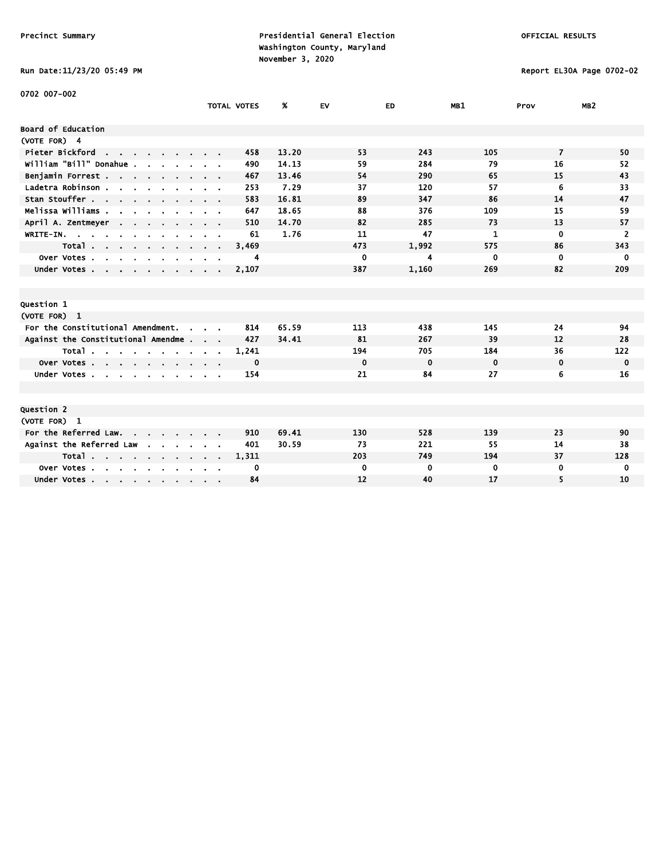Run Date:11/23/20 05:49 PM Report EL30A Page 0702-02

| 0702 007–002                                     |                                          |                    |       |             |             |             |                |                 |
|--------------------------------------------------|------------------------------------------|--------------------|-------|-------------|-------------|-------------|----------------|-----------------|
|                                                  |                                          | <b>TOTAL VOTES</b> | %     | <b>EV</b>   | ED          | MB1         | Prov           | MB <sub>2</sub> |
| <b>Board of Education</b>                        |                                          |                    |       |             |             |             |                |                 |
| (VOTE FOR) 4                                     |                                          |                    |       |             |             |             |                |                 |
| Pieter Bickford<br>the company of the company of |                                          | 458                | 13.20 | 53          | 243         | 105         | $\overline{7}$ | 50              |
| william "Bill" Donahue .                         |                                          | 490                | 14.13 | 59          | 284         | 79          | 16             | 52              |
| Benjamin Forrest                                 |                                          | 467                | 13.46 | 54          | 290         | 65          | 15             | 43              |
| Ladetra Robinson                                 |                                          | 253                | 7.29  | 37          | 120         | 57          | 6              | 33              |
| Stan Stouffer                                    |                                          | 583                | 16.81 | 89          | 347         | 86          | 14             | 47              |
| Melissa Williams                                 |                                          | 647                | 18.65 | 88          | 376         | 109         | 15             | 59              |
| April A. Zentmeyer                               |                                          | 510                | 14.70 | 82          | 285         | 73          | 13             | 57              |
| WRITE-IN.                                        |                                          | 61                 | 1.76  | 11          | 47          | 1           | $\mathbf 0$    | $\overline{2}$  |
| Total                                            | $\mathbf{r} = \mathbf{r} + \mathbf{r}$ . | 3,469              |       | 473         | 1,992       | 575         | 86             | 343             |
| Over Votes<br>$\sim$<br>$\sim$ $\sim$            |                                          | 4                  |       | $\mathbf 0$ | 4           | 0           | 0              | $\mathbf 0$     |
| Under Votes                                      |                                          | 2,107              |       | 387         | 1,160       | 269         | 82             | 209             |
|                                                  |                                          |                    |       |             |             |             |                |                 |
|                                                  |                                          |                    |       |             |             |             |                |                 |
| Question 1                                       |                                          |                    |       |             |             |             |                |                 |
| (VOTE FOR) 1                                     |                                          |                    |       |             |             |             |                |                 |
| For the Constitutional Amendment.<br>$\sim$      |                                          | 814                | 65.59 | 113         | 438         | 145         | 24             | 94              |
| Against the Constitutional Amendme               |                                          | 427                | 34.41 | 81          | 267         | 39          | 12             | 28              |
| Total                                            |                                          | 1,241              |       | 194         | 705         | 184         | 36             | 122             |
| Over Votes                                       |                                          | 0                  |       | $\mathbf 0$ | $\mathbf 0$ | $\mathbf 0$ | $\mathbf 0$    | $\mathbf 0$     |
| Under Votes                                      |                                          | 154                |       | 21          | 84          | 27          | 6              | 16              |
|                                                  |                                          |                    |       |             |             |             |                |                 |
|                                                  |                                          |                    |       |             |             |             |                |                 |
| <b>Question 2</b>                                |                                          |                    |       |             |             |             |                |                 |
| (VOTE FOR) 1                                     |                                          |                    |       |             |             |             |                |                 |
| For the Referred Law.                            |                                          | 910                | 69.41 | 130         | 528         | 139         | 23             | 90              |
| Against the Referred Law<br>$\mathbf{r}$         |                                          | 401                | 30.59 | 73          | 221         | 55          | 14             | 38              |
| Total                                            |                                          | 1,311              |       | 203         | 749         | 194         | 37             | 128             |
| Over Votes<br>$\sim$<br>$\sim$                   |                                          | 0                  |       | 0           | 0           | 0           | 0              | $\mathbf 0$     |
| Under Votes                                      |                                          | 84                 |       | 12          | 40          | 17          | 5              | 10              |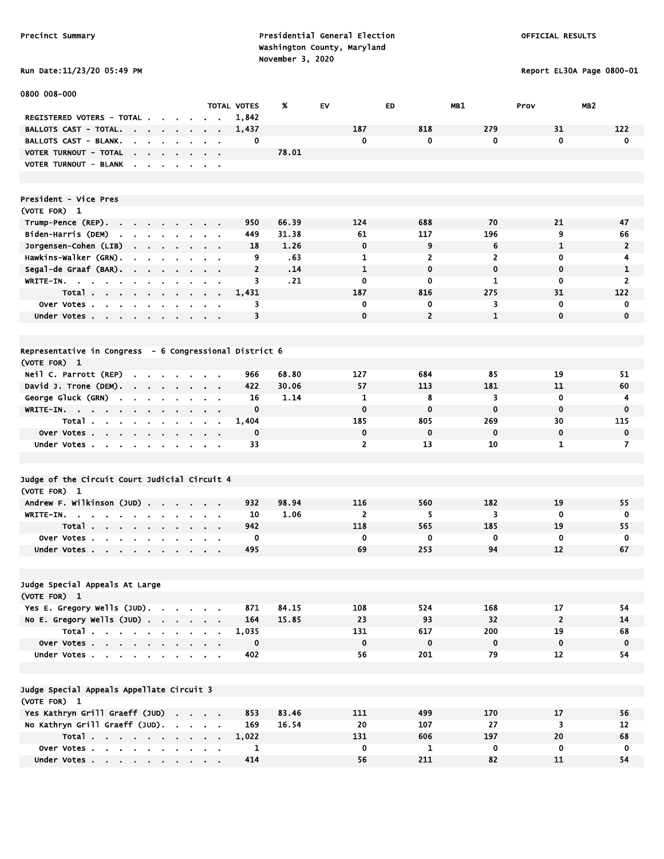# Run Date:11/23/20 05:49 PM Report EL30A Page 0800-01

| 0800 008-000                                                                                         |                                   |                    |       |                |                |              |                         |                 |
|------------------------------------------------------------------------------------------------------|-----------------------------------|--------------------|-------|----------------|----------------|--------------|-------------------------|-----------------|
|                                                                                                      |                                   | <b>TOTAL VOTES</b> | ж     | EV             | <b>ED</b>      | MB1          | Prov                    | MB <sub>2</sub> |
| REGISTERED VOTERS - TOTAL.<br>$\sim$                                                                 |                                   | 1,842              |       |                |                |              |                         |                 |
| BALLOTS CAST - TOTAL.<br>$\sim$<br>$\mathbf{r}$                                                      |                                   | 1,437              |       | 187            | 818            | 279          | 31                      | 122             |
| BALLOTS CAST - BLANK.<br><b>College</b><br>$\mathbf{a}$ , and $\mathbf{a}$ , and $\mathbf{a}$        | $\mathbf{r} = \mathbf{r}$         | 0                  |       | 0              | 0              | 0            | $\mathbf 0$             | $\mathbf 0$     |
| VOTER TURNOUT - TOTAL<br>the company of the company<br>$\sim$                                        |                                   |                    | 78.01 |                |                |              |                         |                 |
| VOTER TURNOUT - BLANK<br>$\sim$                                                                      |                                   |                    |       |                |                |              |                         |                 |
|                                                                                                      |                                   |                    |       |                |                |              |                         |                 |
|                                                                                                      |                                   |                    |       |                |                |              |                         |                 |
| President - Vice Pres                                                                                |                                   |                    |       |                |                |              |                         |                 |
| (VOTE FOR) 1                                                                                         |                                   |                    |       |                |                |              |                         |                 |
| Trump-Pence (REP).                                                                                   |                                   | 950                | 66.39 | 124            | 688            | 70           | 21                      | 47              |
| Biden-Harris (DEM)<br>$\mathbf{r}$ .<br>$\sim 10^{-1}$<br>$\mathbf{a} = \mathbf{a} + \mathbf{a}$     |                                   | 449                | 31.38 | 61             | 117            | 196          | 9                       | 66              |
| Jorgensen–Cohen (LIB)                                                                                |                                   | 18                 | 1.26  | $\mathbf 0$    | 9              | 6            | 1                       | $\overline{2}$  |
| Hawkins-Walker (GRN).<br>$\sim$<br>$\mathbf{r} = \mathbf{r} + \mathbf{r}$ . The $\mathbf{r}$         | $\sim$ $\sim$                     | 9                  | .63   | 1              | 2              | 2            | 0                       | 4               |
| Segal-de Graaf (BAR).<br>$\sim$                                                                      |                                   | $\overline{2}$     | .14   | $\mathbf{1}$   | $\mathbf 0$    | $\mathbf 0$  | $\mathbf 0$             | 1               |
| WRITE-IN.<br>$\sim$                                                                                  | $\mathbf{r}$                      | 3                  | .21   | 0              | 0              | 1            | 0                       | 2               |
| Total .<br>$\sim$<br>$\sim$<br>$\cdot$                                                               | $\blacksquare$                    | 1,431              |       | 187            | 816            | 275          | 31                      | 122             |
| Over Votes.<br>$\sim$<br>$\blacksquare$                                                              | $\sim$                            | 3                  |       | 0              | 0              | 3            | $\mathbf 0$             | 0               |
| Under Votes<br>$\sim$                                                                                | <b>Contract Contract</b>          | 3                  |       | $\mathbf{0}$   | $\overline{2}$ | $\mathbf{1}$ | $\mathbf 0$             | $\mathbf 0$     |
|                                                                                                      |                                   |                    |       |                |                |              |                         |                 |
|                                                                                                      |                                   |                    |       |                |                |              |                         |                 |
| Representative in Congress - 6 Congressional District 6                                              |                                   |                    |       |                |                |              |                         |                 |
| (VOTE FOR) 1                                                                                         |                                   |                    |       |                |                |              |                         |                 |
| Neil C. Parrott (REP)<br><b>Contract</b><br>$\mathbf{r} = \mathbf{r} + \mathbf{r}$ .                 | <b>Contract Contract Contract</b> | 966                | 68.80 | 127            | 684            | 85           | 19                      | 51              |
| David J. Trone (DEM).<br>$\sim$                                                                      | $\sim$ $\sim$                     | 422                | 30.06 | 57             | 113            | 181          | 11                      | 60              |
| George Gluck (GRN)<br><b>Contract Contract</b><br>$\mathbf{r}$<br>$\sim 10^{-1}$<br>$\sim$<br>$\sim$ | $\alpha$ , $\alpha$ , $\alpha$    | 16                 | 1.14  | 1              | 8              | 3            | $\mathbf 0$             | 4               |
| WRITE-IN.<br>$\mathbf{r}$<br>$\bullet$                                                               | $\mathbf{r} = \mathbf{r}$         | 0                  |       | $\mathbf 0$    | $\mathbf 0$    | $\mathbf 0$  | $\mathbf 0$             | $\mathbf 0$     |
| Total<br>$\blacksquare$                                                                              | $\sim$                            | 1,404              |       | 185            | 805            | 269          | 30                      | 115             |
| Over Votes<br>$\sim 10^{-11}$<br>$\blacksquare$                                                      |                                   | 0                  |       | $\mathbf 0$    | $\mathbf 0$    | $\mathbf 0$  | $\mathbf 0$             | $\mathbf 0$     |
| Under Votes                                                                                          |                                   | 33                 |       | $\overline{2}$ | 13             | 10           | $\mathbf{1}$            | $\overline{7}$  |
|                                                                                                      |                                   |                    |       |                |                |              |                         |                 |
|                                                                                                      |                                   |                    |       |                |                |              |                         |                 |
| Judge of the Circuit Court Judicial Circuit 4                                                        |                                   |                    |       |                |                |              |                         |                 |
| (VOTE FOR) 1                                                                                         |                                   |                    |       |                |                |              |                         |                 |
| Andrew F. Wilkinson (JUD)                                                                            |                                   | 932                | 98.94 | 116            | 560            | 182          | 19                      | 55              |
| WRITE-IN.<br>$\sim$ $\sim$ $\sim$<br>$\sim$<br>$\mathbf{r}$                                          | $\sim$ $\sim$                     | 10                 | 1.06  | $\overline{2}$ | 5<br>565       | 3            | $\mathbf 0$             | 0               |
| Total                                                                                                |                                   | 942                |       | 118            |                | 185          | 19                      | 55              |
| Over Votes                                                                                           |                                   | 0<br>495           |       | 0<br>69        | 0<br>253       | 0<br>94      | 0<br>12                 | 0<br>67         |
| Under Votes<br>$\blacksquare$                                                                        |                                   |                    |       |                |                |              |                         |                 |
|                                                                                                      |                                   |                    |       |                |                |              |                         |                 |
| Judge Special Appeals At Large                                                                       |                                   |                    |       |                |                |              |                         |                 |
| (VOTE FOR) 1                                                                                         |                                   |                    |       |                |                |              |                         |                 |
| Yes E. Gregory Wells (JUD).                                                                          |                                   | 871                | 84.15 | 108            | 524            | 168          | 17                      | 54              |
| No E. Gregory Wells (JUD)                                                                            |                                   | 164                | 15.85 | 23             | 93             | 32           | $\overline{2}$          | 14              |
| Total                                                                                                |                                   | 1,035              |       | 131            | 617            | 200          | 19                      | 68              |
| Over Votes                                                                                           |                                   | $\mathbf 0$        |       | $\mathbf 0$    | $\bf{0}$       | $\bf{0}$     | $\mathbf 0$             | $\mathbf 0$     |
| Under Votes                                                                                          |                                   | 402                |       | 56             | 201            | 79           | 12                      | 54              |
|                                                                                                      |                                   |                    |       |                |                |              |                         |                 |
|                                                                                                      |                                   |                    |       |                |                |              |                         |                 |
| Judge Special Appeals Appellate Circuit 3                                                            |                                   |                    |       |                |                |              |                         |                 |
| (VOTE FOR) 1                                                                                         |                                   |                    |       |                |                |              |                         |                 |
| Yes Kathryn Grill Graeff (JUD)                                                                       |                                   | 853                | 83.46 | 111            | 499            | 170          | 17                      | 56              |
| No Kathryn Grill Graeff (JUD).                                                                       |                                   | 169                | 16.54 | 20             | 107            | 27           | $\overline{\mathbf{3}}$ | 12              |
| Total                                                                                                |                                   | 1,022              |       | 131            | 606            | 197          | 20                      | 68              |
| Over Votes                                                                                           |                                   | 1                  |       | $\mathbf 0$    | $\mathbf{1}$   | $\mathbf 0$  | $\mathbf 0$             | $\mathbf 0$     |
| Under Votes                                                                                          |                                   | 414                |       | 56             | 211            | 82           | 11                      | 54              |
|                                                                                                      |                                   |                    |       |                |                |              |                         |                 |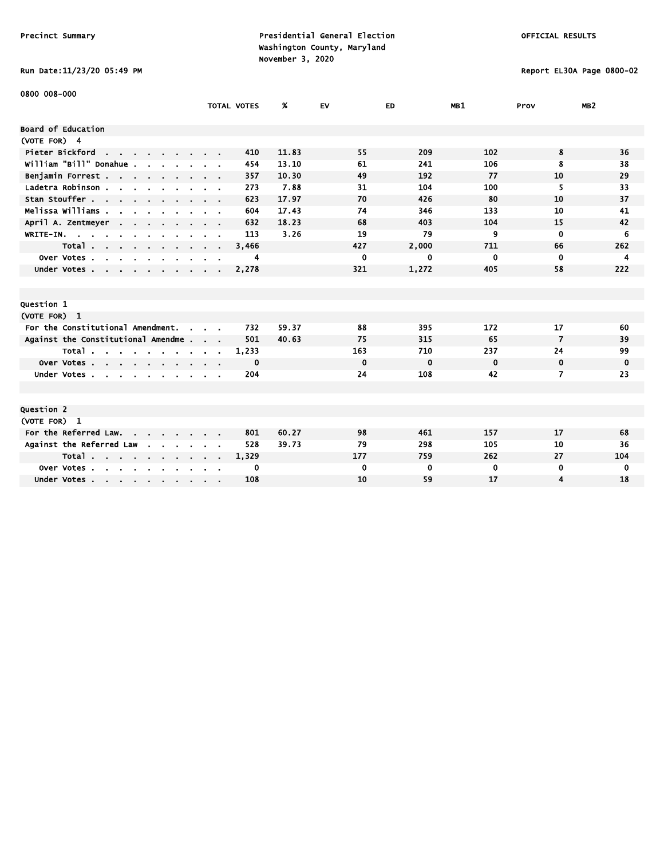# Run Date:11/23/20 05:49 PM Report EL30A Page 0800-02

| 0800 008-000                                       |                    |              |             |             |             |                |                 |
|----------------------------------------------------|--------------------|--------------|-------------|-------------|-------------|----------------|-----------------|
|                                                    | <b>TOTAL VOTES</b> | %            | <b>EV</b>   | ED          | MB1         | Prov           | MB <sub>2</sub> |
| Board of Education                                 |                    |              |             |             |             |                |                 |
| (VOTE FOR) 4                                       |                    |              |             |             |             |                |                 |
| Pieter Bickford<br>the contract of the contract of |                    | 11.83<br>410 | 55          | 209         | 102         | 8              | 36              |
| william "Bill" Donahue.                            |                    | 13.10<br>454 | 61          | 241         | 106         | 8              | 38              |
| Benjamin Forrest                                   |                    | 357<br>10.30 | 49          | 192         | 77          | 10             | 29              |
| Ladetra Robinson                                   |                    | 273<br>7.88  | 31          | 104         | 100         | 5              | 33              |
| Stan Stouffer                                      |                    | 623<br>17.97 | 70          | 426         | 80          | 10             | 37              |
| Melissa Williams .<br>$\mathbf{r}$                 |                    | 17.43<br>604 | 74          | 346         | 133         | 10             | 41              |
| April A. Zentmeyer<br><b>Contract</b>              |                    | 18.23<br>632 | 68          | 403         | 104         | 15             | 42              |
| WRITE-IN.                                          |                    | 113<br>3.26  | 19          | 79          | 9           | $\mathbf 0$    | 6               |
| Total<br>$\mathbf{r}$ .                            | 3,466              |              | 427         | 2,000       | 711         | 66             | 262             |
| Over Votes<br>$\sim$                               |                    | 4            | 0           | 0           | 0           | $\mathbf 0$    | 4               |
| Under Votes                                        | 2,278              |              | 321         | 1,272       | 405         | 58             | 222             |
|                                                    |                    |              |             |             |             |                |                 |
|                                                    |                    |              |             |             |             |                |                 |
| Question 1                                         |                    |              |             |             |             |                |                 |
| (VOTE FOR) 1                                       |                    |              |             |             |             |                |                 |
| For the Constitutional Amendment.                  |                    | 732<br>59.37 | 88          | 395         | 172         | 17             | 60              |
| Against the Constitutional Amendme                 |                    | 501<br>40.63 | 75          | 315         | 65          | $\overline{7}$ | 39              |
| Total                                              | 1,233              |              | 163         | 710         | 237         | 24             | 99              |
| Over Votes                                         |                    | 0            | $\mathbf 0$ | $\mathbf 0$ | $\mathbf 0$ | $\mathbf 0$    | 0               |
| Under Votes                                        |                    | 204          | 24          | 108         | 42          | 7              | 23              |
|                                                    |                    |              |             |             |             |                |                 |
|                                                    |                    |              |             |             |             |                |                 |
| Question 2                                         |                    |              |             |             |             |                |                 |
| (VOTE FOR) 1                                       |                    |              |             |             |             |                |                 |
| For the Referred Law.                              |                    | 60.27<br>801 | 98          | 461         | 157         | 17             | 68              |
| Against the Referred Law                           |                    | 39.73<br>528 | 79          | 298         | 105         | 10             | 36              |
| Total                                              | 1,329              |              | 177         | 759         | 262         | 27             | 104             |
| Over Votes.<br>$\sim$ $\sim$<br>$\sim$             |                    | 0            | $\mathbf 0$ | 0           | 0           | 0              | 0               |
| Under Votes                                        |                    | 108          | 10          | 59          | 17          | 4              | 18              |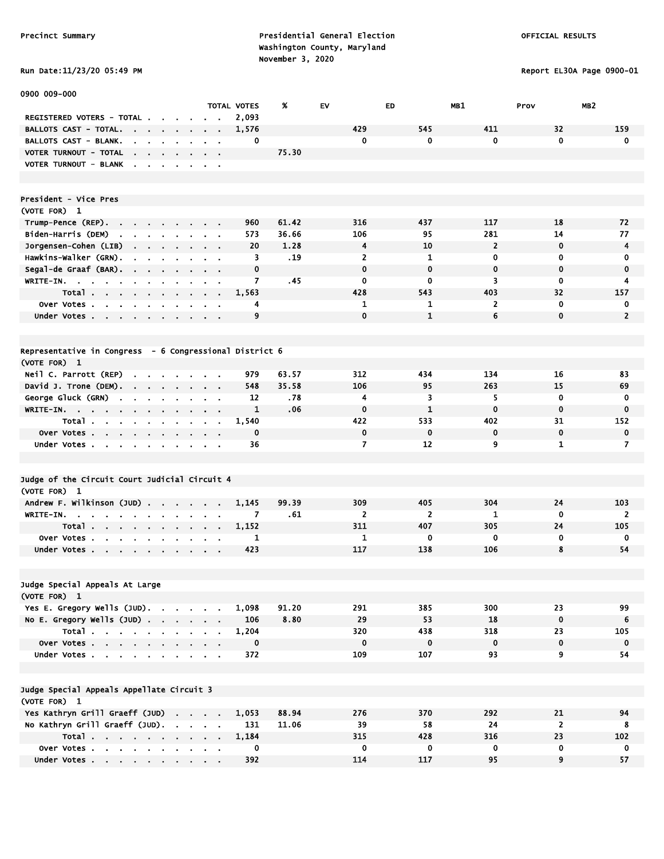#### Run Date:11/23/20 05:49 PM Report EL30A Page 0900-01

| 0900 009-000                                                                                                                |                                                                                                       |                    |       |                |                |                |                |                 |
|-----------------------------------------------------------------------------------------------------------------------------|-------------------------------------------------------------------------------------------------------|--------------------|-------|----------------|----------------|----------------|----------------|-----------------|
|                                                                                                                             |                                                                                                       | <b>TOTAL VOTES</b> | %     | EV             | <b>ED</b>      | MB1            | Prov           | MB <sub>2</sub> |
| REGISTERED VOTERS - TOTAL.                                                                                                  |                                                                                                       | 2,093              |       |                |                |                |                |                 |
| BALLOTS CAST - TOTAL.<br><b>Contract</b><br>$\sim$ 100 $\sim$ 100 $\sim$<br>$\blacksquare$                                  |                                                                                                       | 1,576              |       | 429            | 545            | 411            | 32             | 159             |
| BALLOTS CAST - BLANK.<br>$\mathbf{r}$<br>$\mathbf{r}$                                                                       |                                                                                                       | 0                  |       | 0              | 0              | $\mathbf 0$    | $\mathbf 0$    | $\mathbf 0$     |
| VOTER TURNOUT - TOTAL<br>$\cdot$<br>$\mathbf{r} = \mathbf{r} + \mathbf{r}$ .                                                |                                                                                                       |                    | 75.30 |                |                |                |                |                 |
| <b>VOTER TURNOUT - BLANK</b><br>$\mathbf{r}$<br>$\overline{\phantom{a}}$<br>$\sim$<br>$\sim$<br>$\cdot$                     | $\mathbf{r} = \mathbf{r}$                                                                             |                    |       |                |                |                |                |                 |
|                                                                                                                             |                                                                                                       |                    |       |                |                |                |                |                 |
|                                                                                                                             |                                                                                                       |                    |       |                |                |                |                |                 |
| President - Vice Pres                                                                                                       |                                                                                                       |                    |       |                |                |                |                |                 |
| (VOTE FOR) 1                                                                                                                |                                                                                                       |                    |       |                |                |                |                |                 |
| Trump-Pence (REP).<br>$\mathbf{r}$<br>$\mathbf{r}$                                                                          |                                                                                                       | 960                | 61.42 | 316            | 437            | 117            | 18             | 72              |
| Biden-Harris (DEM)<br>$\sim$<br>$\sim 10^{-11}$<br>$\mathbf{a}$ , $\mathbf{a}$ , $\mathbf{a}$ , $\mathbf{a}$ , $\mathbf{a}$ |                                                                                                       | 573                | 36.66 | 106            | 95             | 281            | 14             | 77              |
| Jorgensen-Cohen (LIB)                                                                                                       | $\mathbf{r} = \mathbf{r} + \mathbf{r}$ .                                                              | 20                 | 1.28  | 4              | 10             | $\overline{2}$ | $\mathbf 0$    | 4               |
| Hawkins-Walker (GRN).<br>$\sim$<br>$\sim$                                                                                   |                                                                                                       | 3                  | . 19  | $\overline{2}$ | 1              | 0              | 0              | 0               |
| Segal-de Graaf (BAR).<br>$\sim$<br>$\mathbf{r}$ .                                                                           | $\bullet$                                                                                             | $\mathbf 0$        |       | $\mathbf 0$    | $\mathbf 0$    | $\mathbf 0$    | $\mathbf 0$    | $\mathbf 0$     |
| WRITE-IN. .<br>$\mathbf{a} = \mathbf{a} \cdot \mathbf{a}$<br>$\sim$<br>$\sim$<br>$\blacksquare$<br>$\bullet$<br>$\bullet$   | $\bullet$<br>$\sim$ 10 $\pm$                                                                          | 7                  | . 45  | 0              | 0              | 3              | $\mathbf 0$    | 4               |
| Total                                                                                                                       | $\begin{array}{cccccccccccccc} \bullet & \bullet & \bullet & \bullet & \bullet & \bullet \end{array}$ | 1,563              |       | 428            | 543            | 403            | 32             | 157             |
| Over Votes<br>$\sim$ 100 $\pm$                                                                                              | $\sim$ 100 $\pm$                                                                                      | 4                  |       | 1              | 1              | 2              | $\mathbf 0$    | 0               |
| Under Votes<br>$\sim 100$                                                                                                   | $\mathbf{a}$ , $\mathbf{a}$ , $\mathbf{a}$ , $\mathbf{a}$                                             | 9                  |       | $\mathbf 0$    | $\mathbf{1}$   | 6              | $\mathbf 0$    | $\overline{2}$  |
|                                                                                                                             |                                                                                                       |                    |       |                |                |                |                |                 |
|                                                                                                                             |                                                                                                       |                    |       |                |                |                |                |                 |
| Representative in Congress - 6 Congressional District 6<br>(VOTE FOR) 1                                                     |                                                                                                       |                    |       |                |                |                |                |                 |
| Neil C. Parrott (REP)<br>$\blacksquare$<br>$\sim$ $\sim$                                                                    |                                                                                                       | 979                | 63.57 | 312            | 434            | 134            | 16             | 83              |
| David J. Trone (DEM).<br>$\mathbf{r} = \mathbf{r} + \mathbf{r}$ .                                                           |                                                                                                       | 548                | 35.58 | 106            | 95             | 263            | 15             | 69              |
| $\sim$<br>George Gluck (GRN)                                                                                                | $\mathbf{r}$<br>$\sim$ $\sim$                                                                         | 12                 | .78   | 4              | 3              | 5.             | $\mathbf 0$    | $\mathbf 0$     |
| $\blacksquare$<br>$\blacksquare$<br>$\blacksquare$<br>$\blacksquare$<br>$\blacksquare$                                      | $\bullet$<br>$\sim$ 10 $\pm$                                                                          | $\mathbf{1}$       | .06   | $\mathbf 0$    | $\mathbf{1}$   | $\mathbf 0$    | $\mathbf 0$    | $\mathbf 0$     |
| WRITE-IN.<br>Total                                                                                                          | $\mathbf{u} = \mathbf{u} \cdot \mathbf{u}$<br>$\sim 100$                                              | 1,540              |       | 422            | 533            | 402            | 31             | 152             |
| $\sim$ 10 $\pm$<br>Over Votes                                                                                               | $\mathbf{r} = \mathbf{r} + \mathbf{r}$ .                                                              | $\mathbf 0$        |       | $\mathbf 0$    | $\mathbf{0}$   | $\mathbf 0$    | $\mathbf 0$    | 0               |
|                                                                                                                             | $\bullet$<br>$\sim$                                                                                   | 36                 |       | $\overline{ }$ | 12             | 9              | 1              | $\overline{7}$  |
| Under Votes<br>$\sim$<br>$\bullet$                                                                                          | $\sim$ $\sim$                                                                                         |                    |       |                |                |                |                |                 |
|                                                                                                                             |                                                                                                       |                    |       |                |                |                |                |                 |
| Judge of the Circuit Court Judicial Circuit 4                                                                               |                                                                                                       |                    |       |                |                |                |                |                 |
| (VOTE FOR) 1                                                                                                                |                                                                                                       |                    |       |                |                |                |                |                 |
| Andrew F. Wilkinson (JUD).<br>$\mathbf{a}$ , $\mathbf{a}$ , $\mathbf{a}$                                                    | $\sim$<br>$\mathbf{r}=\mathbf{r}$                                                                     | 1,145              | 99.39 | 309            | 405            | 304            | 24             | 103             |
| WRITE-IN.<br>$\sim$<br>$\blacksquare$                                                                                       |                                                                                                       | 7                  | .61   | $\overline{2}$ | $\overline{2}$ | 1              | $\mathbf 0$    | $\overline{2}$  |
| Total                                                                                                                       | $\sim 100$<br>$\sim$ 10 $\pm$                                                                         | 1.152              |       | 311            | 407            | 305            | 24             | 105             |
| Over Votes.<br>$\sim$ 100 $\sim$<br><b>College</b><br>$\sim$                                                                |                                                                                                       | 1                  |       | 1              | $\mathbf 0$    | $\mathbf 0$    | 0              | 0               |
| Under Votes                                                                                                                 | $\sim$ $\sim$                                                                                         | 423                |       | 117            | 138            | 106            | 8              | 54              |
|                                                                                                                             |                                                                                                       |                    |       |                |                |                |                |                 |
|                                                                                                                             |                                                                                                       |                    |       |                |                |                |                |                 |
| Judge Special Appeals At Large                                                                                              |                                                                                                       |                    |       |                |                |                |                |                 |
| (VOTE FOR) 1                                                                                                                |                                                                                                       |                    |       |                |                |                |                |                 |
| Yes E. Gregory Wells (JUD).                                                                                                 |                                                                                                       | 1,098              | 91.20 | 291            | 385            | 300            | 23             | 99              |
| No E. Gregory Wells $(JUD)$ .                                                                                               |                                                                                                       | 106                | 8.80  | 29             | 53             | 18             | $\mathbf 0$    | 6               |
| Total                                                                                                                       |                                                                                                       | 1,204              |       | 320            | 438            | 318            | 23             | 105             |
| Over Votes                                                                                                                  |                                                                                                       | $\mathbf 0$        |       | $\mathbf 0$    | $\mathbf 0$    | $\mathbf 0$    | $\mathbf 0$    | $\mathbf 0$     |
| Under Votes                                                                                                                 |                                                                                                       | 372                |       | 109            | 107            | 93             | 9              | 54              |
|                                                                                                                             |                                                                                                       |                    |       |                |                |                |                |                 |
| Judge Special Appeals Appellate Circuit 3                                                                                   |                                                                                                       |                    |       |                |                |                |                |                 |
| (VOTE FOR) 1                                                                                                                |                                                                                                       |                    |       |                |                |                |                |                 |
| Yes Kathryn Grill Graeff (JUD)                                                                                              |                                                                                                       | 1,053              | 88.94 | 276            | 370            | 292            | 21             | 94              |
| No Kathryn Grill Graeff (JUD).                                                                                              |                                                                                                       | 131                | 11.06 | 39             | 58             | 24             | $\overline{2}$ | 8               |
| Total                                                                                                                       |                                                                                                       | 1,184              |       | 315            | 428            | 316            | 23             | 102             |
| Over Votes                                                                                                                  | <b>Contract Contract</b>                                                                              | 0                  |       | $\mathbf 0$    | 0              | $\mathbf 0$    | $\mathbf 0$    | $\mathbf 0$     |
| Under Votes                                                                                                                 |                                                                                                       | 392                |       | 114            | 117            | 95             | 9              | 57              |
|                                                                                                                             |                                                                                                       |                    |       |                |                |                |                |                 |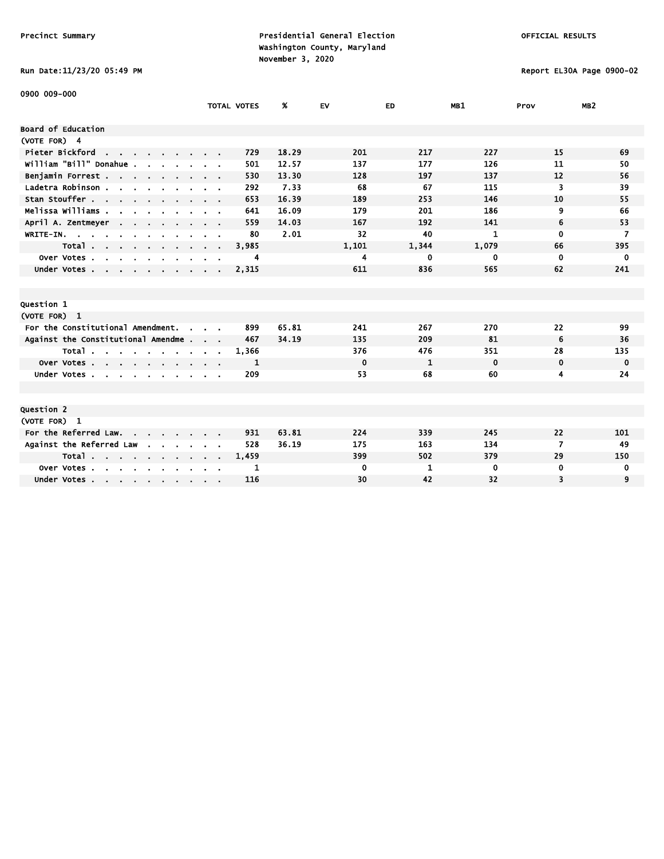# Run Date:11/23/20 05:49 PM Report EL30A Page 0900-02

| 0900 009-000                                          |                    |       |             |       |             |                |                 |
|-------------------------------------------------------|--------------------|-------|-------------|-------|-------------|----------------|-----------------|
|                                                       | <b>TOTAL VOTES</b> | %     | EV          | ED    | MB1         | Prov           | MB <sub>2</sub> |
| Board of Education                                    |                    |       |             |       |             |                |                 |
| (VOTE FOR) 4                                          |                    |       |             |       |             |                |                 |
| Pieter Bickford<br>the contract of the contract of    | 729                | 18.29 | 201         | 217   | 227         | 15             | 69              |
| william "Bill" Donahue .                              | 501                | 12.57 | 137         | 177   | 126         | 11             | 50              |
| Benjamin Forrest                                      | 530                | 13.30 | 128         | 197   | 137         | 12             | 56              |
| Ladetra Robinson                                      | 292                | 7.33  | 68          | 67    | 115         | 3              | 39              |
| Stan Stouffer                                         | 653                | 16.39 | 189         | 253   | 146         | 10             | 55              |
| Melissa Williams .<br>$\sim$                          | 641                | 16.09 | 179         | 201   | 186         | 9              | 66              |
| April A. Zentmeyer<br><b>Contract Contract</b>        | 559                | 14.03 | 167         | 192   | 141         | 6              | 53              |
| WRITE-IN.                                             | 80                 | 2.01  | 32          | 40    | 1           | $\mathbf{0}$   | 7               |
| Total                                                 | 3,985              |       | 1,101       | 1,344 | 1,079       | 66             | 395             |
| Over Votes<br>$\sim$                                  | 4                  |       | 4           | 0     | 0           | 0              | 0               |
| Under Votes                                           | 2,315              |       | 611         | 836   | 565         | 62             | 241             |
|                                                       |                    |       |             |       |             |                |                 |
|                                                       |                    |       |             |       |             |                |                 |
| Question 1                                            |                    |       |             |       |             |                |                 |
| (VOTE FOR) 1                                          |                    |       |             |       |             |                |                 |
| For the Constitutional Amendment.                     | 899                | 65.81 | 241         | 267   | 270         | 22             | 99              |
| Against the Constitutional Amendme                    | 467                | 34.19 | 135         | 209   | 81          | 6              | 36              |
| Total                                                 | 1,366              |       | 376         | 476   | 351         | 28             | 135             |
| Over Votes                                            | 1                  |       | $\mathbf 0$ | 1     | $\mathbf 0$ | $\mathbf 0$    | $\mathbf 0$     |
| Under Votes<br>$\sim$                                 | 209                |       | 53          | 68    | 60          | 4              | 24              |
|                                                       |                    |       |             |       |             |                |                 |
|                                                       |                    |       |             |       |             |                |                 |
| Question 2                                            |                    |       |             |       |             |                |                 |
| (VOTE FOR) 1                                          |                    |       |             |       |             |                |                 |
| For the Referred Law. .                               | 931                | 63.81 | 224         | 339   | 245         | 22             | 101             |
| Against the Referred Law                              | 528                | 36.19 | 175         | 163   | 134         | $\overline{7}$ | 49              |
| Total                                                 | 1,459              |       | 399         | 502   | 379         | 29             | 150             |
| Over Votes.<br><b>Service Control</b><br>$\mathbf{r}$ | 1                  |       | 0           | 1     | $\bf{0}$    | 0              | 0               |
| Under Votes                                           | 116                |       | 30          | 42    | 32          | 3              | 9               |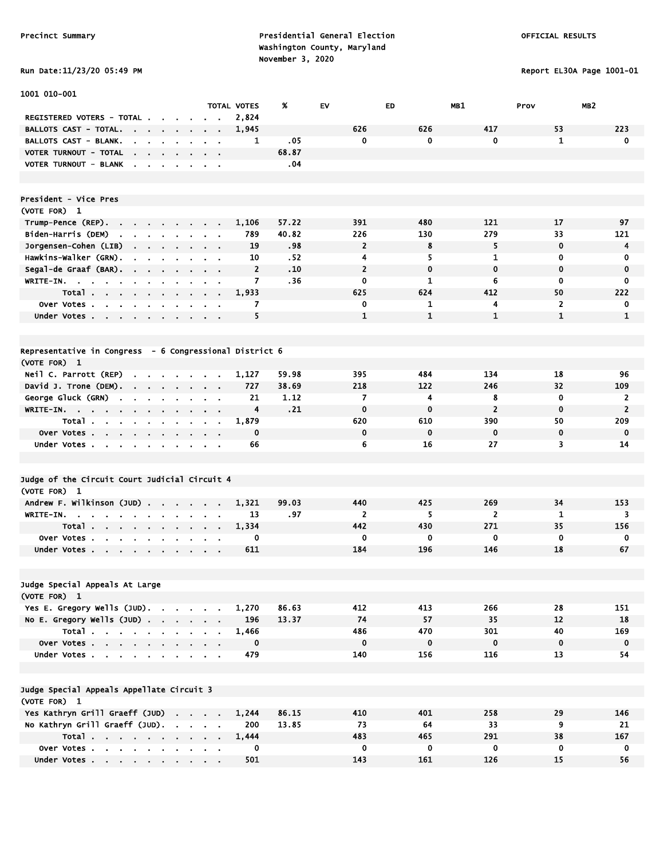Run Date:11/23/20 05:49 PM Report EL30A Page 1001-01

| 1001 010-001                                                                                   |                                                    |                    |       |                |              |                |                         |                |
|------------------------------------------------------------------------------------------------|----------------------------------------------------|--------------------|-------|----------------|--------------|----------------|-------------------------|----------------|
|                                                                                                |                                                    | <b>TOTAL VOTES</b> | %     | EV             | ED           | MB1            | MB <sub>2</sub><br>Prov |                |
| REGISTERED VOTERS - TOTAL.                                                                     |                                                    | 2,824              |       |                |              |                |                         |                |
| <b>BALLOTS CAST - TOTAL.</b><br>$\sim$<br>$\sim 100$<br>$\sim$<br>$\sim 10^{-1}$               | $\bullet$                                          | 1,945              |       | 626            | 626          | 417            | 53                      | 223            |
| BALLOTS CAST - BLANK.<br>$\mathbf{r}$                                                          |                                                    | 1                  | .05   | $\mathbf 0$    | $\mathbf 0$  | $\mathbf{0}$   | $\mathbf{1}$            | 0              |
| VOTER TURNOUT - TOTAL<br>$\mathbf{r}$<br>$\mathbf{r}$ .<br>$\sim$                              |                                                    |                    | 68.87 |                |              |                |                         |                |
| <b>VOTER TURNOUT - BLANK</b><br>$\overline{\phantom{a}}$<br>$\blacksquare$                     | $\alpha = 0.1$                                     |                    | .04   |                |              |                |                         |                |
|                                                                                                |                                                    |                    |       |                |              |                |                         |                |
|                                                                                                |                                                    |                    |       |                |              |                |                         |                |
| <b>President - Vice Pres</b>                                                                   |                                                    |                    |       |                |              |                |                         |                |
| (VOTE FOR) 1                                                                                   |                                                    |                    |       |                |              |                |                         |                |
| Trump-Pence (REP).                                                                             |                                                    | 1,106              | 57.22 | 391            | 480          | 121            | 17                      | 97             |
| Biden-Harris (DEM)<br>the company of the company                                               | $\sim$ $\sim$                                      | 789                | 40.82 | 226            | 130          | 279            | 33                      | 121            |
| Jorgensen-Cohen (LIB)<br>the company of the company                                            | $\sim$ 100 $\sim$ 100 $\sim$                       | 19                 | .98   | $\overline{2}$ | 8            | 5              | 0                       | 4              |
| Hawkins-Walker (GRN).                                                                          | $\sim$ $\sim$                                      | 10                 | .52   | 4              | 5            | $\mathbf{1}$   | 0                       | 0              |
| Segal-de Graaf (BAR).<br>$\mathcal{L}$<br>$\sim 10^{-1}$<br>$\sim$<br>$\sim$<br>$\blacksquare$ | $\alpha = 0.1$                                     | $\overline{2}$     | .10   | $\overline{2}$ | $\mathbf 0$  | $\mathbf 0$    | 0                       | $\mathbf 0$    |
| WRITE-IN.<br>$\sim 100$<br>$\sim$<br>$\mathbf{r} = \mathbf{r}$<br>$\bullet$<br>$\mathbf{r}$    |                                                    | 7                  | .36   | 0              | $\mathbf{1}$ | 6              | $\mathbf 0$             | $\bf{0}$       |
| Total                                                                                          | $\sim$                                             | 1,933              |       | 625            | 624          | 412            | 50                      | 222            |
| Over Votes.<br>$\sim 100$ km s $^{-1}$<br>$\sim$<br>$\sim$<br>$\blacksquare$                   |                                                    | 7                  |       | 0              | 1            | 4              | $\overline{2}$          | 0              |
| Under Votes                                                                                    |                                                    | 5                  |       | $\mathbf{1}$   | $\mathbf{1}$ | $\mathbf{1}$   | $\mathbf{1}$            | $\mathbf{1}$   |
|                                                                                                |                                                    |                    |       |                |              |                |                         |                |
|                                                                                                |                                                    |                    |       |                |              |                |                         |                |
| Representative in Congress - 6 Congressional District 6                                        |                                                    |                    |       |                |              |                |                         |                |
| (VOTE FOR) 1                                                                                   |                                                    |                    |       |                |              |                |                         |                |
| Neil C. Parrott (REP)                                                                          |                                                    | 1,127              | 59.98 | 395            | 484          | 134            | 18                      | 96             |
| David J. Trone (DEM).<br>$\sim$<br>$\sim$<br>$\sim$<br>$\sim$                                  | $\sim 100$<br>$\mathbf{r}$                         | 727                | 38.69 | 218            | 122          | 246            | 32                      | 109            |
| George Gluck (GRN)<br>$\blacksquare$<br>$\blacksquare$                                         | $\alpha = 0.1$                                     | 21                 | 1.12  | 7              | 4            | 8              | $\mathbf 0$             | $\overline{2}$ |
| WRITE-IN.<br>$\sim 10^{-11}$                                                                   | $\mathbf{A}$ , and $\mathbf{A}$ , and $\mathbf{A}$ | 4                  | .21   | $\mathbf 0$    | $\mathbf 0$  | $\overline{2}$ | $\mathbf 0$             | $\overline{2}$ |
| Total.<br>$\sim$<br>$\mathbf{r}$                                                               |                                                    | 1,879              |       | 620            | 610          | 390            | 50                      | 209            |
| Over Votes<br>$\sim$                                                                           |                                                    | 0                  |       | $\mathbf 0$    | $\mathbf 0$  | $\mathbf 0$    | $\mathbf 0$             | $\mathbf 0$    |
| Under Votes<br>$\sim$<br>$\sim$<br>$\mathbf{r}$<br>$\blacksquare$                              | $\sim$ 10 $\sim$                                   | 66                 |       | 6              | 16           | 27             | 3                       | 14             |
|                                                                                                |                                                    |                    |       |                |              |                |                         |                |
|                                                                                                |                                                    |                    |       |                |              |                |                         |                |
| Judge of the Circuit Court Judicial Circuit 4                                                  |                                                    |                    |       |                |              |                |                         |                |
| (VOTE FOR) 1                                                                                   |                                                    |                    |       |                |              |                |                         |                |
| Andrew F. Wilkinson (JUD)<br>$\mathbf{r}$ .                                                    | $\sim$<br>$\alpha$ , $\beta$ , $\alpha$            | 1,321              | 99.03 | 440            | 425          | 269            | 34                      | 153            |
| WRITE-IN.                                                                                      | $\sim$                                             | 13                 | .97   | $\overline{2}$ | 5            | $\overline{2}$ | 1                       | 3              |
| Total<br>$\mathcal{A}^{\mathcal{A}}$ and $\mathcal{A}^{\mathcal{A}}$<br>$\sim$                 | $\sim$                                             | 1,334              |       | 442            | 430          | 271            | 35                      | 156            |
| over Votes.<br>$\mathbf{r}$                                                                    |                                                    | 0                  |       | 0              | 0            | $\mathbf 0$    | $\mathbf 0$             | 0              |
| Under Votes<br>$\sim$                                                                          |                                                    | 611                |       | 184            | 196          | 146            | 18                      | 67             |
|                                                                                                |                                                    |                    |       |                |              |                |                         |                |
|                                                                                                |                                                    |                    |       |                |              |                |                         |                |
| Judge Special Appeals At Large                                                                 |                                                    |                    |       |                |              |                |                         |                |
| (VOTE FOR) 1                                                                                   |                                                    |                    |       |                |              |                |                         |                |
| Yes E. Gregory Wells (JUD).                                                                    |                                                    | 1,270              | 86.63 | 412            | 413          | 266            | 28                      | 151            |
| No E. Gregory Wells (JUD)                                                                      |                                                    | 196                | 13.37 | 74             | 57           | 35             | 12                      | 18             |
| Total                                                                                          |                                                    | 1,466              |       | 486            | 470          | 301            | 40                      | 169            |
| Over Votes                                                                                     |                                                    | $\mathbf 0$        |       | $\mathbf 0$    | $\mathbf 0$  | $\bf{0}$       | $\mathbf 0$             | $\mathbf 0$    |
| Under Votes                                                                                    | <b>Contract Contract Contract</b>                  | 479                |       | 140            | 156          | 116            | 13                      | 54             |
|                                                                                                |                                                    |                    |       |                |              |                |                         |                |
|                                                                                                |                                                    |                    |       |                |              |                |                         |                |
| Judge Special Appeals Appellate Circuit 3                                                      |                                                    |                    |       |                |              |                |                         |                |
| (VOTE FOR) 1                                                                                   |                                                    |                    |       |                |              |                |                         |                |
| Yes Kathryn Grill Graeff (JUD)                                                                 |                                                    | 1,244              | 86.15 | 410            | 401          | 258            | 29                      | 146            |
| No Kathryn Grill Graeff (JUD).                                                                 |                                                    | 200                | 13.85 | 73             | 64           | 33             | 9                       | 21             |
| Total $\cdots$ $\cdots$ $\cdots$                                                               |                                                    | 1,444              |       | 483            | 465          | 291            | 38                      | 167            |
| Over Votes                                                                                     |                                                    | 0                  |       | 0              | 0            | $\mathbf 0$    | 0                       | 0              |
| Under Votes                                                                                    |                                                    | 501                |       | 143            | 161          | 126            | 15                      | 56             |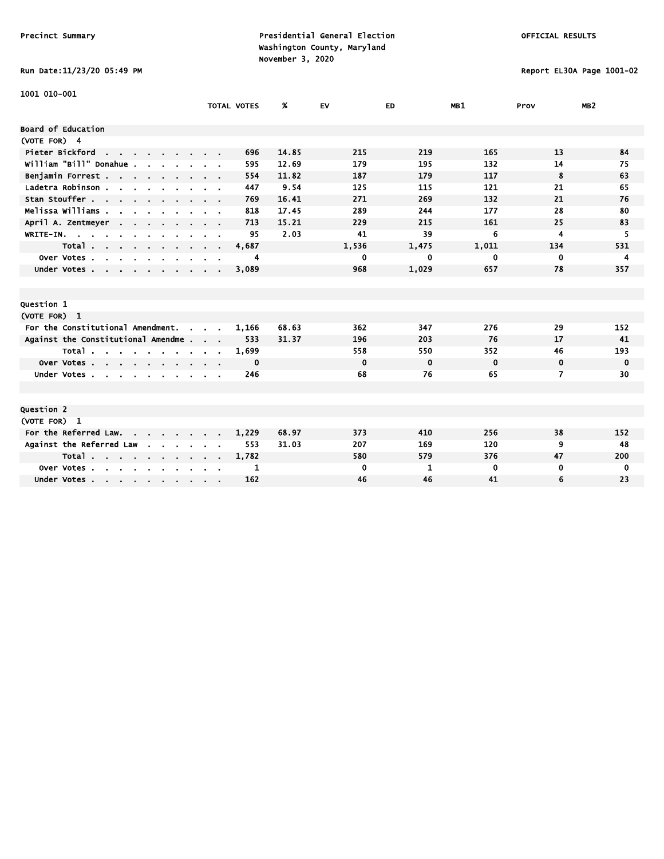### Run Date:11/23/20 05:49 PM Report EL30A Page 1001-02

| 1001 010-001                                       |                    |       |             |             |             |      |                 |
|----------------------------------------------------|--------------------|-------|-------------|-------------|-------------|------|-----------------|
|                                                    | <b>TOTAL VOTES</b> | %     | <b>EV</b>   | ED          | MB1         | Prov | MB <sub>2</sub> |
| <b>Board of Education</b>                          |                    |       |             |             |             |      |                 |
|                                                    |                    |       |             |             |             |      |                 |
| (VOTE FOR) 4                                       |                    |       |             |             |             |      |                 |
| Pieter Bickford<br>the contract of the contract of | 696                | 14.85 | 215         | 219         | 165         | 13   | 84              |
| william "Bill" Donahue.                            | 595                | 12.69 | 179         | 195         | 132         | 14   | 75              |
| Benjamin Forrest.                                  | 554                | 11.82 | 187         | 179         | 117         | 8    | 63              |
| Ladetra Robinson                                   | 447                | 9.54  | 125         | 115         | 121         | 21   | 65              |
| Stan Stouffer                                      | 769                | 16.41 | 271         | 269         | 132         | 21   | 76              |
| Melissa Williams                                   | 818                | 17.45 | 289         | 244         | 177         | 28   | 80              |
| April A. Zentmeyer                                 | 713                | 15.21 | 229         | 215         | 161         | 25   | 83              |
| WRITE-IN.                                          | 95                 | 2.03  | 41          | 39          | 6           | 4    | 5               |
| Total                                              | 4,687              |       | 1,536       | 1,475       | 1,011       | 134  | 531             |
| Over Votes<br>$\sim$<br>$\sim$<br>$\blacksquare$   | 4                  |       | 0           | 0           | 0           | 0    | 4               |
| Under Votes                                        | 3,089              |       | 968         | 1,029       | 657         | 78   | 357             |
|                                                    |                    |       |             |             |             |      |                 |
|                                                    |                    |       |             |             |             |      |                 |
| <b>Question 1</b>                                  |                    |       |             |             |             |      |                 |
| (VOTE FOR) 1                                       |                    |       |             |             |             |      |                 |
| For the Constitutional Amendment.<br>$\sim$        | 1,166              | 68.63 | 362         | 347         | 276         | 29   | 152             |
| Against the Constitutional Amendme                 | 533                | 31.37 | 196         | 203         | 76          | 17   | 41              |
| Total                                              | 1,699              |       | 558         | 550         | 352         | 46   | 193             |
| Over Votes                                         | 0                  |       | $\mathbf 0$ | $\mathbf 0$ | $\mathbf 0$ | 0    | 0               |
| Under Votes                                        | 246                |       | 68          | 76          | 65          | 7    | 30              |
|                                                    |                    |       |             |             |             |      |                 |
|                                                    |                    |       |             |             |             |      |                 |
| <b>Question 2</b>                                  |                    |       |             |             |             |      |                 |
| (VOTE FOR) 1                                       |                    |       |             |             |             |      |                 |
| For the Referred Law.                              | 1,229              | 68.97 | 373         | 410         | 256         | 38   | 152             |
| Against the Referred Law<br><b>Service Control</b> | 553                | 31.03 | 207         | 169         | 120         | 9    | 48              |
| Total                                              | 1,782              |       | 580         | 579         | 376         | 47   | 200             |
| Over Votes<br>$\sim$                               | 1                  |       | 0           | 1           | 0           | 0    | 0               |
| Under Votes                                        | 162                |       | 46          | 46          | 41          | 6    | 23              |
|                                                    |                    |       |             |             |             |      |                 |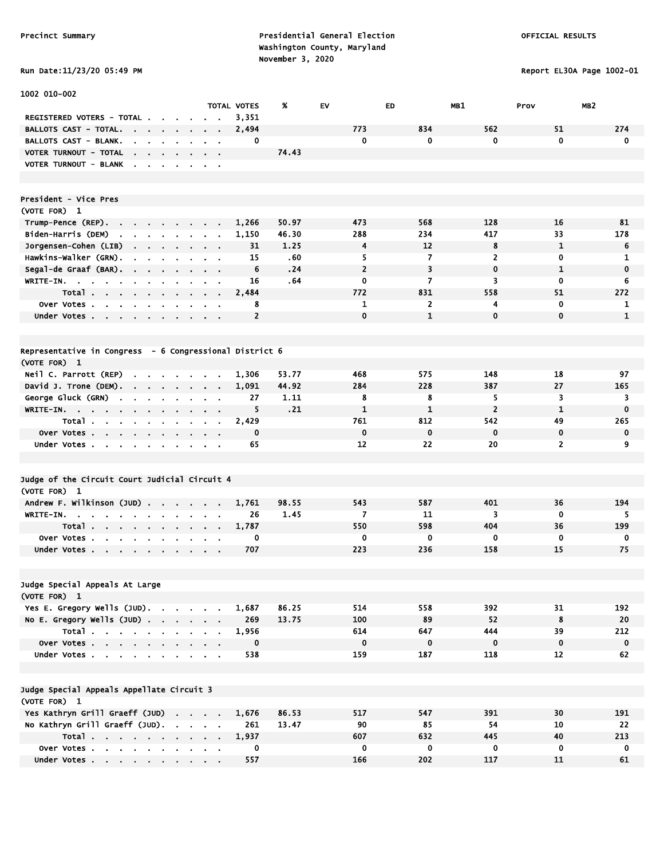Report EL30A Page 1002-01

| Run Date:11/23/20 05:49 PM |  |
|----------------------------|--|
|                            |  |

| 1002 010-002                                                                                                           |                |                                                           |                         |                    |       |                |                |                |                         |              |
|------------------------------------------------------------------------------------------------------------------------|----------------|-----------------------------------------------------------|-------------------------|--------------------|-------|----------------|----------------|----------------|-------------------------|--------------|
|                                                                                                                        |                |                                                           |                         | <b>TOTAL VOTES</b> | %     | EV             | ED.            | MB1            | MB <sub>2</sub><br>Prov |              |
| REGISTERED VOTERS - TOTAL .<br><b>BALLOTS CAST - TOTAL.</b>                                                            |                |                                                           |                         | 3,351              |       | 773            | 834            | 562            | 51                      | 274          |
| <b>Contract Contract Contract</b><br>$\sim$<br>$\sim$                                                                  | $\blacksquare$ |                                                           |                         | 2,494<br>0         |       | $\mathbf 0$    | $\bf{0}$       | 0              | $\mathbf{0}$            | $\mathbf 0$  |
| <b>BALLOTS CAST - BLANK.</b><br>$\sim$<br>$\sim$                                                                       |                |                                                           | $\sim$                  |                    | 74.43 |                |                |                |                         |              |
| VOTER TURNOUT - TOTAL<br>the contract of the con-                                                                      |                |                                                           | $\sim 100$ km s $^{-1}$ |                    |       |                |                |                |                         |              |
| VOTER TURNOUT - BLANK                                                                                                  |                |                                                           |                         |                    |       |                |                |                |                         |              |
|                                                                                                                        |                |                                                           |                         |                    |       |                |                |                |                         |              |
| President - Vice Pres                                                                                                  |                |                                                           |                         |                    |       |                |                |                |                         |              |
| (VOTE FOR) 1                                                                                                           |                |                                                           |                         |                    |       |                |                |                |                         |              |
| Trump-Pence (REP)                                                                                                      |                |                                                           |                         | 1,266              | 50.97 | 473            | 568            | 128            | 16                      | 81           |
| Biden-Harris (DEM)<br>the company of the company                                                                       | $\mathbf{r}$   |                                                           |                         | 1,150              | 46.30 | 288            | 234            | 417            | 33                      | 178          |
| Jorgensen-Cohen (LIB)<br>$\mathbf{r} = \mathbf{r} + \mathbf{r}$ , where $\mathbf{r}$<br>$\bullet$                      | $\sim$         |                                                           | $\alpha = 0.1$          | 31                 | 1.25  | 4              | 12             | 8              | $\mathbf{1}$            | 6            |
| Hawkins-Walker (GRN).<br>$\mathbf{r}$<br>$\blacksquare$<br>$\bullet$                                                   |                |                                                           | $\sim$ $\sim$           | 15                 | .60   | 5              | 7              | $\overline{2}$ | 0                       | 1            |
| Segal-de Graaf (BAR).                                                                                                  |                | $\mathbf{a}$ , and $\mathbf{a}$ , and $\mathbf{a}$        |                         | 6                  | .24   | $\overline{2}$ | 3              | $\mathbf 0$    | 1                       | $\mathbf 0$  |
| WRITE-IN.                                                                                                              |                |                                                           |                         | 16                 | .64   | 0              | 7              | 3              | 0                       | 6            |
| Total.                                                                                                                 |                |                                                           |                         | 2,484              |       | 772            | 831            | 558            | 51                      | 272          |
| Over Votes                                                                                                             |                |                                                           |                         | 8                  |       | 1              | $\overline{2}$ | 4              | $\mathbf 0$             | 1            |
| Under Votes                                                                                                            |                |                                                           |                         | $\overline{2}$     |       | $\mathbf 0$    | $\mathbf{1}$   | $\mathbf 0$    | $\mathbf{0}$            | $\mathbf{1}$ |
|                                                                                                                        |                |                                                           |                         |                    |       |                |                |                |                         |              |
| Representative in Congress - 6 Congressional District 6                                                                |                |                                                           |                         |                    |       |                |                |                |                         |              |
| (VOTE FOR) 1                                                                                                           |                |                                                           |                         |                    |       |                |                |                |                         |              |
| Neil C. Parrott (REP)<br>$\mathbf{r} = \mathbf{r} \cdot \mathbf{r}$ , where $\mathbf{r} = \mathbf{r} \cdot \mathbf{r}$ |                |                                                           |                         | 1,306              | 53.77 | 468            | 575            | 148            | 18                      | 97           |
| David J. Trone (DEM).                                                                                                  | $\sim$         |                                                           |                         | 1,091              | 44.92 | 284            | 228            | 387            | 27                      | 165          |
| George Gluck (GRN)<br>$\mathbf{r}$<br>$\sim$<br>$\mathbf{r}$                                                           |                |                                                           |                         | 27                 | 1.11  | 8              | 8              | 5              | 3                       | 3            |
| $WRITE-IN.$                                                                                                            |                |                                                           |                         | 5                  | .21   | 1              | 1              | $\overline{2}$ | $\mathbf{1}$            | $\mathbf 0$  |
| Total<br>$\blacksquare$<br>$\blacksquare$                                                                              |                |                                                           |                         | 2,429              |       | 761            | 812            | 542            | 49                      | 265          |
| Over Votes<br>$\sim$                                                                                                   |                |                                                           |                         | $\mathbf 0$        |       | $\mathbf 0$    | $\mathbf 0$    | $\mathbf 0$    | $\mathbf 0$             | $\mathbf 0$  |
| Under Votes                                                                                                            |                |                                                           |                         | 65                 |       | 12             | 22             | 20             | $\overline{2}$          | 9            |
|                                                                                                                        |                |                                                           |                         |                    |       |                |                |                |                         |              |
| Judge of the Circuit Court Judicial Circuit 4                                                                          |                |                                                           |                         |                    |       |                |                |                |                         |              |
| (VOTE FOR) 1                                                                                                           |                |                                                           |                         |                    |       |                |                |                |                         |              |
| Andrew F. Wilkinson (JUD)                                                                                              |                |                                                           |                         | 1,761              | 98.55 | 543            | 587            | 401            | 36                      | 194          |
| WRITE-IN.                                                                                                              |                |                                                           |                         | 26                 | 1.45  | $\overline{7}$ | 11             | 3              | 0                       | 5            |
| Total<br>$\sim$                                                                                                        | $\sim$         |                                                           |                         | 1,787              |       | 550            | 598            | 404            | 36                      | 199          |
| Over Votes.<br>$\mathbf{a}$ , $\mathbf{a}$ , $\mathbf{a}$ , $\mathbf{a}$<br>$\sim$<br>$\mathbf{r}$                     |                |                                                           |                         | 0                  |       | 0              | 0              | 0              | 0                       | 0            |
| Under Votes                                                                                                            |                |                                                           |                         | 707                |       | 223            | 236            | 158            | 15                      | 75           |
|                                                                                                                        |                |                                                           |                         |                    |       |                |                |                |                         |              |
| Judge Special Appeals At Large                                                                                         |                |                                                           |                         |                    |       |                |                |                |                         |              |
| (VOTE FOR) 1                                                                                                           |                |                                                           |                         |                    |       |                |                |                |                         |              |
| Yes E. Gregory Wells (JUD).                                                                                            |                |                                                           |                         | 1,687              | 86.25 | 514            | 558            | 392            | 31                      | 192          |
| No E. Gregory Wells (JUD)                                                                                              |                |                                                           |                         | 269                | 13.75 | 100            | 89             | 52             | 8                       | 20           |
| Total                                                                                                                  |                |                                                           |                         | 1,956              |       | 614            | 647            | 444            | 39                      | 212          |
| Over Votes                                                                                                             |                |                                                           |                         | $\mathbf 0$        |       | $\mathbf 0$    | $\mathbf 0$    | $\mathbf 0$    | $\mathbf 0$             | $\mathbf 0$  |
| Under Votes                                                                                                            |                | $\mathbf{a}$ , $\mathbf{a}$ , $\mathbf{a}$ , $\mathbf{a}$ |                         | 538                |       | 159            | 187            | 118            | 12                      | 62           |
|                                                                                                                        |                |                                                           |                         |                    |       |                |                |                |                         |              |
| Judge Special Appeals Appellate Circuit 3                                                                              |                |                                                           |                         |                    |       |                |                |                |                         |              |
| (VOTE FOR) 1                                                                                                           |                |                                                           |                         |                    |       |                |                |                |                         |              |
| Yes Kathryn Grill Graeff (JUD)                                                                                         |                |                                                           |                         | 1,676              | 86.53 | 517            | 547            | 391            | 30                      | 191          |
| No Kathryn Grill Graeff (JUD).                                                                                         |                |                                                           |                         | 261                | 13.47 | 90             | 85             | 54             | 10                      | 22           |
| Total                                                                                                                  |                |                                                           |                         | 1,937              |       | 607            | 632            | 445            | 40                      | 213          |
| Over Votes                                                                                                             |                |                                                           |                         | 0                  |       | $\mathbf 0$    | 0              | 0              | $\mathbf 0$             | 0            |
| Under Votes                                                                                                            |                |                                                           |                         | 557                |       | 166            | 202            | 117            | 11                      | 61           |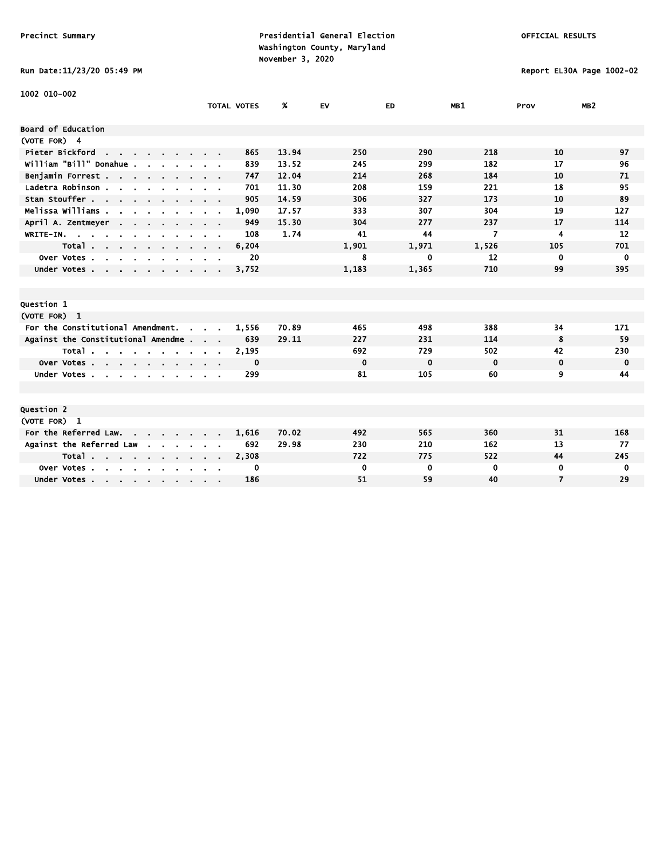# Run Date:11/23/20 05:49 PM Report EL30A Page 1002-02

| 1002 010-002                                                                         |                             |                    |       |             |             |                |                |                 |
|--------------------------------------------------------------------------------------|-----------------------------|--------------------|-------|-------------|-------------|----------------|----------------|-----------------|
|                                                                                      |                             | <b>TOTAL VOTES</b> | %     | <b>EV</b>   | ED          | MB1            | Prov           | MB <sub>2</sub> |
| Board of Education                                                                   |                             |                    |       |             |             |                |                |                 |
| (VOTE FOR) 4                                                                         |                             |                    |       |             |             |                |                |                 |
| Pieter Bickford<br>the contract of the contract of                                   |                             | 865                | 13.94 | 250         | 290         | 218            | 10             | 97              |
| william "Bill" Donahue.                                                              |                             | 839                | 13.52 | 245         | 299         | 182            | 17             | 96              |
| Benjamin Forrest                                                                     |                             | 747                | 12.04 | 214         | 268         | 184            | 10             | 71              |
| Ladetra Robinson.<br>$\mathbf{r}$ and $\mathbf{r}$ and $\mathbf{r}$ and $\mathbf{r}$ |                             | 701                | 11.30 | 208         | 159         | 221            | 18             | 95              |
| Stan Stouffer                                                                        |                             | 905                | 14.59 | 306         | 327         | 173            | 10             | 89              |
| Melissa Williams .                                                                   |                             | 1,090              | 17.57 | 333         | 307         | 304            | 19             | 127             |
| April A. Zentmeyer                                                                   |                             | 949                | 15.30 | 304         | 277         | 237            | 17             | 114             |
| WRITE-IN.                                                                            |                             | 108                | 1.74  | 41          | 44          | $\overline{7}$ | 4              | 12              |
| Total                                                                                | $\sim$ $\sim$ $\sim$ $\sim$ | 6,204              |       | 1,901       | 1,971       | 1,526          | 105            | 701             |
| Over Votes.<br>$\sim$<br>$\sim$<br>$\mathbf{r}$                                      |                             | 20                 |       | 8           | 0           | 12             | 0              | $\mathbf 0$     |
| Under Votes                                                                          |                             | 3,752              |       | 1,183       | 1,365       | 710            | 99             | 395             |
|                                                                                      |                             |                    |       |             |             |                |                |                 |
|                                                                                      |                             |                    |       |             |             |                |                |                 |
| Question 1                                                                           |                             |                    |       |             |             |                |                |                 |
| (VOTE FOR) 1                                                                         |                             |                    |       |             |             |                |                |                 |
| For the Constitutional Amendment.<br>$\sim$                                          |                             | 1,556              | 70.89 | 465         | 498         | 388            | 34             | 171             |
| Against the Constitutional Amendme                                                   |                             | 639                | 29.11 | 227         | 231         | 114            | 8              | 59              |
| Total                                                                                |                             | 2,195              |       | 692         | 729         | 502            | 42             | 230             |
| Over Votes                                                                           |                             | 0                  |       | $\mathbf 0$ | $\mathbf 0$ | $\mathbf 0$    | $\mathbf 0$    | $\mathbf 0$     |
| Under Votes.<br><b>Contract State</b>                                                |                             | 299                |       | 81          | 105         | 60             | 9              | 44              |
|                                                                                      |                             |                    |       |             |             |                |                |                 |
|                                                                                      |                             |                    |       |             |             |                |                |                 |
| Question 2                                                                           |                             |                    |       |             |             |                |                |                 |
| (VOTE FOR) 1                                                                         |                             |                    |       |             |             |                |                |                 |
| For the Referred Law.                                                                |                             | 1,616              | 70.02 | 492         | 565         | 360            | 31             | 168             |
| Against the Referred Law                                                             |                             | 692                | 29.98 | 230         | 210         | 162            | 13             | 77              |
| Total                                                                                |                             | 2,308              |       | 722         | 775         | 522            | 44             | 245             |
| Over Votes.<br>$\sim$<br>$\sim$ $\sim$<br>$\sim$                                     |                             | 0                  |       | 0           | 0           | 0              | 0              | 0               |
| Under Votes                                                                          |                             | 186                |       | 51          | 59          | 40             | $\overline{7}$ | 29              |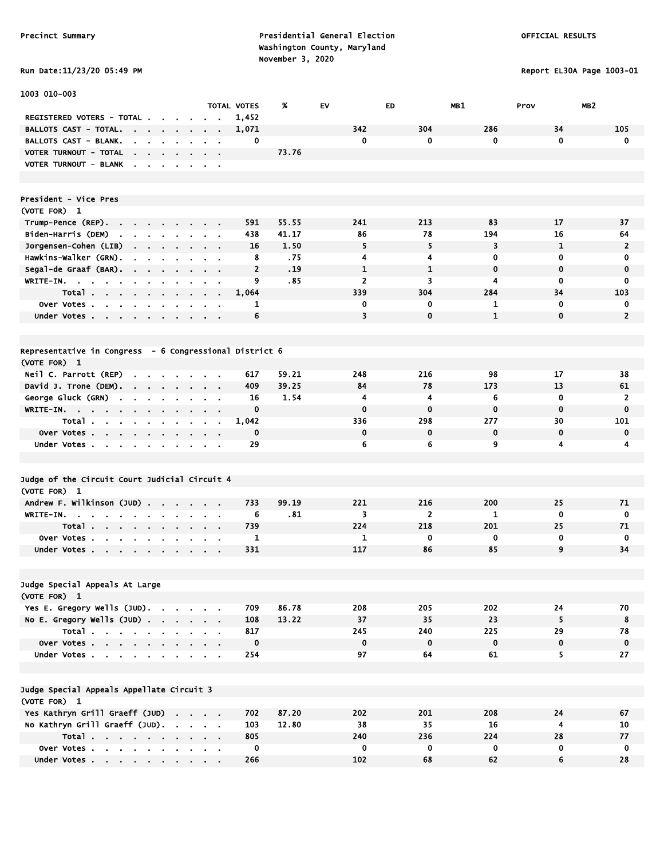Precinct Summary **Presidential General Election Presidential General Election**  Washington County, Maryland November 3, 2020<br>A Data:11/23/20 OS·49 PM

Report EL30A Page 1003-01

| Run Date:11/23/20 05:49 F |  |
|---------------------------|--|
|---------------------------|--|

| 1003 010-003                                                                                                    |                                   |                    |       |                |                |              |              |                 |
|-----------------------------------------------------------------------------------------------------------------|-----------------------------------|--------------------|-------|----------------|----------------|--------------|--------------|-----------------|
|                                                                                                                 |                                   | <b>TOTAL VOTES</b> | %     | EV             | ED             | MB1          | Prov         | MB <sub>2</sub> |
| REGISTERED VOTERS - TOTAL.                                                                                      |                                   | 1,452              |       |                |                |              |              |                 |
| <b>BALLOTS CAST - TOTAL.</b><br><b>Contract Contract</b><br>$\mathbf{r} = \mathbf{r}$                           | $\mathbf{r}$<br>$\mathbf{r}$      | 1,071              |       | 342            | 304            | 286          | 34           | 105             |
| <b>BALLOTS CAST - BLANK.</b><br>$\bullet$<br>$\sim$<br>$\sim$ $\sim$                                            |                                   | 0                  |       | $\mathbf 0$    | $\mathbf 0$    | 0            | $\mathbf 0$  | $\mathbf 0$     |
| VOTER TURNOUT - TOTAL<br>the company of the company                                                             | <b>Contract</b><br>$\sim$ $\sim$  |                    | 73.76 |                |                |              |              |                 |
| VOTER TURNOUT - BLANK                                                                                           |                                   |                    |       |                |                |              |              |                 |
|                                                                                                                 |                                   |                    |       |                |                |              |              |                 |
| President - Vice Pres                                                                                           |                                   |                    |       |                |                |              |              |                 |
| (VOTE FOR) 1                                                                                                    |                                   |                    |       |                |                |              |              |                 |
| Trump-Pence (REP)                                                                                               |                                   | 591                | 55.55 | 241            | 213            | 83           | 17           | 37              |
| Biden-Harris (DEM)<br>the contract of the contract of                                                           |                                   | 438                | 41.17 | 86             | 78             | 194          | 16           | 64              |
| Jorgensen-Cohen (LIB)<br>$\mathbf{r} = \mathbf{r}$                                                              | $\sim 100$<br>$\sim$              | 16<br>$\bullet$    | 1.50  | 5              | 5              | 3            | $\mathbf{1}$ | $\overline{2}$  |
| Hawkins-Walker (GRN).<br>$\blacksquare$<br>$\sim 100$<br>$\sim$ $\sim$                                          | $\sim$                            | 8                  | .75   | 4              | 4              | 0            | 0            | 0               |
| Segal-de Graaf (BAR).                                                                                           |                                   | $\overline{2}$     | .19   | $\mathbf{1}$   | $\mathbf{1}$   | $\mathbf 0$  | 0            | $\mathbf 0$     |
| WRITE-IN.                                                                                                       |                                   | 9                  | .85   | $\overline{2}$ | 3              | 4            | 0            | $\mathbf 0$     |
| Total                                                                                                           |                                   | 1,064              |       | 339            | 304            | 284          | 34           | 103             |
| Over Votes                                                                                                      |                                   | 1                  |       | 0              | 0              | 1            | $\mathbf 0$  | 0               |
| $\sim$<br>Under Votes                                                                                           |                                   | 6                  |       | 3              | $\mathbf 0$    | $\mathbf{1}$ | $\mathbf{0}$ | $\overline{2}$  |
|                                                                                                                 |                                   |                    |       |                |                |              |              |                 |
|                                                                                                                 |                                   |                    |       |                |                |              |              |                 |
| Representative in Congress - 6 Congressional District 6                                                         |                                   |                    |       |                |                |              |              |                 |
| (VOTE FOR) 1                                                                                                    |                                   |                    |       |                |                |              |              |                 |
| Neil C. Parrott (REP)<br><b>Service</b> State                                                                   |                                   | 617                | 59.21 | 248            | 216            | 98           | 17           | 38              |
| David J. Trone (DEM).                                                                                           |                                   | 409                | 39.25 | 84             | 78             | 173          | 13           | 61              |
| George Gluck (GRN)<br><b>Carl Carl</b><br>$\sim$                                                                |                                   | 16                 | 1.54  | 4              | $\overline{4}$ | 6            | 0            | $\overline{2}$  |
| WRITE-IN.                                                                                                       |                                   | $\mathbf 0$        |       | $\bf{0}$       | $\bf{0}$       | $\mathbf 0$  | $\mathbf 0$  | $\mathbf 0$     |
| Total<br>$\blacksquare$<br>$\mathbf{r}$                                                                         |                                   | 1,042              |       | 336            | 298            | 277          | 30           | 101             |
| Over Votes                                                                                                      | $\cdot$ $\cdot$                   | $\mathbf 0$        |       | 0              | $\mathbf 0$    | $\mathbf 0$  | $\mathbf 0$  | $\mathbf 0$     |
| Under Votes                                                                                                     | <b>Contract Contract Contract</b> | 29                 |       | 6              | 6              | 9            | 4            | 4               |
|                                                                                                                 |                                   |                    |       |                |                |              |              |                 |
| Judge of the Circuit Court Judicial Circuit 4                                                                   |                                   |                    |       |                |                |              |              |                 |
| (VOTE FOR) 1                                                                                                    |                                   |                    |       |                |                |              |              |                 |
| Andrew F. Wilkinson (JUD)                                                                                       |                                   | 733                | 99.19 | 221            | 216            | 200          | 25           | 71              |
| WRITE-IN.                                                                                                       |                                   | 6                  | .81   | 3              | $\overline{2}$ | 1            | $\mathbf 0$  | 0               |
| Total                                                                                                           |                                   | 739                |       | 224            | 218            | 201          | 25           | 71              |
| $\sim 100$<br>Over Votes.<br>$\mathbf{a}$ , $\mathbf{a}$ , $\mathbf{a}$ , $\mathbf{a}$ , $\mathbf{a}$<br>$\sim$ |                                   | 1                  |       | 1              | $\mathbf 0$    | 0            | 0            | 0               |
| Under Votes                                                                                                     | $\sim$ $\sim$                     | 331                |       | 117            | 86             | 85           | 9            | 34              |
|                                                                                                                 |                                   |                    |       |                |                |              |              |                 |
|                                                                                                                 |                                   |                    |       |                |                |              |              |                 |
| Judge Special Appeals At Large                                                                                  |                                   |                    |       |                |                |              |              |                 |
| (VOTE FOR) 1                                                                                                    |                                   |                    |       |                |                |              |              |                 |
| Yes E. Gregory Wells (JUD).                                                                                     |                                   | 709                | 86.78 | 208            | 205            | 202          | 24           | 70              |
| No E. Gregory Wells $(JUD)$ .                                                                                   |                                   | 108                | 13.22 | 37             | 35             | 23           | 5            | 8               |
| Total                                                                                                           |                                   | 817                |       | 245            | 240            | 225          | 29           | 78              |
| Over Votes                                                                                                      | $\sim 100$                        | $\mathbf 0$        |       | $\mathbf 0$    | $\mathbf 0$    | $\mathbf 0$  | $\mathbf 0$  | $\mathbf 0$     |
| Under Votes                                                                                                     |                                   | 254                |       | 97             | 64             | 61           | 5            | 27              |
|                                                                                                                 |                                   |                    |       |                |                |              |              |                 |
|                                                                                                                 |                                   |                    |       |                |                |              |              |                 |
| Judge Special Appeals Appellate Circuit 3<br>(VOTE FOR) 1                                                       |                                   |                    |       |                |                |              |              |                 |
| Yes Kathryn Grill Graeff (JUD)                                                                                  |                                   | 702                | 87.20 | 202            | 201            | 208          | 24           | 67              |
| No Kathryn Grill Graeff (JUD).                                                                                  |                                   | 103                | 12.80 | 38             | 35             | 16           | 4            |                 |
|                                                                                                                 |                                   | 805                |       | 240            | 236            | 224          | 28           | 10<br>77        |
| Total<br>Over Votes                                                                                             |                                   | 0                  |       | 0              | $\mathbf 0$    | 0            | 0            | 0               |
| Under Votes                                                                                                     |                                   | 266                |       | 102            | 68             | 62           | 6            | 28              |
|                                                                                                                 |                                   |                    |       |                |                |              |              |                 |

Under Votes . . . . . . . . . . 266 102 68 62 62 6 28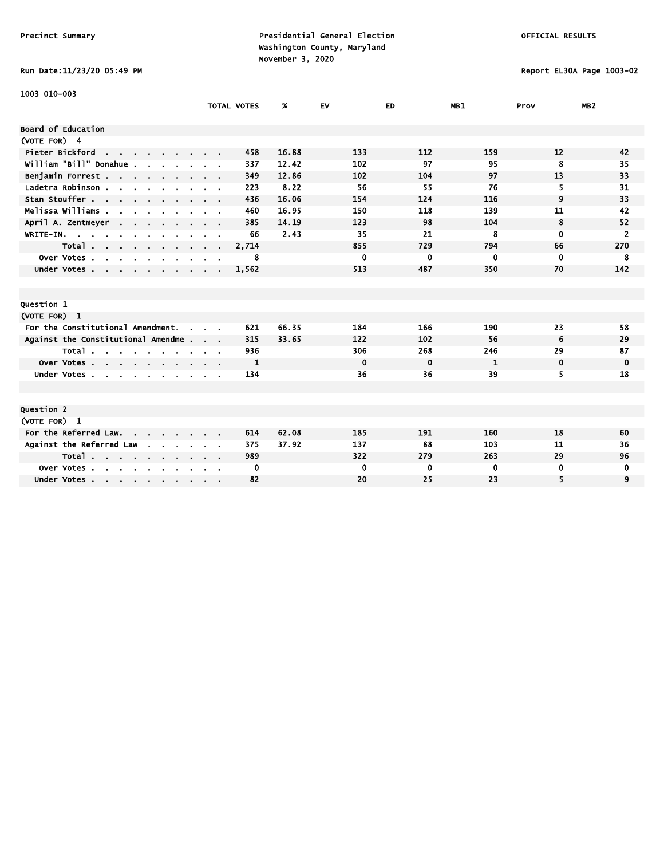### Run Date:11/23/20 05:49 PM Report EL30A Page 1003-02

| 1003 010-003                                                   |                    |       |             |             |          |             |                 |
|----------------------------------------------------------------|--------------------|-------|-------------|-------------|----------|-------------|-----------------|
|                                                                | <b>TOTAL VOTES</b> | %     | <b>EV</b>   | ED          | MB1      | Prov        | MB <sub>2</sub> |
|                                                                |                    |       |             |             |          |             |                 |
| Board of Education                                             |                    |       |             |             |          |             |                 |
| (VOTE FOR) 4                                                   |                    |       |             |             |          |             |                 |
| Pieter Bickford<br>the contract of the con-                    | 458                | 16.88 | 133         | 112         | 159      | 12          | 42              |
| william "Bill" Donahue.                                        | 337                | 12.42 | 102         | 97          | 95       | 8           | 35              |
| Benjamin Forrest                                               | 349                | 12.86 | 102         | 104         | 97       | 13          | 33              |
| Ladetra Robinson                                               | 223                | 8.22  | 56          | 55          | 76       | 5.          | 31              |
| Stan Stouffer                                                  | 436                | 16.06 | 154         | 124         | 116      | 9           | 33              |
| Melissa Williams                                               | 460                | 16.95 | 150         | 118         | 139      | 11          | 42              |
| April A. Zentmeyer<br><b>Contract Contract</b>                 | 385                | 14.19 | 123         | 98          | 104      | 8           | 52              |
| WRITE-IN.                                                      | 66                 | 2.43  | 35          | 21          | 8        | $\mathbf 0$ | $\overline{2}$  |
| Total                                                          | 2,714              |       | 855         | 729         | 794      | 66          | 270             |
| Over Votes<br>$\sim$<br>$\sim$<br>$\sim$                       | 8                  |       | 0           | 0           | $\bf{0}$ | $\mathbf 0$ | 8               |
| Under Votes                                                    | 1,562              |       | 513         | 487         | 350      | 70          | 142             |
|                                                                |                    |       |             |             |          |             |                 |
|                                                                |                    |       |             |             |          |             |                 |
| Question 1                                                     |                    |       |             |             |          |             |                 |
| (VOTE FOR) 1                                                   |                    |       |             |             |          |             |                 |
| For the Constitutional Amendment.<br>$\sim$                    | 621                | 66.35 | 184         | 166         | 190      | 23          | 58              |
| Against the Constitutional Amendme                             | 315                | 33.65 | 122         | 102         | 56       | 6           | 29              |
| Total                                                          | 936                |       | 306         | 268         | 246      | 29          | 87              |
| Over Votes                                                     | 1                  |       | $\bf{0}$    | $\mathbf 0$ | 1        | $\mathbf 0$ | 0               |
| Under Votes                                                    | 134                |       | 36          | 36          | 39       | 5.          | 18              |
|                                                                |                    |       |             |             |          |             |                 |
|                                                                |                    |       |             |             |          |             |                 |
| Question 2                                                     |                    |       |             |             |          |             |                 |
| (VOTE FOR) 1                                                   |                    |       |             |             |          |             |                 |
| For the Referred Law.                                          | 614                | 62.08 | 185         | 191         | 160      | 18          | 60              |
| Against the Referred Law<br>$\sim$<br><b>Contract Contract</b> | 375                | 37.92 | 137         | 88          | 103      | 11          | 36              |
| Total                                                          | 989                |       | 322         | 279         | 263      | 29          | 96              |
| Over Votes<br>$\mathbf{r}$<br>$\cdot$                          | 0                  |       | $\mathbf 0$ | $\bf{0}$    | $\bf{0}$ | 0           | 0               |
| Under Votes                                                    | 82                 |       | 20          | 25          | 23       | 5           | 9               |
|                                                                |                    |       |             |             |          |             |                 |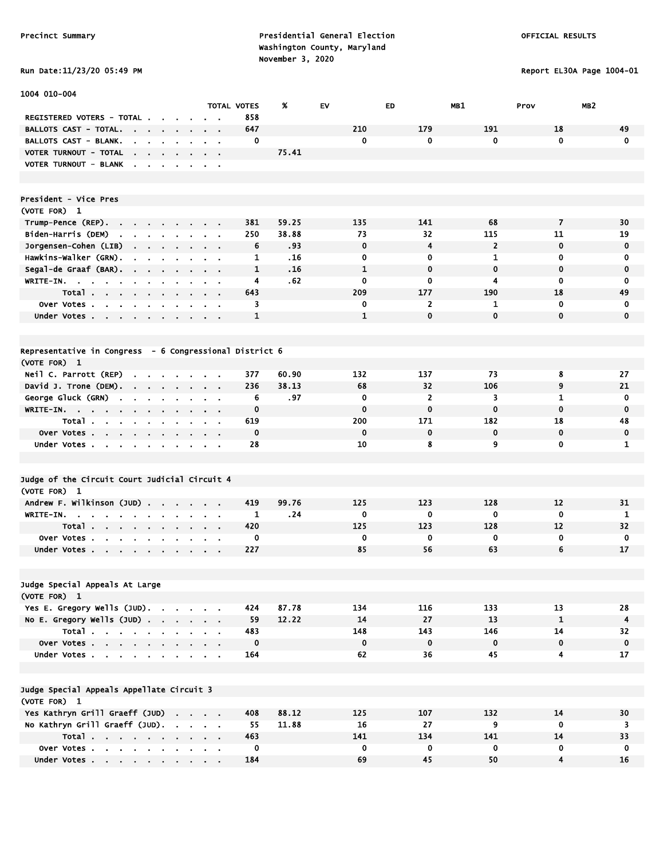1004 010-004

Precinct Summary **Presidential General Election Presidential General Election**  Washington County, Maryland November 3, 2020<br>Pun Date:11/23/20 05:49 PM

Report EL30A Page 1004-01

|  |  |  |  | <b>RUN DATE:11/23/20 03:49</b> |
|--|--|--|--|--------------------------------|
|--|--|--|--|--------------------------------|

|                                                                                                                                                           |                            |                                               | TOTAL VOTES  | %     | EV           | ED             | <b>MBI</b>     | Prov           | MB <sub>2</sub> |
|-----------------------------------------------------------------------------------------------------------------------------------------------------------|----------------------------|-----------------------------------------------|--------------|-------|--------------|----------------|----------------|----------------|-----------------|
| REGISTERED VOTERS - TOTAL.                                                                                                                                |                            |                                               | 858          |       |              |                |                |                |                 |
| <b>BALLOTS CAST - TOTAL.</b><br><b>Contract Contract</b><br>$\bullet$                                                                                     |                            |                                               | 647          |       | 210          | 179            | 191            | 18             | 49              |
| BALLOTS CAST - BLANK.<br>$\mathbf{r}$<br>$\mathbf{u}$ .<br>$\mathbf{r}$ .<br>$\bullet$                                                                    | $\mathbf{r}$               | $\blacksquare$<br>$\mathbf{a}$ , $\mathbf{a}$ | 0            |       | 0            | 0              | $\mathbf{0}$   | $\mathbf 0$    | $\mathbf 0$     |
| VOTER TURNOUT - TOTAL<br>the company of the company                                                                                                       |                            |                                               |              | 75.41 |              |                |                |                |                 |
| VOTER TURNOUT - BLANK                                                                                                                                     |                            | $\mathbf{r} = \mathbf{r}$                     |              |       |              |                |                |                |                 |
|                                                                                                                                                           |                            |                                               |              |       |              |                |                |                |                 |
|                                                                                                                                                           |                            |                                               |              |       |              |                |                |                |                 |
| President - Vice Pres<br>(VOTE FOR) 1                                                                                                                     |                            |                                               |              |       |              |                |                |                |                 |
|                                                                                                                                                           |                            |                                               | 381          | 59.25 | 135          | 141            | 68             | $\overline{7}$ | 30              |
| Trump-Pence (REP).<br>$\sim 100$ km s $^{-1}$<br>$\sim 10^{-1}$<br>$\sim$<br>$\sim$<br>Biden-Harris (DEM)<br>$\mathbf{r}$<br>$\mathbf{r}$<br>$\mathbf{r}$ |                            |                                               | 250          | 38.88 | 73           | 32             | 115            | 11             | 19              |
| Jorgensen-Cohen (LIB)<br>$\sim 100$<br>$\mathbf{r}$                                                                                                       |                            | $\sim$                                        | 6            | .93   | 0            | 4              | $\overline{2}$ | $\mathbf 0$    | 0               |
| Hawkins-Walker (GRN).<br>$\blacksquare$<br>$\blacksquare$<br>$\blacksquare$<br>$\blacksquare$                                                             | $\blacksquare$             | $\mathbf{r}$ .<br>$\blacksquare$              | 1            | .16   | 0            | 0              | 1              | 0              | 0               |
| Segal-de Graaf (BAR).<br><b>Contract Contract</b><br>$\mathbf{a} = \mathbf{a} + \mathbf{a}$                                                               | $\bullet$                  | $\mathbf{r} = \mathbf{r}$                     | $\mathbf{1}$ | .16   | $\mathbf{1}$ | $\mathbf 0$    | $\mathbf 0$    | $\mathbf 0$    | $\mathbf 0$     |
| WRITE-IN.<br>$\mathbf{u} = \mathbf{u} \cdot \mathbf{u}$                                                                                                   | $\sim$                     | $\alpha$ , $\beta$ , $\alpha$                 | 4            | . 62  | 0            | 0              | 4              | 0              | 0               |
| Total<br><b>Contract</b>                                                                                                                                  |                            |                                               | 643          |       | 209          | 177            | 190            | 18             | 49              |
| Over Votes<br>$\sim$                                                                                                                                      |                            |                                               | 3            |       | 0            | $\overline{2}$ | 1              | $\mathbf 0$    | 0               |
| Under Votes<br>$\sim$<br>$\mathbf{r}$                                                                                                                     |                            |                                               | 1            |       | $\mathbf{1}$ | $\bf{0}$       | $\mathbf 0$    | $\mathbf 0$    | $\mathbf 0$     |
|                                                                                                                                                           |                            |                                               |              |       |              |                |                |                |                 |
|                                                                                                                                                           |                            |                                               |              |       |              |                |                |                |                 |
| Representative in Congress - 6 Congressional District 6                                                                                                   |                            |                                               |              |       |              |                |                |                |                 |
| (VOTE FOR) 1                                                                                                                                              |                            |                                               |              |       |              |                |                |                |                 |
| Neil C. Parrott (REP)<br>$\sim$<br>$\sim$                                                                                                                 |                            |                                               | 377          | 60.90 | 132          | 137            | 73             | 8              | 27              |
| David J. Trone (DEM).<br>the company of the company of                                                                                                    |                            | $\sim$                                        | 236          | 38.13 | 68           | 32             | 106            | 9              | 21              |
| George Gluck (GRN)<br>$\mathbf{r} = \mathbf{r} \cdot \mathbf{r}$ .<br>$\sim 10^{-11}$<br>$\mathbf{r} = \mathbf{r}$                                        | $\sim$                     | $\alpha = 0.01$                               | 6            | .97   | 0            | 2              | 3              | 1              | $\mathbf 0$     |
| WRITE-IN.                                                                                                                                                 |                            |                                               | $\mathbf 0$  |       | $\mathbf 0$  | $\mathbf 0$    | $\bf{0}$       | $\mathbf 0$    | $\mathbf 0$     |
| Total .<br>$\sim$ 10 $\pm$<br>$\sim$ $\sim$                                                                                                               |                            | $\blacksquare$                                | 619          |       | 200          | 171            | 182            | 18             | 48              |
| Over Votes<br>$\sim$<br>$\blacksquare$                                                                                                                    |                            |                                               | $\mathbf 0$  |       | $\mathbf 0$  | $\mathbf 0$    | $\mathbf 0$    | $\mathbf 0$    | $\mathbf 0$     |
| Under Votes<br>$\sim$                                                                                                                                     |                            |                                               | 28           |       | 10           | 8              | 9              | $\mathbf 0$    | 1               |
|                                                                                                                                                           |                            |                                               |              |       |              |                |                |                |                 |
| Judge of the Circuit Court Judicial Circuit 4                                                                                                             |                            |                                               |              |       |              |                |                |                |                 |
| (VOTE FOR) 1                                                                                                                                              |                            |                                               |              |       |              |                |                |                |                 |
| Andrew F. Wilkinson (JUD)                                                                                                                                 |                            |                                               | 419          | 99.76 | 125          | 123            | 128            | 12             | 31              |
| WRITE-IN.                                                                                                                                                 | $\sim$                     | $\sim$ $\sim$                                 | 1            | .24   | $\mathbf 0$  | $\mathbf 0$    | $\mathbf 0$    | $\mathbf 0$    | -1              |
| Total                                                                                                                                                     |                            | $\sim$                                        | 420          |       | 125          | 123            | 128            | 12             | 32              |
| Over Votes<br>$\bullet$ .                                                                                                                                 |                            |                                               | 0            |       | 0            | 0              | 0              | $\mathbf 0$    | 0               |
| Under Votes<br>$\sim$                                                                                                                                     | $\sim$                     | $\mathbf{r} = \mathbf{r}$                     | 227          |       | 85           | 56             | 63             | 6              | 17              |
|                                                                                                                                                           |                            |                                               |              |       |              |                |                |                |                 |
|                                                                                                                                                           |                            |                                               |              |       |              |                |                |                |                 |
| Judge Special Appeals At Large                                                                                                                            |                            |                                               |              |       |              |                |                |                |                 |
| (VOTE FOR) 1                                                                                                                                              |                            |                                               |              |       |              |                |                |                |                 |
| Yes E. Gregory Wells (JUD).                                                                                                                               |                            |                                               | 424          | 87.78 | 134          | 116            | 133            | 13             | 28              |
| No E. Gregory Wells (JUD)                                                                                                                                 |                            |                                               | 59           | 12.22 | 14           | 27             | 13             | 1              | $\overline{4}$  |
| $Total \cdot \cdot \cdot \cdot \cdot \cdot \cdot \cdot \cdot$                                                                                             |                            |                                               | 483          |       | 148          | 143            | 146            | 14             | 32              |
| Over Votes                                                                                                                                                |                            |                                               | $\mathbf 0$  |       | $\mathbf 0$  | $\mathbf 0$    | $\mathbf 0$    | $\mathbf 0$    | $\mathbf 0$     |
| Under Votes                                                                                                                                               |                            |                                               | 164          |       | 62           | 36             | 45             | 4              | 17              |
|                                                                                                                                                           |                            |                                               |              |       |              |                |                |                |                 |
|                                                                                                                                                           |                            |                                               |              |       |              |                |                |                |                 |
| Judge Special Appeals Appellate Circuit 3<br>(VOTE FOR) 1                                                                                                 |                            |                                               |              |       |              |                |                |                |                 |
| Yes Kathryn Grill Graeff (JUD)                                                                                                                            |                            |                                               | 408          | 88.12 | 125          | 107            | 132            | 14             | 30              |
| No Kathryn Grill Graeff (JUD).                                                                                                                            | the company of the company |                                               | 55           | 11.88 | 16           | 27             | 9              | $\mathbf 0$    | 3               |
| Total                                                                                                                                                     |                            |                                               | 463          |       | 141          | 134            | 141            | 14             | 33              |
| Over Votes                                                                                                                                                |                            |                                               | 0            |       | 0            | 0              | 0              | 0              | 0               |
| Under Votes                                                                                                                                               |                            |                                               | 184          |       | 69           | 45             | 50             | 4              | 16              |
|                                                                                                                                                           |                            |                                               |              |       |              |                |                |                |                 |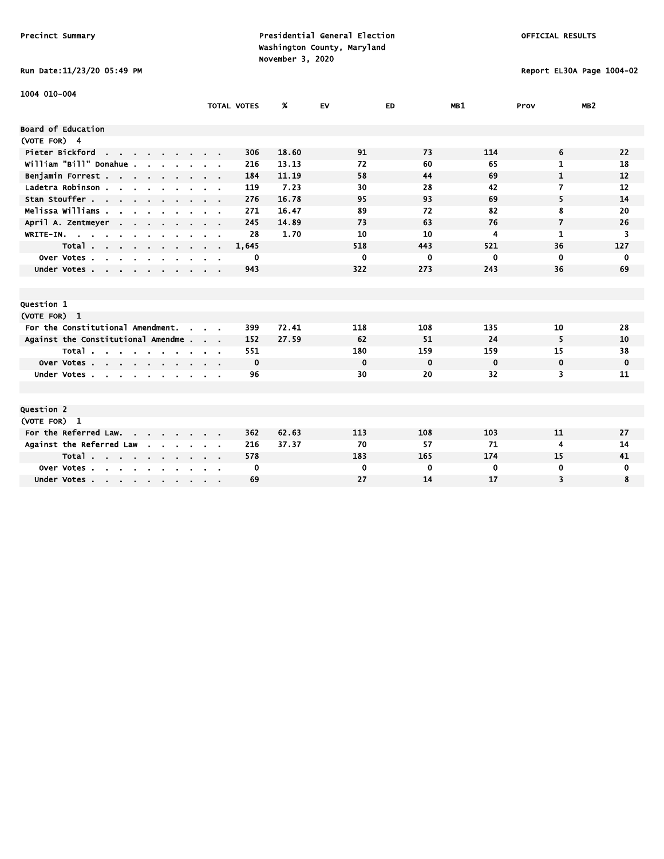Run Date:11/23/20 05:49 PM Report EL30A Page 1004-02

| 1004 010-004                                               |                                          |                    |       |          |             |                         |                         |                 |
|------------------------------------------------------------|------------------------------------------|--------------------|-------|----------|-------------|-------------------------|-------------------------|-----------------|
|                                                            |                                          | <b>TOTAL VOTES</b> | %     | EV       | ED          | MB1                     | Prov                    | MB <sub>2</sub> |
| Board of Education                                         |                                          |                    |       |          |             |                         |                         |                 |
| (VOTE FOR) 4                                               |                                          |                    |       |          |             |                         |                         |                 |
| Pieter Bickford                                            |                                          | 306                | 18.60 | 91       | 73          | 114                     | 6                       | 22              |
| the contract of the contract of<br>william "Bill" Donahue. |                                          | 216                | 13.13 | 72       | 60          | 65                      | $\mathbf{1}$            | 18              |
|                                                            |                                          | 184                |       | 58       | 44          | 69                      | $\mathbf{1}$            | 12              |
| Benjamin Forrest                                           |                                          |                    | 11.19 |          |             |                         |                         |                 |
| Ladetra Robinson                                           | $\mathbf{r} = \mathbf{r} + \mathbf{r}$ . | 119                | 7.23  | 30       | 28          | 42                      | 7                       | 12              |
| Stan Stouffer                                              |                                          | 276                | 16.78 | 95       | 93          | 69                      | 5                       | 14              |
| Melissa Williams                                           |                                          | 271                | 16.47 | 89       | 72          | 82                      | 8                       | 20              |
| April A. Zentmeyer                                         |                                          | 245                | 14.89 | 73       | 63          | 76                      | $\overline{\mathbf{z}}$ | 26              |
| WRITE-IN.                                                  |                                          | 28                 | 1.70  | 10       | 10          | $\overline{\mathbf{4}}$ | $\mathbf{1}$            | 3               |
| Total                                                      | $\cdots$                                 | 1,645              |       | 518      | 443         | 521                     | 36                      | 127             |
| Over Votes<br>$\sim$<br>$\sim$<br>$\mathbf{r}$             |                                          | 0                  |       | 0        | 0           | $\mathbf 0$             | 0                       | 0               |
| Under Votes                                                |                                          | 943                |       | 322      | 273         | 243                     | 36                      | 69              |
|                                                            |                                          |                    |       |          |             |                         |                         |                 |
|                                                            |                                          |                    |       |          |             |                         |                         |                 |
| <b>Question 1</b>                                          |                                          |                    |       |          |             |                         |                         |                 |
| (VOTE FOR) 1                                               |                                          |                    |       |          |             |                         |                         |                 |
| For the Constitutional Amendment.<br>$\sim$                |                                          | 399                | 72.41 | 118      | 108         | 135                     | 10                      | 28              |
| Against the Constitutional Amendme                         |                                          | 152                | 27.59 | 62       | 51          | 24                      | 5                       | 10              |
| Total $\cdots$ $\cdots$                                    | <b>Service</b> State                     | 551                |       | 180      | 159         | 159                     | 15                      | 38              |
| Over Votes                                                 |                                          | 0                  |       | $\bf{0}$ | $\mathbf 0$ | $\mathbf 0$             | 0                       | 0               |
| Under Votes                                                | $\alpha$ , $\beta$ , $\alpha$            | 96                 |       | 30       | 20          | 32                      | 3                       | 11              |
|                                                            |                                          |                    |       |          |             |                         |                         |                 |
|                                                            |                                          |                    |       |          |             |                         |                         |                 |
| <b>Question 2</b>                                          |                                          |                    |       |          |             |                         |                         |                 |
| (VOTE FOR) 1                                               |                                          |                    |       |          |             |                         |                         |                 |
| For the Referred Law.                                      |                                          | 362                | 62.63 | 113      | 108         | 103                     | 11                      | 27              |
| Against the Referred Law<br><b>All Contracts</b>           |                                          | 216                | 37.37 | 70       | 57          | 71                      | 4                       | 14              |
| Total                                                      |                                          | 578                |       | 183      | 165         | 174                     | 15                      | 41              |
| Over Votes<br>$\sim 10^{-10}$                              |                                          | 0                  |       | 0        | 0           | $\bf{0}$                | 0                       | 0               |
| Under Votes                                                |                                          | 69                 |       | 27       | 14          | 17                      | 3                       | 8               |
|                                                            |                                          |                    |       |          |             |                         |                         |                 |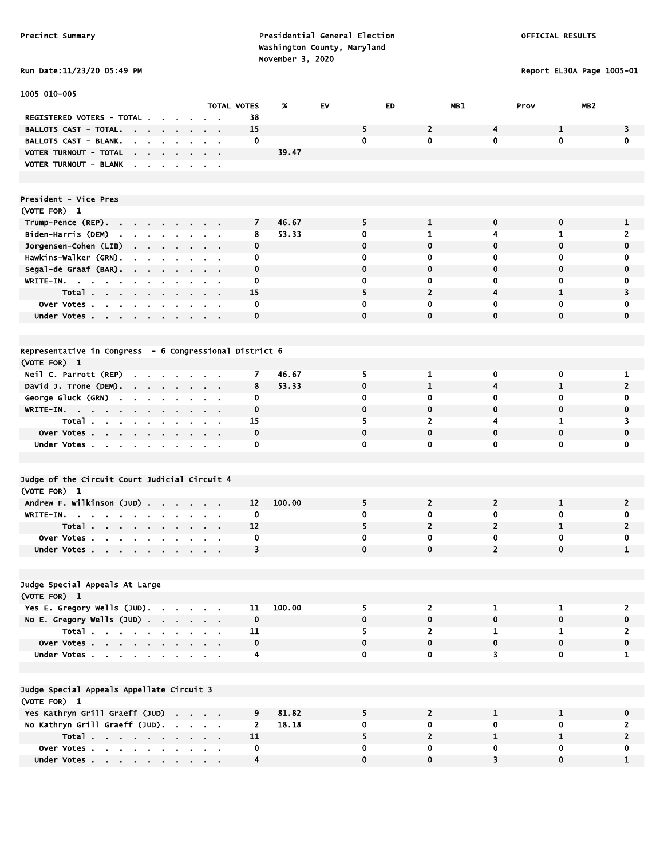### Run Date:11/23/20 05:49 PM Report EL30A Page 1005-01

| 1005 010-005                                                                             |                                            |                         |             |                         |                         |                |                         |
|------------------------------------------------------------------------------------------|--------------------------------------------|-------------------------|-------------|-------------------------|-------------------------|----------------|-------------------------|
|                                                                                          | <b>TOTAL VOTES</b>                         | %                       | EV.         | ED                      | MB1                     | Prov           | MB <sub>2</sub>         |
| REGISTERED VOTERS - TOTAL .                                                              |                                            | 38                      |             |                         |                         |                |                         |
| BALLOTS CAST - TOTAL.                                                                    |                                            | 15                      | 5           | $\overline{2}$          | 4                       | 1              | 3                       |
| <b>BALLOTS CAST - BLANK.</b><br>$\sim$                                                   |                                            | 0                       | $\mathbf 0$ | $\mathbf{0}$            | $\mathbf{0}$            | $\mathbf{0}$   | $\mathbf 0$             |
| VOTER TURNOUT - TOTAL<br><b>College</b><br>$\mathbf{r}$<br>$\sim$                        |                                            | 39.47                   |             |                         |                         |                |                         |
| VOTER TURNOUT - BLANK<br>$\sim$<br>$\sim$<br>$\blacksquare$<br>$\sim$                    | $\sim$                                     |                         |             |                         |                         |                |                         |
|                                                                                          |                                            |                         |             |                         |                         |                |                         |
|                                                                                          |                                            |                         |             |                         |                         |                |                         |
| President - Vice Pres                                                                    |                                            |                         |             |                         |                         |                |                         |
| (VOTE FOR) 1                                                                             |                                            |                         |             |                         |                         |                |                         |
| $Trump-Pence (REP)$ .                                                                    |                                            | 46.67<br>7              | 5           | $\mathbf{1}$            | 0                       | $\mathbf 0$    | 1                       |
| Biden-Harris (DEM)<br>the company of the company of                                      | $\alpha$ , $\beta$ , $\alpha$              | 53.33<br>8              | 0           | 1                       | 4                       | 1              | $\overline{2}$          |
| Jorgensen-Cohen (LIB)<br>the company of the company of                                   |                                            | 0                       | 0           | 0                       | 0                       | $\mathbf 0$    | 0                       |
| Hawkins-Walker (GRN).<br>$\mathbf{r}$                                                    |                                            | 0                       | $\mathbf 0$ | 0                       | 0                       | $\mathbf 0$    | $\mathbf 0$             |
| Segal-de Graaf (BAR). .<br>$\mathbf{r}$ .<br>$\mathbf{r}$                                | $\mathbf{r} = \mathbf{r}$                  | $\mathbf 0$             | $\mathbf 0$ | $\mathbf 0$             | $\mathbf 0$             | $\mathbf 0$    | 0                       |
| WRITE-IN.<br>$\sim 10^{-1}$<br>$\bullet$                                                 |                                            | 0                       | $\mathbf 0$ | 0                       | 0                       | $\mathbf 0$    | 0                       |
| Total                                                                                    |                                            | 15                      | 5           | $\overline{2}$          | 4                       | 1              | 3                       |
| Over Votes                                                                               |                                            | 0                       | 0           | 0                       | 0                       | 0              | 0                       |
| Under Votes<br><b>CONTINUES</b>                                                          |                                            | 0                       | $\mathbf 0$ | $\mathbf 0$             | $\mathbf{0}$            | $\mathbf 0$    | $\mathbf 0$             |
|                                                                                          |                                            |                         |             |                         |                         |                |                         |
|                                                                                          |                                            |                         |             |                         |                         |                |                         |
| Representative in Congress - 6 Congressional District 6                                  |                                            |                         |             |                         |                         |                |                         |
| (VOTE FOR) 1                                                                             |                                            |                         |             |                         |                         |                |                         |
| Neil C. Parrott (REP)<br>$\sim$                                                          |                                            | 7<br>46.67              | 5           | $\mathbf{1}$            | 0                       | 0              | 1                       |
| David J. Trone (DEM).<br>$\sim$<br>$\sim$                                                | $\sim$ $\sim$                              | 8<br>53.33              | $\mathbf 0$ | $\mathbf{1}$            | 4                       | 1              | $\overline{2}$          |
| George Gluck (GRN)<br>$\sim 10^{-10}$ and $\sim 10^{-10}$<br>$\blacksquare$<br>$\bullet$ | $\sim$ 10 $\pm$                            | 0                       | $\mathbf 0$ | $\bf{0}$                | 0                       | 0              | $\mathbf 0$             |
| WRITE-IN.                                                                                |                                            | 0                       | $\mathbf 0$ | 0                       | 0                       | $\mathbf 0$    | $\mathbf 0$             |
| Total<br>$\blacksquare$                                                                  |                                            | 15                      | 5           | $\overline{2}$          | 4                       | 1              | 3                       |
| Over Votes<br>$\mathbf{r}$<br>$\blacksquare$                                             | $\sim$ $\sim$                              | $\mathbf 0$             | $\mathbf 0$ | $\mathbf 0$             | 0                       | $\mathbf 0$    | 0                       |
| Under Votes<br>$\sim$<br>$\sim$<br>$\bullet$                                             | $\mathcal{A}=\mathcal{A}$ .                | 0                       | $\mathbf 0$ | 0                       | 0                       | $\mathbf 0$    | $\mathbf 0$             |
|                                                                                          |                                            |                         |             |                         |                         |                |                         |
|                                                                                          |                                            |                         |             |                         |                         |                |                         |
| Judge of the Circuit Court Judicial Circuit 4                                            |                                            |                         |             |                         |                         |                |                         |
| (VOTE FOR) 1                                                                             |                                            |                         |             |                         |                         |                |                         |
| Andrew F. Wilkinson (JUD)                                                                |                                            | 100.00<br>12            | 5           | 2                       | $\overline{2}$          | 1              | $\overline{\mathbf{2}}$ |
| WRITE-IN.<br>$\sim$<br>$\mathbf{r} = \mathbf{r} + \mathbf{r}$ .                          |                                            | 0                       | $\mathbf 0$ | 0                       | 0                       | 0              | 0                       |
| Total.                                                                                   |                                            | 12                      | 5           | $\overline{2}$          | $\mathbf{2}$            | 1              | 2                       |
| Over Votes<br>$\mathbf{r}$                                                               |                                            | 0                       | 0           | 0                       | $\mathbf 0$             | 0              | 0                       |
| Under Votes<br>$\sim$                                                                    |                                            | 3                       | $\mathbf 0$ | 0                       | $\overline{2}$          | $\mathbf 0$    | 1                       |
|                                                                                          |                                            |                         |             |                         |                         |                |                         |
|                                                                                          |                                            |                         |             |                         |                         |                |                         |
| Judge Special Appeals At Large                                                           |                                            |                         |             |                         |                         |                |                         |
| (VOTE FOR) 1                                                                             |                                            |                         |             |                         |                         |                |                         |
| Yes E. Gregory Wells (JUD).                                                              |                                            | 100.00<br>11            | 5           | $\mathbf{2}$            | $\mathbf{1}$            | 1              | $\overline{2}$          |
| No E. Gregory Wells (JUD)                                                                |                                            | $\mathbf 0$             | $\mathbf 0$ | 0                       | $\mathbf 0$             | $\mathbf{0}$   | $\pmb{0}$               |
| Total                                                                                    |                                            | 11                      | 5           | $\overline{2}$          | $\mathbf{1}$            | $\mathbf{1}$   | $\overline{2}$          |
| Over Votes                                                                               |                                            | 0                       | 0           | 0                       | $\mathbf 0$             | $\mathbf 0$    | 0                       |
| Under Votes                                                                              | $\mathbf{r} = \mathbf{r} \cdot \mathbf{r}$ | 4                       | $\mathbf 0$ | $\overline{0}$          | $\overline{\mathbf{3}}$ | $\mathbf 0$    | $\mathbf{1}$            |
|                                                                                          |                                            |                         |             |                         |                         |                |                         |
|                                                                                          |                                            |                         |             |                         |                         |                |                         |
| Judge Special Appeals Appellate Circuit 3                                                |                                            |                         |             |                         |                         |                |                         |
| (VOTE FOR) 1                                                                             |                                            |                         |             |                         |                         |                |                         |
| Yes Kathryn Grill Graeff (JUD)                                                           |                                            | 81.82<br>9              | 5           | $\mathbf{2}$            | $\mathbf{1}$            | $\mathbf{1}$   | 0                       |
| No Kathryn Grill Graeff (JUD).                                                           |                                            | 18.18<br>$\overline{2}$ | $\mathbf 0$ | $\mathbf 0$             | $\overline{0}$          | $\overline{0}$ | $\overline{2}$          |
| Total                                                                                    |                                            | 11                      | 5           | $\overline{\mathbf{c}}$ | 1                       | $\mathbf{1}$   | $\overline{2}$          |
| Over Votes                                                                               |                                            | 0                       | 0           | 0                       | 0                       | $\mathbf 0$    | 0                       |
| Under Votes                                                                              |                                            | 4                       | $\mathbf 0$ | 0                       | 3                       | $\mathbf 0$    | 1                       |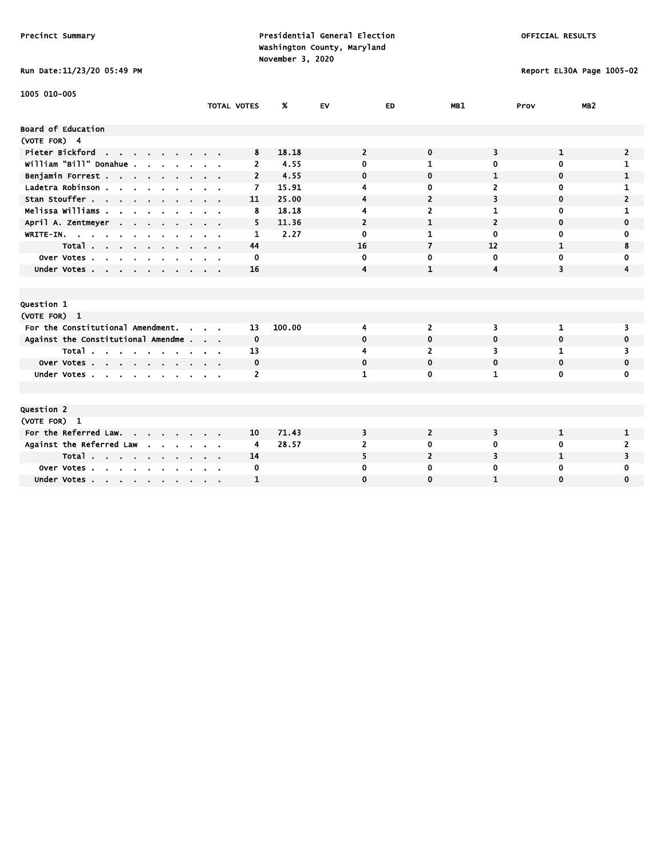Run Date:11/23/20 05:49 PM Report EL30A Page 1005-02

| 1005 010-005                                           |                    |                |        |                |                |                |              |                 |
|--------------------------------------------------------|--------------------|----------------|--------|----------------|----------------|----------------|--------------|-----------------|
|                                                        | <b>TOTAL VOTES</b> |                | %      | <b>EV</b>      | ED             | MB1            | Prov         | MB <sub>2</sub> |
| Board of Education                                     |                    |                |        |                |                |                |              |                 |
| (VOTE FOR) 4                                           |                    |                |        |                |                |                |              |                 |
| Pieter Bickford<br>the contract of the contract of the |                    | 8              | 18.18  | $\overline{2}$ | $\mathbf 0$    | 3              | 1            | 2               |
| william "Bill" Donahue.                                |                    | $\overline{2}$ | 4.55   | 0              | 1              | 0              | $\mathbf 0$  | 1               |
|                                                        |                    |                |        |                |                |                |              |                 |
| Benjamin Forrest                                       |                    | $\overline{2}$ | 4.55   | $\mathbf 0$    | 0              | 1              | $\mathbf 0$  | 1               |
| Ladetra Robinson                                       |                    | $\overline{ }$ | 15.91  | 4              | 0              | 2              | 0            | 1               |
| Stan Stouffer                                          |                    | 11             | 25.00  | 4              | $\overline{2}$ | 3              | $\mathbf 0$  | $\overline{2}$  |
| Melissa Williams .<br>- 1                              |                    | 8              | 18.18  | 4              | $\overline{2}$ | 1              | $\mathbf 0$  | 1               |
| April A. Zentmeyer<br>$\sim$ $\sim$                    |                    | 5              | 11.36  | $\overline{2}$ | 1              | $\overline{2}$ | $\mathbf 0$  | 0               |
| WRITE-IN.<br>$\mathbf{r}$                              |                    | 1              | 2.27   | 0              | 1              | $\mathbf 0$    | $\mathbf 0$  | 0               |
| Total                                                  |                    | 44             |        | 16             | 7              | 12             | 1            | 8               |
| Over Votes<br>$\sim$<br>$\sim$<br>$\mathbf{r}$         |                    | 0              |        | $\mathbf 0$    | 0              | 0              | 0            | 0               |
| Under Votes                                            |                    | 16             |        | 4              | $\mathbf{1}$   | 4              | 3            | 4               |
|                                                        |                    |                |        |                |                |                |              |                 |
|                                                        |                    |                |        |                |                |                |              |                 |
| Question 1                                             |                    |                |        |                |                |                |              |                 |
| (VOTE FOR) 1                                           |                    |                |        |                |                |                |              |                 |
| For the Constitutional Amendment.<br>$\sim$            |                    | 13             | 100.00 | 4              | $\overline{2}$ | 3              | 1            | 3               |
| Against the Constitutional Amendme                     |                    | $\mathbf 0$    |        | $\bf{0}$       | 0              | 0              | $\mathbf 0$  | 0               |
| Total<br>$\sim$ $\sim$                                 |                    | 13             |        | 4              | $\overline{2}$ | 3              | 1            |                 |
| Over Votes                                             |                    | 0              |        | 0              | 0              | 0              | $\bf{0}$     | 0               |
| Under Votes                                            |                    | $\overline{2}$ |        | 1              | 0              | 1              | $\mathbf 0$  | 0               |
|                                                        |                    |                |        |                |                |                |              |                 |
|                                                        |                    |                |        |                |                |                |              |                 |
| Question 2                                             |                    |                |        |                |                |                |              |                 |
| (VOTE FOR) 1                                           |                    |                |        |                |                |                |              |                 |
| For the Referred Law.                                  |                    | 10             | 71.43  | 3              | $\overline{2}$ | 3              | $\mathbf{1}$ | 1               |
| Against the Referred Law<br><b>Contract Contract</b>   |                    | 4              | 28.57  | 2              | 0              | 0              | 0            | 2               |
| Total $\cdots$ $\cdots$ $\cdots$                       |                    | 14             |        | 5              | $\overline{2}$ | 3              | 1            | 3               |
| Over Votes                                             |                    | 0              |        | 0              | 0              | 0              | 0            | 0               |
| Under Votes                                            |                    | $\mathbf{1}$   |        | $\mathbf 0$    | 0              | $\mathbf{1}$   | $\mathbf 0$  | 0               |
|                                                        |                    |                |        |                |                |                |              |                 |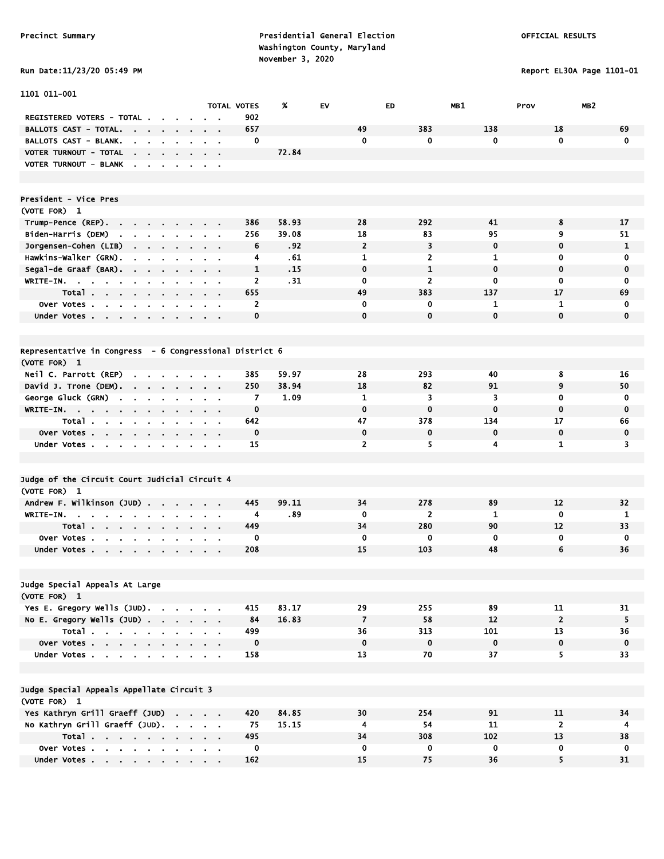Report EL30A Page 1101-01

| Run Date:11/23/20 05:49 PM |  |
|----------------------------|--|

| 1101 011-001                                                                                                               |        |                               |                    |            |                      |                |                    |                         |                   |
|----------------------------------------------------------------------------------------------------------------------------|--------|-------------------------------|--------------------|------------|----------------------|----------------|--------------------|-------------------------|-------------------|
|                                                                                                                            |        |                               | <b>TOTAL VOTES</b> | %          | EV                   | ED.            | MB1                | MB <sub>2</sub><br>Prov |                   |
| REGISTERED VOTERS - TOTAL .                                                                                                |        |                               | 902                |            |                      |                |                    |                         |                   |
| BALLOTS CAST - TOTAL.<br><b>Contract Contract Contract</b><br>$\sim$<br>$\sim$                                             | $\sim$ |                               | 657                |            | 49                   | 383            | 138                | 18                      | 69                |
| <b>BALLOTS CAST - BLANK.</b><br>$\sim$<br>$\sim$                                                                           |        | $\mathbf{r} = \mathbf{r}$     | 0                  |            | $\mathbf 0$          | 0              | $\mathbf{0}$       | $\mathbf 0$             | $\mathbf{0}$      |
| VOTER TURNOUT - TOTAL<br>the company of the company                                                                        |        | $\alpha$ , $\beta$ , $\alpha$ |                    | 72.84      |                      |                |                    |                         |                   |
| VOTER TURNOUT - BLANK                                                                                                      |        |                               |                    |            |                      |                |                    |                         |                   |
|                                                                                                                            |        |                               |                    |            |                      |                |                    |                         |                   |
|                                                                                                                            |        |                               |                    |            |                      |                |                    |                         |                   |
| President - Vice Pres                                                                                                      |        |                               |                    |            |                      |                |                    |                         |                   |
| (VOTE FOR) 1                                                                                                               |        |                               |                    |            |                      |                |                    |                         |                   |
| Trump-Pence (REP).                                                                                                         | $\sim$ |                               | 386                | 58.93      | 28                   | 292            | 41                 | 8                       | 17                |
| Biden-Harris (DEM)<br><b>Contract</b><br>$\mathbf{r} = \mathbf{r}$<br>$\mathbf{r}$                                         |        |                               | 256                | 39.08      | 18<br>$\overline{2}$ | 83<br>3        | 95<br>$\mathbf 0$  | 9<br>$\mathbf 0$        | 51                |
| Jorgensen-Cohen (LIB)<br>$\mathbf{r} = \mathbf{r} + \mathbf{r}$ , where $\mathbf{r}$<br>$\bullet$<br>Hawkins-Walker (GRN). | $\sim$ | $\alpha = 0.1$                | 6                  | .92<br>.61 | 1                    | 2              | $\mathbf{1}$       | 0                       | 1<br>0            |
| $\blacksquare$<br>$\mathbf{r}$<br>$\blacksquare$<br>$\mathbf{r}$<br>Segal-de Graaf (BAR).                                  |        | $\sim$ $\sim$                 | 4<br>1             | .15        | $\mathbf 0$          | $\mathbf{1}$   | $\mathbf 0$        | $\mathbf 0$             | $\mathbf 0$       |
| WRITE-IN.                                                                                                                  |        | $\alpha = 0.01$               | 2                  | .31        | $\mathbf 0$          | $\overline{2}$ | 0                  | 0                       | 0                 |
| Total                                                                                                                      |        | $\alpha$ , $\beta$ , $\alpha$ | 655                |            | 49                   | 383            | 137                | 17                      | 69                |
| Over Votes                                                                                                                 |        |                               | 2                  |            | 0                    | 0              | 1                  | $\mathbf{1}$            | 0                 |
| $\bullet$<br>Under Votes                                                                                                   |        |                               | $\mathbf 0$        |            | $\mathbf 0$          | 0              | $\mathbf 0$        | $\mathbf 0$             | 0                 |
|                                                                                                                            |        |                               |                    |            |                      |                |                    |                         |                   |
|                                                                                                                            |        |                               |                    |            |                      |                |                    |                         |                   |
| Representative in Congress - 6 Congressional District 6                                                                    |        |                               |                    |            |                      |                |                    |                         |                   |
| (VOTE FOR) 1                                                                                                               |        |                               |                    |            |                      |                |                    |                         |                   |
| Neil C. Parrott (REP)                                                                                                      |        |                               | 385                | 59.97      | 28                   | 293            | 40                 | 8                       | 16                |
| David J. Trone (DEM).                                                                                                      |        | $\sim$ $\sim$                 | 250                | 38.94      | 18                   | 82             | 91                 | 9                       | 50                |
| George Gluck (GRN)<br>$\sim$ 10 $\sim$<br>$\sim$<br>$\mathbf{r}$                                                           |        |                               | $\overline{7}$     | 1.09       | 1                    | 3              | 3                  | $\mathbf 0$             | $\mathbf 0$       |
| $WRITE-IN.$                                                                                                                |        |                               | $\mathbf 0$        |            | $\mathbf 0$          | 0              | $\mathbf 0$        | $\mathbf 0$             | $\mathbf 0$       |
| Total<br>$\sim$ $\sim$<br>$\bullet$                                                                                        |        |                               | 642                |            | 47                   | 378            | 134                | 17                      | 66                |
| Over Votes<br>$\sim 100$                                                                                                   | $\sim$ | $\sim$ 100 $\pm$              | $\mathbf 0$        |            | $\mathbf 0$          | $\mathbf 0$    | $\mathbf 0$        | $\mathbf 0$             | 0                 |
| Under Votes                                                                                                                |        |                               | 15                 |            | $\overline{2}$       | 5              | 4                  | 1                       | 3                 |
|                                                                                                                            |        |                               |                    |            |                      |                |                    |                         |                   |
|                                                                                                                            |        |                               |                    |            |                      |                |                    |                         |                   |
| Judge of the Circuit Court Judicial Circuit 4                                                                              |        |                               |                    |            |                      |                |                    |                         |                   |
| (VOTE FOR) 1                                                                                                               |        |                               |                    |            |                      |                |                    |                         |                   |
| Andrew F. Wilkinson (JUD)                                                                                                  |        | $\alpha = 0.1$                | 445                | 99.11      | 34                   | 278            | 89                 | 12                      | 32                |
| WRITE-IN.                                                                                                                  |        |                               | 4                  | .89        | $\mathbf 0$          | $\overline{2}$ | 1                  | $\mathbf 0$             | $\mathbf{1}$      |
| Total<br>$\sim$                                                                                                            | $\sim$ |                               | 449                |            | 34                   | 280            | 90                 | 12                      | 33                |
| Over Votes.<br>$\mathbf{u} = \mathbf{u} \cdot \mathbf{u}$ .<br>$\sim 10^{-1}$<br>$\bullet$<br>$\mathbf{r}$                 |        |                               | 0                  |            | 0                    | 0              | $\mathbf 0$        | 0                       | 0                 |
| Under Votes                                                                                                                |        |                               | 208                |            | 15                   | 103            | 48                 | 6                       | 36                |
|                                                                                                                            |        |                               |                    |            |                      |                |                    |                         |                   |
|                                                                                                                            |        |                               |                    |            |                      |                |                    |                         |                   |
| Judge Special Appeals At Large                                                                                             |        |                               |                    |            |                      |                |                    |                         |                   |
| (VOTE FOR) 1                                                                                                               |        |                               |                    |            |                      |                |                    |                         |                   |
| Yes E. Gregory Wells (JUD).                                                                                                |        |                               | 415                | 83.17      | 29                   | 255            | 89                 | 11                      | 31                |
| No E. Gregory Wells $(JUD)$ .                                                                                              |        |                               | 84                 | 16.83      | $\overline{7}$<br>36 | 58<br>313      | 12                 | $\overline{2}$          | 5                 |
| Total<br>Over Votes                                                                                                        |        |                               | 499<br>$\mathbf 0$ |            | $\mathbf 0$          | $\mathbf 0$    | 101<br>$\mathbf 0$ | 13<br>$\mathbf 0$       | 36<br>$\mathbf 0$ |
| Under Votes                                                                                                                |        |                               | 158                |            | 13                   | 70             | 37                 | 5                       | 33                |
|                                                                                                                            |        |                               |                    |            |                      |                |                    |                         |                   |
|                                                                                                                            |        |                               |                    |            |                      |                |                    |                         |                   |
| Judge Special Appeals Appellate Circuit 3                                                                                  |        |                               |                    |            |                      |                |                    |                         |                   |
| (VOTE FOR) 1                                                                                                               |        |                               |                    |            |                      |                |                    |                         |                   |
| Yes Kathryn Grill Graeff (JUD)                                                                                             |        |                               | 420                | 84.85      | 30                   | 254            | 91                 | 11                      | 34                |
| No Kathryn Grill Graeff (JUD).                                                                                             |        |                               | 75                 | 15.15      | 4                    | 54             | 11                 | $\overline{2}$          | 4                 |
| Total                                                                                                                      |        |                               | 495                |            | 34                   | 308            | 102                | 13                      | 38                |
| Over Votes                                                                                                                 |        |                               | 0                  |            | $\mathbf 0$          | 0              | $\mathbf 0$        | 0                       | 0                 |
| Under Votes                                                                                                                |        |                               | 162                |            | 15                   | 75             | 36                 | 5                       | 31                |
|                                                                                                                            |        |                               |                    |            |                      |                |                    |                         |                   |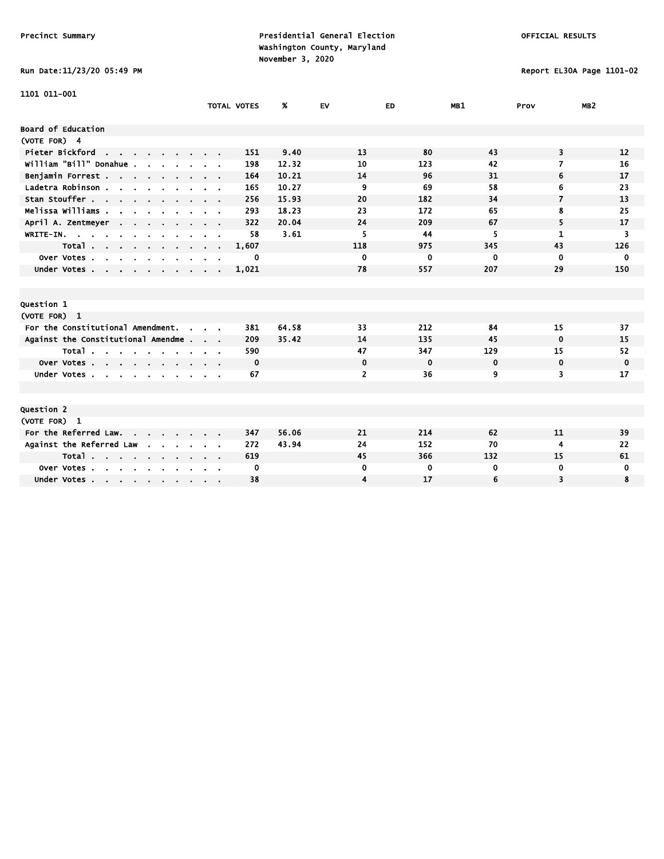# Run Date:11/23/20 05:49 PM Report EL30A Page 1101-02

| 1101 011-001                                             |                    |             |       |                |             |             |                |                 |
|----------------------------------------------------------|--------------------|-------------|-------|----------------|-------------|-------------|----------------|-----------------|
|                                                          | <b>TOTAL VOTES</b> |             | Ж.    | EV             | ED.         | MB1         | Prov           | MB <sub>2</sub> |
| <b>Board of Education</b>                                |                    |             |       |                |             |             |                |                 |
|                                                          |                    |             |       |                |             |             |                |                 |
| (VOTE FOR) 4                                             |                    |             |       |                |             |             |                |                 |
| Pieter Bickford<br>and a strain and a strain of the      |                    | 151         | 9.40  | 13             | 80          | 43          | 3              | 12              |
| william "Bill" Donahue .                                 |                    | 198         | 12.32 | 10             | 123         | 42          | 7              | 16              |
| Benjamin Forrest                                         |                    | 164         | 10.21 | 14             | 96          | 31          | 6              | 17              |
| Ladetra Robinson                                         |                    | 165         | 10.27 | 9              | 69          | 58          | 6              | 23              |
| Stan Stouffer                                            |                    | 256         | 15.93 | 20             | 182         | 34          | $\overline{7}$ | 13              |
| Melissa Williams                                         |                    | 293         | 18.23 | 23             | 172         | 65          | 8              | 25              |
| April A. Zentmeyer                                       |                    | 322         | 20.04 | 24             | 209         | 67          | 5              | 17              |
| $W$ RITE-IN.                                             |                    | 58          | 3.61  | 5              | 44          | 5           | 1              | 3               |
| Total                                                    |                    | 1,607       |       | 118            | 975         | 345         | 43             | 126             |
| Over Votes<br>$\sim$ $\sim$ $\sim$<br>$\sim$             |                    | 0           |       | 0              | 0           | $\mathbf 0$ | $\mathbf 0$    | $\mathbf 0$     |
| Under Votes                                              |                    | 1,021       |       | 78             | 557         | 207         | 29             | 150             |
|                                                          |                    |             |       |                |             |             |                |                 |
|                                                          |                    |             |       |                |             |             |                |                 |
| Question 1                                               |                    |             |       |                |             |             |                |                 |
| (VOTE FOR) 1                                             |                    |             |       |                |             |             |                |                 |
| For the Constitutional Amendment.<br>$\sim$              |                    | 381         | 64.58 | 33             | 212         | 84          | 15             | 37              |
| Against the Constitutional Amendme                       |                    | 209         | 35.42 | 14             | 135         | 45          | $\mathbf 0$    | 15              |
| Total                                                    |                    | 590         |       | 47             | 347         | 129         | 15             | 52              |
| Over Votes                                               |                    | $\mathbf 0$ |       | 0              | $\mathbf 0$ | $\mathbf 0$ | $\mathbf 0$    | 0               |
| Under Votes                                              |                    | 67          |       | $\overline{2}$ | 36          | 9           | 3              | 17              |
|                                                          |                    |             |       |                |             |             |                |                 |
|                                                          |                    |             |       |                |             |             |                |                 |
| <b>Question 2</b>                                        |                    |             |       |                |             |             |                |                 |
| (VOTE FOR) 1                                             |                    |             |       |                |             |             |                |                 |
| For the Referred Law.                                    |                    | 347         | 56.06 | 21             | 214         | 62          | 11             | 39              |
| Against the Referred Law<br>$\mathbf{r}$<br>$\sim$       |                    | 272         | 43.94 | 24             | 152         | 70          | 4              | 22              |
| Total                                                    |                    | 619         |       | 45             | 366         | 132         | 15             | 61              |
| Over Votes<br>$\sim$<br><b>Service</b><br>$\blacksquare$ |                    | 0           |       | 0              | 0           | $\bf{0}$    | 0              | 0               |
|                                                          |                    | 38          |       | 4              | 17          | 6           | 3              | 8               |
| Under Votes                                              |                    |             |       |                |             |             |                |                 |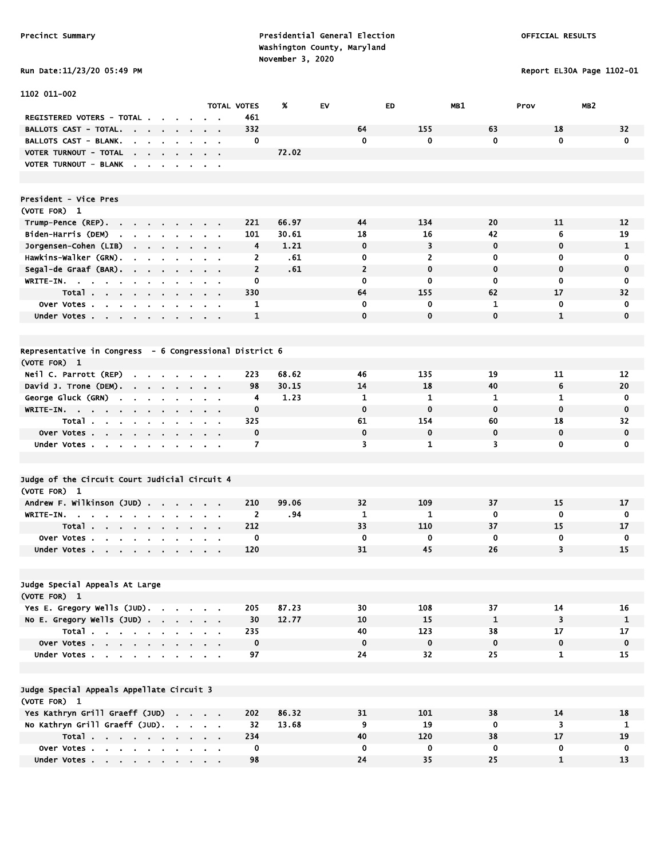Report EL30A Page 1102-01

|  |  |  |  | Run Date:11/23/20 05:49 P |  |
|--|--|--|--|---------------------------|--|
|--|--|--|--|---------------------------|--|

| 1102 011-002                                                                                                   |                               |                     |       |                     |                               |                    |                         |                   |
|----------------------------------------------------------------------------------------------------------------|-------------------------------|---------------------|-------|---------------------|-------------------------------|--------------------|-------------------------|-------------------|
|                                                                                                                | <b>TOTAL VOTES</b>            |                     | %     | EV                  | ED                            | MB1                | MB <sub>2</sub><br>Prov |                   |
| REGISTERED VOTERS - TOTAL.                                                                                     | $\sim$ $\sim$                 | 461                 |       |                     |                               |                    |                         |                   |
| <b>BALLOTS CAST - TOTAL.</b><br>and the contract of the contract of<br>$\sim$<br>$\blacksquare$                | $\sim$ $\sim$                 | 332                 |       | 64                  | 155                           | 63                 | 18                      | 32                |
| BALLOTS CAST - BLANK.<br>$\mathbf{r}$<br>$\mathbf{a}$ , and $\mathbf{a}$<br>$\alpha$<br>$\sim$                 | $\alpha = 0.1$                | 0                   |       | $\mathbf 0$         | 0                             | $\mathbf{0}$       | $\mathbf 0$             | $\mathbf 0$       |
| VOTER TURNOUT - TOTAL<br>$\sim$<br>$\mathbf{r} = \mathbf{r} + \mathbf{r}$ , where $\mathbf{r}$<br>$\mathbf{r}$ |                               |                     | 72.02 |                     |                               |                    |                         |                   |
| VOTER TURNOUT - BLANK .<br>$\sim$ $\sim$ $\sim$<br>$\blacksquare$                                              | $\mathbf{r} = \mathbf{r}$     |                     |       |                     |                               |                    |                         |                   |
|                                                                                                                |                               |                     |       |                     |                               |                    |                         |                   |
|                                                                                                                |                               |                     |       |                     |                               |                    |                         |                   |
| President - Vice Pres                                                                                          |                               |                     |       |                     |                               |                    |                         |                   |
| (VOTE FOR) 1                                                                                                   |                               |                     |       |                     |                               |                    |                         |                   |
| Trump-Pence (REP).<br>$\sim$                                                                                   |                               | 221                 | 66.97 | 44                  | 134                           | 20                 | 11                      | 12                |
| Biden-Harris (DEM)<br><b>Contract</b><br>$\alpha$ , $\alpha$ , $\alpha$ , $\alpha$ , $\alpha$<br>$\sim$        |                               | 101                 | 30.61 | 18                  | 16                            | 42                 | 6                       | 19                |
| Jorgensen-Cohen (LIB)<br>$\mathbf{a}=\mathbf{a}+\mathbf{a}+\mathbf{a}$ .<br><b>Contract</b><br>$\sim$          | $\alpha = 0.1$                | 4                   | 1.21  | $\mathbf 0$         | 3                             | $\mathbf 0$        | $\mathbf 0$             | $\mathbf{1}$      |
| Hawkins-Walker (GRN).<br>$\sim$<br>$\sim$ $\sim$ $\sim$<br>$\sim$<br>$\cdot$                                   | $\sim 10$                     | 2                   | .61   | 0<br>$\overline{2}$ | $\overline{2}$<br>$\mathbf 0$ | 0<br>$\mathbf 0$   | 0<br>0                  | 0<br>0            |
| Segal-de Graaf (BAR).<br>$\sim 10^{-11}$<br>$\mathbf{r} = \mathbf{r} \cdot \mathbf{r}$<br>$\sim$               | $\mathbf{r} = \mathbf{r}$     | $\overline{2}$      | .61   |                     |                               |                    |                         |                   |
| WRITE-IN.<br><b>Contract Contract</b>                                                                          | $\mathbf{r} = \mathbf{r}$     | 0                   |       | 0                   | 0                             | 0                  | 0                       | 0                 |
| Total<br>Over Votes                                                                                            |                               | 330<br>$\mathbf{1}$ |       | 64<br>$\mathbf 0$   | 155<br>0                      | 62<br>$\mathbf{1}$ | 17<br>$\mathbf 0$       | 32<br>$\mathbf 0$ |
|                                                                                                                |                               | 1                   |       | $\mathbf 0$         | $\mathbf{0}$                  | $\mathbf 0$        | $\mathbf{1}$            | $\mathbf 0$       |
| Under Votes<br>$\sim$<br>$\sim$                                                                                | $\mathbf{r} = \mathbf{r}$     |                     |       |                     |                               |                    |                         |                   |
|                                                                                                                |                               |                     |       |                     |                               |                    |                         |                   |
| Representative in Congress - 6 Congressional District 6                                                        |                               |                     |       |                     |                               |                    |                         |                   |
| (VOTE FOR) 1                                                                                                   |                               |                     |       |                     |                               |                    |                         |                   |
| Neil C. Parrott (REP)<br>$\cdot$ $\cdot$ $\cdot$ $\cdot$                                                       |                               | 223                 | 68.62 | 46                  | 135                           | 19                 | 11                      | 12                |
| David J. Trone (DEM).<br>$\sim$ $\sim$ $\sim$ $\sim$<br>$\sim 100$                                             | $\sim$ $\sim$                 | 98                  | 30.15 | 14                  | 18                            | 40                 | 6                       | 20                |
| George Gluck (GRN)<br><b>Contract</b><br>$\mathbf{a} = \mathbf{a} + \mathbf{a}$ , and<br>$\sim$                | $\alpha$ , $\beta$ , $\alpha$ | 4                   | 1.23  | 1                   | 1                             | 1                  | 1                       | $\mathbf 0$       |
| WRITE-IN.                                                                                                      |                               | $\mathbf 0$         |       | $\mathbf 0$         | $\mathbf 0$                   | $\mathbf 0$        | $\mathbf 0$             | $\mathbf 0$       |
| Total .                                                                                                        |                               | 325                 |       | 61                  | 154                           | 60                 | 18                      | 32                |
| Over Votes<br>$\sim$<br>$\sim$<br>$\blacksquare$                                                               |                               | $\mathbf 0$         |       | $\mathbf 0$         | $\mathbf 0$                   | $\mathbf 0$        | $\mathbf 0$             | $\mathbf 0$       |
| Under Votes<br>$\mathbf{r}$                                                                                    |                               | $\overline{7}$      |       | 3                   | 1                             | 3                  | $\mathbf 0$             | 0                 |
|                                                                                                                |                               |                     |       |                     |                               |                    |                         |                   |
|                                                                                                                |                               |                     |       |                     |                               |                    |                         |                   |
| Judge of the Circuit Court Judicial Circuit 4                                                                  |                               |                     |       |                     |                               |                    |                         |                   |
| (VOTE FOR) 1                                                                                                   |                               |                     |       |                     |                               |                    |                         |                   |
| Andrew F. Wilkinson (JUD)                                                                                      |                               | 210                 | 99.06 | 32                  | 109                           | 37                 | 15                      | 17                |
| WRITE-IN.<br>$\sim$                                                                                            | $\sim$ $\sim$                 | $\overline{2}$      | .94   | 1                   | 1                             | 0                  | 0                       | 0                 |
| Total<br>$\sim 100$ km s $^{-1}$                                                                               |                               | 212                 |       | 33                  | 110                           | 37                 | 15                      | 17                |
| Over Votes                                                                                                     |                               | 0                   |       | $\mathbf 0$         | 0                             | 0                  | 0                       | 0                 |
| Under Votes<br>$\mathbf{r} = \mathbf{r}$<br>$\cdot$                                                            |                               | 120                 |       | 31                  | 45                            | 26                 | 3                       | 15                |
|                                                                                                                |                               |                     |       |                     |                               |                    |                         |                   |
|                                                                                                                |                               |                     |       |                     |                               |                    |                         |                   |
| Judge Special Appeals At Large                                                                                 |                               |                     |       |                     |                               |                    |                         |                   |
| (VOTE FOR) 1                                                                                                   |                               |                     |       |                     |                               |                    |                         |                   |
| Yes E. Gregory Wells (JUD).                                                                                    |                               | 205                 | 87.23 | 30                  | 108                           | 37                 | 14                      | 16                |
| No E. Gregory Wells (JUD)                                                                                      |                               | 30                  | 12.77 | 10                  | 15                            | $\mathbf{1}$       | 3                       | $\mathbf{1}$      |
| Total                                                                                                          |                               | 235                 |       | 40                  | 123                           | 38                 | 17                      | 17                |
| Over Votes                                                                                                     |                               | $\mathbf 0$         |       | $\mathbf 0$         | $\pmb{0}$                     | $\mathbf 0$        | $\mathbf 0$             | $\mathbf 0$       |
| Under Votes                                                                                                    |                               | 97                  |       | 24                  | 32                            | 25                 | $\mathbf{1}$            | 15                |
|                                                                                                                |                               |                     |       |                     |                               |                    |                         |                   |
|                                                                                                                |                               |                     |       |                     |                               |                    |                         |                   |
| Judge Special Appeals Appellate Circuit 3                                                                      |                               |                     |       |                     |                               |                    |                         |                   |
| (VOTE FOR) 1                                                                                                   |                               |                     |       |                     |                               |                    |                         |                   |
| Yes Kathryn Grill Graeff (JUD)                                                                                 |                               | 202                 | 86.32 | 31                  | 101                           | 38                 | 14                      | 18                |
| No Kathryn Grill Graeff (JUD).                                                                                 |                               | 32                  | 13.68 | 9                   | 19                            | $\mathbf 0$        | 3                       | 1                 |
| Total                                                                                                          |                               | 234                 |       | 40                  | 120                           | 38                 | 17                      | 19                |
| Over Votes                                                                                                     |                               | 0<br>98             |       | 0<br>24             | 0<br>35                       | 0<br>25            | 0<br>$\mathbf{1}$       | 0<br>13           |
| Under Votes                                                                                                    |                               |                     |       |                     |                               |                    |                         |                   |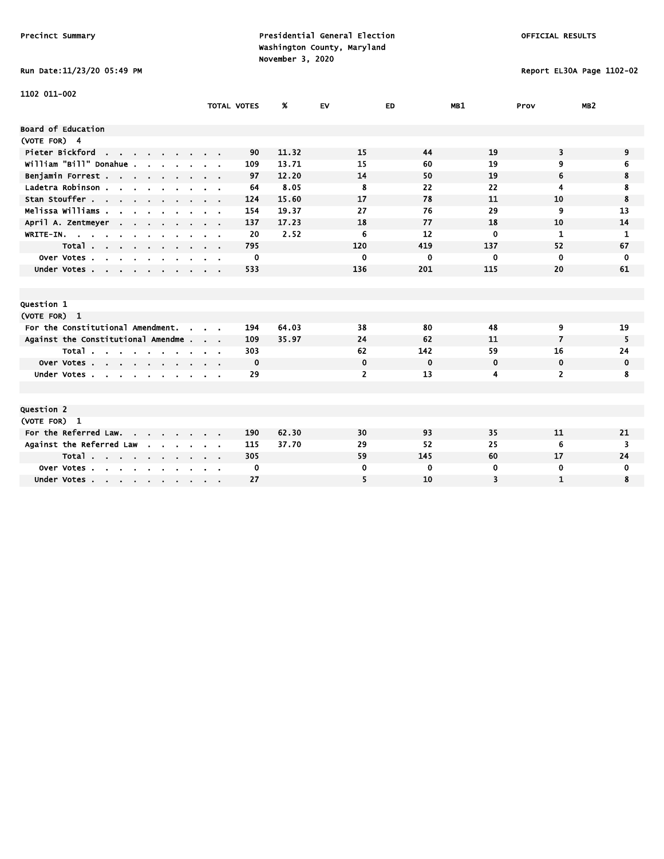Run Date:11/23/20 05:49 PM Report EL30A Page 1102-02

| 1102 011-002                                                       |                    |       |                |             |             |                |                 |
|--------------------------------------------------------------------|--------------------|-------|----------------|-------------|-------------|----------------|-----------------|
|                                                                    | <b>TOTAL VOTES</b> | Ж.    | <b>EV</b>      | <b>ED</b>   | MB1         | Prov           | MB <sub>2</sub> |
|                                                                    |                    |       |                |             |             |                |                 |
| <b>Board of Education</b>                                          |                    |       |                |             |             |                |                 |
| (VOTE FOR) 4                                                       |                    |       |                |             |             |                |                 |
| Pieter Bickford<br>the contract of the contract of the contract of | 90                 | 11.32 | 15             | 44          | 19          | 3              | 9               |
| william "Bill" Donahue.                                            | 109                | 13.71 | 15             | 60          | 19          | 9              | 6               |
| Benjamin Forrest.                                                  | 97                 | 12.20 | 14             | 50          | 19          | 6              | 8               |
| Ladetra Robinson                                                   | 64                 | 8.05  | 8              | 22          | 22          | 4              | 8               |
| Stan Stouffer                                                      | 124                | 15.60 | 17             | 78          | 11          | 10             | 8               |
| Melissa Williams .                                                 | 154                | 19.37 | 27             | 76          | 29          | 9              | 13              |
| April A. Zentmeyer                                                 | 137                | 17.23 | 18             | 77          | 18          | 10             | 14              |
| WRITE-IN.                                                          | 20                 | 2.52  | 6              | 12          | 0           | $\mathbf{1}$   | 1               |
| Total                                                              | 795                |       | 120            | 419         | 137         | 52             | 67              |
| Over Votes                                                         | 0                  |       | 0              | 0           | $\mathbf 0$ | $\mathbf 0$    | 0               |
| Under Votes                                                        | 533                |       | 136            | 201         | 115         | 20             | 61              |
|                                                                    |                    |       |                |             |             |                |                 |
|                                                                    |                    |       |                |             |             |                |                 |
| <b>Question 1</b>                                                  |                    |       |                |             |             |                |                 |
| (VOTE FOR) 1                                                       |                    |       |                |             |             |                |                 |
| For the Constitutional Amendment.<br>$\sim$                        | 194                | 64.03 | 38             | 80          | 48          | 9              | 19              |
| Against the Constitutional Amendme                                 | 109                | 35.97 | 24             | 62          | 11          | 7              | 5               |
| Total                                                              | 303                |       | 62             | 142         | 59          | 16             | 24              |
| Over Votes                                                         | $\mathbf 0$        |       | 0              | $\mathbf 0$ | $\mathbf 0$ | 0              | 0               |
| Under Votes                                                        | 29                 |       | $\overline{2}$ | 13          | 4           | $\overline{2}$ | 8               |
|                                                                    |                    |       |                |             |             |                |                 |
|                                                                    |                    |       |                |             |             |                |                 |
| <b>Question 2</b>                                                  |                    |       |                |             |             |                |                 |
| (VOTE FOR) 1                                                       |                    |       |                |             |             |                |                 |
| For the Referred Law.                                              | 190                | 62.30 | 30             | 93          | 35          | 11             | 21              |
| Against the Referred Law                                           | 115                | 37.70 | 29             | 52          | 25          | 6              | 3               |
| Total                                                              | 305                |       | 59             | 145         | 60          | 17             | 24              |
| Over Votes                                                         | 0                  |       | 0              | 0           | 0           | 0              | 0               |
| Under Votes                                                        | 27                 |       | 5              | 10          | 3           | $\mathbf{1}$   | 8               |
|                                                                    |                    |       |                |             |             |                |                 |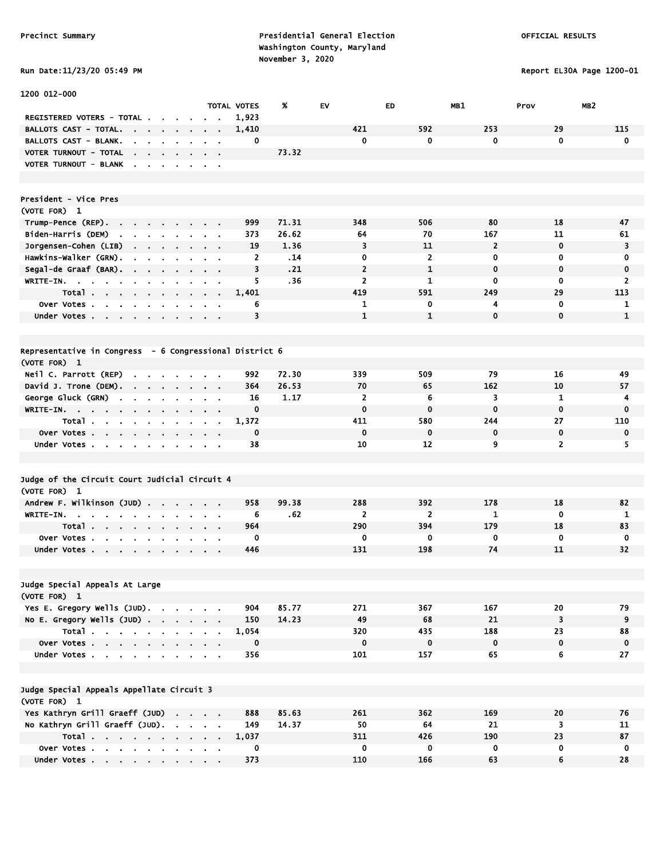# Run Date:11/23/20 05:49 PM Report EL30A Page 1200-01

| 1200 012-000                                                                                          |                                        |        |                    |       |                |                |                |                         |                 |
|-------------------------------------------------------------------------------------------------------|----------------------------------------|--------|--------------------|-------|----------------|----------------|----------------|-------------------------|-----------------|
|                                                                                                       |                                        |        | <b>TOTAL VOTES</b> | %     | EV.            | <b>ED</b>      | MB1            | Prov                    | MB <sub>2</sub> |
| REGISTERED VOTERS - TOTAL .                                                                           |                                        |        | 1,923              |       |                |                |                |                         |                 |
| BALLOTS CAST - TOTAL.<br>.                                                                            |                                        |        | 1,410              |       | 421            | 592            | 253            | 29                      | 115             |
| <b>BALLOTS CAST - BLANK.</b><br>the contract of the con-                                              | $\alpha = 0.01$                        |        | 0                  |       | 0              | 0              | 0              | $\mathbf 0$             | $\mathbf 0$     |
| VOTER TURNOUT - TOTAL<br><b>Contract Contract Contract</b>                                            |                                        |        |                    | 73.32 |                |                |                |                         |                 |
| VOTER TURNOUT - BLANK<br><b>Contract Contract</b><br>$\sim$<br>$\mathbf{r}$                           | $\alpha$ , $\beta$ , $\alpha$          |        |                    |       |                |                |                |                         |                 |
| President - Vice Pres                                                                                 |                                        |        |                    |       |                |                |                |                         |                 |
| (VOTE FOR) 1                                                                                          |                                        |        |                    |       |                |                |                |                         |                 |
| Trump-Pence (REP).<br>the company of the company                                                      |                                        |        | 999                | 71.31 | 348            | 506            | 80             | 18                      | 47              |
| Biden-Harris (DEM)<br>$\mathbf{a} = \mathbf{a} + \mathbf{a} + \mathbf{a} + \mathbf{a}$ .<br>$\bullet$ |                                        |        | 373                | 26.62 | 64             | 70             | 167            | 11                      | 61              |
| Jorgensen-Cohen (LIB)                                                                                 | $\alpha$ , and $\alpha$ , and $\alpha$ |        | 19                 | 1.36  | 3              | 11             | $\overline{2}$ | $\mathbf 0$             | 3               |
| Hawkins-Walker (GRN).<br>$\mathbf{r}$ , $\mathbf{r}$ , $\mathbf{r}$                                   | $\sim$ $ \sim$                         |        | $\overline{2}$     | .14   | 0              | $\overline{2}$ | 0              | 0                       | 0               |
| Segal-de Graaf (BAR).<br>$\sim 10^{-10}$ km $^{-1}$<br>$\blacksquare$                                 | $\alpha = 0.1$                         |        | 3                  | .21   | $\overline{2}$ | $\mathbf{1}$   | $\mathbf 0$    | $\mathbf 0$             | $\mathbf 0$     |
| WRITE-IN.<br>$\mathbf{r}$<br>$\mathbf{r}$<br>$\alpha$                                                 | $\mathbf{r} = \mathbf{r}$              |        | 5                  | .36   | $\mathbf{2}$   | 1              | 0              | 0                       | 2               |
| Total<br>$\sim$                                                                                       |                                        | $\sim$ | 1,401              |       | 419            | 591            | 249            | 29                      | 113             |
| Over Votes<br>$\blacksquare$                                                                          |                                        |        | 6                  |       | 1              | 0              | 4              | 0                       | 1               |
| Under Votes                                                                                           | <b>Contract Contract Contract</b>      |        | 3                  |       | $\mathbf{1}$   | $\mathbf{1}$   | $\mathbf 0$    | $\mathbf 0$             | $\mathbf{1}$    |
|                                                                                                       |                                        |        |                    |       |                |                |                |                         |                 |
| Representative in Congress - 6 Congressional District 6                                               |                                        |        |                    |       |                |                |                |                         |                 |
| (VOTE FOR) 1                                                                                          |                                        |        |                    |       |                |                |                |                         |                 |
| Neil C. Parrott (REP)<br>$\cdot$ $\cdot$ $\cdot$ $\cdot$                                              |                                        |        | 992                | 72.30 | 339            | 509            | 79             | 16                      | 49              |
| David J. Trone (DEM).                                                                                 | $\cdot$ $\cdot$ $\cdot$                |        | 364                | 26.53 | 70             | 65             | 162            | 10                      | 57              |
| George Gluck (GRN)<br>$\mathbf{r}$<br>$\sim$<br>$\bullet$<br>$\bullet$<br>$\bullet$                   | $\mathbf{r}$<br>$\alpha = 0.1$         |        | 16                 | 1.17  | $\overline{2}$ | 6              | 3              | 1                       | 4               |
| WRITE-IN.<br>$\mathbf{a} = \mathbf{a} + \mathbf{a}$<br>$\sim$                                         | $\alpha = 0.01$                        |        | $\mathbf 0$        |       | $\mathbf 0$    | $\mathbf 0$    | $\mathbf 0$    | $\mathbf 0$             | $\mathbf 0$     |
| Total                                                                                                 | $\sim$<br>$\sim$ 100 $\sim$            |        | 1,372              |       | 411            | 580            | 244            | 27                      | 110             |
| Over Votes                                                                                            |                                        |        | 0                  |       | $\mathbf 0$    | 0              | 0              | 0                       | $\mathbf 0$     |
| Under Votes                                                                                           |                                        |        | 38                 |       | 10             | 12             | 9              | $\overline{2}$          | 5               |
|                                                                                                       |                                        |        |                    |       |                |                |                |                         |                 |
| Judge of the Circuit Court Judicial Circuit 4                                                         |                                        |        |                    |       |                |                |                |                         |                 |
| (VOTE FOR) 1                                                                                          |                                        |        |                    |       |                |                |                |                         |                 |
| Andrew F. Wilkinson (JUD)                                                                             |                                        |        | 958                | 99.38 | 288            | 392            | 178            | 18                      | 82              |
| WRITE-IN.<br>$\sim 100$<br>$\mathbf{r}$<br>and a state of the state of the                            | $\sim$ $ \sim$<br>$\blacksquare$       |        | 6                  | .62   | $\overline{2}$ | $\overline{2}$ | 1              | $\mathbf 0$             | 1               |
| Total                                                                                                 |                                        |        | 964                |       | 290            | 394            | 179            | 18                      | 83              |
| Over Votes                                                                                            |                                        |        | 0                  |       | 0              | $\mathbf 0$    | 0              | 0                       | $\mathbf 0$     |
| Under Votes                                                                                           |                                        |        | 446                |       | 131            | 198            | 74             | 11                      | 32              |
|                                                                                                       |                                        |        |                    |       |                |                |                |                         |                 |
| Judge Special Appeals At Large                                                                        |                                        |        |                    |       |                |                |                |                         |                 |
| (VOTE FOR) 1                                                                                          |                                        |        |                    |       |                |                |                |                         |                 |
| Yes E. Gregory Wells (JUD).                                                                           |                                        |        | 904                | 85.77 | 271            | 367            | 167            | 20                      | 79              |
| No E. Gregory Wells $(JUD)$ .                                                                         |                                        |        | 150                | 14.23 | 49             | 68             | 21             | $\overline{\mathbf{3}}$ | 9               |
| Total                                                                                                 |                                        |        | 1,054              |       | 320            | 435            | 188            | 23                      | 88              |
| Over Votes                                                                                            |                                        |        | $\mathbf 0$        |       | $\mathbf 0$    | $\mathbf 0$    | $\mathbf 0$    | $\mathbf 0$             | 0               |
| Under Votes                                                                                           |                                        |        | 356                |       | 101            | 157            | 65             | 6                       | 27              |
|                                                                                                       |                                        |        |                    |       |                |                |                |                         |                 |
| Judge Special Appeals Appellate Circuit 3                                                             |                                        |        |                    |       |                |                |                |                         |                 |
| (VOTE FOR) 1                                                                                          |                                        |        |                    |       |                |                |                |                         |                 |
| Yes Kathryn Grill Graeff (JUD)                                                                        |                                        |        | 888                | 85.63 | 261            | 362            | 169            | 20                      | 76              |
| No Kathryn Grill Graeff (JUD).                                                                        |                                        |        | 149                | 14.37 | 50             | 64             | 21             | $\overline{\mathbf{3}}$ | 11              |
| Total                                                                                                 |                                        |        | 1,037              |       | 311            | 426            | 190            | 23                      | 87              |
| Over Votes                                                                                            |                                        |        | 0                  |       | 0              | 0              | $\mathbf 0$    | $\mathbf 0$             | $\mathbf 0$     |
| Under Votes                                                                                           |                                        |        | 373                |       | 110            | 166            | 63             | 6                       | 28              |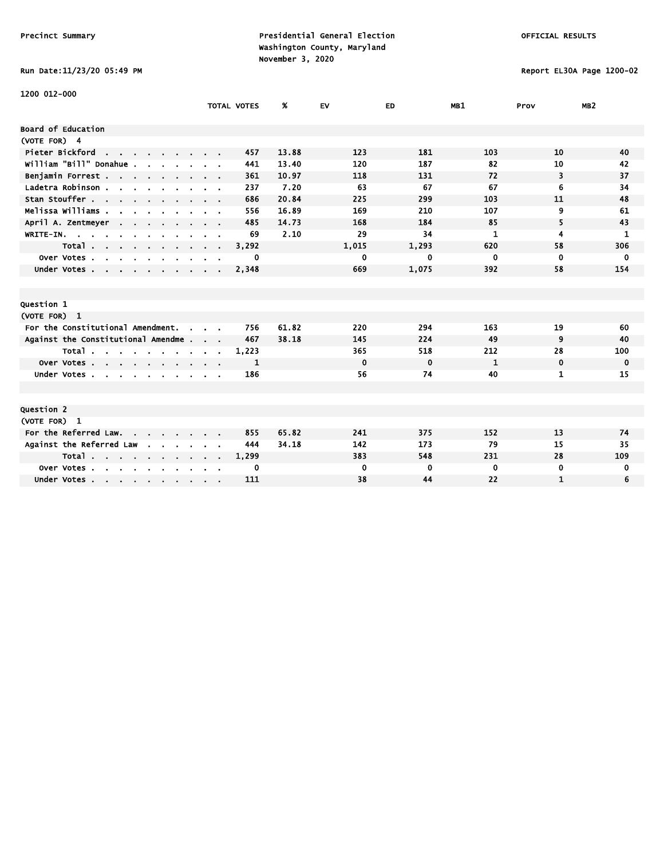### Run Date:11/23/20 05:49 PM Report EL30A Page 1200-02

| 1200 012-000                                                    |                    |       |              |             |          |              |                 |
|-----------------------------------------------------------------|--------------------|-------|--------------|-------------|----------|--------------|-----------------|
|                                                                 | <b>TOTAL VOTES</b> | %     | <b>EV</b>    | ED.         | MB1      | Prov         | MB <sub>2</sub> |
| Board of Education                                              |                    |       |              |             |          |              |                 |
| (VOTE FOR) 4                                                    |                    |       |              |             |          |              |                 |
|                                                                 |                    |       | 123          | 181         |          | 10           |                 |
| Pieter Bickford<br>G.                                           | 457                | 13.88 |              |             | 103      |              | 40              |
| William "Bill" Donahue                                          | 441                | 13.40 | 120          | 187         | 82       | 10           | 42              |
| Benjamin Forrest                                                | 361                | 10.97 | 118          | 131         | 72       | 3            | 37              |
| Ladetra Robinson.                                               | 237                | 7.20  | 63           | 67          | 67       | 6            | 34              |
| Stan Stouffer                                                   | 686                | 20.84 | 225          | 299         | 103      | 11           | 48              |
| Melissa Williams .                                              | 556                | 16.89 | 169          | 210         | 107      | 9            | 61              |
| April A. Zentmeyer                                              | 485                | 14.73 | 168          | 184         | 85       | 5            | 43              |
| WRITE-IN.                                                       | 69                 | 2.10  | 29           | 34          | 1        | 4            | 1               |
| Total<br>$\cdot$ $\cdot$ $\cdot$ $\cdot$ $\cdot$                | 3,292              |       | 1,015        | 1,293       | 620      | 58           | 306             |
| Over Votes.<br>$\sim$<br>$\sim$<br>$\sim$                       | 0                  |       | 0            | 0           | 0        | $\mathbf 0$  | 0               |
| Under Votes                                                     | 2,348              |       | 669          | 1,075       | 392      | 58           | 154             |
|                                                                 |                    |       |              |             |          |              |                 |
|                                                                 |                    |       |              |             |          |              |                 |
| Question 1                                                      |                    |       |              |             |          |              |                 |
| (VOTE FOR) 1                                                    |                    |       |              |             |          |              |                 |
| For the Constitutional Amendment.<br>$\sim$                     | 756                | 61.82 | 220          | 294         | 163      | 19           | 60              |
| Against the Constitutional Amendme                              | 467                | 38.18 | 145          | 224         | 49       | 9            | 40              |
| Total $\cdots$ $\cdots$                                         | 1,223              |       | 365          | 518         | 212      | 28           | 100             |
| Over Votes                                                      | 1                  |       | $\mathbf{0}$ | $\mathbf 0$ | 1        | $\mathbf 0$  | 0               |
| Under Votes.<br><b>Service</b><br>$\sim$                        | 186                |       | 56           | 74          | 40       | 1            | 15              |
|                                                                 |                    |       |              |             |          |              |                 |
|                                                                 |                    |       |              |             |          |              |                 |
| Question 2                                                      |                    |       |              |             |          |              |                 |
| (VOTE FOR) 1                                                    |                    |       |              |             |          |              |                 |
| For the Referred Law.                                           | 855                | 65.82 | 241          | 375         | 152      | 13           | 74              |
| Against the Referred Law<br>$\sim$ 100 $\sim$<br><b>Service</b> | 444                | 34.18 | 142          | 173         | 79       | 15           | 35              |
| Total                                                           | 1,299              |       | 383          | 548         | 231      | 28           | 109             |
| Over Votes                                                      | 0                  |       | $\mathbf 0$  | 0           | $\bf{0}$ | $\mathbf 0$  | 0               |
| Under Votes                                                     | 111                |       | 38           | 44          | 22       | $\mathbf{1}$ | 6               |
|                                                                 |                    |       |              |             |          |              |                 |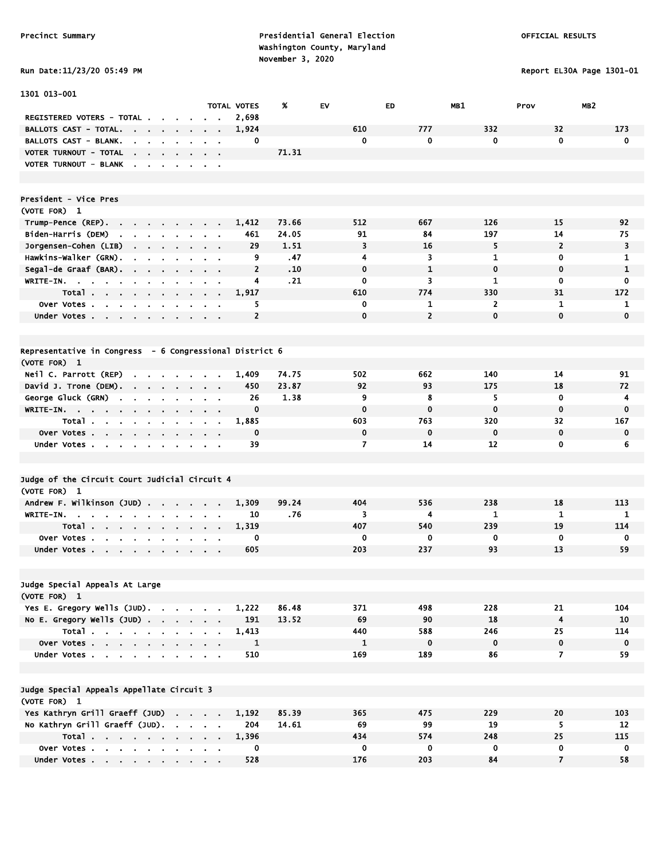Run Date:11/23/20 05:49 PM Report EL30A Page 1301-01

| 1301 013-001                                                                                                                    |                                                    |                         |       |              |                |                |                         |                 |
|---------------------------------------------------------------------------------------------------------------------------------|----------------------------------------------------|-------------------------|-------|--------------|----------------|----------------|-------------------------|-----------------|
|                                                                                                                                 |                                                    | <b>TOTAL VOTES</b>      | %     | <b>EV</b>    | ED             | MB1            | Prov                    | MB <sub>2</sub> |
| REGISTERED VOTERS - TOTAL.                                                                                                      |                                                    | 2,698                   |       |              |                |                |                         |                 |
| BALLOTS CAST - TOTAL.<br>$\sim$ 10 $\sim$<br>$\mathbf{r}$                                                                       |                                                    | 1,924                   |       | 610          | 777            | 332            | 32                      | 173             |
| <b>BALLOTS CAST - BLANK.</b>                                                                                                    |                                                    | 0                       |       | 0            | 0              | 0              | $\mathbf 0$             | $\mathbf 0$     |
| VOTER TURNOUT - TOTAL<br>the contract of the con-                                                                               | $\alpha = 0.01$                                    |                         | 71.31 |              |                |                |                         |                 |
| VOTER TURNOUT - BLANK                                                                                                           |                                                    |                         |       |              |                |                |                         |                 |
|                                                                                                                                 |                                                    |                         |       |              |                |                |                         |                 |
|                                                                                                                                 |                                                    |                         |       |              |                |                |                         |                 |
| President - Vice Pres                                                                                                           |                                                    |                         |       |              |                |                |                         |                 |
| (VOTE FOR) 1                                                                                                                    |                                                    |                         |       |              |                |                |                         |                 |
| Trump-Pence (REP).                                                                                                              |                                                    | 1,412                   | 73.66 | 512          | 667            | 126            | 15                      | 92              |
| Biden-Harris (DEM)<br>$\sim$ $\sim$                                                                                             |                                                    | 461                     | 24.05 | 91           | 84             | 197            | 14                      | 75              |
| Jorgensen-Cohen (LIB)<br>$\sim$<br>$\sim 100$<br>$\sim$<br>$\bullet$<br>$\blacksquare$                                          | $\sim$ 100 $\pm$                                   | 29                      | 1.51  | 3            | 16             | 5              | $\overline{2}$          | 3               |
| Hawkins-Walker (GRN).<br>$\blacksquare$                                                                                         |                                                    | 9                       | .47   | 4            | 3              | $\mathbf{1}$   | 0                       | 1               |
| Segal-de Graaf (BAR).                                                                                                           | $\mathbf{a}$ , and $\mathbf{a}$ , and $\mathbf{a}$ | $\overline{2}$          | .10   | $\mathbf 0$  | $\mathbf{1}$   | $\mathbf 0$    | $\mathbf 0$             | $\mathbf{1}$    |
| WRITE-IN.                                                                                                                       |                                                    | 4                       | .21   | 0            | 3              | 1              | 0                       | 0               |
| Total<br><b>Service</b>                                                                                                         |                                                    | 1,917                   |       | 610          | 774            | 330            | 31                      | 172             |
| Over Votes<br>$\mathbf{r}$<br>$\blacksquare$                                                                                    | $\alpha = 0.1$                                     | 5                       |       | $\mathbf 0$  | 1              | $\overline{2}$ | 1                       | 1               |
| Under Votes                                                                                                                     |                                                    | $\overline{\mathbf{c}}$ |       | 0            | $\overline{2}$ | $\mathbf 0$    | $\mathbf 0$             | $\mathbf{0}$    |
|                                                                                                                                 |                                                    |                         |       |              |                |                |                         |                 |
|                                                                                                                                 |                                                    |                         |       |              |                |                |                         |                 |
| Representative in Congress - 6 Congressional District 6                                                                         |                                                    |                         |       |              |                |                |                         |                 |
| (VOTE FOR) 1                                                                                                                    |                                                    |                         |       |              |                |                |                         |                 |
| Neil C. Parrott (REP)<br><b>Contract Contract</b><br>$\sim$                                                                     |                                                    | 1,409                   | 74.75 | 502          | 662            | 140            | 14                      | 91              |
| David J. Trone (DEM).                                                                                                           |                                                    | 450                     | 23.87 | 92           | 93             | 175            | 18                      | 72              |
| George Gluck (GRN)                                                                                                              |                                                    | 26                      | 1.38  | 9            | 8              | 5              | $\mathbf 0$             | 4               |
| $\sim$<br>$\bullet$<br>WRITE-IN.                                                                                                |                                                    | 0                       |       | $\mathbf 0$  | $\bf{0}$       | $\mathbf 0$    | $\mathbf 0$             | $\mathbf 0$     |
| $\sim$ 100 $\pm$<br>Total .                                                                                                     |                                                    |                         |       | 603          | 763            | 320            | 32                      | 167             |
| the company of the company of the company<br>$\sim$<br>$\blacksquare$                                                           | $\sim$                                             | 1,885<br>0              |       | $\mathbf 0$  | $\mathbf 0$    | $\mathbf 0$    | $\mathbf 0$             | $\mathbf 0$     |
| Over Votes                                                                                                                      | $\cdots$                                           | 39                      |       | 7            | 14             | 12             | 0                       |                 |
| Under Votes                                                                                                                     |                                                    |                         |       |              |                |                |                         | 6               |
|                                                                                                                                 |                                                    |                         |       |              |                |                |                         |                 |
|                                                                                                                                 |                                                    |                         |       |              |                |                |                         |                 |
| Judge of the Circuit Court Judicial Circuit 4                                                                                   |                                                    |                         |       |              |                |                |                         |                 |
| (VOTE FOR) 1                                                                                                                    |                                                    |                         |       |              |                |                |                         |                 |
| Andrew F. Wilkinson (JUD)                                                                                                       |                                                    | 1,309                   | 99.24 | 404          | 536            | 238            | 18                      | 113             |
| WRITE-IN.<br>$\sim$<br>$\sim$ $\sim$ $\sim$ $\sim$ $\sim$<br>$\sim$<br>$\blacksquare$                                           |                                                    | 10                      | .76   | 3            | 4              | 1              | $\mathbf{1}$            | 1               |
| Total.<br>$\mathbf{r} = \mathbf{r} + \mathbf{r} + \mathbf{r}$ .<br>$\mathbf{a}$ , and $\mathbf{a}$ , and $\mathbf{a}$<br>$\sim$ | $\sim$ 100 $\sim$                                  | 1,319                   |       | 407          | 540            | 239            | 19                      | 114             |
| Over Votes.<br>$\mathbf{a} = \mathbf{a} \cdot \mathbf{a}$<br>$\sim$<br>$\sim$<br>$\bullet$<br>$\bullet$                         |                                                    | 0                       |       | $\mathbf 0$  | 0              | 0              | $\mathbf 0$             | 0               |
| Under Votes                                                                                                                     |                                                    | 605                     |       | 203          | 237            | 93             | 13                      | 59              |
|                                                                                                                                 |                                                    |                         |       |              |                |                |                         |                 |
|                                                                                                                                 |                                                    |                         |       |              |                |                |                         |                 |
| Judge Special Appeals At Large                                                                                                  |                                                    |                         |       |              |                |                |                         |                 |
| (VOTE FOR) 1                                                                                                                    |                                                    |                         |       |              |                |                |                         |                 |
| Yes E. Gregory Wells (JUD).                                                                                                     |                                                    | 1,222                   | 86.48 | 371          | 498            | 228            | 21                      | 104             |
| No E. Gregory Wells (JUD)                                                                                                       |                                                    | 191                     | 13.52 | 69           | 90             | 18             | $\overline{\mathbf{4}}$ | 10              |
| Total                                                                                                                           |                                                    | 1,413                   |       | 440          | 588            | 246            | 25                      | 114             |
| Over Votes                                                                                                                      | $\mathbf{r} = \mathbf{r}$                          | $\mathbf{1}$            |       | $\mathbf{1}$ | $\mathbf 0$    | $\mathbf 0$    | $\mathbf 0$             | $\mathbf 0$     |
| Under Votes                                                                                                                     | $\alpha = 0.1$                                     | 510                     |       | 169          | 189            | 86             | $\overline{7}$          | 59              |
|                                                                                                                                 |                                                    |                         |       |              |                |                |                         |                 |
|                                                                                                                                 |                                                    |                         |       |              |                |                |                         |                 |
| Judge Special Appeals Appellate Circuit 3                                                                                       |                                                    |                         |       |              |                |                |                         |                 |
| (VOTE FOR) 1                                                                                                                    |                                                    |                         |       |              |                |                |                         |                 |
| Yes Kathryn Grill Graeff (JUD)                                                                                                  |                                                    | 1,192                   | 85.39 | 365          | 475            | 229            | 20                      | 103             |
| No Kathryn Grill Graeff (JUD).                                                                                                  |                                                    | 204                     | 14.61 | 69           | 99             | 19             | 5                       | 12              |
| Total                                                                                                                           |                                                    | 1,396                   |       | 434          | 574            | 248            | 25                      | 115             |
| Over Votes                                                                                                                      |                                                    | 0                       |       | $\mathbf 0$  | $\mathbf 0$    | $\mathbf 0$    | $\mathbf 0$             | $\mathbf 0$     |
| Under Votes                                                                                                                     |                                                    | 528                     |       | 176          | 203            | 84             | $\overline{7}$          | 58              |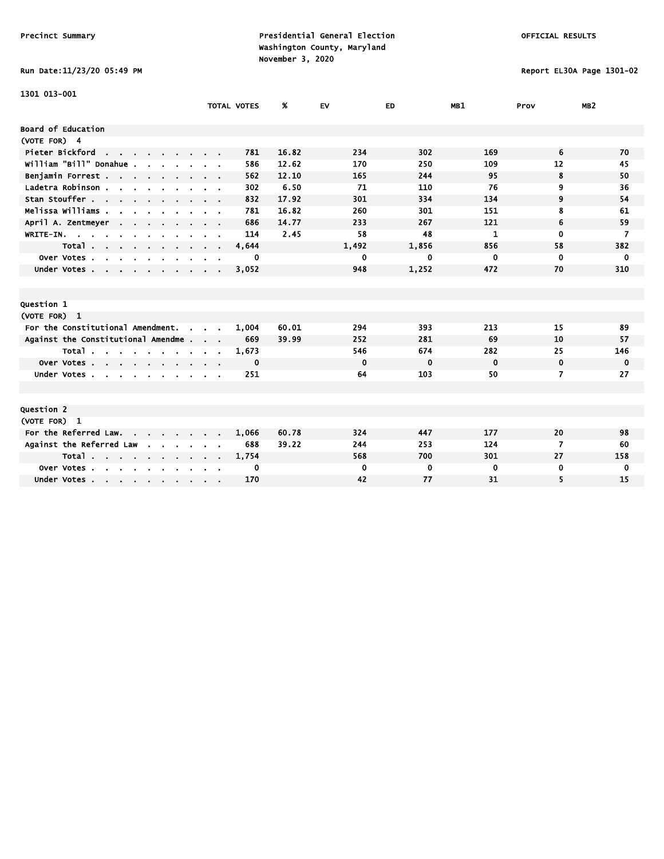Run Date:11/23/20 05:49 PM Report EL30A Page 1301-02

| 1301 013-001                                                                                  |                         |                    |       |             |             |             |              |                 |
|-----------------------------------------------------------------------------------------------|-------------------------|--------------------|-------|-------------|-------------|-------------|--------------|-----------------|
|                                                                                               |                         | <b>TOTAL VOTES</b> | %     | <b>EV</b>   | ED.         | MB1         | Prov         | MB <sub>2</sub> |
| Board of Education                                                                            |                         |                    |       |             |             |             |              |                 |
| (VOTE FOR) 4                                                                                  |                         |                    |       |             |             |             |              |                 |
| Pieter Bickford<br>the contract of the contract of                                            |                         | 781                | 16.82 | 234         | 302         | 169         | 6            | 70              |
| william "Bill" Donahue .                                                                      |                         | 586                | 12.62 | 170         | 250         | 109         | 12           | 45              |
| Benjamin Forrest                                                                              |                         | 562                | 12.10 | 165         | 244         | 95          | 8            | 50              |
| Ladetra Robinson.<br>$\mathbf{r}$ , $\mathbf{r}$ , $\mathbf{r}$ , $\mathbf{r}$ , $\mathbf{r}$ |                         | 302                | 6.50  | 71          | 110         | 76          | 9            | 36              |
| Stan Stouffer                                                                                 |                         | 832                | 17.92 | 301         | 334         | 134         | 9            | 54              |
| Melissa Williams .<br>$\sim$                                                                  |                         | 781                | 16.82 | 260         | 301         | 151         | 8            | 61              |
| April A. Zentmeyer<br><b>Contract Contract</b>                                                |                         | 686                | 14.77 | 233         | 267         | 121         | 6            | 59              |
| WRITE-IN.                                                                                     |                         | 114                | 2.45  | 58          | 48          | 1           | $\mathbf{0}$ | $\overline{7}$  |
| Total                                                                                         | $\cdot$ $\cdot$ $\cdot$ | 4,644              |       | 1,492       | 1,856       | 856         | 58           | 382             |
| Over Votes.<br>$\sim$<br>$\sim$<br>$\mathbf{r}$<br>$\sim$                                     |                         | 0                  |       | 0           | 0           | 0           | 0            | 0               |
| Under Votes                                                                                   |                         | 3,052              |       | 948         | 1,252       | 472         | 70           | 310             |
|                                                                                               |                         |                    |       |             |             |             |              |                 |
|                                                                                               |                         |                    |       |             |             |             |              |                 |
| Question 1                                                                                    |                         |                    |       |             |             |             |              |                 |
| (VOTE FOR) 1                                                                                  |                         |                    |       |             |             |             |              |                 |
| For the Constitutional Amendment.<br>$\sim$                                                   |                         | 1,004              | 60.01 | 294         | 393         | 213         | 15           | 89              |
| Against the Constitutional Amendme                                                            |                         | 669                | 39.99 | 252         | 281         | 69          | 10           | 57              |
| Total                                                                                         |                         | 1,673              |       | 546         | 674         | 282         | 25           | 146             |
| Over Votes                                                                                    |                         | 0                  |       | $\mathbf 0$ | $\mathbf 0$ | $\mathbf 0$ | $\mathbf 0$  | $\mathbf 0$     |
| Under Votes                                                                                   |                         | 251                |       | 64          | 103         | 50          | 7            | 27              |
|                                                                                               |                         |                    |       |             |             |             |              |                 |
|                                                                                               |                         |                    |       |             |             |             |              |                 |
| Question 2                                                                                    |                         |                    |       |             |             |             |              |                 |
| (VOTE FOR) 1                                                                                  |                         |                    |       |             |             |             |              |                 |
| For the Referred Law.                                                                         |                         | 1,066              | 60.78 | 324         | 447         | 177         | 20           | 98              |
| Against the Referred Law<br>$\sim$                                                            |                         | 688                | 39.22 | 244         | 253         | 124         | 7            | 60              |
| Total                                                                                         |                         | 1,754              |       | 568         | 700         | 301         | 27           | 158             |
| Over Votes.<br>$\sim 10^{-11}$<br>$\sim$ $\sim$ $\sim$<br>$\cdot$                             |                         | 0                  |       | 0           | 0           | 0           | 0            | 0               |
| Under Votes                                                                                   |                         | 170                |       | 42          | 77          | 31          | 5            | 15              |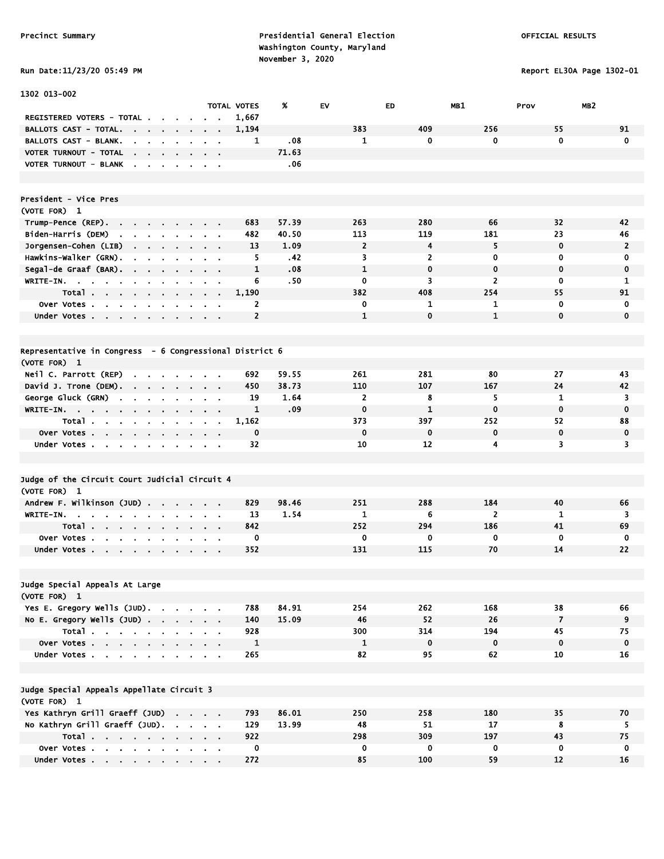Run Date:11/23/20 05:49 PM Report EL30A Page 1302-01

| 1302 013-002                                                  |                      |                               |                                          |                                        |                         |                            |                    |       |    |                |     |                         |                |                         |                 |
|---------------------------------------------------------------|----------------------|-------------------------------|------------------------------------------|----------------------------------------|-------------------------|----------------------------|--------------------|-------|----|----------------|-----|-------------------------|----------------|-------------------------|-----------------|
|                                                               |                      |                               |                                          |                                        |                         |                            | <b>TOTAL VOTES</b> | X     | EV |                | ED  | MB1                     |                | Prov                    | MB <sub>2</sub> |
| REGISTERED VOTERS - TOTAL .                                   |                      |                               |                                          |                                        |                         |                            | 1,667              |       |    |                |     |                         |                |                         |                 |
| <b>BALLOTS CAST - TOTAL.</b><br>$\cdot$                       | $\sim$               | $\sim$                        |                                          | $\blacksquare$                         | $\mathbf{r}$            |                            | 1,194              |       |    | 383            | 409 |                         | 256            | 55                      | 91              |
| BALLOTS CAST - BLANK.                                         | $\sim$ $\sim$        |                               | <b>Contract Contract</b>                 |                                        | <b>Contract</b>         |                            | 1                  | .08   |    | $\mathbf{1}$   |     | $\mathbf 0$             | $\mathbf 0$    | $\mathbf 0$             | C               |
| VOTER TURNOUT - TOTAL                                         |                      |                               |                                          |                                        |                         |                            |                    | 71.63 |    |                |     |                         |                |                         |                 |
| VOTER TURNOUT - BLANK                                         | $\mathbf{r}$         |                               |                                          | $\overline{\phantom{a}}$               | $\mathbf{r}$            | $\mathcal{L}_{\mathbf{r}}$ |                    | .06   |    |                |     |                         |                |                         |                 |
|                                                               |                      |                               |                                          |                                        |                         |                            |                    |       |    |                |     |                         |                |                         |                 |
| President - Vice Pres                                         |                      |                               |                                          |                                        |                         |                            |                    |       |    |                |     |                         |                |                         |                 |
| (VOTE FOR) 1                                                  |                      |                               |                                          |                                        |                         |                            |                    |       |    |                |     |                         |                |                         |                 |
| Trump-Pence (REP).                                            |                      |                               |                                          |                                        | $\sim 100$ m $^{-1}$    |                            | 683                | 57.39 |    | 263            | 280 |                         | 66             | 32                      | 42              |
| Biden-Harris (DEM)                                            | $\mathbf{r}$         |                               |                                          |                                        |                         |                            | 482                | 40.50 |    | 113            | 119 |                         | 181            | 23                      | 46              |
| Jorgensen-Cohen (LIB)<br>$\mathbf{r}$                         | ¥.                   | $\mathbf{r}$                  |                                          | $\blacksquare$                         | $\mathbf{r}$            | $\bullet$                  | 13                 | 1.09  |    | $\overline{2}$ |     | $\overline{\mathbf{4}}$ | 5              | $\mathbf 0$             | 2               |
| Hawkins-Walker (GRN).                                         | <b>Service</b>       |                               | $\mathbf{r} = \mathbf{r} + \mathbf{r}$ . |                                        | $\sim 100$ km s $^{-1}$ |                            | 5                  | .42   |    | 3              |     | $\overline{2}$          | $\mathbf 0$    | $\mathbf 0$             | C               |
| Segal-de Graaf (BAR).                                         |                      |                               |                                          |                                        |                         | $\mathbf{r}$               | $\mathbf{1}$       | .08   |    | $\mathbf{1}$   |     | $\mathbf 0$             | $\mathbf 0$    | $\mathbf 0$             | $\mathbf c$     |
| WRITE-IN.<br>$\sim$                                           | $\mathbf{r}$         |                               |                                          |                                        | $\mathbf{r}$            | $\bullet$                  | 6                  | .50   |    | $\mathbf{o}$   |     | $\overline{\mathbf{3}}$ | $\overline{2}$ | $\mathbf 0$             |                 |
| Total.<br>$\sim$                                              |                      |                               |                                          |                                        |                         |                            | 1,190              |       |    | 382            | 408 |                         | 254            | 55                      | 91              |
| Over Votes.<br>$\mathbf{r}$<br>$\mathbf{r}$<br>$\blacksquare$ | $\blacksquare$       |                               |                                          |                                        | $\blacksquare$          | $\mathbf{r}$               | $\overline{2}$     |       |    | 0              |     | 1                       | 1              | 0                       | C               |
| Under Votes                                                   | $\mathbf{r}$ .       | $\sim$                        | $\sim$                                   | $\sim$                                 | $\sim$                  | $\mathbf{r}$               | $\overline{2}$     |       |    | $\mathbf{1}$   |     | $\mathbf 0$             | $\mathbf{1}$   | $\mathbf 0$             | $\mathbf 0$     |
|                                                               |                      |                               |                                          |                                        |                         |                            |                    |       |    |                |     |                         |                |                         |                 |
| Representative in Congress - 6 Congressional District 6       |                      |                               |                                          |                                        |                         |                            |                    |       |    |                |     |                         |                |                         |                 |
| (VOTE FOR) 1                                                  |                      |                               |                                          |                                        |                         |                            |                    |       |    |                |     |                         |                |                         |                 |
| Neil C. Parrott (REP)<br>$\mathbf{r}$                         |                      | the company of the company of |                                          |                                        |                         |                            | 692                | 59.55 |    | 261            | 281 |                         | 80             | 27                      | 43              |
| David J. Trone (DEM).<br>$\blacksquare$                       | $\mathbf{r}$         |                               |                                          |                                        |                         | $\blacksquare$             | 450                | 38.73 |    | 110            | 107 |                         | 167            | 24                      | 42              |
| George Gluck (GRN)                                            | $\mathbf{r}$         | $\mathbf{r}$                  | $\sim$                                   | $\ddot{\phantom{a}}$                   | $\mathbf{r}$            | $\mathcal{L}_{\mathbf{r}}$ | 19                 | 1.64  |    | $\overline{2}$ |     | 8                       | 5              | $\mathbf{1}$            | З               |
| WRITE-IN.<br>$\sim 100$<br>$\mathbf{r}$<br>$\mathbf{r}$       | $\sim$               | $\sim$                        |                                          | $\bullet$                              | $\sim$                  |                            | $\mathbf{1}$       | .09   |    | $\mathbf 0$    |     | $\mathbf{1}$            | $\mathbf 0$    | $\mathbf{0}$            | $\mathbf c$     |
| Total.<br>$\mathbf{r}$<br>$\mathbf{r}$<br>$\mathbf{r}$        | $\sim$               | $\blacksquare$                |                                          | $\mathbf{r} = \mathbf{r}$              | $\mathbf{r}$            | $\mathbf{r}$               | 1,162              |       |    | 373            | 397 |                         | 252            | 52                      | 88              |
| Over Votes<br>$\mathbf{r} = \mathbf{r} + \mathbf{r}$ .        |                      | $\sim$                        |                                          | $\mathbf{r} = \mathbf{r}$              | $\bullet$               | $\blacksquare$             | 0                  |       |    | $\mathbf 0$    |     | $\mathbf 0$             | $\mathbf 0$    | $\mathbf 0$             | $\mathbf c$     |
| Under Votes                                                   |                      | $\mathbf{r}$                  | $\sim$                                   | $\mathbf{r}$                           | $\sim$                  | $\sim$                     | 32                 |       |    | 10             | 12  |                         | $\overline{4}$ | $\overline{\mathbf{3}}$ | 3               |
|                                                               |                      |                               |                                          |                                        |                         |                            |                    |       |    |                |     |                         |                |                         |                 |
|                                                               |                      |                               |                                          |                                        |                         |                            |                    |       |    |                |     |                         |                |                         |                 |
| Judge of the Circuit Court Judicial Circuit 4<br>(VOTE FOR) 1 |                      |                               |                                          |                                        |                         |                            |                    |       |    |                |     |                         |                |                         |                 |
| Andrew F. Wilkinson (JUD).                                    |                      |                               |                                          |                                        |                         | k.                         | 829                | 98.46 |    | 251            | 288 |                         | 184            | 40                      | 66              |
| $WRITE-IN.$                                                   | $\sim 100$           | $\sim$                        |                                          | $\sim$ $\sim$                          | $\sim 100$ km s $^{-1}$ |                            | 13                 | 1.54  |    | $\mathbf{1}$   |     | 6                       | $\overline{2}$ | $\mathbf{1}$            |                 |
| Total.<br>$\sim$<br>$\sim$ $\sim$                             | $\mathbf{r}$         | $\mathbf{r}$                  |                                          | $\bullet$                              |                         | $\sim$                     | 842                |       |    | 252            | 294 |                         | 186            | 41                      | 69              |
| Over Votes.<br>$\mathbf{r}$<br>$\mathbf{r}$<br>$\bullet$      | $\ddot{\phantom{a}}$ |                               |                                          |                                        |                         | $\bullet$                  | 0                  |       |    | 0              |     | 0                       | 0              | $\mathbf 0$             |                 |
| Under Votes                                                   | $\sim$               | $\cdot$                       |                                          | $\sim$ $\sim$                          |                         | $\blacksquare$             | 352                |       |    | 131            | 115 |                         | 70             | 14                      | 22              |
|                                                               |                      |                               |                                          |                                        |                         |                            |                    |       |    |                |     |                         |                |                         |                 |
| Judge Special Appeals At Large                                |                      |                               |                                          |                                        |                         |                            |                    |       |    |                |     |                         |                |                         |                 |
| (VOTE FOR) 1                                                  |                      |                               |                                          |                                        |                         |                            |                    |       |    |                |     |                         |                |                         |                 |
| Yes E. Gregory Wells (JUD).                                   |                      |                               |                                          | and a state of the                     |                         |                            | 788                | 84.91 |    | 254            | 262 |                         | 168            | 38                      | 66              |
| No E. Gregory Wells (JUD).                                    |                      | $\mathbf{r}$ .                |                                          | $\mathbf{a} = \mathbf{a} + \mathbf{a}$ | $\sim 10$ $\mu$         |                            | 140                | 15.09 |    | 46             | 52  |                         | 26             | $\overline{7}$          | -9              |
| Total $\cdots$ $\cdots$ $\cdots$                              |                      |                               |                                          |                                        |                         |                            | 928                |       |    | 300            | 314 |                         | 194            | 45                      | 75              |
|                                                               |                      |                               |                                          |                                        |                         |                            |                    |       |    |                |     |                         |                |                         |                 |

| Judge Special Appeals Appellate Circuit 3 |     |
|-------------------------------------------|-----|
| (VOTE FOR) 1                              |     |
| Vor Kathmun Cmill Chaoff (JUD)            | 702 |

| (VOTE FOR) 1                    |       |  |  |  |  |      |       |     |     |     |    |    |
|---------------------------------|-------|--|--|--|--|------|-------|-----|-----|-----|----|----|
| Yes Kathryn Grill Graeff (JUD)  |       |  |  |  |  | 793  | 86.01 | 250 | 258 | 180 | 35 | 70 |
| No Kathryn Grill Graeff (JUD).  |       |  |  |  |  | 129  | 13.99 | 48  | 51  |     |    |    |
|                                 | Total |  |  |  |  | 922  |       | 298 | 309 | 197 |    |    |
| Over Votes, , , , , , , , , , , |       |  |  |  |  |      |       |     |     |     |    |    |
| Under Votes                     |       |  |  |  |  | -272 |       |     | 100 | 59  |    | 16 |
|                                 |       |  |  |  |  |      |       |     |     |     |    |    |

 Over Votes . . . . . . . . . . 1 1 0 0 0 0 Under Votes . . . . . . . . . . 265 82 95 62 10 16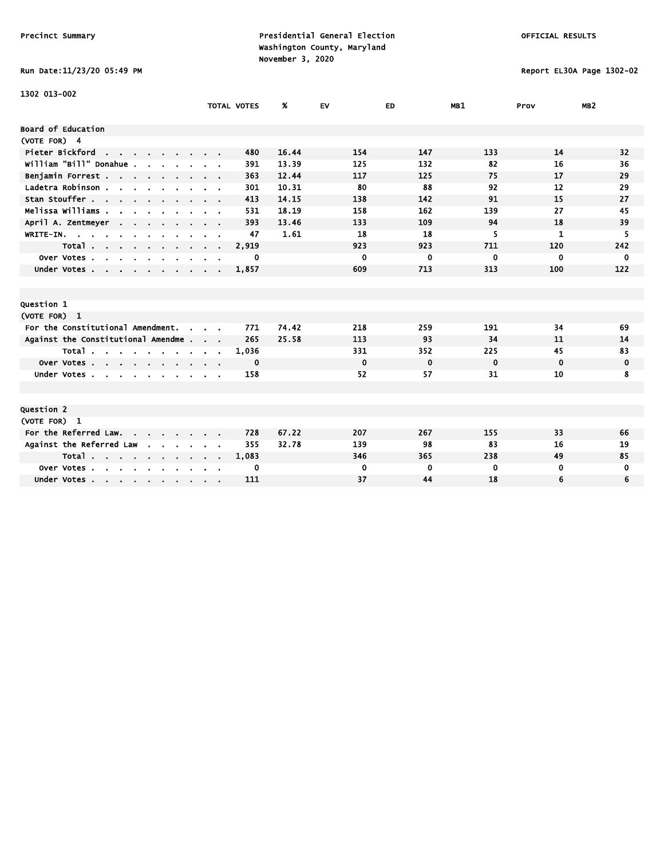# Run Date:11/23/20 05:49 PM Report EL30A Page 1302-02

| 1302 013-002                                                                                  |                              |                    |       |             |             |             |              |                 |
|-----------------------------------------------------------------------------------------------|------------------------------|--------------------|-------|-------------|-------------|-------------|--------------|-----------------|
|                                                                                               |                              | <b>TOTAL VOTES</b> | %     | <b>EV</b>   | ED.         | MB1         | Prov         | MB <sub>2</sub> |
| Board of Education                                                                            |                              |                    |       |             |             |             |              |                 |
| (VOTE FOR) 4                                                                                  |                              |                    |       |             |             |             |              |                 |
| Pieter Bickford<br>the contract of the contract of                                            |                              | 480                | 16.44 | 154         | 147         | 133         | 14           | 32              |
| William "Bill" Donahue .                                                                      |                              | 391                | 13.39 | 125         | 132         | 82          | 16           | 36              |
| Benjamin Forrest                                                                              |                              | 363                | 12.44 | 117         | 125         | 75          | 17           | 29              |
| Ladetra Robinson.<br>$\mathbf{r}$ , $\mathbf{r}$ , $\mathbf{r}$ , $\mathbf{r}$ , $\mathbf{r}$ |                              | 301                | 10.31 | 80          | 88          | 92          | 12           | 29              |
| Stan Stouffer                                                                                 |                              | 413                | 14.15 | 138         | 142         | 91          | 15           | 27              |
| Melissa Williams .<br>$\mathbf{r}$                                                            |                              | 531                | 18.19 | 158         | 162         | 139         | 27           | 45              |
| April A. Zentmeyer<br><b>Contract Contract</b>                                                |                              | 393                | 13.46 | 133         | 109         | 94          | 18           | 39              |
| WRITE-IN.<br>$\mathbf{r}$                                                                     |                              | 47                 | 1.61  | 18          | 18          | 5           | $\mathbf{1}$ | 5               |
| Total                                                                                         | $\sim$ 100 $\sim$ 100 $\sim$ | 2,919              |       | 923         | 923         | 711         | 120          | 242             |
| Over Votes.<br>$\sim$<br>$\sim$<br>$\sim$ $\sim$ $\sim$ $\sim$                                |                              | 0                  |       | $\mathbf 0$ | 0           | 0           | $\mathbf 0$  | $\mathbf 0$     |
| Under Votes                                                                                   |                              | 1,857              |       | 609         | 713         | 313         | 100          | 122             |
|                                                                                               |                              |                    |       |             |             |             |              |                 |
|                                                                                               |                              |                    |       |             |             |             |              |                 |
| Question 1                                                                                    |                              |                    |       |             |             |             |              |                 |
| (VOTE FOR) 1                                                                                  |                              |                    |       |             |             |             |              |                 |
| For the Constitutional Amendment.<br>$\sim$                                                   |                              | 771                | 74.42 | 218         | 259         | 191         | 34           | 69              |
| Against the Constitutional Amendme                                                            |                              | 265                | 25.58 | 113         | 93          | 34          | 11           | 14              |
| Total                                                                                         |                              | 1,036              |       | 331         | 352         | 225         | 45           | 83              |
| Over Votes                                                                                    |                              | 0                  |       | $\mathbf 0$ | $\mathbf 0$ | $\mathbf 0$ | $\mathbf 0$  | 0               |
| Under Votes                                                                                   |                              | 158                |       | 52          | 57          | 31          | 10           | 8               |
|                                                                                               |                              |                    |       |             |             |             |              |                 |
|                                                                                               |                              |                    |       |             |             |             |              |                 |
| Question 2                                                                                    |                              |                    |       |             |             |             |              |                 |
| (VOTE FOR) 1                                                                                  |                              |                    |       |             |             |             |              |                 |
| For the Referred Law.                                                                         |                              | 728                | 67.22 | 207         | 267         | 155         | 33           | 66              |
| Against the Referred Law<br>$\mathbf{r}$                                                      |                              | 355                | 32.78 | 139         | 98          | 83          | 16           | 19              |
| Total                                                                                         |                              | 1,083              |       | 346         | 365         | 238         | 49           | 85              |
| Over Votes.<br>$\mathbf{r}$ , $\mathbf{r}$ , $\mathbf{r}$ , $\mathbf{r}$                      |                              | 0                  |       | $\mathbf 0$ | 0           | 0           | $\mathbf 0$  | 0               |
| Under Votes                                                                                   |                              | 111                |       | 37          | 44          | 18          | 6            | 6               |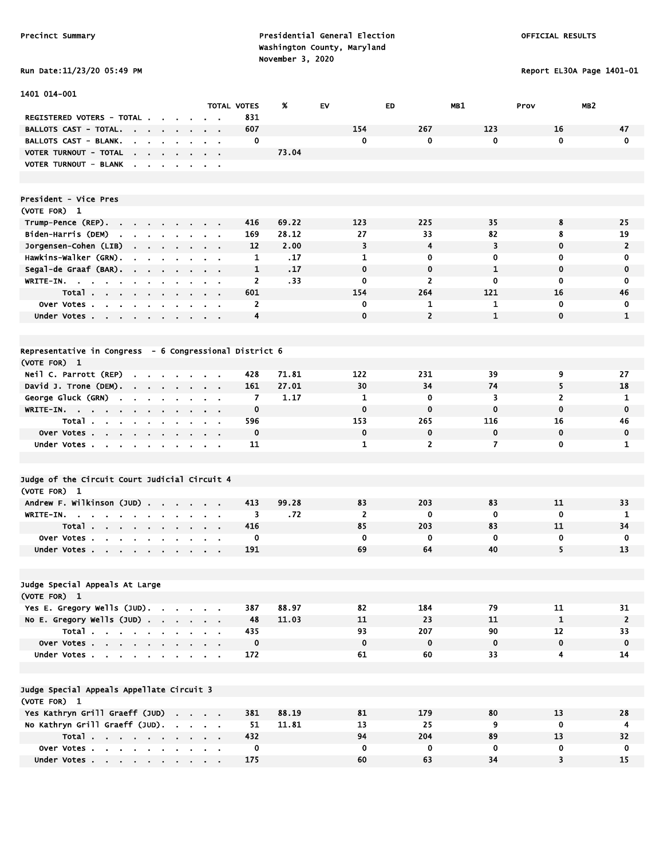Run Date:11/23/20 05:49 PM Report EL30A Page 1401-01

| 1401 014-001                                                                               |                    |                |       |                |                |              |                         |                 |
|--------------------------------------------------------------------------------------------|--------------------|----------------|-------|----------------|----------------|--------------|-------------------------|-----------------|
|                                                                                            | <b>TOTAL VOTES</b> |                | %     | EV             | ED             | MB1          | Prov                    | MB <sub>2</sub> |
| REGISTERED VOTERS - TOTAL .                                                                |                    | 831            |       |                |                |              |                         |                 |
| BALLOTS CAST - TOTAL.<br><b>Contract Contract</b><br>$\sim$<br>$\bullet$<br>$\blacksquare$ | $\mathbf{r}$ .     | 607            |       | 154            | 267            | 123          | 16                      | 47              |
| BALLOTS CAST - BLANK.<br>$\sim$ $\sim$                                                     |                    | 0              |       | $\mathbf 0$    | 0              | $\mathbf{0}$ | $\mathbf 0$             | $\mathbf{0}$    |
| VOTER TURNOUT - TOTAL                                                                      | $\sim$ $ \sim$     |                | 73.04 |                |                |              |                         |                 |
| VOTER TURNOUT - BLANK<br>the contract of the con-                                          |                    |                |       |                |                |              |                         |                 |
|                                                                                            |                    |                |       |                |                |              |                         |                 |
| President - Vice Pres                                                                      |                    |                |       |                |                |              |                         |                 |
| (VOTE FOR) 1                                                                               |                    |                |       |                |                |              |                         |                 |
| Trump-Pence (REP).                                                                         |                    | 416            | 69.22 | 123            | 225            | 35           | 8                       | 25              |
| Biden-Harris (DEM)<br>the contract of the contract of the con-                             |                    | 169            | 28.12 | 27             | 33             | 82           | 8                       | 19              |
| Jorgensen–Cohen (LIB)<br>$\mathbf{r} = \mathbf{r}$<br>$\sim$                               | a.                 | 12             | 2.00  | 3              | 4              | 3            | $\mathbf 0$             | $\overline{2}$  |
| Hawkins-Walker (GRN).<br>$\blacksquare$<br>$\sim$<br>$\cdot$<br>$\sim$                     | $\sim$             | 1              | .17   | $\mathbf{1}$   | 0              | 0            | $\mathbf 0$             | 0               |
| Segal-de Graaf (BAR).                                                                      |                    | 1              | .17   | $\mathbf 0$    | $\mathbf 0$    | $\mathbf{1}$ | $\mathbf 0$             | $\mathbf 0$     |
| WRITE-IN.                                                                                  |                    | $\overline{2}$ | . 33  | 0              | $\overline{2}$ | 0            | $\mathbf 0$             | 0               |
| Total                                                                                      |                    | 601            |       | 154            | 264            | 121          | 16                      | 46              |
| Over Votes                                                                                 |                    | $\overline{2}$ |       | $\mathbf 0$    | 1              | 1            | $\mathbf 0$             | 0               |
| Under Votes                                                                                |                    | 4              |       | $\mathbf 0$    | $\overline{2}$ | $\mathbf{1}$ | $\mathbf 0$             | 1               |
|                                                                                            |                    |                |       |                |                |              |                         |                 |
| Representative in Congress - 6 Congressional District 6                                    |                    |                |       |                |                |              |                         |                 |
| (VOTE FOR) 1                                                                               |                    |                |       |                |                |              |                         |                 |
| Neil C. Parrott (REP)<br>$\cdot$<br><b>Contract</b>                                        |                    | 428            | 71.81 | 122            | 231            | 39           | 9                       | 27              |
| David J. Trone (DEM).<br>$\sim$ 100 $\mu$                                                  |                    | 161            | 27.01 | 30             | 34             | 74           | 5                       | 18              |
| George Gluck (GRN)<br><b>Contract</b><br>$\sim$                                            |                    | 7              | 1.17  | 1              | 0              | 3            | $\overline{2}$          | 1               |
| $WRITE-IN.$                                                                                |                    | 0              |       | $\mathbf 0$    | 0              | 0            | $\mathbf 0$             | $\mathbf 0$     |
| Total<br>$\sim$<br>$\sim$<br>$\bullet$                                                     |                    | 596            |       | 153            | 265            | 116          | 16                      | 46              |
| Over Votes<br>$\blacksquare$                                                               | $\sim$ $\sim$      | $\mathbf 0$    |       | $\mathbf 0$    | $\mathbf 0$    | 0            | $\mathbf 0$             | 0               |
| Under Votes                                                                                |                    | 11             |       | 1              | 2              | 7            | 0                       | 1               |
|                                                                                            |                    |                |       |                |                |              |                         |                 |
| Judge of the Circuit Court Judicial Circuit 4                                              |                    |                |       |                |                |              |                         |                 |
| (VOTE FOR) 1                                                                               |                    |                |       |                |                |              |                         |                 |
|                                                                                            |                    | 413            | 99.28 | 83             | 203            | 83           | 11                      | 33              |
| Andrew F. Wilkinson (JUD)                                                                  |                    | 3              | .72   | $\overline{2}$ | 0              | $\mathbf 0$  | $\mathbf 0$             | 1               |
| WRITE-IN.                                                                                  |                    | 416            |       | 85             | 203            | 83           | 11                      | 34              |
| Total<br>$\mathbf{r} = \mathbf{r}$<br>Over Votes.<br>$\mathbf{r}$ and $\mathbf{r}$         |                    | 0              |       | $\mathbf 0$    | 0              | 0            | 0                       | 0               |
| $\sim$<br>$\mathbf{r}$                                                                     |                    | 191            |       | 69             | 64             | 40           | 5                       | 13              |
| Under Votes                                                                                | $\sim$ $ \sim$     |                |       |                |                |              |                         |                 |
|                                                                                            |                    |                |       |                |                |              |                         |                 |
| Judge Special Appeals At Large                                                             |                    |                |       |                |                |              |                         |                 |
| (VOTE FOR) 1                                                                               |                    |                |       |                |                |              |                         |                 |
| Yes E. Gregory Wells (JUD).                                                                |                    | 387            | 88.97 | 82             | 184            | 79           | 11                      | 31              |
| No E. Gregory Wells $(JUD)$ .                                                              |                    | 48             | 11.03 | 11             | 23             | 11           | $\mathbf{1}$            | $\overline{2}$  |
| Total                                                                                      |                    | 435            |       | 93             | 207            | 90           | 12                      | 33              |
| Over Votes                                                                                 | $\sim 100$         | $\mathbf 0$    |       | $\mathbf 0$    | $\mathbf 0$    | $\mathbf 0$  | $\mathbf 0$             | $\mathbf 0$     |
| Under Votes                                                                                |                    | 172            |       | 61             | 60             | 33           | $\overline{\mathbf{4}}$ | 14              |
|                                                                                            |                    |                |       |                |                |              |                         |                 |
| Judge Special Appeals Appellate Circuit 3                                                  |                    |                |       |                |                |              |                         |                 |
| (VOTE FOR) 1                                                                               |                    |                |       |                |                |              |                         |                 |
| Yes Kathryn Grill Graeff (JUD)                                                             |                    | 381            | 88.19 | 81             | 179            | 80           | 13                      | 28              |
| No Kathryn Grill Graeff (JUD).                                                             |                    | 51             | 11.81 | 13             | 25             | 9            | 0                       | 4               |
| Total                                                                                      |                    | 432            |       | 94             | 204            | 89           | 13                      | 32              |
| Over Votes                                                                                 |                    | 0              |       | $\mathbf 0$    | 0              | 0            | 0                       | 0               |
| Under Votes                                                                                |                    | 175            |       | 60             | 63             | 34           | $\overline{\mathbf{3}}$ | 15              |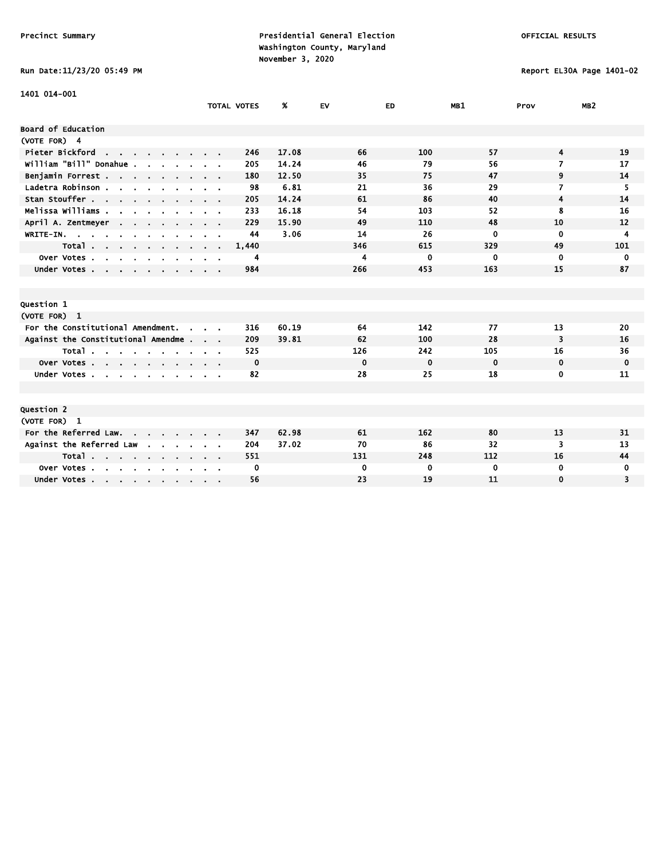Run Date:11/23/20 05:49 PM Report EL30A Page 1401-02

| 1401 014-001                                           |               |                    |       |             |             |             |                |                 |
|--------------------------------------------------------|---------------|--------------------|-------|-------------|-------------|-------------|----------------|-----------------|
|                                                        |               | <b>TOTAL VOTES</b> | Ж.    | EV          | ED.         | MB1         | Prov           | MB <sub>2</sub> |
|                                                        |               |                    |       |             |             |             |                |                 |
| Board of Education                                     |               |                    |       |             |             |             |                |                 |
| (VOTE FOR) 4                                           |               |                    |       |             |             |             |                |                 |
| Pieter Bickford<br>and a strain and a strain of the    |               | 246                | 17.08 | 66          | 100         | 57          | 4              | 19              |
| william "Bill" Donahue.                                |               | 205                | 14.24 | 46          | 79          | 56          | $\overline{7}$ | 17              |
| Benjamin Forrest.                                      |               | 180                | 12.50 | 35          | 75          | 47          | 9              | 14              |
| Ladetra Robinson                                       | $\sim$ $\sim$ | 98                 | 6.81  | 21          | 36          | 29          | 7              | 5               |
| Stan Stouffer                                          |               | 205                | 14.24 | 61          | 86          | 40          | 4              | 14              |
| Melissa Williams .                                     |               | 233                | 16.18 | 54          | 103         | 52          | 8              | 16              |
| April A. Zentmeyer                                     |               | 229                | 15.90 | 49          | 110         | 48          | 10             | 12              |
| WRITE-IN.                                              |               | 44                 | 3.06  | 14          | 26          | $\mathbf 0$ | $\mathbf 0$    | 4               |
| Total                                                  |               | 1,440              |       | 346         | 615         | 329         | 49             | 101             |
| Over Votes<br>$\sim$<br>$\mathbf{r}$<br>$\blacksquare$ |               | 4                  |       | 4           | 0           | $\mathbf 0$ | 0              | 0               |
| Under Votes                                            |               | 984                |       | 266         | 453         | 163         | 15             | 87              |
|                                                        |               |                    |       |             |             |             |                |                 |
|                                                        |               |                    |       |             |             |             |                |                 |
| <b>Question 1</b>                                      |               |                    |       |             |             |             |                |                 |
| (VOTE FOR) 1                                           |               |                    |       |             |             |             |                |                 |
| For the Constitutional Amendment.<br>$\sim$            |               | 316                | 60.19 | 64          | 142         | 77          | 13             | 20              |
| Against the Constitutional Amendme                     |               | 209                | 39.81 | 62          | 100         | 28          | 3              | 16              |
| Total                                                  |               | 525                |       | 126         | 242         | 105         | 16             | 36              |
| Over Votes                                             |               | 0                  |       | $\mathbf 0$ | $\mathbf 0$ | $\mathbf 0$ | $\mathbf 0$    | 0               |
| Under Votes.<br><b>Service</b>                         |               | 82                 |       | 28          | 25          | 18          | 0              | 11              |
|                                                        |               |                    |       |             |             |             |                |                 |
|                                                        |               |                    |       |             |             |             |                |                 |
| <b>Question 2</b>                                      |               |                    |       |             |             |             |                |                 |
| (VOTE FOR) 1                                           |               |                    |       |             |             |             |                |                 |
| For the Referred Law.                                  |               | 347                | 62.98 | 61          | 162         | 80          | 13             | 31              |
| Against the Referred Law<br><b>Contract Contract</b>   |               | 204                | 37.02 | 70          | 86          | 32          | 3              | 13              |
| Total $\cdots$ $\cdots$                                |               | 551                |       | 131         | 248         | 112         | 16             | 44              |
| Over Votes<br><b>College</b>                           |               | 0                  |       | 0           | 0           | $\mathbf 0$ | 0              | 0               |
| Under Votes                                            |               | 56                 |       | 23          | 19          | 11          | $\mathbf 0$    | 3               |
|                                                        |               |                    |       |             |             |             |                |                 |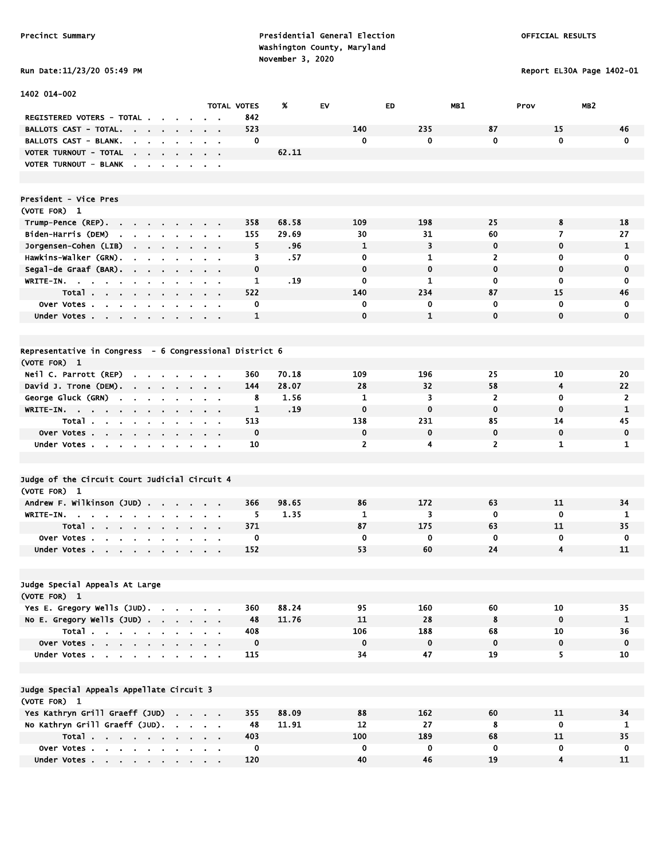1402 014-002

Precinct Summary **Presidential General Election Presidential General Election**  Washington County, Maryland November 3, 2020

Report EL30A Page 1402-01

|                                                                                                       |                |                                            | TOTAL VOTES  | Ж     | EV             | ED           | <b>MB1</b>     | Prov         | MB2            |
|-------------------------------------------------------------------------------------------------------|----------------|--------------------------------------------|--------------|-------|----------------|--------------|----------------|--------------|----------------|
| REGISTERED VOTERS - TOTAL.                                                                            |                |                                            | 842          |       |                |              |                |              |                |
| <b>BALLOTS CAST - TOTAL.</b><br>$\sim$<br>$\sim$<br><b>Contract</b>                                   |                |                                            | 523          |       | 140            | 235          | 87             | 15           | 46             |
| BALLOTS CAST - BLANK.<br>$\sim$<br>$\sim$<br>$\bullet$                                                | $\mathbf{r}$   | $\mathbf{r}$<br>$\bullet$                  | 0            |       | 0              | 0            | 0              | $\mathbf 0$  | $\mathbf 0$    |
| VOTER TURNOUT - TOTAL<br><b>Contract Contract</b><br>$\alpha$                                         |                |                                            |              | 62.11 |                |              |                |              |                |
| VOTER TURNOUT - BLANK                                                                                 |                | $\mathbf{r} = \mathbf{r}$                  |              |       |                |              |                |              |                |
| President - Vice Pres                                                                                 |                |                                            |              |       |                |              |                |              |                |
| (VOTE FOR) 1                                                                                          |                |                                            |              |       |                |              |                |              |                |
| Trump-Pence (REP).<br>the company of the company                                                      |                |                                            | 358          | 68.58 | 109            | 198          | 25             | 8            | 18             |
| Biden-Harris (DEM)<br>$\mathbf{r}$<br>$\mathbf{r}$<br>$\mathbf{r}$<br>$\sim$                          |                |                                            | 155          | 29.69 | 30             | 31           | 60             | 7            | 27             |
| Jorgensen-Cohen (LIB)<br>$\mathbf{r} = \mathbf{r} \cdot \mathbf{r}$<br>$\cdot$                        |                |                                            | 5            | .96   | $\mathbf{1}$   | 3            | $\mathbf 0$    | 0            | $\mathbf{1}$   |
| Hawkins-Walker (GRN).<br>$\sim$<br>$\blacksquare$<br>$\blacksquare$<br>$\blacksquare$                 | $\blacksquare$ | $\sim$ $\sim$                              | 3            | .57   | 0              | 1            | 2              | 0            | 0              |
| Segal-de Graaf (BAR).<br><b>Contract Contract</b><br>$\sim 100$<br>$\sim$                             | $\mathbf{r}$   | $\mathbf{r} = \mathbf{r}$                  | $\mathbf 0$  |       | $\mathbf 0$    | $\mathbf 0$  | $\mathbf 0$    | $\mathbf 0$  | $\mathbf 0$    |
| WRITE-IN.                                                                                             | $\sim$         | $\mathbf{a} = \mathbf{a} \cdot \mathbf{a}$ | 1            | . 19  | 0              | 1            | 0              | 0            | 0              |
| Total<br>$\sim$                                                                                       |                |                                            | 522          |       | 140            | 234          | 87             | 15           | 46             |
| Over Votes<br>$\sim$                                                                                  |                |                                            | 0            |       | 0              | 0            | 0              | 0            | $\mathbf 0$    |
| Under Votes<br>$\blacksquare$<br>$\mathbf{r}$                                                         |                |                                            | 1            |       | $\mathbf 0$    | $\mathbf{1}$ | 0              | $\mathbf 0$  | $\mathbf 0$    |
|                                                                                                       |                |                                            |              |       |                |              |                |              |                |
|                                                                                                       |                |                                            |              |       |                |              |                |              |                |
| Representative in Congress - 6 Congressional District 6                                               |                |                                            |              |       |                |              |                |              |                |
| (VOTE FOR) 1                                                                                          |                |                                            |              |       |                |              |                |              |                |
| Neil C. Parrott (REP)<br>$\sim$<br>$\sim$                                                             |                |                                            | 360          | 70.18 | 109            | 196          | 25             | 10           | 20             |
| David J. Trone (DEM).<br>the company of the company of                                                |                | $\sim$ $\sim$                              | 144          | 28.07 | 28             | 32           | 58             | 4            | 22             |
| George Gluck (GRN)<br>the contract of the con-                                                        |                | <b>Contract Contract</b>                   | 8            | 1.56  | 1              | 3            | $\overline{2}$ | 0            | $\overline{2}$ |
| WRITE-IN.                                                                                             |                |                                            | $\mathbf{1}$ | . 19  | $\mathbf 0$    | $\mathbf 0$  | $\mathbf 0$    | $\mathbf{0}$ | $\mathbf{1}$   |
| Total .<br>$\sim$ $\sim$<br>$\sim$<br>$\sim$<br>$\cdot$                                               |                |                                            | 513          |       | 138            | 231          | 85             | 14           | 45             |
| Over Votes.<br>$\sim$<br>$\mathbf{r} = \mathbf{r} + \mathbf{r}$ .<br>$\blacksquare$<br>$\blacksquare$ |                |                                            | $\mathbf 0$  |       | $\mathbf 0$    | $\mathbf 0$  | 0              | $\mathbf 0$  | $\mathbf 0$    |
| Under Votes<br>$\mathbf{r}$                                                                           |                |                                            | 10           |       | $\overline{2}$ | 4            | $\overline{2}$ | 1            | $\mathbf{1}$   |
|                                                                                                       |                |                                            |              |       |                |              |                |              |                |
|                                                                                                       |                |                                            |              |       |                |              |                |              |                |
| Judge of the Circuit Court Judicial Circuit 4                                                         |                |                                            |              |       |                |              |                |              |                |
| (VOTE FOR) 1                                                                                          |                |                                            |              |       |                |              |                |              |                |
| Andrew F. Wilkinson (JUD)                                                                             |                |                                            | 366          | 98.65 | 86             | 172          | 63             | 11           | 34             |
| WRITE-IN. .<br>the company of the company of the company of                                           |                | $\sim$ $ \sim$                             | 5.           | 1.35  | 1              | 3            | $\mathbf 0$    | $\mathbf 0$  | 1              |
| Total<br><b>Contract</b>                                                                              |                | $\mathbf{r} = \mathbf{r}$                  | 371          |       | 87             | 175          | 63             | 11           | 35             |
| Over Votes<br>$\mathbf{r}$                                                                            |                |                                            | 0            |       | 0              | 0            | $\mathbf 0$    | 0            | 0              |
| Under Votes<br>$\sim$<br>$\sim$                                                                       | $\sim$         | $\mathbf{r} = \mathbf{r}$                  | 152          |       | 53             | 60           | 24             | 4            | 11             |
|                                                                                                       |                |                                            |              |       |                |              |                |              |                |
|                                                                                                       |                |                                            |              |       |                |              |                |              |                |
| Judge Special Appeals At Large                                                                        |                |                                            |              |       |                |              |                |              |                |
| (VOTE FOR) 1                                                                                          |                |                                            |              |       |                |              |                |              |                |
| Yes E. Gregory Wells (JUD).                                                                           |                |                                            | 360          | 88.24 | 95             | 160          | 60             | 10           | 35             |
| No E. Gregory Wells (JUD)                                                                             |                |                                            | 48           | 11.76 | 11             | 28           | 8              | $\mathbf 0$  | 1              |
| Total                                                                                                 |                |                                            | 408          |       | 106            | 188          | 68             | 10           | 36             |
| Over Votes                                                                                            |                |                                            | 0            |       | $\mathbf 0$    | $\mathbf 0$  | $\mathbf 0$    | 0            | $\mathbf 0$    |
| Under Votes                                                                                           |                |                                            | 115          |       | 34             | 47           | 19             | 5.           | 10             |
|                                                                                                       |                |                                            |              |       |                |              |                |              |                |
| Judge Special Appeals Appellate Circuit 3                                                             |                |                                            |              |       |                |              |                |              |                |
| (VOTE FOR) 1                                                                                          |                |                                            |              |       |                |              |                |              |                |
| Yes Kathryn Grill Graeff (JUD)                                                                        |                | <b>Contract Contract Contract</b>          | 355          | 88.09 | 88             | 162          | 60             | 11           | 34             |
| No Kathryn Grill Graeff (JUD).                                                                        |                |                                            | 48           | 11.91 | 12             | 27           | 8              | 0            | 1              |
|                                                                                                       |                | <b>Contract Contract Contract</b>          | 403          |       | 100            | 189          | 68             | 11           | 35             |
| Total                                                                                                 |                |                                            | $\mathbf 0$  |       | 0              | 0            | 0              | 0            | 0              |
| Over Votes                                                                                            |                |                                            |              |       |                |              |                |              |                |

Under Votes . . . . . . . . . . 120 40 46 19 4 11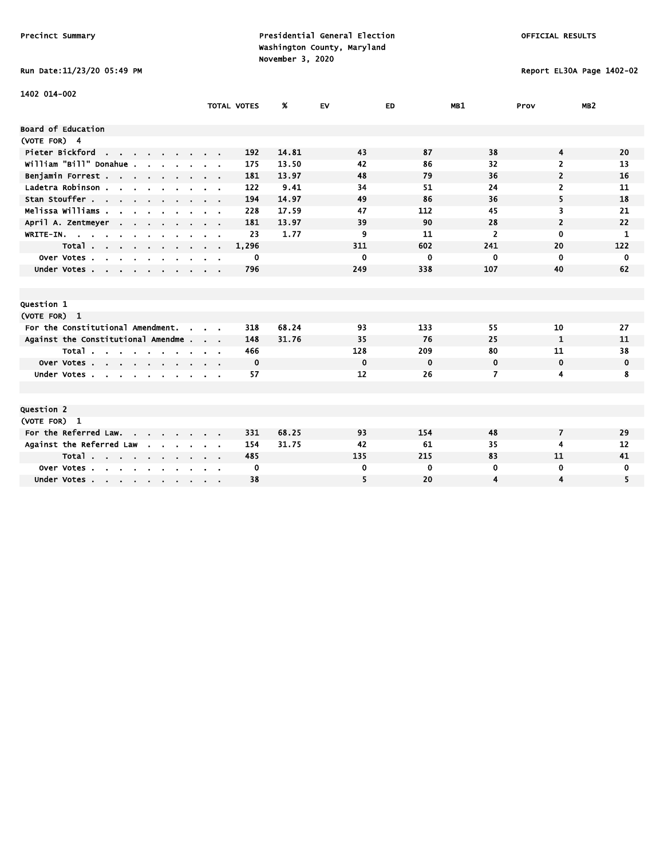Run Date:11/23/20 05:49 PM Report EL30A Page 1402-02

| 1402 014-002                                                |                    |       |             |             |                |                |                 |
|-------------------------------------------------------------|--------------------|-------|-------------|-------------|----------------|----------------|-----------------|
|                                                             | <b>TOTAL VOTES</b> | %     | EV          | ED          | MB1            | Prov           | MB <sub>2</sub> |
| <b>Board of Education</b>                                   |                    |       |             |             |                |                |                 |
| (VOTE FOR) 4                                                |                    |       |             |             |                |                |                 |
| Pieter Bickford                                             | 192                | 14.81 | 43          | 87          | 38             | 4              | 20              |
| the contract of the contract of<br>william "Bill" Donahue . | 175                | 13.50 | 42          | 86          | 32             | 2              | 13              |
|                                                             |                    |       |             |             |                |                |                 |
| Benjamin Forrest                                            | 181                | 13.97 | 48          | 79          | 36             | $\overline{2}$ | 16              |
| Ladetra Robinson                                            | 122                | 9.41  | 34          | 51          | 24             | 2              | 11              |
| Stan Stouffer                                               | 194                | 14.97 | 49          | 86          | 36             | 5              | 18              |
| Melissa Williams                                            | 228                | 17.59 | 47          | 112         | 45             | 3              | 21              |
| April A. Zentmeyer                                          | 181                | 13.97 | 39          | 90          | 28             | $\overline{2}$ | 22              |
| WRITE-IN.                                                   | 23                 | 1.77  | 9           | 11          | $\overline{2}$ | $\mathbf{0}$   | 1               |
| Total                                                       | 1,296              |       | 311         | 602         | 241            | 20             | 122             |
| Over Votes<br><b>Contract Contract</b>                      | 0                  |       | 0           | 0           | $\mathbf 0$    | 0              | $\mathbf 0$     |
| Under Votes                                                 | 796                |       | 249         | 338         | 107            | 40             | 62              |
|                                                             |                    |       |             |             |                |                |                 |
|                                                             |                    |       |             |             |                |                |                 |
| <b>Question 1</b>                                           |                    |       |             |             |                |                |                 |
| (VOTE FOR) 1                                                |                    |       |             |             |                |                |                 |
| For the Constitutional Amendment.<br>$\sim$                 | 318                | 68.24 | 93          | 133         | 55             | 10             | 27              |
| Against the Constitutional Amendme                          | 148                | 31.76 | 35          | 76          | 25             | 1              | 11              |
| Total                                                       | 466                |       | 128         | 209         | 80             | 11             | 38              |
| Over Votes                                                  | 0                  |       | $\mathbf 0$ | $\mathbf 0$ | 0              | 0              | 0               |
| Under Votes                                                 | 57                 |       | 12          | 26          | 7              | 4              | 8               |
|                                                             |                    |       |             |             |                |                |                 |
|                                                             |                    |       |             |             |                |                |                 |
| <b>Question 2</b>                                           |                    |       |             |             |                |                |                 |
| (VOTE FOR) 1                                                |                    |       |             |             |                |                |                 |
| For the Referred Law.                                       | 331                | 68.25 | 93          | 154         | 48             | $\overline{7}$ | 29              |
| Against the Referred Law<br><b>Contract Contract</b>        | 154                | 31.75 | 42          | 61          | 35             | 4              | 12              |
| Total                                                       | 485                |       | 135         | 215         | 83             | 11             | 41              |
| Over Votes                                                  | 0                  |       | 0           | 0           | 0              | 0              | 0               |
| Under Votes                                                 | 38                 |       | 5           | 20          | 4              | 4              | 5               |
|                                                             |                    |       |             |             |                |                |                 |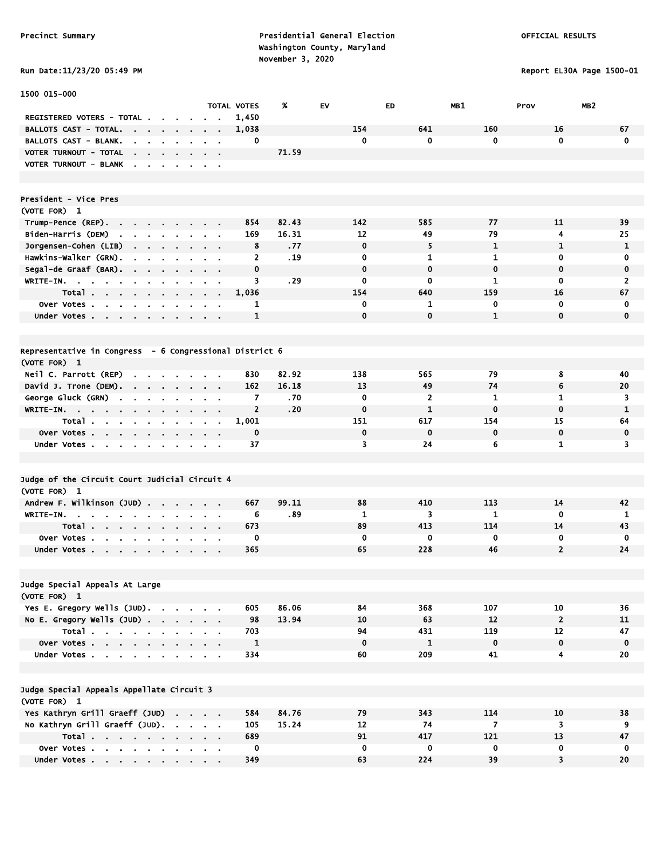1500 015-000

Precinct Summary **Presidential General Election Presidential General Election**  Washington County, Maryland Run Date:11/23/20 05:49 PM

TOTAL VOTES % EV ED MB1 Prov MB2

Report EL30A Page 1500-01

| <b>RUN DATE:11/23/20 03:49</b> |
|--------------------------------|
|                                |

| REGISTERED VOTERS - TOTAL                                           |                                |                            |                |                             | 1,450                                |       |              |                |                |                         |                |
|---------------------------------------------------------------------|--------------------------------|----------------------------|----------------|-----------------------------|--------------------------------------|-------|--------------|----------------|----------------|-------------------------|----------------|
| <b>BALLOTS CAST - TOTAL.</b>                                        | $\sim$<br>$\blacksquare$       |                            | $\blacksquare$ |                             | 1,038                                |       | 154          | 641            | 160            | 16                      | 67             |
| BALLOTS CAST - BLANK.                                               |                                |                            |                |                             | 0                                    |       | 0            | 0              | 0              | $\mathbf 0$             | 0              |
| VOTER TURNOUT - TOTAL<br>$\mathbf{r}$                               |                                |                            |                |                             | $\bullet$                            | 71.59 |              |                |                |                         |                |
| VOTER TURNOUT - BLANK                                               |                                |                            |                |                             | $\blacksquare$                       |       |              |                |                |                         |                |
|                                                                     |                                |                            |                |                             |                                      |       |              |                |                |                         |                |
|                                                                     |                                |                            |                |                             |                                      |       |              |                |                |                         |                |
| President - Vice Pres                                               |                                |                            |                |                             |                                      |       |              |                |                |                         |                |
| (VOTE FOR) 1                                                        |                                |                            |                |                             |                                      |       |              |                |                |                         |                |
| Trump-Pence (REP).                                                  | $\sim$                         |                            | $\blacksquare$ |                             | 854                                  | 82.43 | 142          | 585            | 77             | 11                      | 39             |
| Biden-Harris (DEM)                                                  | $\blacksquare$                 |                            |                |                             | 169                                  | 16.31 | 12           | 49             | 79             | 4                       | 25             |
| $\mathbf{r}$<br>$\mathbf{r}$                                        | <b>College</b><br>$\mathbf{r}$ |                            |                |                             | $\mathbf{r}$                         |       | 0            | 5              | 1              | $\mathbf{1}$            | $\mathbf{1}$   |
| Jorgensen-Cohen (LIB)<br>$\mathbf{r} = \mathbf{r} \cdot \mathbf{r}$ | $\mathbf{r}$ .                 |                            | $\bullet$      | $\sim 100$                  | 8                                    | .77   |              |                |                |                         |                |
| Hawkins-Walker (GRN).                                               |                                |                            |                |                             | $\overline{2}$                       | .19   | 0            | 1              | $\mathbf{1}$   | 0                       | 0              |
| Segal-de Graaf (BAR).<br>$\sim$                                     | $\mathbf{r}$<br>$\blacksquare$ |                            |                | $\blacksquare$              | $\mathbf 0$<br>$\mathbf{r}$          |       | $\mathbf 0$  | $\mathbf 0$    | $\mathbf 0$    | $\mathbf 0$             | $\mathbf 0$    |
| WRITE-IN.<br><b>College</b><br>$\bullet$                            |                                |                            |                |                             | $\overline{\mathbf{3}}$<br>$\bullet$ | .29   | $\mathbf 0$  | $\mathbf 0$    | $\mathbf{1}$   | $\mathbf 0$             | $\overline{2}$ |
| Total                                                               |                                |                            | $\blacksquare$ | $\sim$ $\sim$               | 1,036                                |       | 154          | 640            | 159            | 16                      | 67             |
| <b>Over Votes.</b><br>$\sim$<br>$\blacksquare$                      |                                |                            |                |                             | 1                                    |       | 0            | 1              | 0              | $\mathbf 0$             | 0              |
| Under Votes                                                         |                                |                            | $\sim$         | $\sim$ 100 $\pm$            | $\mathbf{1}$                         |       | $\mathbf{0}$ | $\mathbf{0}$   | $\mathbf{1}$   | $\mathbf 0$             | $\mathbf 0$    |
|                                                                     |                                |                            |                |                             |                                      |       |              |                |                |                         |                |
|                                                                     |                                |                            |                |                             |                                      |       |              |                |                |                         |                |
| Representative in Congress - 6 Congressional District 6             |                                |                            |                |                             |                                      |       |              |                |                |                         |                |
| (VOTE FOR) 1                                                        |                                |                            |                |                             |                                      |       |              |                |                |                         |                |
| Neil C. Parrott (REP)                                               |                                |                            |                |                             | 830                                  | 82.92 | 138          | 565            | 79             | 8                       | 40             |
| David J. Trone (DEM).<br>$\sim$                                     | $\sim$<br>$\blacksquare$       |                            | $\blacksquare$ | $\mathbf{r} = \mathbf{r}$   | 162<br>$\blacksquare$                | 16.18 | 13           | 49             | 74             | 6                       | 20             |
| George Gluck (GRN)                                                  |                                |                            | $\blacksquare$ | $\mathbf{r}$                | 7<br>$\blacksquare$                  | .70   | $\mathbf 0$  | $\overline{2}$ | 1              | $\mathbf{1}$            | 3              |
| WRITE-IN.                                                           | $\sim$                         |                            | $\bullet$      | $\mathbf{a}$ .              | $\mathbf{2}$                         | .20   | $\mathbf 0$  | $\mathbf{1}$   | $\mathbf 0$    | $\mathbf 0$             | $\mathbf{1}$   |
| Total.<br>$\bullet$                                                 |                                |                            |                |                             | 1,001<br>$\blacksquare$              |       | 151          | 617            | 154            | 15                      | 64             |
| over Votes.<br>$\sim$<br>$\blacksquare$                             |                                |                            |                |                             | 0<br>$\blacksquare$                  |       | $\mathbf 0$  | $\mathbf 0$    | $\mathbf 0$    | $\mathbf 0$             | $\mathbf 0$    |
| Under Votes.<br>$\sim$<br>$\mathbf{r}$<br>$\sim$                    | $\sim$<br>$\blacksquare$       |                            | $\mathbf{r}$   | $\mathbf{r} = \mathbf{r}$ . | 37                                   |       | 3            | 24             | 6              | $\mathbf{1}$            | 3              |
|                                                                     |                                |                            |                |                             |                                      |       |              |                |                |                         |                |
|                                                                     |                                |                            |                |                             |                                      |       |              |                |                |                         |                |
| Judge of the Circuit Court Judicial Circuit 4                       |                                |                            |                |                             |                                      |       |              |                |                |                         |                |
| (VOTE FOR) 1                                                        |                                |                            |                |                             |                                      |       |              |                |                |                         |                |
| Andrew F. Wilkinson (JUD) .                                         |                                |                            |                |                             | 667<br>à.                            | 99.11 | 88           | 410            | 113            | 14                      | 42             |
| WRITE-IN.                                                           |                                |                            |                | $\blacksquare$              | 6<br>$\blacksquare$                  | .89   | 1            | 3              | 1              | $\mathbf 0$             | 1              |
| Total.<br>$\sim$                                                    |                                |                            |                |                             | 673                                  |       | 89           | 413            | 114            | 14                      | 43             |
| $\mathbf{r} = \mathbf{r}$<br>Over Votes.                            | $\sim$                         |                            |                | $\sim$                      | $\blacksquare$<br>0                  |       | 0            | 0              | $\mathbf 0$    | 0                       | $\mathbf 0$    |
| $\mathbf{r}$                                                        |                                |                            |                |                             | 365                                  |       | 65           | 228            | 46             | $\overline{2}$          | 24             |
| Under Votes                                                         |                                |                            |                |                             |                                      |       |              |                |                |                         |                |
|                                                                     |                                |                            |                |                             |                                      |       |              |                |                |                         |                |
|                                                                     |                                |                            |                |                             |                                      |       |              |                |                |                         |                |
| Judge Special Appeals At Large                                      |                                |                            |                |                             |                                      |       |              |                |                |                         |                |
| (VOTE FOR) 1                                                        |                                |                            |                |                             |                                      |       |              |                |                |                         |                |
| Yes E. Gregory Wells (JUD).                                         |                                |                            |                |                             | 605                                  | 86.06 | 84           | 368            | 107            | 10                      | 36             |
| No E. Gregory Wells (JUD)                                           |                                |                            |                |                             | 98                                   | 13.94 | 10           | 63             | 12             | $\overline{\mathbf{c}}$ | ${\bf 11}$     |
| Total                                                               |                                |                            |                |                             | 703                                  |       | 94           | 431            | 119            | 12                      | 47             |
| Over Votes                                                          |                                |                            |                |                             | $\mathbf{1}$                         |       | $\mathbf 0$  | $\mathbf{1}$   | $\mathbf 0$    | $\pmb{0}$               | $\mathbf 0$    |
| Under Votes                                                         |                                | the company of the company |                |                             | 334                                  |       | 60           | 209            | 41             | 4                       | 20             |
|                                                                     |                                |                            |                |                             |                                      |       |              |                |                |                         |                |
|                                                                     |                                |                            |                |                             |                                      |       |              |                |                |                         |                |
| Judge Special Appeals Appellate Circuit 3                           |                                |                            |                |                             |                                      |       |              |                |                |                         |                |
| (VOTE FOR) 1                                                        |                                |                            |                |                             |                                      |       |              |                |                |                         |                |
| Yes Kathryn Grill Graeff (JUD)                                      |                                |                            |                |                             | 584                                  | 84.76 | 79           | 343            | 114            | 10                      | 38             |
| No Kathryn Grill Graeff (JUD).                                      |                                |                            |                |                             | 105                                  | 15.24 | 12           | 74             | $\overline{7}$ | 3                       | 9              |
| Total                                                               |                                |                            |                |                             | 689                                  |       | 91           | 417            | 121            | 13                      | 47             |
|                                                                     |                                |                            |                |                             |                                      |       |              |                |                |                         |                |

 Over Votes . . . . . . . . . . 0 0 0 0 0 0 Under Votes . . . . . . . . . 349 39 39 39 30 30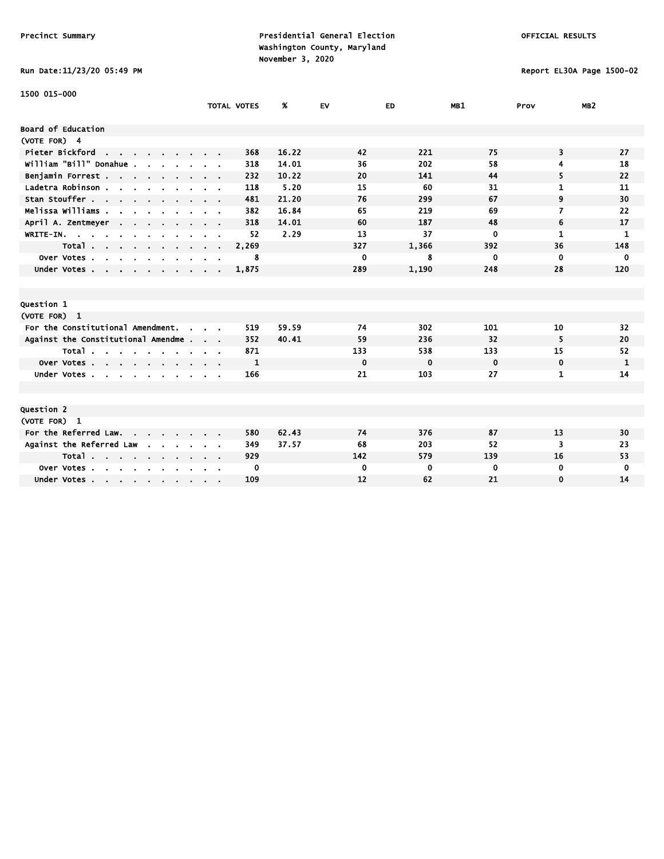# Run Date:11/23/20 05:49 PM Report EL30A Page 1500-02

| 1500 015-000                                                                                                                                             |                    |       |             |             |             |              |                 |
|----------------------------------------------------------------------------------------------------------------------------------------------------------|--------------------|-------|-------------|-------------|-------------|--------------|-----------------|
|                                                                                                                                                          | <b>TOTAL VOTES</b> | %     | <b>EV</b>   | ED          | MB1         | Prov         | MB <sub>2</sub> |
| Board of Education                                                                                                                                       |                    |       |             |             |             |              |                 |
| (VOTE FOR) 4                                                                                                                                             |                    |       |             |             |             |              |                 |
| Pieter Bickford<br>the contract of the contract of                                                                                                       | 368                | 16.22 | 42          | 221         | 75          | 3            | 27              |
| William "Bill" Donahue.                                                                                                                                  | 318                | 14.01 | 36          | 202         | 58          | 4            | 18              |
| Benjamin Forrest                                                                                                                                         | 232                | 10.22 | 20          | 141         | 44          | 5            | 22              |
| Ladetra Robinson.<br>$\begin{array}{cccccccccccccc} \bullet & \bullet & \bullet & \bullet & \bullet & \bullet & \bullet & \bullet & \bullet \end{array}$ | 118                | 5.20  | 15          | 60          | 31          | 1            | 11              |
| Stan Stouffer                                                                                                                                            | 481                | 21.20 | 76          | 299         | 67          | 9            | 30              |
| Melissa Williams .<br>$\mathbf{r}$                                                                                                                       | 382                | 16.84 | 65          | 219         | 69          | 7            | 22              |
| April A. Zentmeyer<br>$\sim$ $\sim$                                                                                                                      | 318                | 14.01 | 60          | 187         | 48          | 6            | 17              |
| WRITE-IN.<br>$\sim$                                                                                                                                      | 52                 | 2.29  | 13          | 37          | 0           | $\mathbf{1}$ | 1               |
| Total                                                                                                                                                    | 2,269              |       | 327         | 1,366       | 392         | 36           | 148             |
| Over Votes.<br>$\sim$<br>$\sim$<br>$\sim$<br>$\sim$                                                                                                      | 8                  |       | $\mathbf 0$ | 8           | 0           | $\mathbf 0$  | 0               |
| Under Votes                                                                                                                                              | 1,875              |       | 289         | 1,190       | 248         | 28           | 120             |
|                                                                                                                                                          |                    |       |             |             |             |              |                 |
|                                                                                                                                                          |                    |       |             |             |             |              |                 |
| Question 1                                                                                                                                               |                    |       |             |             |             |              |                 |
| (VOTE FOR) 1                                                                                                                                             |                    |       |             |             |             |              |                 |
| For the Constitutional Amendment.<br>$\sim$                                                                                                              | 519                | 59.59 | 74          | 302         | 101         | 10           | 32              |
| Against the Constitutional Amendme                                                                                                                       | 352                | 40.41 | 59          | 236         | 32          | 5            | 20              |
| Total                                                                                                                                                    | 871                |       | 133         | 538         | 133         | 15           | 52              |
| Over Votes                                                                                                                                               | $\mathbf{1}$       |       | $\mathbf 0$ | $\mathbf 0$ | $\mathbf 0$ | $\mathbf 0$  | $\mathbf{1}$    |
| Under Votes.<br>$\sim$ $\sim$                                                                                                                            | 166                |       | 21          | 103         | 27          | 1            | 14              |
|                                                                                                                                                          |                    |       |             |             |             |              |                 |
|                                                                                                                                                          |                    |       |             |             |             |              |                 |
| Question 2                                                                                                                                               |                    |       |             |             |             |              |                 |
| (VOTE FOR) 1                                                                                                                                             |                    |       |             |             |             |              |                 |
| For the Referred Law.                                                                                                                                    | 580                | 62.43 | 74          | 376         | 87          | 13           | 30              |
| Against the Referred Law                                                                                                                                 | 349                | 37.57 | 68          | 203         | 52          | 3            | 23              |
| Total                                                                                                                                                    | 929                |       | 142         | 579         | 139         | 16           | 53              |
| Over Votes.<br>$\sim$<br>$\sim$ $\sim$<br>$\sim$                                                                                                         | 0                  |       | $\mathbf 0$ | 0           | 0           | $\mathbf 0$  | 0               |
| Under Votes                                                                                                                                              | 109                |       | 12          | 62          | 21          | $\mathbf 0$  | 14              |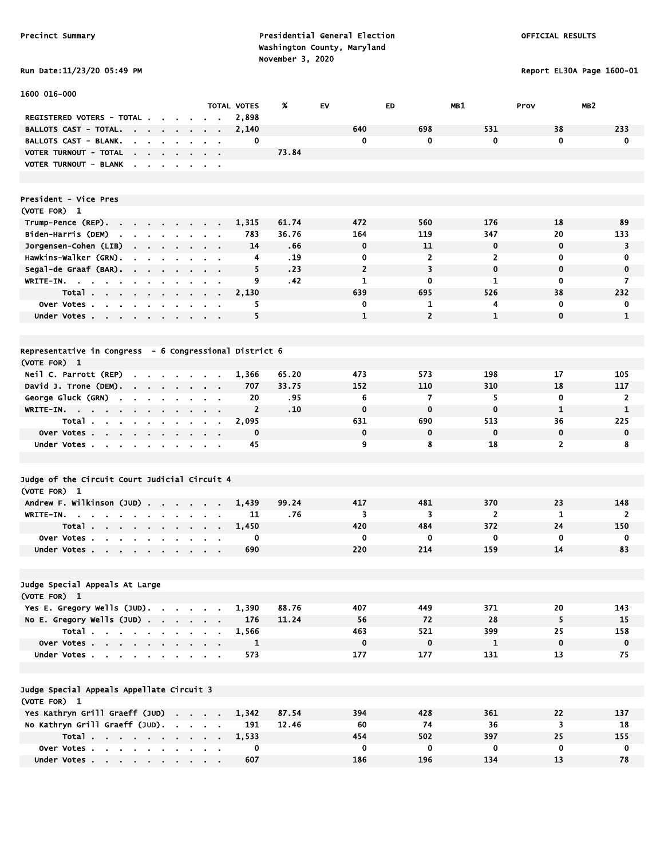# Run Date:11/23/20 05:49 PM Report EL30A Page 1600-01

| 1600 016-000                                                                                               |                                                             |                      |       |                |                |                |                         |                 |
|------------------------------------------------------------------------------------------------------------|-------------------------------------------------------------|----------------------|-------|----------------|----------------|----------------|-------------------------|-----------------|
|                                                                                                            |                                                             | <b>TOTAL VOTES</b>   | X     | EV             | ED             | MB1            | Prov                    | MB <sub>2</sub> |
| REGISTERED VOTERS - TOTAL .<br>$\sim 100$                                                                  |                                                             | 2,898                |       |                |                |                |                         |                 |
| <b>BALLOTS CAST - TOTAL.</b><br>the company of the company                                                 |                                                             | 2,140                |       | 640            | 698            | 531            | 38                      | 233             |
| BALLOTS CAST - BLANK.<br>$\mathbf{r}$<br>$\sim$<br>$\mathbf{r}$                                            |                                                             | 0                    |       | 0              | 0              | 0              | $\mathbf 0$             | $\mathbf 0$     |
| VOTER TURNOUT - TOTAL<br>the contract of the contract of                                                   |                                                             |                      | 73.84 |                |                |                |                         |                 |
| <b>VOTER TURNOUT - BLANK</b><br>$\sim$<br>$\sim$ $\sim$<br>$\sim$ 10 $\mu$<br>$\cdot$                      | $\sim$ $ \sim$                                              |                      |       |                |                |                |                         |                 |
|                                                                                                            |                                                             |                      |       |                |                |                |                         |                 |
|                                                                                                            |                                                             |                      |       |                |                |                |                         |                 |
| President - Vice Pres                                                                                      |                                                             |                      |       |                |                |                |                         |                 |
| (VOTE FOR) 1                                                                                               |                                                             |                      |       |                |                |                |                         |                 |
| Trump-Pence (REP).<br>$\sim$                                                                               |                                                             | 1,315                | 61.74 | 472            | 560            | 176            | 18                      | 89              |
| Biden-Harris (DEM)<br><b>Contract Contract Contract</b>                                                    |                                                             | 783                  | 36.76 | 164            | 119            | 347            | 20                      | 133             |
| Jorgensen-Cohen (LIB)                                                                                      |                                                             | 14                   | .66   | $\mathbf 0$    | 11             | 0              | $\mathbf 0$             | 3               |
| Hawkins-Walker (GRN).<br>$\mathbf{r}$<br>$\sim$                                                            |                                                             | 4                    | .19   | 0              | $\overline{2}$ | $\overline{2}$ | 0                       | 0               |
| Segal-de Graaf (BAR). .<br>$\mathbf{r}$<br>$\blacksquare$                                                  |                                                             | 5                    | .23   | $\overline{2}$ | 3              | $\mathbf 0$    | $\mathbf 0$             | $\mathbf 0$     |
| WRITE-IN.<br><b>Contract Contract</b><br>$\mathbf{u}$ .<br>$\bullet$                                       |                                                             | 9                    | .42   | 1              | 0              | 1              | $\mathbf 0$             | 7               |
| Total                                                                                                      | $\sim$ $\sim$ $\sim$ $\sim$                                 | 2,130                |       | 639            | 695            | 526            | 38                      | 232             |
| Over Votes<br>$\sim$                                                                                       | $\sim$ 100 $\sim$                                           | 5                    |       | 0              | 1              | 4              | 0                       | 0               |
| Under Votes                                                                                                | $\mathbf{r} = \mathbf{r} + \mathbf{r}$ , where $\mathbf{r}$ | 5                    |       | 1              | $\overline{2}$ | $\mathbf{1}$   | $\mathbf 0$             | $\mathbf{1}$    |
|                                                                                                            |                                                             |                      |       |                |                |                |                         |                 |
| Representative in Congress - 6 Congressional District 6                                                    |                                                             |                      |       |                |                |                |                         |                 |
|                                                                                                            |                                                             |                      |       |                |                |                |                         |                 |
| (VOTE FOR) 1                                                                                               |                                                             |                      | 65.20 | 473            | 573            | 198            | 17                      | 105             |
| Neil C. Parrott (REP)<br>$\sim$<br>and the contract of the con-<br>$\sim$<br>David J. Trone (DEM).         |                                                             | 1,366<br>707         | 33.75 | 152            | 110            | 310            | 18                      | 117             |
| $\sim$<br><b>Service</b> State<br>$\sim$<br>$\cdot$                                                        | $\sim$ $\sim$                                               | 20                   | . 95  | 6              | $\overline{ }$ | 5              | 0                       | 2               |
| George Gluck (GRN)<br>$\mathbf{r}$<br>$\blacksquare$<br>$\blacksquare$<br>$\blacksquare$<br>$\blacksquare$ | $\sim$ $\sim$                                               | $\overline{2}$       | .10   | $\mathbf 0$    | $\mathbf 0$    | $\mathbf 0$    | $\mathbf{1}$            | 1               |
| WRITE-IN.                                                                                                  | $\mathbf{a}$ , and $\mathbf{a}$ , and $\mathbf{a}$          |                      |       | 631            | 690            | 513            | 36                      | 225             |
| Total                                                                                                      | <b>Contract Contract</b>                                    | 2,095<br>$\mathbf 0$ |       | $\mathbf 0$    | $\mathbf 0$    | $\mathbf 0$    | $\mathbf 0$             | $\mathbf 0$     |
| Over Votes                                                                                                 |                                                             | 45                   |       | 9              | 8              | 18             | $\overline{2}$          | 8               |
| Under Votes<br>$\bullet$                                                                                   | $\alpha = 0.1$                                              |                      |       |                |                |                |                         |                 |
|                                                                                                            |                                                             |                      |       |                |                |                |                         |                 |
| Judge of the Circuit Court Judicial Circuit 4                                                              |                                                             |                      |       |                |                |                |                         |                 |
| (VOTE FOR) 1                                                                                               |                                                             |                      |       |                |                |                |                         |                 |
| Andrew F. Wilkinson (JUD)                                                                                  | $\sim$<br>$\mathbf{r} = \mathbf{r} \cdot \mathbf{r}$        | 1,439                | 99.24 | 417            | 481            | 370            | 23                      | 148             |
| WRITE-IN.<br>$\sim$<br>$\bullet$                                                                           |                                                             | 11                   | .76   | 3              | 3              | $\overline{2}$ | $\mathbf{1}$            | $\overline{2}$  |
| Total                                                                                                      |                                                             | 1,450                |       | 420            | 484            | 372            | 24                      | 150             |
| <b>Over Votes.</b><br><b>Contract Contract Contract</b><br>$\blacksquare$                                  |                                                             | 0                    |       | 0              | 0              | 0              | $\mathbf 0$             | 0               |
| Under Votes<br>$\cdot$                                                                                     |                                                             | 690                  |       | 220            | 214            | 159            | 14                      | 83              |
|                                                                                                            |                                                             |                      |       |                |                |                |                         |                 |
|                                                                                                            |                                                             |                      |       |                |                |                |                         |                 |
| Judge Special Appeals At Large                                                                             |                                                             |                      |       |                |                |                |                         |                 |
| (VOTE FOR) 1                                                                                               |                                                             |                      |       |                |                |                |                         |                 |
| Yes E. Gregory Wells (JUD).                                                                                |                                                             | 1,390                | 88.76 | 407            | 449            | 371            | 20                      | 143             |
| No E. Gregory Wells $(JUD)$ .                                                                              |                                                             | 176                  | 11.24 | 56             | 72             | 28             | 5                       | 15              |
| Total                                                                                                      |                                                             | 1,566                |       | 463            | 521            | 399            | 25                      | 158             |
| Over Votes                                                                                                 |                                                             | $\mathbf{1}$         |       | $\pmb{0}$      | $\mathbf 0$    | $\mathbf{1}$   | $\mathbf 0$             | $\mathbf 0$     |
| Under Votes                                                                                                |                                                             | 573                  |       | 177            | 177            | 131            | 13                      | 75              |
|                                                                                                            |                                                             |                      |       |                |                |                |                         |                 |
|                                                                                                            |                                                             |                      |       |                |                |                |                         |                 |
| Judge Special Appeals Appellate Circuit 3                                                                  |                                                             |                      |       |                |                |                |                         |                 |
| (VOTE FOR) 1                                                                                               |                                                             |                      |       |                |                |                |                         |                 |
| Yes Kathryn Grill Graeff (JUD)                                                                             |                                                             | 1,342                | 87.54 | 394            | 428            | 361            | 22                      | 137             |
| No Kathryn Grill Graeff (JUD).                                                                             |                                                             | 191                  | 12.46 | 60             | 74             | 36             | $\overline{\mathbf{3}}$ | 18              |
| Total                                                                                                      |                                                             | 1,533                |       | 454            | 502            | 397            | 25                      | 155             |
| Over Votes                                                                                                 |                                                             | 0                    |       | 0              | 0              | 0              | 0                       | $\mathbf 0$     |
| Under Votes                                                                                                |                                                             | 607                  |       | 186            | 196            | 134            | 13                      | 78              |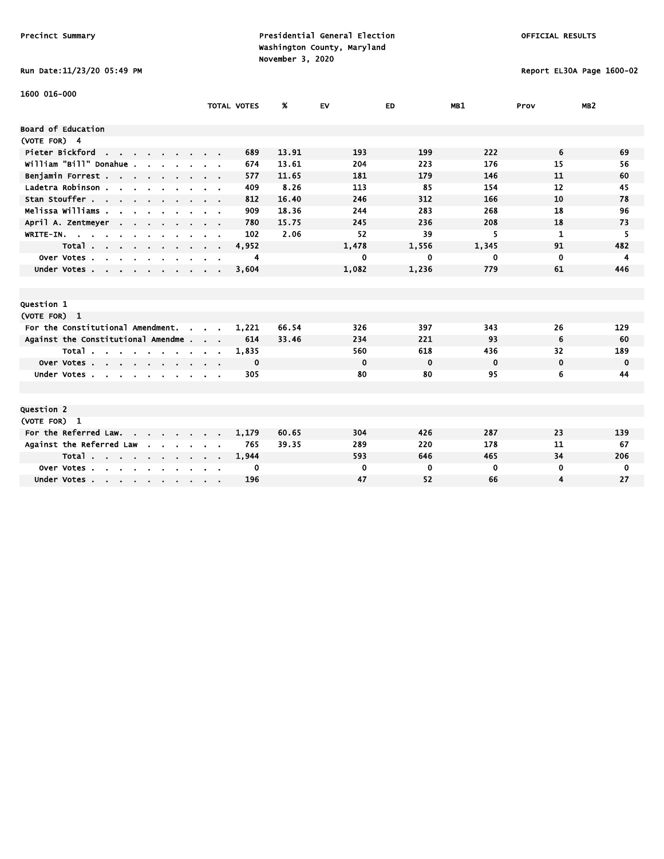# Run Date:11/23/20 05:49 PM Report EL30A Page 1600-02

| 1600 016-000                                      |                    |       |             |             |             |          |                 |
|---------------------------------------------------|--------------------|-------|-------------|-------------|-------------|----------|-----------------|
|                                                   | <b>TOTAL VOTES</b> | %     | EV          | ED          | MB1         | Prov     | MB <sub>2</sub> |
| Board of Education                                |                    |       |             |             |             |          |                 |
| (VOTE FOR) 4                                      |                    |       |             |             |             |          |                 |
| Pieter Bickford                                   | 689                | 13.91 | 193         | 199         | 222         | 6        | 69              |
| william "Bill" Donahue .                          | 674                | 13.61 | 204         | 223         | 176         | 15       | 56              |
|                                                   | 577                | 11.65 | 181         | 179         | 146         | 11       | 60              |
| Benjamin Forrest<br>Ladetra Robinson              | 409                | 8.26  | 113         | 85          | 154         | 12       | 45              |
| Stan Stouffer                                     | 812                | 16.40 | 246         | 312         | 166         | 10       | 78              |
|                                                   |                    |       |             |             | 268         | 18       |                 |
| Melissa Williams                                  | 909                | 18.36 | 244         | 283         |             |          | 96              |
| April A. Zentmeyer<br><b>Contract Contract</b>    | 780                | 15.75 | 245         | 236         | 208         | 18       | 73              |
| WRITE-IN.<br>$\mathbf{r}$                         | 102                | 2.06  | 52          | 39          | 5           | 1        | 5               |
| Total<br>$\cdots$                                 | 4,952              |       | 1.478       | 1,556       | 1,345       | 91       | 482             |
| Over Votes                                        | 4                  |       | 0           | 0           | 0           | 0        | 4               |
| Under Votes                                       | 3,604              |       | 1,082       | 1,236       | 779         | 61       | 446             |
|                                                   |                    |       |             |             |             |          |                 |
|                                                   |                    |       |             |             |             |          |                 |
| Question 1                                        |                    |       |             |             |             |          |                 |
| (VOTE FOR) 1                                      |                    |       |             |             |             |          |                 |
| For the Constitutional Amendment.<br>$\mathbf{r}$ | 1,221              | 66.54 | 326         | 397         | 343         | 26       | 129             |
| Against the Constitutional Amendme                | 614                | 33.46 | 234         | 221         | 93          | 6        | 60              |
| Total                                             | 1,835              |       | 560         | 618         | 436         | 32       | 189             |
| Over Votes                                        | 0                  |       | $\mathbf 0$ | $\mathbf 0$ | $\mathbf 0$ | $\bf{0}$ | 0               |
| Under Votes<br>$\sim$                             | 305                |       | 80          | 80          | 95          | 6        | 44              |
|                                                   |                    |       |             |             |             |          |                 |
|                                                   |                    |       |             |             |             |          |                 |
| Question 2                                        |                    |       |             |             |             |          |                 |
| (VOTE FOR) 1                                      |                    |       |             |             |             |          |                 |
| For the Referred Law. .<br>$\sim$ $\sim$          | 1,179              | 60.65 | 304         | 426         | 287         | 23       | 139             |
| Against the Referred Law                          | 765                | 39.35 | 289         | 220         | 178         | 11       | 67              |
| Total                                             | 1,944              |       | 593         | 646         | 465         | 34       | 206             |
| Over Votes.<br>the company of the company         | 0                  |       | 0           | 0           | $\bf{0}$    | 0        | 0               |
| Under Votes                                       | 196                |       | 47          | 52          | 66          | 4        | 27              |
|                                                   |                    |       |             |             |             |          |                 |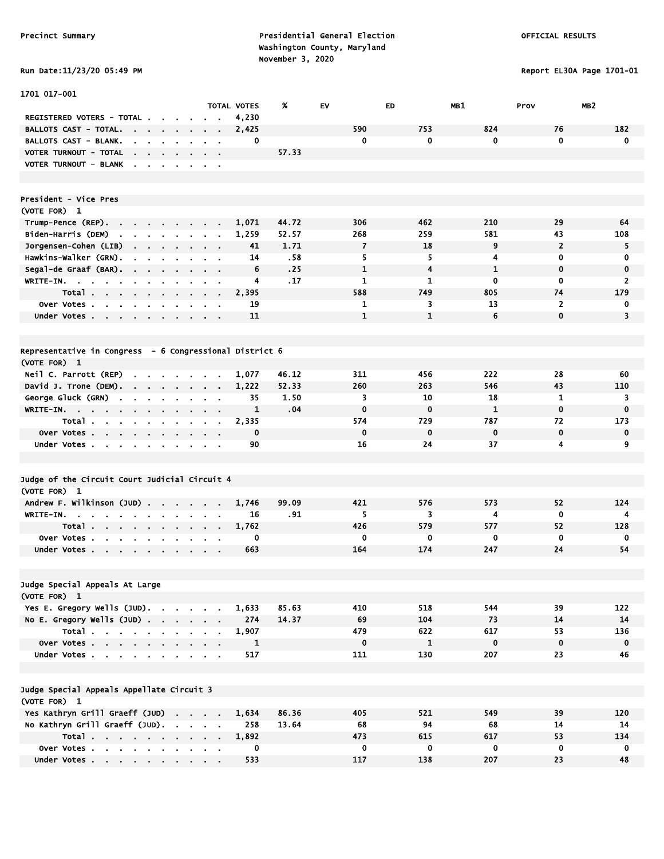1701 017-001

Precinct Summary **Presidential General Election Presidential General Election**  Washington County, Maryland November 3, 2020<br>Pun Data:11/23/20 05:49 PM

TOTAL VOTES % EV ED MB1 Prov MB2

Report EL30A Page 1701-01

|  |  |  |  | <b>KUN DATE:11/23/20 03:49</b> |
|--|--|--|--|--------------------------------|
|--|--|--|--|--------------------------------|

| <b>REGISTERED VOTERS - TOTAL</b>                                                           |                                                             |                               |                | 4,230        |       |              |                         |              |                |                |
|--------------------------------------------------------------------------------------------|-------------------------------------------------------------|-------------------------------|----------------|--------------|-------|--------------|-------------------------|--------------|----------------|----------------|
| <b>BALLOTS CAST - TOTAL.</b>                                                               |                                                             |                               |                | 2,425        |       | 590          | 753                     | 824          | 76             | 182            |
| BALLOTS CAST - BLANK.                                                                      |                                                             |                               |                | 0            |       | 0            | 0                       | 0            | 0              | 0              |
| VOTER TURNOUT - TOTAL<br>$\mathbf{a} = \mathbf{a} + \mathbf{b}$<br>$\sim$                  |                                                             |                               |                |              | 57.33 |              |                         |              |                |                |
| VOTER TURNOUT - BLANK<br>$\blacksquare$                                                    |                                                             |                               |                |              |       |              |                         |              |                |                |
|                                                                                            |                                                             |                               |                |              |       |              |                         |              |                |                |
|                                                                                            |                                                             |                               |                |              |       |              |                         |              |                |                |
| President - Vice Pres                                                                      |                                                             |                               |                |              |       |              |                         |              |                |                |
| (VOTE FOR) 1                                                                               |                                                             |                               |                |              |       |              |                         |              |                |                |
| Trump-Pence (REP).<br><b>All Angeles</b>                                                   | $\sim$ $\sim$                                               |                               |                | 1,071        | 44.72 | 306          | 462                     | 210          | 29             | 64             |
| Biden-Harris (DEM)<br>$\mathbf{r}$<br>$\mathbf{r}$<br>$\sim$<br>$\bullet$                  |                                                             |                               |                | 1,259        | 52.57 | 268          | 259                     | 581          | 43             | 108            |
| Jorgensen-Cohen (LIB)<br>$\blacksquare$<br>$\blacksquare$                                  |                                                             |                               |                | 41           | 1.71  | 7            | 18                      | 9            | $\overline{2}$ | 5              |
| Hawkins-Walker (GRN).                                                                      |                                                             |                               | $\blacksquare$ | 14           | .58   | 5            | 5                       | 4            | 0              | 0              |
| Segal-de Graaf (BAR).<br>$\mathbf{a} = \mathbf{a} \cdot \mathbf{a}$<br>$\sim$              | $\bullet$                                                   | $\sim 10$                     |                | 6            | .25   | 1            | $\overline{\mathbf{4}}$ | $\mathbf{1}$ | $\mathbf 0$    | $\mathbf 0$    |
| WRITE-IN.<br><b>Contract Contract</b><br>$\sim$                                            |                                                             |                               |                | 4            | .17   | 1            | $\mathbf{1}$            | 0            | 0              | $\overline{2}$ |
| Total.<br>$\sim$<br>$\sim$<br>$\blacksquare$<br>$\blacksquare$<br>$\blacksquare$           |                                                             |                               |                | 2,395        |       | 588          | 749                     | 805          | 74             | 179            |
| over Votes.<br>$\sim$<br>$\sim$<br>$\sim$<br>$\sim$<br>$\blacksquare$                      | $\blacksquare$                                              | $\blacksquare$                | $\blacksquare$ | 19           |       | 1            | 3                       | 13           | $\overline{2}$ | 0              |
| Under Votes                                                                                |                                                             |                               |                | 11           |       | $\mathbf{1}$ | $\mathbf{1}$            | 6            | $\mathbf 0$    | 3              |
|                                                                                            |                                                             |                               |                |              |       |              |                         |              |                |                |
|                                                                                            |                                                             |                               |                |              |       |              |                         |              |                |                |
| Representative in Congress - 6 Congressional District 6                                    |                                                             |                               |                |              |       |              |                         |              |                |                |
| (VOTE FOR) 1                                                                               |                                                             |                               |                |              |       |              |                         |              |                |                |
| Neil C. Parrott (REP)                                                                      |                                                             |                               |                | 1,077        | 46.12 | 311          | 456                     | 222          | 28             | 60             |
| David J. Trone (DEM).<br>$\sim$ $\sim$ $\sim$ $\sim$                                       | $\mathbf{r} = \mathbf{r}$                                   |                               |                | 1,222        | 52.33 | 260          | 263                     | 546          | 43             | 110            |
| George Gluck (GRN)<br>$\mathbf{r}$                                                         |                                                             |                               |                | 35           | 1.50  | 3            | 10                      | 18           | $\mathbf{1}$   | 3              |
| WRITE-IN.<br>$\mathbf{r} = \mathbf{r} \times \mathbf{r}$ .<br>$\sim$<br>$\mathbf{r}$       |                                                             |                               |                | 1            | .04   | $\mathbf 0$  | $\bf{0}$                | $\mathbf{1}$ | $\mathbf 0$    | $\mathbf 0$    |
| Total.<br>$\blacksquare$<br>$\mathbf{r} = \mathbf{r}$<br>$\blacksquare$<br>$\blacksquare$  | $\blacksquare$                                              |                               |                | 2,335        |       | 574          | 729                     | 787          | 72             | 173            |
| Over Votes                                                                                 |                                                             |                               |                | $\mathbf 0$  |       | 0            | 0                       | $\mathbf 0$  | $\mathbf 0$    | $\mathbf 0$    |
| $\sim$<br>Under Votes                                                                      | $\blacksquare$                                              | $\sim 100$                    | $\blacksquare$ | 90           |       | 16           | 24                      | 37           | 4              | 9              |
|                                                                                            | $\sim$                                                      |                               |                |              |       |              |                         |              |                |                |
|                                                                                            |                                                             |                               |                |              |       |              |                         |              |                |                |
| Judge of the Circuit Court Judicial Circuit 4                                              |                                                             |                               |                |              |       |              |                         |              |                |                |
| (VOTE FOR) 1                                                                               |                                                             |                               |                |              |       |              |                         |              |                |                |
| Andrew F. Wilkinson (JUD).                                                                 | $\mathbf{r} = \mathbf{r} + \mathbf{r}$ , where $\mathbf{r}$ |                               |                | 1,746        | 99.09 | 421          | 576                     | 573          | 52             | 124            |
| WRITE-IN.                                                                                  |                                                             |                               |                | 16           | .91   | 5            | 3                       | 4            | $\mathbf 0$    | $\overline{4}$ |
| Total.                                                                                     |                                                             |                               |                | 1,762        |       | 426          | 579                     | 577          | 52             | 128            |
| $\mathbf{r} = \mathbf{r} \cdot \mathbf{r}$<br>$\sim$<br>$\sim$<br>$\sim$                   | $\sim$<br>$\mathbf{a} \in \mathbb{R}^n$                     | $\mathbf{a} \in \mathbb{R}^n$ | $\blacksquare$ | 0            |       | 0            | 0                       | 0            | 0              | 0              |
| Over Votes.<br>$\sim$<br>$\mathbf{a} = \mathbf{a} \cdot \mathbf{a}$<br>$\sim$<br>$\bullet$ |                                                             |                               |                |              |       | 164          | 174                     | 247          | 24             | 54             |
| Under Votes                                                                                |                                                             |                               |                | 663          |       |              |                         |              |                |                |
|                                                                                            |                                                             |                               |                |              |       |              |                         |              |                |                |
|                                                                                            |                                                             |                               |                |              |       |              |                         |              |                |                |
| Judge Special Appeals At Large<br>(VOTE FOR) 1                                             |                                                             |                               |                |              |       |              |                         |              |                |                |
| Yes E. Gregory Wells (JUD).                                                                |                                                             |                               |                |              |       |              |                         |              |                |                |
|                                                                                            |                                                             |                               |                | 1,633        | 85.63 | 410          | 518                     | 544          | 39             | 122<br>14      |
| No E. Gregory Wells (JUD)                                                                  |                                                             |                               |                | 274          | 14.37 | 69           | 104                     | 73           | 14             |                |
| Total                                                                                      |                                                             |                               |                | 1,907        |       | 479          | 622                     | 617          | 53             | 136            |
| Over Votes                                                                                 |                                                             | $\alpha = 0.1$                |                | $\mathbf{1}$ |       | $\mathbf 0$  | $\mathbf{1}$            | $\bf{0}$     | $\pmb{0}$      | $\mathbf 0$    |
| Under Votes                                                                                |                                                             |                               |                | 517          |       | 111          | 130                     | 207          | 23             | 46             |
|                                                                                            |                                                             |                               |                |              |       |              |                         |              |                |                |
|                                                                                            |                                                             |                               |                |              |       |              |                         |              |                |                |
| Judge Special Appeals Appellate Circuit 3                                                  |                                                             |                               |                |              |       |              |                         |              |                |                |
| (VOTE FOR) 1                                                                               |                                                             |                               |                |              |       |              |                         |              |                |                |
| Yes Kathryn Grill Graeff (JUD)                                                             |                                                             |                               |                | 1,634        | 86.36 | 405          | 521                     | 549          | 39             | 120            |
| No Kathryn Grill Graeff (JUD).                                                             |                                                             |                               |                | 258          | 13.64 | 68           | 94                      | 68           | 14             | 14             |
| Total                                                                                      |                                                             |                               |                | 1,892        |       | 473          | 615                     | 617          | 53             | 134            |

 Over Votes . . . . . . . . . . 0 0 0 0 0 0 Under Votes . . . . . . . . . 533 117 138 207 23 48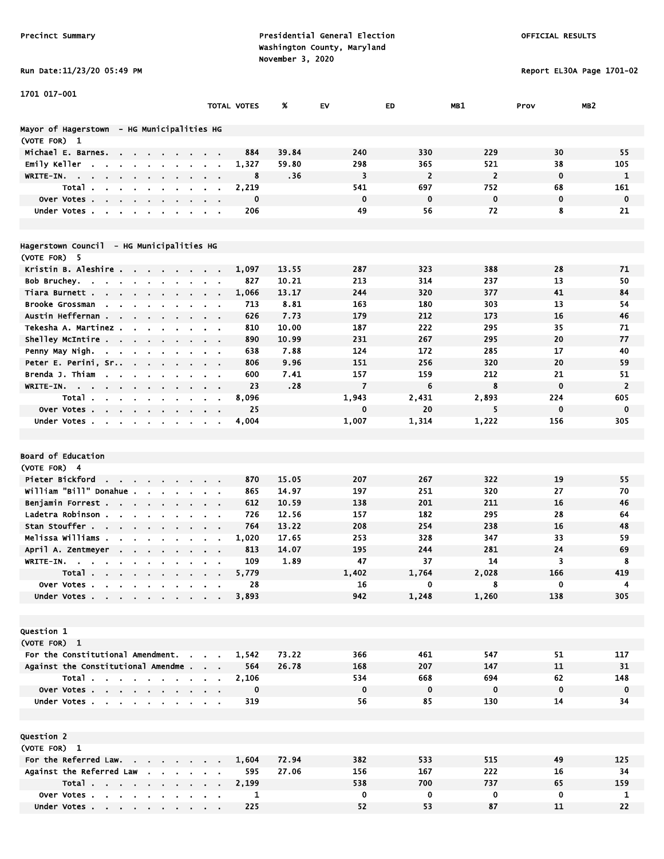Run Date:11/23/20 05:49 PM Report EL30A Page 1701-02

| 1701 017-001                                                                                                             |                                   |             |       |                |                |                |             |                 |
|--------------------------------------------------------------------------------------------------------------------------|-----------------------------------|-------------|-------|----------------|----------------|----------------|-------------|-----------------|
|                                                                                                                          |                                   | TOTAL VOTES | %     | EV             | ED             | MB1            | Prov        | MB <sub>2</sub> |
|                                                                                                                          |                                   |             |       |                |                |                |             |                 |
| Mayor of Hagerstown - HG Municipalities HG                                                                               |                                   |             |       |                |                |                |             |                 |
| (VOTE FOR) 1                                                                                                             |                                   |             |       |                |                |                |             |                 |
| Michael E. Barnes.<br>$\sim$                                                                                             |                                   | 884         | 39.84 | 240            | 330            | 229            | 30          | 55              |
| Emily Keller<br>$\mathbf{r}$<br>$\mathbf{r}$                                                                             |                                   | 1,327       | 59.80 | 298            | 365            | 521            | 38          | 105             |
| WRITE-IN.<br><b>Contract</b>                                                                                             | $\sim$ 100 $\pm$                  | 8           | .36   | 3              | $\overline{2}$ | $\overline{2}$ | $\mathbf 0$ | 1               |
| Total.                                                                                                                   |                                   | 2,219       |       | 541            | 697            | 752            | 68          | 161             |
| Over Votes                                                                                                               |                                   | $\mathbf 0$ |       | $\mathbf{0}$   | $\mathbf 0$    | $\mathbf 0$    | $\mathbf 0$ | $\mathbf 0$     |
| Under Votes<br>$\sim$<br>$\blacksquare$<br>$\bullet$<br>$\blacksquare$<br>$\sim$                                         | $\sim$ $\sim$                     | 206         |       | 49             | 56             | 72             | 8           | 21              |
|                                                                                                                          |                                   |             |       |                |                |                |             |                 |
|                                                                                                                          |                                   |             |       |                |                |                |             |                 |
| Hagerstown Council - HG Municipalities HG                                                                                |                                   |             |       |                |                |                |             |                 |
| (VOTE FOR) 5                                                                                                             |                                   |             |       |                |                |                |             |                 |
| Kristin B. Aleshire<br>$\mathbf{a}$ , $\mathbf{a}$ , $\mathbf{a}$ , $\mathbf{a}$ , $\mathbf{a}$ , $\mathbf{a}$<br>$\sim$ |                                   | 1,097       | 13.55 | 287            | 323            | 388            | 28          | 71              |
| Bob Bruchey<br>$\sim$<br>$\mathbf{r}$<br>$\sim$ 100 $\mu$                                                                |                                   | 827         | 10.21 | 213            | 314            | 237            | 13          | 50              |
| Tiara Burnett<br>$\sim$<br>$\sim$                                                                                        | $\mathbf{r} = \mathbf{r}$         | 1,066       | 13.17 | 244            | 320            | 377            | 41          | 84              |
| Brooke Grossman<br>$\sim$                                                                                                |                                   | 713         | 8.81  | 163            | 180            | 303            | 13          | 54              |
| Austin Heffernan .<br>$\sim$ $\sim$                                                                                      |                                   | 626         | 7.73  | 179            | 212            | 173            | 16          | 46              |
| Tekesha A. Martinez.<br>$\mathbf{r}$                                                                                     |                                   | 810         | 10.00 | 187            | 222            | 295            | 35          | 71              |
| Shelley McIntire<br>$\sim 100$                                                                                           | $\alpha$ , $\beta$ , $\alpha$     | 890         | 10.99 | 231            | 267            | 295            | 20          | 77              |
| Penny May Nigh.                                                                                                          | <b>Contract Contract Contract</b> | 638         | 7.88  | 124            | 172            | 285            | 17          | 40              |
| Peter E. Perini, Sr<br>$\sim$ 100 $\pm$<br>$\mathbf{r} = \mathbf{r}$                                                     |                                   | 806         | 9.96  | 151            | 256            | 320            | 20          | 59              |
| Brenda J. Thiam                                                                                                          |                                   | 600         | 7.41  | 157            | 159            | 212<br>8       | 21          | 51              |
| WRITE-IN.<br>$\blacksquare$<br>$\blacksquare$<br>$\sim$<br>$\blacksquare$                                                | $\mathbf{r} = \mathbf{r}$         | 23          | .28   | $\overline{7}$ | 6              |                | $\mathbf 0$ | $\overline{2}$  |
| Total.<br>$\sim$<br>$\sim 100$                                                                                           |                                   | 8,096       |       | 1,943          | 2,431          | 2,893          | 224         | 605             |
| Over Votes<br>$\sim$                                                                                                     |                                   | 25          |       | $\mathbf 0$    | 20             | 5              | $\mathbf 0$ | 0               |
| Under Votes                                                                                                              |                                   | 4,004       |       | 1,007          | 1,314          | 1,222          | 156         | 305             |
|                                                                                                                          |                                   |             |       |                |                |                |             |                 |
| Board of Education                                                                                                       |                                   |             |       |                |                |                |             |                 |
| (VOTE FOR) 4                                                                                                             |                                   |             |       |                |                |                |             |                 |
| Pieter Bickford                                                                                                          |                                   | 870         | 15.05 | 207            | 267            | 322            | 19          | 55              |
| william "Bill" Donahue .                                                                                                 |                                   | 865         | 14.97 | 197            | 251            | 320            | 27          | 70              |
| $\mathbf{a} = \mathbf{a} + \mathbf{a}$ .<br>$\sim$<br>$\bullet$<br>Benjamin Forrest                                      | $\alpha$ , $\beta$ , $\alpha$     | 612         | 10.59 | 138            | 201            | 211            | 16          | 46              |
| $\mathbf{r} = \mathbf{r}$<br>$\mathbf{r}$<br>$\sim$<br>$\bullet$<br>Ladetra Robinson.<br>$\sim$ $\sim$                   | $\mathbf{r} = \mathbf{r}$         | 726         | 12.56 | 157            | 182            | 295            | 28          | 64              |
| Stan Stouffer                                                                                                            | $\sim$ $\sim$                     | 764         | 13.22 | 208            | 254            | 238            | 16          | 48              |
| Melissa Williams .                                                                                                       | $\alpha = 0.01$                   | 1,020       | 17.65 | 253            | 328            | 347            | 33          | 59              |
| April A. Zentmeyer<br>$\mathbf{r}$                                                                                       |                                   | 813         | 14.07 | 195            | 244            | 281            | 24          | 69              |
| WRITE-IN.                                                                                                                |                                   | 109         | 1.89  | 47             | 37             | 14             | 3           | 8               |
| $\blacksquare$                                                                                                           |                                   | 5,779       |       | 1,402          | 1,764          | 2,028          | 166         | 419             |
| Total $\cdots$ $\cdots$ $\cdots$<br>Over Votes                                                                           |                                   | 28          |       | 16             | 0              | 8              | 0           | 4               |
| Under Votes                                                                                                              |                                   | 3,893       |       | 942            | 1,248          | 1,260          | 138         | 305             |
|                                                                                                                          |                                   |             |       |                |                |                |             |                 |
|                                                                                                                          |                                   |             |       |                |                |                |             |                 |
| <b>Question 1</b>                                                                                                        |                                   |             |       |                |                |                |             |                 |
| (VOTE FOR) 1                                                                                                             |                                   |             |       |                |                |                |             |                 |
| For the Constitutional Amendment.                                                                                        |                                   | 1,542       | 73.22 | 366            | 461            | 547            | 51          | 117             |
| Against the Constitutional Amendme                                                                                       |                                   | 564         | 26.78 | 168            | 207            | 147            | 11          | 31              |
| Total                                                                                                                    | $\sim$ $\sim$                     | 2,106       |       | 534            | 668            | 694            | 62          | 148             |
| Over Votes                                                                                                               |                                   | $\mathbf 0$ |       | $\mathbf 0$    | $\mathbf 0$    | $\mathbf 0$    | $\mathbf 0$ | $\mathbf 0$     |
| Under Votes                                                                                                              |                                   | 319         |       | 56             | 85             | 130            | 14          | 34              |
|                                                                                                                          |                                   |             |       |                |                |                |             |                 |
|                                                                                                                          |                                   |             |       |                |                |                |             |                 |
| Question 2                                                                                                               |                                   |             |       |                |                |                |             |                 |
| (VOTE FOR) 1                                                                                                             |                                   |             |       |                |                |                |             |                 |
| For the Referred Law.                                                                                                    |                                   | 1,604       | 72.94 | 382            | 533            | 515            | 49          | 125             |
| Against the Referred Law                                                                                                 |                                   | 595         | 27.06 | 156            | 167            | 222            | 16          | 34              |
| Total                                                                                                                    | $\sim 10$                         | 2,199       |       | 538            | 700            | 737            | 65          | 159             |
| Over Votes                                                                                                               |                                   | 1           |       | 0              | 0              | 0              | 0           | 1               |
| Under Votes                                                                                                              |                                   | 225         |       | 52             | 53             | 87             | 11          | 22              |

Under Votes . . . . . . . . . . 225 52 53 53 57 11 22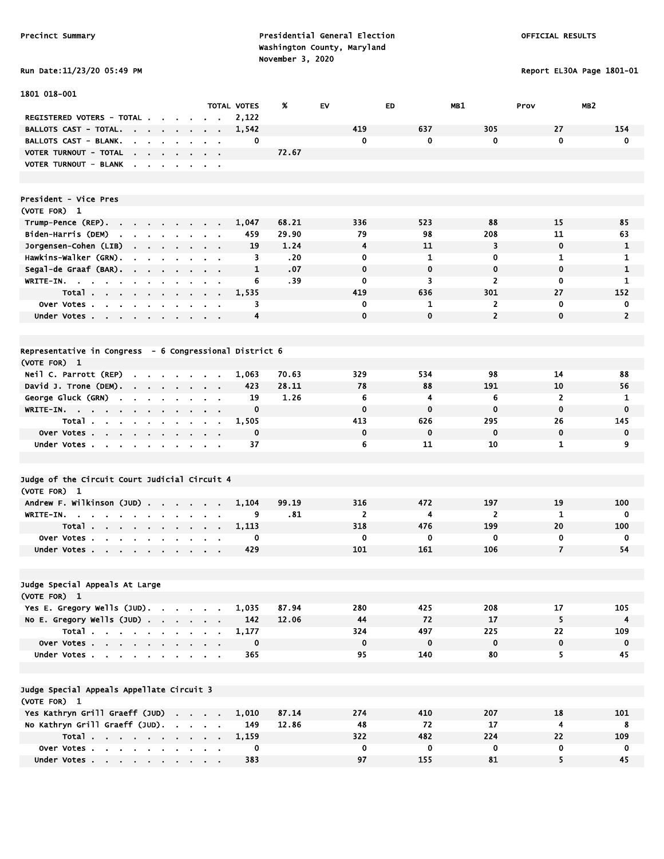Precinct Summary **Presidential General Election Presidential General Election**  Washington County, Maryland November 3, 2020<br>A Data:11/23/20 OS·49 PM

Report EL30A Page 1801-01

|  |  |  |  | Run Date:11/23/20 05:49 |
|--|--|--|--|-------------------------|
|--|--|--|--|-------------------------|

| 1801 018-001                                                                                       |                                        |                    |       |                |              |                |                |                 |
|----------------------------------------------------------------------------------------------------|----------------------------------------|--------------------|-------|----------------|--------------|----------------|----------------|-----------------|
|                                                                                                    |                                        | <b>TOTAL VOTES</b> | X     | EV             | ED           | MB1            | Prov           | MB <sub>2</sub> |
| REGISTERED VOTERS - TOTAL.<br>$\sim$                                                               |                                        | 2,122              |       |                |              |                |                |                 |
| <b>BALLOTS CAST - TOTAL.</b><br>the company of the company of<br>$\blacksquare$                    |                                        | 1,542              |       | 419            | 637          | 305            | 27             | 154             |
| BALLOTS CAST - BLANK.<br>$\mathbf{r}$<br>$\sim$<br>$\sim$                                          |                                        | 0                  |       | 0              | $\mathbf{0}$ | 0              | 0              | $\mathbf 0$     |
| VOTER TURNOUT - TOTAL<br><b>Contract Contract</b><br>$\sim$ $\sim$                                 |                                        |                    | 72.67 |                |              |                |                |                 |
| VOTER TURNOUT - BLANK<br>$\sim$<br>$\sim$ $\sim$ $\sim$<br>$\blacksquare$                          | $\sim$ $\sim$                          |                    |       |                |              |                |                |                 |
|                                                                                                    |                                        |                    |       |                |              |                |                |                 |
|                                                                                                    |                                        |                    |       |                |              |                |                |                 |
| President - Vice Pres                                                                              |                                        |                    |       |                |              |                |                |                 |
| (VOTE FOR) 1                                                                                       |                                        |                    |       |                |              |                |                |                 |
| Trump-Pence (REP).<br><b>Contract Contract</b><br>$\sim 100$                                       |                                        | 1,047              | 68.21 | 336            | 523          | 88             | 15             | 85              |
| Biden-Harris (DEM)<br>the contract of the contract of                                              |                                        | 459                | 29.90 | 79             | 98           | 208            | 11             | 63              |
| Jorgensen-Cohen (LIB)                                                                              | $\alpha = 0.1$                         | 19                 | 1.24  | 4              | 11           | 3              | $\mathbf 0$    | 1               |
| Hawkins-Walker (GRN).<br>$\blacksquare$<br>$\sim$                                                  |                                        | 3                  | .20   | 0              | 1            | 0              | $\mathbf{1}$   | 1               |
| Segal-de Graaf (BAR). .<br>$\blacksquare$                                                          |                                        | $\mathbf{1}$       | .07   | $\mathbf 0$    | $\mathbf 0$  | $\mathbf 0$    | $\mathbf 0$    | $\mathbf{1}$    |
| WRITE-IN.<br>$\sim$<br>$\mathbf{r}$<br>$\blacksquare$                                              |                                        | 6                  | .39   | 0              | 3            | $\overline{2}$ | 0              | $\mathbf{1}$    |
| Total                                                                                              | $\sim$ $\sim$                          | 1,535              |       | 419            | 636          | 301            | 27             | 152             |
| Over Votes                                                                                         | $\sim$ $ \sim$                         | 3                  |       | 0              | 1            | $\overline{2}$ | 0              | 0               |
| Under Votes                                                                                        | $\sim 100$ km s $^{-1}$                | 4                  |       | $\Omega$       | $\Omega$     | $\overline{2}$ | $\mathbf{0}$   | $\overline{2}$  |
|                                                                                                    |                                        |                    |       |                |              |                |                |                 |
|                                                                                                    |                                        |                    |       |                |              |                |                |                 |
| Representative in Congress - 6 Congressional District 6                                            |                                        |                    |       |                |              |                |                |                 |
| (VOTE FOR) 1                                                                                       |                                        |                    |       |                |              |                |                |                 |
| Neil C. Parrott (REP)<br>$\mathbf{r}$<br><b>Contract Contract</b><br>$\mathbf{r}$<br>$\sim$ $\sim$ | $\sim$                                 | 1,063              | 70.63 | 329            | 534          | 98             | 14             | 88              |
| David J. Trone (DEM).<br>$\sim$ $\sim$                                                             | $\sim$ $\sim$                          | 423                | 28.11 | 78             | 88           | 191            | 10             | 56              |
| George Gluck (GRN)<br>$\sim$<br>$\blacksquare$<br>$\bullet$<br>$\blacksquare$                      | $\mathbf{r}$                           | 19                 | 1.26  | 6              | 4            | 6              | $\overline{2}$ | 1               |
| WRITE-IN.                                                                                          | $\mathbf{r} = \mathbf{r} + \mathbf{r}$ | $\mathbf 0$        |       | $\mathbf 0$    | $\bf{0}$     | $\mathbf 0$    | $\mathbf 0$    | $\bf{0}$        |
| Total                                                                                              | $\alpha = 0.1$                         | 1,505              |       | 413            | 626          | 295            | 26             | 145             |
| Over Votes                                                                                         |                                        | $\mathbf 0$        |       | 0              | $\mathbf 0$  | $\mathbf 0$    | $\mathbf 0$    | $\mathbf 0$     |
| Under Votes<br>$\bullet$                                                                           | $\mathbf{a} = \mathbf{0}$              | 37                 |       | 6              | 11           | 10             | $\mathbf{1}$   | 9               |
|                                                                                                    |                                        |                    |       |                |              |                |                |                 |
|                                                                                                    |                                        |                    |       |                |              |                |                |                 |
| Judge of the Circuit Court Judicial Circuit 4                                                      |                                        |                    |       |                |              |                |                |                 |
| (VOTE FOR) 1                                                                                       |                                        |                    |       |                |              |                |                |                 |
| Andrew F. Wilkinson (JUD) .<br>$\mathbf{r}$<br>$\mathbf{r}$<br>$\mathbf{r}$                        |                                        | 1,104              | 99.19 | 316            | 472          | 197            | 19             | 100             |
| WRITE-IN.<br>$\sim$<br>$\sim$                                                                      |                                        | 9                  | .81   | $\overline{2}$ | 4            | $\overline{2}$ | $\mathbf{1}$   | 0               |
| Total                                                                                              | $\alpha = 0.1$                         | 1,113              |       | 318            | 476          | 199            | 20             | 100             |
| <b>Over Votes.</b><br>$\mathbf{r}$ , $\mathbf{r}$ , $\mathbf{r}$ , $\mathbf{r}$ , $\mathbf{r}$     |                                        | 0                  |       | 0              | $\mathbf 0$  | 0              | 0              | 0               |
| Under Votes                                                                                        | $\sim$ $\sim$                          | 429                |       | 101            | 161          | 106            | $\overline{7}$ | 54              |
|                                                                                                    |                                        |                    |       |                |              |                |                |                 |
|                                                                                                    |                                        |                    |       |                |              |                |                |                 |
| Judge Special Appeals At Large                                                                     |                                        |                    |       |                |              |                |                |                 |
| (VOTE FOR) 1                                                                                       |                                        |                    |       |                |              |                |                |                 |
| Yes E. Gregory Wells (JUD).                                                                        |                                        | 1,035              | 87.94 | 280            | 425          | 208            | 17             | 105             |
| No E. Gregory Wells $(JUD)$ .                                                                      |                                        | 142                | 12.06 | 44             | 72           | 17             | 5              | $\overline{4}$  |
| Total                                                                                              |                                        | 1,177              |       | 324            | 497          | 225            | 22             | 109             |
| Over Votes                                                                                         |                                        | $\mathbf 0$        |       | $\mathbf 0$    | $\mathbf 0$  | $\mathbf 0$    | $\mathbf 0$    | $\mathbf 0$     |
| Under Votes                                                                                        |                                        | 365                |       | 95             | 140          | 80             | 5              | 45              |
|                                                                                                    |                                        |                    |       |                |              |                |                |                 |
| Judge Special Appeals Appellate Circuit 3                                                          |                                        |                    |       |                |              |                |                |                 |
| (VOTE FOR) 1                                                                                       |                                        |                    |       |                |              |                |                |                 |
| Yes Kathryn Grill Graeff (JUD)                                                                     |                                        | 1,010              | 87.14 | 274            | 410          | 207            | 18             | 101             |
| No Kathryn Grill Graeff (JUD).                                                                     |                                        | 149                | 12.86 | 48             | 72           | 17             | $\overline{4}$ | 8               |
|                                                                                                    |                                        | 1,159              |       | 322            | 482          | 224            | 22             | 109             |
| Total<br>Over Votes                                                                                |                                        | 0                  |       | $\mathbf 0$    | $\mathbf 0$  | 0              | $\mathbf 0$    | 0               |
|                                                                                                    |                                        | 383                |       | 97             | 155          | 81             | 5              | 45              |
| Under Votes                                                                                        |                                        |                    |       |                |              |                |                |                 |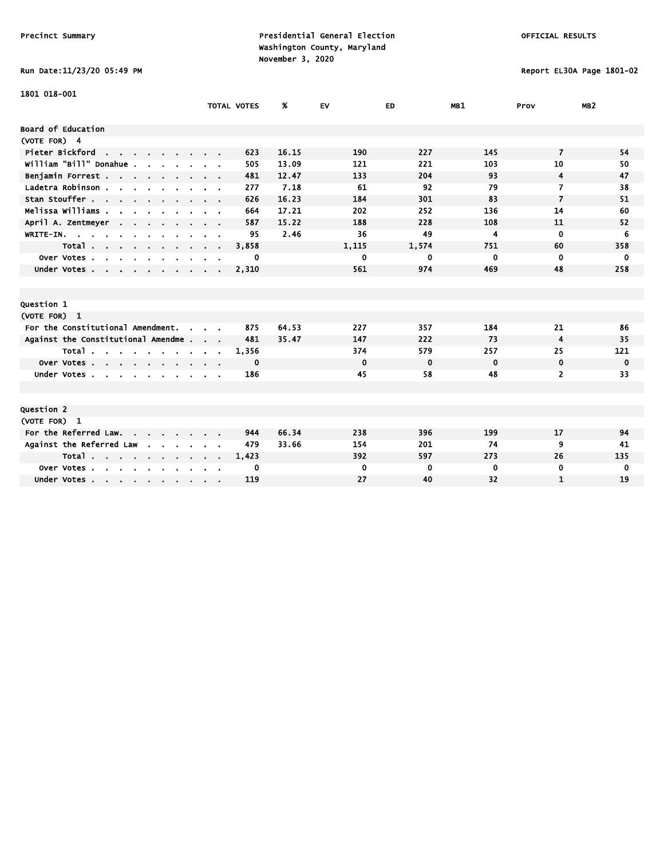# Run Date:11/23/20 05:49 PM Report EL30A Page 1801-02

| 1801 018-001                                       |                                                                    |       |             |             |                |                |                 |
|----------------------------------------------------|--------------------------------------------------------------------|-------|-------------|-------------|----------------|----------------|-----------------|
|                                                    | <b>TOTAL VOTES</b>                                                 | %     | EV          | ED          | MB1            | Prov           | MB <sub>2</sub> |
| Board of Education                                 |                                                                    |       |             |             |                |                |                 |
| (VOTE FOR) 4                                       |                                                                    |       |             |             |                |                |                 |
| Pieter Bickford<br>the contract of the contract of | 623                                                                | 16.15 | 190         | 227         | 145            | $\overline{7}$ | 54              |
| william "Bill" Donahue.                            | 505                                                                | 13.09 | 121         | 221         | 103            | 10             | 50              |
| Benjamin Forrest                                   | 481                                                                | 12.47 | 133         | 204         | 93             | 4              | 47              |
| Ladetra Robinson                                   | 277<br>$\mathbf{r} = \mathbf{r} + \mathbf{r}$ , where $\mathbf{r}$ | 7.18  | 61          | 92          | 79             | 7              | 38              |
| Stan Stouffer                                      | 626                                                                | 16.23 | 184         | 301         | 83             | $\overline{7}$ | 51              |
| Melissa Williams                                   | 664                                                                | 17.21 | 202         | 252         | 136            | 14             | 60              |
| April A. Zentmeyer<br><b>Contract</b>              | 587                                                                | 15.22 | 188         | 228         | 108            | 11             | 52              |
| WRITE-IN.                                          | 95                                                                 | 2.46  | 36          | 49          | $\overline{4}$ | $\mathbf 0$    | 6               |
| Total                                              | 3,858                                                              |       | 1,115       | 1,574       | 751            | 60             | 358             |
| Over Votes<br>$\sim$<br>$\mathbf{r}$               | 0                                                                  |       | 0           | 0           | 0              | $\mathbf 0$    | 0               |
| Under Votes<br>$\sim$ $\sim$ $\sim$ $\sim$         | 2,310                                                              |       | 561         | 974         | 469            | 48             | 258             |
|                                                    |                                                                    |       |             |             |                |                |                 |
|                                                    |                                                                    |       |             |             |                |                |                 |
| Question 1                                         |                                                                    |       |             |             |                |                |                 |
| (VOTE FOR) 1                                       |                                                                    |       |             |             |                |                |                 |
| For the Constitutional Amendment.                  | 875                                                                | 64.53 | 227         | 357         | 184            | 21             | 86              |
| Against the Constitutional Amendme                 | 481                                                                | 35.47 | 147         | 222         | 73             | 4              | 35              |
| Total                                              | 1,356                                                              |       | 374         | 579         | 257            | 25             | 121             |
| Over Votes                                         | 0                                                                  |       | $\mathbf 0$ | $\mathbf 0$ | $\mathbf 0$    | $\mathbf 0$    | $\mathbf 0$     |
| Under Votes                                        | 186                                                                |       | 45          | 58          | 48             | $\overline{2}$ | 33              |
|                                                    |                                                                    |       |             |             |                |                |                 |
|                                                    |                                                                    |       |             |             |                |                |                 |
| Question 2                                         |                                                                    |       |             |             |                |                |                 |
| (VOTE FOR) 1                                       |                                                                    |       |             |             |                |                |                 |
| For the Referred Law.                              | 944                                                                | 66.34 | 238         | 396         | 199            | 17             | 94              |
| Against the Referred Law                           | 479                                                                | 33.66 | 154         | 201         | 74             | 9              | 41              |
| Total                                              | 1,423                                                              |       | 392         | 597         | 273            | 26             | 135             |
| Over Votes<br>$\sim$                               | 0                                                                  |       | $\mathbf 0$ | 0           | 0              | 0              | 0               |
| Under Votes                                        | 119                                                                |       | 27          | 40          | 32             | 1              | 19              |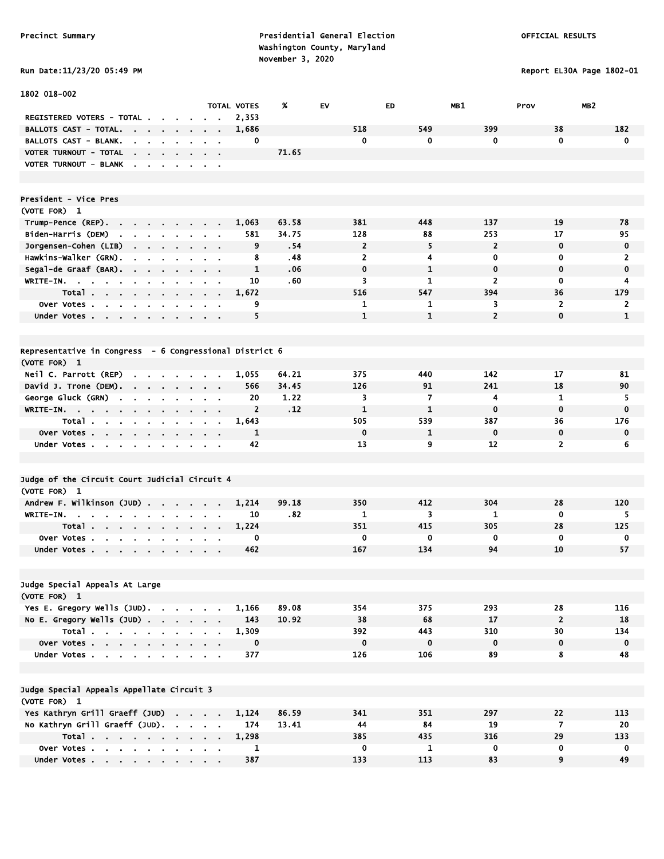Precinct Summary **Presidential General Election Presidential General Election**  Washington County, Maryland November 3, 2020<br>  $N = 11 / 22 / 20$   $N = 40$   $N = 11 / 22 / 20$ 

Report EL30A Page 1802-01

| Run Date:11/23/20 05:49 F |
|---------------------------|
|---------------------------|

| 1802 018-002                                                                                                                                       |                                     |                |       |                |              |                |                         |                |
|----------------------------------------------------------------------------------------------------------------------------------------------------|-------------------------------------|----------------|-------|----------------|--------------|----------------|-------------------------|----------------|
|                                                                                                                                                    | TOTAL VOTES                         |                | %     | EV             | ED           | MB1            | MB <sub>2</sub><br>Prov |                |
| REGISTERED VOTERS - TOTAL                                                                                                                          | $\sim$                              | 2,353          |       |                |              |                |                         |                |
| <b>BALLOTS CAST - TOTAL.</b><br>$\sim$ 100 $\sim$<br><b>Service Control</b><br>$\blacksquare$                                                      |                                     | 1,686          |       | 518            | 549          | 399            | 38                      | 182            |
| BALLOTS CAST - BLANK.<br>$\blacksquare$<br>$\mathbf{r}$                                                                                            | $\sim$                              | 0              |       | $\mathbf 0$    | 0            | 0              | $\mathbf 0$             | 0              |
| VOTER TURNOUT - TOTAL<br>the company of the company of the company of                                                                              |                                     |                | 71.65 |                |              |                |                         |                |
| VOTER TURNOUT - BLANK                                                                                                                              |                                     |                |       |                |              |                |                         |                |
|                                                                                                                                                    |                                     |                |       |                |              |                |                         |                |
|                                                                                                                                                    |                                     |                |       |                |              |                |                         |                |
| President - Vice Pres                                                                                                                              |                                     |                |       |                |              |                |                         |                |
| (VOTE FOR) 1                                                                                                                                       |                                     |                | 63.58 | 381            | 448          | 137            | 19                      |                |
| Trump-Pence (REP).<br>$\sim$<br>Biden-Harris (DEM)                                                                                                 |                                     | 1,063<br>581   | 34.75 | 128            | 88           | 253            | 17                      | 78<br>95       |
| $\sim$<br>$\sim$<br>$\mathbf{r}$ .<br>$\mathbf{r}$                                                                                                 | $\sim$                              | 9              | .54   | $\overline{2}$ | 5            | $\overline{2}$ | $\mathbf 0$             | 0              |
| Jorgensen-Cohen (LIB)<br>$\sim$<br>$\sim 100$ km s $^{-1}$<br>$\sim$<br>$\blacksquare$<br>Hawkins-Walker (GRN).                                    | $\sim$ $\sim$                       | 8              | .48   | $\overline{2}$ | 4            | 0              | 0                       | $\overline{2}$ |
| $\blacksquare$<br>$\blacksquare$<br>Segal-de Graaf (BAR).                                                                                          | $\sim$                              | 1              | .06   | 0              | 1            | 0              | $\mathbf 0$             | 0              |
| WRITE-IN.                                                                                                                                          |                                     | 10             | .60   | 3              | $\mathbf{1}$ | 2              | $\mathbf 0$             | 4              |
| Total<br>$\sim$                                                                                                                                    | $\alpha$ , $\alpha$ , $\alpha$<br>. | 1,672          |       | 516            | 547          | 394            | 36                      | 179            |
| Over Votes                                                                                                                                         |                                     | 9              |       | 1              | 1            | 3              | $\overline{2}$          | $\mathbf{2}$   |
| Under Votes                                                                                                                                        |                                     | 5              |       | $\mathbf{1}$   | $\mathbf{1}$ | $\overline{2}$ | $\mathbf 0$             | $\mathbf{1}$   |
|                                                                                                                                                    |                                     |                |       |                |              |                |                         |                |
|                                                                                                                                                    |                                     |                |       |                |              |                |                         |                |
| Representative in Congress  – 6 Congressional District 6                                                                                           |                                     |                |       |                |              |                |                         |                |
| (VOTE FOR) 1                                                                                                                                       |                                     |                |       |                |              |                |                         |                |
| Neil C. Parrott (REP)<br>$\begin{array}{cccccccccccccc} \bullet & \bullet & \bullet & \bullet & \bullet & \bullet & \bullet & \bullet \end{array}$ |                                     | 1,055          | 64.21 | 375            | 440          | 142            | 17                      | 81             |
| David J. Trone (DEM).<br>the company of the company of                                                                                             |                                     | 566            | 34.45 | 126            | 91           | 241            | 18                      | 90             |
| George Gluck (GRN)<br>$\sim$<br>$\sim$<br>$\sim$<br>$\sim$                                                                                         |                                     | 20             | 1.22  | 3              | 7            | 4              | 1                       | 5.             |
| WRITE-IN.                                                                                                                                          |                                     | $\overline{2}$ | .12   | $\mathbf{1}$   | $\mathbf{1}$ | 0              | $\mathbf 0$             | $\mathbf 0$    |
| Total                                                                                                                                              | $\sim$ 100 $\pm$                    | 1,643          |       | 505            | 539          | 387            | 36                      | 176            |
| Over Votes                                                                                                                                         | $\sim$                              | $\mathbf{1}$   |       | $\mathbf 0$    | $\mathbf{1}$ | $\mathbf 0$    | $\mathbf 0$             | 0              |
| Under Votes<br><b>Contract Contract Contract</b>                                                                                                   |                                     | 42             |       | 13             | 9            | 12             | $\overline{2}$          | 6              |
|                                                                                                                                                    |                                     |                |       |                |              |                |                         |                |
|                                                                                                                                                    |                                     |                |       |                |              |                |                         |                |
| Judge of the Circuit Court Judicial Circuit 4                                                                                                      |                                     |                |       |                |              |                |                         |                |
| (VOTE FOR) 1                                                                                                                                       |                                     |                |       |                |              |                |                         |                |
| Andrew F. Wilkinson (JUD)<br>$\mathbf{r} = \mathbf{r} \cdot \mathbf{r}$ .                                                                          |                                     | 1,214          | 99.18 | 350            | 412          | 304            | 28                      | 120            |
| WRITE-IN.<br><b>Contract Contract Contract</b><br><b>Contract Contract Street</b><br>$\sim$                                                        |                                     | 10             | .82   | 1              | 3            | $\mathbf{1}$   | $\mathbf 0$             | 5              |
| Total<br>$\blacksquare$                                                                                                                            |                                     | 1,224          |       | 351            | 415          | 305            | 28                      | 125            |
| Over Votes.<br><b>Contract Contract</b><br>$\sim$<br>$\sim$<br>$\bullet$                                                                           |                                     | 0              |       | 0              | 0            | 0              | 0                       | 0              |
| Under Votes                                                                                                                                        |                                     | 462            |       | 167            | 134          | 94             | 10                      | 57             |
|                                                                                                                                                    |                                     |                |       |                |              |                |                         |                |
| Judge Special Appeals At Large                                                                                                                     |                                     |                |       |                |              |                |                         |                |
| (VOTE FOR) 1                                                                                                                                       |                                     |                |       |                |              |                |                         |                |
| Yes E. Gregory Wells (JUD).                                                                                                                        |                                     | 1,166          | 89.08 | 354            | 375          | 293            | 28                      | 116            |
| No E. Gregory Wells (JUD)                                                                                                                          |                                     | 143            | 10.92 | 38             | 68           | 17             | $\overline{2}$          | 18             |
| Total                                                                                                                                              |                                     | 1,309          |       | 392            | 443          | 310            | 30                      | 134            |
| Over Votes                                                                                                                                         |                                     | $\mathbf 0$    |       | $\mathbf 0$    | $\mathbf 0$  | $\mathbf 0$    | $\mathbf 0$             | $\mathbf 0$    |
| Under Votes                                                                                                                                        |                                     | 377            |       | 126            | 106          | 89             | 8                       | 48             |
|                                                                                                                                                    |                                     |                |       |                |              |                |                         |                |
|                                                                                                                                                    |                                     |                |       |                |              |                |                         |                |
| Judge Special Appeals Appellate Circuit 3                                                                                                          |                                     |                |       |                |              |                |                         |                |
| (VOTE FOR) 1                                                                                                                                       |                                     |                |       |                |              |                |                         |                |
| Yes Kathryn Grill Graeff (JUD)                                                                                                                     |                                     | 1,124          | 86.59 | 341            | 351          | 297            | 22                      | 113            |
| No Kathryn Grill Graeff (JUD).                                                                                                                     |                                     | 174            | 13.41 | 44             | 84           | 19             | $\overline{7}$          | 20             |
| Total.                                                                                                                                             |                                     | 1,298          |       | 385            | 435          | 316            | 29                      | 133            |
| Over Votes                                                                                                                                         |                                     | 1              |       | 0              | 1            | $\mathbf 0$    | 0                       | 0              |
| Under Votes                                                                                                                                        |                                     | 387            |       | 133            | 113          | 83             | 9                       | 49             |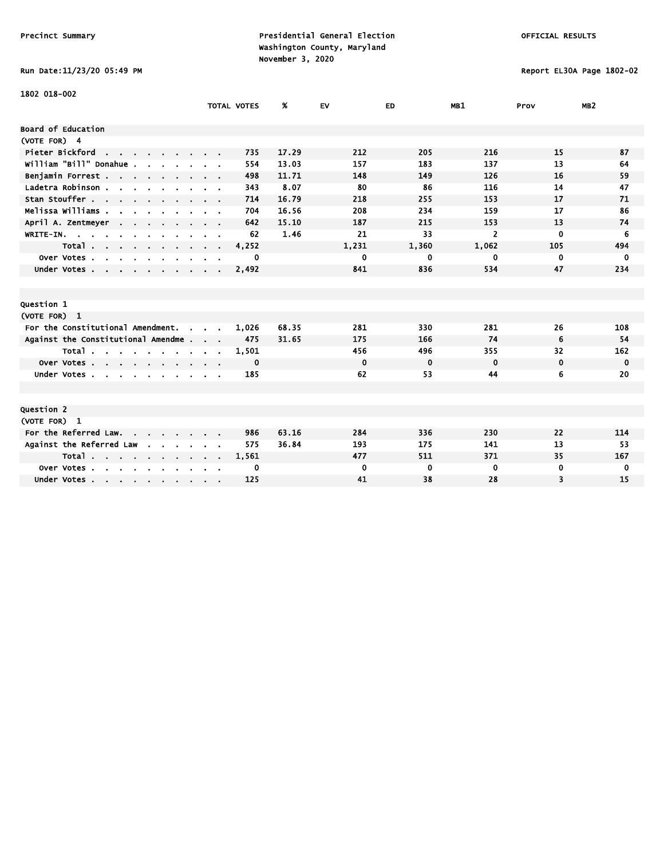# Run Date:11/23/20 05:49 PM Report EL30A Page 1802-02

| 1802 018-002                                                                                  |                              |                    |       |             |             |                |             |                 |
|-----------------------------------------------------------------------------------------------|------------------------------|--------------------|-------|-------------|-------------|----------------|-------------|-----------------|
|                                                                                               |                              | <b>TOTAL VOTES</b> | %     | <b>EV</b>   | ED          | MB1            | Prov        | MB <sub>2</sub> |
| Board of Education                                                                            |                              |                    |       |             |             |                |             |                 |
| (VOTE FOR) 4                                                                                  |                              |                    |       |             |             |                |             |                 |
| Pieter Bickford<br>the contract of the con-                                                   |                              | 735                | 17.29 | 212         | 205         | 216            | 15          | 87              |
| William "Bill" Donahue.                                                                       |                              | 554                | 13.03 | 157         | 183         | 137            | 13          | 64              |
| Benjamin Forrest                                                                              |                              | 498                | 11.71 | 148         | 149         | 126            | 16          | 59              |
| Ladetra Robinson.<br>$\mathbf{r}$ , $\mathbf{r}$ , $\mathbf{r}$ , $\mathbf{r}$ , $\mathbf{r}$ |                              | 343                | 8.07  | 80          | 86          | 116            | 14          | 47              |
| Stan Stouffer                                                                                 |                              | 714                | 16.79 | 218         | 255         | 153            | 17          | 71              |
| Melissa Williams .<br>$\mathbf{r}$                                                            |                              | 704                | 16.56 | 208         | 234         | 159            | 17          | 86              |
| April A. Zentmeyer<br>$\sim$ $\sim$                                                           |                              | 642                | 15.10 | 187         | 215         | 153            | 13          | 74              |
| WRITE-IN.<br>$\mathbf{u}$                                                                     |                              | 62                 | 1.46  | 21          | 33          | $\overline{2}$ | $\mathbf 0$ | 6               |
| Total                                                                                         | $\sim$ 100 $\sim$ 100 $\sim$ | 4,252              |       | 1,231       | 1,360       | 1,062          | 105         | 494             |
| Over Votes.<br>$\sim$<br>$\sim$<br>$\sim$<br>$\mathbf{r}$                                     |                              | $\mathbf 0$        |       | 0           | 0           | 0              | 0           | $\mathbf 0$     |
| Under Votes                                                                                   |                              | 2,492              |       | 841         | 836         | 534            | 47          | 234             |
|                                                                                               |                              |                    |       |             |             |                |             |                 |
|                                                                                               |                              |                    |       |             |             |                |             |                 |
| Question 1                                                                                    |                              |                    |       |             |             |                |             |                 |
| (VOTE FOR) 1                                                                                  |                              |                    |       |             |             |                |             |                 |
| For the Constitutional Amendment.<br>$\sim$                                                   |                              | 1,026              | 68.35 | 281         | 330         | 281            | 26          | 108             |
| Against the Constitutional Amendme                                                            |                              | 475                | 31.65 | 175         | 166         | 74             | 6           | 54              |
| Total                                                                                         |                              | 1,501              |       | 456         | 496         | 355            | 32          | 162             |
| Over Votes                                                                                    |                              | 0                  |       | $\mathbf 0$ | $\mathbf 0$ | $\mathbf 0$    | $\mathbf 0$ | $\mathbf 0$     |
| Under Votes.<br><b>Service</b>                                                                |                              | 185                |       | 62          | 53          | 44             | 6           | 20              |
|                                                                                               |                              |                    |       |             |             |                |             |                 |
|                                                                                               |                              |                    |       |             |             |                |             |                 |
| Question 2                                                                                    |                              |                    |       |             |             |                |             |                 |
| (VOTE FOR) 1                                                                                  |                              |                    |       |             |             |                |             |                 |
| For the Referred Law.                                                                         |                              | 986                | 63.16 | 284         | 336         | 230            | 22          | 114             |
| Against the Referred Law                                                                      |                              | 575                | 36.84 | 193         | 175         | 141            | 13          | 53              |
| Total                                                                                         |                              | 1,561              |       | 477         | 511         | 371            | 35          | 167             |
| Over Votes.<br>$\sim$<br>$\sim$ $\sim$<br>$\sim$                                              |                              | 0                  |       | $\mathbf 0$ | 0           | 0              | 0           | 0               |
| Under Votes                                                                                   |                              | 125                |       | 41          | 38          | 28             | 3           | 15              |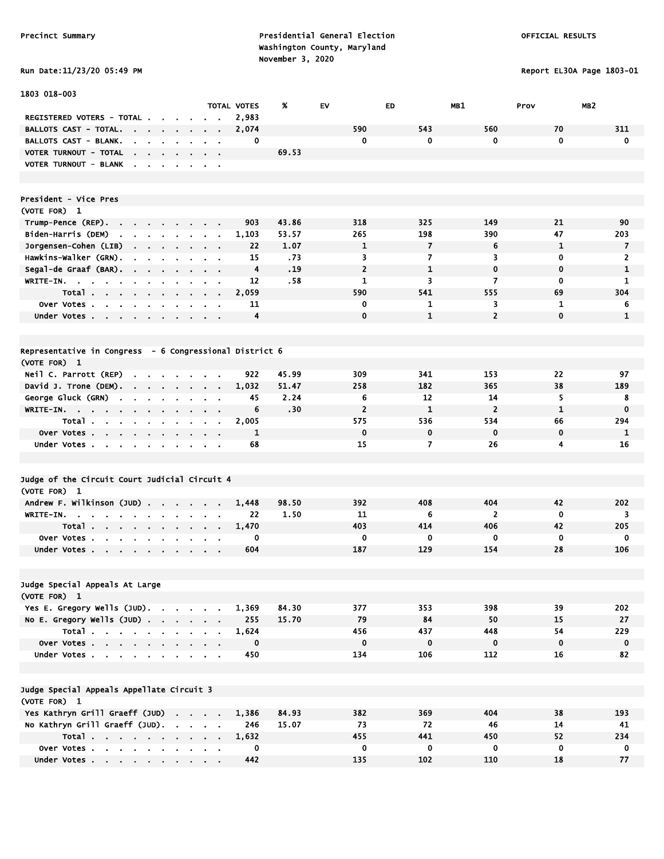Run Date:11/23/20 05:49 PM Report EL30A Page 1803-01

| 1803 018-003                                                                                  |                                                    |                    |       |                |                |                |              |                         |
|-----------------------------------------------------------------------------------------------|----------------------------------------------------|--------------------|-------|----------------|----------------|----------------|--------------|-------------------------|
|                                                                                               |                                                    | <b>TOTAL VOTES</b> | %     | EV             | ED             | MB1            | Prov         | MB <sub>2</sub>         |
| REGISTERED VOTERS - TOTAL .                                                                   |                                                    | 2,983              |       |                |                |                |              |                         |
| <b>BALLOTS CAST - TOTAL.</b><br>$\sim$                                                        |                                                    | 2,074              |       | 590            | 543            | 560            | 70           | 311                     |
| BALLOTS CAST - BLANK.                                                                         |                                                    | 0                  |       | 0              | 0              | 0              | 0            | $\mathbf 0$             |
| VOTER TURNOUT - TOTAL<br><b>Contract Contract Contract</b>                                    | $\mathbf{r} = \mathbf{r}$                          |                    | 69.53 |                |                |                |              |                         |
| VOTER TURNOUT - BLANK                                                                         |                                                    |                    |       |                |                |                |              |                         |
|                                                                                               |                                                    |                    |       |                |                |                |              |                         |
|                                                                                               |                                                    |                    |       |                |                |                |              |                         |
| President - Vice Pres                                                                         |                                                    |                    |       |                |                |                |              |                         |
| (VOTE FOR) 1                                                                                  |                                                    |                    |       |                |                |                |              |                         |
| Trump-Pence (REP).<br>and a state of                                                          |                                                    | 903                | 43.86 | 318            | 325            | 149            | 21           | 90                      |
| Biden-Harris (DEM)<br>$\mathbf{r}$                                                            |                                                    | 1,103              | 53.57 | 265            | 198            | 390            | 47           | 203                     |
| Jorgensen-Cohen (LIB)<br>$\blacksquare$<br>$\bullet$                                          |                                                    | 22                 | 1.07  | 1              | $\overline{7}$ | 6              | $\mathbf{1}$ | $\overline{7}$          |
| Hawkins-Walker (GRN).                                                                         |                                                    | 15                 | .73   | 3              | $\overline{7}$ | 3              | 0            | $\overline{2}$          |
| Segal-de Graaf (BAR).<br><b>Contract Contract</b>                                             | $\sim 100$                                         | 4                  | .19   | $\overline{2}$ | $\mathbf{1}$   | $\mathbf 0$    | 0            | 1                       |
| $WRITE-IN.$<br><b>Contract</b><br>$\sim$<br>$\sim$<br>$\mathbf{r}$                            | $\alpha$ , $\beta$ , $\alpha$                      | 12                 | .58   | 1              | 3              | 7              | 0            | 1                       |
| Total<br>$\sim$<br>$\sim$                                                                     | . .                                                | 2,059              |       | 590            | 541            | 555            | 69           | 304                     |
| Over Votes<br>$\sim$<br>$\blacksquare$                                                        | $\sim$ $\sim$                                      | 11                 |       | 0              | 1              | 3              | 1            | 6                       |
| Under Votes<br>$\sim$                                                                         | $\mathbf{a}$ , and $\mathbf{a}$ , and $\mathbf{a}$ | 4                  |       | $\mathbf 0$    | $\mathbf{1}$   | $\overline{2}$ | $\mathbf 0$  | 1                       |
|                                                                                               |                                                    |                    |       |                |                |                |              |                         |
|                                                                                               |                                                    |                    |       |                |                |                |              |                         |
| Representative in Congress - 6 Congressional District 6                                       |                                                    |                    |       |                |                |                |              |                         |
| (VOTE FOR) 1                                                                                  |                                                    |                    |       |                |                |                |              |                         |
| Neil C. Parrott (REP)<br>$\cdot$ $\cdot$ $\cdot$ $\cdot$                                      |                                                    | 922                | 45.99 | 309            | 341            | 153            | 22           | 97                      |
| David J. Trone (DEM).                                                                         |                                                    | 1,032              | 51.47 | 258            | 182            | 365            | 38           | 189                     |
| George Gluck (GRN)<br>$\mathbf{r}$<br>$\sim$<br>$\mathbf{r}$<br>$\blacksquare$                |                                                    | 45                 | 2.24  | 6              | 12             | 14             | 5            | 8                       |
| $W$ RITE-IN.<br>$\sim$                                                                        |                                                    | 6                  | .30   | $\overline{2}$ | $\mathbf{1}$   | $\overline{2}$ | 1            | $\mathbf 0$             |
| Total<br>$\sim$<br>$\blacksquare$                                                             | $\sim$ 100 $\pm$                                   | 2,005              |       | 575            | 536            | 534            | 66           | 294                     |
| Over Votes<br>$\sim$                                                                          |                                                    | $\mathbf{1}$       |       | $\mathbf 0$    | $\mathbf 0$    | $\mathbf 0$    | 0            | 1                       |
| Under Votes                                                                                   | <b>Contract Contract</b>                           | 68                 |       | 15             | 7              | 26             | 4            | 16                      |
|                                                                                               |                                                    |                    |       |                |                |                |              |                         |
|                                                                                               |                                                    |                    |       |                |                |                |              |                         |
| Judge of the Circuit Court Judicial Circuit 4                                                 |                                                    |                    |       |                |                |                |              |                         |
| (VOTE FOR) 1                                                                                  |                                                    |                    |       |                |                |                |              |                         |
| Andrew F. Wilkinson (JUD)                                                                     |                                                    | 1,448              | 98.50 | 392            | 408            | 404            | 42           | 202                     |
| WRITE-IN.<br>$\sim$<br><b>Contract Contract Contract</b>                                      |                                                    | 22                 | 1.50  | 11             | 6              | $\overline{2}$ | 0            | 3                       |
| Total.<br>and a strain and a strain and<br>$\sim$ 100 $\sim$                                  | $\sim$                                             | 1,470              |       | 403            | 414            | 406            | 42           | 205                     |
| Over Votes.<br><b>Contract Contract</b><br>$\sim 10^{-1}$<br>$\sim$<br>$\bullet$<br>$\bullet$ |                                                    | 0                  |       | 0              | 0              | 0              | $\mathbf 0$  | 0                       |
| Under Votes                                                                                   |                                                    | 604                |       | 187            | 129            | 154            | 28           | 106                     |
|                                                                                               |                                                    |                    |       |                |                |                |              |                         |
| Judge Special Appeals At Large                                                                |                                                    |                    |       |                |                |                |              |                         |
| (VOTE FOR) 1                                                                                  |                                                    |                    |       |                |                |                |              |                         |
| Yes E. Gregory Wells (JUD).                                                                   |                                                    | 1,369              | 84.30 | 377            | 353            | 398            | 39           | 202                     |
| No E. Gregory Wells (JUD)                                                                     |                                                    | 255                | 15.70 | 79             | 84             | 50             | 15           | 27                      |
| Total                                                                                         |                                                    | 1,624              |       | 456            | 437            | 448            | 54           | 229                     |
| Over Votes                                                                                    |                                                    | $\mathbf 0$        |       | $\mathbf 0$    | $\mathbf 0$    | $\mathbf 0$    | $\mathbf 0$  | $\overline{\mathbf{0}}$ |
| Under Votes                                                                                   | $\mathbf{r} = \mathbf{r} + \mathbf{r}$             | 450                |       | 134            | 106            | 112            | 16           | 82                      |
|                                                                                               |                                                    |                    |       |                |                |                |              |                         |
|                                                                                               |                                                    |                    |       |                |                |                |              |                         |
| Judge Special Appeals Appellate Circuit 3                                                     |                                                    |                    |       |                |                |                |              |                         |
| (VOTE FOR) 1                                                                                  |                                                    |                    |       |                |                |                |              |                         |
| Yes Kathryn Grill Graeff (JUD)                                                                |                                                    | 1,386              | 84.93 | 382            | 369            | 404            | 38           | 193                     |
| No Kathryn Grill Graeff (JUD).                                                                |                                                    | 246                | 15.07 | 73             | 72             | 46             | 14           | 41                      |
| Total                                                                                         |                                                    | 1,632              |       | 455            | 441            | 450            | 52           | 234                     |
| Over Votes                                                                                    |                                                    | $\mathbf 0$        |       | $\mathbf 0$    | $\mathbf 0$    | 0              | $\mathbf 0$  | $\overline{\mathbf{0}}$ |
| Under Votes                                                                                   |                                                    | 442                |       | 135            | 102            | 110            | 18           | 77                      |
|                                                                                               |                                                    |                    |       |                |                |                |              |                         |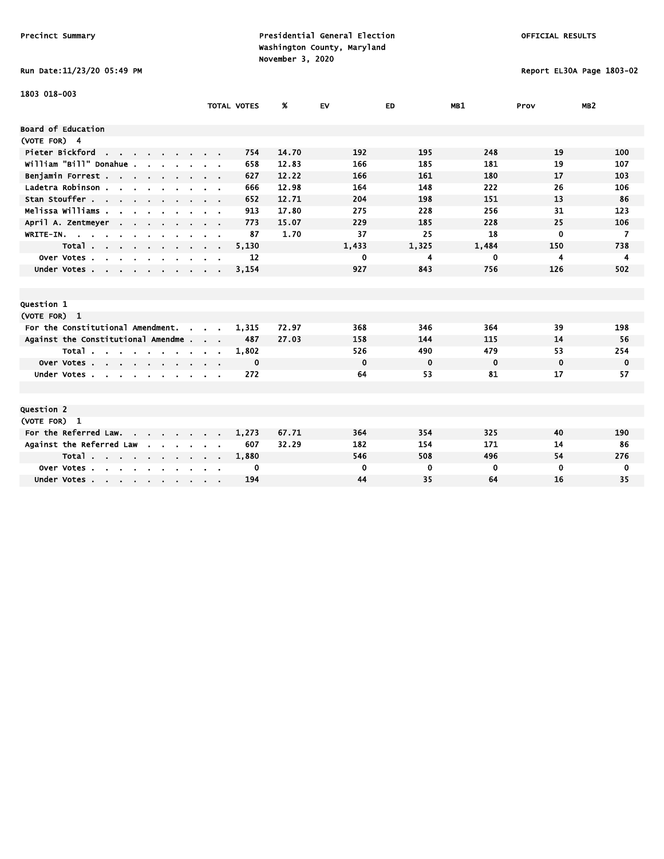# Run Date:11/23/20 05:49 PM Report EL30A Page 1803-02

| 1803 018-003                                                 |                             |                    |       |             |          |             |             |                 |
|--------------------------------------------------------------|-----------------------------|--------------------|-------|-------------|----------|-------------|-------------|-----------------|
|                                                              |                             | <b>TOTAL VOTES</b> | %     | <b>EV</b>   | ED       | MB1         | Prov        | MB <sub>2</sub> |
| <b>Board of Education</b>                                    |                             |                    |       |             |          |             |             |                 |
| (VOTE FOR) 4                                                 |                             |                    |       |             |          |             |             |                 |
| Pieter Bickford<br>the contract of the contract of           |                             | 754                | 14.70 | 192         | 195      | 248         | 19          | 100             |
| william "Bill" Donahue .                                     |                             | 658                | 12.83 | 166         | 185      | 181         | 19          | 107             |
|                                                              |                             | 627                |       | 166         |          | 180         |             |                 |
| Benjamin Forrest                                             |                             |                    | 12.22 |             | 161      |             | 17          | 103             |
| Ladetra Robinson.<br>the company of the company of           |                             | 666                | 12.98 | 164         | 148      | 222         | 26          | 106             |
| Stan Stouffer                                                |                             | 652                | 12.71 | 204         | 198      | 151         | 13          | 86              |
| Melissa Williams .<br>$\mathbf{r}$                           |                             | 913                | 17.80 | 275         | 228      | 256         | 31          | 123             |
| April A. Zentmeyer<br><b>Contract Contract</b>               |                             | 773                | 15.07 | 229         | 185      | 228         | 25          | 106             |
| $WRITE-IN.$<br>$\sim 10^{-1}$                                |                             | 87                 | 1.70  | 37          | 25       | 18          | $\mathbf 0$ | $\overline{ }$  |
| Total                                                        | $\sim$ $\sim$ $\sim$ $\sim$ | 5,130              |       | 1,433       | 1,325    | 1,484       | 150         | 738             |
| Over Votes<br>$\sim$<br>$\sim$<br>$\sim$<br>$\sim$<br>$\sim$ |                             | 12                 |       | 0           | 4        | 0           | 4           | 4               |
| Under Votes                                                  |                             | 3,154              |       | 927         | 843      | 756         | 126         | 502             |
|                                                              |                             |                    |       |             |          |             |             |                 |
|                                                              |                             |                    |       |             |          |             |             |                 |
| Question 1                                                   |                             |                    |       |             |          |             |             |                 |
| (VOTE FOR) 1                                                 |                             |                    |       |             |          |             |             |                 |
| For the Constitutional Amendment.<br>$\sim$                  | $\sim$ $\sim$               | 1.315              | 72.97 | 368         | 346      | 364         | 39          | 198             |
| Against the Constitutional Amendme                           |                             | 487                | 27.03 | 158         | 144      | 115         | 14          | 56              |
| Total                                                        |                             | 1,802              |       | 526         | 490      | 479         | 53          | 254             |
| Over Votes                                                   |                             | 0                  |       | $\mathbf 0$ | 0        | $\mathbf 0$ | 0           | 0               |
| Under Votes                                                  |                             | 272                |       | 64          | 53       | 81          | 17          | 57              |
|                                                              |                             |                    |       |             |          |             |             |                 |
|                                                              |                             |                    |       |             |          |             |             |                 |
| Question 2                                                   |                             |                    |       |             |          |             |             |                 |
| (VOTE FOR) 1                                                 |                             |                    |       |             |          |             |             |                 |
| For the Referred Law.                                        |                             | 1,273              | 67.71 | 364         | 354      | 325         | 40          | 190             |
| Against the Referred Law                                     |                             | 607                | 32.29 | 182         | 154      | 171         | 14          | 86              |
| Total                                                        |                             | 1,880              |       | 546         | 508      | 496         | 54          | 276             |
| Over Votes<br>$\sim$                                         |                             | 0                  |       | 0           | $\bf{0}$ | $\bf{0}$    | 0           | 0               |
| Under Votes                                                  |                             | 194                |       | 44          | 35       | 64          | 16          | 35              |
|                                                              |                             |                    |       |             |          |             |             |                 |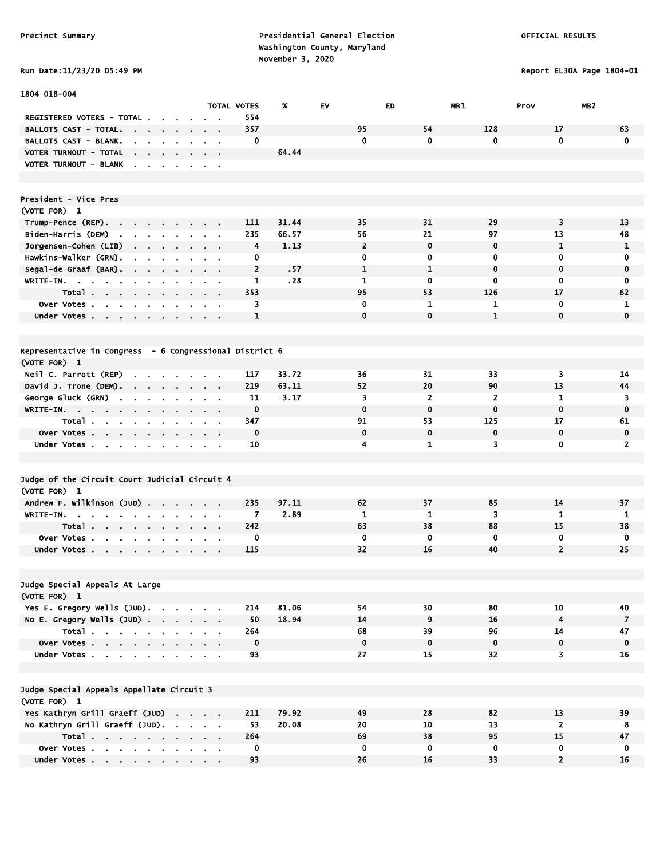### Run Date:11/23/20 05:49 PM Report EL30A Page 1804-01

| 1804 018-004                                                                                            |                                                           |                    |       |                |                |                |                         |                |
|---------------------------------------------------------------------------------------------------------|-----------------------------------------------------------|--------------------|-------|----------------|----------------|----------------|-------------------------|----------------|
|                                                                                                         |                                                           | <b>TOTAL VOTES</b> | %     | EV.            | ED             | MB1            | MB <sub>2</sub><br>Prov |                |
| REGISTERED VOTERS - TOTAL.                                                                              |                                                           | 554                |       |                |                |                |                         |                |
| <b>BALLOTS CAST - TOTAL.</b><br>$\sim$ 100 $\pm$<br>$\sim 100$ km s $^{-1}$<br>$\sim$<br>$\blacksquare$ | $\blacksquare$                                            | 357                |       | 95             | 54             | 128            | 17                      | 63             |
| BALLOTS CAST - BLANK.<br>$\mathbf{r}$<br>$\mathbf{r}$<br>$\mathbf{r}$                                   |                                                           | 0                  |       | $\mathbf 0$    | $\mathbf{0}$   | $\mathbf 0$    | $\mathbf{0}$            | $\mathbf 0$    |
| VOTER TURNOUT - TOTAL<br>$\sim$<br>$\mathbf{r} = \mathbf{r} \cdot \mathbf{r}$<br>$\sim$                 |                                                           |                    | 64.44 |                |                |                |                         |                |
| VOTER TURNOUT - BLANK<br>$\overline{\phantom{a}}$<br>$\sim$<br>$\mathbf{r}$<br>$\sim$                   | $\bullet$<br>$\sim$                                       |                    |       |                |                |                |                         |                |
|                                                                                                         |                                                           |                    |       |                |                |                |                         |                |
|                                                                                                         |                                                           |                    |       |                |                |                |                         |                |
| President - Vice Pres                                                                                   |                                                           |                    |       |                |                |                |                         |                |
| (VOTE FOR) 1                                                                                            |                                                           |                    |       |                |                |                |                         |                |
| Trump-Pence (REP).<br>$\sim 100$                                                                        | $\blacksquare$                                            | 111                | 31.44 | 35             | 31             | 29             | 3                       | 13             |
| Biden-Harris (DEM)<br>the company of the company of                                                     |                                                           | 235                | 66.57 | 56             | 21             | 97             | 13                      | 48             |
| Jorgensen-Cohen (LIB)<br><b>Contract Contract</b><br>$\sim 100$                                         | $\sim$ $\sim$                                             | 4                  | 1.13  | $\overline{2}$ | $\mathbf 0$    | $\mathbf 0$    | 1                       | 1              |
| Hawkins-Walker (GRN).<br>$\mathbf{r}$<br>$\mathbf{r}$                                                   |                                                           | 0                  |       | 0              | 0              | 0              | 0                       | 0              |
| Segal-de Graaf (BAR).<br>$\sim 10^{-11}$<br>$\sim 10^{-11}$<br>$\sim$<br>$\mathbf{r}$<br>$\blacksquare$ | $\mathbf{a}=\mathbf{a}+\mathbf{a}$                        | $\overline{2}$     | .57   | $\mathbf{1}$   | $\mathbf{1}$   | $\mathbf 0$    | $\mathbf 0$             | 0              |
| WRITE-IN.<br>$\sim$<br>$\sim 10$<br>$\mathbf{a} = \mathbf{a} \cdot \mathbf{a}$<br>$\sim$<br>$\bullet$   |                                                           | 1                  | .28   | $\mathbf{1}$   | $\mathbf 0$    | 0              | $\mathbf 0$             | 0              |
| Total                                                                                                   |                                                           | 353                |       | 95             | 53             | 126            | 17                      | 62             |
| Over Votes                                                                                              |                                                           | 3                  |       | 0              | 1              | 1              | $\mathbf 0$             | 1              |
| Under Votes                                                                                             | $\mathbf{a}$ , $\mathbf{a}$ , $\mathbf{a}$ , $\mathbf{a}$ | 1                  |       | $\mathbf{0}$   | $\bf{0}$       | $\mathbf{1}$   | $\mathbf 0$             | $\mathbf{0}$   |
|                                                                                                         |                                                           |                    |       |                |                |                |                         |                |
| Representative in Congress - 6 Congressional District 6                                                 |                                                           |                    |       |                |                |                |                         |                |
| (VOTE FOR) 1                                                                                            |                                                           |                    |       |                |                |                |                         |                |
| Neil C. Parrott (REP)<br><b>Contract Contract Contract</b>                                              |                                                           | 117                | 33.72 | 36             | 31             | 33             | 3                       | 14             |
| David J. Trone (DEM).<br>$\sim 100$ km s $^{-1}$<br>$\sim$<br>$\sim 10^{-11}$<br>$\sim$                 | $\alpha = 0.1$                                            | 219                | 63.11 | 52             | 20             | 90             | 13                      | 44             |
| George Gluck (GRN)<br>$\sim$<br>$\sim$<br>$\sim$<br>$\bullet$                                           |                                                           | 11                 | 3.17  | 3              | $\overline{2}$ | $\overline{2}$ | $\mathbf{1}$            | 3              |
| WRITE-IN.                                                                                               | $\mathbf{a}$ , and $\mathbf{a}$ , and $\mathbf{a}$        | 0                  |       | $\mathbf 0$    | $\bf{0}$       | $\mathbf 0$    | $\mathbf 0$             | $\mathbf 0$    |
| Total.<br><b>Contract Contract</b><br><b>Contract Contract</b><br>$\sim$                                |                                                           | 347                |       | 91             | 53             | 125            | 17                      | 61             |
| Over Votes                                                                                              | $\blacksquare$                                            | $\mathbf 0$        |       | $\mathbf 0$    | $\mathbf 0$    | $\mathbf 0$    | $\mathbf 0$             | $\mathbf 0$    |
| Under Votes<br>$\sim$                                                                                   | $\sim$ 100 $\pm$                                          | 10                 |       | 4              | $\mathbf{1}$   | 3              | 0                       | $\overline{2}$ |
|                                                                                                         |                                                           |                    |       |                |                |                |                         |                |
|                                                                                                         |                                                           |                    |       |                |                |                |                         |                |
| Judge of the Circuit Court Judicial Circuit 4                                                           |                                                           |                    |       |                |                |                |                         |                |
| (VOTE FOR) 1                                                                                            |                                                           |                    |       |                |                |                |                         |                |
| Andrew F. Wilkinson (JUD)<br>$\mathbf{r}$                                                               | $\alpha = 0.1$                                            | 235                | 97.11 | 62             | 37             | 85             | 14                      | 37             |
| WRITE-IN. .<br>$\cdot$<br>$\blacksquare$                                                                |                                                           | 7                  | 2.89  | 1              | $\mathbf{1}$   | 3              | 1                       | 1              |
| Total                                                                                                   | $\sim$                                                    | 242                |       | 63             | 38             | 88             | 15                      | 38             |
| Over Votes.<br>$\mathbf{r}$<br><b>Contract</b>                                                          |                                                           | $\mathbf 0$        |       | 0              | $\mathbf 0$    | $\mathbf 0$    | 0                       | 0              |
| Under Votes                                                                                             |                                                           | 115                |       | 32             | 16             | 40             | $\overline{2}$          | 25             |
|                                                                                                         |                                                           |                    |       |                |                |                |                         |                |
|                                                                                                         |                                                           |                    |       |                |                |                |                         |                |
| Judge Special Appeals At Large                                                                          |                                                           |                    |       |                |                |                |                         |                |
| (VOTE FOR) 1                                                                                            |                                                           |                    |       |                |                |                |                         |                |
| Yes E. Gregory Wells (JUD).                                                                             |                                                           | 214                | 81.06 | 54             | 30             | 80             | 10                      | 40             |
| No E. Gregory Wells (JUD)                                                                               |                                                           | 50                 | 18.94 | 14             | 9              | 16             | $\boldsymbol{4}$        | $\overline{7}$ |
| Total                                                                                                   |                                                           | 264                |       | 68             | 39             | 96             | 14                      | 47             |
| Over Votes                                                                                              |                                                           | $\mathbf 0$        |       | $\mathbf 0$    | $\mathbf 0$    | $\mathbf 0$    | $\mathbf 0$             | $\mathbf 0$    |
| Under Votes                                                                                             |                                                           | 93                 |       | 27             | 15             | 32             | 3                       | 16             |
|                                                                                                         |                                                           |                    |       |                |                |                |                         |                |
|                                                                                                         |                                                           |                    |       |                |                |                |                         |                |
| Judge Special Appeals Appellate Circuit 3                                                               |                                                           |                    |       |                |                |                |                         |                |
| (VOTE FOR) 1                                                                                            |                                                           |                    |       |                |                |                |                         |                |
| Yes Kathryn Grill Graeff (JUD)                                                                          |                                                           | 211                | 79.92 | 49             | 28             | 82             | 13                      | 39             |
| No Kathryn Grill Graeff (JUD).                                                                          |                                                           | 53                 | 20.08 | 20             | 10             | 13             | $\overline{2}$          | 8              |
| Total $\cdots$ $\cdots$ $\cdots$                                                                        |                                                           | 264                |       | 69             | 38             | 95             | 15                      | 47             |
| Over Votes                                                                                              |                                                           | 0                  |       | 0              | 0              | 0              | 0                       | 0              |
| Under Votes                                                                                             |                                                           | 93                 |       | 26             | 16             | 33             | $\overline{2}$          | 16             |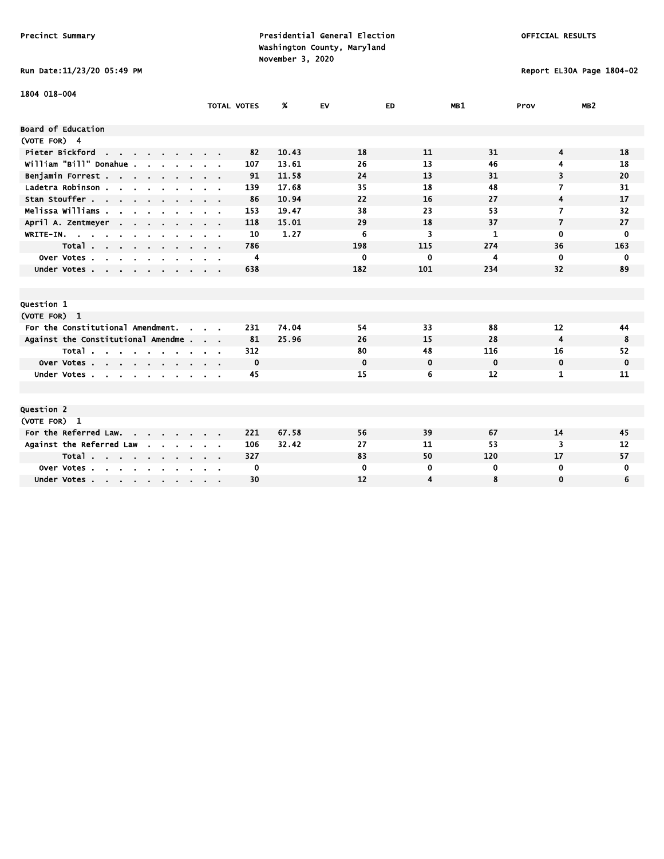# Run Date:11/23/20 05:49 PM Report EL30A Page 1804-02

| 1804 018-004                                                                                   |                    |       |             |             |             |                          |                 |
|------------------------------------------------------------------------------------------------|--------------------|-------|-------------|-------------|-------------|--------------------------|-----------------|
|                                                                                                | <b>TOTAL VOTES</b> | %     | <b>EV</b>   | ED.         | MB1         | Prov                     | MB <sub>2</sub> |
| Board of Education                                                                             |                    |       |             |             |             |                          |                 |
| (VOTE FOR) 4                                                                                   |                    |       |             |             |             |                          |                 |
| Pieter Bickford<br><b>Contract Contract Contract</b>                                           | 82                 | 10.43 | 18          | 11          | 31          | 4                        | 18              |
| william "Bill" Donahue.                                                                        | 107                | 13.61 | 26          | 13          | 46          | 4                        | 18              |
| Benjamin Forrest                                                                               | 91                 | 11.58 | 24          | 13          | 31          | 3                        | 20              |
| Ladetra Robinson .<br>$\mathbf{r}$ , $\mathbf{r}$ , $\mathbf{r}$ , $\mathbf{r}$ , $\mathbf{r}$ | 139                | 17.68 | 35          | 18          | 48          | 7                        | 31              |
| Stan Stouffer                                                                                  | 86                 | 10.94 | 22          | 16          | 27          | 4                        | 17              |
| Melissa Williams .<br>$\mathbf{r}$                                                             | 153                | 19.47 | 38          | 23          | 53          | 7                        | 32              |
| April A. Zentmeyer<br>$\sim$ $\sim$ $\sim$                                                     | 118                | 15.01 | 29          | 18          | 37          | $\overline{\phantom{a}}$ | 27              |
| WRITE-IN.                                                                                      | 10                 | 1.27  | 6           | 3           | 1           | $\mathbf{0}$             | 0               |
| Total                                                                                          | 786                |       | 198         | 115         | 274         | 36                       | 163             |
| Over Votes<br>$\sim$                                                                           | 4                  |       | 0           | $\mathbf 0$ | 4           | 0                        | 0               |
| Under Votes                                                                                    | 638                |       | 182         | 101         | 234         | 32                       | 89              |
|                                                                                                |                    |       |             |             |             |                          |                 |
|                                                                                                |                    |       |             |             |             |                          |                 |
| Question 1                                                                                     |                    |       |             |             |             |                          |                 |
| (VOTE FOR) 1                                                                                   |                    |       |             |             |             |                          |                 |
| For the Constitutional Amendment.                                                              | 231                | 74.04 | 54          | 33          | 88          | 12                       | 44              |
| Against the Constitutional Amendme                                                             | 81                 | 25.96 | 26          | 15          | 28          | 4                        | 8               |
| Total                                                                                          | 312                |       | 80          | 48          | 116         | 16                       | 52              |
| Over Votes                                                                                     | $\mathbf 0$        |       | $\mathbf 0$ | $\mathbf 0$ | $\mathbf 0$ | $\mathbf 0$              | 0               |
| Under Votes                                                                                    | 45                 |       | 15          | 6           | 12          | 1                        | 11              |
|                                                                                                |                    |       |             |             |             |                          |                 |
| Question 2                                                                                     |                    |       |             |             |             |                          |                 |
| (VOTE FOR) 1                                                                                   |                    |       |             |             |             |                          |                 |
| For the Referred Law.                                                                          | 221                | 67.58 | 56          | 39          | 67          | 14                       | 45              |
| Against the Referred Law                                                                       | 106                | 32.42 | 27          | 11          | 53          | 3                        | 12              |
| Total $\cdots$                                                                                 | 327                |       | 83          | 50          | 120         | 17                       | 57              |
| Over Votes<br>$\sim$<br>$\mathbf{r}$<br>$\cdot$                                                | 0                  |       | 0           | 0           | 0           | 0                        | 0               |
| Under Votes, , , , , ,                                                                         | 30                 |       | 12          | 4           | 8           | $\mathbf 0$              | 6               |
|                                                                                                |                    |       |             |             |             |                          |                 |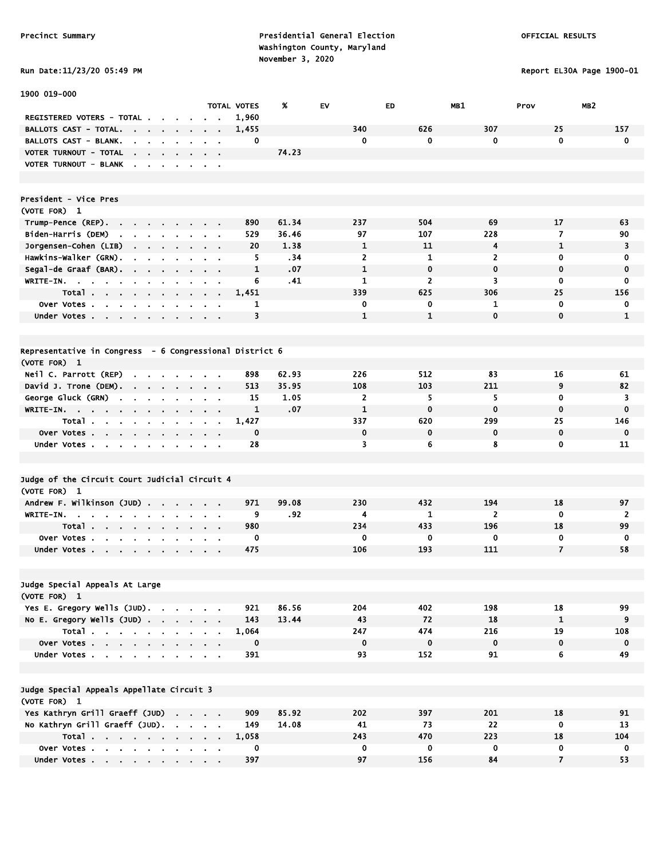# Run Date:11/23/20 05:49 PM Report EL30A Page 1900-01

| 1900 019-000                                                                           |                                                                                                       |                               |                    |       |                    |                |                    |                    |                    |
|----------------------------------------------------------------------------------------|-------------------------------------------------------------------------------------------------------|-------------------------------|--------------------|-------|--------------------|----------------|--------------------|--------------------|--------------------|
|                                                                                        |                                                                                                       |                               | <b>TOTAL VOTES</b> | %     | EV                 | <b>ED</b>      | MB1                | Prov               | MB <sub>2</sub>    |
| REGISTERED VOTERS - TOTAL.                                                             |                                                                                                       |                               | 1,960              |       |                    |                |                    |                    |                    |
| <b>BALLOTS CAST - TOTAL.</b><br>the contract of the contract of                        |                                                                                                       |                               | 1,455              |       | 340                | 626            | 307                | 25                 | 157                |
| <b>BALLOTS CAST - BLANK.</b><br><b>Contract Contract</b><br>n.                         |                                                                                                       |                               | 0                  |       | 0                  | 0              | 0                  | $\mathbf 0$        | $\mathbf 0$        |
| VOTER TURNOUT - TOTAL<br>the contract of the contract of                               |                                                                                                       |                               |                    | 74.23 |                    |                |                    |                    |                    |
| VOTER TURNOUT - BLANK                                                                  | $\cdot$                                                                                               | $\alpha$ , $\beta$ , $\alpha$ |                    |       |                    |                |                    |                    |                    |
| President - Vice Pres                                                                  |                                                                                                       |                               |                    |       |                    |                |                    |                    |                    |
| (VOTE FOR) 1                                                                           |                                                                                                       |                               |                    |       |                    |                |                    |                    |                    |
| Trump-Pence (REP).<br>the contract of the<br>$\mathbf{r}$                              |                                                                                                       |                               | 890                | 61.34 | 237                | 504            | 69                 | 17                 | 63                 |
| Biden-Harris (DEM)<br><b>Service</b><br><b>Contract</b><br>$\bullet$                   |                                                                                                       |                               | 529                | 36.46 | 97                 | 107            | 228                | $\overline{7}$     | 90                 |
| Jorgensen-Cohen (LIB)                                                                  |                                                                                                       |                               | 20                 | 1.38  | $\mathbf{1}$       | 11             | 4                  | 1                  | 3                  |
| Hawkins-Walker (GRN).<br>$\sim$<br>$\blacksquare$<br>$\blacksquare$<br>$\sim$          |                                                                                                       |                               | 5                  | . 34  | $\mathbf{z}$       | 1              | $\overline{2}$     | 0                  | 0                  |
| Segal-de Graaf (BAR).<br>$\mathbf{r}$                                                  |                                                                                                       |                               | $\mathbf{1}$       | .07   | $\mathbf{1}$       | $\mathbf 0$    | $\mathbf{0}$       | $\mathbf 0$        | $\mathbf 0$        |
| WRITE-IN. $\cdots$                                                                     | $\sim$                                                                                                | $\mathbf{u} = \mathbf{u}$     | 6                  | .41   | 1                  | $\overline{2}$ | 3                  | 0                  | 0                  |
| Total                                                                                  | $\begin{array}{cccccccccccccc} \bullet & \bullet & \bullet & \bullet & \bullet & \bullet \end{array}$ |                               | 1,451              |       | 339                | 625            | 306                | 25                 | 156                |
| Over Votes                                                                             |                                                                                                       | $\sim$ $\sim$                 | 1                  |       | 0                  | 0              | 1                  | $\mathbf 0$        | 0                  |
| Under Votes                                                                            | <b>Contract Contract</b>                                                                              |                               | 3                  |       | 1                  | $\mathbf{1}$   | $\mathbf 0$        | $\mathbf 0$        | $\mathbf{1}$       |
|                                                                                        |                                                                                                       |                               |                    |       |                    |                |                    |                    |                    |
| Representative in Congress - 6 Congressional District 6                                |                                                                                                       |                               |                    |       |                    |                |                    |                    |                    |
| (VOTE FOR) 1                                                                           |                                                                                                       |                               |                    |       |                    |                |                    |                    |                    |
| Neil C. Parrott (REP)<br>$\sim$<br>$\sim$                                              |                                                                                                       |                               | 898                | 62.93 | 226                | 512            | 83                 | 16                 | 61                 |
| David J. Trone (DEM).                                                                  | $\sim$                                                                                                |                               | 513                | 35.95 | 108                | 103            | 211                | 9                  | 82                 |
| George Gluck (GRN)<br>$\mathbf{r}$<br>$\mathbf{r}$<br>$\sim$<br>$\mathbf{r}$<br>$\sim$ | $\blacksquare$                                                                                        | $\alpha = 0.01$               | 15                 | 1.05  | 2                  | 5              | 5                  | 0                  | 3                  |
| WRITE-IN.                                                                              | $\mathbf{a}$ , and $\mathbf{a}$ , and $\mathbf{a}$                                                    |                               | 1                  | .07   | $\mathbf{1}$       | $\mathbf 0$    | $\mathbf 0$        | $\mathbf 0$        | $\mathbf 0$        |
| Total                                                                                  | <b>Contract Contract</b>                                                                              |                               | 1,427              |       | 337                | 620            | 299                | 25                 | 146                |
| Over Votes                                                                             |                                                                                                       |                               | 0                  |       | 0                  | $\mathbf 0$    | 0                  | $\mathbf 0$        | $\mathbf 0$        |
| Under Votes                                                                            |                                                                                                       |                               | 28                 |       | 3                  | 6              | 8                  | $\mathbf 0$        | 11                 |
|                                                                                        |                                                                                                       |                               |                    |       |                    |                |                    |                    |                    |
| Judge of the Circuit Court Judicial Circuit 4                                          |                                                                                                       |                               |                    |       |                    |                |                    |                    |                    |
| (VOTE FOR) 1                                                                           |                                                                                                       |                               |                    |       |                    |                |                    |                    |                    |
| Andrew F. Wilkinson (JUD)<br>$\sim$                                                    |                                                                                                       |                               | 971                | 99.08 | 230                | 432            | 194                | 18                 | 97                 |
| WRITE-IN.<br>$\sim$<br>$\cdot$<br>$\blacksquare$<br>$\blacksquare$<br>$\mathbf{r}$     |                                                                                                       |                               | 9                  | . 92  | 4                  | 1              | $\overline{2}$     | $\mathbf 0$        | 2                  |
| Total                                                                                  |                                                                                                       |                               | 980                |       | 234                | 433            | 196                | 18                 | 99                 |
| Over Votes.<br>the company of the company<br>$\sim$                                    |                                                                                                       |                               | 0                  |       | 0                  | 0              | 0                  | 0                  | $\mathbf 0$        |
| Under Votes                                                                            |                                                                                                       |                               | 475                |       | 106                | 193            | 111                | $\overline{7}$     | 58                 |
|                                                                                        |                                                                                                       |                               |                    |       |                    |                |                    |                    |                    |
| Judge Special Appeals At Large                                                         |                                                                                                       |                               |                    |       |                    |                |                    |                    |                    |
| (VOTE FOR) 1                                                                           |                                                                                                       |                               |                    |       |                    |                |                    |                    |                    |
| Yes E. Gregory Wells (JUD).                                                            |                                                                                                       |                               | 921                | 86.56 | 204                | 402            | 198                | 18                 | 99                 |
| No E. Gregory Wells $(JUD)$ .<br>Total                                                 |                                                                                                       |                               | 143                | 13.44 | 43                 | 72<br>474      | 18                 | $\mathbf{1}$<br>19 | 9                  |
|                                                                                        |                                                                                                       |                               | 1,064              |       | 247<br>$\mathbf 0$ | $\pmb{0}$      | 216<br>$\mathbf 0$ | $\mathbf 0$        | 108<br>$\mathbf 0$ |
| Over Votes                                                                             |                                                                                                       |                               | 0<br>391           |       | 93                 | 152            | 91                 | 6                  | 49                 |
| Under Votes                                                                            |                                                                                                       |                               |                    |       |                    |                |                    |                    |                    |
| Judge Special Appeals Appellate Circuit 3                                              |                                                                                                       |                               |                    |       |                    |                |                    |                    |                    |
| (VOTE FOR) 1                                                                           |                                                                                                       |                               |                    |       |                    |                |                    |                    |                    |
| Yes Kathryn Grill Graeff (JUD)                                                         |                                                                                                       |                               | 909                | 85.92 | 202                | 397            | 201                | 18                 | 91                 |
| No Kathryn Grill Graeff (JUD).                                                         |                                                                                                       |                               | 149                | 14.08 | 41                 | 73             | 22                 | $\mathbf 0$        | 13                 |
| Total                                                                                  |                                                                                                       |                               | 1,058              |       | 243                | 470            | 223                | 18                 | 104                |
| Over Votes                                                                             |                                                                                                       |                               | 0                  |       | 0                  | $\bf{0}$       | $\mathbf 0$        | $\mathbf 0$        | 0                  |
| Under Votes                                                                            |                                                                                                       |                               | 397                |       | 97                 | 156            | 84                 | $\overline{7}$     | 53                 |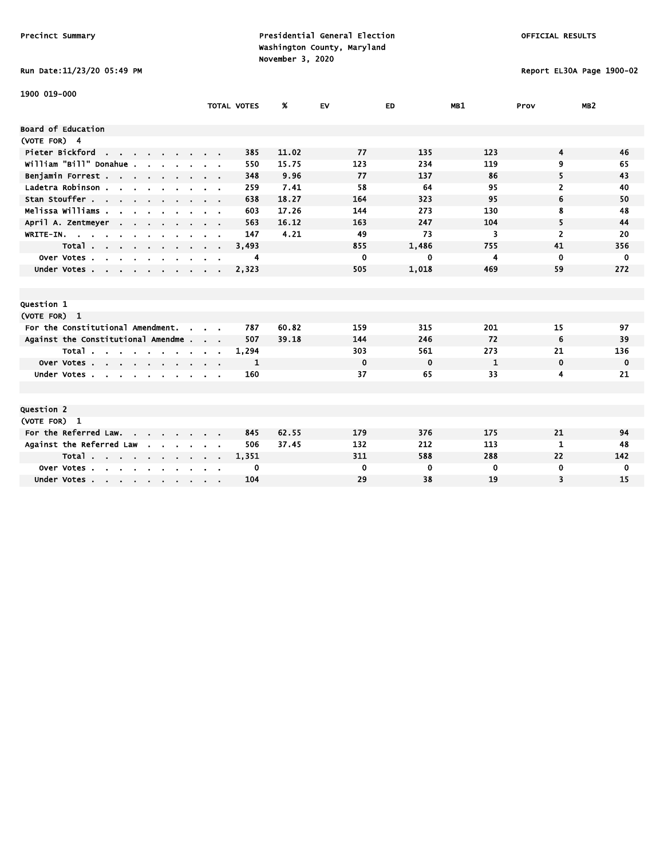# Run Date:11/23/20 05:49 PM Report EL30A Page 1900-02

| 1900 019-000                                                                                  |                    |       |             |             |              |                |                 |
|-----------------------------------------------------------------------------------------------|--------------------|-------|-------------|-------------|--------------|----------------|-----------------|
|                                                                                               | <b>TOTAL VOTES</b> | %     | <b>EV</b>   | ED          | MB1          | Prov           | MB <sub>2</sub> |
| Board of Education                                                                            |                    |       |             |             |              |                |                 |
| (VOTE FOR) 4                                                                                  |                    |       |             |             |              |                |                 |
| Pieter Bickford<br>the contract of the contract of                                            | 385                | 11.02 | 77          | 135         | 123          | 4              | 46              |
| William "Bill" Donahue.                                                                       | 550                | 15.75 | 123         | 234         | 119          | 9              | 65              |
| Benjamin Forrest                                                                              | 348                | 9.96  | 77          | 137         | 86           | 5              | 43              |
| Ladetra Robinson.<br>$\mathbf{r}$ , $\mathbf{r}$ , $\mathbf{r}$ , $\mathbf{r}$ , $\mathbf{r}$ | 259                | 7.41  | 58          | 64          | 95           | 2              | 40              |
| Stan Stouffer                                                                                 | 638                | 18.27 | 164         | 323         | 95           | 6              | 50              |
| Melissa Williams .<br>$\mathbf{r}$                                                            | 603                | 17.26 | 144         | 273         | 130          | 8              | 48              |
| April A. Zentmeyer<br>$\sim$ $\sim$                                                           | 563                | 16.12 | 163         | 247         | 104          | 5              | 44              |
| WRITE-IN.<br>$\mathbf{u}$                                                                     | 147                | 4.21  | 49          | 73          | 3            | $\overline{2}$ | 20              |
| Total                                                                                         | 3,493              |       | 855         | 1,486       | 755          | 41             | 356             |
| Over Votes.<br>$\mathcal{L}$<br>$\sim$<br>$\sim$<br>$\sim$                                    | 4                  |       | $\mathbf 0$ | 0           | 4            | $\mathbf 0$    | $\mathbf 0$     |
| Under Votes                                                                                   | 2,323              |       | 505         | 1,018       | 469          | 59             | 272             |
|                                                                                               |                    |       |             |             |              |                |                 |
|                                                                                               |                    |       |             |             |              |                |                 |
| Question 1                                                                                    |                    |       |             |             |              |                |                 |
| (VOTE FOR) 1                                                                                  |                    |       |             |             |              |                |                 |
| For the Constitutional Amendment.<br>$\sim$                                                   | 787                | 60.82 | 159         | 315         | 201          | 15             | 97              |
| Against the Constitutional Amendme                                                            | 507                | 39.18 | 144         | 246         | 72           | 6              | 39              |
| Total                                                                                         | 1,294              |       | 303         | 561         | 273          | 21             | 136             |
| Over Votes                                                                                    | 1                  |       | $\mathbf 0$ | $\mathbf 0$ | $\mathbf{1}$ | $\mathbf 0$    | $\mathbf 0$     |
| Under Votes.<br><b>Service</b>                                                                | 160                |       | 37          | 65          | 33           | 4              | 21              |
|                                                                                               |                    |       |             |             |              |                |                 |
|                                                                                               |                    |       |             |             |              |                |                 |
| Question 2                                                                                    |                    |       |             |             |              |                |                 |
| (VOTE FOR) 1                                                                                  |                    |       |             |             |              |                |                 |
| For the Referred Law.                                                                         | 845                | 62.55 | 179         | 376         | 175          | 21             | 94              |
| Against the Referred Law                                                                      | 506                | 37.45 | 132         | 212         | 113          | 1              | 48              |
| Total                                                                                         | 1,351              |       | 311         | 588         | 288          | 22             | 142             |
| Over Votes.<br>$\sim$<br>$\sim$ $\sim$<br>$\sim$                                              | 0                  |       | $\mathbf 0$ | 0           | 0            | $\mathbf 0$    | 0               |
| Under Votes                                                                                   | 104                |       | 29          | 38          | 19           | 3              | 15              |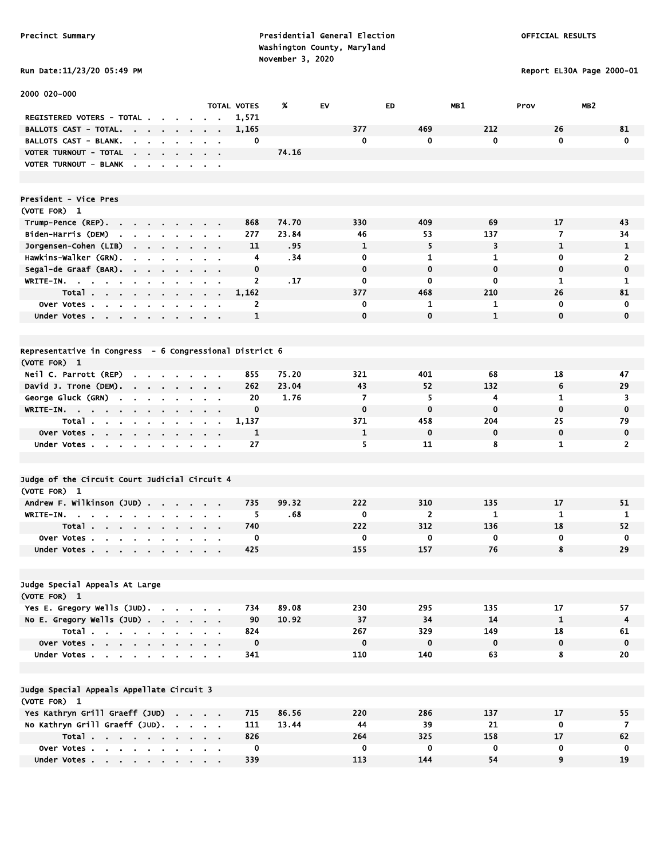### Run Date:11/23/20 05:49 PM Report EL30A Page 2000-01

| 2000 020-000                                                                                                             |                                                                          |              |       |              |              |              |                |                         |
|--------------------------------------------------------------------------------------------------------------------------|--------------------------------------------------------------------------|--------------|-------|--------------|--------------|--------------|----------------|-------------------------|
|                                                                                                                          |                                                                          | TOTAL VOTES  | X     | EV           | ED           | MB1          | Prov           | MB <sub>2</sub>         |
| REGISTERED VOTERS - TOTAL .<br>$\blacksquare$                                                                            |                                                                          | 1,571        |       |              |              |              |                |                         |
| <b>BALLOTS CAST - TOTAL.</b><br>$\sim$                                                                                   |                                                                          | 1,165        |       | 377          | 469          | 212          | 26             | 81                      |
| <b>BALLOTS CAST - BLANK.</b>                                                                                             |                                                                          | 0            |       | $\mathbf 0$  | 0            | 0            | 0              | $\mathbf 0$             |
| VOTER TURNOUT - TOTAL<br>the company of the company                                                                      | $\mathbf{r} = \mathbf{r} + \mathbf{r}$<br>$\sim$                         |              | 74.16 |              |              |              |                |                         |
| VOTER TURNOUT - BLANK                                                                                                    |                                                                          |              |       |              |              |              |                |                         |
|                                                                                                                          |                                                                          |              |       |              |              |              |                |                         |
|                                                                                                                          |                                                                          |              |       |              |              |              |                |                         |
| President - Vice Pres                                                                                                    |                                                                          |              |       |              |              |              |                |                         |
| (VOTE FOR) 1                                                                                                             |                                                                          |              |       |              |              |              |                |                         |
| Trump-Pence (REP).<br>the contract of the contract                                                                       |                                                                          | 868          | 74.70 | 330          | 409          | 69           | 17             | 43                      |
| Biden-Harris (DEM)<br>$\mathbf{r}$                                                                                       |                                                                          | 277          | 23.84 | 46           | 53           | 137          | $\overline{7}$ | 34                      |
| Jorgensen-Cohen (LIB)<br>$\cdot$<br>$\sim$                                                                               |                                                                          | 11           | .95   | 1            | 5            | 3            | $\mathbf{1}$   | 1                       |
| Hawkins-Walker (GRN).                                                                                                    | $\mathbf{r}$                                                             | 4            | . 34  | 0            | $\mathbf{1}$ | $\mathbf{1}$ | $\mathbf 0$    | 2                       |
| Segal-de Graaf (BAR).<br>$\mathbf{a}$ , and $\mathbf{a}$ , and $\mathbf{a}$<br>$\sim$                                    | $\mathbf{r} = \mathbf{r}$                                                | 0            |       | $\mathbf 0$  | $\mathbf 0$  | $\mathbf 0$  | $\mathbf 0$    | 0                       |
| $WRITE-IN.$<br>$\sim$                                                                                                    | $\sim$ $\sim$                                                            | 2            | .17   | 0            | 0            | 0            | 1              | 1                       |
| Total<br>$\sim$                                                                                                          | $\blacksquare$<br>$\sim$ $\sim$                                          | 1,162        |       | 377          | 468          | 210          | 26             | 81                      |
| Over Votes                                                                                                               |                                                                          | 2            |       | 0            | 1            | 1            | $\mathbf 0$    | 0                       |
| Under Votes<br>$\mathbf{a}$ , $\mathbf{a}$ , $\mathbf{a}$ , $\mathbf{a}$<br>$\sim$                                       | $\sim$<br>$\alpha = 0.01$                                                | $\mathbf{1}$ |       | $\mathbf 0$  | $\mathbf 0$  | $\mathbf{1}$ | $\mathbf 0$    | $\mathbf 0$             |
|                                                                                                                          |                                                                          |              |       |              |              |              |                |                         |
|                                                                                                                          |                                                                          |              |       |              |              |              |                |                         |
| Representative in Congress - 6 Congressional District 6                                                                  |                                                                          |              |       |              |              |              |                |                         |
| (VOTE FOR) 1                                                                                                             |                                                                          |              |       |              |              |              |                |                         |
| Neil C. Parrott (REP)<br>$\mathbf{r} = \mathbf{r} \cdot \mathbf{r}$ .                                                    |                                                                          | 855          | 75.20 | 321          | 401          | 68           | 18             | 47                      |
| David J. Trone (DEM).                                                                                                    |                                                                          | 262          | 23.04 | 43           | 52           | 132          | 6              | 29                      |
| George Gluck (GRN)<br>$\mathbf{r} = \mathbf{r} \cdot \mathbf{r}$<br>$\mathbf{r} = \mathbf{r} \cdot \mathbf{r}$<br>$\sim$ | $\alpha = 0.01$                                                          | 20           | 1.76  | 7            | 5            | 4            | 1              | 3                       |
| $W$ RITE-IN.                                                                                                             |                                                                          | $\mathbf 0$  |       | $\mathbf 0$  | 0            | $\mathbf 0$  | $\mathbf 0$    | $\mathbf 0$             |
| Total<br>$\sim$                                                                                                          | $\blacksquare$<br>$\alpha$ , $\beta$ , $\alpha$                          | 1,137        |       | 371          | 458          | 204          | 25             | 79                      |
| Over Votes<br>$\mathbf{r} = \mathbf{r}$                                                                                  |                                                                          | $\mathbf{1}$ |       | $\mathbf{1}$ | $\mathbf 0$  | $\mathbf 0$  | $\mathbf 0$    | $\mathbf 0$             |
| Under Votes                                                                                                              | $\mathbf{r} = \mathbf{r} + \mathbf{r}$ , where $\mathbf{r} = \mathbf{r}$ | 27           |       | 5            | 11           | 8            | 1              | $\overline{2}$          |
|                                                                                                                          |                                                                          |              |       |              |              |              |                |                         |
|                                                                                                                          |                                                                          |              |       |              |              |              |                |                         |
| Judge of the Circuit Court Judicial Circuit 4                                                                            |                                                                          |              |       |              |              |              |                |                         |
| (VOTE FOR) 1                                                                                                             |                                                                          |              |       |              |              |              |                |                         |
| Andrew F. Wilkinson (JUD)                                                                                                |                                                                          | 735          | 99.32 | 222          | 310          | 135          | 17             | 51                      |
| WRITE-IN.<br>and the state of the state of<br>$\sim$ $\sim$<br>$\mathbf{r}$ , $\mathbf{r}$ , $\mathbf{r}$                |                                                                          | 5            | .68   | 0            | 2            | 1            | 1              | 1                       |
| Total.<br>the contract of the contract of the                                                                            |                                                                          | 740          |       | 222          | 312          | 136          | 18             | 52                      |
| Over Votes<br>$\sim 10^{-1}$<br>$\mathbf{r}$<br>$\bullet$                                                                |                                                                          | 0            |       | 0            | 0            | 0            | 0              | 0                       |
| Under Votes                                                                                                              |                                                                          | 425          |       | 155          | 157          | 76           | 8              | 29                      |
|                                                                                                                          |                                                                          |              |       |              |              |              |                |                         |
|                                                                                                                          |                                                                          |              |       |              |              |              |                |                         |
| Judge Special Appeals At Large                                                                                           |                                                                          |              |       |              |              |              |                |                         |
| (VOTE FOR) 1                                                                                                             |                                                                          |              |       |              |              |              |                |                         |
| Yes E. Gregory Wells (JUD).                                                                                              |                                                                          | 734          | 89.08 | 230          | 295          | 135          | 17             | 57                      |
| No E. Gregory Wells (JUD)                                                                                                |                                                                          | 90           | 10.92 | 37           | 34           | 14           | $\mathbf{1}$   | $\overline{\mathbf{4}}$ |
| Total                                                                                                                    |                                                                          | 824          |       | 267          | 329          | 149          | 18             | 61                      |
| Over Votes                                                                                                               |                                                                          | $\mathbf 0$  |       | $\mathbf 0$  | $\mathbf 0$  | $\mathbf{0}$ | $\mathbf 0$    | $\mathbf 0$             |
| Under Votes                                                                                                              |                                                                          | 341          |       | 110          | 140          | 63           | 8              | 20                      |
|                                                                                                                          |                                                                          |              |       |              |              |              |                |                         |
|                                                                                                                          |                                                                          |              |       |              |              |              |                |                         |
| Judge Special Appeals Appellate Circuit 3                                                                                |                                                                          |              |       |              |              |              |                |                         |
| (VOTE FOR) 1                                                                                                             |                                                                          |              |       |              |              |              |                |                         |
| Yes Kathryn Grill Graeff (JUD)                                                                                           |                                                                          | 715          | 86.56 | 220          | 286          | 137          | 17             | 55                      |
| No Kathryn Grill Graeff (JUD).                                                                                           |                                                                          | 111          | 13.44 | 44           | 39           | 21           | $\mathbf 0$    | 7                       |
| Total                                                                                                                    |                                                                          | 826          |       | 264          | 325          | 158          | 17             | 62                      |
| Over Votes                                                                                                               |                                                                          | $\mathbf{0}$ |       | $\mathbf{0}$ | $\mathbf{0}$ | $\bf{0}$     | 0              | 0                       |
| Under Votes                                                                                                              |                                                                          | 339          |       | 113          | 144          | 54           | 9              | 19                      |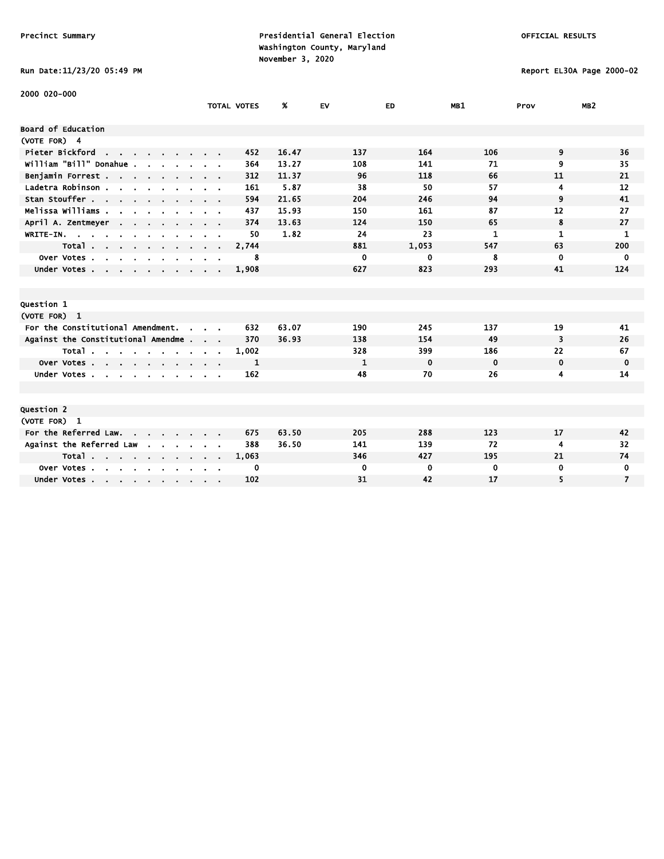### Run Date:11/23/20 05:49 PM Report EL30A Page 2000-02

| 2000 020-000                                                                              |                    |       |              |             |             |             |                 |
|-------------------------------------------------------------------------------------------|--------------------|-------|--------------|-------------|-------------|-------------|-----------------|
|                                                                                           | <b>TOTAL VOTES</b> | %     | EV           | <b>ED</b>   | MB1         | Prov        | MB <sub>2</sub> |
| Board of Education                                                                        |                    |       |              |             |             |             |                 |
| (VOTE FOR) 4                                                                              |                    |       |              |             |             |             |                 |
| Pieter Bickford<br>the contract of the con-                                               | 452                | 16.47 | 137          | 164         | 106         | 9           | 36              |
| William "Bill" Donahue<br>$\overline{\phantom{a}}$                                        | 364                | 13.27 | 108          | 141         | 71          | 9           | 35              |
|                                                                                           | 312                | 11.37 | 96           | 118         | 66          | 11          | 21              |
| Benjamin Forrest<br>Ladetra Robinson.                                                     | 161                | 5.87  | 38           | 50          | 57          | 4           | 12              |
| $\mathbf{r}$ , $\mathbf{r}$ , $\mathbf{r}$ , $\mathbf{r}$ , $\mathbf{r}$<br>Stan Stouffer | 594                | 21.65 | 204          | 246         | 94          | 9           | 41              |
|                                                                                           |                    |       |              | 161         | 87          | 12          | 27              |
| Melissa Williams .                                                                        | 437                | 15.93 | 150          |             |             |             |                 |
| April A. Zentmeyer<br>$\sim$ $\sim$                                                       | 374                | 13.63 | 124          | 150         | 65          | 8           | 27              |
| WRITE-IN.                                                                                 | 50                 | 1.82  | 24           | 23          | 1           | 1           | 1               |
| Total                                                                                     | 2,744              |       | 881          | 1,053       | 547         | 63          | 200             |
| Over Votes.<br>$\sim$<br>$\overline{\phantom{a}}$<br>$\sim$<br>$\sim$                     | 8                  |       | 0            | 0           | 8           | 0           | $\mathbf{0}$    |
| Under Votes                                                                               | 1,908              |       | 627          | 823         | 293         | 41          | 124             |
|                                                                                           |                    |       |              |             |             |             |                 |
|                                                                                           |                    |       |              |             |             |             |                 |
| Question 1                                                                                |                    |       |              |             |             |             |                 |
| (VOTE FOR) 1                                                                              |                    |       |              |             |             |             |                 |
| For the Constitutional Amendment.                                                         | 632                | 63.07 | 190          | 245         | 137         | 19          | 41              |
| Against the Constitutional Amendme                                                        | 370                | 36.93 | 138          | 154         | 49          | 3           | 26              |
| Total<br>$\sim$<br>$\sim$                                                                 | 1,002              |       | 328          | 399         | 186         | 22          | 67              |
| Over Votes                                                                                | 1                  |       | $\mathbf{1}$ | $\mathbf 0$ | $\mathbf 0$ | $\mathbf 0$ | 0               |
| Under Votes                                                                               | 162                |       | 48           | 70          | 26          | 4           | 14              |
|                                                                                           |                    |       |              |             |             |             |                 |
|                                                                                           |                    |       |              |             |             |             |                 |
| Question 2                                                                                |                    |       |              |             |             |             |                 |
| (VOTE FOR) 1                                                                              |                    |       |              |             |             |             |                 |
| For the Referred Law.                                                                     | 675                | 63.50 | 205          | 288         | 123         | 17          | 42              |
| Against the Referred Law<br>$\sim 100$ km s $^{-1}$<br>$\mathbf{r}$                       | 388                | 36.50 | 141          | 139         | 72          | 4           | 32              |
| Total                                                                                     | 1,063              |       | 346          | 427         | 195         | 21          | 74              |
| Over Votes                                                                                | 0                  |       | 0            | 0           | 0           | 0           | 0               |
| Under Votes                                                                               | 102                |       | 31           | 42          | 17          | 5           | $\overline{7}$  |
|                                                                                           |                    |       |              |             |             |             |                 |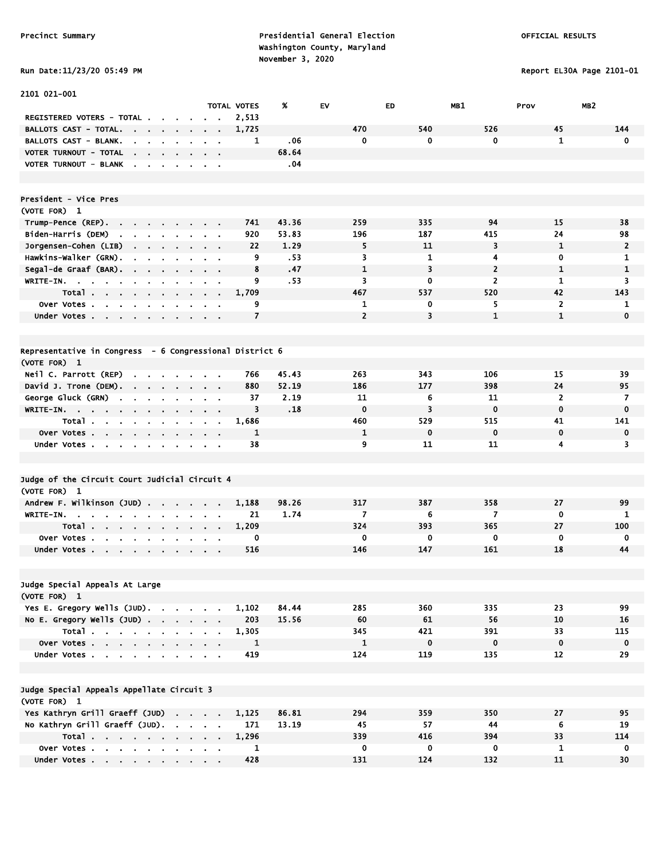# Run Date:11/23/20 05:49 PM Report EL30A Page 2101-01

| 2101 021-001                                                                                              |                                              |                    |       |                |              |                |                |                 |
|-----------------------------------------------------------------------------------------------------------|----------------------------------------------|--------------------|-------|----------------|--------------|----------------|----------------|-----------------|
|                                                                                                           |                                              | <b>TOTAL VOTES</b> | %     | EV             | <b>ED</b>    | MB1            | Prov           | MB <sub>2</sub> |
| REGISTERED VOTERS - TOTAL.                                                                                |                                              | 2,513              |       |                |              |                |                |                 |
| BALLOTS CAST - TOTAL.<br>$\sim$<br>$\sim$ 100 $\sim$<br>$\sim$<br>$\blacksquare$                          | $\blacksquare$                               | 1,725              |       | 470            | 540          | 526            | 45             | 144             |
| <b>BALLOTS CAST - BLANK.</b><br>$\mathbf{r}$<br>۰.                                                        |                                              | 1                  | .06   | 0              | $\mathbf 0$  | $\mathbf{0}$   | $\mathbf{1}$   | 0               |
| VOTER TURNOUT - TOTAL<br>$\mathbf{r}$<br>$\mathbf{r} = \mathbf{r} \cdot \mathbf{r}$<br>$\sim$             |                                              |                    | 68.64 |                |              |                |                |                 |
| VOTER TURNOUT - BLANK<br>$\overline{\phantom{a}}$<br>$\mathbf{r}$<br>$\blacksquare$<br>$\blacksquare$     | $\sim$                                       |                    | .04   |                |              |                |                |                 |
|                                                                                                           |                                              |                    |       |                |              |                |                |                 |
| President - Vice Pres                                                                                     |                                              |                    |       |                |              |                |                |                 |
| (VOTE FOR) 1                                                                                              |                                              |                    |       |                |              |                |                |                 |
| Trump-Pence (REP).<br>$\sim$                                                                              | $\mathbf{r} = \mathbf{r} + \mathbf{r}$ .     | 741                | 43.36 | 259            | 335          | 94             | 15             | 38              |
| Biden-Harris (DEM)<br>the company of the company of                                                       | $\alpha = 0.01$                              | 920                | 53.83 | 196            | 187          | 415            | 24             | 98              |
| Jorgensen-Cohen (LIB)                                                                                     | $\sim$ 100 $\sim$ 100 $\sim$                 | 22                 | 1.29  | 5              | 11           | 3              | 1              | $\overline{2}$  |
| Hawkins-Walker (GRN).<br>$\mathbf{r}$<br>$\mathbf{r}$                                                     | $\overline{\phantom{a}}$                     | 9                  | .53   | 3              | $\mathbf{1}$ | 4              | 0              | 1               |
| Segal-de Graaf (BAR).<br>$\sim 10^{-1}$<br>$\mathbf{r}$<br>$\sim$<br>$\mathbf{r}$<br>$\blacksquare$       | $\mathbf{r} = \mathbf{r}$                    | 8                  | .47   | $\mathbf{1}$   | 3            | $\overline{2}$ | $\mathbf{1}$   | $\mathbf{1}$    |
| WRITE-IN.<br>$\sim$<br>$\mathbf{a}=\mathbf{a}$<br>$\sim$<br>$\bullet$<br>$\bullet$                        |                                              | 9                  | .53   | 3              | $\mathbf 0$  | $\overline{2}$ | 1              | 3               |
| Total                                                                                                     |                                              | 1,709              |       | 467            | 537          | 520            | 42             | 143             |
| Over Votes.<br>the contract of the contract of<br>$\blacksquare$                                          |                                              | 9                  |       | 1              | 0            | 5              | $\overline{2}$ | 1               |
| Under Votes                                                                                               |                                              | $\overline{7}$     |       | $\overline{2}$ | 3            | $\mathbf{1}$   | $\mathbf{1}$   | $\mathbf 0$     |
|                                                                                                           |                                              |                    |       |                |              |                |                |                 |
| Representative in Congress - 6 Congressional District 6                                                   |                                              |                    |       |                |              |                |                |                 |
| (VOTE FOR) 1                                                                                              |                                              |                    |       |                |              |                |                |                 |
| Neil C. Parrott (REP)<br>$\sim$ $\sim$ $\sim$ $\sim$                                                      |                                              | 766                | 45.43 | 263            | 343          | 106            | 15             | 39              |
| David J. Trone (DEM).<br>$\mathbf{r} = \mathbf{r} \cdot \mathbf{r}$<br>$\sim 10^{-1}$<br>$\sim$<br>$\sim$ | $\sim$ $\sim$                                | 880                | 52.19 | 186            | 177          | 398            | 24             | 95              |
| George Gluck (GRN)<br>$\sim$<br>$\sim$<br>$\blacksquare$                                                  | $\mathbf{r} = \mathbf{r}$                    | 37                 | 2.19  | 11             | 6            | 11             | 2              | $\overline{7}$  |
| WRITE-IN.<br>$\sim$                                                                                       | $\mathbf{a}=\mathbf{a}$                      | 3                  | .18   | $\mathbf 0$    | 3            | $\mathbf 0$    | $\mathbf 0$    | $\bf{0}$        |
| Total.<br>$\sim$<br>$\blacksquare$                                                                        |                                              | 1,686              |       | 460            | 529          | 515            | 41             | 141             |
| Over Votes<br>$\blacksquare$                                                                              |                                              | 1                  |       | $\mathbf{1}$   | $\mathbf 0$  | $\mathbf 0$    | $\mathbf 0$    | $\mathbf 0$     |
| Under Votes<br>$\sim$<br>$\mathbf{r}$<br>$\blacksquare$                                                   | $\alpha$ , $\beta$ , $\alpha$                | 38                 |       | 9              | 11           | 11             | 4              | 3               |
|                                                                                                           |                                              |                    |       |                |              |                |                |                 |
| Judge of the Circuit Court Judicial Circuit 4                                                             |                                              |                    |       |                |              |                |                |                 |
| (VOTE FOR) 1                                                                                              |                                              |                    |       |                |              |                |                |                 |
| Andrew F. Wilkinson (JUD)<br>$\sim$                                                                       |                                              | 1,188              | 98.26 | 317            | 387          | 358            | 27             | 99              |
| WRITE-IN.                                                                                                 | $\sim$                                       | 21                 | 1.74  | 7              | 6            | $\overline{7}$ | 0              | 1               |
| Total<br>$\sim$                                                                                           |                                              | 1,209              |       | 324            | 393          | 365            | 27             | 100             |
| Over Votes.<br>n an<br>$\mathbf{r}$                                                                       |                                              | 0                  |       | 0              | $\mathbf 0$  | $\mathbf 0$    | $\mathbf 0$    | 0               |
| Under Votes<br>$\mathbf{r}$<br>$\blacksquare$                                                             |                                              | 516                |       | 146            | 147          | 161            | 18             | 44              |
|                                                                                                           |                                              |                    |       |                |              |                |                |                 |
| Judge Special Appeals At Large                                                                            |                                              |                    |       |                |              |                |                |                 |
| (VOTE FOR) 1                                                                                              |                                              |                    |       |                |              |                |                |                 |
| Yes E. Gregory Wells (JUD).                                                                               |                                              | 1,102              | 84.44 | 285            | 360          | 335            | 23             | 99              |
| No E. Gregory Wells $(JUD)$ .                                                                             |                                              | 203                | 15.56 | 60             | 61           | 56             | 10             | 16              |
| Total                                                                                                     |                                              | 1,305              |       | 345            | 421          | 391            | 33             | 115             |
| Over Votes                                                                                                |                                              | $\mathbf{1}$       |       | $\mathbf{1}$   | $\mathbf 0$  | $\bf{0}$       | $\mathbf 0$    | $\mathbf 0$     |
| Under Votes                                                                                               | $\mathbf{a} = \mathbf{a} + \mathbf{a}$ , and | 419                |       | 124            | 119          | 135            | 12             | 29              |
|                                                                                                           |                                              |                    |       |                |              |                |                |                 |
| Judge Special Appeals Appellate Circuit 3<br>(VOTE FOR) 1                                                 |                                              |                    |       |                |              |                |                |                 |
| Yes Kathryn Grill Graeff (JUD)                                                                            |                                              | 1,125              | 86.81 | 294            | 359          | 350            | 27             | 95              |
| No Kathryn Grill Graeff (JUD).                                                                            |                                              | 171                | 13.19 | 45             | 57           | 44             | 6              | 19              |
| Total $\cdots$ $\cdots$ $\cdots$                                                                          |                                              | 1,296              |       | 339            | 416          | 394            | 33             | 114             |
| Over Votes                                                                                                |                                              | 1                  |       | 0              | 0            | 0              | $\mathbf{1}$   | 0               |
| Under Votes                                                                                               |                                              | 428                |       | 131            | 124          | 132            | 11             | 30              |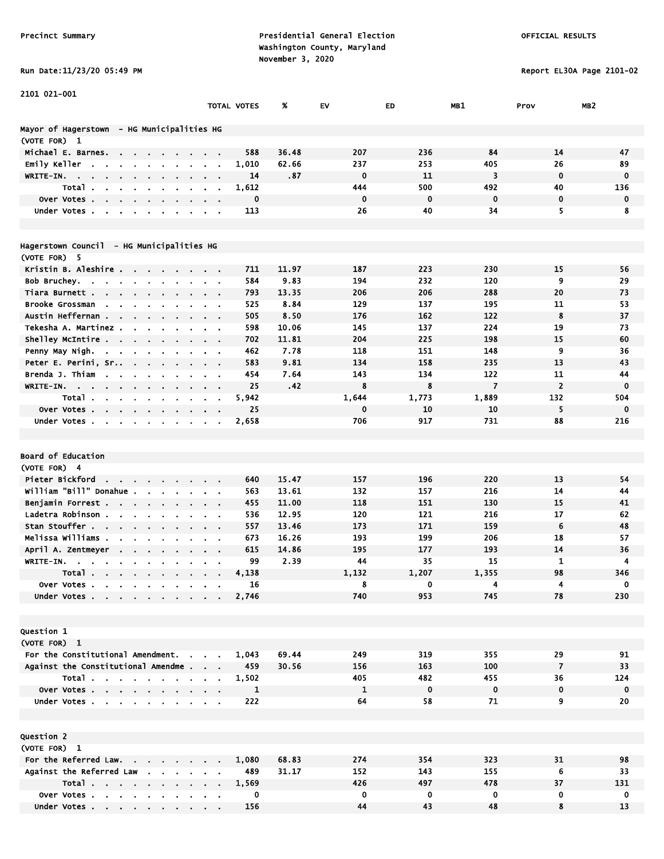Run Date:11/23/20 05:49 PM Report EL30A Page 2101-02

| 2101 021-001                                                                            |                           |              |       |              |             |                |                |                 |
|-----------------------------------------------------------------------------------------|---------------------------|--------------|-------|--------------|-------------|----------------|----------------|-----------------|
|                                                                                         |                           | TOTAL VOTES  | x     | EV           | ED          | MB1            | Prov           | MB <sub>2</sub> |
|                                                                                         |                           |              |       |              |             |                |                |                 |
| Mayor of Hagerstown - HG Municipalities HG<br>(VOTE FOR) 1                              |                           |              |       |              |             |                |                |                 |
| Michael E. Barnes.<br><b>Contract Contract</b>                                          |                           | 588          | 36.48 | 207          | 236         | 84             | 14             | 47              |
| Emily Keller<br>$\sim$<br>$\sim$<br>$\sim$                                              |                           | 1,010        | 62.66 | 237          | 253         | 405            | 26             | 89              |
| WRITE-IN.                                                                               |                           | 14           | .87   | $\mathbf 0$  | 11          | 3              | $\mathbf 0$    | $\mathbf 0$     |
| Total.                                                                                  | $\bullet$                 | 1,612        |       | 444          | 500         | 492            | 40             | 136             |
| Over Votes.<br>$\sim$<br>$\sim$<br>$\bullet$<br>$\bullet$                               |                           | 0            |       | $\mathbf 0$  | $\mathbf 0$ | $\mathbf 0$    | $\mathbf 0$    | $\mathbf 0$     |
| Under Votes                                                                             | $\sim$ $\sim$             | 113          |       | 26           | 40          | 34             | 5              | 8               |
|                                                                                         |                           |              |       |              |             |                |                |                 |
|                                                                                         |                           |              |       |              |             |                |                |                 |
| Hagerstown Council - HG Municipalities HG                                               |                           |              |       |              |             |                |                |                 |
| (VOTE FOR) 5                                                                            |                           |              |       |              |             |                |                |                 |
| Kristin B. Aleshire                                                                     |                           | 711          | 11.97 | 187          | 223         | 230            | 15             | 56              |
| Bob Bruchey.<br><b>Contract Contract</b><br>$\mathbf{u} = \mathbf{u} \cdot \mathbf{u}$  |                           | 584          | 9.83  | 194          | 232         | 120            | 9              | 29              |
| Tiara Burnett .<br>$\sim$ $\sim$ $\sim$ $\sim$                                          | $\sim$ $\sim$             | 793          | 13.35 | 206          | 206         | 288            | 20             | 73              |
| Brooke Grossman<br><b>Contract Contract</b><br>$\mathbf{r}$                             | $\sim 100$                | 525          | 8.84  | 129          | 137         | 195            | 11             | 53              |
| Austin Heffernan<br>$\mathbf{a}$ , and $\mathbf{a}$                                     |                           | 505          | 8.50  | 176          | 162         | 122            | 8              | 37              |
| Tekesha A. Martinez<br>$\sim$                                                           |                           | 598          | 10.06 | 145          | 137         | 224            | 19             | 73              |
| Shelley McIntire<br>$\mathbf{u} = \mathbf{u}$<br>$\sim$ 100 $\pm$                       |                           | 702          | 11.81 | 204          | 225         | 198            | 15             | 60              |
| Penny May Nigh.<br><b>Contract Contract</b>                                             |                           | 462          | 7.78  | 118          | 151         | 148            | 9              | 36              |
| Peter E. Perini, Sr<br>$\sim 10$<br>$\sim$<br>$\sim$                                    | $\mathbf{r}$              | 583          | 9.81  | 134          | 158         | 235            | 13             | 43              |
| Brenda J. Thiam<br>$\sim$<br>$\bullet$                                                  |                           | 454          | 7.64  | 143          | 134         | 122            | 11             | 44              |
| WRITE-IN.<br>$\sim$                                                                     |                           | 25           | .42   | 8            | 8           | $\overline{7}$ | $\overline{2}$ | $\mathbf 0$     |
| Total.<br>$\mathbf{r}$                                                                  |                           | 5,942        |       | 1,644        | 1,773       | 1,889          | 132            | 504             |
| Over Votes                                                                              |                           | 25           |       | $\mathbf 0$  | 10          | 10             | 5              | $\mathbf 0$     |
| Under Votes<br>$\blacksquare$                                                           | $\sim$                    | 2,658        |       | 706          | 917         | 731            | 88             | 216             |
|                                                                                         |                           |              |       |              |             |                |                |                 |
| Board of Education                                                                      |                           |              |       |              |             |                |                |                 |
| (VOTE FOR) 4                                                                            |                           |              |       |              |             |                |                |                 |
| Pieter Bickford<br><b>Contract Contract</b>                                             |                           | 640          | 15.47 | 157          | 196         | 220            | 13             | 54              |
| $\sim$ 100 $\sim$ 100 $\sim$<br>William "Bill" Donahue .                                |                           | 563          | 13.61 | 132          | 157         | 216            | 14             | 44              |
| Benjamin Forrest                                                                        |                           | 455          | 11.00 | 118          | 151         | 130            | 15             | 41              |
| $\sim$ 100 $\pm$<br>Ladetra Robinson.                                                   |                           | 536          | 12.95 | 120          | 121         | 216            | 17             | 62              |
| Stan Stouffer                                                                           |                           | 557          | 13.46 | 173          | 171         | 159            | 6              | 48              |
| Melissa Williams .<br>$\mathbf{r}$                                                      |                           | 673          | 16.26 | 193          | 199         | 206            | 18             | 57              |
| April A. Zentmeyer<br>$\sim$                                                            | $\mathbf{r} = \mathbf{r}$ | 615          | 14.86 | 195          | 177         | 193            | 14             | 36              |
| WRITE-IN.<br>$\mathbf{r} = \mathbf{r} + \mathbf{r} + \mathbf{r} + \mathbf{r}$<br>$\sim$ |                           | 99           | 2.39  | 44           | 35          | 15             | 1              | 4               |
| Total<br><b>Contractor</b>                                                              |                           | 4,138        |       | 1,132        | 1,207       | 1,355          | 98             | 346             |
| Over Votes                                                                              |                           | 16           |       | 8            | 0           | 4              | 4              | 0               |
| Under Votes                                                                             |                           | 2,746        |       | 740          | 953         | 745            | 78             | 230             |
|                                                                                         |                           |              |       |              |             |                |                |                 |
|                                                                                         |                           |              |       |              |             |                |                |                 |
| Question 1                                                                              |                           |              |       |              |             |                |                |                 |
| (VOTE FOR) 1                                                                            |                           |              |       |              |             |                |                |                 |
| For the Constitutional Amendment. .                                                     |                           | 1,043        | 69.44 | 249          | 319         | 355            | 29             | 91              |
| Against the Constitutional Amendme                                                      |                           | 459          | 30.56 | 156          | 163         | 100            | $\overline{7}$ | 33              |
| Total                                                                                   |                           | 1,502        |       | 405          | 482         | 455            | 36             | 124             |
| Over Votes                                                                              |                           | $\mathbf{1}$ |       | $\mathbf{1}$ | $\mathbf 0$ | $\mathbf 0$    | 0              | $\mathbf 0$     |
| Under Votes                                                                             |                           | 222          |       | 64           | 58          | 71             | 9              | 20              |
|                                                                                         |                           |              |       |              |             |                |                |                 |
|                                                                                         |                           |              |       |              |             |                |                |                 |
| Question 2                                                                              |                           |              |       |              |             |                |                |                 |
| (VOTE FOR) 1                                                                            |                           |              |       |              |             |                |                |                 |
| For the Referred Law.                                                                   |                           | 1,080        | 68.83 | 274          | 354         | 323            | 31             | 98              |
| Against the Referred Law                                                                |                           | 489          | 31.17 | 152          | 143         | 155            | 6              | 33              |
| Total                                                                                   |                           | 1,569        |       | 426          | 497         | 478            | 37             | 131             |
| Over Votes                                                                              |                           | $\mathbf 0$  |       | $\mathbf 0$  | $\mathbf 0$ | 0              | $\mathbf 0$    | $\mathbf 0$     |

Under Votes . . . . . . . . . 156 13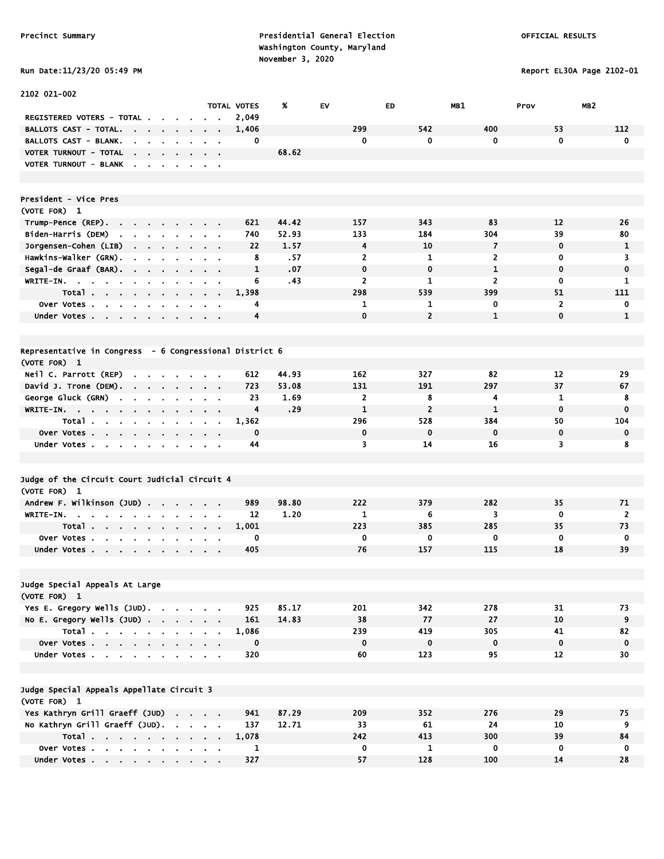# Run Date:11/23/20 05:49 PM Report EL30A Page 2102-01

| 2102 021-002                                                                                            |                                                             |                    |       |                |                |                |                   |                 |
|---------------------------------------------------------------------------------------------------------|-------------------------------------------------------------|--------------------|-------|----------------|----------------|----------------|-------------------|-----------------|
|                                                                                                         |                                                             | <b>TOTAL VOTES</b> | %     | <b>EV</b>      | ED             | MB1            | Prov              | MB <sub>2</sub> |
| <b>REGISTERED VOTERS - TOTAL .</b>                                                                      |                                                             | 2,049              |       |                |                |                |                   |                 |
| <b>BALLOTS CAST - TOTAL.</b><br>$\sim 10^{-11}$<br>$\sim$ $\sim$                                        |                                                             | 1,406              |       | 299            | 542            | 400            | 53                | 112             |
| BALLOTS CAST - BLANK.<br>$\mathbf{r}$<br>$\mathbf{r}$                                                   |                                                             | 0                  |       | 0              | $\mathbf 0$    | 0              | $\mathbf 0$       | $\mathbf 0$     |
| VOTER TURNOUT - TOTAL<br>$\mathbf{r}$<br>$\sim$ $\sim$                                                  |                                                             |                    | 68.62 |                |                |                |                   |                 |
| VOTER TURNOUT - BLANK<br>$\overline{\phantom{a}}$<br>$\mathbf{r}$<br>$\sim$<br>$\sim$<br>$\blacksquare$ | $\sim$ 100 $\pm$                                            |                    |       |                |                |                |                   |                 |
|                                                                                                         |                                                             |                    |       |                |                |                |                   |                 |
|                                                                                                         |                                                             |                    |       |                |                |                |                   |                 |
| President - Vice Pres                                                                                   |                                                             |                    |       |                |                |                |                   |                 |
| (VOTE FOR) 1                                                                                            |                                                             |                    |       |                |                |                |                   |                 |
| Trump-Pence (REP).<br>$\sim 100$ km s $^{-1}$<br>$\sim$<br>$\sim$                                       |                                                             | 621                | 44.42 | 157            | 343            | 83             | 12                | 26              |
| Biden-Harris (DEM)<br>and the company                                                                   | $\mathbf{r} = \mathbf{r}$                                   | 740                | 52.93 | 133            | 184            | 304            | 39                | 80              |
| Jorgensen-Cohen (LIB)                                                                                   | <b>Contract Contract</b>                                    | 22                 | 1.57  | 4              | 10             | 7              | $\mathbf 0$       | 1               |
| Hawkins-Walker (GRN).<br>$\blacksquare$<br>$\blacksquare$<br>$\mathbf{r}$                               |                                                             | 8                  | .57   | $\overline{2}$ | $\mathbf{1}$   | $\overline{2}$ | 0                 | 3               |
| Segal-de Graaf (BAR).<br>$\sim$ 10 $\sim$<br>$\blacksquare$                                             | $\mathbf{r} = \mathbf{r}$                                   | 1                  | .07   | $\mathbf 0$    | $\mathbf 0$    | $\mathbf{1}$   | $\mathbf 0$       | $\mathbf 0$     |
| WRITE-IN.<br>$\mathbf{u} = \mathbf{u} + \mathbf{u}$<br>$\sim 10^{-1}$<br>$\mathbf{r}$<br>$\blacksquare$ | $\sim$ 10 $\pm$                                             | 6                  | .43   | $\overline{2}$ | 1              | $\overline{2}$ | 0                 | 1               |
| Total<br>$\cdots$                                                                                       |                                                             | 1,398              |       | 298            | 539            | 399            | 51                | 111             |
| Over Votes                                                                                              | $\sim$ $ \sim$                                              | 4                  |       | 1              | 1              | 0              | $\overline{2}$    | 0               |
| Under Votes                                                                                             |                                                             | 4                  |       | $\mathbf 0$    | $\overline{2}$ | $\mathbf{1}$   | $\mathbf{0}$      | $\mathbf{1}$    |
|                                                                                                         |                                                             |                    |       |                |                |                |                   |                 |
| Representative in Congress - 6 Congressional District 6                                                 |                                                             |                    |       |                |                |                |                   |                 |
| (VOTE FOR) 1                                                                                            |                                                             |                    |       |                |                |                |                   |                 |
| Neil C. Parrott (REP)<br>$\sim$                                                                         |                                                             | 612                | 44.93 | 162            | 327            | 82             | 12                | 29              |
| $\mathbf{r}$<br>David J. Trone (DEM). .<br>$\sim$ $\sim$                                                |                                                             | 723                | 53.08 | 131            | 191            | 297            | 37                | 67              |
| $\sim$<br>$\mathbf{r}$<br>George Gluck (GRN)                                                            | $\sim$ $\sim$                                               | 23                 | 1.69  | $\overline{2}$ | 8              | 4              | 1                 | 8               |
| $\blacksquare$<br>$\blacksquare$<br>WRITE-IN.                                                           | $\mathbf{r} = \mathbf{r}$                                   | $\overline{4}$     | .29   | $\mathbf{1}$   | $\overline{2}$ | $\mathbf{1}$   | $\mathbf 0$       | $\bf{0}$        |
| $\mathbf{u} = \mathbf{u}$<br>Total                                                                      | $\mathbf{r} = \mathbf{r} + \mathbf{r}$ , where $\mathbf{r}$ | 1,362              |       | 296            | 528            | 384            | 50                | 104             |
| Over Votes                                                                                              | <b>Contract Contract Contract</b>                           | 0                  |       | $\mathbf 0$    | $\mathbf 0$    | $\mathbf 0$    | $\mathbf 0$       | $\mathbf 0$     |
| Under Votes                                                                                             |                                                             | 44                 |       | 3              | 14             | 16             | 3                 | 8               |
| $\bullet$                                                                                               |                                                             |                    |       |                |                |                |                   |                 |
|                                                                                                         |                                                             |                    |       |                |                |                |                   |                 |
| Judge of the Circuit Court Judicial Circuit 4                                                           |                                                             |                    |       |                |                |                |                   |                 |
| (VOTE FOR) 1                                                                                            |                                                             |                    |       |                |                |                |                   |                 |
| Andrew F. Wilkinson (JUD).<br>$\sim$<br>$\mathbf{r}$                                                    |                                                             | 989                | 98.80 | 222            | 379            | 282            | 35                | 71              |
| WRITE-IN.<br>$\sim$                                                                                     |                                                             | 12                 | 1.20  | $\mathbf{1}$   | 6              | 3              | $\mathbf 0$       | $\overline{2}$  |
| Total                                                                                                   | $\sim$ 10 $\pm$                                             | 1,001              |       | 223            | 385            | 285            | 35                | 73              |
| Over Votes.<br>$\mathbf{a}=\mathbf{a}$<br>$\sim 10^{-1}$                                                |                                                             | 0                  |       | 0              | 0              | 0              | $\mathbf 0$       | $\mathbf 0$     |
| Under Votes<br>$\blacksquare$                                                                           |                                                             | 405                |       | 76             | 157            | 115            | 18                | 39              |
|                                                                                                         |                                                             |                    |       |                |                |                |                   |                 |
|                                                                                                         |                                                             |                    |       |                |                |                |                   |                 |
| Judge Special Appeals At Large                                                                          |                                                             |                    |       |                |                |                |                   |                 |
| (VOTE FOR) 1                                                                                            |                                                             |                    |       |                |                |                |                   |                 |
| Yes E. Gregory Wells (JUD).                                                                             |                                                             | 925                | 85.17 | 201            | 342            | 278            | 31                | 73              |
| No E. Gregory Wells $(JUD)$ .                                                                           |                                                             | 161                | 14.83 | 38             | 77             | 27             | 10                | 9               |
| Total                                                                                                   |                                                             | 1,086              |       | 239            | 419            | 305            | 41                | 82              |
| Over Votes                                                                                              |                                                             | $\mathbf 0$        |       | $\mathbf 0$    | $\pmb{0}$      | $\mathbf 0$    | $\mathbf 0$       | 0               |
| Under Votes                                                                                             |                                                             | 320                |       | 60             | 123            | 95             | $12 \overline{ }$ | 30              |
|                                                                                                         |                                                             |                    |       |                |                |                |                   |                 |
|                                                                                                         |                                                             |                    |       |                |                |                |                   |                 |
| Judge Special Appeals Appellate Circuit 3                                                               |                                                             |                    |       |                |                |                |                   |                 |
| (VOTE FOR) 1                                                                                            |                                                             |                    |       |                |                |                |                   |                 |
| Yes Kathryn Grill Graeff (JUD)                                                                          |                                                             | 941                | 87.29 | 209            | 352            | 276            | 29                | 75              |
| No Kathryn Grill Graeff (JUD).                                                                          |                                                             | 137                | 12.71 | 33             | 61             | 24             | 10 <sub>1</sub>   | 9               |
| Total                                                                                                   |                                                             | 1,078              |       | 242            | 413            | 300            | 39                | 84              |
| Over Votes                                                                                              |                                                             | 1                  |       | 0              | 1              | 0              | 0                 | 0               |
| Under Votes                                                                                             |                                                             | 327                |       | 57             | 128            | 100            | 14                | 28              |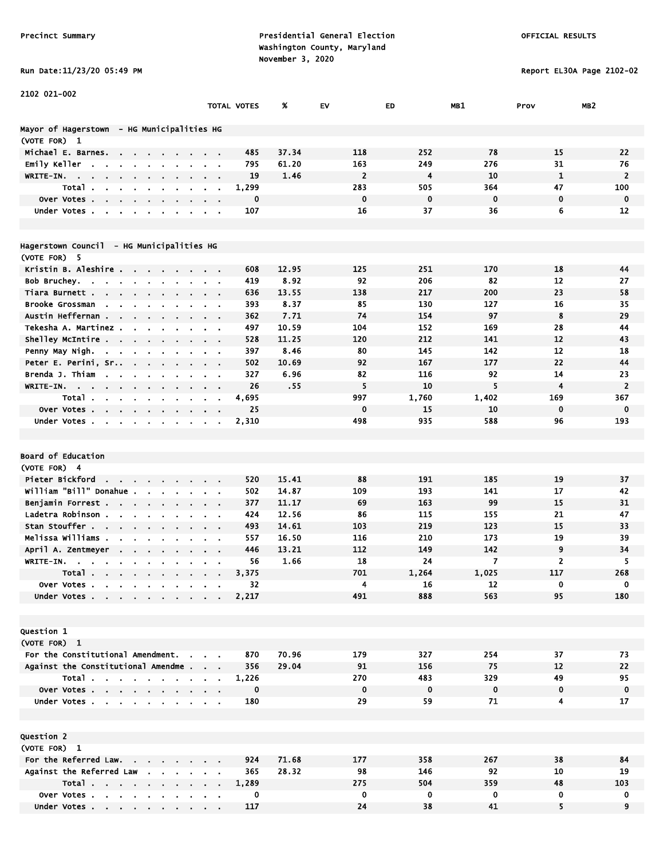Run Date:11/23/20 05:49 PM Report EL30A Page 2102-02

| 2102 021-002                                                               |                                             |                    |       |                |             |                         |                |                 |
|----------------------------------------------------------------------------|---------------------------------------------|--------------------|-------|----------------|-------------|-------------------------|----------------|-----------------|
|                                                                            |                                             | <b>TOTAL VOTES</b> | %     | EV             | ED          | MB1                     | Prov           | MB <sub>2</sub> |
|                                                                            |                                             |                    |       |                |             |                         |                |                 |
| Mayor of Hagerstown - HG Municipalities HG                                 |                                             |                    |       |                |             |                         |                |                 |
| (VOTE FOR) 1                                                               |                                             |                    |       |                |             |                         |                |                 |
| Michael E. Barnes.<br>$\mathbf{r} = \mathbf{r} \cdot \mathbf{r}$<br>$\sim$ |                                             | 485                | 37.34 | 118            | 252         | 78                      | 15             | 22              |
| Emily Keller<br>$\mathbf{r}$<br>$\blacksquare$<br>$\blacksquare$           |                                             | 795                | 61.20 | 163            | 249         | 276                     | 31             | 76              |
| WRITE-IN.<br>the contract of the contract of<br><b>Contract Contract</b>   | $\sim$ 100 $\pm$                            | 19                 | 1.46  | $\overline{2}$ | 4           | 10                      | $\mathbf{1}$   | $\overline{2}$  |
| Total.<br>$\sim$<br>$\sim$                                                 | $\bullet$                                   | 1,299              |       | 283            | 505         | 364                     | 47             | 100             |
| Over Votes.<br><b><i><u>ALCO</u></i></b>                                   |                                             | $\mathbf 0$        |       | $\mathbf 0$    | $\mathbf 0$ | $\mathbf 0$             | $\mathbf 0$    | $\mathbf 0$     |
| Under Votes<br>$\sim$                                                      | $\sim$ $\sim$                               | 107                |       | 16             | 37          | 36                      | 6              | 12              |
|                                                                            |                                             |                    |       |                |             |                         |                |                 |
|                                                                            |                                             |                    |       |                |             |                         |                |                 |
| Hagerstown Council - HG Municipalities HG                                  |                                             |                    |       |                |             |                         |                |                 |
| (VOTE FOR) 5                                                               |                                             |                    |       |                |             |                         |                |                 |
| Kristin B. Aleshire<br>$\mathbf{r} = \mathbf{r}$<br>$\sim$                 | $\mathbf{r} = \mathbf{r}$                   | 608                | 12.95 | 125            | 251         | 170                     | 18             | 44              |
| Bob Bruchey<br>$\sim$ $\sim$<br>$\sim$ 10 $\pm$<br>$\sim$ 10 $\pm$         |                                             | 419                | 8.92  | 92             | 206         | 82                      | 12             | 27              |
| Tiara Burnett                                                              |                                             | 636                | 13.55 | 138            | 217         | 200                     | 23             | 58              |
| Brooke Grossman<br>$\sim$<br>$\cdot$                                       |                                             | 393                | 8.37  | 85             | 130         | 127                     | 16             | 35              |
| Austin Heffernan .<br><b>Contract</b><br><b>Section</b>                    | $\sim$ $\sim$                               | 362                | 7.71  | 74             | 154         | 97                      | 8              | 29              |
| Tekesha A. Martinez.<br>$\mathbf{r}$<br>$\bullet$                          |                                             | 497                | 10.59 | 104            | 152         | 169                     | 28             | 44              |
| Shelley McIntire                                                           | $\alpha = 0.1$                              | 528                | 11.25 | 120            | 212         | 141                     | 12             | 43              |
| Penny May Nigh.                                                            | $\alpha$ , $\beta$ , $\alpha$               | 397                | 8.46  | 80             | 145         | 142                     | 12             | 18              |
| Peter E. Perini, Sr .<br>$\sim 10^{-10}$ and $\sim 10^{-10}$               |                                             | 502                | 10.69 | 92             | 167         | 177                     | 22             | 44              |
| Brenda J. Thiam<br><b>Contract Contract</b>                                |                                             | 327                | 6.96  | 82             | 116         | 92                      | 14             | 23              |
| WRITE-IN.<br>$\sim$<br>$\sim$<br>$\sim$<br>$\bullet$<br>$\cdot$            | $\mathbf{r} = \mathbf{r}$<br>$\blacksquare$ | 26                 | .55   | 5              | 10          | 5                       | $\overline{4}$ | $\overline{2}$  |
| Total.<br>$\sim$ 100 $\pm$<br>$\blacksquare$<br>$\sim$                     |                                             | 4,695              |       | 997            | 1,760       | 1,402                   | 169            | 367             |
| Over Votes                                                                 |                                             | 25                 |       | $\mathbf 0$    | 15<br>935   | 10                      | $\mathbf 0$    | 0               |
| Under Votes                                                                |                                             | 2,310              |       | 498            |             | 588                     | 96             | 193             |
|                                                                            |                                             |                    |       |                |             |                         |                |                 |
| Board of Education                                                         |                                             |                    |       |                |             |                         |                |                 |
| (VOTE FOR) 4                                                               |                                             |                    |       |                |             |                         |                |                 |
| Pieter Bickford                                                            |                                             | 520                | 15.41 | 88             | 191         | 185                     | 19             | 37              |
| william "Bill" Donahue .<br>$\mathbf{r}$ .                                 |                                             | 502                | 14.87 | 109            | 193         | 141                     | 17             | 42              |
| $\sim$<br>Benjamin Forrest                                                 |                                             | 377                | 11.17 | 69             | 163         | 99                      | 15             | 31              |
| $\mathbf{r}$ .<br>Ladetra Robinson.<br>$\sim$<br>$\blacksquare$            | $\mathbf{r}$                                | 424                | 12.56 | 86             | 115         | 155                     | 21             | 47              |
| Stan Stouffer                                                              | $\sim$ $\sim$<br>$\mathbf{r} = \mathbf{r}$  | 493                | 14.61 | 103            | 219         | 123                     | 15             | 33              |
| Melissa Williams .                                                         |                                             | 557                | 16.50 | 116            | 210         | 173                     | 19             | 39              |
| April A. Zentmeyer<br>$\cdot$                                              |                                             | 446                | 13.21 | 112            | 149         | 142                     | 9              | 34              |
| WRITE-IN.<br>$\blacksquare$                                                |                                             | 56                 | 1.66  | 18             | 24          | $\overline{\mathbf{z}}$ | $\overline{2}$ | 5               |
| $\blacksquare$<br>Total                                                    |                                             | 3,375              |       | 701            | 1,264       | 1,025                   | 117            | 268             |
| Over Votes                                                                 |                                             | 32                 |       | 4              | 16          | 12                      | $\mathbf 0$    | 0               |
| Under Votes<br>$\sim$ $\sim$                                               |                                             | 2,217              |       | 491            | 888         | 563                     | 95             | 180             |
|                                                                            |                                             |                    |       |                |             |                         |                |                 |
|                                                                            |                                             |                    |       |                |             |                         |                |                 |
| <b>Question 1</b>                                                          |                                             |                    |       |                |             |                         |                |                 |
| (VOTE FOR) 1                                                               |                                             |                    |       |                |             |                         |                |                 |
| For the Constitutional Amendment.                                          |                                             | 870                | 70.96 | 179            | 327         | 254                     | 37             | 73              |
| Against the Constitutional Amendme                                         |                                             | 356                | 29.04 | 91             | 156         | 75                      | 12             | 22              |
| Total<br>$\sim$                                                            | $\sim 10^{-11}$                             | 1,226              |       | 270            | 483         | 329                     | 49             | 95              |
| Over Votes                                                                 |                                             | 0                  |       | $\mathbf 0$    | $\mathbf 0$ | $\mathbf 0$             | 0              | $\mathbf 0$     |
| Under Votes                                                                |                                             | 180                |       | 29             | 59          | 71                      | 4              | 17              |
|                                                                            |                                             |                    |       |                |             |                         |                |                 |
|                                                                            |                                             |                    |       |                |             |                         |                |                 |
| Question 2                                                                 |                                             |                    |       |                |             |                         |                |                 |
| (VOTE FOR) 1                                                               |                                             |                    |       |                |             |                         |                |                 |
| For the Referred Law.                                                      |                                             | 924                | 71.68 | 177            | 358         | 267                     | 38             | 84              |
| Against the Referred Law                                                   |                                             | 365                | 28.32 | 98             | 146         | 92                      | 10             | 19              |
| Total                                                                      | $\sim$ $\sim$                               | 1,289              |       | 275            | 504         | 359                     | 48             | 103             |
| Over Votes                                                                 |                                             | 0                  |       | 0              | 0           | 0                       | 0              | 0               |
| Under Votes                                                                |                                             | 117                |       | 24             | 38          | 41                      | 5              | 9               |

Under Votes . . . . . . . . . 117 24 38 41 5 9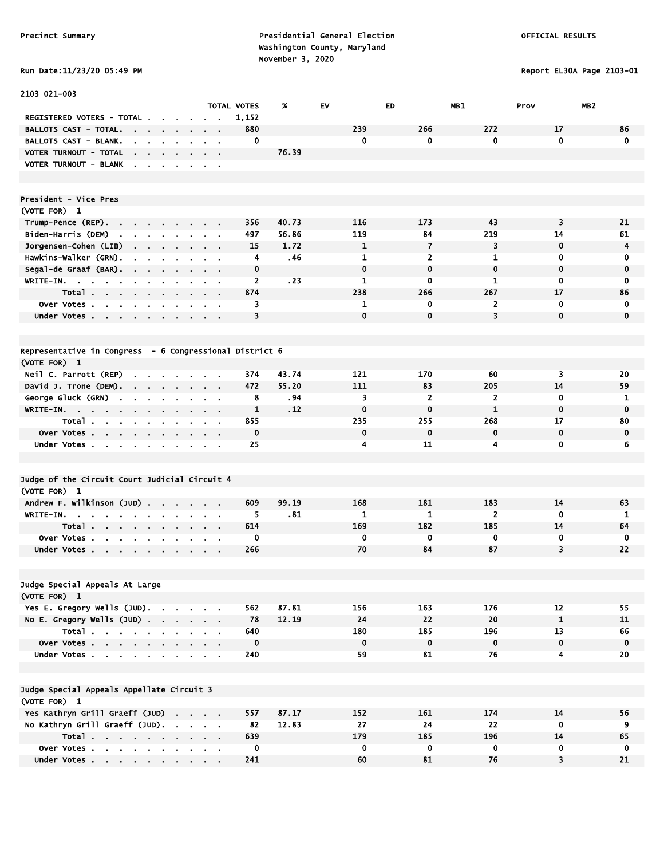Precinct Summary **Presidential General Election Presidential General Election**  Washington County, Maryland November 3, 2020<br>Pun Date:11/23/20 05:49 PM

Report EL30A Page 2103-01

| Run Date:11/23/20 05:49 |  |  |
|-------------------------|--|--|
|-------------------------|--|--|

| 2103 021-003                                                                                                                                       |                |                              |               |                    |       |              |                |                |                         |                      |
|----------------------------------------------------------------------------------------------------------------------------------------------------|----------------|------------------------------|---------------|--------------------|-------|--------------|----------------|----------------|-------------------------|----------------------|
|                                                                                                                                                    |                |                              |               | <b>TOTAL VOTES</b> | %     | EV           | ED             | MB1            | MB <sub>2</sub><br>Prov |                      |
| REGISTERED VOTERS - TOTAL .                                                                                                                        |                |                              |               | 1,152              |       |              |                |                |                         |                      |
| BALLOTS CAST - TOTAL.<br><b>Contract Contract</b><br>$\sim$                                                                                        | $\blacksquare$ |                              |               | 880                |       | 239          | 266            | 272            | 17                      | 86                   |
| <b>BALLOTS CAST - BLANK.</b><br>$\mathbf{r}$<br>$\sim$                                                                                             |                |                              |               | 0                  |       | $\mathbf 0$  | $\mathbf{0}$   | $\mathbf 0$    | $\mathbf{0}$            | $\mathbf 0$          |
| VOTER TURNOUT - TOTAL                                                                                                                              |                |                              |               |                    | 76.39 |              |                |                |                         |                      |
| VOTER TURNOUT - BLANK                                                                                                                              |                |                              |               |                    |       |              |                |                |                         |                      |
|                                                                                                                                                    |                |                              |               |                    |       |              |                |                |                         |                      |
|                                                                                                                                                    |                |                              |               |                    |       |              |                |                |                         |                      |
| President - Vice Pres                                                                                                                              |                |                              |               |                    |       |              |                |                |                         |                      |
| (VOTE FOR) 1                                                                                                                                       |                |                              |               |                    |       |              |                |                |                         |                      |
| Trump-Pence (REP).                                                                                                                                 |                |                              |               | 356                | 40.73 | 116          | 173            | 43             | 3                       | 21                   |
| Biden-Harris (DEM)<br>the contract of the contract of the                                                                                          |                |                              |               | 497<br>15          | 56.86 | 119          | 84<br>7        | 219<br>3       | 14<br>$\mathbf 0$       | 61<br>$\overline{4}$ |
| Jorgensen-Cohen (LIB)<br>$\mathbf{r} = \mathbf{r} + \mathbf{r} + \mathbf{r} + \mathbf{r}$                                                          | $\sim$         |                              |               |                    | 1.72  | 1<br>1       | $\overline{2}$ | $\mathbf{1}$   | 0                       | $\bf{0}$             |
| Hawkins-Walker (GRN).<br>$\blacksquare$<br>$\sim$<br><b>Contract Contract</b>                                                                      |                |                              | $\sim$ $\sim$ | 4<br>0             | .46   | $\mathbf 0$  | 0              | $\mathbf 0$    | 0                       | 0                    |
| Segal-de Graaf (BAR).                                                                                                                              |                |                              |               | 2                  | .23   | $\mathbf{1}$ | 0              | 1              | 0                       | 0                    |
| WRITE-IN.                                                                                                                                          |                |                              |               | 874                |       | 238          | 266            | 267            | 17                      | 86                   |
| Total                                                                                                                                              |                |                              |               | 3                  |       | 1            | 0              | $\overline{2}$ | 0                       | 0                    |
| Over Votes<br>$\blacksquare$<br>Under Votes                                                                                                        |                |                              |               | 3                  |       | $\mathbf 0$  | $\mathbf{0}$   | 3              | $\mathbf{0}$            | 0                    |
|                                                                                                                                                    |                |                              |               |                    |       |              |                |                |                         |                      |
|                                                                                                                                                    |                |                              |               |                    |       |              |                |                |                         |                      |
| Representative in Congress - 6 Congressional District 6                                                                                            |                |                              |               |                    |       |              |                |                |                         |                      |
| (VOTE FOR) 1                                                                                                                                       |                |                              |               |                    |       |              |                |                |                         |                      |
| Neil C. Parrott (REP)<br>$\begin{array}{cccccccccccccc} \bullet & \bullet & \bullet & \bullet & \bullet & \bullet & \bullet & \bullet \end{array}$ |                |                              |               | 374                | 43.74 | 121          | 170            | 60             | 3                       | 20                   |
| David J. Trone (DEM).                                                                                                                              |                |                              |               | 472                | 55.20 | 111          | 83             | 205            | 14                      | 59                   |
| George Gluck (GRN)<br>$\mathcal{L}_{\mathbf{r}}$<br>$\sim$<br>$\mathbf{r}$                                                                         |                |                              |               | 8                  | . 94  | 3            | $\overline{2}$ | $\overline{2}$ | $\mathbf 0$             | 1                    |
| $WRITE-IN.$                                                                                                                                        |                |                              |               | 1                  | .12   | $\mathbf 0$  | $\bf{0}$       | $\mathbf{1}$   | $\mathbf 0$             | $\mathbf 0$          |
| Total<br>$\mathbf{r}$                                                                                                                              |                |                              |               | 855                |       | 235          | 255            | 268            | 17                      | 80                   |
| Over Votes                                                                                                                                         |                | $\sim$ 100 $\sim$ 100 $\sim$ |               | $\mathbf 0$        |       | $\mathbf 0$  | $\mathbf 0$    | $\mathbf 0$    | 0                       | 0                    |
| Under Votes                                                                                                                                        |                |                              |               | 25                 |       | 4            | 11             | 4              | 0                       | 6                    |
|                                                                                                                                                    |                |                              |               |                    |       |              |                |                |                         |                      |
|                                                                                                                                                    |                |                              |               |                    |       |              |                |                |                         |                      |
| Judge of the Circuit Court Judicial Circuit 4                                                                                                      |                |                              |               |                    |       |              |                |                |                         |                      |
| (VOTE FOR) 1                                                                                                                                       |                |                              |               |                    |       |              |                |                |                         |                      |
| Andrew F. Wilkinson (JUD)                                                                                                                          |                |                              |               | 609                | 99.19 | 168          | 181            | 183            | 14                      | 63                   |
| WRITE-IN.                                                                                                                                          |                |                              |               | 5                  | .81   | 1            | $\mathbf{1}$   | $\overline{2}$ | $\mathbf 0$             | $\mathbf{1}$         |
| Total $\cdots$<br>$\sim$                                                                                                                           | $\sim$         |                              |               | 614                |       | 169          | 182            | 185            | 14                      | 64                   |
| Over Votes.<br>$\mathbf{a}$ , $\mathbf{a}$ , $\mathbf{a}$ , $\mathbf{a}$ , $\mathbf{a}$ , $\mathbf{a}$<br>$\bullet$<br>$\blacksquare$              |                |                              |               | 0                  |       | 0            | 0              | 0              | 0                       | 0                    |
| Under Votes                                                                                                                                        |                |                              |               | 266                |       | 70           | 84             | 87             | 3                       | 22                   |
|                                                                                                                                                    |                |                              |               |                    |       |              |                |                |                         |                      |
|                                                                                                                                                    |                |                              |               |                    |       |              |                |                |                         |                      |
| Judge Special Appeals At Large                                                                                                                     |                |                              |               |                    |       |              |                |                |                         |                      |
| (VOTE FOR) 1                                                                                                                                       |                |                              |               |                    |       |              |                |                |                         |                      |
| Yes E. Gregory Wells (JUD).                                                                                                                        |                |                              |               | 562                | 87.81 | 156          | 163            | 176            | 12                      | 55                   |
| No E. Gregory Wells $(JUD)$ .                                                                                                                      |                |                              |               | 78                 | 12.19 | 24           | 22             | 20             | $\mathbf{1}$            | 11                   |
| Total                                                                                                                                              |                |                              |               | 640                |       | 180          | 185            | 196            | 13                      | 66                   |
| Over Votes                                                                                                                                         |                |                              |               | $\mathbf 0$        |       | $\mathbf 0$  | $\mathbf 0$    | $\mathbf 0$    | 0                       | $\mathbf 0$          |
| Under Votes                                                                                                                                        |                |                              |               | 240                |       | 59           | 81             | 76             | $\overline{\mathbf{4}}$ | 20                   |
|                                                                                                                                                    |                |                              |               |                    |       |              |                |                |                         |                      |
|                                                                                                                                                    |                |                              |               |                    |       |              |                |                |                         |                      |
| Judge Special Appeals Appellate Circuit 3                                                                                                          |                |                              |               |                    |       |              |                |                |                         |                      |
| (VOTE FOR) 1                                                                                                                                       |                |                              |               |                    |       |              |                |                |                         |                      |
| Yes Kathryn Grill Graeff (JUD)                                                                                                                     |                |                              |               | 557                | 87.17 | 152          | 161            | 174            | 14                      | 56                   |
| No Kathryn Grill Graeff (JUD).                                                                                                                     |                |                              |               | 82                 | 12.83 | 27           | 24             | 22             | 0                       | 9                    |
| Total                                                                                                                                              |                |                              |               | 639                |       | 179          | 185            | 196            | 14                      | 65                   |
| Over Votes                                                                                                                                         |                |                              |               | 0                  |       | $\mathbf 0$  | 0              | $\mathbf 0$    | 0                       | 0                    |
| Under Votes                                                                                                                                        |                |                              |               | 241                |       | 60           | 81             | 76             | 3                       | 21                   |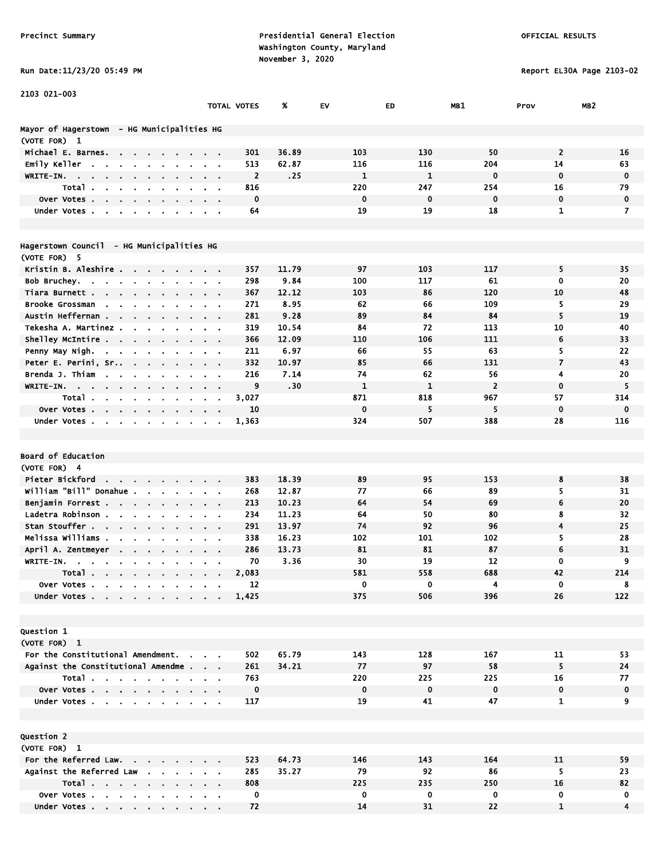Run Date:11/23/20 05:49 PM Report EL30A Page 2103-02

| 2103 021-003                                                                       |                               |                    |               |                    |                    |                      |                          |                 |
|------------------------------------------------------------------------------------|-------------------------------|--------------------|---------------|--------------------|--------------------|----------------------|--------------------------|-----------------|
|                                                                                    |                               | <b>TOTAL VOTES</b> | %             | EV                 | ED                 | MB1                  | Prov                     | MB <sub>2</sub> |
|                                                                                    |                               |                    |               |                    |                    |                      |                          |                 |
| Mayor of Hagerstown - HG Municipalities HG                                         |                               |                    |               |                    |                    |                      |                          |                 |
| (VOTE FOR) 1                                                                       |                               |                    |               |                    |                    |                      | $\overline{2}$           |                 |
| Michael E. Barnes.<br>$\sim$<br>$\mathbf{r}$                                       | $\mathbf{r} = \mathbf{r}$     | 301                | 36.89         | 103                | 130                | 50                   |                          | 16              |
| Emily Keller<br>$\overline{\phantom{a}}$                                           |                               | 513                | 62.87         | 116                | 116                | 204                  | 14                       | 63              |
| WRITE-IN.<br><b>Contract Contract Contract</b><br>$\sim 100$<br>$\sim 100$         |                               | $\overline{2}$     | .25           | $\mathbf{1}$       | $\mathbf{1}$       | $\mathbf 0$          | $\mathbf 0$              | $\mathbf 0$     |
| Total.                                                                             |                               | 816                |               | 220                | 247                | 254                  | 16                       | 79              |
| Over Votes.<br>$\sim$<br>$\sim$<br>$\bullet$                                       |                               | $\mathbf 0$        |               | $\mathbf 0$        | $\mathbf 0$        | $\mathbf 0$          | $\mathbf 0$              | $\mathbf 0$     |
| Under Votes.<br>$\blacksquare$<br>$\blacksquare$                                   | $\sim 100$                    | 64                 |               | 19                 | 19                 | 18                   | 1                        | $\overline{ }$  |
|                                                                                    |                               |                    |               |                    |                    |                      |                          |                 |
|                                                                                    |                               |                    |               |                    |                    |                      |                          |                 |
| Hagerstown Council - HG Municipalities HG                                          |                               |                    |               |                    |                    |                      |                          |                 |
| (VOTE FOR) 5                                                                       |                               | 357                | 11.79         | 97                 | 103                | 117                  | 5                        | 35              |
| Kristin B. Aleshire<br>$\sim 100$ km s $^{-1}$<br>$\sim$ 100 $\sim$<br>Bob Bruchey | $\mathbf{r} = \mathbf{r}$     | 298                | 9.84          | 100                | 117                | 61                   | 0                        | 20              |
| $\bullet$ .<br>Tiara Burnett                                                       | $\mathbf{r} = \mathbf{r}$     | 367                | 12.12         | 103                | 86                 | 120                  | 10                       | 48              |
| $\sim$ 100 $\pm$                                                                   | $\mathbf{r} = \mathbf{r}$     | 271                | 8.95          | 62                 | 66                 | 109                  | 5                        | 29              |
| Brooke Grossman<br>$\sim$<br>Austin Heffernan                                      |                               |                    |               | 89                 | 84                 |                      | 5                        | 19              |
| $\sim$<br>$\sim$                                                                   |                               | 281                | 9.28          | 84                 | 72                 | 84<br>113            | 10                       | 40              |
| Tekesha A. Martinez.<br>$\mathbf{r}$                                               |                               | 319<br>366         | 10.54         | 110                | 106                | 111                  | 6                        | 33              |
| Shelley McIntire                                                                   | $\sim$ $\sim$ $\sim$          | 211                | 12.09<br>6.97 | 66                 | 55                 | 63                   | 5                        | 22              |
| Penny May Nigh.<br>the company of the company of<br>Peter E. Perini, Sr            | $\alpha$ , $\beta$ , $\alpha$ | 332                | 10.97         | 85                 | 66                 | 131                  | $\overline{\phantom{a}}$ | 43              |
| $\sim 10$<br>$\sim$<br>Brenda J. Thiam                                             | $\mathbf{r} = \mathbf{r}$     |                    |               | 74                 |                    |                      | 4                        |                 |
| $\sim$<br>$\bullet$                                                                | $\mathbf{u} = \mathbf{0}$     | 216                | 7.14<br>.30   | $\mathbf{1}$       | 62<br>$\mathbf{1}$ | 56<br>$\overline{2}$ | $\mathbf 0$              | 20<br>5         |
| WRITE-IN.<br>$\mathbf{r}$ .<br>$\bullet$<br>$\blacksquare$                         |                               | 9                  |               |                    |                    |                      |                          |                 |
| Total<br>$\sim$                                                                    |                               | 3,027              |               | 871<br>$\mathbf 0$ | 818<br>5           | 967<br>5             | 57<br>$\mathbf 0$        | 314             |
| Over Votes<br>$\sim 10^{-11}$<br>Under Votes                                       |                               | 10<br>1,363        |               | 324                | 507                | 388                  | 28                       | $\bf{0}$<br>116 |
| $\sim$                                                                             |                               |                    |               |                    |                    |                      |                          |                 |
|                                                                                    |                               |                    |               |                    |                    |                      |                          |                 |
| Board of Education                                                                 |                               |                    |               |                    |                    |                      |                          |                 |
| (VOTE FOR) 4                                                                       |                               |                    |               |                    |                    |                      |                          |                 |
| Pieter Bickford                                                                    |                               | 383                | 18.39         | 89                 | 95                 | 153                  | 8                        | 38              |
| William "Bill" Donahue<br>$\mathbf{a} = \mathbf{a} \cdot \mathbf{a}$<br>$\bullet$  | $\mathbf{r} = \mathbf{r}$     | 268                | 12.87         | 77                 | 66                 | 89                   | 5                        | 31              |
| Benjamin Forrest<br>$\sim$<br>$\alpha$                                             | $\alpha$ , $\beta$ , $\alpha$ | 213                | 10.23         | 64                 | 54                 | 69                   | 6                        | 20              |
| Ladetra Robinson.<br>$\sim$ $\sim$<br>$\sim$                                       | $\sim$ $\sim$                 | 234                | 11.23         | 64                 | 50                 | 80                   | 8                        | 32              |
| Stan Stouffer                                                                      |                               | 291                | 13.97         | 74                 | 92                 | 96                   | 4                        | 25              |
| Melissa Williams .                                                                 |                               | 338                | 16.23         | 102                | 101                | 102                  | 5                        | 28              |
| April A. Zentmeyer                                                                 |                               | 286                | 13.73         | 81                 | 81                 | 87                   | 6                        | 31              |
| WRITE-IN.                                                                          |                               | 70                 | 3.36          | 30                 | 19                 | 12                   | 0                        | 9               |
| Total.                                                                             |                               | 2,083              |               | 581                | 558                | 688                  | 42                       | 214             |
| the company of the company of<br>Over Votes                                        |                               | 12                 |               | 0                  | 0                  | 4                    | 0                        | 8               |
| Under Votes .                                                                      |                               | 1,425              |               | 375                | 506                | 396                  | 26                       | 122             |
|                                                                                    |                               |                    |               |                    |                    |                      |                          |                 |
|                                                                                    |                               |                    |               |                    |                    |                      |                          |                 |
| <b>Question 1</b>                                                                  |                               |                    |               |                    |                    |                      |                          |                 |
| (VOTE FOR) 1                                                                       |                               |                    |               |                    |                    |                      |                          |                 |
| For the Constitutional Amendment.                                                  |                               | 502                | 65.79         | 143                | 128                | 167                  | 11                       | 53              |
| Against the Constitutional Amendme.                                                | $\alpha = 0.1$                | 261                | 34.21         | 77                 | 97                 | 58                   | 5                        | 24              |
| Total                                                                              |                               | 763                |               | 220                | 225                | 225                  | 16                       | 77              |
| Over Votes                                                                         |                               | $\mathbf 0$        |               | $\mathbf 0$        | $\mathbf 0$        | $\mathbf 0$          | $\mathbf 0$              | $\mathbf 0$     |
| Under Votes                                                                        |                               | 117                |               | 19                 | 41                 | 47                   | $\mathbf{1}$             | 9               |
|                                                                                    |                               |                    |               |                    |                    |                      |                          |                 |
|                                                                                    |                               |                    |               |                    |                    |                      |                          |                 |
| Question 2                                                                         |                               |                    |               |                    |                    |                      |                          |                 |
| (VOTE FOR) 1                                                                       |                               |                    |               |                    |                    |                      |                          |                 |
| For the Referred Law.                                                              |                               | 523                | 64.73         | 146                | 143                | 164                  | 11                       | 59              |
| Against the Referred Law                                                           |                               | 285                | 35.27         | 79                 | 92                 | 86                   | 5                        | 23              |
| Total                                                                              |                               | 808                |               | 225                | 235                | 250                  | 16                       | 82              |

 Over Votes . . . . . . . . . . 0 0 0 0 0 0 Under Votes . . . . . . . . . . 72 14 31 22 1 4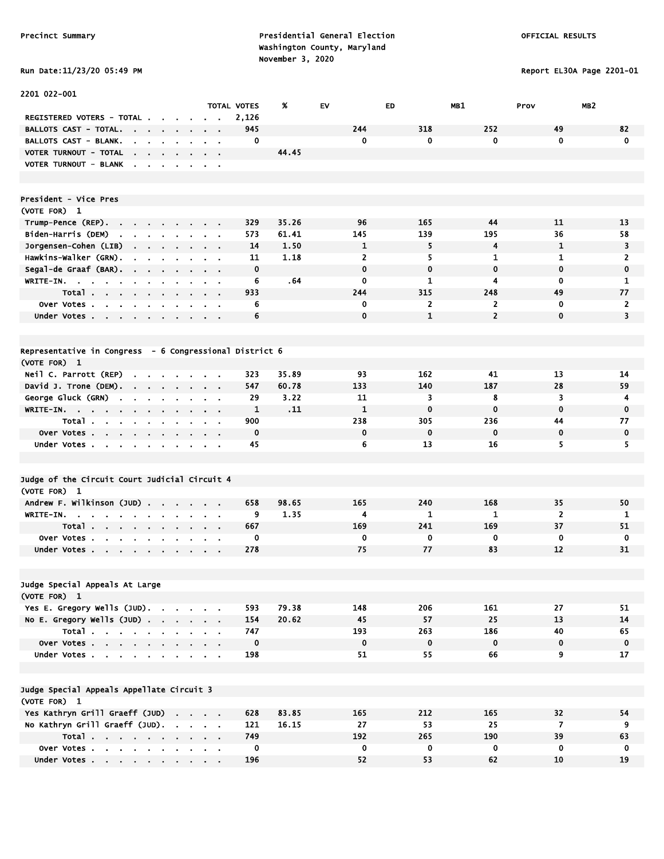2201 022-001

Precinct Summary **Presidential General Election Presidential General Election**  Washington County, Maryland Run Date:11/23/20 05:49 PM

TOTAL VOTES % EV ED MB1 Prov MB2

Report EL30A Page 2201-01

|  |  |  |  | <b>KUN DATE:11/23/20 03:49</b> |
|--|--|--|--|--------------------------------|
|--|--|--|--|--------------------------------|

| <b>REGISTERED VOTERS - TOTAL.</b>                                                                                            |                                  | 2,126       |       |                |                |                         |                  |                         |
|------------------------------------------------------------------------------------------------------------------------------|----------------------------------|-------------|-------|----------------|----------------|-------------------------|------------------|-------------------------|
| <b>BALLOTS CAST - TOTAL.</b>                                                                                                 |                                  | 945         |       | 244            | 318            | 252                     | 49               | 82                      |
| <b>BALLOTS CAST - BLANK.</b>                                                                                                 |                                  | 0           |       | 0              | 0              | 0                       | $\mathbf 0$      | $\mathbf 0$             |
| VOTER TURNOUT - TOTAL<br>$\mathbf{a} = \mathbf{a} + \mathbf{b}$<br>$\sim$                                                    |                                  |             | 44.45 |                |                |                         |                  |                         |
| VOTER TURNOUT - BLANK<br>$\bullet$<br>$\blacksquare$                                                                         |                                  |             |       |                |                |                         |                  |                         |
|                                                                                                                              |                                  |             |       |                |                |                         |                  |                         |
|                                                                                                                              |                                  |             |       |                |                |                         |                  |                         |
| President - Vice Pres                                                                                                        |                                  |             |       |                |                |                         |                  |                         |
| (VOTE FOR) 1                                                                                                                 |                                  |             |       |                |                |                         |                  |                         |
| Trump-Pence (REP).<br>$\mathbf{z} = \mathbf{z}$ .<br><b>Contract</b><br>$\sim$                                               |                                  | 329         | 35.26 | 96             | 165            | 44                      | 11               | 13                      |
| Biden-Harris (DEM)<br>$\mathbf{r}$<br>$\mathbf{r}$<br>$\sim$<br>$\mathbf{r}$                                                 |                                  | 573         | 61.41 | 145            | 139            | 195                     | 36               | 58                      |
| Jorgensen-Cohen (LIB)<br>$\sim$<br>$\blacksquare$                                                                            | $\blacksquare$<br>$\blacksquare$ | 14          | 1.50  | 1              | 5              | $\overline{\mathbf{4}}$ | $\mathbf{1}$     | $\overline{\mathbf{3}}$ |
| Hawkins-Walker (GRN).                                                                                                        | $\blacksquare$                   | 11          | 1.18  | $\overline{2}$ | 5              | 1                       | $\mathbf{1}$     | $\overline{2}$          |
| Segal-de Graaf (BAR).<br>$\mathbf{r} = \mathbf{r} \cdot \mathbf{r}$<br>$\sim$<br>$\bullet$                                   | $\blacksquare$                   | $\mathbf 0$ |       | $\mathbf 0$    | 0              | $\mathbf 0$             | $\mathbf 0$      | $\mathbf 0$             |
| WRITE-IN.<br><b>Contract Contract</b><br>$\sim$<br>$\mathbf{r}$                                                              |                                  | 6           | . 64  | 0              | 1              | 4                       | $\mathbf 0$      | $\mathbf{1}$            |
| Total .<br>$\sim$<br>$\mathbf{r} = \mathbf{r} \cdot \mathbf{r}$<br>$\sim$<br>$\blacksquare$                                  |                                  | 933         |       | 244            | 315            | 248                     | 49               | 77                      |
| over Votes.<br>$\sim$<br>$\sim$<br>$\sim$<br>$\sim$<br>$\blacksquare$<br>$\blacksquare$                                      | $\blacksquare$<br>$\blacksquare$ | 6           |       | 0              | $\overline{2}$ | 2                       | $\mathbf 0$      | $\overline{2}$          |
| Under Votes                                                                                                                  |                                  | 6           |       | $\mathbf 0$    | $\mathbf{1}$   | $\overline{2}$          | $\mathbf 0$      | 3                       |
|                                                                                                                              |                                  |             |       |                |                |                         |                  |                         |
|                                                                                                                              |                                  |             |       |                |                |                         |                  |                         |
| Representative in Congress - 6 Congressional District 6                                                                      |                                  |             |       |                |                |                         |                  |                         |
| (VOTE FOR) 1                                                                                                                 |                                  |             |       |                |                |                         |                  |                         |
| Neil C. Parrott (REP)                                                                                                        |                                  | 323         | 35.89 | 93             | 162            | 41                      | 13               | 14                      |
| David J. Trone (DEM).<br>the company of the company of                                                                       | $\sim$                           | 547         | 60.78 | 133            | 140            | 187                     | 28               | 59                      |
| George Gluck (GRN)<br>$\mathbf{r}$<br>$\bullet$                                                                              | $\alpha$ , $\beta$ , $\alpha$    | 29          | 3.22  | 11             | 3              | 8                       | 3                | 4                       |
| WRITE-IN.<br>$\mathbf{r} = \mathbf{r} + \mathbf{r} + \mathbf{r}$ .<br>$\mathbf{r}$<br>$\sim$                                 | $\mathbf{a}$ .                   | 1           | .11   | $\mathbf{1}$   | $\mathbf 0$    | $\mathbf 0$             | $\mathbf 0$      | $\mathbf 0$             |
| Total.<br>$\mathbf{r}$<br>$\mathbf{r} = \mathbf{r}$ .<br>$\sim$<br>$\blacksquare$<br>$\blacksquare$<br>$\blacksquare$        | $\blacksquare$<br>$\blacksquare$ | 900         |       | 238            | 305            | 236                     | 44               | 77                      |
| Over Votes                                                                                                                   | $\sim 10^{-11}$<br>$\sim 100$    | $\mathbf 0$ |       | $\mathbf 0$    | $\mathbf 0$    | 0                       | $\mathbf 0$      | $\mathbf 0$             |
| Under Votes<br>$\sim$                                                                                                        |                                  | 45          |       | 6              | 13             | 16                      | 5                | 5                       |
|                                                                                                                              |                                  |             |       |                |                |                         |                  |                         |
|                                                                                                                              |                                  |             |       |                |                |                         |                  |                         |
| Judge of the Circuit Court Judicial Circuit 4                                                                                |                                  |             |       |                |                |                         |                  |                         |
| (VOTE FOR) 1                                                                                                                 |                                  |             |       |                |                |                         |                  |                         |
| Andrew F. Wilkinson (JUD).<br>$\mathbf{r} = \mathbf{r} + \mathbf{r}$ , where $\mathbf{r}$                                    |                                  | 658         | 98.65 | 165            | 240            | 168                     | 35               | 50                      |
| WRITE-IN.<br>$\mathbf{r}$                                                                                                    | $\sim 10$                        | 9           | 1.35  | 4              | 1              | 1                       | $\overline{2}$   | 1                       |
| Total.<br>$\mathbf{r} = \mathbf{r} + \mathbf{r}$ , where $\mathbf{r}$<br>$\sim$<br>$\sim$<br>$\mathbf{a}$ , and $\mathbf{a}$ | $\mathbf{r} = \mathbf{r}$        | 667         |       | 169            | 241            | 169                     | 37               | 51                      |
| over Votes.<br>$\mathbf{r}$ .<br>$\mathbf{a} = \mathbf{a} + \mathbf{a}$ .<br>$\sim$<br>$\blacksquare$                        |                                  | 0           |       | 0              | 0              | 0                       | 0                | 0                       |
| Under Votes                                                                                                                  |                                  | 278         |       | 75             | 77             | 83                      | 12               | 31                      |
|                                                                                                                              |                                  |             |       |                |                |                         |                  |                         |
|                                                                                                                              |                                  |             |       |                |                |                         |                  |                         |
| Judge Special Appeals At Large                                                                                               |                                  |             |       |                |                |                         |                  |                         |
| (VOTE FOR) 1                                                                                                                 |                                  |             |       |                |                |                         |                  |                         |
| Yes E. Gregory Wells (JUD).                                                                                                  |                                  | 593         | 79.38 | 148            | 206            | 161                     | 27               | 51                      |
| No E. Gregory Wells (JUD)                                                                                                    |                                  | 154         | 20.62 | 45             | 57             | 25                      | 13               | 14                      |
| Total                                                                                                                        |                                  | 747         |       | 193            | 263            | 186                     | 40               | 65                      |
| Over Votes                                                                                                                   |                                  | $\mathbf 0$ |       | $\mathbf 0$    | 0              | $\bf{0}$                | $\mathbf 0$      | $\mathbf 0$             |
| Under Votes                                                                                                                  |                                  | 198         |       | 51             | 55             | 66                      | $\boldsymbol{9}$ | 17                      |
|                                                                                                                              |                                  |             |       |                |                |                         |                  |                         |
|                                                                                                                              |                                  |             |       |                |                |                         |                  |                         |
| Judge Special Appeals Appellate Circuit 3                                                                                    |                                  |             |       |                |                |                         |                  |                         |
| (VOTE FOR) 1                                                                                                                 |                                  |             |       |                |                |                         |                  |                         |
| Yes Kathryn Grill Graeff (JUD)                                                                                               |                                  | 628         | 83.85 | 165            | 212            | 165                     | 32               | 54                      |
| No Kathryn Grill Graeff (JUD).                                                                                               |                                  | 121         | 16.15 | 27             | 53             | 25                      | 7                | 9                       |
| Total                                                                                                                        |                                  | 749         |       | 192            | 265            | 190                     | 39               | 63                      |
| Over Votes                                                                                                                   |                                  | $\mathbf 0$ |       | 0              | 0              | 0                       | $\mathbf 0$      | 0                       |

Under Votes . . . . . . . . . 196 52 53 62 10 19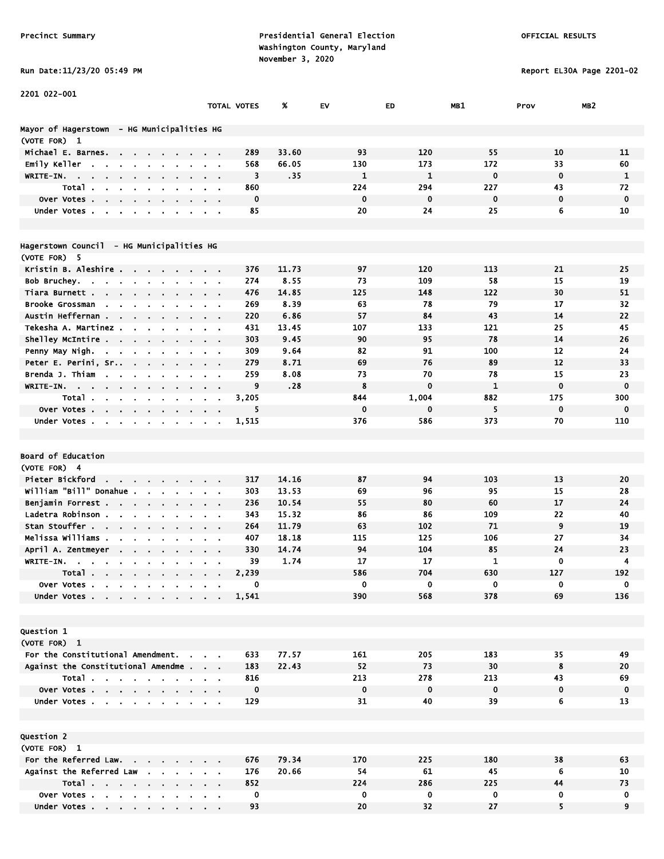Report EL30A Page 2201-02

| Run Date:11/23/20 05:49 |  |
|-------------------------|--|
|-------------------------|--|

| 2201 022-001                                                                                                    |                                                             |                    |              |              |              |              |             |                 |
|-----------------------------------------------------------------------------------------------------------------|-------------------------------------------------------------|--------------------|--------------|--------------|--------------|--------------|-------------|-----------------|
|                                                                                                                 |                                                             | <b>TOTAL VOTES</b> | %            | EV           | ED           | MB1          | Prov        | MB <sub>2</sub> |
|                                                                                                                 |                                                             |                    |              |              |              |              |             |                 |
| Mayor of Hagerstown  – HG Municipalities HG                                                                     |                                                             |                    |              |              |              |              |             |                 |
| (VOTE FOR) 1                                                                                                    |                                                             |                    |              |              |              |              |             |                 |
| Michael E. Barnes.<br>$\sim$                                                                                    |                                                             | 289                | 33.60        | 93           | 120          | 55           | 10          | 11              |
| Emily Keller<br>$\sim$                                                                                          | $\sim$ $\sim$                                               | 568                | 66.05        | 130          | 173          | 172          | 33          | 60              |
| WRITE-IN.<br>$\sim 100$<br>$\sim$ 100 $\pm$<br>$\sim 10^{-11}$<br>$\mathbf{r} = \mathbf{r}$                     |                                                             | 3                  | .35          | $\mathbf{1}$ | $\mathbf{1}$ | $\mathbf 0$  | $\mathbf 0$ | $\mathbf{1}$    |
| <b>Total</b>                                                                                                    |                                                             | 860                |              | 224          | 294          | 227          | 43          | 72              |
| Over Votes.<br>$\sim$<br>$\epsilon$<br>$\sim$                                                                   |                                                             | $\bf{0}$           |              | $\mathbf 0$  | $\mathbf 0$  | $\mathbf 0$  | 0           | $\mathbf 0$     |
| Under Votes.<br>$\blacksquare$<br>$\blacksquare$<br>$\blacksquare$                                              |                                                             | 85                 |              | 20           | 24           | 25           | 6           | 10              |
|                                                                                                                 |                                                             |                    |              |              |              |              |             |                 |
|                                                                                                                 |                                                             |                    |              |              |              |              |             |                 |
| Hagerstown Council - HG Municipalities HG                                                                       |                                                             |                    |              |              |              |              |             |                 |
| (VOTE FOR) 5                                                                                                    |                                                             | 376                | 11.73        | 97           | 120          | 113          | 21          | 25              |
| Kristin B. Aleshire<br>$\sim$                                                                                   |                                                             | 274                | 8.55         | 73           | 109          | 58           | 15          | 19              |
| Bob Bruchey.<br>$\sim$<br>$\mathbf{r} = \mathbf{r}$ .<br>$\sim$<br>Tiara Burnett.                               |                                                             | 476                | 14.85        | 125          | 148          | 122          | 30          | 51              |
| $\mathbf{r} = \mathbf{r} + \mathbf{r}$ , where<br>Brooke Grossman                                               | $\cdots$                                                    | 269                | 8.39         | 63           | 78           | 79           | 17          | 32              |
| Austin Heffernan                                                                                                |                                                             | 220                | 6.86         | 57           | 84           | 43           | 14          | 22              |
| $\sim$<br>$\mathbf{r}$<br>Tekesha A. Martinez.                                                                  |                                                             |                    | 13.45        | 107          | 133          | 121          | 25          | 45              |
| Shelley McIntire                                                                                                |                                                             | 431<br>303         | 9.45         | 90           | 95           | 78           | 14          | 26              |
|                                                                                                                 | $\cdots$                                                    | 309                |              | 82           | 91           | 100          | 12          | 24              |
| Penny May Nigh.<br>the contract of the contract<br>Peter E. Perini, Sr                                          | $\mathbf{r} = \mathbf{r} + \mathbf{r}$ , where $\mathbf{r}$ | 279                | 9.64<br>8.71 | 69           | 76           | 89           | 12          | 33              |
| $\sim$ $\sim$<br>$\blacksquare$<br>Brenda J. Thiam                                                              |                                                             | 259                | 8.08         | 73           | 70           | 78           | 15          | 23              |
| $\sim$ $\sim$<br>$\sim$<br>$\blacksquare$<br>WRITE-IN.                                                          | $\sim$ $\sim$                                               | 9                  | .28          | 8            | $\mathbf 0$  | $\mathbf{1}$ | $\mathbf 0$ | $\mathbf 0$     |
| the company of the company<br>$\blacksquare$<br>$\blacksquare$<br>$\bullet$<br>$\sim$<br>Total                  |                                                             | 3,205              |              | 844          | 1,004        | 882          | 175         | 300             |
| $\blacksquare$                                                                                                  |                                                             | 5                  |              | $\mathbf 0$  | 0            | 5            | $\mathbf 0$ | 0               |
| Over Votes<br>Under Votes                                                                                       |                                                             | 1,515              |              | 376          | 586          | 373          | 70          | 110             |
|                                                                                                                 |                                                             |                    |              |              |              |              |             |                 |
|                                                                                                                 |                                                             |                    |              |              |              |              |             |                 |
| <b>Board of Education</b>                                                                                       |                                                             |                    |              |              |              |              |             |                 |
| (VOTE FOR) 4                                                                                                    |                                                             |                    |              |              |              |              |             |                 |
| Pieter Bickford                                                                                                 |                                                             | 317                | 14.16        | 87           | 94           | 103          | 13          | 20              |
| william "Bill" Donahue .<br>$\mathbf{a}$ , $\mathbf{a}$ , $\mathbf{a}$ , $\mathbf{a}$<br>$\mathbf{r}$<br>$\sim$ | $\alpha$ , $\alpha$ , $\alpha$                              | 303                | 13.53        | 69           | 96           | 95           | 15          | 28              |
| Benjamin Forrest                                                                                                | $\mathbf{r} = \mathbf{r} + \mathbf{r}$ , where $\mathbf{r}$ | 236                | 10.54        | 55           | 80           | 60           | 17          | 24              |
| Ladetra Robinson<br>$\sim 100$                                                                                  | $\cdots$                                                    | 343                | 15.32        | 86           | 86           | 109          | 22          | 40              |
| Stan Stouffer<br>$\blacksquare$                                                                                 |                                                             | 264                | 11.79        | 63           | 102          | 71           | 9           | 19              |
| Melissa Williams .                                                                                              |                                                             | 407                | 18.18        | 115          | 125          | 106          | 27          | 34              |
| April A. Zentmeyer                                                                                              |                                                             | 330                | 14.74        | 94           | 104          | 85           | 24          | 23              |
| WRITE-IN.<br>$\blacksquare$                                                                                     |                                                             | 39                 | 1.74         | 17           | 17           | 1            | $\mathbf 0$ | 4               |
| Total.<br><b>Contract Contract Contract Contract</b>                                                            |                                                             | 2,239              |              | 586          | 704          | 630          | 127         | 192             |
| Over Votes                                                                                                      |                                                             | 0                  |              | 0            | 0            | 0            | 0           | 0               |
| Under Votes.                                                                                                    |                                                             | 1,541              |              | 390          | 568          | 378          | 69          | 136             |
|                                                                                                                 |                                                             |                    |              |              |              |              |             |                 |
|                                                                                                                 |                                                             |                    |              |              |              |              |             |                 |
| <b>Question 1</b>                                                                                               |                                                             |                    |              |              |              |              |             |                 |
| (VOTE FOR) 1                                                                                                    |                                                             |                    |              |              |              |              |             |                 |
| For the Constitutional Amendment.                                                                               |                                                             | 633                | 77.57        | 161          | 205          | 183          | 35          | 49              |
| Against the Constitutional Amendme                                                                              |                                                             | 183                | 22.43        | 52           | 73           | 30           | 8           | 20              |
| Total                                                                                                           |                                                             | 816                |              | 213          | 278          | 213          | 43          | 69              |
| Over Votes                                                                                                      |                                                             | $\mathbf 0$        |              | $\mathbf 0$  | $\mathbf 0$  | $\mathbf 0$  | 0           | $\mathbf 0$     |
| Under Votes                                                                                                     |                                                             | 129                |              | 31           | 40           | 39           | 6           | 13              |
|                                                                                                                 |                                                             |                    |              |              |              |              |             |                 |
|                                                                                                                 |                                                             |                    |              |              |              |              |             |                 |
| Question 2                                                                                                      |                                                             |                    |              |              |              |              |             |                 |
| (VOTE FOR) 1                                                                                                    |                                                             |                    |              |              |              |              |             |                 |
| For the Referred Law.                                                                                           |                                                             | 676                | 79.34        | 170          | 225          | 180          | 38          | 63              |
| Against the Referred Law                                                                                        |                                                             | 176                | 20.66        | 54           | 61           | 45           | 6           | 10              |
| Total                                                                                                           |                                                             | 852                |              | 224          | 286          | 225          | 44          | 73              |
| Over Votes                                                                                                      |                                                             | 0                  |              | 0            | 0            | 0            | 0           | 0               |
| Under Votes                                                                                                     |                                                             | 93                 |              | 20           | 32           | 27           | 5           | 9               |

Under Votes . . . . . . . . . 93 20 32 27 5 9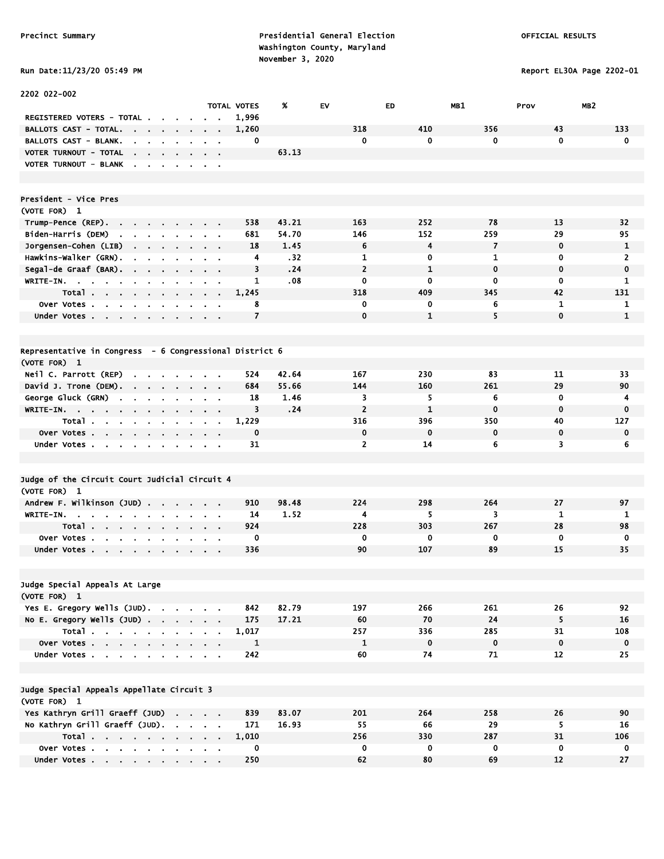# Run Date:11/23/20 05:49 PM Report EL30A Page 2202-01

| 2202 022-002                                                                                                 |                                                             |                          |       |                |              |              |              |                 |
|--------------------------------------------------------------------------------------------------------------|-------------------------------------------------------------|--------------------------|-------|----------------|--------------|--------------|--------------|-----------------|
|                                                                                                              |                                                             | <b>TOTAL VOTES</b>       | %     | <b>EV</b>      | ED           | MB1          | Prov         | MB <sub>2</sub> |
| <b>REGISTERED VOTERS - TOTAL .</b>                                                                           |                                                             | 1,996                    |       |                |              |              |              |                 |
| <b>BALLOTS CAST - TOTAL.</b><br>the contract of the con-<br>$\sim$                                           |                                                             | 1,260                    |       | 318            | 410          | 356          | 43           | 133             |
| BALLOTS CAST - BLANK.<br>$\mathbf{r}$<br>$\mathbf{r}$<br>$\mathbf{r}$                                        |                                                             | 0                        |       | 0              | $\mathbf 0$  | 0            | $\mathbf 0$  | 0               |
| VOTER TURNOUT - TOTAL<br>$\mathbf{r}$<br>$\mathbf{r} = \mathbf{r}$                                           |                                                             |                          | 63.13 |                |              |              |              |                 |
| VOTER TURNOUT - BLANK<br>$\sim$<br>$\sim$<br>$\sim$<br>$\sim$                                                | $\cdot$<br>$\alpha = 0.1$                                   |                          |       |                |              |              |              |                 |
|                                                                                                              |                                                             |                          |       |                |              |              |              |                 |
| President - Vice Pres                                                                                        |                                                             |                          |       |                |              |              |              |                 |
| (VOTE FOR) 1                                                                                                 |                                                             |                          |       |                |              |              |              |                 |
| Trump-Pence (REP).<br><b>Contract</b><br>$\sim$<br>$\sim$                                                    |                                                             | 538                      | 43.21 | 163            | 252          | 78           | 13           | 32              |
| Biden-Harris (DEM)<br>the contract of the<br>$\bullet$                                                       | $\mathbf{r} = \mathbf{r}$                                   | 681                      | 54.70 | 146            | 152          | 259          | 29           | 95              |
| Jorgensen-Cohen (LIB)                                                                                        |                                                             | 18                       | 1.45  | 6              | 4            | 7            | $\mathbf 0$  | 1               |
| Hawkins-Walker (GRN).<br>$\mathbf{r}$<br>$\blacksquare$<br>$\mathbf{r}$                                      |                                                             | 4                        | .32   | 1              | 0            | $\mathbf{1}$ | 0            | $\overline{2}$  |
| Segal-de Graaf (BAR).<br>$\sim 10^{-1}$<br>$\mathbf{r}$<br>$\blacksquare$                                    | $\mathbf{r} = \mathbf{r}$                                   | 3                        | .24   | $\overline{2}$ | $\mathbf{1}$ | $\mathbf 0$  | $\mathbf 0$  | $\mathbf 0$     |
| WRITE-IN.<br>$\mathbf{u} = \mathbf{u} + \mathbf{u}$<br>$\sim 10^{-1}$<br>$\mathbf{r}$<br>$\bullet$           | $\sim$ 100 $\pm$                                            | 1                        | .08   | 0              | $\bf{0}$     | 0            | 0            | 1               |
| Total                                                                                                        |                                                             | 1,245                    |       | 318            | 409          | 345          | 42           | 131             |
| Over Votes                                                                                                   | $\sim 100$ km s $^{-1}$                                     | 8                        |       | 0              | 0            | 6            | 1            | 1               |
| Under Votes                                                                                                  |                                                             | $\overline{\phantom{a}}$ |       | $\mathbf 0$    | $\mathbf{1}$ | 5            | $\mathbf{0}$ | $\mathbf{1}$    |
|                                                                                                              |                                                             |                          |       |                |              |              |              |                 |
| Representative in Congress - 6 Congressional District 6                                                      |                                                             |                          |       |                |              |              |              |                 |
| (VOTE FOR) 1                                                                                                 |                                                             |                          |       |                |              |              |              |                 |
| Neil C. Parrott (REP)<br>$\mathbf{r}$<br>$\sim$                                                              |                                                             | 524                      | 42.64 | 167            | 230          | 83           | 11           | 33              |
| David J. Trone (DEM). .<br>$\sim$ $\sim$<br>$\sim$                                                           | $\sim$<br>$\sim$ $\sim$                                     | 684                      | 55.66 | 144            | 160          | 261          | 29           | 90              |
| George Gluck (GRN)<br>$\blacksquare$<br>$\blacksquare$                                                       | $\mathbf{r} = \mathbf{r}$                                   | 18                       | 1.46  | 3              | 5            | 6            | $\mathbf 0$  | 4               |
| WRITE-IN.<br>$\mathbf{u} = \mathbf{u}$                                                                       | $\mathbf{a}$ , and $\mathbf{a}$ , and $\mathbf{a}$          | 3                        | .24   | $\overline{2}$ | $\mathbf{1}$ | $\mathbf 0$  | $\mathbf 0$  | $\mathbf 0$     |
| Total                                                                                                        | <b>Contract Contract Street</b>                             | 1,229                    |       | 316            | 396          | 350          | 40           | 127             |
| Over Votes                                                                                                   |                                                             | 0                        |       | $\mathbf 0$    | $\mathbf 0$  | $\mathbf 0$  | $\mathbf 0$  | $\mathbf 0$     |
| Under Votes<br>$\mathbf{r}$                                                                                  | $\alpha$ , $\beta$ , $\alpha$                               | 31                       |       | $\overline{2}$ | 14           | 6            | 3            | 6               |
|                                                                                                              |                                                             |                          |       |                |              |              |              |                 |
| Judge of the Circuit Court Judicial Circuit 4                                                                |                                                             |                          |       |                |              |              |              |                 |
| (VOTE FOR) 1                                                                                                 |                                                             |                          |       |                |              |              |              |                 |
| Andrew F. Wilkinson (JUD).<br>$\sim 10^{-1}$                                                                 | $\mathbf{r}$                                                | 910                      | 98.48 | 224            | 298          | 264          | 27           | 97              |
| WRITE-IN.<br>$\sim$                                                                                          | $\sim$ $\sim$                                               | 14                       | 1.52  | 4              | 5            | 3            | $\mathbf{1}$ | 1               |
| Total                                                                                                        |                                                             | 924                      |       | 228            | 303          | 267          | 28           | 98              |
| Over Votes.<br>$\mathbf{a} = \mathbf{a} \cdot \mathbf{a}$ .<br>$\sim 10^{-11}$<br><b>.</b><br>$\blacksquare$ |                                                             | 0                        |       | 0              | 0            | 0            | 0            | 0               |
| Under Votes<br>$\blacksquare$                                                                                |                                                             | 336                      |       | 90             | 107          | 89           | 15           | 35              |
|                                                                                                              |                                                             |                          |       |                |              |              |              |                 |
| Judge Special Appeals At Large                                                                               |                                                             |                          |       |                |              |              |              |                 |
| (VOTE FOR) 1                                                                                                 |                                                             |                          |       |                |              |              |              |                 |
| Yes E. Gregory Wells (JUD).                                                                                  |                                                             | 842                      | 82.79 | 197            | 266          | 261          | 26           | 92              |
| No E. Gregory Wells $(JUD)$ .                                                                                |                                                             | 175                      | 17.21 | 60             | 70           | 24           | 5            | 16              |
| Total                                                                                                        |                                                             | 1,017                    |       | 257            | 336          | 285          | 31           | 108             |
| Over Votes                                                                                                   |                                                             | $\mathbf{1}$             |       | $\mathbf{1}$   | $\mathbf 0$  | $\mathbf 0$  | $\mathbf 0$  | $\mathbf 0$     |
| Under Votes                                                                                                  |                                                             | 242                      |       | 60             | 74           | 71           | 12           | 25              |
|                                                                                                              |                                                             |                          |       |                |              |              |              |                 |
| Judge Special Appeals Appellate Circuit 3                                                                    |                                                             |                          |       |                |              |              |              |                 |
| (VOTE FOR) 1                                                                                                 |                                                             |                          |       |                |              |              |              |                 |
| Yes Kathryn Grill Graeff (JUD)                                                                               |                                                             | 839                      | 83.07 | 201            | 264          | 258          | 26           | 90              |
| No Kathryn Grill Graeff (JUD).                                                                               |                                                             | 171                      | 16.93 | 55             | 66           | 29           | 5            | 16              |
| Total $\cdots$ $\cdots$ $\cdots$                                                                             |                                                             | 1,010                    |       | 256            | 330          | 287          | 31           | 106             |
| Over Votes                                                                                                   | $\mathbf{r} = \mathbf{r} + \mathbf{r}$ , where $\mathbf{r}$ | 0                        |       | 0              | 0            | 0            | 0            | $\mathbf 0$     |
| Under Votes                                                                                                  |                                                             | 250                      |       | 62             | 80           | 69           | 12           | 27              |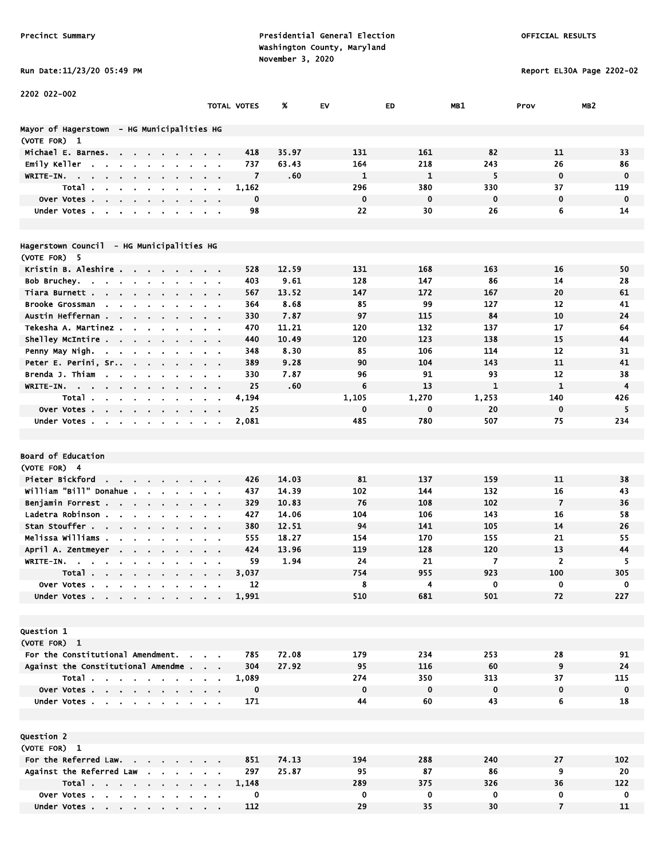# Precinct Summary **Presidential General Election Presidential General Election**  Washington County, Maryland November 3, 2020<br>h Data:11/23/20 O5:49 PM

Report EL30A Page 2202-02

|  |  |  |  | Run Date:11/23/20 05:49 |
|--|--|--|--|-------------------------|
|--|--|--|--|-------------------------|

Under Votes . . . . . . . . . . 112

| 2202 022-002                                                                    |                | TOTAL VOTES    | %     | EV           | ED           | MB1          | Prov                | MB <sub>2</sub>         |
|---------------------------------------------------------------------------------|----------------|----------------|-------|--------------|--------------|--------------|---------------------|-------------------------|
|                                                                                 |                |                |       |              |              |              |                     |                         |
| Mayor of Hagerstown - HG Municipalities HG                                      |                |                |       |              |              |              |                     |                         |
| (VOTE FOR) 1                                                                    |                |                |       |              |              |              |                     |                         |
| Michael E. Barnes.                                                              |                | 418            | 35.97 | 131          | 161          | 82           | 11                  | 33                      |
| Emily Keller<br>$\mathbf{r}$<br>$\blacksquare$                                  |                | 737            | 63.43 | 164          | 218          | 243          | 26                  | 86                      |
| WRITE-IN.<br>$\overline{\phantom{a}}$                                           |                | $\overline{7}$ | .60   | $\mathbf{1}$ | $\mathbf{1}$ | 5            | $\mathbf 0$         | $\mathbf 0$             |
| Total.<br>$\mathbf{r}$                                                          | $\bullet$      | 1,162          |       | 296          | 380          | 330          | 37                  | 119                     |
| over Votes.<br><b>Contract Contract</b><br>$\sim$                               |                | $\mathbf 0$    |       | $\mathbf 0$  | $\mathbf 0$  | $\mathbf 0$  | $\mathbf 0$         | $\mathbf 0$             |
| Under Votes                                                                     | $\alpha = 0.1$ | 98             |       | 22           | 30           | 26           | 6                   | 14                      |
|                                                                                 |                |                |       |              |              |              |                     |                         |
| Hagerstown Council - HG Municipalities HG                                       |                |                |       |              |              |              |                     |                         |
| (VOTE FOR) 5                                                                    |                |                |       |              |              |              |                     |                         |
| Kristin B. Aleshire                                                             |                | 528            | 12.59 | 131          | 168          | 163          | 16                  | 50                      |
| Bob Bruchey.<br><b>Contract Contract</b>                                        |                | 403            | 9.61  | 128          | 147          | 86           | 14                  | 28                      |
| Tiara Burnett .<br>$\cdot$ $\cdot$ $\cdot$                                      |                | 567            | 13.52 | 147          | 172          | 167          | 20                  | 61                      |
| Brooke Grossman<br>$\sim$<br>$\sim$<br>$\blacksquare$                           |                | 364            | 8.68  | 85           | 99           | 127          | 12                  | 41                      |
| Austin Heffernan                                                                |                | 330            | 7.87  | 97           | 115          | 84           | 10                  | 24                      |
| Tekesha A. Martinez<br>$\mathbf{r} = \mathbf{r} + \mathbf{r}$ .                 |                | 470            | 11.21 | 120          | 132          | 137          | 17                  | 64                      |
| Shelley McIntire<br>$\mathbf{r} = \mathbf{r} + \mathbf{r}$ , where $\mathbf{r}$ |                | 440            | 10.49 | 120          | 123          | 138          | 15                  | 44                      |
| Penny May Nigh                                                                  |                | 348            | 8.30  | 85           | 106          | 114          | 12                  | 31                      |
| Peter E. Perini, Sr<br>$\mathbf{r}$ .<br>$\sim$                                 |                | 389            | 9.28  | 90           | 104          | 143          | 11                  | 41                      |
| Brenda J. Thiam<br>$\sim$                                                       |                | 330            | 7.87  | 96           | 91           | 93           | 12                  | 38                      |
| WRITE-IN.                                                                       |                | 25             | .60   | 6            | 13           | $\mathbf{1}$ | $\mathbf{1}$        | $\overline{\mathbf{4}}$ |
| Total.                                                                          |                | 4,194          |       | 1,105        | 1,270        | 1,253        | 140                 | 426                     |
| over Votes.<br><b>Contract Contract</b><br>$\sim$                               |                | 25             |       | $\mathbf 0$  | 0            | 20           | $\mathbf 0$         | 5                       |
| Under Votes<br>$\blacksquare$                                                   |                | 2,081          |       | 485          | 780          | 507          | 75                  | 234                     |
|                                                                                 |                |                |       |              |              |              |                     |                         |
| <b>Board of Education</b>                                                       |                |                |       |              |              |              |                     |                         |
| (VOTE FOR) 4                                                                    |                |                |       |              |              |              |                     |                         |
| Pieter Bickford<br>$\mathbf{r} = \mathbf{r} + \mathbf{r}$ .                     |                | 426            | 14.03 | 81           | 137          | 159          | 11                  | 38                      |
| william "Bill" Donahue .                                                        |                | 437            | 14.39 | 102          | 144          | 132          | 16                  | 43                      |
| Benjamin Forrest<br>$\mathbf{r} = \mathbf{r} + \mathbf{r}$ .                    |                | 329            | 10.83 | 76           | 108          | 102          | $\overline{7}$      | 36                      |
| Ladetra Robinson.                                                               |                | 427            | 14.06 | 104          | 106          | 143          | 16                  | 58                      |
| Stan Stouffer<br>$\blacksquare$                                                 |                | 380            | 12.51 | 94           | 141          | 105          | 14                  | 26                      |
| Melissa Williams.                                                               |                | 555            | 18.27 | 154          | 170          | 155          | 21                  | 55                      |
| April A. Zentmeyer<br><b>Contract Contract</b>                                  |                | 424            | 13.96 | 119          | 128          | 120          | 13                  | 44                      |
| WRITE-IN.<br>$\sim$<br>$\sim$ 100 $\sim$ 100 $\sim$                             |                | 59             | 1.94  | 24           | 21           | 7            | $\overline{2}$      | 5                       |
| Total.<br>.                                                                     |                | 3,037          |       | 754          | 955          | 923          | 100                 | 305                     |
| Over Votes                                                                      |                | 12             |       | 8            | 4            | 0            | 0                   | 0                       |
| Under Votes                                                                     |                | 1,991          |       | 510          | 681          | 501          | 72                  | 227                     |
|                                                                                 |                |                |       |              |              |              |                     |                         |
|                                                                                 |                |                |       |              |              |              |                     |                         |
| Question 1                                                                      |                |                |       |              |              |              |                     |                         |
| (VOTE FOR) 1                                                                    |                |                |       |              |              |              |                     |                         |
| For the Constitutional Amendment.                                               |                | 785            | 72.08 | 179          | 234          | 253          | 28                  | 91                      |
| Against the Constitutional Amendme.                                             |                | 304            | 27.92 | 95           | 116          | 60           | 9                   | 24                      |
| Total                                                                           |                | 1,089          |       | 274          | 350          | 313          | 37                  | 115                     |
| Over Votes                                                                      |                | $\mathbf 0$    |       | $\mathbf 0$  | $\mathbf 0$  | $\mathbf 0$  | $\mathbf 0$         | $\mathbf 0$             |
| Under Votes<br>$\sim$                                                           |                | 171            |       | 44           | 60           | 43           | 6                   | 18                      |
|                                                                                 |                |                |       |              |              |              |                     |                         |
|                                                                                 |                |                |       |              |              |              |                     |                         |
| Question 2                                                                      |                |                |       |              |              |              |                     |                         |
| (VOTE FOR) 1                                                                    |                |                |       |              |              |              |                     |                         |
| For the Referred Law.                                                           |                | 851            | 74.13 | 194          | 288          | 240          | 27                  | 102                     |
| Against the Referred Law                                                        |                | 297            | 25.87 | 95           | 87           | 86           | 9                   | 20                      |
| Total                                                                           |                | 1,148          |       | 289          | 375          | 326          | 36                  | 122                     |
| Over Votes                                                                      |                | 0<br>112       |       | 0<br>29      | 0<br>35      | 0<br>30      | 0<br>$\overline{7}$ | $\mathbf 0$<br>11       |
| Under Votes                                                                     |                |                |       |              |              |              |                     |                         |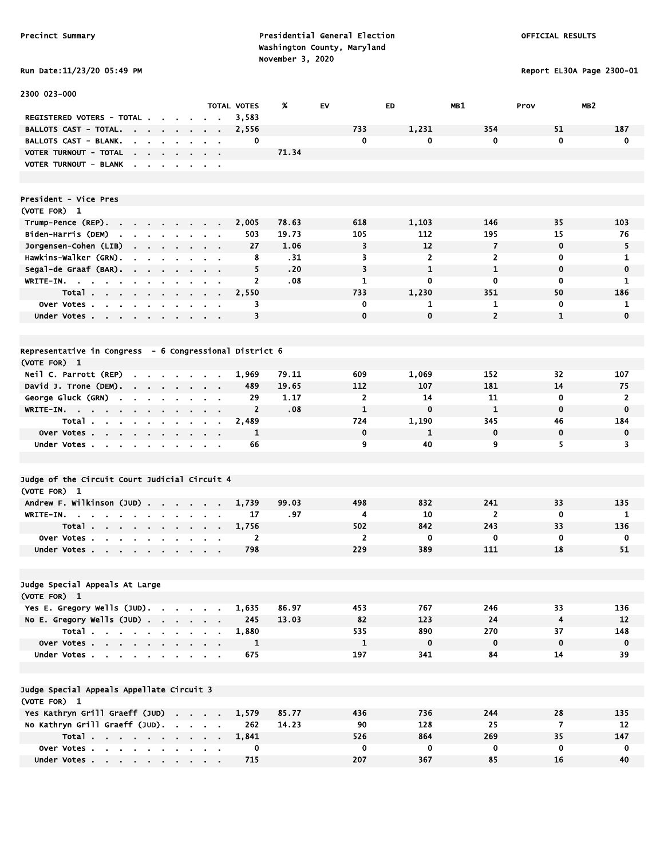2300 023-000

Precinct Summary **Presidential General Election Presidential General Election**  Washington County, Maryland November 3, 2020

TOTAL VOTES % EV ED MB1 Prov MB2

Report EL30A Page 2300-01

| Run Date:11/23/20 05:49 | $\mathbb{R}^2$ |
|-------------------------|----------------|
|-------------------------|----------------|

| <b>REGISTERED VOTERS - TOTAL.</b>                                  |                                 |                                            |                         |                            | 3,583          |       |                |                |                |                |             |
|--------------------------------------------------------------------|---------------------------------|--------------------------------------------|-------------------------|----------------------------|----------------|-------|----------------|----------------|----------------|----------------|-------------|
| <b>BALLOTS CAST - TOTAL.</b>                                       |                                 |                                            |                         |                            | 2,556          |       | 733            | 1,231          | 354            | 51             | 187         |
| BALLOTS CAST - BLANK.                                              |                                 |                                            |                         |                            | 0              |       | 0              | 0              | $\mathbf 0$    | $\mathbf 0$    | C           |
| VOTER TURNOUT - TOTAL                                              | $\bullet$ .<br>$\sim$           |                                            |                         |                            |                | 71.34 |                |                |                |                |             |
| VOTER TURNOUT - BLANK<br>$\blacksquare$                            | $\blacksquare$                  |                                            |                         |                            |                |       |                |                |                |                |             |
|                                                                    |                                 |                                            |                         |                            |                |       |                |                |                |                |             |
|                                                                    |                                 |                                            |                         |                            |                |       |                |                |                |                |             |
| President - Vice Pres                                              |                                 |                                            |                         |                            |                |       |                |                |                |                |             |
| (VOTE FOR) 1                                                       |                                 |                                            |                         |                            |                |       |                |                |                |                |             |
| Trump-Pence (REP).<br>the company of the company of the company of |                                 |                                            |                         |                            | 2,005          | 78.63 | 618            | 1,103          | 146            | 35             | 103         |
| Biden-Harris (DEM)<br>$\mathbf{r}$ .<br>$\sim$                     | $\sim$<br>$\sim$                |                                            |                         |                            | 503            | 19.73 | 105            | 112            | 195            | 15             | 76          |
| Jorgensen-Cohen (LIB)<br>$\sim$                                    | $\mathbf{r}$<br>$\blacksquare$  |                                            | $\sim$                  | $\bullet$                  | 27             | 1.06  | 3              | 12             | $\overline{7}$ | $\mathbf 0$    | 5           |
| Hawkins-Walker (GRN).                                              |                                 |                                            |                         | $\mathcal{L}_{\mathbf{r}}$ | 8              | . 31  | 3              | $\overline{2}$ | $\overline{2}$ | 0              | 1           |
| Segal-de Graaf (BAR).<br>$\sim 100$                                | $\sim$<br>$\sim$                | $\sim$ 100 $\pm$                           | $\sim$                  | $\sim$                     | 5              | .20   | 3              | $\mathbf{1}$   | $\mathbf{1}$   | $\mathbf 0$    | $\mathbf c$ |
| WRITE-IN.                                                          |                                 |                                            |                         |                            | $\overline{2}$ | .08   | 1              | 0              | 0              | $\mathbf 0$    | 1           |
| Total<br>$\blacksquare$<br>$\blacksquare$                          | $\bullet$<br>$\blacksquare$     |                                            |                         | $\blacksquare$             | 2,550          |       | 733            | 1,230          | 351            | 50             | 186         |
| <b>Over Votes.</b><br>$\sim$<br>$\sim$<br>$\cdot$                  | $\sim$<br>$\blacksquare$        |                                            |                         |                            | 3              |       | 0              | 1              | $\mathbf{1}$   | 0              | Л           |
| Under Votes                                                        |                                 |                                            |                         |                            | 3              |       | 0              | $\mathbf 0$    | $\overline{2}$ | $\mathbf{1}$   | C           |
|                                                                    |                                 |                                            |                         |                            |                |       |                |                |                |                |             |
|                                                                    |                                 |                                            |                         |                            |                |       |                |                |                |                |             |
| Representative in Congress - 6 Congressional District 6            |                                 |                                            |                         |                            |                |       |                |                |                |                |             |
| (VOTE FOR) 1                                                       |                                 |                                            |                         |                            |                |       |                |                |                |                |             |
| Neil C. Parrott (REP)                                              |                                 |                                            |                         |                            | 1,969          | 79.11 | 609            | 1,069          | 152            | 32             | 107         |
| David J. Trone (DEM).                                              | the contract of the contract of |                                            |                         |                            | 489            | 19.65 | 112            | 107            | 181            | 14             | 75          |
| George Gluck (GRN)<br>$\mathbf{r}$<br>$\bullet$                    |                                 |                                            |                         |                            | 29             | 1.17  | $\overline{2}$ | 14             | 11             | 0              | 2           |
| WRITE-IN.                                                          | $\sim$<br>$\sim$                | $\sim$                                     | $\mathbf{r}$<br>$\sim$  |                            | $\overline{2}$ | .08   | $\mathbf{1}$   | $\mathbf 0$    | $\mathbf{1}$   | $\mathbf{0}$   | C           |
| Total.<br>$\sim$<br>$\sim 100$ km s $^{-1}$<br>$\sim$              | $\blacksquare$                  |                                            | $\blacksquare$          | ä,                         | 2,489          |       | 724            | 1,190          | 345            | 46             | 184         |
| Over Votes                                                         |                                 |                                            |                         |                            | 1              |       | 0              | 1              | $\mathbf 0$    | $\mathbf 0$    | C           |
| Under Votes                                                        |                                 |                                            |                         |                            | 66             |       | 9              | 40             | 9              | 5.             | 3           |
|                                                                    |                                 |                                            |                         |                            |                |       |                |                |                |                |             |
|                                                                    |                                 |                                            |                         |                            |                |       |                |                |                |                |             |
| Judge of the Circuit Court Judicial Circuit 4                      |                                 |                                            |                         |                            |                |       |                |                |                |                |             |
| (VOTE FOR) 1                                                       |                                 |                                            |                         |                            |                |       |                |                |                |                |             |
| Andrew F. Wilkinson (JUD)                                          |                                 |                                            |                         |                            | 1,739          | 99.03 | 498            | 832            | 241            | 33             | 135         |
| WRITE-IN.<br>$\sim$<br>$\sim$                                      |                                 |                                            |                         |                            | 17             | .97   | 4              | 10             | $\overline{2}$ | $\mathbf 0$    | Л           |
| Total.<br>$\mathbf{r} = \mathbf{r} + \mathbf{r}$<br>$\sim$         | $\sim$<br>$\sim$                | $\mathbf{r} = \mathbf{r} \cdot \mathbf{r}$ |                         | $\sim 100$ km s $^{-1}$    | 1,756          |       | 502            | 842            | 243            | 33             | 136         |
| <b>Over Votes.</b><br>$\sim$<br>$\mathbf{r} = \mathbf{r}$ .        | $\mathbf{r}$                    |                                            |                         | $\bullet$                  | 2              |       | 2              | 0              | 0              | 0              |             |
| Under Votes                                                        |                                 |                                            |                         |                            | 798            |       | 229            | 389            | 111            | 18             | 51          |
|                                                                    |                                 |                                            |                         |                            |                |       |                |                |                |                |             |
|                                                                    |                                 |                                            |                         |                            |                |       |                |                |                |                |             |
| Judge Special Appeals At Large                                     |                                 |                                            |                         |                            |                |       |                |                |                |                |             |
| (VOTE FOR) 1                                                       |                                 |                                            |                         |                            |                |       |                |                |                |                |             |
| Yes E. Gregory Wells (JUD).                                        |                                 |                                            |                         |                            | 1,635          | 86.97 | 453            | 767            | 246            | 33             | 136         |
| No E. Gregory Wells (JUD)                                          |                                 |                                            |                         |                            | 245            | 13.03 | 82             | 123            | 24             | $\overline{4}$ | 12          |
| Total                                                              |                                 |                                            |                         |                            | 1,880          |       | 535            | 890            | 270            | 37             | 148         |
| Over Votes                                                         |                                 |                                            |                         |                            | $\mathbf{1}$   |       | $\mathbf{1}$   | $\mathbf 0$    | $\mathbf 0$    | $\mathbf 0$    | C           |
| Under Votes                                                        |                                 |                                            | $\sim 100$ km s $^{-1}$ |                            | 675            |       | 197            | 341            | 84             | 14             | 39          |
|                                                                    |                                 |                                            |                         |                            |                |       |                |                |                |                |             |
|                                                                    |                                 |                                            |                         |                            |                |       |                |                |                |                |             |
| Judge Special Appeals Appellate Circuit 3                          |                                 |                                            |                         |                            |                |       |                |                |                |                |             |
| (VOTE FOR) 1                                                       |                                 |                                            |                         |                            |                |       |                |                |                |                |             |
| Yes Kathryn Grill Graeff (JUD)                                     |                                 |                                            |                         |                            | 1,579          | 85.77 | 436            | 736            | 244            | 28             | 135         |
| No Kathryn Grill Graeff (JUD).                                     |                                 |                                            |                         |                            | 262            | 14.23 | 90             | 128            | 25             |                | 12          |
| Total                                                              |                                 |                                            |                         |                            | 1,841          |       | 526            | 864            | 269            | 7<br>35        | 147         |
|                                                                    |                                 |                                            |                         |                            |                |       |                |                |                |                |             |

 Over Votes . . . . . . . . . . 0 0 0 0 0 0 Under Votes . . . . . . . . . 715 207 367 367 365 16 40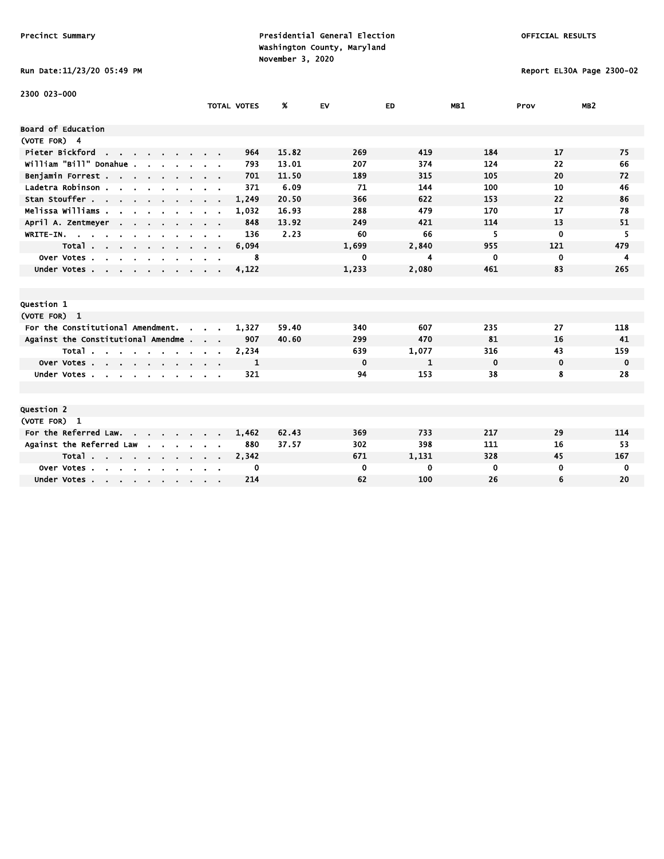# Run Date:11/23/20 05:49 PM Report EL30A Page 2300-02

| 2300 023-000                                                              |               |                    |       |             |           |             |             |                 |
|---------------------------------------------------------------------------|---------------|--------------------|-------|-------------|-----------|-------------|-------------|-----------------|
|                                                                           |               | <b>TOTAL VOTES</b> | %     | EV          | <b>ED</b> | MB1         | Prov        | MB <sub>2</sub> |
| <b>Board of Education</b>                                                 |               |                    |       |             |           |             |             |                 |
| (VOTE FOR) 4                                                              |               |                    |       |             |           |             |             |                 |
| Pieter Bickford<br>the contract of the contract of the                    |               | 964                | 15.82 | 269         | 419       | 184         | 17          | 75              |
| william "Bill" Donahue.                                                   |               | 793                | 13.01 | 207         | 374       | 124         | 22          | 66              |
| Benjamin Forrest                                                          |               | 701                | 11.50 | 189         | 315       | 105         | 20          | 72              |
| Ladetra Robinson.<br>the contract of the contract of the con-             |               | 371                | 6.09  | 71          | 144       | 100         | 10          | 46              |
| Stan Stouffer                                                             |               | 1,249              | 20.50 | 366         | 622       | 153         | 22          | 86              |
| Melissa Williams .<br>$\sim$                                              |               | 1,032              | 16.93 | 288         | 479       | 170         | 17          | 78              |
| April A. Zentmeyer                                                        |               | 848                | 13.92 | 249         | 421       | 114         | 13          | 51              |
| WRITE-IN.                                                                 |               | 136                | 2.23  | 60          | 66        | 5           | $\mathbf 0$ | 5               |
| Total<br>$\sim$                                                           | $\sim$ $\sim$ | 6,094              |       | 1,699       | 2,840     | 955         | 121         | 479             |
| Over Votes<br>$\mathbf{r}$                                                |               | 8                  |       | 0           | 4         | 0           | 0           | 4               |
| Under Votes                                                               |               | 4,122              |       | 1,233       | 2,080     | 461         | 83          | 265             |
|                                                                           |               |                    |       |             |           |             |             |                 |
|                                                                           |               |                    |       |             |           |             |             |                 |
| Question 1                                                                |               |                    |       |             |           |             |             |                 |
| (VOTE FOR) 1                                                              |               |                    |       |             |           |             |             |                 |
| For the Constitutional Amendment.<br>$\mathbf{r}$                         |               | 1,327              | 59.40 | 340         | 607       | 235         | 27          | 118             |
| Against the Constitutional Amendme.                                       | $\sim$ $\sim$ | 907                | 40.60 | 299         | 470       | 81          | 16          | 41              |
| Total                                                                     |               | 2,234              |       | 639         | 1,077     | 316         | 43          | 159             |
| Over Votes                                                                |               | 1                  |       | $\mathbf 0$ | 1         | $\mathbf 0$ | $\mathbf 0$ | $\mathbf 0$     |
| Under Votes                                                               |               | 321                |       | 94          | 153       | 38          | 8           | 28              |
|                                                                           |               |                    |       |             |           |             |             |                 |
|                                                                           |               |                    |       |             |           |             |             |                 |
| Question 2                                                                |               |                    |       |             |           |             |             |                 |
| (VOTE FOR) 1                                                              |               |                    |       |             |           |             |             |                 |
| For the Referred Law.                                                     |               | 1,462              | 62.43 | 369         | 733       | 217         | 29          | 114             |
| Against the Referred Law                                                  |               | 880                | 37.57 | 302         | 398       | 111         | 16          | 53              |
| Total                                                                     |               | 2,342              |       | 671         | 1,131     | 328         | 45          | 167             |
| Over Votes.<br>$\mathbf{r}$ , $\mathbf{r}$ , $\mathbf{r}$<br>$\mathbf{r}$ |               | 0                  |       | 0           | 0         | 0           | 0           | 0               |
| Under Votes                                                               |               | 214                |       | 62          | 100       | 26          | 6           | 20              |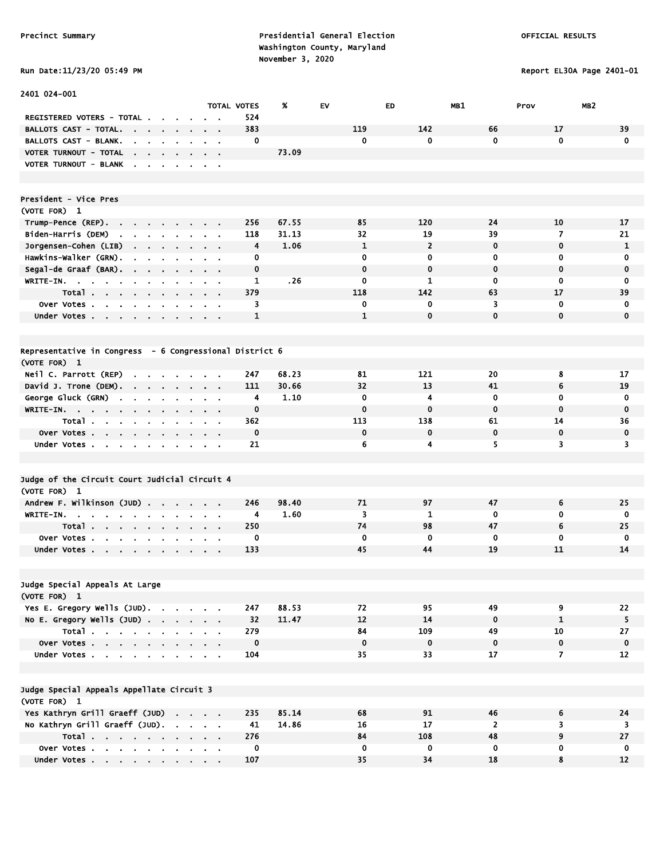Precinct Summary **Presidential General Election Presidential General Election**  Washington County, Maryland November 3, 2020<br>h Date:11/23/20 O5:49 PM

Report EL30A Page 2401-01

| Run Date:11/23/20 05:49 P |  |  |  |
|---------------------------|--|--|--|
|---------------------------|--|--|--|

| 2401 024-001                                                                                                   |        |                               |                    |       |              |                |                    |                          |                    |
|----------------------------------------------------------------------------------------------------------------|--------|-------------------------------|--------------------|-------|--------------|----------------|--------------------|--------------------------|--------------------|
|                                                                                                                |        |                               | <b>TOTAL VOTES</b> | %     | EV           | ED.            | MB1                | MB <sub>2</sub><br>Prov  |                    |
| REGISTERED VOTERS - TOTAL .                                                                                    |        |                               | 524                |       | 119          | 142            |                    |                          |                    |
| BALLOTS CAST - TOTAL.<br><b>Contract Contract Contract</b><br>$\sim$<br>$\sim$<br><b>BALLOTS CAST - BLANK.</b> | $\sim$ |                               | 383<br>0           |       | $\mathbf 0$  | 0              | 66<br>$\mathbf{0}$ | 17<br>$\mathbf 0$        | 39<br>$\mathbf{0}$ |
| $\sim$<br>$\sim$<br>VOTER TURNOUT - TOTAL                                                                      |        | $\mathbf{r} = \mathbf{r}$     |                    | 73.09 |              |                |                    |                          |                    |
| the company of the company<br>VOTER TURNOUT - BLANK                                                            |        | $\alpha$ , $\beta$ , $\alpha$ |                    |       |              |                |                    |                          |                    |
|                                                                                                                |        |                               |                    |       |              |                |                    |                          |                    |
|                                                                                                                |        |                               |                    |       |              |                |                    |                          |                    |
| President - Vice Pres                                                                                          |        |                               |                    |       |              |                |                    |                          |                    |
| (VOTE FOR) 1                                                                                                   |        |                               |                    |       |              |                |                    |                          |                    |
| Trump-Pence (REP).                                                                                             | $\sim$ |                               | 256                | 67.55 | 85           | 120            | 24                 | 10                       | 17                 |
| Biden-Harris (DEM)<br><b>Contract Contract</b><br>$\mathbf{r} = \mathbf{r}$<br>$\sim$                          |        |                               | 118                | 31.13 | 32           | 19             | 39                 | $\overline{\phantom{a}}$ | 21                 |
| Jorgensen-Cohen (LIB)<br>$\mathbf{r} = \mathbf{r} + \mathbf{r}$ , where $\mathbf{r}$<br>$\bullet$              | $\sim$ | $\mathbf{r} = \mathbf{r}$     | 4                  | 1.06  | $\mathbf{1}$ | $\overline{2}$ | $\mathbf 0$        | $\mathbf 0$              | 1                  |
| Hawkins-Walker (GRN).<br>$\blacksquare$<br>$\mathbf{r}$<br>$\blacksquare$<br>$\blacksquare$                    |        | $\sim$ $\sim$                 | 0                  |       | $\mathbf 0$  | 0              | 0                  | 0                        | 0                  |
| Segal-de Graaf (BAR).                                                                                          |        | $\mathbf{r} = \mathbf{r}$     | 0                  |       | $\mathbf 0$  | 0              | $\mathbf 0$        | $\mathbf 0$              | $\mathbf 0$        |
| WRITE-IN.                                                                                                      |        | $\alpha$ , $\beta$ , $\alpha$ | $\mathbf{1}$       | .26   | $\mathbf 0$  | $\mathbf{1}$   | $\mathbf 0$        | 0                        | 0                  |
| Total.                                                                                                         |        |                               | 379                |       | 118          | 142            | 63                 | 17                       | 39                 |
| Over Votes<br>$\bullet$                                                                                        |        |                               | 3                  |       | 0            | 0              | 3                  | $\mathbf 0$              | 0                  |
| Under Votes                                                                                                    |        |                               | $\mathbf{1}$       |       | $\mathbf{1}$ | $\mathbf 0$    | $\mathbf{0}$       | $\mathbf 0$              | 0                  |
|                                                                                                                |        |                               |                    |       |              |                |                    |                          |                    |
| Representative in Congress - 6 Congressional District 6                                                        |        |                               |                    |       |              |                |                    |                          |                    |
| (VOTE FOR) 1                                                                                                   |        |                               |                    |       |              |                |                    |                          |                    |
| Neil C. Parrott (REP)<br>$\blacksquare$<br>and the contract of the con-                                        |        |                               | 247                | 68.23 | 81           | 121            | 20                 | 8                        | 17                 |
| David J. Trone (DEM).                                                                                          |        | $\sim$ $\sim$                 | 111                | 30.66 | 32           | 13             | 41                 | 6                        | 19                 |
| George Gluck (GRN)<br>$\sim$<br>$\sim$<br>$\mathbf{r}$                                                         |        |                               | 4                  | 1.10  | $\mathbf 0$  | 4              | $\mathbf 0$        | $\mathbf 0$              | $\mathbf 0$        |
| $WRITE-IN.$                                                                                                    |        |                               | 0                  |       | $\mathbf 0$  | $\bf{0}$       | $\mathbf 0$        | $\mathbf 0$              | $\mathbf 0$        |
| Total<br>$\sim$<br>$\sim$<br>$\blacksquare$                                                                    |        |                               | 362                |       | 113          | 138            | 61                 | 14                       | 36                 |
| Over Votes<br>$\sim 100$                                                                                       | $\sim$ | $\sim$ 100 $\pm$              | $\mathbf 0$        |       | $\mathbf 0$  | $\mathbf 0$    | $\mathbf 0$        | $\mathbf 0$              | 0                  |
| Under Votes                                                                                                    |        |                               | 21                 |       | 6            | 4              | 5                  | 3                        | 3                  |
|                                                                                                                |        |                               |                    |       |              |                |                    |                          |                    |
| Judge of the Circuit Court Judicial Circuit 4                                                                  |        |                               |                    |       |              |                |                    |                          |                    |
| (VOTE FOR) 1                                                                                                   |        |                               |                    |       |              |                |                    |                          |                    |
| Andrew F. Wilkinson (JUD)                                                                                      |        | $\alpha = 0.1$                | 246                | 98.40 | 71           | 97             | 47                 | 6                        | 25                 |
| WRITE-IN.                                                                                                      |        |                               | 4                  | 1.60  | 3            | 1              | $\mathbf 0$        | 0                        | 0                  |
| Total<br>$\sim$                                                                                                | $\sim$ |                               | 250                |       | 74           | 98             | 47                 | 6                        | 25                 |
| Over Votes.<br>$\mathbf{a}$ , $\mathbf{a}$ , $\mathbf{a}$<br>$\sim$<br>$\bullet$<br>$\mathbf{r}$               |        |                               | 0                  |       | 0            | 0              | $\mathbf 0$        | 0                        | 0                  |
| Under Votes                                                                                                    |        |                               | 133                |       | 45           | 44             | 19                 | 11                       | 14                 |
|                                                                                                                |        |                               |                    |       |              |                |                    |                          |                    |
| Judge Special Appeals At Large                                                                                 |        |                               |                    |       |              |                |                    |                          |                    |
| (VOTE FOR) 1                                                                                                   |        |                               |                    |       |              |                |                    |                          |                    |
| Yes E. Gregory Wells (JUD).                                                                                    |        |                               | 247                | 88.53 | 72           | 95             | 49                 | 9                        | 22                 |
| No E. Gregory Wells $(JUD)$ .                                                                                  |        |                               | 32                 | 11.47 | 12           | 14             | $\mathbf 0$        | $\mathbf{1}$             | 5                  |
| Total                                                                                                          |        |                               | 279                |       | 84           | 109            | 49                 | 10                       | 27                 |
| Over Votes                                                                                                     |        |                               | $\mathbf 0$        |       | $\mathbf 0$  | $\mathbf 0$    | $\mathbf{0}$       | $\mathbf 0$              | $\mathbf 0$        |
| Under Votes                                                                                                    |        |                               | 104                |       | 35           | 33             | 17                 | $\overline{7}$           | 12                 |
|                                                                                                                |        |                               |                    |       |              |                |                    |                          |                    |
| Judge Special Appeals Appellate Circuit 3                                                                      |        |                               |                    |       |              |                |                    |                          |                    |
| (VOTE FOR) 1                                                                                                   |        |                               |                    |       |              |                |                    |                          |                    |
| Yes Kathryn Grill Graeff (JUD)                                                                                 |        |                               | 235                | 85.14 | 68           | 91             | 46                 | 6                        | 24                 |
| No Kathryn Grill Graeff (JUD).                                                                                 |        |                               | 41                 | 14.86 | 16           | 17             | $\overline{2}$     | 3                        | 3                  |
| Total                                                                                                          |        |                               | 276                |       | 84           | 108            | 48                 | 9                        | 27                 |
| Over Votes                                                                                                     |        |                               | 0                  |       | $\mathbf 0$  | 0              | $\mathbf 0$        | 0                        | 0                  |
| Under Votes                                                                                                    |        |                               | 107                |       | 35           | 34             | 18                 | 8                        | 12                 |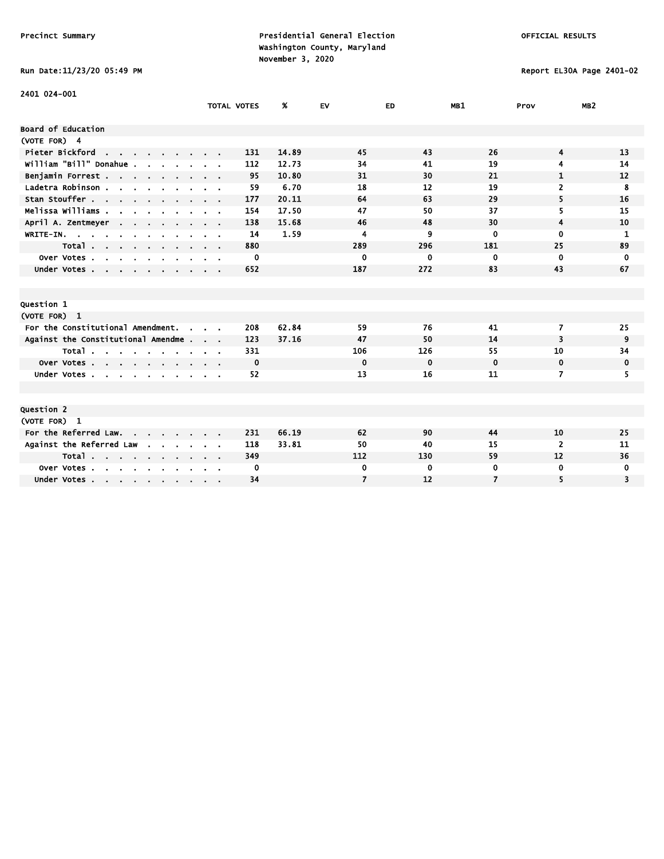Run Date:11/23/20 05:49 PM Report EL30A Page 2401-02

| 2401 024-001                                             |                               |                    |       |                |             |                |                |                 |
|----------------------------------------------------------|-------------------------------|--------------------|-------|----------------|-------------|----------------|----------------|-----------------|
|                                                          |                               | <b>TOTAL VOTES</b> | %     | EV             | ED          | MB1            | Prov           | MB <sub>2</sub> |
| <b>Board of Education</b>                                |                               |                    |       |                |             |                |                |                 |
|                                                          |                               |                    |       |                |             |                |                |                 |
| (VOTE FOR) 4                                             |                               |                    |       |                |             |                |                |                 |
| Pieter Bickford<br>the company of the company of         |                               | 131                | 14.89 | 45             | 43          | 26             | 4              | 13              |
| william "Bill" Donahue .                                 |                               | 112                | 12.73 | 34             | 41          | 19             | 4              | 14              |
| Benjamin Forrest                                         |                               | 95                 | 10.80 | 31             | 30          | 21             | 1              | 12              |
| Ladetra Robinson                                         | $\alpha$ , $\beta$ , $\alpha$ | 59                 | 6.70  | 18             | 12          | 19             | 2              | 8               |
| Stan Stouffer                                            |                               | 177                | 20.11 | 64             | 63          | 29             | 5              | 16              |
| Melissa Williams                                         |                               | 154                | 17.50 | 47             | 50          | 37             | 5              | 15              |
| April A. Zentmeyer                                       |                               | 138                | 15.68 | 46             | 48          | 30             | 4              | 10              |
| WRITE-IN.                                                |                               | 14                 | 1.59  | 4              | 9           | $\mathbf{0}$   | $\mathbf{0}$   | 1               |
| Total                                                    |                               | 880                |       | 289            | 296         | 181            | 25             | 89              |
| Over Votes<br>$\sim$<br>$\mathbf{r}$ .<br>$\blacksquare$ |                               | 0                  |       | 0              | 0           | $\mathbf 0$    | 0              | 0               |
| Under Votes                                              |                               | 652                |       | 187            | 272         | 83             | 43             | 67              |
|                                                          |                               |                    |       |                |             |                |                |                 |
|                                                          |                               |                    |       |                |             |                |                |                 |
| <b>Question 1</b>                                        |                               |                    |       |                |             |                |                |                 |
| (VOTE FOR) 1                                             |                               |                    |       |                |             |                |                |                 |
| For the Constitutional Amendment.<br>$\sim$              |                               | 208                | 62.84 | 59             | 76          | 41             | 7              | 25              |
| Against the Constitutional Amendme                       |                               | 123                | 37.16 | 47             | 50          | 14             | 3              | 9               |
| Total                                                    |                               | 331                |       | 106            | 126         | 55             | 10             | 34              |
| Over Votes                                               |                               | 0                  |       | $\bf{0}$       | $\mathbf 0$ | $\mathbf 0$    | 0              | 0               |
| Under Votes                                              |                               | 52                 |       | 13             | 16          | 11             | 7              | 5.              |
|                                                          |                               |                    |       |                |             |                |                |                 |
|                                                          |                               |                    |       |                |             |                |                |                 |
| <b>Question 2</b>                                        |                               |                    |       |                |             |                |                |                 |
| (VOTE FOR) 1                                             |                               |                    |       |                |             |                |                |                 |
| For the Referred Law.                                    |                               | 231                | 66.19 | 62             | 90          | 44             | 10             | 25              |
| Against the Referred Law<br>$\mathbf{r}$                 |                               | 118                | 33.81 | 50             | 40          | 15             | $\overline{2}$ | 11              |
| Total                                                    |                               | 349                |       | 112            | 130         | 59             | 12             | 36              |
| Over Votes<br>$\sim$<br>$\sim$                           |                               | 0                  |       | 0              | 0           | $\bf{0}$       | 0              | 0               |
|                                                          |                               | 34                 |       | $\overline{7}$ | 12          | $\overline{7}$ | 5              | 3               |
| Under Votes                                              |                               |                    |       |                |             |                |                |                 |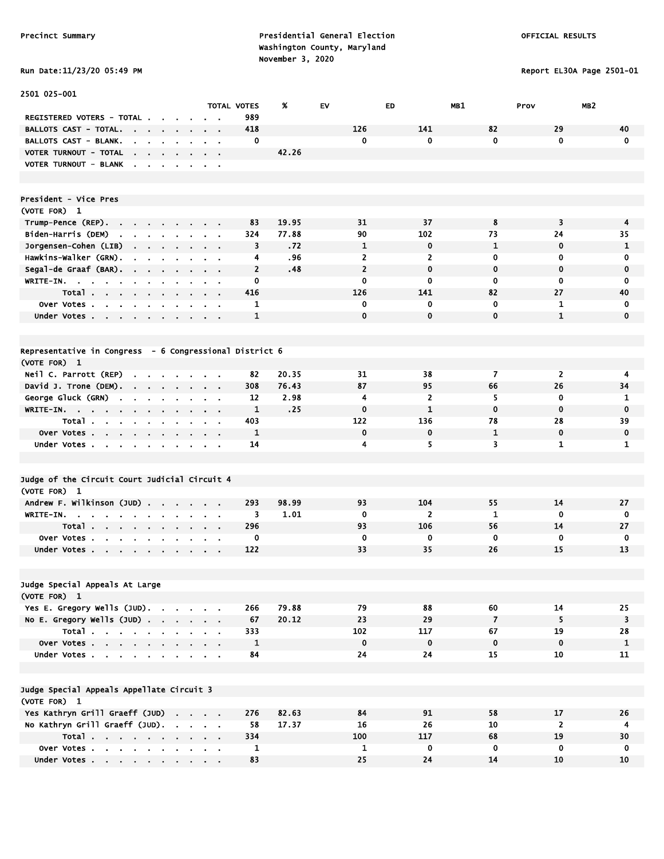2501 025-001

Precinct Summary **Presidential General Election Presidential General Election**  Washington County, Maryland November 3, 2020<br>-  $\sim$  0.11/22/20  $\sim$  0.140 PM

Report EL30A Page 2501-01

|                                                                                           |                                        |                |                          |                         |                          | TOTAL VOTES             | Ж     | EV  | ED.            |                | <b>MB1</b>              | Prov                    | MB 2                    |
|-------------------------------------------------------------------------------------------|----------------------------------------|----------------|--------------------------|-------------------------|--------------------------|-------------------------|-------|-----|----------------|----------------|-------------------------|-------------------------|-------------------------|
| REGISTERED VOTERS - TOTAL.                                                                |                                        |                |                          |                         | $\overline{\phantom{a}}$ | 989                     |       |     |                |                |                         |                         |                         |
| <b>BALLOTS CAST - TOTAL.</b>                                                              |                                        |                |                          |                         |                          | 418                     |       | 126 |                | 141            | 82                      | 29                      | 40                      |
| BALLOTS CAST - BLANK.                                                                     | $\mathbf{r}$                           |                | $\mathbf{r}$             | $\mathbf{a}=\mathbf{a}$ |                          | $\mathbf 0$             |       |     | $\mathbf{0}$   | $\bf{0}$       | $\mathbf{0}$            | $\mathbf 0$             | $\bf{0}$                |
| VOTER TURNOUT - TOTAL                                                                     |                                        |                |                          |                         |                          |                         | 42.26 |     |                |                |                         |                         |                         |
| <b>VOTER TURNOUT - BLANK</b>                                                              | $\blacksquare$                         |                | $\blacksquare$           | $\sim$ $\sim$           |                          |                         |       |     |                |                |                         |                         |                         |
|                                                                                           |                                        |                |                          |                         |                          |                         |       |     |                |                |                         |                         |                         |
|                                                                                           |                                        |                |                          |                         |                          |                         |       |     |                |                |                         |                         |                         |
| President - Vice Pres                                                                     |                                        |                |                          |                         |                          |                         |       |     |                |                |                         |                         |                         |
| (VOTE FOR) 1                                                                              |                                        |                |                          |                         |                          |                         |       |     |                |                |                         |                         |                         |
| Trump-Pence (REP).<br>$\mathbf{r}$<br>$\mathbf{r}$                                        |                                        |                | $\blacksquare$           |                         |                          | 83                      | 19.95 |     | 31             | 37             | 8                       | $\overline{\mathbf{3}}$ | $\boldsymbol{4}$        |
| Biden-Harris (DEM)<br>the company of the company of                                       |                                        |                |                          | $\mathbf{a}=\mathbf{a}$ |                          | 324                     | 77.88 |     | 90             | 102            | 73                      | 24                      | 35                      |
| Jorgensen-Cohen (LIB)<br>$\mathbf{r} = \mathbf{r}$                                        | $\sim$                                 |                | $\blacksquare$           | $\sim$                  |                          | $\overline{\mathbf{3}}$ | .72   |     | $\mathbf{1}$   | $\mathbf 0$    | $\mathbf{1}$            | $\mathbf 0$             | $\mathbf{1}$            |
| Hawkins-Walker (GRN).                                                                     | $\ddot{\phantom{a}}$<br>$\blacksquare$ |                | ÷.                       | ÷.                      | $\blacksquare$           | 4                       | .96   |     | $\overline{2}$ | $\overline{2}$ | $\bf{0}$                | $\mathbf 0$             | 0                       |
| Segal-de Graaf (BAR).<br>$\sim$                                                           | $\bullet$<br>$\blacksquare$            |                | $\blacksquare$           | $\sim$                  | $\epsilon$               | $\overline{2}$          | .48   |     | $\overline{2}$ | $\mathbf 0$    | $\mathbf 0$             | $\mathbf 0$             | $\mathbf 0$             |
| WRITE-IN.<br>$\mathbf{r}$                                                                 |                                        |                |                          |                         | $\mathbf{r}$             | $\mathbf 0$             |       |     | $\mathbf 0$    | $\bf{0}$       | $\mathbf 0$             | $\mathbf 0$             | $\mathbf 0$             |
| Total                                                                                     | $\blacksquare$                         |                | $\blacksquare$           | $\sim$ $\sim$           |                          | 416                     |       | 126 |                | 141            | 82                      | 27                      | 40                      |
| Over Votes                                                                                | $\mathbf{r}$                           |                |                          | $\sim$ $\sim$           |                          | 1                       |       |     | $\mathbf 0$    | 0              | $\mathbf 0$             | $\mathbf{1}$            | $\mathbf 0$             |
| Under Votes.<br>$\mathbf{r} = \mathbf{r} \cdot \mathbf{r}$<br>$\mathbf{a}$ , $\mathbf{a}$ | $\mathbf{r}$ .<br>$\mathbf{r}$         |                |                          |                         | $\epsilon$               | $\mathbf{1}$            |       |     | $\mathbf 0$    | $\mathbf 0$    | $\mathbf 0$             | $\mathbf{1}$            | $\mathbf 0$             |
|                                                                                           |                                        |                |                          |                         |                          |                         |       |     |                |                |                         |                         |                         |
|                                                                                           |                                        |                |                          |                         |                          |                         |       |     |                |                |                         |                         |                         |
| Representative in Congress - 6 Congressional District 6                                   |                                        |                |                          |                         |                          |                         |       |     |                |                |                         |                         |                         |
| (VOTE FOR) 1                                                                              |                                        |                |                          |                         |                          |                         |       |     |                |                |                         |                         |                         |
| Neil C. Parrott (REP)                                                                     | $\sim$                                 |                |                          | $\sim$ $\sim$           |                          | 82                      | 20.35 |     | 31             | 38             | $\overline{7}$          | $\overline{2}$          | $\overline{\mathbf{4}}$ |
| David J. Trone (DEM).<br>$\sim$                                                           | $\sim$<br>$\blacksquare$               | $\blacksquare$ | $\blacksquare$           | $\sim$                  | $\cdot$                  | 308                     | 76.43 |     | 87             | 95             | 66                      | 26                      | 34                      |
| George Gluck (GRN)                                                                        |                                        |                | the contract of the con- |                         |                          | 12                      | 2.98  |     | 4              | $\overline{2}$ | 5                       | $\mathbf 0$             | 1                       |
| WRITE-IN.<br><b>Contract</b><br>$\sim$                                                    |                                        |                |                          | $\mathbf{r}$            |                          | $\mathbf{1}$            | .25   |     | $\mathbf 0$    | $\mathbf{1}$   | $\mathbf 0$             | $\mathbf 0$             | $\mathbf 0$             |
| Total.<br>$\mathbf{r}$<br>$\sim$<br>$\blacksquare$                                        | $\bullet$                              |                |                          | $\blacksquare$          | $\blacksquare$           | 403                     |       | 122 |                | 136            | 78                      | 28                      | 39                      |
| Over Votes.<br>$\sim$<br>$\mathbf{r} = \mathbf{r}$ .                                      | $\blacksquare$<br>$\blacksquare$       |                | $\blacksquare$           | $\bullet$               | $\ddot{\phantom{a}}$     | $\mathbf{1}$            |       |     | $\mathbf 0$    | $\mathbf 0$    | $\mathbf{1}$            | $\mathbf 0$             | $\mathbf 0$             |
| Under Votes<br>$\sim$<br>$\sim$                                                           |                                        |                | $\mathbf{r}$             | $\sim$                  | $\blacksquare$           | 14                      |       |     | 4              | 5              | $\overline{\mathbf{3}}$ | $\mathbf{1}$            | $\mathbf{1}$            |
|                                                                                           |                                        |                |                          |                         |                          |                         |       |     |                |                |                         |                         |                         |
|                                                                                           |                                        |                |                          |                         |                          |                         |       |     |                |                |                         |                         |                         |
| Judge of the Circuit Court Judicial Circuit 4                                             |                                        |                |                          |                         |                          |                         |       |     |                |                |                         |                         |                         |
| (VOTE FOR) 1                                                                              |                                        |                |                          |                         |                          |                         |       |     |                |                |                         |                         |                         |
| Andrew F. Wilkinson (JUD).                                                                |                                        | $\sim$         | $\sim$                   | $\sim 10$               |                          | 293                     | 98.99 |     | 93             | 104            | 55                      | 14                      | 27                      |
| WRITE-IN.                                                                                 | $\sim$<br>$\blacksquare$               | $\blacksquare$ | $\blacksquare$           | $\sim$                  | $\sim$                   | 3                       | 1.01  |     | $\mathbf 0$    | $\overline{2}$ | $\mathbf{1}$            | $\mathbf 0$             | 0                       |
| Total.<br>$\mathbf{r} = \mathbf{r} + \mathbf{r} + \mathbf{r}$ .                           | $\mathbf{r}$ .                         |                | $\epsilon$               | $\sim$                  | $\epsilon$               | 296                     |       |     | 93             | 106            | 56                      | 14                      | 27                      |
| Over Votes.<br>$\mathbf{u}$ .                                                             |                                        |                |                          |                         |                          | $\mathbf 0$             |       |     | $\mathbf 0$    | $\mathbf 0$    | $\mathbf 0$             | $\mathbf 0$             | $\mathbf 0$             |
| Under Votes                                                                               | $\sim$                                 | $\sim$         | $\mathbf{r}$             | $\sim$ $\sim$           |                          | 122                     |       |     | 33             | 35             | 26                      | 15                      | 13                      |
|                                                                                           |                                        |                |                          |                         |                          |                         |       |     |                |                |                         |                         |                         |
|                                                                                           |                                        |                |                          |                         |                          |                         |       |     |                |                |                         |                         |                         |
| Judge Special Appeals At Large                                                            |                                        |                |                          |                         |                          |                         |       |     |                |                |                         |                         |                         |
| (VOTE FOR) 1                                                                              |                                        |                |                          |                         |                          |                         |       |     |                |                |                         |                         |                         |
| Yes E. Gregory Wells (JUD).                                                               |                                        |                |                          |                         |                          | 266                     | 79.88 |     | 79             | 88             | 60                      | 14                      | 25                      |
| No E. Gregory Wells $(JUD)$                                                               |                                        |                | <b>Contract Contract</b> | $\sim$ $\sim$           |                          | 67                      | 20.12 |     | 23             | 29             | $\overline{7}$          | 5                       | 3                       |
| Total.                                                                                    |                                        |                |                          |                         |                          | 333                     |       | 102 |                | 117            | 67                      | 19                      | 28                      |
| and the second control of the second                                                      |                                        |                |                          |                         |                          |                         |       |     |                |                |                         |                         |                         |

Judge Special Appeals Appellate Circuit 3

| Judge Special Appeals Appellate Circuit 3 |       |  |  |  |  |     |       |     |     |    |    |    |
|-------------------------------------------|-------|--|--|--|--|-----|-------|-----|-----|----|----|----|
| (VOTE FOR) 1                              |       |  |  |  |  |     |       |     |     |    |    |    |
| Yes Kathryn Grill Graeff (JUD)            |       |  |  |  |  | 276 | 82.63 | 84  | 91  | 58 |    | 26 |
| No Kathryn Grill Graeff (JUD).            |       |  |  |  |  | 58  | 17.37 |     |     | 10 |    |    |
|                                           | Total |  |  |  |  | 334 |       | 100 | 117 | 68 |    | 30 |
| Over Votes                                |       |  |  |  |  |     |       |     |     |    |    |    |
| Under Votes                               |       |  |  |  |  | 83  |       |     |     |    | 10 | 10 |

Over Votes . . . . . . . . . . 1 0 0 0 0 0 1 Under Votes . . . . . . . . . 84 24 24 15 10 11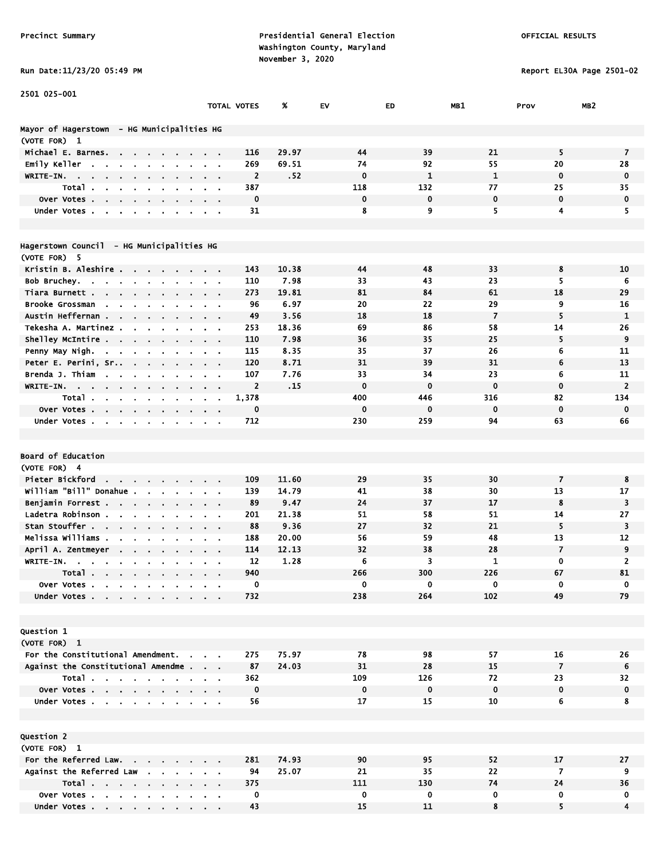Report EL30A Page 2501-02

|  |  |  | KUN DALE:11/23/20 03:49 |  |
|--|--|--|-------------------------|--|
|  |  |  |                         |  |

| 2501 025-001                                                               |                      |                         |       |                    |              |                    |                   |                 |
|----------------------------------------------------------------------------|----------------------|-------------------------|-------|--------------------|--------------|--------------------|-------------------|-----------------|
|                                                                            |                      | TOTAL VOTES             | %     | EV                 | ED           | MB1                | Prov              | MB <sub>2</sub> |
| Mayor of Hagerstown  – HG Municipalities HG                                |                      |                         |       |                    |              |                    |                   |                 |
| (VOTE FOR) 1                                                               |                      |                         |       |                    |              |                    |                   |                 |
| Michael E. Barnes.<br><b>Contract Contract</b>                             |                      | 116                     | 29.97 | 44                 | 39           | 21                 | 5                 | 7               |
| Emily Keller<br><b>Contract Contract</b><br>$\sim$                         |                      | 269                     | 69.51 | 74                 | 92           | 55                 | 20                | 28              |
| WRITE-IN.<br>$\sim$                                                        |                      | $\overline{\mathbf{2}}$ | .52   | $\mathbf 0$        | $\mathbf{1}$ | $\mathbf{1}$       | $\mathbf 0$       | $\mathbf 0$     |
| Total.                                                                     |                      | 387                     |       | 118                | 132          | 77                 | 25                | 35              |
| over Votes.<br>$\sim$<br>$\epsilon$<br>$\bullet$<br>٠<br>$\blacksquare$    |                      | $\mathbf 0$             |       | $\mathbf 0$        | $\mathbf 0$  | $\mathbf 0$        | $\mathbf 0$       | $\mathbf 0$     |
| Under Votes                                                                |                      | 31                      |       | 8                  | 9            | 5                  | 4                 | 5               |
|                                                                            |                      |                         |       |                    |              |                    |                   |                 |
| Hagerstown Council  – HG Municipalities HG                                 |                      |                         |       |                    |              |                    |                   |                 |
| (VOTE FOR) 5                                                               |                      |                         |       |                    |              |                    |                   |                 |
| Kristin B. Aleshire                                                        |                      | 143                     | 10.38 | 44                 | 48           | 33                 | 8                 | 10              |
| Bob Bruchey.<br>the contract of the contract<br>$\bullet$                  |                      | 110                     | 7.98  | 33                 | 43           | 23                 | 5.                | 6               |
| Tiara Burnett.<br>$\mathbf{r} = \mathbf{r} + \mathbf{r}$ .                 |                      | 273                     | 19.81 | 81                 | 84           | 61                 | 18                | 29              |
| Brooke Grossman                                                            |                      | 96                      | 6.97  | 20                 | 22           | 29                 | 9                 | 16              |
| Austin Heffernan<br>$\sim$ $\sim$                                          |                      | 49                      | 3.56  | 18                 | 18           | $\overline{7}$     | 5                 | $\mathbf{1}$    |
| Tekesha A. Martinez                                                        |                      | 253                     | 18.36 | 69                 | 86           | 58                 | 14                | 26              |
| Shelley McIntire                                                           |                      | 110                     | 7.98  | 36                 | 35           | 25                 | 5                 | 9               |
| $\mathbf{r} = \mathbf{r}$<br>$\blacksquare$<br>Penny May Nigh.             | $\sim$ $ \sim$       | 115                     | 8.35  | 35                 | 37           | 26                 | 6                 | 11              |
| $\alpha$ , $\beta$ , $\alpha$<br>Peter E. Perini, Sr                       |                      | 120                     | 8.71  | 31                 | 39           | 31                 | 6                 | 13              |
| $\sim$<br>$\mathbf{r}$<br>$\bullet$<br>Brenda J. Thiam                     |                      | 107                     | 7.76  | 33                 | 34           | 23                 | 6                 | 11              |
| $\sim$<br>WRITE-IN.                                                        |                      | $\overline{2}$          | .15   | $\mathbf 0$        | $\mathbf 0$  | $\mathbf 0$        | $\mathbf 0$       | $\overline{2}$  |
| $\sim$ $ \sim$                                                             |                      | 1,378                   |       |                    |              |                    |                   | 134             |
| Total.                                                                     |                      | $\mathbf 0$             |       | 400<br>$\mathbf 0$ | 446<br>0     | 316<br>$\mathbf 0$ | 82<br>$\mathbf 0$ | $\mathbf 0$     |
| Over Votes                                                                 |                      |                         |       | 230                | 259          | 94                 |                   | 66              |
| Under Votes<br>$\blacksquare$<br>$\sim$                                    | $\sim$ $\sim$        | 712                     |       |                    |              |                    | 63                |                 |
|                                                                            |                      |                         |       |                    |              |                    |                   |                 |
|                                                                            |                      |                         |       |                    |              |                    |                   |                 |
| <b>Board of Education</b>                                                  |                      |                         |       |                    |              |                    |                   |                 |
| (VOTE FOR) 4                                                               |                      |                         |       |                    |              |                    |                   |                 |
| Pieter Bickford<br><b>Contract Contract</b><br>$\mathbf{r} = \mathbf{r}$ . |                      | 109                     | 11.60 | 29                 | 35           | 30                 | $\overline{7}$    | 8               |
| William "Bill" Donahue .                                                   |                      | 139                     | 14.79 | 41                 | 38           | 30                 | 13                | 17              |
| Benjamin Forrest<br>$\sim 100$ km s $^{-1}$                                |                      | 89                      | 9.47  | 24                 | 37           | 17                 | 8                 | 3               |
| Ladetra Robinson.<br>$\blacksquare$                                        |                      | 201                     | 21.38 | 51                 | 58           | 51                 | 14                | 27              |
| Stan Stouffer                                                              |                      | 88                      | 9.36  | 27                 | 32           | 21                 | 5                 | 3               |
| Melissa Williams .<br>$\bullet$                                            |                      | 188                     | 20.00 | 56                 | 59           | 48                 | 13                | 12              |
| April A. Zentmeyer                                                         |                      | 114                     | 12.13 | 32                 | 38           | 28                 | $\overline{7}$    | 9               |
| WRITE-IN.<br>$\sim$<br>$\mathbf{r} = \mathbf{r} + \mathbf{r}$ .            |                      | 12                      | 1.28  | 6                  | 3            | 1                  | 0                 | $\overline{2}$  |
| Total                                                                      |                      | 940                     |       | 266                | 300          | 226                | 67                | 81              |
| Over Votes                                                                 |                      | 0                       |       | 0                  | 0            | 0                  | 0                 | 0               |
| Under Votes                                                                |                      | 732                     |       | 238                | 264          | 102                | 49                | 79              |
|                                                                            |                      |                         |       |                    |              |                    |                   |                 |
| <b>Question 1</b>                                                          |                      |                         |       |                    |              |                    |                   |                 |
|                                                                            |                      |                         |       |                    |              |                    |                   |                 |
| (VOTE FOR) 1                                                               |                      |                         |       |                    |              |                    |                   |                 |
| For the Constitutional Amendment.                                          | $\sim$ $\sim$ $\sim$ | 275                     | 75.97 | 78                 | 98           | 57                 | 16                | 26              |
| Against the Constitutional Amendme                                         |                      | 87                      | 24.03 | 31                 | 28           | 15                 | $\overline{7}$    | 6               |
| Total                                                                      |                      | 362                     |       | 109                | 126          | 72                 | 23                | 32              |
| Over Votes                                                                 |                      | $\mathbf 0$             |       | $\mathbf 0$        | $\pmb{0}$    | $\mathbf 0$        | 0                 | 0               |
| Under Votes                                                                |                      | 56                      |       | 17                 | 15           | 10                 | 6                 | 8               |
|                                                                            |                      |                         |       |                    |              |                    |                   |                 |
|                                                                            |                      |                         |       |                    |              |                    |                   |                 |
| <b>Question 2</b>                                                          |                      |                         |       |                    |              |                    |                   |                 |
| (VOTE FOR) 1                                                               |                      |                         |       |                    |              |                    |                   |                 |
| For the Referred Law.                                                      |                      | 281                     | 74.93 | 90                 | 95           | 52                 | 17                | 27              |
| Against the Referred Law                                                   |                      | 94                      | 25.07 | 21                 | 35           | 22                 | 7                 | 9               |
| Total                                                                      |                      | 375                     |       | 111                | 130          | 74                 | 24                | 36              |
| Over Votes                                                                 |                      | 0                       |       | $\mathbf 0$        | 0            | 0                  | 0                 | 0               |
| Under Votes                                                                |                      | 43                      |       | 15                 | 11           | 8                  | 5                 | $\overline{4}$  |

Under Votes . . . . . . . . . . 43 15 11 8 5 4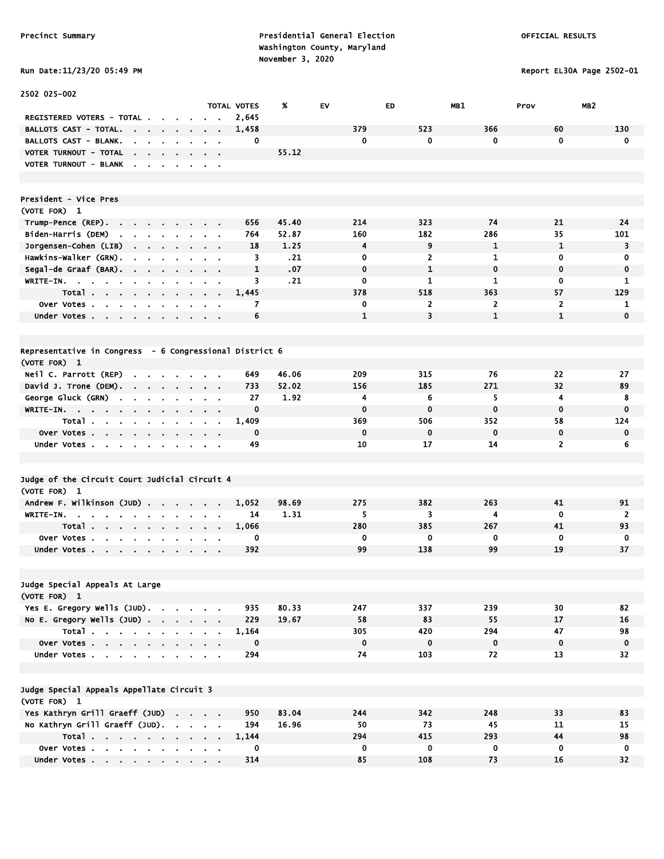Report EL30A Page 2502-01

| Run Date:11/23/20 05:49 PM |  |
|----------------------------|--|
|                            |  |

| 2502 025-002                                                                                                   |                                                             |                    |       |              |              |                |                         |             |
|----------------------------------------------------------------------------------------------------------------|-------------------------------------------------------------|--------------------|-------|--------------|--------------|----------------|-------------------------|-------------|
|                                                                                                                |                                                             | <b>TOTAL VOTES</b> | X     | EV           | ED           | MB1            | Prov<br>MB <sub>2</sub> |             |
| REGISTERED VOTERS - TOTAL                                                                                      |                                                             | 2,645              |       |              |              |                |                         |             |
| BALLOTS CAST - TOTAL.<br>$\sim$ $\sim$ $\sim$ $\sim$                                                           |                                                             | 1,458              |       | 379          | 523          | 366            | 60                      | 130         |
| BALLOTS CAST - BLANK.<br>$\bullet$<br>$\mathbf{r}$<br>$\sim$                                                   | $\sim$                                                      | 0                  |       | $\mathbf 0$  | 0            | $\mathbf 0$    | $\mathbf 0$             | 0           |
| VOTER TURNOUT - TOTAL<br>the company of the company                                                            | $\mathbf{r} = \mathbf{r} + \mathbf{r}$ , where $\mathbf{r}$ |                    | 55.12 |              |              |                |                         |             |
| VOTER TURNOUT - BLANK                                                                                          |                                                             |                    |       |              |              |                |                         |             |
|                                                                                                                |                                                             |                    |       |              |              |                |                         |             |
| President - Vice Pres                                                                                          |                                                             |                    |       |              |              |                |                         |             |
| (VOTE FOR) 1                                                                                                   |                                                             |                    |       |              |              |                |                         |             |
| Trump-Pence (REP).<br>$\mathbf{a} = \mathbf{a} + \mathbf{a} + \mathbf{a} + \mathbf{a}$ .<br>$\sim$             |                                                             | 656                | 45.40 | 214          | 323          | 74             | 21                      | 24          |
| Biden-Harris (DEM)<br>$\mathbf{r}$<br>$\mathbf{r}$<br>$\mathbf{r}$<br>$\mathbf{r}$                             |                                                             | 764                | 52.87 | 160          | 182          | 286            | 35                      | 101         |
| Jorgensen-Cohen (LIB)<br>$\cdot$ $\cdot$ $\cdot$ $\cdot$                                                       |                                                             | 18                 | 1.25  | 4            | 9            | $\mathbf{1}$   | 1                       | 3           |
| Hawkins-Walker (GRN).<br>$\blacksquare$<br>$\blacksquare$<br>$\blacksquare$                                    | $\sim$                                                      | 3                  | .21   | 0            | 2            | 1              | $\mathbf 0$             | 0           |
| Segal-de Graaf (BAR).                                                                                          | $\mathbf{a}$ , and $\mathbf{a}$ , and $\mathbf{a}$          | $\mathbf{1}$       | .07   | $\mathbf 0$  | $\mathbf{1}$ | $\mathbf 0$    | $\mathbf 0$             | $\mathbf 0$ |
| WRITE-IN.                                                                                                      | $\mathbf{r} = \mathbf{r} + \mathbf{r}$ .                    | 3                  | .21   | $\mathbf 0$  | 1            | 1              | 0                       | 1           |
| Total<br><b>Contract Contract</b>                                                                              | $\mathbf{r} = \mathbf{r}$                                   | 1,445              |       | 378          | 518          | 363            | 57                      | 129         |
| Over Votes<br>$\blacksquare$                                                                                   |                                                             | 7                  |       | 0            | $\mathbf{z}$ | $\overline{2}$ | $\overline{2}$          | 1           |
| Under Votes<br>$\sim$                                                                                          | $\mathbf{a}$ , and $\mathbf{a}$ , and $\mathbf{a}$          | 6                  |       | $\mathbf{1}$ | 3            | $\mathbf{1}$   | $\mathbf{1}$            | $\mathbf 0$ |
|                                                                                                                |                                                             |                    |       |              |              |                |                         |             |
| Representative in Congress - 6 Congressional District 6                                                        |                                                             |                    |       |              |              |                |                         |             |
| (VOTE FOR) 1                                                                                                   |                                                             |                    |       |              |              |                |                         |             |
| Neil C. Parrott (REP)<br>$\cdots$                                                                              |                                                             | 649                | 46.06 | 209          | 315          | 76             | 22                      | 27          |
| David J. Trone (DEM).<br>the contract of the contract of                                                       | $\cdot$ $\cdot$ $\cdot$                                     | 733                | 52.02 | 156          | 185          | 271            | 32                      | 89          |
| George Gluck (GRN)<br>$\sim$<br><b>Contract Contract</b>                                                       | $\mathbf{a}$ , and $\mathbf{a}$ , and $\mathbf{a}$          | 27                 | 1.92  | 4            | 6            | 5              | $\overline{4}$          | 8           |
| WRITE-IN.<br>- 11<br>$\alpha$<br>$\blacksquare$                                                                |                                                             | $\mathbf 0$        |       | $\mathbf 0$  | $\mathbf 0$  | $\mathbf 0$    | $\mathbf 0$             | $\bf{0}$    |
| Total<br>$\sim$<br>$\blacksquare$<br>$\sim$                                                                    |                                                             | 1,409              |       | 369          | 506          | 352            | 58                      | 124         |
| Over Votes<br>$\blacksquare$<br>$\blacksquare$                                                                 |                                                             | $\mathbf 0$        |       | $\mathbf 0$  | $\mathbf 0$  | $\mathbf 0$    | $\mathbf 0$             | 0           |
| Under Votes<br>$\sim$                                                                                          | $\mathbf{a}$ , and $\mathbf{a}$ , and $\mathbf{a}$          | 49                 |       | 10           | 17           | 14             | $\overline{2}$          | 6           |
|                                                                                                                |                                                             |                    |       |              |              |                |                         |             |
|                                                                                                                |                                                             |                    |       |              |              |                |                         |             |
| Judge of the Circuit Court Judicial Circuit 4                                                                  |                                                             |                    |       |              |              |                |                         |             |
| (VOTE FOR) 1                                                                                                   |                                                             |                    |       |              |              |                |                         |             |
| Andrew F. Wilkinson (JUD)                                                                                      |                                                             | 1,052              | 98.69 | 275          | 382          | 263            | 41                      | 91          |
| WRITE-IN.<br><b>Contract Contract</b><br>$\sim$                                                                |                                                             | 14                 | 1.31  | 5            | 3            | 4              | $\mathbf 0$             | 2           |
| Total.<br>the company of the company                                                                           |                                                             | 1.066              |       | 280          | 385          | 267            | 41                      | 93          |
| Over Votes.<br>$\mathbf{u} = \mathbf{u} + \mathbf{u}$ , where $\mathbf{u} = \mathbf{u}$<br>$\sim$<br>$\bullet$ |                                                             | 0                  |       | 0<br>99      | 0            | 0<br>99        | $\mathbf 0$<br>19       | 0           |
| Under Votes<br>$\bullet$ .                                                                                     | $\mathbf{r} = \mathbf{r} + \mathbf{r}$ .                    | 392                |       |              | 138          |                |                         | 37          |
|                                                                                                                |                                                             |                    |       |              |              |                |                         |             |
| Judge Special Appeals At Large                                                                                 |                                                             |                    |       |              |              |                |                         |             |
| (VOTE FOR) 1                                                                                                   |                                                             |                    |       |              |              |                |                         |             |
| Yes E. Gregory Wells (JUD).                                                                                    |                                                             | 935                | 80.33 | 247          | 337          | 239            | 30                      | 82          |
| No E. Gregory Wells $(JUD)$ .                                                                                  |                                                             | 229                | 19.67 | 58           | 83           | 55             | 17                      | 16          |
| Total                                                                                                          |                                                             | 1,164              |       | 305          | 420          | 294            | 47                      | 98          |
| Over Votes                                                                                                     |                                                             | $\mathbf 0$        |       | $\mathbf 0$  | 0            | $\mathbf 0$    | $\mathbf 0$             | $\mathbf 0$ |
| Under Votes                                                                                                    |                                                             | 294                |       | 74           | 103          | 72             | 13                      | 32          |
|                                                                                                                |                                                             |                    |       |              |              |                |                         |             |
| Judge Special Appeals Appellate Circuit 3                                                                      |                                                             |                    |       |              |              |                |                         |             |
| (VOTE FOR) 1                                                                                                   |                                                             |                    |       |              |              |                |                         |             |
| Yes Kathryn Grill Graeff (JUD)                                                                                 |                                                             | 950                | 83.04 | 244          | 342          | 248            | 33                      | 83          |
| No Kathryn Grill Graeff (JUD).                                                                                 |                                                             | 194                | 16.96 | 50           | 73           | 45             | 11                      | 15          |
| Total                                                                                                          |                                                             | 1,144              |       | 294          | 415          | 293            | 44                      | 98          |
| Over Votes                                                                                                     |                                                             | 0                  |       | $\mathbf 0$  | 0            | $\mathbf 0$    | 0                       | $\mathbf 0$ |
| Under Votes                                                                                                    |                                                             | 314                |       | 85           | 108          | 73             | 16                      | 32          |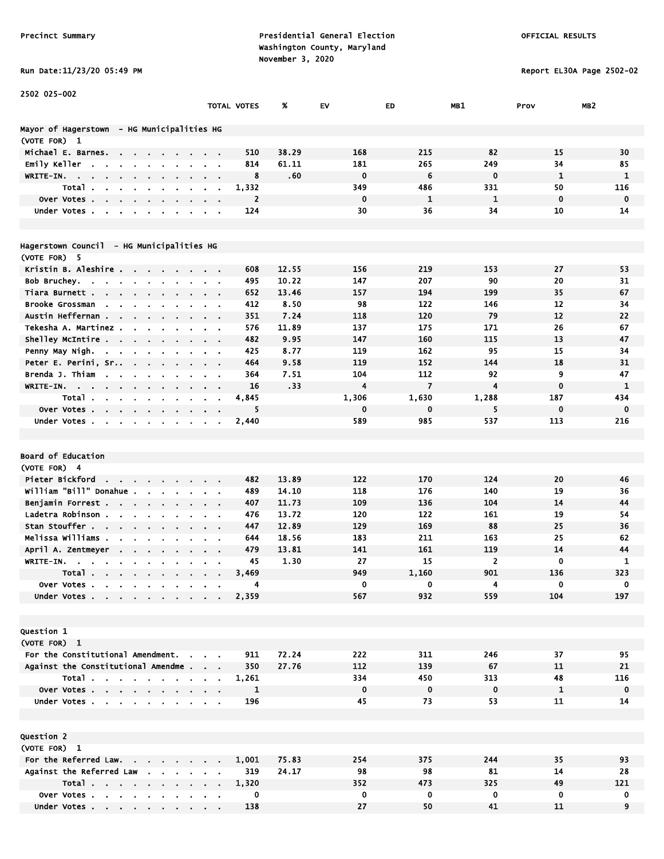Run Date:11/23/20 05:49 PM Report EL30A Page 2502-02

| 2502 025-002                                                                                                                               |                               |                         |       |             |                |                |              |                 |
|--------------------------------------------------------------------------------------------------------------------------------------------|-------------------------------|-------------------------|-------|-------------|----------------|----------------|--------------|-----------------|
|                                                                                                                                            |                               | TOTAL VOTES             | %     | EV          | ED             | MB1            | Prov         | MB <sub>2</sub> |
|                                                                                                                                            |                               |                         |       |             |                |                |              |                 |
| Mayor of Hagerstown - HG Municipalities HG                                                                                                 |                               |                         |       |             |                |                |              |                 |
| (VOTE FOR) 1                                                                                                                               |                               |                         |       |             |                |                |              |                 |
| Michael E. Barnes.<br>$\sim$                                                                                                               |                               | 510                     | 38.29 | 168         | 215            | 82             | 15           | 30              |
| Emily Keller<br>$\overline{\phantom{a}}$                                                                                                   |                               | 814                     | 61.11 | 181         | 265            | 249            | 34           | 85              |
| WRITE-IN.<br>$\sim$<br>$\mathbf{u} = \mathbf{0}$<br>$\mathbf{r} = \mathbf{r} + \mathbf{r}$ , where $\mathbf{r}$<br>$\bullet$<br>$\sim 100$ |                               | 8                       | .60   | $\mathbf 0$ | 6              | 0              | $\mathbf{1}$ | 1               |
| Total.                                                                                                                                     |                               | 1,332                   |       | 349         | 486            | 331            | 50           | 116             |
| Over Votes.<br>$\sim$<br>$\overline{\phantom{a}}$                                                                                          |                               | $\overline{\mathbf{c}}$ |       | $\mathbf 0$ | 1              | $\mathbf{1}$   | $\mathbf 0$  | $\mathbf 0$     |
| Under Votes.<br>$\blacksquare$<br>$\cdot$<br>$\blacksquare$                                                                                | $\sim 100$                    | 124                     |       | 30          | 36             | 34             | 10           | 14              |
|                                                                                                                                            |                               |                         |       |             |                |                |              |                 |
| Hagerstown Council  – HG Municipalities HG                                                                                                 |                               |                         |       |             |                |                |              |                 |
| (VOTE FOR) 5                                                                                                                               |                               |                         |       |             |                |                |              |                 |
| Kristin B. Aleshire<br>$\sim$<br>$\sim 10$                                                                                                 |                               | 608                     | 12.55 | 156         | 219            | 153            | 27           | 53              |
| Bob Bruchey.<br>$\sim$<br>$\mathbf{r} = \mathbf{r}$ .<br><b>Contract</b>                                                                   |                               | 495                     | 10.22 | 147         | 207            | 90             | 20           | 31              |
| Tiara Burnett .<br><b>Service Controllers</b><br>$\sim 100$                                                                                | $\sim$ $\sim$                 | 652                     | 13.46 | 157         | 194            | 199            | 35           | 67              |
| Brooke Grossman<br>$\sim$                                                                                                                  |                               | 412                     | 8.50  | 98          | 122            | 146            | 12           | 34              |
| Austin Heffernan<br>$\sim$<br>$\mathbf{r}$                                                                                                 |                               | 351                     | 7.24  | 118         | 120            | 79             | 12           | 22              |
| Tekesha A. Martinez.                                                                                                                       |                               | 576                     | 11.89 | 137         | 175            | 171            | 26           | 67              |
| Shelley McIntire<br>$\bullet$                                                                                                              | $\sim$ $\sim$                 | 482                     | 9.95  | 147         | 160            | 115            | 13           | 47              |
| Penny May Nigh.<br>the contract of the con-<br>$\sim$                                                                                      | $\sim$ $\sim$ $\sim$ $\sim$   | 425                     | 8.77  | 119         | 162            | 95             | 15           | 34              |
| Peter E. Perini, Sr<br>$\sim 100$<br>$\bullet$                                                                                             |                               | 464                     | 9.58  | 119         | 152            | 144            | 18           | 31              |
| Brenda J. Thiam<br>$\mathbf{r}$<br>$\sim$                                                                                                  | $\alpha = 0.01$               | 364                     | 7.51  | 104         | 112            | 92             | 9            | 47              |
| WRITE-IN.<br>$\sim$<br>$\sim$ $\sim$<br>$\blacksquare$<br>$\sim$                                                                           | $\sim$ $\sim$                 | 16                      | .33   | 4           | $\overline{7}$ | 4              | $\mathbf 0$  | $\mathbf{1}$    |
| Total<br>$\blacksquare$                                                                                                                    |                               | 4,845                   |       | 1,306       | 1,630          | 1,288          | 187          | 434             |
| <b>Over Votes.</b><br>the company of the company of                                                                                        |                               | 5                       |       | $\mathbf 0$ | 0              | 5              | $\mathbf 0$  | $\mathbf 0$     |
| Under Votes.<br>$\sim 100$ km s $^{-1}$                                                                                                    |                               | 2,440                   |       | 589         | 985            | 537            | 113          | 216             |
|                                                                                                                                            |                               |                         |       |             |                |                |              |                 |
|                                                                                                                                            |                               |                         |       |             |                |                |              |                 |
| Board of Education                                                                                                                         |                               |                         |       |             |                |                |              |                 |
| (VOTE FOR) 4                                                                                                                               |                               |                         |       |             |                |                |              |                 |
| Pieter Bickford                                                                                                                            |                               | 482                     | 13.89 | 122         | 170            | 124            | 20           | 46              |
| William "Bill" Donahue<br>$\mathbf{r}$<br>$\bullet$                                                                                        | $\alpha = 0.1$                | 489                     | 14.10 | 118         | 176            | 140            | 19           | 36              |
| Benjamin Forrest                                                                                                                           | $\alpha$ , $\beta$ , $\alpha$ | 407                     | 11.73 | 109         | 136            | 104            | 14           | 44              |
| Ladetra Robinson<br>$\sim$                                                                                                                 | $\sim$ $\sim$                 | 476                     | 13.72 | 120         | 122            | 161            | 19           | 54              |
| Stan Stouffer                                                                                                                              |                               | 447                     | 12.89 | 129         | 169            | 88             | 25           | 36              |
| Melissa Williams .                                                                                                                         |                               | 644                     | 18.56 | 183         | 211            | 163            | 25           | 62              |
| April A. Zentmeyer                                                                                                                         |                               | 479                     | 13.81 | 141         | 161            | 119            | 14           | 44              |
| WRITE-IN.                                                                                                                                  |                               | 45                      | 1.30  | 27          | 15             | $\overline{2}$ | $\mathbf 0$  | 1               |
| Total.<br><b>Contract Contract Contract Contract</b>                                                                                       |                               | 3,469                   |       | 949         | 1,160          | 901            | 136          | 323             |
| Over Votes                                                                                                                                 |                               | 4                       |       | 0           | 0              | 4              | 0            | 0               |
| Under Votes.<br>$\mathbf{r}$ , $\mathbf{r}$ , $\mathbf{r}$ , $\mathbf{r}$                                                                  |                               | 2,359                   |       | 567         | 932            | 559            | 104          | 197             |
|                                                                                                                                            |                               |                         |       |             |                |                |              |                 |
|                                                                                                                                            |                               |                         |       |             |                |                |              |                 |
| Question 1                                                                                                                                 |                               |                         |       |             |                |                |              |                 |
| (VOTE FOR) 1                                                                                                                               |                               |                         |       |             |                |                |              |                 |
| For the Constitutional Amendment.                                                                                                          |                               | 911                     | 72.24 | 222         | 311            | 246            | 37           | 95              |
| Against the Constitutional Amendme                                                                                                         |                               | 350                     | 27.76 | 112         | 139            | 67             | 11           | 21              |
| Total                                                                                                                                      |                               | 1,261                   |       | 334         | 450            | 313            | 48           | 116             |
| Over Votes                                                                                                                                 |                               | 1                       |       | $\mathbf 0$ | $\mathbf 0$    | $\mathbf 0$    | $\mathbf{1}$ | 0               |
| Under Votes                                                                                                                                |                               | 196                     |       | 45          | 73             | 53             | 11           | 14              |
|                                                                                                                                            |                               |                         |       |             |                |                |              |                 |
| Question 2                                                                                                                                 |                               |                         |       |             |                |                |              |                 |
| (VOTE FOR) 1                                                                                                                               |                               |                         |       |             |                |                |              |                 |
| For the Referred Law.                                                                                                                      |                               | 1,001                   | 75.83 | 254         | 375            | 244            | 35           | 93              |
| Against the Referred Law                                                                                                                   |                               | 319                     | 24.17 | 98          | 98             | 81             | 14           | 28              |
| Total                                                                                                                                      |                               | 1,320                   |       | 352         | 473            | 325            | 49           | 121             |
| Over Votes                                                                                                                                 |                               | 0                       |       | $\mathbf 0$ | 0              | 0              | 0            | 0               |
| Under Votes                                                                                                                                |                               | 138                     |       | 27          | 50             | 41             | 11           | 9               |
|                                                                                                                                            |                               |                         |       |             |                |                |              |                 |

Under Votes . . . . . . . . . 138 27 50 41 11 9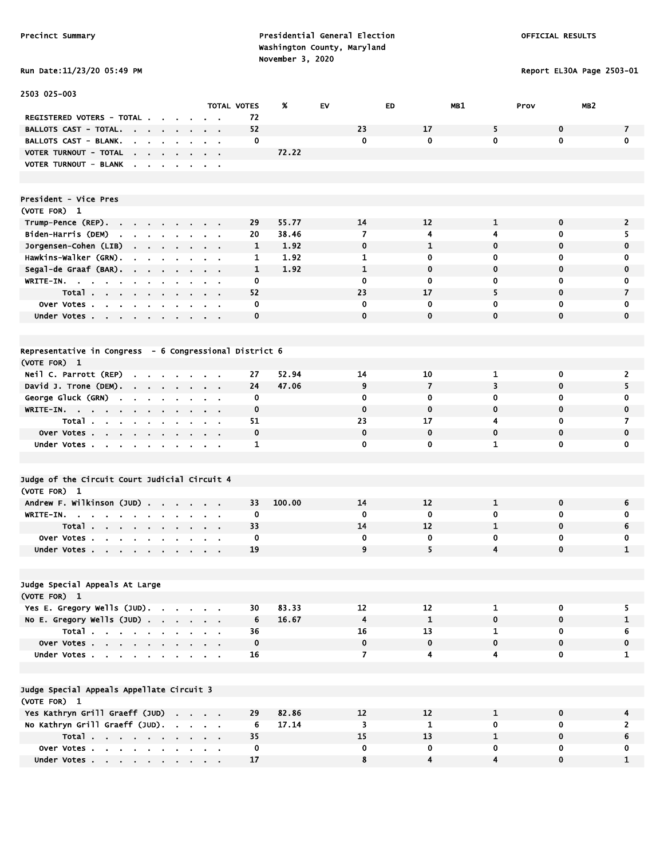### Run Date:11/23/20 05:49 PM Report EL30A Page 2503-01

| 2503 025-003                                                                              |                                            |                      |                         |                         |                |                  |                 |
|-------------------------------------------------------------------------------------------|--------------------------------------------|----------------------|-------------------------|-------------------------|----------------|------------------|-----------------|
|                                                                                           | <b>TOTAL VOTES</b>                         | %                    | <b>EV</b>               | ED                      | MB1            | Prov             | MB <sub>2</sub> |
| REGISTERED VOTERS - TOTAL.                                                                |                                            | 72                   |                         |                         |                |                  |                 |
| BALLOTS CAST - TOTAL.                                                                     |                                            | 52                   | 23                      | 17                      | 5              | $\mathbf 0$      | 7               |
| <b>BALLOTS CAST - BLANK.</b>                                                              | $\sim$ 10 $\pm$                            | 0                    | $\mathbf 0$             | $\mathbf 0$             | 0              | $\mathbf{0}$     | $\mathbf 0$     |
| VOTER TURNOUT - TOTAL<br>$\mathbf{r}$<br>$\sim$                                           | $\mathbf{r} = \mathbf{r}$                  | 72.22                |                         |                         |                |                  |                 |
| VOTER TURNOUT - BLANK.<br>$\sim$ $\sim$ $\sim$ $\sim$                                     | $\sim$ $ \sim$                             |                      |                         |                         |                |                  |                 |
|                                                                                           |                                            |                      |                         |                         |                |                  |                 |
|                                                                                           |                                            |                      |                         |                         |                |                  |                 |
| President - Vice Pres                                                                     |                                            |                      |                         |                         |                |                  |                 |
| (VOTE FOR) 1                                                                              |                                            |                      |                         |                         |                |                  |                 |
| Trump-Pence (REP)                                                                         |                                            | 29<br>55.77          | 14                      | 12                      | $\mathbf{1}$   | $\mathbf 0$      | $\overline{2}$  |
| Biden-Harris (DEM)<br>and a strain and an                                                 | $\alpha$ , $\beta$ , $\alpha$              | 20<br>38.46          | 7                       | 4                       | 4              | 0                | 5.              |
| Jorgensen-Cohen (LIB)<br>the company of the company<br>$\blacksquare$                     |                                            | $\mathbf{1}$<br>1.92 | $\bf{0}$                | $\mathbf{1}$            | $\mathbf 0$    | $\mathbf 0$      | $\bf{0}$        |
| Hawkins-Walker (GRN).<br>$\blacksquare$<br>$\blacksquare$<br>$\sim$                       | $\sim$ $\sim$                              | 1.92<br>1            | 1                       | 0                       | 0              | 0                | 0               |
| Segal-de Graaf (BAR).<br>$\sim 10^{-11}$<br>$\bullet$                                     |                                            | 1<br>1.92            | $\mathbf{1}$            | $\mathbf 0$             | $\mathbf 0$    | $\mathbf 0$      | $\mathbf 0$     |
| WRITE-IN.<br>$\sim$                                                                       | $\mathbf{r} = \mathbf{r}$                  | 0                    | 0                       | 0                       | 0              | 0                | 0               |
| Total<br>$\sim$<br>$\blacksquare$                                                         | $\sim$ $ \sim$                             | 52                   | 23                      | 17                      | 5              | $\mathbf 0$      | 7               |
| Over Votes                                                                                |                                            | 0                    | 0                       | 0                       | 0              | 0                | 0               |
| Under Votes<br>$\mathbf{a}$ .<br>$\mathbf{r}$                                             |                                            | 0                    | $\mathbf 0$             | $\mathbf 0$             | $\mathbf 0$    | $\mathbf 0$      | $\mathbf 0$     |
|                                                                                           |                                            |                      |                         |                         |                |                  |                 |
|                                                                                           |                                            |                      |                         |                         |                |                  |                 |
| Representative in Congress $-6$ Congressional District 6                                  |                                            |                      |                         |                         |                |                  |                 |
| (VOTE FOR) 1                                                                              |                                            |                      |                         |                         |                |                  |                 |
| Neil C. Parrott (REP)<br>$\mathbf{r} = \mathbf{r} + \mathbf{r}$ . The set of $\mathbf{r}$ |                                            | 52.94<br>27<br>24    | 14<br>9                 | 10<br>$\overline{7}$    | 1              | 0<br>$\mathbf 0$ | 2               |
| David J. Trone (DEM).                                                                     | $\sim$ 100 $\sim$ 100 $\sim$               | 47.06                | 0                       | 0                       | 3<br>0         | 0                | 5               |
| George Gluck (GRN)<br><b>Contract</b><br>$\mathbf{a} = \mathbf{a} + \mathbf{a}$ .         | $\sim 100$ km s $^{-1}$                    | 0<br>0               | 0                       | 0                       | 0              | $\mathbf 0$      | 0<br>0          |
| WRITE-IN.<br>$\blacksquare$<br>$\blacksquare$<br>Total .                                  |                                            | 51                   | 23                      | 17                      | 4              | 0                | 7               |
| $\sim$<br>$\sim$<br>$\sim$<br>$\blacksquare$<br>$\cdot$<br>Over Votes<br>$\blacksquare$   |                                            | 0                    | $\mathbf 0$             | $\mathbf 0$             | 0              | $\mathbf 0$      | $\mathbf 0$     |
| $\blacksquare$<br>Under Votes<br>$\bullet$                                                |                                            | 1                    | 0                       | $\mathbf{0}$            | $\mathbf{1}$   | 0                | $\mathbf 0$     |
|                                                                                           |                                            |                      |                         |                         |                |                  |                 |
|                                                                                           |                                            |                      |                         |                         |                |                  |                 |
| Judge of the Circuit Court Judicial Circuit 4                                             |                                            |                      |                         |                         |                |                  |                 |
| (VOTE FOR) 1                                                                              |                                            |                      |                         |                         |                |                  |                 |
| Andrew F. Wilkinson (JUD)                                                                 |                                            | 33<br>100.00         | 14                      | 12                      | $\mathbf{1}$   | $\mathbf 0$      | 6               |
| WRITE-IN.<br>$\sim$                                                                       |                                            | 0                    | 0                       | 0                       | 0              | 0                | 0               |
| Total.<br>the contract of the contract of the con-                                        |                                            | 33                   | 14                      | 12                      | $\mathbf{1}$   | 0                | 6               |
| Over Votes<br>$\sim$<br>$\sim$                                                            |                                            | 0                    | 0                       | 0                       | 0              | 0                | 0               |
| Under Votes<br>$\cdot$                                                                    |                                            | 19                   | 9                       | 5                       | 4              | $\mathbf 0$      | $\mathbf{1}$    |
|                                                                                           |                                            |                      |                         |                         |                |                  |                 |
|                                                                                           |                                            |                      |                         |                         |                |                  |                 |
| Judge Special Appeals At Large                                                            |                                            |                      |                         |                         |                |                  |                 |
| (VOTE FOR) 1                                                                              |                                            |                      |                         |                         |                |                  |                 |
| Yes E. Gregory Wells (JUD).                                                               |                                            | 83.33<br>30          | 12                      | 12                      | $\mathbf{1}$   | $\mathbf 0$      | 5               |
| No E. Gregory Wells $(JUD)$ .                                                             |                                            | 6<br>16.67           | $\overline{\mathbf{4}}$ | $\mathbf{1}$            | $\mathbf{0}$   | $\mathbf 0$      | $\mathbf{1}$    |
| Total                                                                                     |                                            | 36                   | 16                      | 13                      | $\mathbf{1}$   | $\mathbf{0}$     | 6               |
| Over Votes                                                                                |                                            | 0                    | $\mathbf 0$             | $\mathbf 0$             | $\mathbf 0$    | 0                | 0               |
| Under Votes<br>$\sim$ 100 $\mu$                                                           | $\mathbf{u} = \mathbf{u} \cdot \mathbf{u}$ | 16                   | $\overline{7}$          | $\overline{\mathbf{4}}$ | 4              | $\mathbf 0$      | $\mathbf{1}$    |
|                                                                                           |                                            |                      |                         |                         |                |                  |                 |
| Judge Special Appeals Appellate Circuit 3                                                 |                                            |                      |                         |                         |                |                  |                 |
| (VOTE FOR) 1                                                                              |                                            |                      |                         |                         |                |                  |                 |
| Yes Kathryn Grill Graeff (JUD)                                                            |                                            | 82.86<br>29          | 12                      | 12                      | $\mathbf 1$    | $\mathbf 0$      | 4               |
| No Kathryn Grill Graeff (JUD).                                                            |                                            | 17.14<br>6           | $\overline{\mathbf{3}}$ | $\mathbf 1$             | $\mathbf 0$    | $\overline{0}$   | $\overline{2}$  |
| Total                                                                                     |                                            | 35                   | 15                      | 13                      | $\mathbf{1}$   | $\mathbf 0$      | 6               |
| Over Votes                                                                                |                                            | 0                    | $\mathbf{0}$            | 0                       | 0              | $\mathbf 0$      | 0               |
| Under Votes                                                                               |                                            | 17                   | 8                       | $\overline{\mathbf{4}}$ | $\overline{4}$ | $\mathbf 0$      | $\mathbf{1}$    |
|                                                                                           |                                            |                      |                         |                         |                |                  |                 |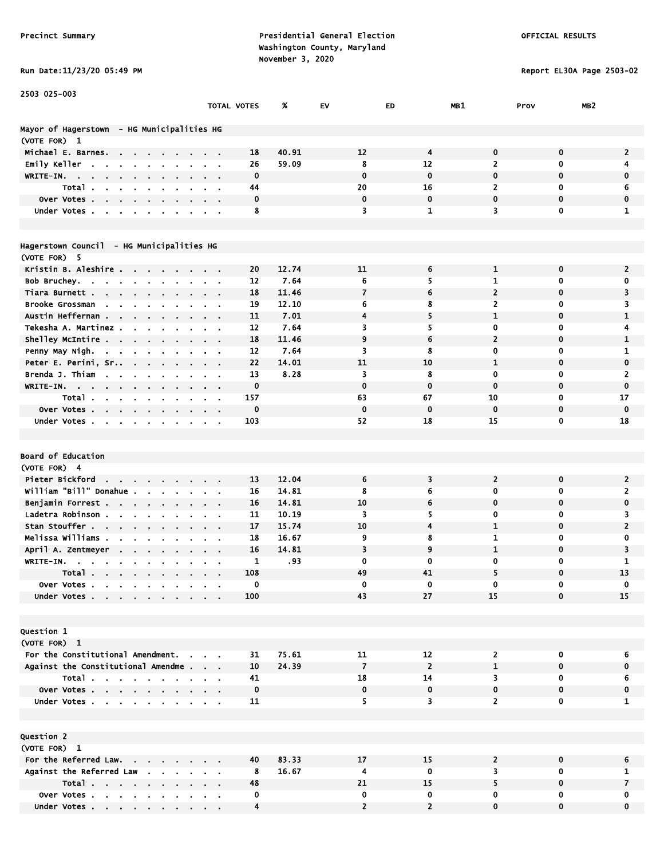Run Date:11/23/20 05:49 PM Report EL30A Page 2503-02

| 2503 025-003                                                                  |                           |             |       |                |                |                |                         |                |
|-------------------------------------------------------------------------------|---------------------------|-------------|-------|----------------|----------------|----------------|-------------------------|----------------|
|                                                                               | TOTAL VOTES               |             | %     | EV             | ED             | MB1            | MB <sub>2</sub><br>Prov |                |
|                                                                               |                           |             |       |                |                |                |                         |                |
| Mayor of Hagerstown - HG Municipalities HG                                    |                           |             |       |                |                |                |                         |                |
| (VOTE FOR) 1                                                                  |                           |             |       |                |                |                |                         |                |
| Michael E. Barnes.<br><b>Contract Contract</b>                                |                           | 18          | 40.91 | 12             | $\overline{4}$ | 0              | $\mathbf 0$             | $\overline{2}$ |
| Emily Keller<br>$\sim$<br>$\sim$                                              |                           | 26          | 59.09 | 8              | 12             | 2              | 0                       | 4              |
| WRITE-IN.                                                                     |                           | $\mathbf 0$ |       | $\mathbf 0$    | $\mathbf 0$    | 0              | 0                       | $\mathbf 0$    |
| Total.                                                                        |                           | 44          |       | 20             | 16             | $\overline{2}$ | 0                       | 6              |
| Over Votes.<br>$\bullet$<br>$\mathbf{r}$<br>$\sim$<br>$\bullet$               |                           | 0           |       | $\mathbf 0$    | $\mathbf 0$    | $\mathbf 0$    | $\mathbf 0$             | $\mathbf 0$    |
| Under Votes.<br>$\mathbf{r}$<br>$\blacksquare$                                |                           | 8           |       | 3              | $\mathbf{1}$   | 3              | $\mathbf 0$             | $\mathbf{1}$   |
| Hagerstown Council - HG Municipalities HG                                     |                           |             |       |                |                |                |                         |                |
| (VOTE FOR) 5                                                                  |                           |             |       |                |                |                |                         |                |
| Kristin B. Aleshire                                                           |                           | 20          | 12.74 | 11             | 6              | 1              | 0                       | $\overline{2}$ |
| Bob Bruchey.<br>$\sim 10^{-11}$                                               | $\alpha = 0.01$           | 12          | 7.64  | 6              | 5              | 1              | 0                       | 0              |
| Tiara Burnett .<br>$\sim$ 100 $\sim$ 100 $\sim$                               |                           | 18          | 11.46 | 7              | 6              | $\overline{2}$ | 0                       | 3              |
| <b>Brooke Grossman</b><br><b>Contract Contract Contract</b><br>$\blacksquare$ |                           | 19          | 12.10 | 6              | 8              | $\overline{2}$ | 0                       | 3              |
| Austin Heffernan<br>$\mathbf{r}$<br>$\sim$                                    |                           | 11          | 7.01  | 4              | 5              | 1              | 0                       | 1              |
| Tekesha A. Martinez.<br>$\sim$                                                |                           | 12          | 7.64  | 3              | 5              | 0              | 0                       | 4              |
| Shelley McIntire<br>$\sim 100$ km s $^{-1}$<br>$\bullet$                      |                           | 18          | 11.46 | 9              | 6              | $\mathbf{2}$   | 0                       | 1              |
| Penny May Nigh.<br>$\sim 10^{-10}$ km $^{-1}$<br>$\blacksquare$               |                           | 12          | 7.64  | 3              | 8              | 0              | 0                       | 1              |
| Peter E. Perini, Sr<br>$\sim$<br>$\alpha$                                     |                           | 22          | 14.01 | 11             | 10             | $\mathbf{1}$   | 0                       | 0              |
| Brenda J. Thiam<br>$\sim$<br>$\bullet$                                        |                           | 13          | 8.28  | 3              | 8              | 0              | 0                       | $\overline{2}$ |
| WRITE-IN.<br>$\sim$                                                           | $\cdot$ $\cdot$           | $\mathbf 0$ |       | $\mathbf 0$    | $\mathbf 0$    | $\mathbf 0$    | 0                       | $\mathbf 0$    |
| Total<br>$\mathbf{m} = 0$                                                     | $\alpha = 0.1$            | 157         |       | 63             | 67             | 10             | 0                       | 17             |
| Over Votes                                                                    |                           | $\mathbf 0$ |       | $\mathbf 0$    | $\mathbf 0$    | 0              | 0                       | 0              |
| Under Votes                                                                   |                           | 103         |       | 52             | 18             | 15             | $\mathbf 0$             | 18             |
|                                                                               |                           |             |       |                |                |                |                         |                |
|                                                                               |                           |             |       |                |                |                |                         |                |
| Board of Education                                                            |                           |             |       |                |                |                |                         |                |
| (VOTE FOR) 4                                                                  |                           |             |       |                |                |                |                         |                |
| Pieter Bickford<br>the contract of the contract of the                        |                           | 13          | 12.04 | 6              | 3              | $\overline{2}$ | 0                       | $\overline{2}$ |
| William "Bill" Donahue.<br>$\mathbf{r}$ .<br>$\hat{\mathbf{r}}$               | $\mathbf{r}$              | 16          | 14.81 | 8              | 6              | 0              | 0                       | 2              |
| Benjamin Forrest<br>$\alpha$<br>$\sim$                                        | $\mathbf{r} = \mathbf{r}$ | 16          | 14.81 | 10             | 6              | 0              | $\mathbf 0$             | 0              |
| Ladetra Robinson.<br>$\sim$ $\sim$<br>$\mathbf{r} = \mathbf{r}$ .             | $\alpha = 0.1$            | 11          | 10.19 | 3              | 5              | 0              | 0                       | 3              |
| Stan Stouffer                                                                 |                           | 17          | 15.74 | 10             | 4              | $\mathbf{1}$   | 0                       | $\overline{2}$ |
| Melissa Williams .<br>$\mathbf{r}$                                            |                           | 18          | 16.67 | 9              | 8              | 1              | 0                       | 0              |
| April A. Zentmeyer                                                            |                           | 16          | 14.81 | 3              | 9              | $\mathbf{1}$   | 0                       | 3              |
| WRITE-IN.<br>$\blacksquare$                                                   |                           | 1           | .93   | 0              | 0              | 0              | 0                       | 1              |
| Total<br>$\sim$                                                               |                           | 108         |       | 49             | 41             | 5              | $\mathbf 0$             | 13             |
| Over Votes                                                                    |                           | 0           |       | 0              | 0              | 0              | 0                       | 0              |
| Under Votes                                                                   |                           | 100         |       | 43             | 27             | 15             | $\mathbf{0}$            | 15             |
|                                                                               |                           |             |       |                |                |                |                         |                |
|                                                                               |                           |             |       |                |                |                |                         |                |
| Question 1                                                                    |                           |             |       |                |                |                |                         |                |
| (VOTE FOR) 1                                                                  |                           |             |       |                |                |                |                         |                |
| For the Constitutional Amendment.                                             |                           | 31          | 75.61 | 11             | 12             | $\mathbf{z}$   | 0                       | 6              |
| Against the Constitutional Amendme                                            |                           | 10          | 24.39 | $\overline{7}$ | $\overline{2}$ | $\mathbf{1}$   | $\mathbf 0$             | $\mathbf 0$    |
| Total                                                                         |                           | 41          |       | 18             | 14             | 3              | 0                       | 6              |
| Over Votes                                                                    |                           | $\mathbf 0$ |       | 0              | 0              | 0              | 0                       | 0              |
| Under Votes                                                                   |                           | 11          |       | 5.             | 3              | $\overline{2}$ | $\mathbf 0$             | $\mathbf{1}$   |
|                                                                               |                           |             |       |                |                |                |                         |                |
| Question 2                                                                    |                           |             |       |                |                |                |                         |                |
| (VOTE FOR) 1                                                                  |                           |             |       |                |                |                |                         |                |
| For the Referred Law.                                                         |                           | 40          | 83.33 | 17             | 15             | $\mathbf{2}$   | 0                       | 6              |
| Against the Referred Law                                                      | $\sim 10$                 | 8           | 16.67 | 4              | 0              | 3              | 0                       | $\mathbf{1}$   |
| Total                                                                         |                           | 48          |       | 21             | 15             | 5              | $\mathbf 0$             | $\overline{7}$ |
| Over Votes                                                                    |                           | $\mathbf 0$ |       | 0              | 0              | 0              | 0                       | 0              |
| Under Votes                                                                   |                           | 4           |       | $\overline{2}$ | $\overline{2}$ | $\mathbf 0$    | 0                       | 0              |

Under Votes . . . . . . . . . . 4 2 2 0 0 0 0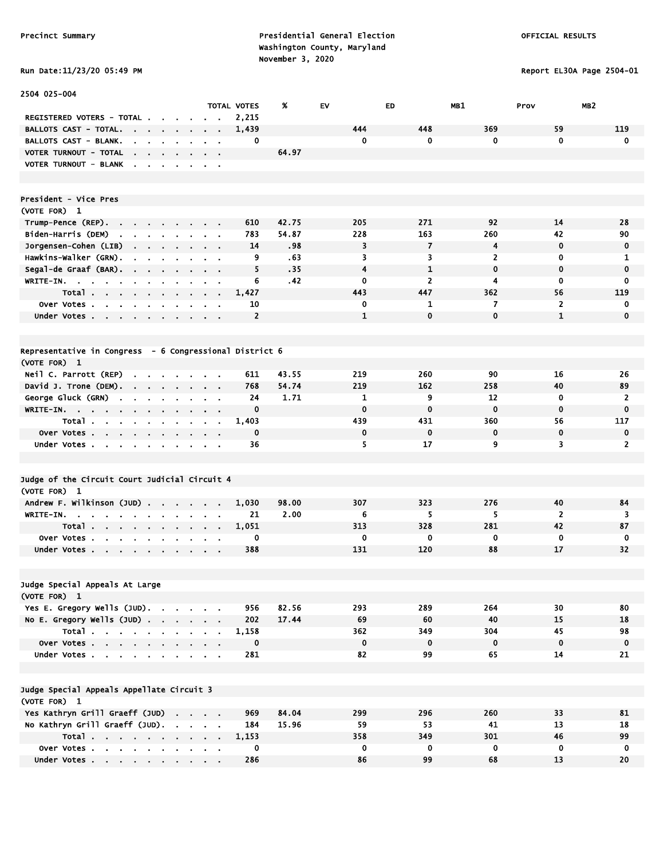Report EL30A Page 2504-01

| Run Date:11/23/20 05:49 PM |  |
|----------------------------|--|

| 2504 025-004                                                                                                                                     |                                     |                                   |            |              |                       |                |                   |                    |
|--------------------------------------------------------------------------------------------------------------------------------------------------|-------------------------------------|-----------------------------------|------------|--------------|-----------------------|----------------|-------------------|--------------------|
|                                                                                                                                                  |                                     | TOTAL VOTES                       | %          | EV           | ED                    | MB1            | Prov              | MB <sub>2</sub>    |
| REGISTERED VOTERS - TOTAL .                                                                                                                      |                                     | 2,215                             |            |              |                       |                |                   |                    |
| BALLOTS CAST - TOTAL.<br>$\sim 10^{-1}$<br>$\sim$                                                                                                | $\cdot$                             | 1,439                             |            | 444          | 448                   | 369            | 59                | 119                |
| <b>BALLOTS CAST - BLANK.</b><br>$\mathbf{r}$                                                                                                     |                                     | 0                                 |            | 0            | $\mathbf 0$           | $\mathbf{0}$   | $\mathbf 0$       | $\mathbf 0$        |
| VOTER TURNOUT - TOTAL<br>$\mathbf{r} = \mathbf{r} + \mathbf{r}$ , where $\mathbf{r} = \mathbf{r} + \mathbf{r}$ , where $\mathbf{r} = \mathbf{r}$ |                                     |                                   | 64.97      |              |                       |                |                   |                    |
| VOTER TURNOUT - BLANK<br>the contract of the con-                                                                                                |                                     |                                   |            |              |                       |                |                   |                    |
|                                                                                                                                                  |                                     |                                   |            |              |                       |                |                   |                    |
| President - Vice Pres                                                                                                                            |                                     |                                   |            |              |                       |                |                   |                    |
| (VOTE FOR) 1                                                                                                                                     |                                     |                                   |            |              |                       |                |                   |                    |
| Trump-Pence (REP).<br>the company of the company of<br>Biden-Harris (DEM)                                                                        |                                     | 610                               | 42.75      | 205          | 271                   | 92             | 14                | 28                 |
| the contract of the contract of the                                                                                                              |                                     | 783                               | 54.87      | 228<br>3     | 163<br>$\overline{7}$ | 260<br>4       | 42<br>$\mathbf 0$ | 90                 |
| Jorgensen-Cohen (LIB)<br>$\sim 100$ km s $^{-1}$<br>$\sim 100$ km s $^{-1}$                                                                      | $\sim$<br>$\mathbf{r} = \mathbf{r}$ | 14<br>9                           | .98<br>.63 | 3            | 3                     | $\overline{2}$ | 0                 | 0<br>1             |
| Hawkins-Walker (GRN).<br>$\sim$ 100 $\pm$<br>$\sim$ $\sim$                                                                                       | $\sim$ $\sim$                       | 5                                 | .35        | 4            | 1                     | $\mathbf 0$    | $\mathbf 0$       | $\mathbf 0$        |
| Segal-de Graaf (BAR).<br>WRITE-IN.                                                                                                               |                                     | 6                                 | .42        | 0            | $\overline{2}$        | 4              | $\mathbf 0$       | 0                  |
| Total                                                                                                                                            |                                     | 1,427                             |            | 443          | 447                   | 362            | 56                | 119                |
| $\sim$<br>Over Votes                                                                                                                             | $\sim$ $\sim$                       | 10                                |            | 0            | 1                     | 7              | $\overline{2}$    | $\mathbf 0$        |
| $\blacksquare$<br>Under Votes                                                                                                                    |                                     | $\overline{2}$                    |            | $\mathbf{1}$ | $\mathbf 0$           | $\mathbf 0$    | $\mathbf{1}$      | $\mathbf 0$        |
|                                                                                                                                                  |                                     |                                   |            |              |                       |                |                   |                    |
| Representative in Congress - 6 Congressional District 6                                                                                          |                                     |                                   |            |              |                       |                |                   |                    |
| (VOTE FOR) 1                                                                                                                                     |                                     |                                   |            |              |                       |                |                   |                    |
| Neil C. Parrott (REP)<br>$\sim$ $\sim$<br>$\sim$ 100 $\sim$ 100 $\sim$                                                                           |                                     | 611                               | 43.55      | 219          | 260                   | 90             | 16                | 26                 |
| David J. Trone (DEM).<br>the company of the company of the                                                                                       | $\sim$ $\sim$                       | 768                               | 54.74      | 219          | 162                   | 258            | 40                | 89                 |
| George Gluck (GRN)<br>$\mathbf{r}$<br>$\blacksquare$<br>$\mathbf{r}$                                                                             |                                     | 24                                | 1.71       | 1            | 9                     | 12             | 0                 | $\overline{2}$     |
| WRITE-IN.<br>$\bullet$                                                                                                                           |                                     | 0                                 |            | $\mathbf 0$  | $\bf{0}$              | $\mathbf 0$    | $\mathbf 0$       | $\bf{0}$           |
| Total<br>$\sim$                                                                                                                                  |                                     | 1,403                             |            | 439          | 431                   | 360            | 56                | 117                |
| Over Votes                                                                                                                                       | $\sim$ $\sim$                       | $\mathbf 0$                       |            | $\mathbf 0$  | $\mathbf 0$           | $\mathbf 0$    | $\mathbf 0$       | $\mathbf 0$        |
| Under Votes                                                                                                                                      |                                     | 36                                |            | 5.           | 17                    | 9              | 3                 | $\overline{2}$     |
|                                                                                                                                                  |                                     |                                   |            |              |                       |                |                   |                    |
| Judge of the Circuit Court Judicial Circuit 4                                                                                                    |                                     |                                   |            |              |                       |                |                   |                    |
| (VOTE FOR) 1                                                                                                                                     |                                     |                                   |            |              |                       |                |                   |                    |
| Andrew F. Wilkinson (JUD)                                                                                                                        |                                     | 1,030                             | 98.00      | 307          | 323                   | 276            | 40                | 84                 |
| WRITE-IN.<br>$\cdot$                                                                                                                             |                                     | 21                                | 2.00       | 6            | 5                     | 5              | $\overline{2}$    | 3                  |
| Total<br>$\sim$<br>$\sim$                                                                                                                        | $\sim$<br>$\sim$                    | 1,051                             |            | 313          | 328                   | 281            | 42                | 87                 |
| Over Votes.<br>$\sim 10^{-11}$<br>$\mathbf{a} = \mathbf{a} + \mathbf{a}$ , and<br>$\bullet$                                                      |                                     | 0                                 |            | 0            | 0                     | 0              | 0                 | 0                  |
| Under Votes                                                                                                                                      |                                     | 388                               |            | 131          | 120                   | 88             | 17                | 32                 |
|                                                                                                                                                  |                                     |                                   |            |              |                       |                |                   |                    |
| Judge Special Appeals At Large                                                                                                                   |                                     |                                   |            |              |                       |                |                   |                    |
| (VOTE FOR) 1                                                                                                                                     |                                     |                                   |            |              |                       |                |                   |                    |
| Yes E. Gregory Wells (JUD).                                                                                                                      |                                     | 956                               | 82.56      | 293          | 289                   | 264            | 30                | 80                 |
| No E. Gregory Wells (JUD)                                                                                                                        |                                     | 202                               | 17.44      | 69           | 60                    | 40             | 15                | 18                 |
| Total                                                                                                                                            |                                     | 1,158                             |            | 362          | 349                   | 304            | 45                | 98                 |
| Over Votes                                                                                                                                       | $\mathbf{r} = \mathbf{r}$           | $\mathbf 0$                       |            | $\mathbf 0$  | $\mathbf 0$           | $\mathbf 0$    | $\mathbf 0$       | $\mathbf 0$        |
| Under Votes                                                                                                                                      |                                     | 281                               |            | 82           | 99                    | 65             | 14                | 21                 |
|                                                                                                                                                  |                                     |                                   |            |              |                       |                |                   |                    |
| Judge Special Appeals Appellate Circuit 3                                                                                                        |                                     |                                   |            |              |                       |                |                   |                    |
| (VOTE FOR) 1                                                                                                                                     |                                     |                                   |            |              |                       |                |                   |                    |
| Yes Kathryn Grill Graeff (JUD)                                                                                                                   |                                     | 969                               | 84.04      | 299          | 296                   | 260            | 33                | 81                 |
| No Kathryn Grill Graeff (JUD).                                                                                                                   |                                     | 184                               | 15.96      | 59<br>358    | 53<br>349             | 41<br>301      | 13<br>46          | 18                 |
| Total $\cdots$ $\cdots$ $\cdots$ $\cdots$<br>Over Votes                                                                                          |                                     | 1,153<br>$\overline{\phantom{a}}$ |            | $\mathbf{0}$ | $\mathbf 0$           | $\overline{0}$ | $\overline{0}$    | 99<br>$\mathbf{0}$ |
|                                                                                                                                                  |                                     |                                   |            |              |                       |                |                   |                    |

Under Votes . . . . . . . . . . 286 86 99 68 13 20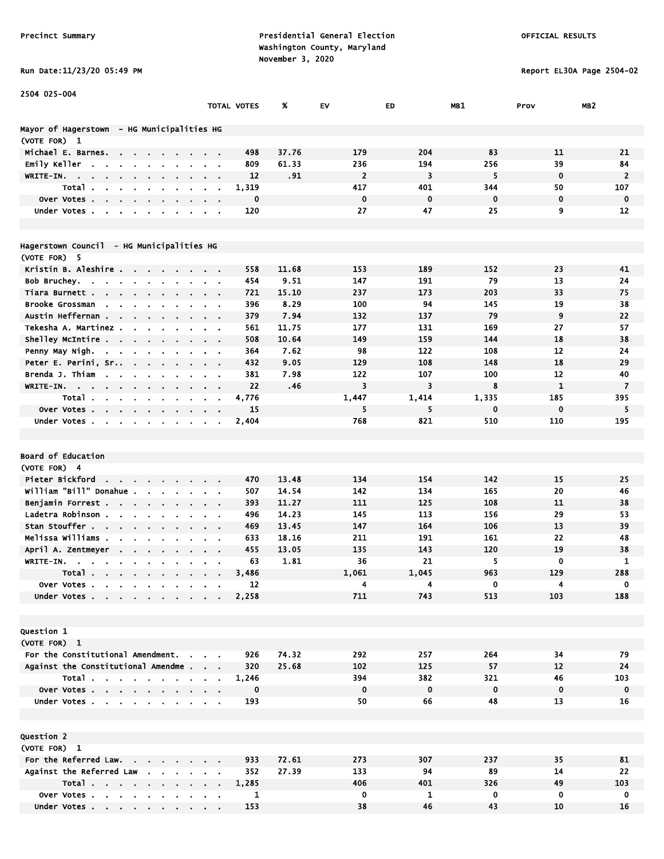Run Date:11/23/20 05:49 PM Report EL30A Page 2504-02

| 2504 025-004                                                                                 |                                                      |                      |       |                         |             |             |              |                   |
|----------------------------------------------------------------------------------------------|------------------------------------------------------|----------------------|-------|-------------------------|-------------|-------------|--------------|-------------------|
|                                                                                              |                                                      | TOTAL VOTES          | %     | EV                      | ED          | MB1         | Prov         | MB <sub>2</sub>   |
|                                                                                              |                                                      |                      |       |                         |             |             |              |                   |
| Mayor of Hagerstown  – HG Municipalities HG                                                  |                                                      |                      |       |                         |             |             |              |                   |
| (VOTE FOR) 1                                                                                 |                                                      |                      |       |                         |             |             |              |                   |
| Michael E. Barnes.<br>$\mathbf{r} = \mathbf{r} \cdot \mathbf{r}$<br>$\sim$                   |                                                      | 498                  | 37.76 | 179                     | 204         | 83          | 11           | 21                |
| Emily Keller<br>$\overline{\phantom{a}}$                                                     |                                                      | 809                  | 61.33 | 236                     | 194         | 256         | 39           | 84                |
| WRITE-IN.<br>$\sim$<br>$\sim$                                                                | $\mathbf{a} = \mathbf{a}$                            | 12                   | .91   | $\overline{2}$          | 3           | 5           | $\mathbf 0$  | $\overline{2}$    |
| Total.                                                                                       |                                                      | 1,319                |       | 417                     | 401         | 344         | 50           | 107               |
| Over Votes.<br>$\epsilon$<br>$\mathbf{r}$                                                    |                                                      | 0                    |       | $\mathbf 0$             | $\bf{0}$    | $\mathbf 0$ | $\mathbf 0$  | $\mathbf 0$       |
| Under Votes.<br>$\blacksquare$                                                               |                                                      | 120                  |       | 27                      | 47          | 25          | 9            | 12                |
|                                                                                              |                                                      |                      |       |                         |             |             |              |                   |
| Hagerstown Council  – HG Municipalities HG                                                   |                                                      |                      |       |                         |             |             |              |                   |
| (VOTE FOR) 5                                                                                 |                                                      |                      |       |                         |             |             |              |                   |
| Kristin B. Aleshire                                                                          |                                                      | 558                  | 11.68 | 153                     | 189         | 152         | 23           | 41                |
| Bob Bruchey                                                                                  | $\alpha = 0.01$                                      | 454                  | 9.51  | 147                     | 191         | 79          | 13           | 24                |
| Tiara Burnett .<br>$\mathbf{r} = \mathbf{r} + \mathbf{r}$ .<br>$\sim$                        |                                                      | 721                  | 15.10 | 237                     | 173         | 203         | 33           | 75                |
| Brooke Grossman<br>$\sim$                                                                    |                                                      | 396                  | 8.29  | 100                     | 94          | 145         | 19           | 38                |
| Austin Heffernan<br>$\bullet$<br>$\mathbf{a}$ .                                              | $\mathbf{r} = \mathbf{r}$                            | 379                  | 7.94  | 132                     | 137         | 79          | 9            | 22                |
| Tekesha A. Martinez .                                                                        |                                                      | 561                  | 11.75 | 177                     | 131         | 169         | 27           | 57                |
| Shelley McIntire                                                                             | <b>Contract Contract</b>                             | 508                  | 10.64 | 149                     | 159         | 144         | 18           | 38                |
| Penny May Nigh.<br><b>Contract</b><br>$\sim$<br>$\blacksquare$                               |                                                      | 364                  | 7.62  | 98                      | 122         | 108         | 12           | 24                |
| Peter E. Perini, Sr<br>$\sim 100$<br>$\sim$ $\sim$<br>$\sim$                                 |                                                      | 432                  | 9.05  | 129                     | 108         | 148         | 18           | 29                |
| Brenda J. Thiam<br><b>Contract Contract</b><br>$\sim$<br>$\bullet$<br>$\cdot$ .              | $\alpha = 0.01$                                      | 381                  | 7.98  | 122                     | 107         | 100         | 12           | 40                |
| WRITE-IN.<br>$\sim$ $\sim$<br>$\sim$ 100 $\pm$<br>$\sim$                                     | $\sim$ 100 $\pm$                                     | 22                   | .46   | $\overline{\mathbf{3}}$ | 3           | 8           | $\mathbf{1}$ | $\overline{7}$    |
| Total<br><b>Contract Contract Contract</b><br>$\sim$                                         | $\mathbf{r} = \mathbf{r}$                            | 4,776                |       | 1,447                   | 1,414       | 1,335       | 185          | 395               |
| Over Votes.<br><b>Contract Contract</b>                                                      |                                                      | 15                   |       | 5                       | 5           | 0           | $\bf{0}$     | 5                 |
| Under Votes<br>$\blacksquare$                                                                |                                                      | 2,404                |       | 768                     | 821         | 510         | 110          | 195               |
|                                                                                              |                                                      |                      |       |                         |             |             |              |                   |
|                                                                                              |                                                      |                      |       |                         |             |             |              |                   |
| <b>Board of Education</b>                                                                    |                                                      |                      |       |                         |             |             |              |                   |
| (VOTE FOR) 4                                                                                 |                                                      |                      |       |                         |             |             |              |                   |
| Pieter Bickford                                                                              |                                                      | 470                  | 13.48 | 134                     | 154         | 142         | 15           | 25                |
| william "Bill" Donahue .<br>$\mathbf{a} = \mathbf{a} \cdot \mathbf{a}$<br>$\blacksquare$     | $\alpha = 0.1$                                       | 507                  | 14.54 | 142                     | 134         | 165         | 20           | 46                |
| Benjamin Forrest                                                                             | $\alpha$ , $\alpha$ , $\alpha$ , $\alpha$ , $\alpha$ | 393                  | 11.27 | 111                     | 125         | 108         | 11           | 38                |
| Ladetra Robinson.<br><b>Contract Contract</b><br><b>Service</b>                              | $\sim$ 100 $\sim$ 100 $\sim$                         | 496                  | 14.23 | 145                     | 113         | 156         | 29           | 53                |
| Stan Stouffer                                                                                |                                                      | 469                  | 13.45 | 147                     | 164         | 106         | 13           | 39                |
| Melissa Williams .                                                                           |                                                      | 633                  | 18.16 | 211                     | 191         | 161         | 22           | 48                |
| April A. Zentmeyer                                                                           |                                                      | 455                  | 13.05 | 135                     | 143         | 120         | 19           | 38                |
| WRITE-IN.                                                                                    |                                                      | 63                   | 1.81  | 36                      | 21          | 5           | 0            | $\mathbf{1}$      |
| Total.<br>$\sim$<br>$\mathcal{A}^{\mathcal{A}}$ , $\mathcal{A}^{\mathcal{A}}$<br>$\bullet$ . |                                                      | 3,486                |       | 1,061                   | 1,045       | 963         | 129          | 288               |
| Over Votes                                                                                   |                                                      | 12                   |       | 4                       | 4           | 0           | 4            | 0                 |
| Under Votes.<br>$\mathbf{r}$ , $\mathbf{r}$ , $\mathbf{r}$ , $\mathbf{r}$                    |                                                      | 2,258                |       | 711                     | 743         | 513         | 103          | 188               |
|                                                                                              |                                                      |                      |       |                         |             |             |              |                   |
|                                                                                              |                                                      |                      |       |                         |             |             |              |                   |
| Question 1                                                                                   |                                                      |                      |       |                         |             |             |              |                   |
| (VOTE FOR) 1<br>For the Constitutional Amendment.                                            |                                                      | 926                  | 74.32 | 292                     |             | 264         | 34           | 79                |
| Against the Constitutional Amendme.                                                          |                                                      | 320                  | 25.68 | 102                     | 257<br>125  | 57          | 12           | 24                |
| Total                                                                                        | $\alpha = 0.1$                                       |                      |       | 394                     | 382         | 321         | 46           | 103               |
|                                                                                              |                                                      | 1,246<br>$\mathbf 0$ |       | $\mathbf 0$             | $\mathbf 0$ | $\mathbf 0$ | $\mathbf 0$  |                   |
| Over Votes                                                                                   |                                                      | 193                  |       | 50                      | 66          | 48          | 13           | $\mathbf 0$<br>16 |
| Under Votes                                                                                  |                                                      |                      |       |                         |             |             |              |                   |
|                                                                                              |                                                      |                      |       |                         |             |             |              |                   |
| Question 2                                                                                   |                                                      |                      |       |                         |             |             |              |                   |
| (VOTE FOR) 1                                                                                 |                                                      |                      |       |                         |             |             |              |                   |
| For the Referred Law.                                                                        |                                                      | 933                  | 72.61 | 273                     | 307         | 237         | 35           | 81                |
| Against the Referred Law                                                                     |                                                      | 352                  | 27.39 | 133                     | 94          | 89          | 14           | 22                |
| Total                                                                                        |                                                      | 1,285                |       | 406                     | 401         | 326         | 49           | 103               |
| Over Votes                                                                                   |                                                      | 1                    |       | 0                       | 1           | 0           | 0            | 0                 |
| Under Votes                                                                                  |                                                      | 153                  |       | 38                      | 46          | 43          | 10           | 16                |

Under Votes . . . . . . . . . 153 38 46 43 10 16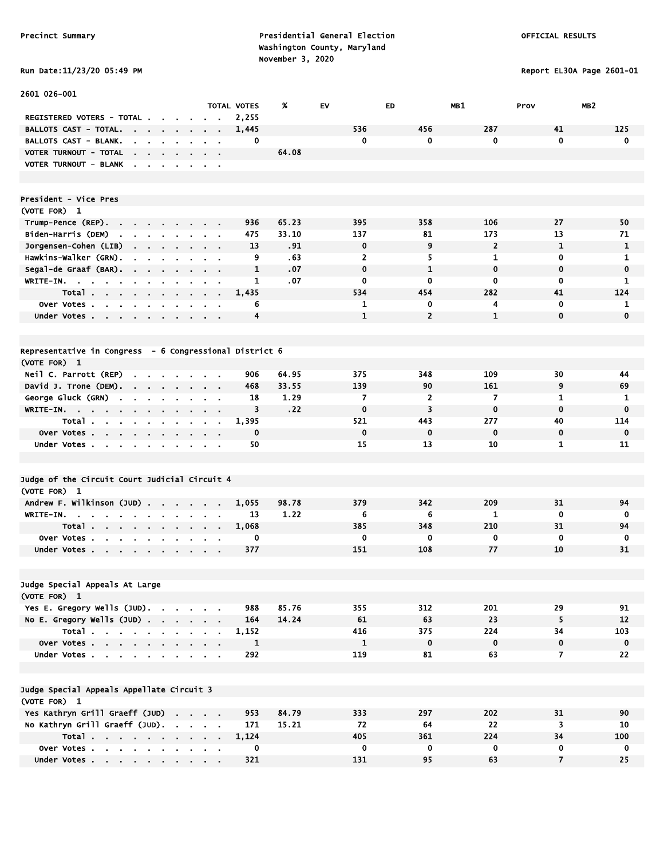# Run Date:11/23/20 05:49 PM Report EL30A Page 2601-01

| 2601 026-001                                                                             |                                              |                                            |                    |       |                |                |                |                         |                 |
|------------------------------------------------------------------------------------------|----------------------------------------------|--------------------------------------------|--------------------|-------|----------------|----------------|----------------|-------------------------|-----------------|
|                                                                                          |                                              |                                            | <b>TOTAL VOTES</b> | X     | EV             | <b>ED</b>      | MB1            | Prov                    | MB <sub>2</sub> |
| REGISTERED VOTERS - TOTAL.<br>$\sim 10$<br>$\sim$                                        |                                              |                                            | 2,255              |       |                |                |                |                         |                 |
| <b>BALLOTS CAST - TOTAL.</b><br>the company of the company                               | $\sim$                                       |                                            | 1,445              |       | 536            | 456            | 287            | 41                      | 125             |
| BALLOTS CAST - BLANK.<br>$\mathbf{r}$<br>$\sim$<br>$\mathbf{r}$                          |                                              |                                            | 0                  |       | 0              | 0              | 0              | $\mathbf 0$             | 0               |
| VOTER TURNOUT - TOTAL<br>the contract of the contract of                                 |                                              |                                            |                    | 64.08 |                |                |                |                         |                 |
| <b>VOTER TURNOUT - BLANK</b><br>$\sim$<br>$\sim$ $\sim$ $\sim$                           | $\cdot$                                      | $\sim$ $ \sim$                             |                    |       |                |                |                |                         |                 |
|                                                                                          |                                              |                                            |                    |       |                |                |                |                         |                 |
|                                                                                          |                                              |                                            |                    |       |                |                |                |                         |                 |
| President - Vice Pres                                                                    |                                              |                                            |                    |       |                |                |                |                         |                 |
| (VOTE FOR) 1                                                                             |                                              |                                            |                    |       |                |                |                |                         |                 |
| Trump-Pence (REP).<br>$\sim$                                                             |                                              |                                            | 936                | 65.23 | 395            | 358            | 106            | 27                      | 50              |
| Biden-Harris (DEM)<br>the contract of the con-                                           |                                              | $\alpha = 0.01$                            | 475                | 33.10 | 137            | 81             | 173            | 13                      | 71              |
| Jorgensen-Cohen (LIB)                                                                    |                                              |                                            | 13                 | .91   | 0              | 9              | $\overline{2}$ | $\mathbf{1}$            | 1               |
| Hawkins-Walker (GRN).<br>$\mathbf{r}$<br>$\sim$                                          |                                              |                                            | 9                  | .63   | $\mathbf{z}$   | 5              | $\mathbf{1}$   | 0                       | 1               |
| Segal-de Graaf (BAR). .<br>$\mathbf{r}$ .<br>$\blacksquare$                              |                                              |                                            | $\mathbf{1}$       | .07   | $\mathbf 0$    | $\mathbf{1}$   | $\mathbf 0$    | $\mathbf 0$             | $\mathbf 0$     |
| WRITE-IN.<br><b>Contract Contract</b><br>$\mathbf{u}$ .<br>$\bullet$                     |                                              | $\mathbf{r} = \mathbf{r}$                  | 1                  | .07   | 0              | 0              | 0              | $\mathbf 0$             | 1               |
| Total                                                                                    |                                              |                                            | 1,435              |       | 534            | 454            | 282            | 41                      | 124             |
| Over Votes                                                                               | $\sim$                                       | $\sim$ 100 $\sim$                          | 6                  |       | 1              | 0              | 4              | 0                       | 1               |
| Under Votes                                                                              |                                              |                                            | 4                  |       | 1              | $\overline{2}$ | $\mathbf{1}$   | $\mathbf{0}$            | $\mathbf 0$     |
|                                                                                          |                                              |                                            |                    |       |                |                |                |                         |                 |
|                                                                                          |                                              |                                            |                    |       |                |                |                |                         |                 |
| Representative in Congress - 6 Congressional District 6                                  |                                              |                                            |                    |       |                |                |                |                         |                 |
| (VOTE FOR) 1                                                                             |                                              |                                            |                    |       |                |                |                |                         |                 |
| Neil C. Parrott (REP)<br>$\mathbf{r}$<br><b>Contract Contract Street</b>                 |                                              |                                            | 906                | 64.95 | 375            | 348            | 109            | 30                      | 44              |
| David J. Trone (DEM). .<br><b>Service Control</b>                                        | $\cdot$ $\cdot$ $\cdot$                      |                                            | 468                | 33.55 | 139            | 90             | 161            | 9                       | 69              |
| George Gluck (GRN)<br>$\mathbf{r}$<br>$\blacksquare$<br>$\blacksquare$<br>$\blacksquare$ | $\blacksquare$                               | $\sim$ $\sim$                              | 18                 | 1.29  | $\overline{7}$ | $\overline{2}$ | $\overline{7}$ | 1                       | 1               |
| WRITE-IN.                                                                                | $\mathbf{r} = \mathbf{r} + \mathbf{r}$ , and |                                            | 3                  | .22   | $\mathbf 0$    | 3              | $\mathbf 0$    | $\mathbf 0$             | $\mathbf 0$     |
| Total                                                                                    | <b>Contract Contract Contract</b>            |                                            | 1,395              |       | 521            | 443            | 277            | 40                      | 114             |
| Over Votes                                                                               |                                              |                                            | $\mathbf 0$        |       | $\mathbf 0$    | $\mathbf 0$    | $\mathbf 0$    | $\mathbf 0$             | $\mathbf 0$     |
| Under Votes<br>$\bullet$                                                                 |                                              | $\alpha = 0.1$                             | 50                 |       | 15             | 13             | 10             | 1                       | 11              |
|                                                                                          |                                              |                                            |                    |       |                |                |                |                         |                 |
|                                                                                          |                                              |                                            |                    |       |                |                |                |                         |                 |
| Judge of the Circuit Court Judicial Circuit 4                                            |                                              |                                            |                    |       |                |                |                |                         |                 |
| (VOTE FOR) 1                                                                             |                                              |                                            |                    |       |                |                |                |                         |                 |
| Andrew F. Wilkinson (JUD)                                                                | $\sim 100$                                   | $\mathbf{r} = \mathbf{r} \cdot \mathbf{r}$ | 1,055              | 98.78 | 379            | 342            | 209            | 31                      | 94              |
| WRITE-IN.<br>$\sim$<br>$\bullet$                                                         |                                              |                                            | 13                 | 1.22  | 6              | 6              | $\mathbf{1}$   | $\mathbf 0$             | $\mathbf 0$     |
| Total                                                                                    |                                              |                                            | 1.068              |       | 385            | 348            | 210            | 31                      | 94              |
| <b>Over Votes.</b><br>the contract of the contract<br>$\blacksquare$                     |                                              |                                            | 0                  |       | 0              | 0              | 0              | $\mathbf 0$             | $\mathbf 0$     |
| Under Votes<br>$\cdot$                                                                   |                                              | $\sim$ $ \sim$                             | 377                |       | 151            | 108            | 77             | 10                      | 31              |
|                                                                                          |                                              |                                            |                    |       |                |                |                |                         |                 |
|                                                                                          |                                              |                                            |                    |       |                |                |                |                         |                 |
| Judge Special Appeals At Large                                                           |                                              |                                            |                    |       |                |                |                |                         |                 |
| (VOTE FOR) 1                                                                             |                                              |                                            |                    |       |                |                |                |                         |                 |
| Yes E. Gregory Wells (JUD).                                                              |                                              |                                            | 988                | 85.76 | 355            | 312            | 201            | 29                      | 91              |
| No E. Gregory Wells $(JUD)$ .                                                            |                                              |                                            | 164                | 14.24 | 61             | 63             | 23             | 5                       | 12              |
| Total                                                                                    |                                              |                                            | 1,152              |       | 416            | 375            | 224            | 34                      | 103             |
| Over Votes                                                                               |                                              |                                            | 1                  |       | $\mathbf{1}$   | $\mathbf 0$    | $\mathbf 0$    | $\mathbf 0$             | $\mathbf 0$     |
| Under Votes                                                                              |                                              |                                            | 292                |       | 119            | 81             | 63             | $\overline{7}$          | 22              |
|                                                                                          |                                              |                                            |                    |       |                |                |                |                         |                 |
|                                                                                          |                                              |                                            |                    |       |                |                |                |                         |                 |
| Judge Special Appeals Appellate Circuit 3                                                |                                              |                                            |                    |       |                |                |                |                         |                 |
| (VOTE FOR) 1                                                                             |                                              |                                            |                    |       |                |                |                |                         |                 |
| Yes Kathryn Grill Graeff (JUD)                                                           |                                              |                                            | 953                | 84.79 | 333            | 297            | 202            | 31                      | 90              |
| No Kathryn Grill Graeff (JUD).                                                           |                                              |                                            | 171                | 15.21 | 72             | 64             | 22             | $\overline{\mathbf{3}}$ | 10              |
| Total                                                                                    |                                              |                                            | 1,124              |       | 405            | 361            | 224            | 34                      | 100             |
| Over Votes                                                                               |                                              |                                            | 0                  |       | 0              | 0              | 0              | 0                       | $\mathbf 0$     |
| Under Votes                                                                              |                                              |                                            | 321                |       | 131            | 95             | 63             | $\overline{7}$          | 25              |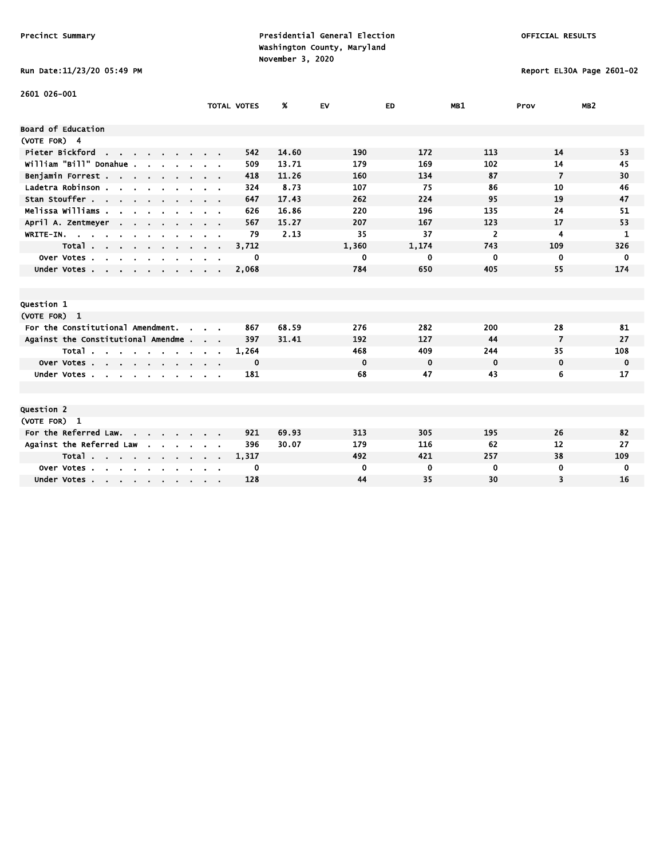# Run Date:11/23/20 05:49 PM Report EL30A Page 2601-02

| 2601 026-001                                                                     |                      |                    |       |             |             |                |                |                 |
|----------------------------------------------------------------------------------|----------------------|--------------------|-------|-------------|-------------|----------------|----------------|-----------------|
|                                                                                  |                      | <b>TOTAL VOTES</b> | ж     | <b>EV</b>   | ED.         | MB1            | Prov           | MB <sub>2</sub> |
| Board of Education                                                               |                      |                    |       |             |             |                |                |                 |
| (VOTE FOR) 4                                                                     |                      |                    |       |             |             |                |                |                 |
| Pieter Bickford<br><b>Contract</b>                                               |                      | 542                | 14.60 | 190         | 172         | 113            | 14             | 53              |
| william "Bill" Donahue .                                                         |                      | 509                | 13.71 | 179         | 169         | 102            | 14             | 45              |
| Benjamin Forrest                                                                 |                      | 418                | 11.26 | 160         | 134         | 87             | $\overline{7}$ | 30              |
| Ladetra Robinson.<br>and a strain and a strain                                   |                      | 324                | 8.73  | 107         | 75          | 86             | 10             | 46              |
| Stan Stouffer                                                                    |                      | 647                | 17.43 | 262         | 224         | 95             | 19             | 47              |
| Melissa Williams .                                                               |                      | 626                | 16.86 | 220         | 196         | 135            | 24             | 51              |
| April A. Zentmeyer<br>$\sim$ 100 $\sim$                                          |                      | 567                | 15.27 | 207         | 167         | 123            | 17             | 53              |
| WRITE-IN.                                                                        |                      | 79                 | 2.13  | 35          | 37          | $\overline{2}$ | 4              | 1               |
| Total                                                                            | $\sim$ $\sim$ $\sim$ | 3,712              |       | 1,360       | 1,174       | 743            | 109            | 326             |
| Over Votes.<br>$\sim$<br>$\mathbf{r}$<br>$\sim$<br>$\mathbf{r}$                  |                      | 0                  |       | 0           | 0           | $\mathbf 0$    | 0              | $\mathbf{0}$    |
| Under Votes                                                                      |                      | 2,068              |       | 784         | 650         | 405            | 55             | 174             |
|                                                                                  |                      |                    |       |             |             |                |                |                 |
|                                                                                  |                      |                    |       |             |             |                |                |                 |
| Question 1                                                                       |                      |                    |       |             |             |                |                |                 |
| (VOTE FOR) 1                                                                     |                      |                    |       |             |             |                |                |                 |
| For the Constitutional Amendment.<br>$\mathbf{r}$                                |                      | 867                | 68.59 | 276         | 282         | 200            | 28             | 81              |
| Against the Constitutional Amendme                                               |                      | 397                | 31.41 | 192         | 127         | 44             | 7              | 27              |
| Total                                                                            |                      | 1,264              |       | 468         | 409         | 244            | 35             | 108             |
| Over Votes                                                                       |                      | 0                  |       | $\mathbf 0$ | $\mathbf 0$ | $\mathbf 0$    | $\mathbf 0$    | $\mathbf 0$     |
| Under Votes                                                                      |                      | 181                |       | 68          | 47          | 43             | 6              | 17              |
|                                                                                  |                      |                    |       |             |             |                |                |                 |
|                                                                                  |                      |                    |       |             |             |                |                |                 |
| Question 2                                                                       |                      |                    |       |             |             |                |                |                 |
| (VOTE FOR) 1                                                                     |                      |                    |       |             |             |                |                |                 |
| For the Referred Law.                                                            |                      | 921                | 69.93 | 313         | 305         | 195            | 26             | 82              |
| Against the Referred Law                                                         |                      | 396                | 30.07 | 179         | 116         | 62             | 12             | 27              |
| Total                                                                            |                      | 1,317              |       | 492         | 421         | 257            | 38             | 109             |
| Over Votes.<br>$\sim$<br>$\sim$<br><b>Contract Contract</b><br>$\cdot$<br>$\sim$ |                      | 0                  |       | 0           | 0           | 0              | 0              | 0               |
| Under Votes                                                                      |                      | 128                |       | 44          | 35          | 30             | 3              | 16              |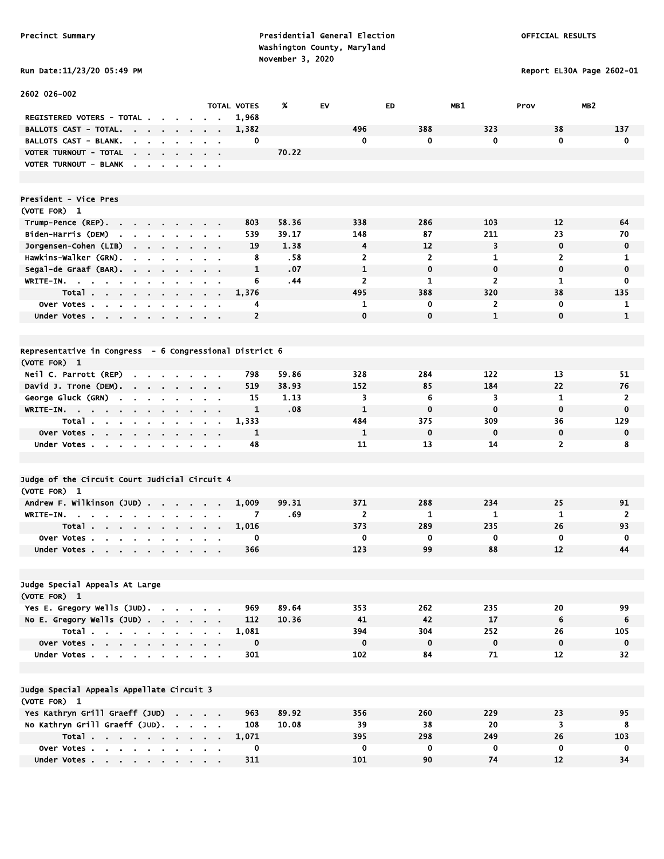Report EL30A Page 2602-01

| <b>KUN DALE:11/23/20 03:49</b> |  |  |
|--------------------------------|--|--|
|--------------------------------|--|--|

| 2602 026-002                                                                                                   |                             |                    |       |                         |                |                  |                             |                             |
|----------------------------------------------------------------------------------------------------------------|-----------------------------|--------------------|-------|-------------------------|----------------|------------------|-----------------------------|-----------------------------|
|                                                                                                                |                             | <b>TOTAL VOTES</b> | %     | EV                      | ED             | MB1              | MB <sub>2</sub><br>Prov     |                             |
| REGISTERED VOTERS - TOTAL.                                                                                     |                             | 1,968              |       |                         |                |                  |                             |                             |
| <b>BALLOTS CAST - TOTAL.</b><br>$\sim 10^{-11}$<br>$\sim 100$<br>$\mathbf{r} = \mathbf{r}$ .<br>$\blacksquare$ | $\blacksquare$              | 1,382              |       | 496                     | 388            | 323              | 38                          | 137                         |
| <b>BALLOTS CAST - BLANK.</b>                                                                                   | $\sim$                      | 0                  |       | $\mathbf 0$             | 0              | $\mathbf{0}$     | $\mathbf 0$                 | $\mathbf 0$                 |
| VOTER TURNOUT - TOTAL<br>the company of the company of the<br>VOTER TURNOUT - BLANK                            |                             |                    | 70.22 |                         |                |                  |                             |                             |
|                                                                                                                |                             |                    |       |                         |                |                  |                             |                             |
|                                                                                                                |                             |                    |       |                         |                |                  |                             |                             |
| <b>President - Vice Pres</b>                                                                                   |                             |                    |       |                         |                |                  |                             |                             |
| (VOTE FOR) 1                                                                                                   |                             |                    |       |                         |                |                  |                             |                             |
| Trump-Pence (REP).                                                                                             |                             | 803                | 58.36 | 338                     | 286            | 103              | 12                          | 64                          |
| Biden-Harris (DEM)<br>$\mathbf{r}$ , $\mathbf{r}$ , $\mathbf{r}$ , $\mathbf{r}$                                | $\mathbf{r} = \mathbf{r}$   | 539                | 39.17 | 148                     | 87             | 211              | 23                          | 70                          |
| Jorgensen-Cohen (LIB)<br>$\sim$<br>$\mathbf{r} = \mathbf{r} + \mathbf{r} + \mathbf{r}$ .                       | $\sim$<br>$\sim$ 100 $\sim$ | 19                 | 1.38  | 4                       | 12             | 3                | $\mathbf 0$                 | 0                           |
| Hawkins-Walker (GRN).<br>$\blacksquare$<br>$\alpha$ , $\beta$ , $\alpha$<br>$\bullet$                          | $\sim 100$                  | 8                  | .58   | $\overline{\mathbf{c}}$ | $\overline{2}$ | $\mathbf{1}$     | $\overline{2}$              | 1                           |
| Segal-de Graaf (BAR).                                                                                          |                             | 1                  | .07   | 1                       | $\mathbf 0$    | 0                | $\mathbf 0$                 | $\mathbf 0$                 |
| WRITE-IN.<br><b>Contract Contract</b>                                                                          |                             | 6                  | .44   | 2                       | 1              | $\overline{2}$   | 1                           | 0                           |
| Total<br>$\sim$ $\sim$                                                                                         | $\sim$ $\sim$               | 1,376              |       | 495                     | 388            | 320              | 38                          | 135                         |
| Over Votes                                                                                                     |                             | 4                  |       | 1                       | 0              | $\overline{2}$   | $\mathbf 0$                 | 1                           |
| Under Votes                                                                                                    |                             | $\overline{2}$     |       | $\mathbf 0$             | $\mathbf 0$    | $\mathbf{1}$     | $\mathbf 0$                 | $\mathbf{1}$                |
|                                                                                                                |                             |                    |       |                         |                |                  |                             |                             |
|                                                                                                                |                             |                    |       |                         |                |                  |                             |                             |
| Representative in Congress - 6 Congressional District 6                                                        |                             |                    |       |                         |                |                  |                             |                             |
| (VOTE FOR) 1                                                                                                   |                             |                    |       |                         |                |                  |                             |                             |
| Neil C. Parrott (REP)<br>and a strain and                                                                      |                             | 798                | 59.86 | 328                     | 284            | 122              | 13                          | 51                          |
| David J. Trone (DEM).<br>the company of the company                                                            |                             | 519                | 38.93 | 152                     | 85             | 184              | 22                          | 76                          |
| George Gluck (GRN)<br>$\sim$<br>$\sim$                                                                         |                             | 15                 | 1.13  | 3<br>1                  | 6<br>0         | 3<br>$\mathbf 0$ | $\mathbf{1}$<br>$\mathbf 0$ | $\mathbf{2}$<br>$\mathbf 0$ |
| WRITE-IN.<br>$\sim$ 100 $\pm$<br>Total                                                                         |                             | 1<br>1,333         | .08   | 484                     | 375            | 309              | 36                          | 129                         |
| $\sim$ $\sim$<br>Over Votes                                                                                    | $\sim$                      | 1                  |       | $\mathbf{1}$            | 0              | $\mathbf 0$      | $\mathbf 0$                 | 0                           |
| Under Votes                                                                                                    | $\sim$ 100 $\pm$            | 48                 |       | 11                      | 13             | 14               | $\overline{2}$              | 8                           |
|                                                                                                                |                             |                    |       |                         |                |                  |                             |                             |
|                                                                                                                |                             |                    |       |                         |                |                  |                             |                             |
| Judge of the Circuit Court Judicial Circuit 4                                                                  |                             |                    |       |                         |                |                  |                             |                             |
| (VOTE FOR) 1                                                                                                   |                             |                    |       |                         |                |                  |                             |                             |
| Andrew F. Wilkinson (JUD)                                                                                      |                             | 1,009              | 99.31 | 371                     | 288            | 234              | 25                          | 91                          |
| $WRITE-IN.$<br>$\sim$<br>$\sim$ $\sim$ $\sim$                                                                  |                             | 7                  | .69   | $\overline{2}$          | $\mathbf{1}$   | $\mathbf{1}$     | $\mathbf{1}$                | $\overline{2}$              |
| Total<br>$\mathbf{a}$ , and $\mathbf{a}$ , and $\mathbf{a}$                                                    | $\blacksquare$              | 1,016              |       | 373                     | 289            | 235              | 26                          | 93                          |
| Over Votes.<br><b>Contract</b><br>$\sim 10^{-1}$<br>$\mathbf{r}$<br>$\blacksquare$                             |                             | 0                  |       | 0                       | 0              | 0                | $\mathbf 0$                 | 0                           |
| Under Votes                                                                                                    |                             | 366                |       | 123                     | 99             | 88               | 12                          | 44                          |
|                                                                                                                |                             |                    |       |                         |                |                  |                             |                             |
|                                                                                                                |                             |                    |       |                         |                |                  |                             |                             |
| Judge Special Appeals At Large                                                                                 |                             |                    |       |                         |                |                  |                             |                             |
| (VOTE FOR) 1                                                                                                   |                             |                    |       |                         |                |                  |                             |                             |
| Yes E. Gregory Wells (JUD).                                                                                    |                             | 969                | 89.64 | 353                     | 262            | 235              | 20                          | 99                          |
| No E. Gregory Wells $(JUD)$ .<br>Total                                                                         |                             | 112<br>1,081       | 10.36 | 41<br>394               | 42<br>304      | 17<br>252        | 6<br>26                     | 6<br>105                    |
| Over Votes                                                                                                     |                             | $\mathbf 0$        |       | $\mathbf 0$             | $\mathbf 0$    | $\mathbf 0$      | $\mathbf 0$                 | $\mathbf 0$                 |
| Under Votes                                                                                                    |                             | 301                |       | 102                     | 84             | 71               | 12                          | 32                          |
|                                                                                                                |                             |                    |       |                         |                |                  |                             |                             |
|                                                                                                                |                             |                    |       |                         |                |                  |                             |                             |
| Judge Special Appeals Appellate Circuit 3                                                                      |                             |                    |       |                         |                |                  |                             |                             |
| (VOTE FOR) 1                                                                                                   |                             |                    |       |                         |                |                  |                             |                             |
| Yes Kathryn Grill Graeff (JUD)                                                                                 |                             | 963                | 89.92 | 356                     | 260            | 229              | 23                          | 95                          |
| No Kathryn Grill Graeff (JUD).                                                                                 |                             | 108                | 10.08 | 39                      | 38             | 20               | 3                           | 8                           |
| Total                                                                                                          |                             | 1,071              |       | 395                     | 298            | 249              | 26                          | 103                         |
| Over Votes                                                                                                     |                             | 0                  |       | $\mathbf 0$             | 0              | $\mathbf 0$      | $\mathbf 0$                 | 0                           |
| Under Votes                                                                                                    |                             | 311                |       | 101                     | 90             | 74               | 12                          | 34                          |
|                                                                                                                |                             |                    |       |                         |                |                  |                             |                             |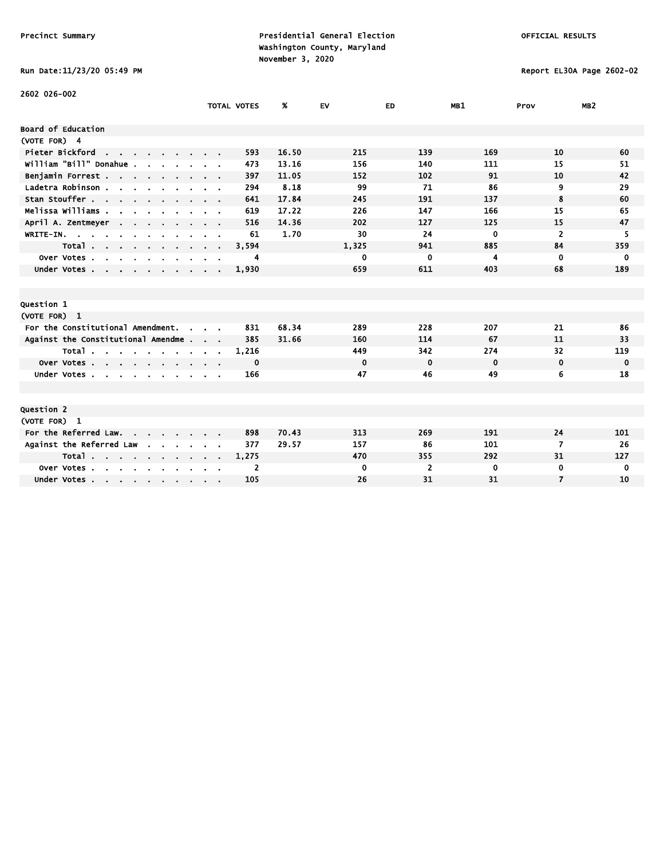# Run Date:11/23/20 05:49 PM Report EL30A Page 2602-02

| 2602 026-002                                                      |                    |       |             |                |          |                |                 |
|-------------------------------------------------------------------|--------------------|-------|-------------|----------------|----------|----------------|-----------------|
|                                                                   | <b>TOTAL VOTES</b> | Ж.    | EV          | ED             | MB1      | Prov           | MB <sub>2</sub> |
| Board of Education                                                |                    |       |             |                |          |                |                 |
| (VOTE FOR) 4                                                      |                    |       |             |                |          |                |                 |
| Pieter Bickford<br>$\mathbf{r}$ and $\mathbf{r}$ and $\mathbf{r}$ | 593                | 16.50 | 215         | 139            | 169      | 10             | 60              |
| william "Bill" Donahue.                                           | 473                | 13.16 | 156         | 140            | 111      | 15             | 51              |
| Benjamin Forrest                                                  | 397                | 11.05 | 152         | 102            | 91       | 10             | 42              |
| Ladetra Robinson                                                  | 294                | 8.18  | 99          | 71             | 86       | 9              | 29              |
| Stan Stouffer                                                     | 641                | 17.84 | 245         | 191            | 137      | 8              | 60              |
| Melissa Williams                                                  | 619                | 17.22 | 226         | 147            | 166      | 15             | 65              |
| April A. Zentmeyer<br><b>Contract Contract</b>                    | 516                | 14.36 | 202         | 127            | 125      | 15             | 47              |
| WRITE-IN.                                                         | 61                 | 1.70  | 30          | 24             | $\bf{0}$ | $\overline{2}$ | 5               |
| Total                                                             | 3,594              |       | 1,325       | 941            | 885      | 84             | 359             |
| Over Votes<br>$\sim$<br>$\sim$<br>$\mathbf{r}$                    | 4                  |       | 0           | 0              | 4        | 0              | 0               |
| Under Votes                                                       | 1,930              |       | 659         | 611            | 403      | 68             | 189             |
|                                                                   |                    |       |             |                |          |                |                 |
|                                                                   |                    |       |             |                |          |                |                 |
| Question 1                                                        |                    |       |             |                |          |                |                 |
| (VOTE FOR) 1                                                      |                    |       |             |                |          |                |                 |
| For the Constitutional Amendment.<br>$\sim$                       | 831                | 68.34 | 289         | 228            | 207      | 21             | 86              |
| Against the Constitutional Amendme                                | 385                | 31.66 | 160         | 114            | 67       | 11             | 33              |
| Total                                                             | 1,216              |       | 449         | 342            | 274      | 32             | 119             |
| Over Votes, , , , , , ,                                           | 0                  |       | $\mathbf 0$ | $\mathbf 0$    | 0        | $\mathbf 0$    | 0               |
| Under Votes                                                       | 166                |       | 47          | 46             | 49       | 6              | 18              |
|                                                                   |                    |       |             |                |          |                |                 |
|                                                                   |                    |       |             |                |          |                |                 |
| Question 2                                                        |                    |       |             |                |          |                |                 |
| (VOTE FOR) 1                                                      |                    |       |             |                |          |                |                 |
| For the Referred Law.                                             | 898                | 70.43 | 313         | 269            | 191      | 24             | 101             |
| Against the Referred Law<br>$\sim$                                | 377                | 29.57 | 157         | 86             | 101      | 7              | 26              |
| Total                                                             | 1,275              |       | 470         | 355            | 292      | 31             | 127             |
| Over Votes<br>$\sim$<br>$\sim$                                    | 2                  |       | 0           | $\overline{2}$ | 0        | 0              | 0               |
| Under Votes                                                       | 105                |       | 26          | 31             | 31       | $\overline{7}$ | 10              |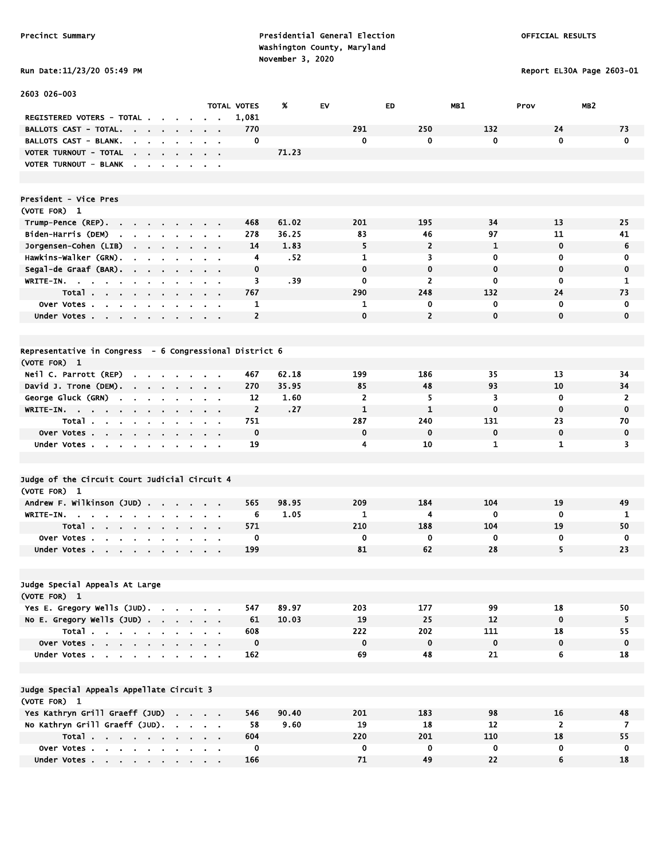Run Date:11/23/20 05:49 PM Report EL30A Page 2603-01

| 2603 026-003                                                                                            |                                                             |                                |                             |       |             |                |             |                         |                |
|---------------------------------------------------------------------------------------------------------|-------------------------------------------------------------|--------------------------------|-----------------------------|-------|-------------|----------------|-------------|-------------------------|----------------|
| REGISTERED VOTERS - TOTAL .                                                                             |                                                             |                                | <b>TOTAL VOTES</b><br>1,081 | %     | <b>EV</b>   | <b>ED</b>      | MB1         | MB <sub>2</sub><br>Prov |                |
| <b>BALLOTS CAST - TOTAL.</b>                                                                            |                                                             |                                | 770                         |       | 291         | 250            | 132         | 24                      | 73             |
| the contract of the contract of<br>BALLOTS CAST - BLANK.                                                | $\sim$                                                      | $\mathbf{r} = \mathbf{r}$      | 0                           |       | 0           | 0              | 0           | $\mathbf{0}$            | $\mathbf 0$    |
| $\sim$<br>$\sim$<br>$\mathbf{r}$<br>VOTER TURNOUT - TOTAL                                               |                                                             |                                |                             | 71.23 |             |                |             |                         |                |
| $\sim$<br><b>Contract Contract</b><br>VOTER TURNOUT - BLANK                                             |                                                             |                                |                             |       |             |                |             |                         |                |
| $\sim$ $\sim$<br>$\sim$                                                                                 | $\blacksquare$                                              | $\sim$ $\sim$                  |                             |       |             |                |             |                         |                |
| President - Vice Pres                                                                                   |                                                             |                                |                             |       |             |                |             |                         |                |
| (VOTE FOR) 1                                                                                            |                                                             |                                |                             |       |             |                |             |                         |                |
| Trump-Pence (REP)<br>$\sim$                                                                             | $\mathbf{r}$                                                |                                | 468                         | 61.02 | 201         | 195            | 34          | 13                      | 25             |
| Biden-Harris (DEM)<br>the company of the company of                                                     |                                                             | $\mathbf{r} = \mathbf{r}$      | 278                         | 36.25 | 83          | 46             | 97          | 11                      | 41             |
| Jorgensen-Cohen (LIB)                                                                                   |                                                             |                                | 14                          | 1.83  | 5           | $\overline{2}$ | 1           | $\mathbf 0$             | 6              |
| Hawkins-Walker (GRN).<br>$\sim$<br>$\sim$<br>$\mathbf{r}$                                               |                                                             |                                | 4                           | .52   | 1           | 3              | 0           | 0                       | 0              |
| Segal-de Graaf (BAR).<br>$\sim$                                                                         | $\sim$                                                      |                                | $\mathbf 0$                 |       | $\mathbf 0$ | $\mathbf 0$    | $\mathbf 0$ | $\mathbf 0$             | $\mathbf 0$    |
| WRITE-IN. .<br>$\mathbf{a} = \mathbf{a}$<br><b>Contract</b><br>$\mathbf{u}$<br>$\bullet$                |                                                             | $\mathbf{r} = \mathbf{r}$      | 3                           | . 39  | 0           | $\overline{2}$ | 0           | 0                       | 1              |
| Total                                                                                                   |                                                             |                                | 767                         |       | 290         | 248            | 132         | 24                      | 73             |
| Over Votes                                                                                              |                                                             |                                | 1                           |       | 1           | 0              | 0           | $\mathbf 0$             | 0              |
| Under Votes                                                                                             | $\mathbf{r} = \mathbf{r} + \mathbf{r}$ , where $\mathbf{r}$ |                                | $\overline{2}$              |       | $\mathbf 0$ | $\overline{2}$ | $\mathbf 0$ | $\mathbf{0}$            | $\mathbf 0$    |
|                                                                                                         |                                                             |                                |                             |       |             |                |             |                         |                |
| Representative in Congress - 6 Congressional District 6                                                 |                                                             |                                |                             |       |             |                |             |                         |                |
| (VOTE FOR) 1                                                                                            |                                                             |                                |                             |       |             |                |             |                         |                |
| Neil C. Parrott (REP)<br>.                                                                              |                                                             |                                | 467                         | 62.18 | 199         | 186            | 35          | 13                      | 34             |
| David J. Trone (DEM).                                                                                   | $\sim 100$                                                  | $\sim$ $\sim$                  | 270                         | 35.95 | 85          | 48             | 93          | 10                      | 34             |
| George Gluck (GRN)<br>$\sim$<br>$\blacksquare$<br>$\mathbf{r}$<br>$\blacksquare$                        |                                                             | $\sim 10$                      | 12                          | 1.60  | 2           | 5              | 3           | $\mathbf 0$             | 2              |
| WRITE-IN.                                                                                               |                                                             |                                | $\overline{2}$              | .27   | 1           | $\mathbf{1}$   | $\mathbf 0$ | $\mathbf 0$             | $\mathbf 0$    |
| Total                                                                                                   | $\sim$ $\sim$ $\sim$ $\sim$                                 |                                | 751                         |       | 287         | 240            | 131         | 23                      | 70             |
| Over Votes                                                                                              |                                                             |                                | $\mathbf 0$                 |       | $\mathbf 0$ | $\mathbf 0$    | $\mathbf 0$ | $\mathbf 0$             | $\mathbf 0$    |
| Under Votes                                                                                             |                                                             |                                | 19                          |       | 4           | 10             | 1           | 1                       | 3              |
| $\sim$<br>$\blacksquare$                                                                                |                                                             | $\alpha$ , $\alpha$ , $\alpha$ |                             |       |             |                |             |                         |                |
| Judge of the Circuit Court Judicial Circuit 4                                                           |                                                             |                                |                             |       |             |                |             |                         |                |
| (VOTE FOR) 1                                                                                            |                                                             |                                |                             |       |             |                |             |                         |                |
| Andrew F. Wilkinson (JUD)                                                                               | $\mathbf{r} = \mathbf{r} + \mathbf{r}$ , where $\mathbf{r}$ |                                | 565                         | 98.95 | 209         | 184            | 104         | 19                      | 49             |
| <b>WRITE-IN.</b><br>$\sim 10$<br>$\sim$<br>$\sim$ 10 $\pm$<br>$\sim$ $\sim$<br>$\blacksquare$<br>$\sim$ |                                                             |                                | 6                           | 1.05  | 1           | 4              | 0           | $\mathbf 0$             | 1              |
| $\sim$                                                                                                  |                                                             | $\sim$ $\sim$                  | 571                         |       | 210         | 188            | 104         | 19                      | 50             |
| Total<br><b>Over Votes.</b><br><b>College</b><br><b>Contract</b>                                        |                                                             |                                | 0                           |       | $\mathbf 0$ | 0              | 0           | 0                       | $\mathbf 0$    |
| <b>Contract Contract</b><br>Under Votes                                                                 |                                                             |                                | 199                         |       | 81          | 62             | 28          | 5                       | 23             |
|                                                                                                         |                                                             |                                |                             |       |             |                |             |                         |                |
| Judge Special Appeals At Large                                                                          |                                                             |                                |                             |       |             |                |             |                         |                |
| (VOTE FOR) 1                                                                                            |                                                             |                                |                             |       |             |                |             |                         |                |
| Yes E. Gregory Wells (JUD).                                                                             |                                                             |                                | 547                         | 89.97 | 203         | 177            | 99          | 18                      | 50             |
| No E. Gregory Wells (JUD)                                                                               |                                                             |                                | 61                          | 10.03 | 19          | 25             | 12          | $\mathbf 0$             | 5              |
| Total                                                                                                   |                                                             |                                | 608                         |       | 222         | 202            | 111         | 18                      | 55             |
| Over Votes                                                                                              |                                                             |                                | $\mathbf 0$                 |       | $\mathbf 0$ | $\mathbf 0$    | $\pmb{0}$   | $\mathbf 0$             | 0              |
|                                                                                                         |                                                             |                                |                             |       | 69          | 48             | 21          | 6                       |                |
| Under Votes                                                                                             |                                                             |                                | 162                         |       |             |                |             |                         | 18             |
| Judge Special Appeals Appellate Circuit 3                                                               |                                                             |                                |                             |       |             |                |             |                         |                |
| (VOTE FOR) 1                                                                                            |                                                             |                                |                             |       |             |                |             |                         |                |
| Yes Kathryn Grill Graeff (JUD)                                                                          |                                                             |                                | 546                         | 90.40 | 201         | 183            | 98          | 16                      | 48             |
| No Kathryn Grill Graeff (JUD).                                                                          |                                                             |                                | 58                          | 9.60  | 19          | 18             | 12          | $\overline{2}$          | $\overline{7}$ |
| Total                                                                                                   |                                                             |                                | 604                         |       | 220         | 201            | 110         | 18                      | 55             |
| Over Votes                                                                                              |                                                             |                                | 0                           |       | 0           | 0              | 0           | 0                       | $\mathbf 0$    |
| Under Votes                                                                                             |                                                             |                                | 166                         |       | 71          | 49             | 22          | 6                       | 18             |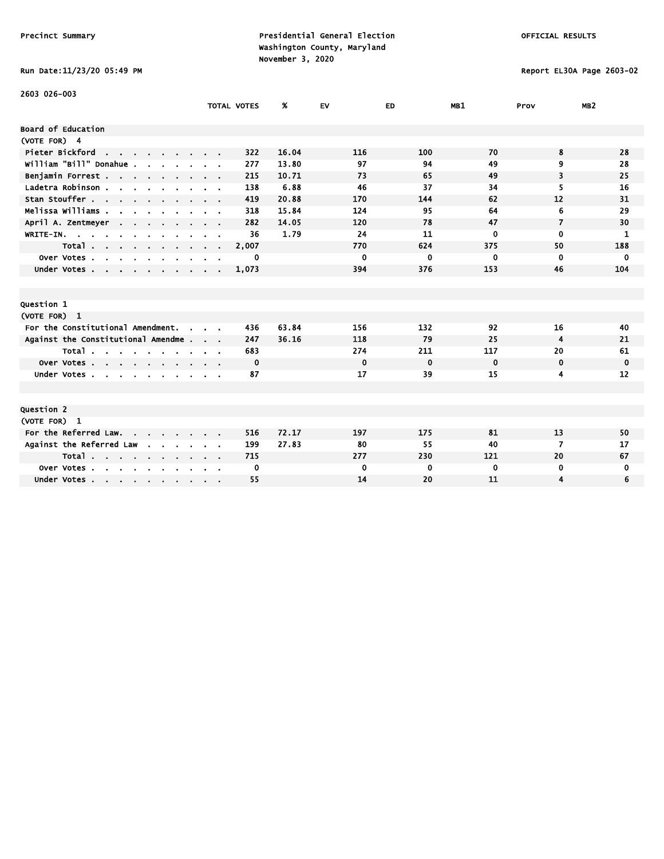### Run Date:11/23/20 05:49 PM Report EL30A Page 2603-02

| 2603 026-003                                                                                  |                    |       |             |             |             |                |                 |
|-----------------------------------------------------------------------------------------------|--------------------|-------|-------------|-------------|-------------|----------------|-----------------|
|                                                                                               | <b>TOTAL VOTES</b> | %     | <b>EV</b>   | ED.         | MB1         | Prov           | MB <sub>2</sub> |
| Board of Education                                                                            |                    |       |             |             |             |                |                 |
| (VOTE FOR) 4                                                                                  |                    |       |             |             |             |                |                 |
| Pieter Bickford<br>the contract of the contract of                                            | 322                | 16.04 | 116         | 100         | 70          | 8              | 28              |
| william "Bill" Donahue .                                                                      | 277                | 13.80 | 97          | 94          | 49          | 9              | 28              |
| Benjamin Forrest                                                                              | 215                | 10.71 | 73          | 65          | 49          | 3              | 25              |
| Ladetra Robinson.<br>$\mathbf{r}$ , $\mathbf{r}$ , $\mathbf{r}$ , $\mathbf{r}$ , $\mathbf{r}$ | 138                | 6.88  | 46          | 37          | 34          | 5              | 16              |
| Stan Stouffer                                                                                 | 419                | 20.88 | 170         | 144         | 62          | 12             | 31              |
| Melissa Williams .<br>$\overline{\phantom{a}}$                                                | 318                | 15.84 | 124         | 95          | 64          | 6              | 29              |
| April A. Zentmeyer<br>$\sim$ $\sim$                                                           | 282                | 14.05 | 120         | 78          | 47          | $\overline{7}$ | 30              |
| WRITE-IN.                                                                                     | 36                 | 1.79  | 24          | 11          | 0           | $\mathbf 0$    | 1               |
| Total                                                                                         | 2,007              |       | 770         | 624         | 375         | 50             | 188             |
| Over Votes.<br>$\sim$<br>$\sim$<br><b>Service</b><br>$\mathbf{r}$<br>$\sim$                   | 0                  |       | $\mathbf 0$ | 0           | 0           | $\mathbf 0$    | 0               |
| Under Votes                                                                                   | 1,073              |       | 394         | 376         | 153         | 46             | 104             |
|                                                                                               |                    |       |             |             |             |                |                 |
|                                                                                               |                    |       |             |             |             |                |                 |
| Question 1                                                                                    |                    |       |             |             |             |                |                 |
| (VOTE FOR) 1                                                                                  |                    |       |             |             |             |                |                 |
| For the Constitutional Amendment.<br>$\sim$                                                   | 436                | 63.84 | 156         | 132         | 92          | 16             | 40              |
| Against the Constitutional Amendme                                                            | 247                | 36.16 | 118         | 79          | 25          | 4              | 21              |
| Total                                                                                         | 683                |       | 274         | 211         | 117         | 20             | 61              |
| Over Votes                                                                                    | 0                  |       | $\mathbf 0$ | $\mathbf 0$ | $\mathbf 0$ | $\mathbf 0$    | $\mathbf 0$     |
| Under Votes                                                                                   | 87                 |       | 17          | 39          | 15          | 4              | 12              |
|                                                                                               |                    |       |             |             |             |                |                 |
|                                                                                               |                    |       |             |             |             |                |                 |
| Question 2                                                                                    |                    |       |             |             |             |                |                 |
| (VOTE FOR) 1                                                                                  |                    |       |             |             |             |                |                 |
| For the Referred Law.                                                                         | 516                | 72.17 | 197         | 175         | 81          | 13             | 50              |
| Against the Referred Law<br>$\sim$                                                            | 199                | 27.83 | 80          | 55          | 40          | 7              | 17              |
| Total                                                                                         | 715                |       | 277         | 230         | 121         | 20             | 67              |
| Over Votes.<br>$\mathbf{r}$ , $\mathbf{r}$ , $\mathbf{r}$ , $\mathbf{r}$                      | 0                  |       | $\mathbf 0$ | 0           | 0           | $\mathbf 0$    | 0               |
| Under Votes                                                                                   | 55                 |       | 14          | 20          | 11          | 4              | 6               |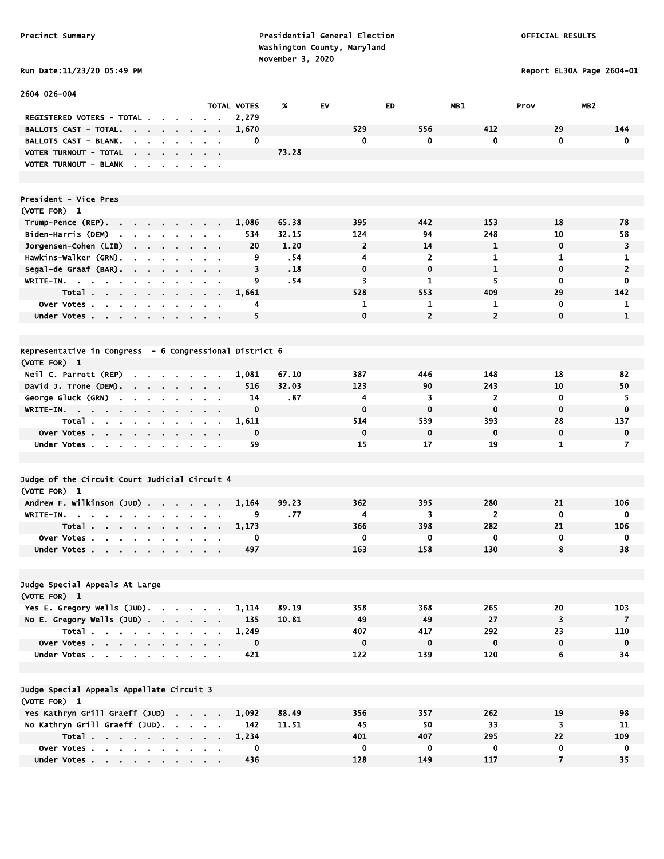# Run Date:11/23/20 05:49 PM Report EL30A Page 2604-01

| 2604 026-004                                                                                       |                                                                                                       |                    |       |                |                |                |                         |                 |
|----------------------------------------------------------------------------------------------------|-------------------------------------------------------------------------------------------------------|--------------------|-------|----------------|----------------|----------------|-------------------------|-----------------|
|                                                                                                    |                                                                                                       | <b>TOTAL VOTES</b> | %     | EV             | <b>ED</b>      | MB1            | Prov                    | MB <sub>2</sub> |
| REGISTERED VOTERS - TOTAL .                                                                        |                                                                                                       | 2,279              |       |                |                |                |                         |                 |
| <b>BALLOTS CAST - TOTAL.</b><br>the company of the company                                         |                                                                                                       | 1,670              |       | 529            | 556            | 412            | 29                      | 144             |
| <b>BALLOTS CAST - BLANK.</b><br>the company of the company                                         |                                                                                                       | 0                  |       | 0              | 0              | 0              | $\mathbf 0$             | $\mathbf 0$     |
| VOTER TURNOUT - TOTAL<br>the contract of the contract of                                           |                                                                                                       |                    | 73.28 |                |                |                |                         |                 |
| VOTER TURNOUT - BLANK<br>$\mathbf{r}$                                                              | $\sim$ $\sim$                                                                                         |                    |       |                |                |                |                         |                 |
| President - Vice Pres                                                                              |                                                                                                       |                    |       |                |                |                |                         |                 |
| (VOTE FOR) 1                                                                                       |                                                                                                       |                    |       |                |                |                |                         |                 |
| Trump-Pence (REP).<br>the contract of the con-<br>$\sim$<br>$\blacksquare$                         |                                                                                                       | 1,086              | 65.38 | 395            | 442            | 153            | 18                      | 78              |
| Biden-Harris (DEM)<br><b>Service Control</b>                                                       |                                                                                                       | 534                | 32.15 | 124            | 94             | 248            | 10                      | 58              |
| Jorgensen-Cohen (LIB)                                                                              |                                                                                                       | 20                 | 1.20  | $\overline{2}$ | 14             | 1              | $\mathbf 0$             | 3               |
| Hawkins-Walker (GRN).<br>$\blacksquare$<br>$\sim$<br>$\blacksquare$<br>$\sim$                      |                                                                                                       | 9                  | .54   | 4              | $\overline{2}$ | 1              | 1                       | 1               |
| Segal-de Graaf (BAR).<br>$\mathbf{r}$                                                              |                                                                                                       | 3                  | .18   | $\mathbf 0$    | $\mathbf 0$    | $\mathbf{1}$   | $\mathbf 0$             | $\overline{2}$  |
| WRITE-IN. $\cdots$<br>$\sim$                                                                       | $\mathbf{a}=\mathbf{a}$                                                                               | 9                  | .54   | 3              | 1              | 5              | $\mathbf 0$             | 0               |
| Total.                                                                                             | $\begin{array}{cccccccccccccc} \bullet & \bullet & \bullet & \bullet & \bullet & \bullet \end{array}$ | 1,661              |       | 528            | 553            | 409            | 29                      | 142             |
| Over Votes                                                                                         | $\sim$ $\sim$                                                                                         | 4                  |       | 1              | 1              | 1              | $\mathbf 0$             | 1               |
| Under Votes                                                                                        |                                                                                                       | 5                  |       | $\mathbf 0$    | $\overline{2}$ | $\overline{2}$ | $\mathbf 0$             | $\mathbf{1}$    |
|                                                                                                    |                                                                                                       |                    |       |                |                |                |                         |                 |
| Representative in Congress - 6 Congressional District 6                                            |                                                                                                       |                    |       |                |                |                |                         |                 |
| (VOTE FOR) 1                                                                                       |                                                                                                       |                    |       |                |                |                |                         |                 |
| Neil C. Parrott (REP)<br>the contract of the contract of<br>$\sim$                                 |                                                                                                       | 1,081              | 67.10 | 387            | 446            | 148            | 18                      | 82              |
| David J. Trone (DEM).                                                                              |                                                                                                       | 516                | 32.03 | 123            | 90             | 243            | 10                      | 50              |
| George Gluck (GRN)<br>$\sim$<br>$\mathbf{r}$<br>$\sim$<br>$\mathbf{r}$<br>$\blacksquare$<br>$\sim$ | $\alpha = 0.01$                                                                                       | 14                 | .87   | 4              | 3              | $\overline{2}$ | $\mathbf 0$             | 5               |
| WRITE-IN.                                                                                          | $\mathbf{a}$ , and $\mathbf{a}$ , and $\mathbf{a}$                                                    | $\mathbf 0$        |       | $\mathbf 0$    | $\mathbf 0$    | $\mathbf 0$    | $\mathbf 0$             | $\bf{0}$        |
| Total                                                                                              | <b>Contract Contract Contract</b>                                                                     | 1,611              |       | 514            | 539            | 393            | 28                      | 137             |
| Over Votes                                                                                         |                                                                                                       | $\mathbf 0$        |       | $\mathbf 0$    | $\mathbf 0$    | $\mathbf 0$    | $\mathbf 0$             | $\mathbf 0$     |
| Under Votes                                                                                        |                                                                                                       | 59                 |       | 15             | 17             | 19             | 1                       | $\overline{7}$  |
|                                                                                                    |                                                                                                       |                    |       |                |                |                |                         |                 |
| Judge of the Circuit Court Judicial Circuit 4                                                      |                                                                                                       |                    |       |                |                |                |                         |                 |
| (VOTE FOR) 1                                                                                       |                                                                                                       |                    |       |                |                |                |                         |                 |
| Andrew F. Wilkinson (JUD)                                                                          | $\sim$                                                                                                | 1,164              | 99.23 | 362            | 395            | 280            | 21                      | 106             |
| WRITE-IN.<br>$\sim$<br>$\sim$<br>$\cdot$<br>$\mathbf{r}$<br>$\blacksquare$<br>$\blacksquare$       |                                                                                                       | 9                  | .77   | 4              | 3              | $\overline{2}$ | $\mathbf 0$             | $\mathbf 0$     |
| Total                                                                                              | $\mathbf{r} = \mathbf{r} + \mathbf{r}$ , where $\mathbf{r}$                                           | 1,173              |       | 366            | 398            | 282            | 21                      | 106             |
| Over Votes.<br><b>Contract Contract Contract</b><br>$\sim$                                         |                                                                                                       | 0                  |       | 0              | 0              | 0              | 0                       | 0               |
| Under Votes                                                                                        |                                                                                                       | 497                |       | 163            | 158            | 130            | 8                       | 38              |
|                                                                                                    |                                                                                                       |                    |       |                |                |                |                         |                 |
| Judge Special Appeals At Large                                                                     |                                                                                                       |                    |       |                |                |                |                         |                 |
| (VOTE FOR) 1                                                                                       |                                                                                                       |                    |       |                |                |                |                         |                 |
| Yes E. Gregory Wells (JUD).                                                                        |                                                                                                       | 1,114              | 89.19 | 358            | 368            | 265            | 20                      | 103             |
| No E. Gregory Wells $(JUD)$ .                                                                      |                                                                                                       | 135                | 10.81 | 49             | 49             | 27             | 3                       | $\overline{7}$  |
| Total                                                                                              |                                                                                                       | 1,249              |       | 407            | 417            | 292            | 23                      | 110             |
| Over Votes                                                                                         |                                                                                                       | 0                  |       | 0              | $\mathbf 0$    | $\mathbf 0$    | $\mathbf 0$             | $\mathbf 0$     |
| Under Votes                                                                                        |                                                                                                       | 421                |       | 122            | 139            | 120            | 6                       | 34              |
| Judge Special Appeals Appellate Circuit 3                                                          |                                                                                                       |                    |       |                |                |                |                         |                 |
| (VOTE FOR) 1                                                                                       |                                                                                                       |                    |       |                |                |                |                         |                 |
| Yes Kathryn Grill Graeff (JUD)                                                                     |                                                                                                       | 1,092              | 88.49 | 356            | 357            | 262            | 19                      | 98              |
| No Kathryn Grill Graeff (JUD).                                                                     |                                                                                                       | 142                | 11.51 | 45             | 50             | 33             | $\overline{\mathbf{3}}$ | 11              |
| Total                                                                                              |                                                                                                       | 1,234              |       | 401            | 407            | 295            | 22                      | 109             |
| Over Votes                                                                                         |                                                                                                       | 0                  |       | 0              | 0              | $\mathbf 0$    | $\mathbf 0$             | $\mathbf 0$     |
| Under Votes                                                                                        |                                                                                                       | 436                |       | 128            | 149            | 117            | $\overline{7}$          | 35              |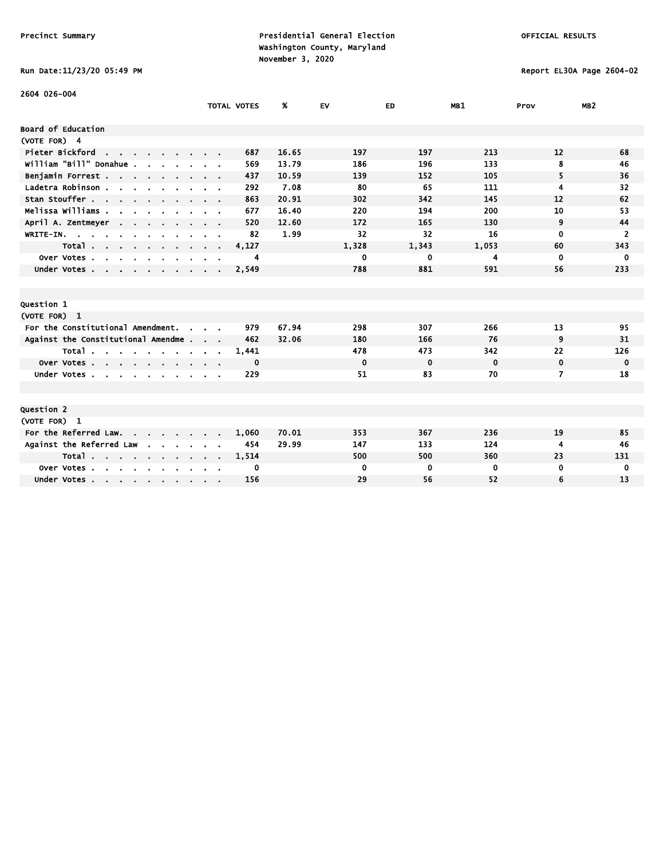# Run Date:11/23/20 05:49 PM Report EL30A Page 2604-02

| 2604 026-004                                                        |                           |                    |       |             |             |             |             |                 |
|---------------------------------------------------------------------|---------------------------|--------------------|-------|-------------|-------------|-------------|-------------|-----------------|
|                                                                     |                           | <b>TOTAL VOTES</b> | %     | EV          | ED          | MB1         | Prov        | MB <sub>2</sub> |
| Board of Education                                                  |                           |                    |       |             |             |             |             |                 |
| (VOTE FOR) 4                                                        |                           |                    |       |             |             |             |             |                 |
| Pieter Bickford<br>the contract of the contract of                  |                           | 687                | 16.65 | 197         | 197         | 213         | 12          | 68              |
| william "Bill" Donahue.                                             |                           | 569                | 13.79 | 186         | 196         | 133         | 8           | 46              |
| Benjamin Forrest                                                    |                           | 437                | 10.59 | 139         | 152         | 105         | 5           | 36              |
| Ladetra Robinson.<br>$\mathbf{r}$ and $\mathbf{r}$ and $\mathbf{r}$ | $\alpha = 0.1$            | 292                | 7.08  | 80          | 65          | 111         | 4           | 32              |
| Stan Stouffer                                                       |                           | 863                | 20.91 | 302         | 342         | 145         | 12          | 62              |
| Melissa Williams .                                                  |                           | 677                | 16.40 | 220         | 194         | 200         | 10          | 53              |
| April A. Zentmeyer<br>$\sim$ $\sim$                                 |                           | 520                | 12.60 | 172         | 165         | 130         | 9           | 44              |
| WRITE-IN.                                                           |                           | 82                 | 1.99  | 32          | 32          | 16          | $\mathbf 0$ | $\overline{2}$  |
| Total<br>$\sim$                                                     | $\alpha = 0.1$            | 4,127              |       | 1,328       | 1,343       | 1,053       | 60          | 343             |
| Over Votes.<br>$\sim$<br>$\sim$<br>$\sim$                           |                           | 4                  |       | 0           | 0           | 4           | $\mathbf 0$ | 0               |
| Under Votes                                                         |                           | 2,549              |       | 788         | 881         | 591         | 56          | 233             |
|                                                                     |                           |                    |       |             |             |             |             |                 |
|                                                                     |                           |                    |       |             |             |             |             |                 |
| Question 1                                                          |                           |                    |       |             |             |             |             |                 |
| (VOTE FOR) 1                                                        |                           |                    |       |             |             |             |             |                 |
| For the Constitutional Amendment.<br>$\mathbf{r}$                   |                           | 979                | 67.94 | 298         | 307         | 266         | 13          | 95              |
| Against the Constitutional Amendme.                                 | $\cdot$ .                 | 462                | 32.06 | 180         | 166         | 76          | 9           | 31              |
| Total                                                               |                           | 1,441              |       | 478         | 473         | 342         | 22          | 126             |
| Over Votes                                                          |                           | 0                  |       | $\mathbf 0$ | $\mathbf 0$ | $\mathbf 0$ | $\mathbf 0$ | $\mathbf 0$     |
| Under Votes.<br>$\sim$<br>$\sim$                                    |                           | 229                |       | 51          | 83          | 70          | 7           | 18              |
|                                                                     |                           |                    |       |             |             |             |             |                 |
|                                                                     |                           |                    |       |             |             |             |             |                 |
| Question 2                                                          |                           |                    |       |             |             |             |             |                 |
| (VOTE FOR) 1                                                        |                           |                    |       |             |             |             |             |                 |
| For the Referred Law.<br>.                                          |                           | 1,060              | 70.01 | 353         | 367         | 236         | 19          | 85              |
| Against the Referred Law                                            |                           | 454                | 29.99 | 147         | 133         | 124         | 4           | 46              |
| Total                                                               | $\mathbf{r} = \mathbf{r}$ | 1,514              |       | 500         | 500         | 360         | 23          | 131             |
| Over Votes.<br>$\sim$<br>$\sim$<br>$\mathbf{r}$                     |                           | 0                  |       | 0           | 0           | 0           | $\mathbf 0$ | 0               |
| Under Votes                                                         |                           | 156                |       | 29          | 56          | 52          | 6           | 13              |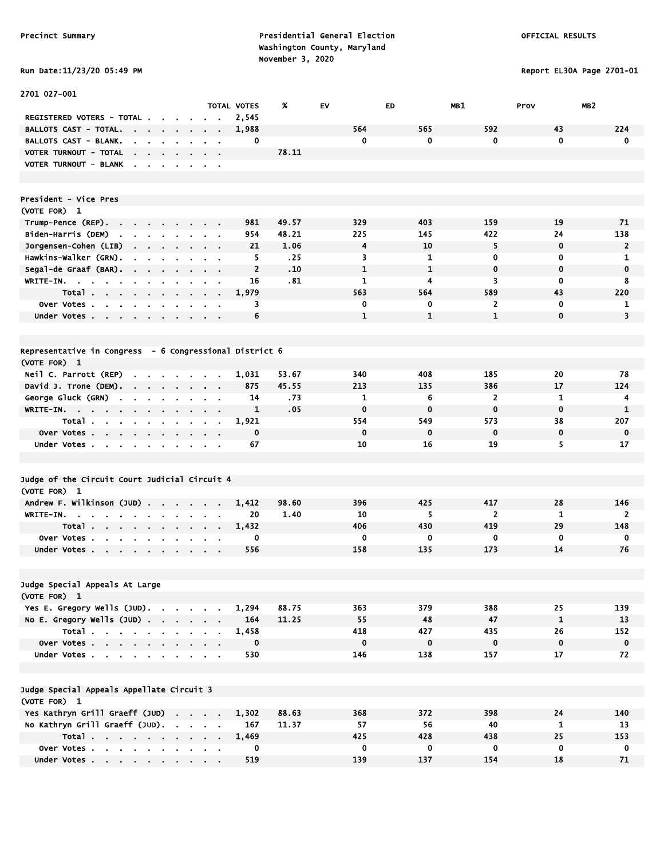Run Date:11/23/20 05:49 PM Report EL30A Page 2701-01

| 2701 027-001                                                                                             |                                        |                    |       |              |              |                |              |                 |
|----------------------------------------------------------------------------------------------------------|----------------------------------------|--------------------|-------|--------------|--------------|----------------|--------------|-----------------|
|                                                                                                          |                                        | <b>TOTAL VOTES</b> | %     | <b>EV</b>    | ED           | MB1            | Prov         | MB <sub>2</sub> |
| REGISTERED VOTERS - TOTAL .                                                                              |                                        | 2,545              |       |              |              |                |              |                 |
| <b>BALLOTS CAST - TOTAL.</b><br><b>Contract</b><br>$\blacksquare$<br>$\sim$                              |                                        | 1,988              |       | 564          | 565          | 592            | 43           | 224             |
| <b>BALLOTS CAST - BLANK.</b>                                                                             |                                        | 0                  |       | $\mathbf 0$  | 0            | 0              | $\mathbf 0$  | $\mathbf 0$     |
| VOTER TURNOUT - TOTAL<br>the contract of the                                                             | $\mathbf{r} = \mathbf{r} + \mathbf{r}$ |                    | 78.11 |              |              |                |              |                 |
| VOTER TURNOUT - BLANK                                                                                    |                                        |                    |       |              |              |                |              |                 |
|                                                                                                          |                                        |                    |       |              |              |                |              |                 |
|                                                                                                          |                                        |                    |       |              |              |                |              |                 |
| President - Vice Pres                                                                                    |                                        |                    |       |              |              |                |              |                 |
| (VOTE FOR) 1                                                                                             |                                        |                    |       |              |              |                |              |                 |
| Trump-Pence (REP).                                                                                       |                                        | 981                | 49.57 | 329          | 403          | 159            | 19           | 71              |
| Biden-Harris (DEM)<br>$\sim$                                                                             |                                        | 954                | 48.21 | 225          | 145          | 422            | 24           | 138             |
| Jorgensen-Cohen (LIB)<br>$\mathbf{r}$<br>$\bullet$<br>$\sim$<br>$\bullet$                                |                                        | 21                 | 1.06  | 4            | 10           | 5              | $\mathbf 0$  | $\overline{2}$  |
| Hawkins-Walker (GRN).                                                                                    |                                        | 5                  | .25   | 3            | 1            | $\bf{0}$       | 0            | 1               |
| Segal-de Graaf (BAR).<br>$\sim$                                                                          |                                        | $\overline{2}$     | .10   | $\mathbf{1}$ | $\mathbf{1}$ | $\mathbf 0$    | $\mathbf 0$  | $\mathbf 0$     |
| WRITE-IN.<br>$\mathbf{r}$                                                                                |                                        | 16                 | .81   | 1            | 4            | 3              | 0            | 8               |
| Total                                                                                                    |                                        | 1,979              |       | 563          | 564          | 589            | 43           | 220             |
| Over Votes<br>$\blacksquare$<br>$\blacksquare$                                                           |                                        | 3                  |       | 0            | 0            | $\overline{2}$ | $\mathbf 0$  | 1               |
| Under Votes                                                                                              |                                        | 6                  |       | $\mathbf{1}$ | $\mathbf{1}$ | $\mathbf{1}$   | $\mathbf 0$  | 3               |
|                                                                                                          |                                        |                    |       |              |              |                |              |                 |
|                                                                                                          |                                        |                    |       |              |              |                |              |                 |
| Representative in Congress - 6 Congressional District 6                                                  |                                        |                    |       |              |              |                |              |                 |
| (VOTE FOR) 1                                                                                             |                                        |                    |       |              |              |                |              |                 |
| Neil C. Parrott (REP)<br>$\mathbf{r} = \mathbf{r} + \mathbf{r} + \mathbf{r} + \mathbf{r}$                |                                        | 1,031              | 53.67 | 340          | 408          | 185            | 20           | 78              |
| David J. Trone (DEM).                                                                                    |                                        | 875                | 45.55 | 213          | 135          | 386            | 17           | 124             |
| George Gluck (GRN)<br>$\blacksquare$<br>$\mathbf{r}$<br>$\blacksquare$                                   |                                        | 14                 | .73   | 1            | 6            | $\overline{2}$ | 1            | 4               |
| WRITE-IN.<br><b>Contract</b><br>$\sim 10^{-1}$<br>$\sim$                                                 |                                        | 1                  | .05   | $\mathbf 0$  | $\bf{0}$     | $\mathbf 0$    | $\mathbf 0$  | 1               |
| Total.<br>the company of the company of<br>$\blacksquare$<br>$\sim$                                      |                                        | 1,921              |       | 554          | 549          | 573            | 38           | 207             |
| Over Votes                                                                                               | $\sim$ 100 $\sim$ 100 $\sim$           | $\mathbf 0$        |       | $\mathbf 0$  | $\mathbf 0$  | $\mathbf 0$    | $\mathbf 0$  | $\mathbf 0$     |
| Under Votes                                                                                              |                                        | 67                 |       | 10           | 16           | 19             | 5.           | 17              |
|                                                                                                          |                                        |                    |       |              |              |                |              |                 |
|                                                                                                          |                                        |                    |       |              |              |                |              |                 |
| Judge of the Circuit Court Judicial Circuit 4                                                            |                                        |                    |       |              |              |                |              |                 |
| (VOTE FOR) 1                                                                                             |                                        |                    | 98.60 | 396          | 425          | 417            | 28           | 146             |
| Andrew F. Wilkinson (JUD)                                                                                |                                        | 1,412<br>20        | 1.40  | 10           | 5            | $\overline{2}$ | 1            | $\overline{2}$  |
| WRITE-IN.<br>the contract of the contract of the<br>$\blacksquare$<br>Total.                             |                                        | 1,432              |       | 406          | 430          | 419            | 29           | 148             |
| $\mathbf{a} = \mathbf{a} + \mathbf{a} + \mathbf{a}$ .<br><b>Service Control</b><br>$\sim$<br>Over Votes. | $\sim$ $\sim$                          | 0                  |       | 0            | 0            | 0              | 0            | 0               |
| $\mathbf{r}$<br>$\sim$<br>$\mathbf{r}$<br>$\sim$<br>$\bullet$<br>$\blacksquare$                          |                                        | 556                |       | 158          | 135          | 173            | 14           | 76              |
| Under Votes                                                                                              |                                        |                    |       |              |              |                |              |                 |
|                                                                                                          |                                        |                    |       |              |              |                |              |                 |
| Judge Special Appeals At Large                                                                           |                                        |                    |       |              |              |                |              |                 |
| (VOTE FOR) 1                                                                                             |                                        |                    |       |              |              |                |              |                 |
| Yes E. Gregory Wells (JUD).                                                                              |                                        | 1,294              | 88.75 | 363          | 379          | 388            | 25           | 139             |
| No E. Gregory Wells (JUD)                                                                                |                                        | 164                | 11.25 | 55           | 48           | 47             | $\mathbf{1}$ | 13              |
| Total                                                                                                    |                                        | 1,458              |       | 418          | 427          | 435            | 26           | 152             |
| Over Votes<br>$\sim$                                                                                     |                                        | $\mathbf 0$        |       | $\mathbf 0$  | $\mathbf 0$  | $\mathbf 0$    | $\mathbf 0$  | $\mathbf 0$     |
| Under Votes                                                                                              |                                        | 530                |       | 146          | 138          | 157            | 17           | 72              |
|                                                                                                          |                                        |                    |       |              |              |                |              |                 |
|                                                                                                          |                                        |                    |       |              |              |                |              |                 |
| Judge Special Appeals Appellate Circuit 3                                                                |                                        |                    |       |              |              |                |              |                 |
| (VOTE FOR) 1                                                                                             |                                        |                    |       |              |              |                |              |                 |
| Yes Kathryn Grill Graeff (JUD)                                                                           |                                        | 1,302              | 88.63 | 368          | 372          | 398            | 24           | 140             |
| No Kathryn Grill Graeff (JUD).                                                                           |                                        | 167                | 11.37 | 57           | 56           | 40             | $\mathbf{1}$ | 13              |
| Total                                                                                                    |                                        | 1,469              |       | 425          | 428          | 438            | 25           | 153             |
| Over Votes                                                                                               |                                        | 0                  |       | $\bf{0}$     | 0            | $\mathbf 0$    | $\mathbf 0$  | $\mathbf 0$     |
| Under Votes                                                                                              |                                        | 519                |       | 139          | 137          | 154            | 18           | 71              |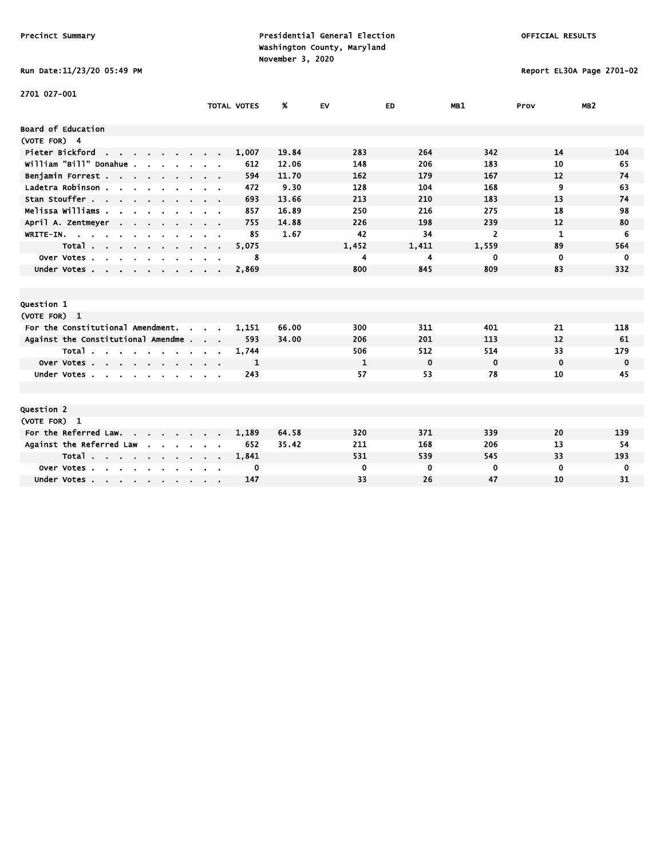# Run Date:11/23/20 05:49 PM Report EL30A Page 2701-02

| 2701 027-001                                                             |                                        |              |       |       |                |             |                 |
|--------------------------------------------------------------------------|----------------------------------------|--------------|-------|-------|----------------|-------------|-----------------|
|                                                                          | <b>TOTAL VOTES</b>                     | %            | EV    | ED    | MB1            | Prov        | MB <sub>2</sub> |
| Board of Education                                                       |                                        |              |       |       |                |             |                 |
| (VOTE FOR) 4                                                             |                                        |              |       |       |                |             |                 |
| Pieter Bickford<br>the contract of the con-                              | 1,007                                  | 19.84        | 283   | 264   | 342            | 14          | 104             |
| william "Bill" Donahue .                                                 |                                        | 612<br>12.06 | 148   | 206   | 183            | 10          | 65              |
| Benjamin Forrest                                                         |                                        | 594<br>11.70 | 162   | 179   | 167            | 12          | 74              |
| Ladetra Robinson .<br>the contract of the contract of the                | $\mathbf{r} = \mathbf{r} + \mathbf{r}$ | 9.30<br>472  | 128   | 104   | 168            | 9           | 63              |
| Stan Stouffer                                                            |                                        | 693<br>13.66 | 213   | 210   | 183            | 13          | 74              |
| Melissa Williams                                                         |                                        | 857<br>16.89 | 250   | 216   | 275            | 18          | 98              |
| April A. Zentmeyer<br><b>Contract Contract</b>                           |                                        | 14.88<br>755 | 226   | 198   | 239            | 12          | 80              |
| WRITE-IN.                                                                |                                        | 85<br>1.67   | 42    | 34    | $\overline{2}$ | 1           | 6               |
| Total<br>and the state of the state of                                   | 5,075                                  |              | 1,452 | 1,411 | 1,559          | 89          | 564             |
| Over Votes<br>$\mathbf{r}$                                               |                                        | 8            | 4     | 4     | 0              | 0           | 0               |
| Under Votes                                                              | 2,869                                  |              | 800   | 845   | 809            | 83          | 332             |
|                                                                          |                                        |              |       |       |                |             |                 |
|                                                                          |                                        |              |       |       |                |             |                 |
| Question 1                                                               |                                        |              |       |       |                |             |                 |
| (VOTE FOR) 1                                                             |                                        |              |       |       |                |             |                 |
| For the Constitutional Amendment.                                        | 1,151                                  | 66.00        | 300   | 311   | 401            | 21          | 118             |
| Against the Constitutional Amendme                                       |                                        | 593<br>34.00 | 206   | 201   | 113            | 12          | 61              |
| Total                                                                    | 1,744                                  |              | 506   | 512   | 514            | 33          | 179             |
| Over Votes                                                               |                                        | 1            | 1     | 0     | $\mathbf 0$    | 0           | 0               |
| Under Votes<br>$\sim$                                                    |                                        | 243          | 57    | 53    | 78             | 10          | 45              |
|                                                                          |                                        |              |       |       |                |             |                 |
|                                                                          |                                        |              |       |       |                |             |                 |
| Question 2                                                               |                                        |              |       |       |                |             |                 |
| (VOTE FOR) 1                                                             |                                        |              |       |       |                |             |                 |
| For the Referred Law.                                                    | 1,189                                  | 64.58        | 320   | 371   | 339            | 20          | 139             |
| Against the Referred Law                                                 |                                        | 652<br>35.42 | 211   | 168   | 206            | 13          | 54              |
| Total                                                                    | 1,841                                  |              | 531   | 539   | 545            | 33          | 193             |
| Over Votes.<br>$\mathbf{r}$ , $\mathbf{r}$ , $\mathbf{r}$ , $\mathbf{r}$ |                                        | 0            | 0     | 0     | $\bf{0}$       | $\mathbf 0$ | 0               |
| Under Votes                                                              |                                        | 147          | 33    | 26    | 47             | 10          | 31              |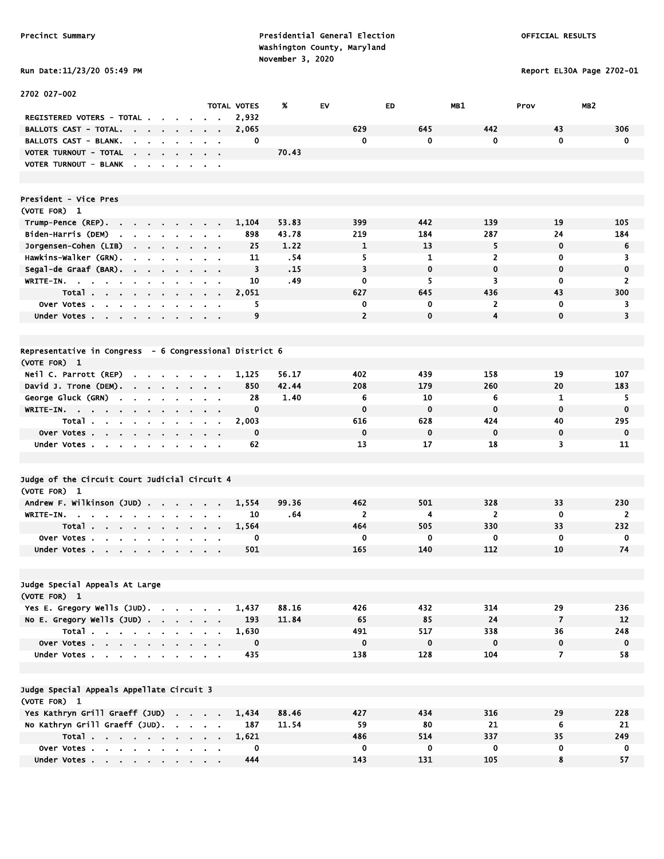# Run Date:11/23/20 05:49 PM Report EL30A Page 2702-01

| 2702 027-002                                                                                       |                                                             |                    |       |                |              |                |                         |                |
|----------------------------------------------------------------------------------------------------|-------------------------------------------------------------|--------------------|-------|----------------|--------------|----------------|-------------------------|----------------|
|                                                                                                    |                                                             | <b>TOTAL VOTES</b> | %     | <b>EV</b>      | ED           | MB1            | MB <sub>2</sub><br>Prov |                |
| <b>REGISTERED VOTERS - TOTAL .</b>                                                                 |                                                             | 2,932              |       |                |              |                |                         |                |
| <b>BALLOTS CAST - TOTAL.</b><br><b>Contract</b><br>$\sim 100$ km s $^{-1}$<br>$\sim$               |                                                             | 2,065              |       | 629            | 645          | 442            | 43                      | 306            |
| BALLOTS CAST - BLANK.<br>$\mathbf{r}$<br>$\mathbf{r}$                                              |                                                             | 0                  |       | 0              | $\mathbf 0$  | 0              | $\mathbf 0$             | $\mathbf 0$    |
| VOTER TURNOUT - TOTAL<br>$\mathbf{r}$<br>$\mathbf{r} = \mathbf{r}$                                 |                                                             |                    | 70.43 |                |              |                |                         |                |
| VOTER TURNOUT - BLANK<br>$\sim$<br>$\overline{\phantom{a}}$<br>$\sim$<br>$\sim$<br>$\cdot$         | $\sim$ 100 $\pm$                                            |                    |       |                |              |                |                         |                |
|                                                                                                    |                                                             |                    |       |                |              |                |                         |                |
| President - Vice Pres                                                                              |                                                             |                    |       |                |              |                |                         |                |
| (VOTE FOR) 1                                                                                       |                                                             |                    |       |                |              |                |                         |                |
| Trump-Pence (REP).<br><b>Contract</b><br>$\mathbf{a}$ .<br>$\sim$<br>$\sim$                        |                                                             | 1,104              | 53.83 | 399            | 442          | 139            | 19                      | 105            |
| Biden-Harris (DEM)<br><b>Contract Contract Contract</b>                                            | $\mathbf{r} = \mathbf{r}$                                   | 898                | 43.78 | 219            | 184          | 287            | 24                      | 184            |
| Jorgensen-Cohen (LIB)                                                                              |                                                             | 25                 | 1.22  | $\mathbf{1}$   | 13           | 5              | $\mathbf 0$             | 6              |
| Hawkins-Walker (GRN).<br>$\mathbf{r}$<br>$\blacksquare$<br>$\overline{\phantom{a}}$                |                                                             | 11                 | .54   | 5              | $\mathbf{1}$ | $\overline{2}$ | 0                       | 3              |
| Segal-de Graaf (BAR).<br>$\sim$ 10 $\sim$<br>$\mathbf{r}$<br>$\blacksquare$                        | $\alpha = 0.1$                                              | 3                  | .15   | 3              | $\mathbf 0$  | $\mathbf 0$    | $\mathbf 0$             | $\mathbf 0$    |
| WRITE-IN.<br>$\mathbf{u} = \mathbf{u} + \mathbf{u}$<br>$\sim 10^{-1}$<br>$\mathbf{r}$<br>$\bullet$ | $\sim$ 10 $\pm$                                             | 10                 | .49   | 0              | 5            | 3              | $\mathbf 0$             | $\overline{2}$ |
| Total                                                                                              |                                                             | 2,051              |       | 627            | 645          | 436            | 43                      | 300            |
| Over Votes                                                                                         | $\alpha$ , $\beta$ , $\alpha$                               | 5                  |       | 0              | 0            | 2              | 0                       | 3              |
| Under Votes                                                                                        |                                                             | 9                  |       | $\overline{2}$ | $\bf{0}$     | $\overline{4}$ | $\mathbf 0$             | 3              |
|                                                                                                    |                                                             |                    |       |                |              |                |                         |                |
| Representative in Congress - 6 Congressional District 6                                            |                                                             |                    |       |                |              |                |                         |                |
| (VOTE FOR) 1                                                                                       |                                                             |                    |       |                |              |                |                         |                |
| Neil C. Parrott (REP)<br>$\mathbf{r}$<br>$\sim$<br>$\sim$<br>$\sim$                                |                                                             | 1,125              | 56.17 | 402            | 439          | 158            | 19                      | 107            |
| David J. Trone (DEM). .<br>$\sim$ $\sim$<br>$\sim$<br>$\cdot$                                      | $\sim$ $\sim$                                               | 850                | 42.44 | 208            | 179          | 260            | 20                      | 183            |
| George Gluck (GRN)<br>$\blacksquare$<br>$\blacksquare$                                             | $\sim$ 10 $\pm$                                             | 28                 | 1.40  | 6              | 10           | 6              | 1                       | 5              |
| WRITE-IN.<br>$\mathbf{u} = \mathbf{u}$                                                             | $\mathbf{r} = \mathbf{r} + \mathbf{r}$ , where $\mathbf{r}$ | $\mathbf 0$        |       | $\mathbf 0$    | $\mathbf 0$  | $\mathbf 0$    | $\mathbf 0$             | $\mathbf 0$    |
| Total                                                                                              | <b>Contract Contract Street</b>                             | 2,003              |       | 616            | 628          | 424            | 40                      | 295            |
| Over Votes                                                                                         |                                                             | 0                  |       | $\mathbf 0$    | $\mathbf 0$  | $\mathbf 0$    | $\mathbf 0$             | $\mathbf 0$    |
| Under Votes<br>$\mathbf{r}$                                                                        | $\alpha = 0.1$                                              | 62                 |       | 13             | 17           | 18             | 3                       | 11             |
|                                                                                                    |                                                             |                    |       |                |              |                |                         |                |
| Judge of the Circuit Court Judicial Circuit 4                                                      |                                                             |                    |       |                |              |                |                         |                |
| (VOTE FOR) 1                                                                                       |                                                             |                    |       |                |              |                |                         |                |
| Andrew F. Wilkinson (JUD).<br><b>Contract</b><br>$\sim$<br>$\mathbf{r}$                            | $\alpha = 0.1$                                              | 1,554              | 99.36 | 462            | 501          | 328            | 33                      | 230            |
| WRITE-IN.<br>$\sim$                                                                                |                                                             | 10                 | .64   | $\overline{2}$ | 4            | $\overline{2}$ | $\mathbf 0$             | $\overline{2}$ |
| Total                                                                                              | $\sim$ 10 $\pm$                                             | 1,564              |       | 464            | 505          | 330            | 33                      | 232            |
| Over Votes.<br>$\mathbf{a}$ , $\mathbf{a}$ , $\mathbf{a}$ ,<br>$\sim 10^{-1}$                      |                                                             | 0                  |       | 0              | $\mathbf 0$  | 0              | $\mathbf 0$             | $\mathbf 0$    |
| Under Votes<br>$\blacksquare$                                                                      |                                                             | 501                |       | 165            | 140          | 112            | 10                      | 74             |
|                                                                                                    |                                                             |                    |       |                |              |                |                         |                |
| Judge Special Appeals At Large                                                                     |                                                             |                    |       |                |              |                |                         |                |
| (VOTE FOR) 1                                                                                       |                                                             |                    |       |                |              |                |                         |                |
| Yes E. Gregory Wells (JUD).                                                                        |                                                             | 1,437              | 88.16 | 426            | 432          | 314            | 29                      | 236            |
| No E. Gregory Wells $(JUD)$ .                                                                      |                                                             | 193                | 11.84 | 65             | 85           | 24             | $\overline{7}$          | 12             |
| Total                                                                                              |                                                             | 1,630              |       | 491            | 517          | 338            | 36                      | 248            |
| Over Votes                                                                                         |                                                             | $\mathbf 0$        |       | $\pmb{0}$      | $\mathbf 0$  | $\mathbf{0}$   | 0                       | $\mathbf 0$    |
| Under Votes                                                                                        |                                                             | 435                |       | 138            | 128          | 104            | $\overline{7}$          | 58             |
|                                                                                                    |                                                             |                    |       |                |              |                |                         |                |
| Judge Special Appeals Appellate Circuit 3                                                          |                                                             |                    |       |                |              |                |                         |                |
| (VOTE FOR) 1                                                                                       |                                                             |                    |       |                |              |                |                         |                |
| Yes Kathryn Grill Graeff (JUD)                                                                     |                                                             | 1,434              | 88.46 | 427            | 434          | 316            | 29                      | 228            |
| No Kathryn Grill Graeff (JUD).                                                                     |                                                             | 187                | 11.54 | 59             | 80           | 21             | 6                       | 21             |
| Total $\cdots$ $\cdots$ $\cdots$                                                                   |                                                             | 1,621              |       | 486            | 514          | 337            | 35                      | 249            |
| Over Votes                                                                                         | $\mathbf{r} = \mathbf{r} + \mathbf{r}$ .                    | 0                  |       | 0              | 0            | 0              | 0                       | $\mathbf 0$    |
| Under Votes                                                                                        |                                                             | 444                |       | 143            | 131          | 105            | 8                       | 57             |